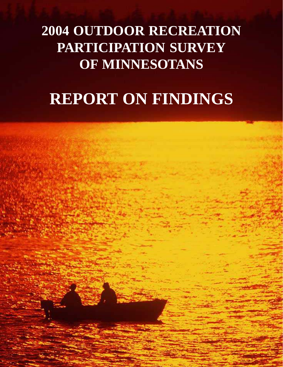# **2004 OUTDOOR RECREATION PARTICIPATION SURVEY OF MINNESOTANS**

# **REPORT ON FINDINGS**

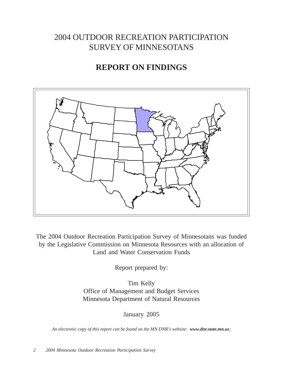## 2004 OUTDOOR RECREATION PARTICIPATION SURVEY OF MINNESOTANS

## **REPORT ON FINDINGS**



The 2004 Outdoor Recreation Participation Survey of Minnesotans was funded by the Legislative Commission on Minnesota Resources with an allocation of Land and Water Conservation Funds

Report prepared by:

Tim Kelly Office of Management and Budget Services Minnesota Department of Natural Resources

January 2005

*An electronic copy of this report can be found on the MN DNR's website: www.dnr.state.mn.us;*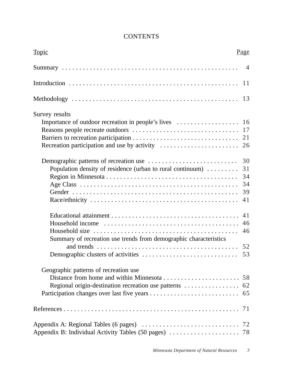| <b>Topic</b>                                                                                                                    | Page                             |
|---------------------------------------------------------------------------------------------------------------------------------|----------------------------------|
|                                                                                                                                 |                                  |
|                                                                                                                                 |                                  |
|                                                                                                                                 |                                  |
| Survey results                                                                                                                  | 26                               |
| Population density of residence (urban to rural continuum)                                                                      | 30<br>31<br>34<br>34<br>39<br>41 |
| Summary of recreation use trends from demographic characteristics                                                               | 41<br>46<br>46                   |
| Geographic patterns of recreation use<br>Regional origin-destination recreation use patterns $\dots \dots \dots \dots \dots$ 62 |                                  |
|                                                                                                                                 |                                  |
|                                                                                                                                 |                                  |

## **CONTENTS**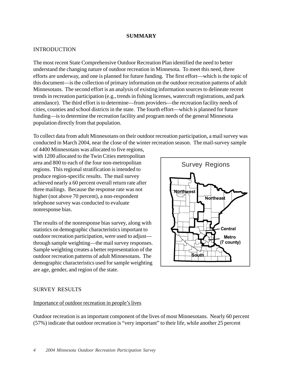#### **SUMMARY**

#### INTRODUCTION

The most recent State Comprehensive Outdoor Recreation Plan identified the need to better understand the changing nature of outdoor recreation in Minnesota. To meet this need, three efforts are underway, and one is planned for future funding. The first effort—which is the topic of this document—is the collection of primary information on the outdoor recreation patterns of adult Minnesotans. The second effort is an analysis of existing information sources to delineate recent trends in recreation participation (e.g., trends in fishing licenses, watercraft registrations, and park attendance). The third effort is to determine—from providers—the recreation facility needs of cities, counties and school districts in the state. The fourth effort—which is planned for future funding—is to determine the recreation facility and program needs of the general Minnesota population directly from that population.

To collect data from adult Minnesotans on their outdoor recreation participation, a mail survey was conducted in March 2004, near the close of the winter recreation season. The mail-survey sample of 4400 Minnesotans was allocated to five regions,

with 1200 allocated to the Twin Cities metropolitan area and 800 to each of the four non-metropolitan regions. This regional stratification is intended to produce region-specific results. The mail survey achieved nearly a 60 percent overall return rate after three mailings. Because the response rate was not higher (not above 70 percent), a non-respondent telephone survey was conducted to evaluate nonresponse bias.

The results of the nonresponse bias survey, along with statistics on demographic characteristics important to outdoor recreation participation, were used to adjust through sample weighting—the mail survey responses. Sample weighting creates a better representation of the outdoor recreation patterns of adult Minnesotans. The demographic characteristics used for sample weighting are age, gender, and region of the state.



#### SURVEY RESULTS

#### Importance of outdoor recreation in people's lives

Outdoor recreation is an important component of the lives of most Minnesotans. Nearly 60 percent (57%) indicate that outdoor recreation is "very important" to their life, while another 25 percent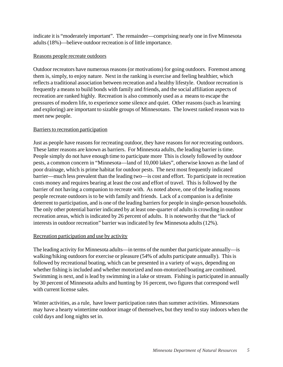indicate it is "moderately important". The remainder—comprising nearly one in five Minnesota adults (18%)—believe outdoor recreation is of little importance.

#### Reasons people recreate outdoors

Outdoor recreators have numerous reasons (or motivations) for going outdoors. Foremost among them is, simply, to enjoy nature. Next in the ranking is exercise and feeling healthier, which reflects a traditional association between recreation and a healthy lifestyle. Outdoor recreation is frequently a means to build bonds with family and friends, and the social affiliation aspects of recreation are ranked highly. Recreation is also commonly used as a means to escape the pressures of modern life, to experience some silence and quiet. Other reasons (such as learning and exploring) are important to sizable groups of Minnesotans. The lowest ranked reason was to meet new people.

#### Barriers to recreation participation

Just as people have reasons for recreating outdoor, they have reasons for *not* recreating outdoors. These latter reasons are known as barriers. For Minnesota adults, the leading barrier is time. People simply do not have enough time to participate more This is closely followed by outdoor pests, a common concern in "Minnesota—land of 10,000 lakes", otherwise known as the land of poor drainage, which is prime habitat for outdoor pests. The next most frequently indicated barrier—much less prevalent than the leading two—is cost and effort. To participate in recreation costs money and requires bearing at least the cost and effort of travel. This is followed by the barrier of not having a companion to recreate with. As noted above, one of the leading reasons people recreate outdoors is to be with family and friends. Lack of a companion is a definite deterrent to participation, and is one of the leading barriers for people in single-person households. The only other potential barrier indicated by at least one-quarter of adults is crowding in outdoor recreation areas, which is indicated by 26 percent of adults. It is noteworthy that the "lack of interests in outdoor recreation" barrier was indicated by few Minnesota adults (12%).

#### Recreation participation and use by activity

The leading activity for Minnesota adults—in terms of the number that participate annually—is walking/hiking outdoors for exercise or pleasure (54% of adults participate annually). This is followed by recreational boating, which can be presented in a variety of ways, depending on whether fishing is included and whether motorized and non-motorized boating are combined. Swimming is next, and is lead by swimming in a lake or stream. Fishing is participated in annually by 30 percent of Minnesota adults and hunting by 16 percent, two figures that correspond well with current license sales.

Winter activities, as a rule, have lower participation rates than summer activities. Minnesotans may have a hearty wintertime outdoor image of themselves, but they tend to stay indoors when the cold days and long nights set in.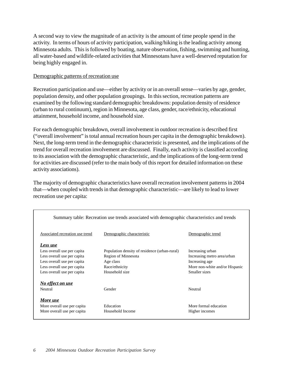A second way to view the magnitude of an activity is the amount of time people spend in the activity. In terms of hours of activity participation, walking/hiking is the leading activity among Minnesota adults. This is followed by boating, nature observation, fishing, swimming and hunting, all water-based and wildlife-related activities that Minnesotans have a well-deserved reputation for being highly engaged in.

#### Demographic patterns of recreation use

Recreation participation and use—either by activity or in an overall sense—varies by age, gender, population density, and other population groupings. In this section, recreation patterns are examined by the following standard demographic breakdowns: population density of residence (urban to rural continuum), region in Minnesota, age class, gender, race/ethnicity, educational attainment, household income, and household size.

For each demographic breakdown, overall involvement in outdoor recreation is described first ("overall involvement" is total annual recreation hours per capita in the demographic breakdown). Next, the long-term trend in the demographic characteristic is presented, and the implications of the trend for overall recreation involvement are discussed. Finally, each activity is classified according to its association with the demographic characteristic, and the implications of the long-term trend for activities are discussed (refer to the main body of this report for detailed information on these activity associations).

The majority of demographic characteristics have overall recreation involvement patterns in 2004 that—when coupled with trends in that demographic characteristic—are likely to lead to lower recreation use per capita:

| Summary table: Recreation use trends associated with demographic characteristics and trends |                                               |                                |  |  |  |  |  |  |  |
|---------------------------------------------------------------------------------------------|-----------------------------------------------|--------------------------------|--|--|--|--|--|--|--|
| Associated recreation use trend                                                             | Demographic characteristic                    | Demographic trend              |  |  |  |  |  |  |  |
| Less use                                                                                    |                                               |                                |  |  |  |  |  |  |  |
| Less overall use per capita                                                                 | Population density of residence (urban-rural) | Increasing urban               |  |  |  |  |  |  |  |
| Less overall use per capita                                                                 | Region of Minnesota                           | Increasing metro area/urban    |  |  |  |  |  |  |  |
| Less overall use per capita                                                                 | Age class                                     | Increasing age                 |  |  |  |  |  |  |  |
| Less overall use per capita                                                                 | Race/ethnicity                                | More non-white and/or Hispanic |  |  |  |  |  |  |  |
| Less overall use per capita                                                                 | Household size                                | Smaller sizes                  |  |  |  |  |  |  |  |
| No effect on use                                                                            |                                               |                                |  |  |  |  |  |  |  |
| Neutral                                                                                     | Gender                                        | Neutral                        |  |  |  |  |  |  |  |
| More use                                                                                    |                                               |                                |  |  |  |  |  |  |  |
| More overall use per capita                                                                 | Education                                     | More formal education          |  |  |  |  |  |  |  |
| More overall use per capita                                                                 | Household Income                              | Higher incomes                 |  |  |  |  |  |  |  |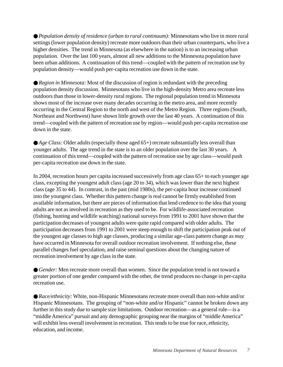● *Population density of residence (urban to rural continuum)*: Minnesotans who live in more rural settings (lower population density) recreate more outdoors than their urban counterparts, who live a higher densities. The trend in Minnesota (as elsewhere in the nation) is to an increasing urban population. Over the last 100 years, almost all new additions to the Minnesota population have been urban additions. A continuation of this trend—coupled with the pattern of recreation use by population density—would push per-capita recreation use down in the state.

● *Region in Minnesota:* Most of the discussion of region is redundant with the preceding population density discussion. Minnesotans who live in the high-density Metro area recreate less outdoors than those in lower-density rural regions. The regional population trend in Minnesota shows most of the increase over many decades occurring in the metro area, and more recently occurring in the Central Region to the north and west of the Metro Region. Three regions (South, Northeast and Northwest) have shown little growth over the last 40 years. A continuation of this trend—coupled with the pattern of recreation use by region—would push per-capita recreation use down in the state.

● *Age Class:* Older adults (especially those aged 65+) recreate substantially less overall than younger adults. The age trend in the state is to an older population over the last 30 years. A continuation of this trend—coupled with the pattern of recreation use by age class—would push per-capita recreation use down in the state.

In 2004, recreation hours per capita increased successively from age class 65+ to each younger age class, excepting the youngest adult class (age 20 to 34), which was lower than the next highest class (age 35 to 44). In contrast, in the past (mid 1980s), the per-capita hour increase continued into the youngest class. Whether this pattern change is real cannot be firmly established from available information, but there are pieces of information that lend credence to the idea that young adults are not as involved in recreation as they used to be. For wildlife-associated recreation (fishing, hunting and wildlife watching) national surveys from 1991 to 2001 have shown that the participation decreases of youngest adults were quite rapid compared with older adults. The participation decreases from 1991 to 2001 were steep enough to shift the participation peak out of the youngest age classes to high age classes, producing a similar age-class pattern change as *may* have occurred in Minnesota for overall outdoor recreation involvement. If nothing else, these parallel changes fuel speculation, and raise seminal questions about the changing nature of recreation involvement by age class in the state.

● *Gender*: Men recreate more overall than women. Since the population trend is not toward a greater portion of one gender compared with the other, the trend produces no change in per-capita recreation use.

● *Race/ethnicity:* White, non-Hispanic Minnesotans recreate more overall than non-white and/or Hispanic Minnesotans. The grouping of "non-white and/or Hispanic" cannot be broken down any further in this study due to sample size limitations. Outdoor recreation—as a general rule—is a "middle America" pursuit and any demographic grouping near the margins of "middle America" will exhibit less overall involvement in recreation. This tends to be true for race, ethnicity, education, and income.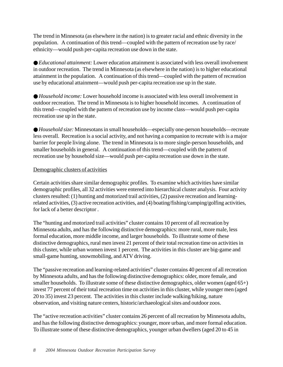The trend in Minnesota (as elsewhere in the nation) is to greater racial and ethnic diversity in the population. A continuation of this trend—coupled with the pattern of recreation use by race/ ethnicity—would push per-capita recreation use down in the state.

● *Educational attainment:* Lower education attainment is associated with less overall involvement in outdoor recreation. The trend in Minnesota (as elsewhere in the nation) is to higher educational attainment in the population. A continuation of this trend—coupled with the pattern of recreation use by educational attainment—would push per-capita recreation use up in the state.

● *Household income:* Lower household income is associated with less overall involvement in outdoor recreation. The trend in Minnesota is to higher household incomes. A continuation of this trend—coupled with the pattern of recreation use by income class—would push per-capita recreation use up in the state.

● *Household size:* Minnesotans in small households—especially one-person households—recreate less overall. Recreation is a social activity, and not having a companion to recreate with is a major barrier for people living alone. The trend in Minnesota is to more single-person households, and smaller households in general. A continuation of this trend—coupled with the pattern of recreation use by household size—would push per-capita recreation use down in the state.

#### Demographic clusters of activities

Certain activities share similar demographic profiles. To examine which activities have similar demographic profiles, all 32 activities were entered into hierarchical cluster analysis. Four activity clusters resulted: (1) hunting and motorized trail activities, (2) passive recreation and learningrelated activities, (3) active recreation activities, and (4) boating/fishing/camping/golfing activities, for lack of a better descriptor .

The "hunting and motorized trail activities" cluster contains 10 percent of all recreation by Minnesota adults, and has the following distinctive demographics: more rural, more male, less formal education, more middle income, and larger households. To illustrate some of these distinctive demographics, rural men invest 21 percent of their total recreation time on activities in this cluster, while urban women invest 1 percent. The activities in this cluster are big-game and small-game hunting, snowmobiling, and ATV driving.

The "passive recreation and learning-related activities" cluster contains 40 percent of all recreation by Minnesota adults, and has the following distinctive demographics: older, more female, and smaller households. To illustrate some of these distinctive demographics, older women (aged 65+) invest 77 percent of their total recreation time on activities in this cluster, while younger men (aged 20 to 35) invest 23 percent. The activities in this cluster include walking/hiking, nature observation, and visiting nature centers, historic/archaeological sites and outdoor zoos.

The "active recreation activities" cluster contains 26 percent of all recreation by Minnesota adults, and has the following distinctive demographics: younger, more urban, and more formal education. To illustrate some of these distinctive demographics, younger urban dwellers (aged 20 to 45 in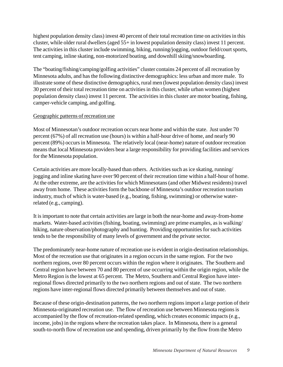highest population density class) invest 40 percent of their total recreation time on activities in this cluster, while older rural dwellers (aged 55+ in lowest population density class) invest 11 percent. The activities in this cluster include swimming, biking, running/jogging, outdoor field/court sports, tent camping, inline skating, non-motorized boating, and downhill skiing/snowboarding.

The "boating/fishing/camping/golfing activities" cluster contains 24 percent of all recreation by Minnesota adults, and has the following distinctive demographics: less urban and more male. To illustrate some of these distinctive demographics, rural men (lowest population density class) invest 30 percent of their total recreation time on activities in this cluster, while urban women (highest population density class) invest 11 percent. The activities in this cluster are motor boating, fishing, camper-vehicle camping, and golfing.

#### Geographic patterns of recreation use

Most of Minnesotan's outdoor recreation occurs near home and within the state. Just under 70 percent (67%) of all recreation use (hours) is within a half-hour drive of home, and nearly 90 percent (89%) occurs in Minnesota. The relatively local (near-home) nature of outdoor recreation means that local Minnesota providers bear a large responsibility for providing facilities and services for the Minnesota population.

Certain activities are more locally-based than others. Activities such as ice skating, running/ jogging and inline skating have over 90 percent of their recreation time within a half-hour of home. At the other extreme, are the activities for which Minnesotans (and other Midwest residents) travel away from home. These activities form the backbone of Minnesota's outdoor recreation tourism industry, much of which is water-based (e.g., boating, fishing, swimming) or otherwise waterrelated (e.g., camping).

It is important to note that certain activities are large in both the near-home and away-from-home markets. Water-based activities (fishing, boating, swimming) are prime examples, as is walking/ hiking, nature observation/photography and hunting. Providing opportunities for such activities tends to be the responsibility of many levels of government and the private sector.

The predominately near-home nature of recreation use is evident in origin-destination relationships. Most of the recreation use that originates in a region occurs in the same region. For the two northern regions, over 80 percent occurs within the region where it originates. The Southern and Central region have between 70 and 80 percent of use occurring within the origin region, while the Metro Region is the lowest at 65 percent. The Metro, Southern and Central Region have interregional flows directed primarily to the two northern regions and out of state. The two northern regions have inter-regional flows directed primarily between themselves and out of state.

Because of these origin-destination patterns, the two northern regions import a large portion of their Minnesota-originated recreation use. The flow of recreation use between Minnesota regions is accompanied by the flow of recreation-related spending, which creates economic impacts (e.g., income, jobs) in the regions where the recreation takes place. In Minnesota, there is a general south-to-north flow of recreation use and spending, driven primarily by the flow from the Metro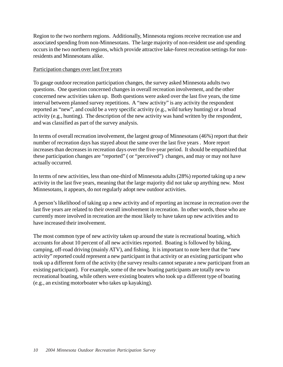Region to the two northern regions. Additionally, Minnesota regions receive recreation use and associated spending from non-Minnesotans. The large majority of non-resident use and spending occurs in the two northern regions, which provide attractive lake-forest recreation settings for nonresidents and Minnesotans alike.

#### Participation changes over last five years

To gauge outdoor recreation participation changes, the survey asked Minnesota adults two questions. One question concerned changes in overall recreation involvement, and the other concerned new activities taken up. Both questions were asked over the last five years, the time interval between planned survey repetitions. A "new activity" is any activity the respondent reported as "new", and could be a very specific activity (e.g., wild turkey hunting) or a broad activity (e.g., hunting). The description of the new activity was hand written by the respondent, and was classified as part of the survey analysis.

In terms of overall recreation involvement, the largest group of Minnesotans (46%) report that their number of recreation days has stayed about the same over the last five years . More report increases than decreases in recreation days over the five-year period. It should be empathized that these participation changes are "reported" ( or "perceived") changes, and may or may not have actually occurred.

In terms of new activities, less than one-third of Minnesota adults (28%) reported taking up a new activity in the last five years, meaning that the large majority did not take up anything new. Most Minnesotans, it appears, do not regularly adopt new outdoor activities.

A person's likelihood of taking up a new activity and of reporting an increase in recreation over the last five years are related to their overall involvement in recreation. In other words, those who are currently more involved in recreation are the most likely to have taken up new activities and to have increased their involvement.

The most common type of new activity taken up around the state is recreational boating, which accounts for about 10 percent of all new activities reported. Boating is followed by biking, camping, off-road driving (mainly ATV), and fishing. It is important to note here that the "new activity" reported could represent a new participant in that activity or an existing participant who took up a different form of the activity (the survey results cannot separate a new participant from an existing participant). For example, some of the new boating participants are totally new to recreational boating, while others were existing boaters who took up a different type of boating (e.g., an existing motorboater who takes up kayaking).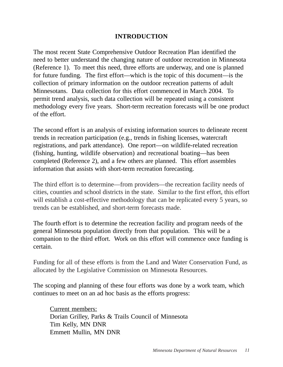## **INTRODUCTION**

The most recent State Comprehensive Outdoor Recreation Plan identified the need to better understand the changing nature of outdoor recreation in Minnesota (Reference 1). To meet this need, three efforts are underway, and one is planned for future funding. The first effort—which is the topic of this document—is the collection of primary information on the outdoor recreation patterns of adult Minnesotans. Data collection for this effort commenced in March 2004. To permit trend analysis, such data collection will be repeated using a consistent methodology every five years. Short-term recreation forecasts will be one product of the effort.

The second effort is an analysis of existing information sources to delineate recent trends in recreation participation (e.g., trends in fishing licenses, watercraft registrations, and park attendance). One report—on wildlife-related recreation (fishing, hunting, wildlife observation) and recreational boating—has been completed (Reference 2), and a few others are planned. This effort assembles information that assists with short-term recreation forecasting.

The third effort is to determine—from providers—the recreation facility needs of cities, counties and school districts in the state. Similar to the first effort, this effort will establish a cost-effective methodology that can be replicated every 5 years, so trends can be established, and short-term forecasts made.

The fourth effort is to determine the recreation facility and program needs of the general Minnesota population directly from that population. This will be a companion to the third effort. Work on this effort will commence once funding is certain.

Funding for all of these efforts is from the Land and Water Conservation Fund, as allocated by the Legislative Commission on Minnesota Resources.

The scoping and planning of these four efforts was done by a work team, which continues to meet on an ad hoc basis as the efforts progress:

Current members: Dorian Grilley, Parks & Trails Council of Minnesota Tim Kelly, MN DNR Emmett Mullin, MN DNR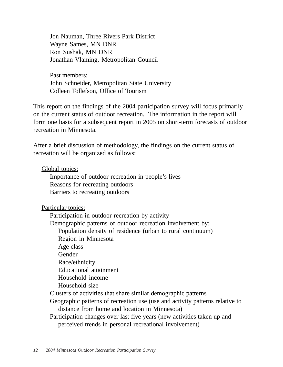Jon Nauman, Three Rivers Park District Wayne Sames, MN DNR Ron Sushak, MN DNR Jonathan Vlaming, Metropolitan Council

Past members: John Schneider, Metropolitan State University Colleen Tollefson, Office of Tourism

This report on the findings of the 2004 participation survey will focus primarily on the current status of outdoor recreation. The information in the report will form one basis for a subsequent report in 2005 on short-term forecasts of outdoor recreation in Minnesota.

After a brief discussion of methodology, the findings on the current status of recreation will be organized as follows:

## Global topics:

Importance of outdoor recreation in people's lives Reasons for recreating outdoors Barriers to recreating outdoors

Particular topics:

Participation in outdoor recreation by activity Demographic patterns of outdoor recreation involvement by: Population density of residence (urban to rural continuum) Region in Minnesota Age class Gender Race/ethnicity Educational attainment Household income Household size Clusters of activities that share similar demographic patterns Geographic patterns of recreation use (use and activity patterns relative to distance from home and location in Minnesota) Participation changes over last five years (new activities taken up and perceived trends in personal recreational involvement)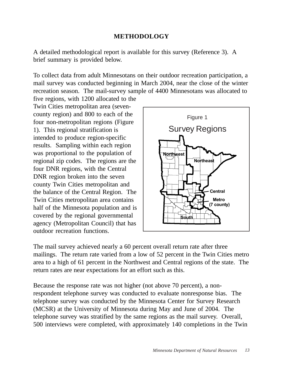## **METHODOLOGY**

A detailed methodological report is available for this survey (Reference 3). A brief summary is provided below.

To collect data from adult Minnesotans on their outdoor recreation participation, a mail survey was conducted beginning in March 2004, near the close of the winter recreation season. The mail-survey sample of 4400 Minnesotans was allocated to

five regions, with 1200 allocated to the Twin Cities metropolitan area (sevencounty region) and 800 to each of the four non-metropolitan regions (Figure 1). This regional stratification is intended to produce region-specific results. Sampling within each region was proportional to the population of regional zip codes. The regions are the four DNR regions, with the Central DNR region broken into the seven county Twin Cities metropolitan and the balance of the Central Region. The Twin Cities metropolitan area contains half of the Minnesota population and is covered by the regional governmental agency (Metropolitan Council) that has outdoor recreation functions.



The mail survey achieved nearly a 60 percent overall return rate after three mailings. The return rate varied from a low of 52 percent in the Twin Cities metro area to a high of 61 percent in the Northwest and Central regions of the state. The return rates are near expectations for an effort such as this.

Because the response rate was not higher (not above 70 percent), a nonrespondent telephone survey was conducted to evaluate nonresponse bias. The telephone survey was conducted by the Minnesota Center for Survey Research (MCSR) at the University of Minnesota during May and June of 2004. The telephone survey was stratified by the same regions as the mail survey. Overall, 500 interviews were completed, with approximately 140 completions in the Twin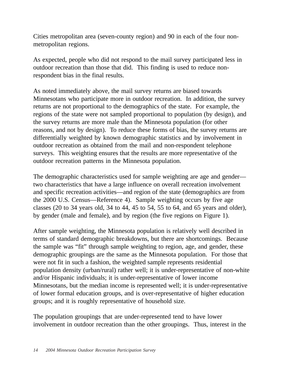Cities metropolitan area (seven-county region) and 90 in each of the four nonmetropolitan regions.

As expected, people who did not respond to the mail survey participated less in outdoor recreation than those that did. This finding is used to reduce nonrespondent bias in the final results.

As noted immediately above, the mail survey returns are biased towards Minnesotans who participate more in outdoor recreation. In addition, the survey returns are not proportional to the demographics of the state. For example, the regions of the state were not sampled proportional to population (by design), and the survey returns are more male than the Minnesota population (for other reasons, and not by design). To reduce these forms of bias, the survey returns are differentially weighted by known demographic statistics and by involvement in outdoor recreation as obtained from the mail and non-respondent telephone surveys. This weighting ensures that the results are more representative of the outdoor recreation patterns in the Minnesota population.

The demographic characteristics used for sample weighting are age and gender two characteristics that have a large influence on overall recreation involvement and specific recreation activities—and region of the state (demographics are from the 2000 U.S. Census—Reference 4). Sample weighting occurs by five age classes (20 to 34 years old, 34 to 44, 45 to 54, 55 to 64, and 65 years and older), by gender (male and female), and by region (the five regions on Figure 1).

After sample weighting, the Minnesota population is relatively well described in terms of standard demographic breakdowns, but there are shortcomings. Because the sample was "fit" through sample weighting to region, age, and gender, these demographic groupings are the same as the Minnesota population. For those that were not fit in such a fashion, the weighted sample represents residential population density (urban/rural) rather well; it is under-representative of non-white and/or Hispanic individuals; it is under-representative of lower income Minnesotans, but the median income is represented well; it is under-representative of lower formal education groups, and is over-representative of higher education groups; and it is roughly representative of household size.

The population groupings that are under-represented tend to have lower involvement in outdoor recreation than the other groupings. Thus, interest in the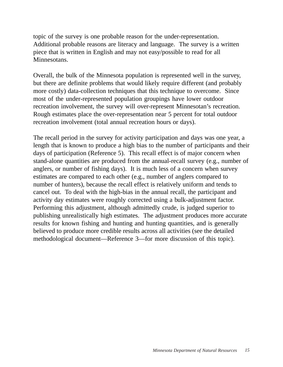topic of the survey is one probable reason for the under-representation. Additional probable reasons are literacy and language. The survey is a written piece that is written in English and may not easy/possible to read for all Minnesotans.

Overall, the bulk of the Minnesota population is represented well in the survey, but there are definite problems that would likely require different (and probably more costly) data-collection techniques that this technique to overcome. Since most of the under-represented population groupings have lower outdoor recreation involvement, the survey will over-represent Minnesotan's recreation. Rough estimates place the over-representation near 5 percent for total outdoor recreation involvement (total annual recreation hours or days).

The recall period in the survey for activity participation and days was one year, a length that is known to produce a high bias to the number of participants and their days of participation (Reference 5). This recall effect is of major concern when stand-alone quantities are produced from the annual-recall survey (e.g., number of anglers, or number of fishing days). It is much less of a concern when survey estimates are compared to each other (e.g., number of anglers compared to number of hunters), because the recall effect is relatively uniform and tends to cancel out. To deal with the high-bias in the annual recall, the participant and activity day estimates were roughly corrected using a bulk-adjustment factor. Performing this adjustment, although admittedly crude, is judged superior to publishing unrealistically high estimates. The adjustment produces more accurate results for known fishing and hunting and hunting quantities, and is generally believed to produce more credible results across all activities (see the detailed methodological document—Reference 3—for more discussion of this topic).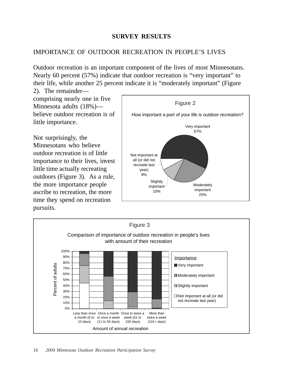## **SURVEY RESULTS**

## IMPORTANCE OF OUTDOOR RECREATION IN PEOPLE'S LIVES

Outdoor recreation is an important component of the lives of most Minnesotans. Nearly 60 percent (57%) indicate that outdoor recreation is "very important" to their life, while another 25 percent indicate it is "moderately important" (Figure

2). The remainder comprising nearly one in five Minnesota adults (18%) believe outdoor recreation is of little importance.

Not surprisingly, the Minnesotans who believe outdoor recreation is of little importance to their lives, invest little time actually recreating outdoors (Figure 3). As a rule, the more importance people ascribe to recreation, the more time they spend on recreation pursuits.



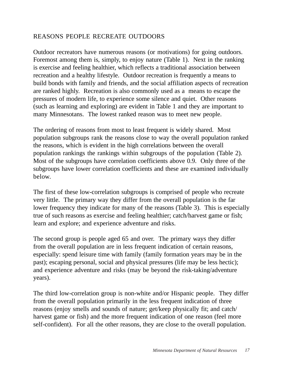## REASONS PEOPLE RECREATE OUTDOORS

Outdoor recreators have numerous reasons (or motivations) for going outdoors. Foremost among them is, simply, to enjoy nature (Table 1). Next in the ranking is exercise and feeling healthier, which reflects a traditional association between recreation and a healthy lifestyle. Outdoor recreation is frequently a means to build bonds with family and friends, and the social affiliation aspects of recreation are ranked highly. Recreation is also commonly used as a means to escape the pressures of modern life, to experience some silence and quiet. Other reasons (such as learning and exploring) are evident in Table 1 and they are important to many Minnesotans. The lowest ranked reason was to meet new people.

The ordering of reasons from most to least frequent is widely shared. Most population subgroups rank the reasons close to way the overall population ranked the reasons, which is evident in the high correlations between the overall population rankings the rankings within subgroups of the population (Table 2). Most of the subgroups have correlation coefficients above 0.9. Only three of the subgroups have lower correlation coefficients and these are examined individually below.

The first of these low-correlation subgroups is comprised of people who recreate very little. The primary way they differ from the overall population is the far lower frequency they indicate for many of the reasons (Table 3). This is especially true of such reasons as exercise and feeling healthier; catch/harvest game or fish; learn and explore; and experience adventure and risks.

The second group is people aged 65 and over. The primary ways they differ from the overall population are in less frequent indication of certain reasons, especially: spend leisure time with family (family formation years may be in the past); escaping personal, social and physical pressures (life may be less hectic); and experience adventure and risks (may be beyond the risk-taking/adventure years).

The third low-correlation group is non-white and/or Hispanic people. They differ from the overall population primarily in the less frequent indication of three reasons (enjoy smells and sounds of nature; get/keep physically fit; and catch/ harvest game or fish) and the more frequent indication of one reason (feel more self-confident). For all the other reasons, they are close to the overall population.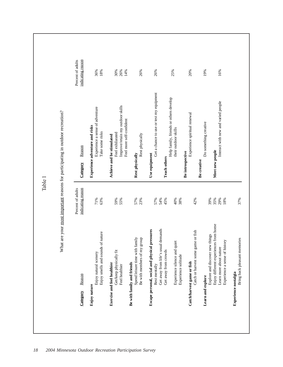$\begin{tabular}{llllllll} \textbf{15} & \textbf{16} & \textbf{17} & \textbf{18} & \textbf{18} & \textbf{17} & \textbf{18} & \textbf{19} & \textbf{17} & \textbf{18} & \textbf{19} & \textbf{17} & \textbf{18} & \textbf{19} & \textbf{17} & \textbf{18} & \textbf{19} & \textbf{17} & \textbf{18} & \textbf{19} & \textbf{17} & \textbf{18} & \textbf{19} & \textbf{18} & \textbf{19} & \textbf{18} & \$ 25% 20% 16% 19%  $t_{\text{their outdoor}}$ ,  $t_{\text{iv}}$ ,  $t_{\text{iv}}$ ,  $t_{\text{v}}$ ,  $t_{\text{v}}$ ,  $t_{\text{v}}$ ,  $t_{\text{v}}$ ,  $t_{\text{v}}$ ,  $t_{\text{v}}$ ,  $t_{\text{v}}$ ,  $t_{\text{v}}$ ,  $t_{\text{v}}$ ,  $t_{\text{v}}$ ,  $t_{\text{v}}$ ,  $t_{\text{v}}$ ,  $t_{\text{v}}$ ,  $t_{\text{v}}$ ,  $t_{\text{v}}$ ,  $t_{\text{v}}$ ,  $t_{\text{v}}$ , **Catch/harvest game or fish** Experience spiritual renewal 20% **Learn and explore** 19% Learn more about nature  $16\%$ Help family, friends or others develop Help family, friends or others develop Interact with new and varied people What are your most important reasons for participating in outdoor recreation? Experience spiritual renewal Do something creative their outdoor skills Meet new people Be introspective Enjoy different experiences from home 35% **Meet new people Be introspective Teach others** Get away from crowds 45% **Teach others** Be creative **Be creative** Table 135%<br>29%<br>18% 45% 40% 38% 42% 39% 37% Get away from life's usual demands 54% Experience silence and quiet 40% Experience solitude  $38\%$ Catch or harvest some game or fish 42% Explore and discover new things 39% Experience a sense of history 18% Bring back pleasant memories 37% Enjoy different experiences from home Get away from life's usual demands Catch or harvest some game or fish Explore and discover new things Bring back pleasant memories Experience a sense of history Experience silence and quiet Learn more about nature Get away from crowds Experience solitude Catch/harvest game or fish Experience nostalgia **Experience nostalgia** Learn and explore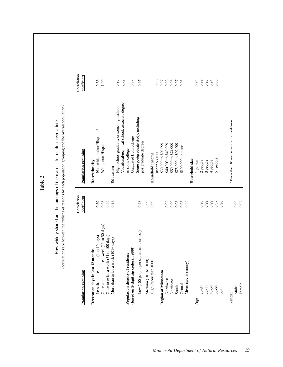Table 2

| Correlation<br>coefficient<br>0.88<br>0.95<br>0.98<br>0.96<br>0.96<br>0.98<br>0.99<br>88.0<br>9.94<br>001<br>0.97<br>0.97<br>0.98<br>0.94<br>0.95<br>0.97<br>0.97<br>Vocational/technical school, associate degree,<br>High school graduate, or some high school<br>Some postgraduate study, including<br>* Fewer than 100 respondents in this breakdown.<br>Non-white and/or Hispanic*<br>Graduated from college<br>postgraduate degrees<br>White, non-Hispanic<br>\$75,000 to \$99,999<br>\$30,000 to \$39,999<br>\$40,000 to \$49,999<br>\$50,000 to \$74,999<br>\$100,000 or more<br>or some college<br>Population grouping<br>under \$30,000<br>Household income<br>5+ people<br>Household size<br>3 people<br>4 people<br>2 people<br>Race/ethnicity<br>1 person<br>Education<br>Correlation<br>coefficient<br>0.96<br>0.98<br>0.99<br>0.98<br>0.96<br><b>0.89</b><br>0.98<br>6.99<br>0.99<br>0.99<br>0.98<br>0.98<br>6.99<br>0.99<br>0.99<br>0.97<br>0.90<br>0.97<br>Once a month to once a week (11 to 50 days)<br>Low (100 people per square mile or less)<br>Once to twice a week (51 to 100 days)<br>to 10 days)<br>More than twice a week (101+ days)<br>(based on 5-digit zip codes in 2000)<br>Recreation days in last 12 months<br>Population density of residence<br>Less than once a month (1<br>High (more than 1000)<br>Medium (101 to 1000)<br>Metro (seven county)<br><b>Population grouping</b><br>Region of Minnesota<br>Northwest<br>Northeast<br>Central<br>South<br>34456<br>85456<br>8545<br>Male<br>$65+$<br>Gender<br>Age |  |  |
|--------------------------------------------------------------------------------------------------------------------------------------------------------------------------------------------------------------------------------------------------------------------------------------------------------------------------------------------------------------------------------------------------------------------------------------------------------------------------------------------------------------------------------------------------------------------------------------------------------------------------------------------------------------------------------------------------------------------------------------------------------------------------------------------------------------------------------------------------------------------------------------------------------------------------------------------------------------------------------------------------------------------------------------------------------------------------------------------------------------------------------------------------------------------------------------------------------------------------------------------------------------------------------------------------------------------------------------------------------------------------------------------------------------------------------------------------------------------------------------------------------------------------------------------------------|--|--|
|                                                                                                                                                                                                                                                                                                                                                                                                                                                                                                                                                                                                                                                                                                                                                                                                                                                                                                                                                                                                                                                                                                                                                                                                                                                                                                                                                                                                                                                                                                                                                        |  |  |
|                                                                                                                                                                                                                                                                                                                                                                                                                                                                                                                                                                                                                                                                                                                                                                                                                                                                                                                                                                                                                                                                                                                                                                                                                                                                                                                                                                                                                                                                                                                                                        |  |  |
|                                                                                                                                                                                                                                                                                                                                                                                                                                                                                                                                                                                                                                                                                                                                                                                                                                                                                                                                                                                                                                                                                                                                                                                                                                                                                                                                                                                                                                                                                                                                                        |  |  |
|                                                                                                                                                                                                                                                                                                                                                                                                                                                                                                                                                                                                                                                                                                                                                                                                                                                                                                                                                                                                                                                                                                                                                                                                                                                                                                                                                                                                                                                                                                                                                        |  |  |
|                                                                                                                                                                                                                                                                                                                                                                                                                                                                                                                                                                                                                                                                                                                                                                                                                                                                                                                                                                                                                                                                                                                                                                                                                                                                                                                                                                                                                                                                                                                                                        |  |  |
|                                                                                                                                                                                                                                                                                                                                                                                                                                                                                                                                                                                                                                                                                                                                                                                                                                                                                                                                                                                                                                                                                                                                                                                                                                                                                                                                                                                                                                                                                                                                                        |  |  |
|                                                                                                                                                                                                                                                                                                                                                                                                                                                                                                                                                                                                                                                                                                                                                                                                                                                                                                                                                                                                                                                                                                                                                                                                                                                                                                                                                                                                                                                                                                                                                        |  |  |
|                                                                                                                                                                                                                                                                                                                                                                                                                                                                                                                                                                                                                                                                                                                                                                                                                                                                                                                                                                                                                                                                                                                                                                                                                                                                                                                                                                                                                                                                                                                                                        |  |  |
|                                                                                                                                                                                                                                                                                                                                                                                                                                                                                                                                                                                                                                                                                                                                                                                                                                                                                                                                                                                                                                                                                                                                                                                                                                                                                                                                                                                                                                                                                                                                                        |  |  |
|                                                                                                                                                                                                                                                                                                                                                                                                                                                                                                                                                                                                                                                                                                                                                                                                                                                                                                                                                                                                                                                                                                                                                                                                                                                                                                                                                                                                                                                                                                                                                        |  |  |
|                                                                                                                                                                                                                                                                                                                                                                                                                                                                                                                                                                                                                                                                                                                                                                                                                                                                                                                                                                                                                                                                                                                                                                                                                                                                                                                                                                                                                                                                                                                                                        |  |  |
|                                                                                                                                                                                                                                                                                                                                                                                                                                                                                                                                                                                                                                                                                                                                                                                                                                                                                                                                                                                                                                                                                                                                                                                                                                                                                                                                                                                                                                                                                                                                                        |  |  |
|                                                                                                                                                                                                                                                                                                                                                                                                                                                                                                                                                                                                                                                                                                                                                                                                                                                                                                                                                                                                                                                                                                                                                                                                                                                                                                                                                                                                                                                                                                                                                        |  |  |
|                                                                                                                                                                                                                                                                                                                                                                                                                                                                                                                                                                                                                                                                                                                                                                                                                                                                                                                                                                                                                                                                                                                                                                                                                                                                                                                                                                                                                                                                                                                                                        |  |  |
|                                                                                                                                                                                                                                                                                                                                                                                                                                                                                                                                                                                                                                                                                                                                                                                                                                                                                                                                                                                                                                                                                                                                                                                                                                                                                                                                                                                                                                                                                                                                                        |  |  |
|                                                                                                                                                                                                                                                                                                                                                                                                                                                                                                                                                                                                                                                                                                                                                                                                                                                                                                                                                                                                                                                                                                                                                                                                                                                                                                                                                                                                                                                                                                                                                        |  |  |
|                                                                                                                                                                                                                                                                                                                                                                                                                                                                                                                                                                                                                                                                                                                                                                                                                                                                                                                                                                                                                                                                                                                                                                                                                                                                                                                                                                                                                                                                                                                                                        |  |  |
|                                                                                                                                                                                                                                                                                                                                                                                                                                                                                                                                                                                                                                                                                                                                                                                                                                                                                                                                                                                                                                                                                                                                                                                                                                                                                                                                                                                                                                                                                                                                                        |  |  |
|                                                                                                                                                                                                                                                                                                                                                                                                                                                                                                                                                                                                                                                                                                                                                                                                                                                                                                                                                                                                                                                                                                                                                                                                                                                                                                                                                                                                                                                                                                                                                        |  |  |
|                                                                                                                                                                                                                                                                                                                                                                                                                                                                                                                                                                                                                                                                                                                                                                                                                                                                                                                                                                                                                                                                                                                                                                                                                                                                                                                                                                                                                                                                                                                                                        |  |  |
|                                                                                                                                                                                                                                                                                                                                                                                                                                                                                                                                                                                                                                                                                                                                                                                                                                                                                                                                                                                                                                                                                                                                                                                                                                                                                                                                                                                                                                                                                                                                                        |  |  |
|                                                                                                                                                                                                                                                                                                                                                                                                                                                                                                                                                                                                                                                                                                                                                                                                                                                                                                                                                                                                                                                                                                                                                                                                                                                                                                                                                                                                                                                                                                                                                        |  |  |
|                                                                                                                                                                                                                                                                                                                                                                                                                                                                                                                                                                                                                                                                                                                                                                                                                                                                                                                                                                                                                                                                                                                                                                                                                                                                                                                                                                                                                                                                                                                                                        |  |  |
|                                                                                                                                                                                                                                                                                                                                                                                                                                                                                                                                                                                                                                                                                                                                                                                                                                                                                                                                                                                                                                                                                                                                                                                                                                                                                                                                                                                                                                                                                                                                                        |  |  |
|                                                                                                                                                                                                                                                                                                                                                                                                                                                                                                                                                                                                                                                                                                                                                                                                                                                                                                                                                                                                                                                                                                                                                                                                                                                                                                                                                                                                                                                                                                                                                        |  |  |
|                                                                                                                                                                                                                                                                                                                                                                                                                                                                                                                                                                                                                                                                                                                                                                                                                                                                                                                                                                                                                                                                                                                                                                                                                                                                                                                                                                                                                                                                                                                                                        |  |  |
|                                                                                                                                                                                                                                                                                                                                                                                                                                                                                                                                                                                                                                                                                                                                                                                                                                                                                                                                                                                                                                                                                                                                                                                                                                                                                                                                                                                                                                                                                                                                                        |  |  |
|                                                                                                                                                                                                                                                                                                                                                                                                                                                                                                                                                                                                                                                                                                                                                                                                                                                                                                                                                                                                                                                                                                                                                                                                                                                                                                                                                                                                                                                                                                                                                        |  |  |
|                                                                                                                                                                                                                                                                                                                                                                                                                                                                                                                                                                                                                                                                                                                                                                                                                                                                                                                                                                                                                                                                                                                                                                                                                                                                                                                                                                                                                                                                                                                                                        |  |  |
|                                                                                                                                                                                                                                                                                                                                                                                                                                                                                                                                                                                                                                                                                                                                                                                                                                                                                                                                                                                                                                                                                                                                                                                                                                                                                                                                                                                                                                                                                                                                                        |  |  |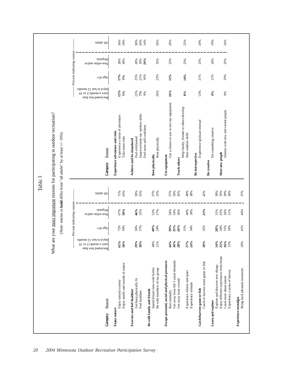|                   |                                                                                                       |                                                                          |                                  |                              | Table 3           |                                |                                                                                                                                                                 |                                                                                     |                   |                              |                   |
|-------------------|-------------------------------------------------------------------------------------------------------|--------------------------------------------------------------------------|----------------------------------|------------------------------|-------------------|--------------------------------|-----------------------------------------------------------------------------------------------------------------------------------------------------------------|-------------------------------------------------------------------------------------|-------------------|------------------------------|-------------------|
|                   |                                                                                                       |                                                                          |                                  |                              |                   |                                | What are your most important reasons for participating in outdoor recreation?<br>(Note: entries in <b>bold</b> differ from "all adults" by at least $+/-10\%$ ) |                                                                                     |                   |                              |                   |
|                   |                                                                                                       |                                                                          |                                  | Percent indicating reason    |                   |                                |                                                                                                                                                                 |                                                                                     |                   | Percent indicating reason    |                   |
| Category          | Reason                                                                                                | chays) in last 12 months<br>once a month (1 to 10<br>Recreated less than | $+$ ço ə $\sqrt{3}$              | Hispanic<br>Non-white and/or | allaba IIA        | Category                       | Reason                                                                                                                                                          | adinom 21 izal ni (evab<br>once a month $(1 \text{ to } 10)$<br>Recreated less than | $+$ ço ə $3A$     | Hispanic<br>Non-white and/or | aluba IIA         |
| Enjoy nature      | Enjoy smells and sounds of nature<br>Enjoy natural scenery                                            | 61%<br>50%                                                               | 72%<br>59%                       | 50%<br>67%                   | 71%<br>63%        |                                | Experience a sense of adventure<br>Experience adventure and risks<br>Take some risks                                                                            | 12%<br>5%                                                                           | 17%<br>5%         | 28%<br>20%                   | 36%<br>18%        |
|                   | Get/keep physically fit<br>Exercise and feel healthier<br>Feel healthier                              | 29%<br>$30\%$                                                            | 56%<br>57%                       | 46%<br>55%                   | 59%<br>55%        |                                | Improve/retain my outdoor skills<br>Feel more self-confident<br>Feel exhilarated<br>Achieve and be stimulated                                                   | 22%<br>$7\%$<br>9%                                                                  | 25%<br>21%<br>10% | 29%<br>20%<br>19%            | 30%<br>26%<br>14% |
|                   | Spend leisure time with family<br>Be with members of my group<br>Be with family and friends           | 48%<br>21%                                                               | $40%$<br>24%                     | 52%<br>27%                   | 57%<br>23%        | Rest physically                | Rest physically                                                                                                                                                 | 26%                                                                                 | 23%               | 35%                          | 26%               |
|                   | Get away from life's usual demands<br>Escape personal, social and physical pressures<br>Rest mentally | 44%<br>36%                                                               | 35%                              | 58%<br>54%                   | 57%<br>54%<br>45% | Use equipment                  | Get a chance to use or test my equipment                                                                                                                        | 16%                                                                                 | 11%               | 22%                          | 26%               |
|                   | Experience silence and quiet<br>Get away from crowds<br>Experience solitude                           | 28%<br>27%<br>24%                                                        | 26%<br>37%<br>34%                | 36%<br>40%<br>38%            | 40%<br>38%        | <b>Teach others</b>            | Help family, friends or others develop<br>their outdoor skills                                                                                                  | 8%                                                                                  | 14%               | 23%                          | 25%               |
|                   | Catch or harvest some game or fish<br>Catch/harvest game or fish                                      | 18%                                                                      | 32%                              | 23%                          | 42%               | Be introspective               | Experience spiritual renewal                                                                                                                                    | 13%                                                                                 | 21%               | 23%                          | 20%               |
| Learn and explore | Enjoy different experiences from home<br>Explore and discover new things<br>Learn more about nature   | 14%<br>25%<br>16%                                                        | $28%$<br>$34%$<br>$31%$<br>$16%$ | 31%<br>43%<br>26%<br>11%     | 39%<br>35%<br>29% | Meet new people<br>Be creative | Interact with new and varied people<br>Do something creative                                                                                                    | $4\%$<br>9%                                                                         | 12%<br>19%        | 25%<br>24%                   | 19%<br>16%        |
|                   | Bring back pleasant memories<br>Experience a sense of history<br>Experience nostalgia                 | 13%<br>29%                                                               | 41%                              | 44%                          | 37%               |                                |                                                                                                                                                                 |                                                                                     |                   |                              |                   |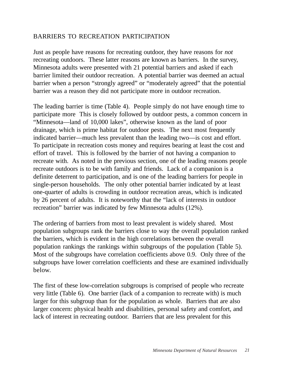## BARRIERS TO RECREATION PARTICIPATION

Just as people have reasons for recreating outdoor, they have reasons for *not* recreating outdoors. These latter reasons are known as barriers. In the survey, Minnesota adults were presented with 21 potential barriers and asked if each barrier limited their outdoor recreation. A potential barrier was deemed an actual barrier when a person "strongly agreed" or "moderately agreed" that the potential barrier was a reason they did not participate more in outdoor recreation.

The leading barrier is time (Table 4). People simply do not have enough time to participate more This is closely followed by outdoor pests, a common concern in "Minnesota—land of 10,000 lakes", otherwise known as the land of poor drainage, which is prime habitat for outdoor pests. The next most frequently indicated barrier—much less prevalent than the leading two—is cost and effort. To participate in recreation costs money and requires bearing at least the cost and effort of travel. This is followed by the barrier of not having a companion to recreate with. As noted in the previous section, one of the leading reasons people recreate outdoors is to be with family and friends. Lack of a companion is a definite deterrent to participation, and is one of the leading barriers for people in single-person households. The only other potential barrier indicated by at least one-quarter of adults is crowding in outdoor recreation areas, which is indicated by 26 percent of adults. It is noteworthy that the "lack of interests in outdoor recreation" barrier was indicated by few Minnesota adults (12%).

The ordering of barriers from most to least prevalent is widely shared. Most population subgroups rank the barriers close to way the overall population ranked the barriers, which is evident in the high correlations between the overall population rankings the rankings within subgroups of the population (Table 5). Most of the subgroups have correlation coefficients above 0.9. Only three of the subgroups have lower correlation coefficients and these are examined individually below.

The first of these low-correlation subgroups is comprised of people who recreate very little (Table 6). One barrier (lack of a companion to recreate with) is much larger for this subgroup than for the population as whole. Barriers that are also larger concern: physical health and disabilities, personal safety and comfort, and lack of interest in recreating outdoor. Barriers that are less prevalent for this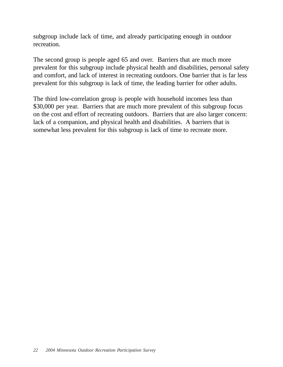subgroup include lack of time, and already participating enough in outdoor recreation.

The second group is people aged 65 and over. Barriers that are much more prevalent for this subgroup include physical health and disabilities, personal safety and comfort, and lack of interest in recreating outdoors. One barrier that is far less prevalent for this subgroup is lack of time, the leading barrier for other adults.

The third low-correlation group is people with household incomes less than \$30,000 per year. Barriers that are much more prevalent of this subgroup focus on the cost and effort of recreating outdoors. Barriers that are also larger concern: lack of a companion, and physical health and disabilities. A barriers that is somewhat less prevalent for this subgroup is lack of time to recreate more.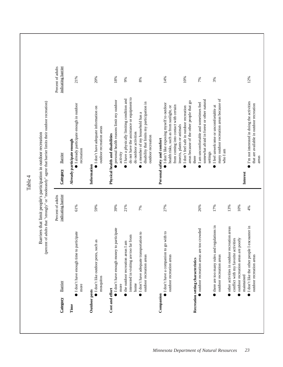Percent of adults Percent of adults indicating barrier indicating barrier 21% 20% 18% 14% 10% 7% 12% 9% 8% 3% do not have the assistance or equipment to do not have the assistance or equipment to I have a physically limiting condition and  $21\%$   $\bullet$  I have a physically limiting condition and somewhat afraid in forest or other natural many outdoor recreation areas because of many outdoor recreation areas because of · personal health reasons limit my outdoor **●** personal health reasons limit my outdoor areas because of the other people that go somewhat afraid in forest or other natural (percent of adults that "strongly" or "moderately" agree that barrier limits their outdoor recreation) areas because of the other people that go  $\bullet$  I'm not interested in doing the activities  $4\%$  **P** I'm not interested in doing the activities disability that limits my participation in disability that limits my participation in outdoor recreation areas are too crowded  $26\%$   $26\%$ (percent of adults that "strongly" or "moderately" agree that barrier limits their outdoor recreation)  $27\%$  **e** 1 don't like exposing myself to outdoor  $\blacksquare$  <br> 1 am uncomfortable and sometimes feel · I already participate enough in outdoor 61% ● I already participate enough in outdoor I don't like exposing myself to outdoor that are available in outdoor recreation that are available in outdoor recreation from coming into contact with certain health risks, such as from sunlight, or from coming into contact with certain I don't feel safe in outdoor recreation I feel unwelcome or uncomfortable at 17% ● I feel unwelcome or uncomfortable at  $\bullet$  I don't have adequate information on 59%  $\bullet$  I don't have adequate information on health risks, such as from sunlight, or I don't feel safe in outdoor recreation  $7\%$  **a** member of my household has a a member of my household has a insects, plants or animals insects, plants or animals outdoor recreation areas outdoor recreation areas do outdoor activities Barriers that limit people's participation in outdoor recreation Barriers that limit people's participation in outdoor recreation do outdoor activities Physical health and disabilities **Cost and effort Physical health and disabilities** outdoor recreation outdoor recreation Personal safety and comfort **Companion Personal safety and comfort** Already participate enough **Time Already participate enough** recreation recreation who I am activity settings Barrier indicating barrier **Category** Barrier there areas Information **Outdoor pests Information** Category **Interest** Table 4Percent of adults Percent of adults indicating barrier 21% 13% 59% 39% 27% 61% 26% 17% 10%  $4%$ 7% there are too many rules and regulations in there are too many rules and regulations in other activities in outdoor recreation areas I don't like the other people I encounter in I don't like the other people I encounter in ● other activities in outdoor recreation areas I don't have enough money to participate I don't have enough money to participate outdoor recreation areas are too crowded I don't have enough time to participate **I** don't have enough time to participate I don't have adequate transportation to ● I don't have a companion to go with to I don't have a companion to go with to I don't have adequate transportation to interested in visiting are too far from interested in visiting are too far from outdoor recreation areas are poorly conflict with my favorite activities outdoor recreation areas are poorly conflict with my favorite activities  $\bullet$  I don't like outdoor pests, such as I don't like outdoor pests, such as the outdoor recreation areas I am • the outdoor recreation areas I am outdoor recreation areas outdoor recreation areas outdoor recreation areas outdoor recreation areas outdoor recreation areas outdoor recreation areas outdoor recreation areas outdoor recreation areas Recreation setting characteristics **Recreation setting characteristics** maintained maintained mosquitos Barrier **Category** Barrier home more more Cost and effort Outdoor pests Companion ●●Category Time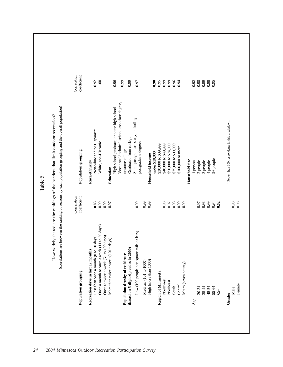$\begin{tabular}{c|c|c|c} \hline \multicolumn{3}{c}{\textbf{2004}} \hline \multicolumn{3}{c}{\textbf{21005}} \hline \multicolumn{3}{c}{\textbf{22006}} \hline \multicolumn{3}{c}{\textbf{22007}} \hline \multicolumn{3}{c}{\textbf{22008}} \hline \multicolumn{3}{c}{\textbf{22008}} \hline \multicolumn{3}{c}{\textbf{22008}} \hline \multicolumn{3}{c}{\textbf{22008}} \hline \multicolumn{3}{c}{\textbf{22008}} \hline \multicolumn{3$ 0.99 0.96<br>0.94<br>0.94  $\begin{array}{c} 0.92 \\ 0.98 \\ 0.99 \end{array}$  $0.98$ <br>0.95 postgraduate degrees 1.1.1.1.1.1.1.1.1.1.1.1.1.1.1.97 under \$30,000 **0.90 Region of Minnesota**  $899,999,999$ No.09 \$40,000 \$49,999 0.000 \$49,999 0.000 \$49,999 0.000 \$49,999 0.000 \$49,999 0.000 \$49,999 0.000 \$49  $0.9001$   $0.90001$   $0.90001$   $0.90001$   $0.90001$   $0.90001$   $0.90001$   $0.90001$   $0.90001$   $0.90001$   $0.90001$   $0.90001$   $0.90001$   $0.90001$   $0.90001$   $0.90001$   $0.90001$   $0.90001$   $0.90001$   $0.90001$   $0.90001$   $0.90001$   $0$  $-98.0$   $-98.0$   $-9.00$   $-1.000$   $-1.000$   $-1.000$   $-1.000$   $-1.000$   $-1.000$   $-1.000$   $-1.000$   $-1.000$   $-1.000$   $-1.000$   $-1.000$   $-1.000$   $-1.000$   $-1.000$   $-1.000$   $-1.000$   $-1.000$   $-1.000$   $-1.000$   $-1.000$   $-1.000$ Central 0.99 \$100,000 or more 0.94  $\mathbf{A}$ ge  $\mathbf{A}$  $20-20$ <br>
2000 2 people 2 people 2 people 2 people 2 per set of 2 per set of 2 per set of 2 per set of 2 per set of 2 per set of 2 per set of 2 per set of 2 per set of 2 per set of 2 per set of 2 per set of 2 per set of 2  $35-35-44$  decoder 0.98  $-16-8$  9.98  $-16-16$  and  $-16-16$  9.98  $^{90}$   $^{90}$   $^{90}$   $^{90}$   $^{90}$   $^{90}$   $^{90}$   $^{90}$   $^{90}$   $^{90}$   $^{90}$   $^{90}$   $^{90}$   $^{90}$   $^{90}$   $^{90}$   $^{90}$   $^{90}$   $^{90}$   $^{90}$   $^{90}$   $^{90}$   $^{90}$   $^{90}$   $^{90}$   $^{90}$   $^{90}$   $^{90}$   $^{90}$   $^{90}$   $^{90}$   $^{90$  $55-60.05$  55-64  $\pm$  55-00.000  $\pm$  55-00.000  $\pm$  55-00.000  $\pm$ (correlations are between the ranking of reasons by each population grouping and the overall population)How widely shared are the rankings of the barriers that limit outdoor recreation? \* Fewer than 100 respondents in this breakdown. **Gender General General**  $\alpha$  is the set of the set of the set of the set of the set of the set of this breakdown. \$40,000 to \$49,999 \$50,000 to \$74,999 \$30,000 to \$39,999 \$75,000 to \$99,999 \$100,000 or more High (more than 1000) 0.99 **Household income** 5+ people Household size 3 people **Household size** 1 person 2 people 4 people 0.98<br>0.97<br>0.98<br>0.99  $0.97$ <br> $0.98$ <br> $0.62$ <br> $0.62$  $0.98$ <br>0.98 Medium  $(101 to 1000)$  0.99 Metro (seven county) 0.99 65+ **0.62** Male  $0.98$ Female 0.98 Metro (seven county) Region of Minnesota Northwest Northeast Central Female South 20-34 35-44 45-54 55-64 Male  $65+$ Gender  $Age$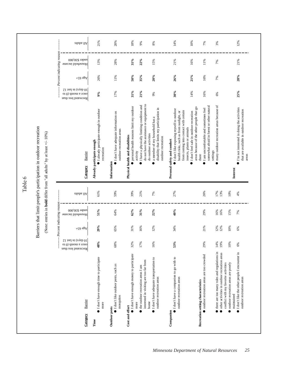|                                                                  |                                                                             | eilubs IIA                                                        | 21%                                                                                 | 20%                                                                                       | 18%                                                                          | 9%                                                                                                   | 8%                                                                                                                          | 14%                                                                                                                                                                                                | 10%                                                                                           | 7%                                                                                              | 3%                                                                                                                                  |                                                        | 12%                                                                                                                   |
|------------------------------------------------------------------|-----------------------------------------------------------------------------|-------------------------------------------------------------------|-------------------------------------------------------------------------------------|-------------------------------------------------------------------------------------------|------------------------------------------------------------------------------|------------------------------------------------------------------------------------------------------|-----------------------------------------------------------------------------------------------------------------------------|----------------------------------------------------------------------------------------------------------------------------------------------------------------------------------------------------|-----------------------------------------------------------------------------------------------|-------------------------------------------------------------------------------------------------|-------------------------------------------------------------------------------------------------------------------------------------|--------------------------------------------------------|-----------------------------------------------------------------------------------------------------------------------|
|                                                                  |                                                                             | Percent undicating reason<br>under \$30,000<br>Household income   | 13%                                                                                 | 28%                                                                                       | $31\%$                                                                       | 22%                                                                                                  | 15%                                                                                                                         | 21%                                                                                                                                                                                                | 16%                                                                                           | 11%                                                                                             | 7%                                                                                                                                  |                                                        | 21%                                                                                                                   |
|                                                                  |                                                                             | $+$ ço ə $3$ A                                                    | 26%                                                                                 | 11%                                                                                       | $50\%$                                                                       | 35%                                                                                                  | 20%                                                                                                                         | 26%                                                                                                                                                                                                | $21\%$                                                                                        | 16%                                                                                             | 7%                                                                                                                                  |                                                        | 28%                                                                                                                   |
|                                                                  |                                                                             | 10 days in last 12<br>once a month $(0$ to<br>Recreated less than | 9%                                                                                  | 17%                                                                                       | $31\%$                                                                       | 21%                                                                                                  | 9%                                                                                                                          | 30%                                                                                                                                                                                                | 14%                                                                                           | 16%                                                                                             | 6%                                                                                                                                  |                                                        | 25%                                                                                                                   |
| Barriers that limit people's participation in outdoor recreation | (Note: entries in <b>bold</b> differ from "all adults" by at least +/- 10%) | Barrier<br>Category                                               | I already participate enough in outdoor<br>Already participate enough<br>recreation | $\bullet$ I don't have adequate information on<br>outdoor recreation areas<br>Information | personal health reasons limit my outdoor<br>Physical health and disabilities | do not have the assistance or equipment to<br>I have a physically limiting condition and<br>activity | disability that limits my participation in<br>a member of my household has a<br>do outdoor activities<br>outdoor recreation | $\bullet$ I don't like exposing myself to outdoor<br>from coming into contact with certain<br>health risks, such as from sunlight, or<br>insects, plants or animals<br>Personal safety and comfort | areas because of the other people that go<br>I don't feel safe in outdoor recreation<br>there | somewhat afraid in forest or other natural<br>I am uncomfortable and sometimes feel<br>settings | many outdoor recreation areas because of                                                                                            | Interest                                               | $\mathbf{I}^* \mathbf{m}$ not interested in doing the activities<br>that are available in outdoor recreation<br>areas |
| Table 6                                                          |                                                                             | allubs IIA                                                        | 61%                                                                                 | 59%                                                                                       | 39%                                                                          | 21%                                                                                                  | 7%                                                                                                                          | 27%                                                                                                                                                                                                |                                                                                               | 26%                                                                                             | 17%<br>13%                                                                                                                          | 10%                                                    | 4%                                                                                                                    |
|                                                                  | Percent indicating reason                                                   | under \$30,000<br>Household income                                | 51%                                                                                 | 64%                                                                                       | 62%                                                                          | $31\%$                                                                                               | 22%                                                                                                                         | 40%                                                                                                                                                                                                |                                                                                               | 29%                                                                                             | 16%<br>16%                                                                                                                          | 15%                                                    | 7%                                                                                                                    |
|                                                                  |                                                                             | $+$ 50 $\mathrm{dS} \mathrm{V}$                                   | 29%                                                                                 | 65%                                                                                       | 31%                                                                          | 16%                                                                                                  | 12%                                                                                                                         | 34%                                                                                                                                                                                                |                                                                                               | 21%                                                                                             | 12%<br>12%                                                                                                                          | 10%                                                    | $6\%$                                                                                                                 |
|                                                                  |                                                                             | $\Omega$ 1<br>ass<br>I ni (evab $01$<br>orce a month (0 to<br>    | 48%                                                                                 | 68%                                                                                       | 32%                                                                          | 17%                                                                                                  | 16%                                                                                                                         | 53%                                                                                                                                                                                                |                                                                                               | 29%                                                                                             | 14%<br>19%                                                                                                                          | 10%                                                    | 6%                                                                                                                    |
|                                                                  |                                                                             | Barrier<br>Category                                               | I don't have enough time to participate<br>more                                     | I don't like outdoor pests, such as<br>mosquitos<br>Outdoor pests                         | I don't have enough money to participate<br>Cost and effort                  | interested in visiting are too far from<br>the outdoor recreation areas I am<br>more                 | I don't have adequate transportation to<br>outdoor recreation areas<br>home                                                 | I don't have a companion to go with to<br>outdoor recreation areas<br>Companion                                                                                                                    | Recreation setting characteristics                                                            | outdoor recreation areas are too crowded                                                        | there are too many rules and regulations in<br>other activities in outdoor recreation areas<br>conflict with my favorite activities | outdoor recreation areas are poorly<br>maintained<br>ó | I don't like the other people I encounter in<br>outdoor recreation areas                                              |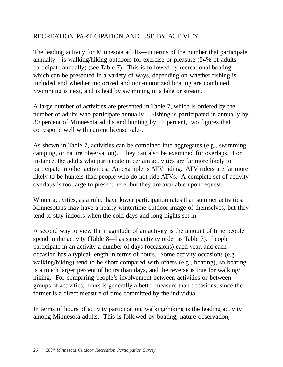## RECREATION PARTICIPATION AND USE BY ACTIVITY

The leading activity for Minnesota adults—in terms of the number that participate annually—is walking/hiking outdoors for exercise or pleasure (54% of adults participate annually) (see Table 7). This is followed by recreational boating, which can be presented in a variety of ways, depending on whether fishing is included and whether motorized and non-motorized boating are combined. Swimming is next, and is lead by swimming in a lake or stream.

A large number of activities are presented in Table 7, which is ordered by the number of adults who participate annually. Fishing is participated in annually by 30 percent of Minnesota adults and hunting by 16 percent, two figures that correspond well with current license sales.

As shown in Table 7, activities can be combined into aggregates (e.g., swimming, camping, or nature observation). They can also be examined for overlaps. For instance, the adults who participate in certain activities are far more likely to participate in other activities. An example is ATV riding. ATV riders are far more likely to be hunters than people who do not ride ATVs. A complete set of activity overlaps is too large to present here, but they are available upon request.

Winter activities, as a rule, have lower participation rates than summer activities. Minnesotans may have a hearty wintertime outdoor image of themselves, but they tend to stay indoors when the cold days and long nights set in.

A second way to view the magnitude of an activity is the amount of time people spend in the activity (Table 8—has same activity order as Table 7). People participate in an activity a number of days (occasions) each year, and each occasion has a typical length in terms of hours. Some activity occasions (e.g., walking/hiking) tend to be short compared with others (e.g., boating), so boating is a much larger percent of hours than days, and the reverse is true for walking/ hiking. For comparing people's involvement between activities or between groups of activities, hours is generally a better measure than occasions, since the former is a direct measure of time committed by the individual.

In terms of hours of activity participation, walking/hiking is the leading activity among Minnesota adults. This is followed by boating, nature observation,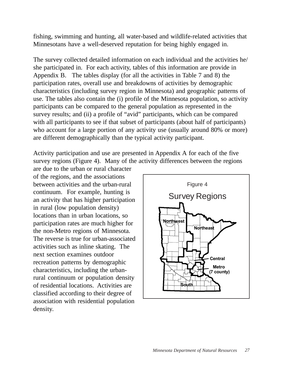fishing, swimming and hunting, all water-based and wildlife-related activities that Minnesotans have a well-deserved reputation for being highly engaged in.

The survey collected detailed information on each individual and the activities he/ she participated in. For each activity, tables of this information are provide in Appendix B. The tables display (for all the activities in Table 7 and 8) the participation rates, overall use and breakdowns of activities by demographic characteristics (including survey region in Minnesota) and geographic patterns of use. The tables also contain the (i) profile of the Minnesota population, so activity participants can be compared to the general population as represented in the survey results; and (ii) a profile of "avid" participants, which can be compared with all participants to see if that subset of participants (about half of participants) who account for a large portion of any activity use (usually around 80% or more) are different demographically than the typical activity participant.

Activity participation and use are presented in Appendix A for each of the five survey regions (Figure 4). Many of the activity differences between the regions

are due to the urban or rural character of the regions, and the associations between activities and the urban-rural continuum. For example, hunting is an activity that has higher participation in rural (low population density) locations than in urban locations, so participation rates are much higher for the non-Metro regions of Minnesota. The reverse is true for urban-associated activities such as inline skating. The next section examines outdoor recreation patterns by demographic characteristics, including the urbanrural continuum or population density of residential locations. Activities are classified according to their degree of association with residential population density.

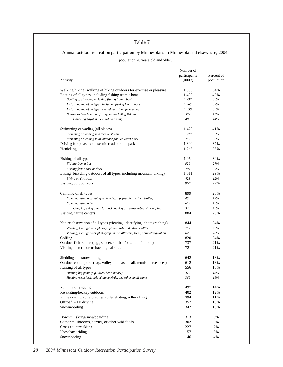### Table 7

## Annual outdoor recreation participation by Minnesotans in Minnesota and elsewhere, 2004

(population 20 years old and older)

| Activity                                                                     | Number of<br>participants<br>(000's) | Percent of<br>population |
|------------------------------------------------------------------------------|--------------------------------------|--------------------------|
| Walking/hiking (walking of hiking outdoors for exercise or pleasure)         | 1,896                                | 54%                      |
| Boating of all types, including fishing from a boat                          | 1,493                                | 43%                      |
| Boating of all types, excluding fishing from a boat                          | 1,237                                | 36%                      |
| Motor boating of all types, including fishing from a boat                    | 1,365                                | 39%                      |
| Motor boating of all types, excluding fishing from a boat                    | 1,050                                | 30%                      |
| Non-motorized boating of all types, excluding fishing                        | 522                                  | 15%                      |
| Canoeing/kayaking, excluding fishing                                         | 485                                  | 14%                      |
| Swimming or wading (all places)                                              | 1,423                                | 41%                      |
| Swimming or wading in a lake or stream                                       | 1,279                                | 37%                      |
| Swimming or wading in an outdoor pool or water park                          | 750                                  | 22%                      |
| Driving for pleasure on scenic roads or in a park                            | 1,300                                | 37%                      |
| Picnicking                                                                   | 1,245                                | 36%                      |
| Fishing of all types                                                         | 1,054                                | 30%                      |
| Fishing from a boat                                                          | 929                                  | 27%                      |
| Fishing from shore or dock                                                   | 704                                  | 20%                      |
| Biking (bicycling outdoors of all types, including mountain biking)          | 1,011                                | 29%                      |
| Biking on dirt trails                                                        | 423                                  | 12%                      |
| Visiting outdoor zoos                                                        | 957                                  | 27%                      |
| Camping of all types                                                         | 899                                  | 26%                      |
| Camping using a camping vehicle (e.g., pop-up/hard-sided trailer)            | 450                                  | 13%                      |
| Camping using a tent                                                         | 613                                  | 18%                      |
| Camping using a tent for backpacking or canoe-in/boat-in camping             | 340                                  | 10%                      |
| Visiting nature centers                                                      | 884                                  | 25%                      |
| Nature observation of all types (viewing, identifying, photographing)        | 844                                  | 24%                      |
| Viewing, identifying or photographing birds and other wildlife               | 712                                  | 20%                      |
| Viewing, identifying or photographing wildflowers, trees, natural vegetation | 629                                  | 18%                      |
| Golfing                                                                      | 820                                  | 24%                      |
| Outdoor field sports (e.g., soccer, softball/baseball, football)             | 737                                  | 21%                      |
| Visiting historic or archaeological sites                                    | 721                                  | 21%                      |
| Sledding and snow tubing                                                     | 642                                  | 18%                      |
| Outdoor court sports (e.g., volleyball, basketball, tennis, horseshoes)      | 612                                  | 18%                      |
| Hunting of all types                                                         | 556                                  | 16%                      |
| Hunting big game (e.g., deer, bear, moose)                                   | 470                                  | 13%                      |
| Hunting waterfowl, upland game birds, and other small game                   | 369                                  | 11%                      |
| Running or jogging                                                           | 497                                  | 14%                      |
| Ice skating/hockey outdoors                                                  | 402                                  | 12%                      |
| Inline skating, rollerblading, roller skating, roller skiing                 | 394                                  | 11%                      |
| Offroad ATV driving                                                          | 357                                  | 10%                      |
| Snowmobiling                                                                 | 342                                  | 10%                      |
| Downhill skiing/snowboarding                                                 | 313                                  | 9%                       |
| Gather mushrooms, berries, or other wild foods                               | 302                                  | 9%                       |
| Cross country skiing                                                         | 227                                  | 7%                       |
| Horseback riding                                                             | 157                                  | 5%                       |
| Snowshoeing                                                                  | 146                                  | 4%                       |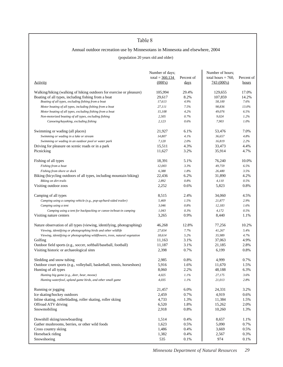### Table 8

### Annual outdoor recreation use by Minnesotans in Minnesota and elsewhere, 2004

#### (population 20 years old and older)

|                                                                              | Number of days;<br>total = $360,134$ | Percent of  | Number of hours;<br>total hours $= 760$ , | Percent of   |
|------------------------------------------------------------------------------|--------------------------------------|-------------|-------------------------------------------|--------------|
| <b>Activity</b>                                                              | (000's)                              | <u>days</u> | 743(000s)                                 | <u>hours</u> |
| Walking/hiking (walking of hiking outdoors for exercise or pleasure)         | 105,994                              | 29.4%       | 129,655                                   | 17.0%        |
| Boating of all types, including fishing from a boat                          | 29.617                               | 8.2%        | 107,859                                   | 14.2%        |
| Boating of all types, excluding fishing from a boat                          | 17,613                               | 4.9%        | 58,100                                    | 7.6%         |
| Motor boating of all types, including fishing from a boat                    | 27,111                               | 7.5%        | 98,836                                    | 13.0%        |
| Motor boating of all types, excluding fishing from a boat                    | 15,108                               | 4.2%        | 49,076                                    | 6.5%         |
| Non-motorized boating of all types, excluding fishing                        | 2,505                                | 0.7%        | 9,024                                     | 1.2%         |
| Canoeing/kayaking, excluding fishing                                         | 2,123                                | 0.6%        | 7,903                                     | 1.0%         |
| Swimming or wading (all places)                                              | 21,927                               | 6.1%        | 53,476                                    | 7.0%         |
| Swimming or wading in a lake or stream                                       | 14,807                               | 4.1%        | 36,657                                    | 4.8%         |
| Swimming or wading in an outdoor pool or water park                          | 7,120                                | 2.0%        | 16,819                                    | 2.2%         |
| Driving for pleasure on scenic roads or in a park                            | 15,511                               | 4.3%        | 33,473                                    | 4.4%         |
| Picnicking                                                                   | 11,627                               | 3.2%        | 35,914                                    | 4.7%         |
| Fishing of all types                                                         | 18,391                               | 5.1%        | 76,240                                    | 10.0%        |
| Fishing from a boat                                                          | 12,003                               | 3.3%        | 49,759                                    | 6.5%         |
| Fishing from shore or dock                                                   | 6,388                                | 1.8%        | 26,480                                    | 3.5%         |
| Biking (bicycling outdoors of all types, including mountain biking)          | 22,436                               | 6.2%        | 31,890                                    | 4.2%         |
| Biking on dirt trails                                                        | 2,892                                | 0.8%        | 4,110                                     | 0.5%         |
| Visiting outdoor zoos                                                        | 2,252                                | 0.6%        | 5,823                                     | 0.8%         |
| Camping of all types                                                         | 8,515                                | 2.4%        | 34,060                                    | 4.5%         |
| Camping using a camping vehicle (e.g., pop-up/hard-sided trailer)            | 5,469                                | 1.5%        | 21,877                                    | 2.9%         |
| Camping using a tent                                                         | 3,046                                | 0.8%        | 12,183                                    | 1.6%         |
| Camping using a tent for backpacking or canoe-in/boat-in camping             | 1,043                                | 0.3%        | 4,172                                     | 0.5%         |
| Visiting nature centers                                                      | 3,265                                | 0.9%        | 8,440                                     | 1.1%         |
| Nature observation of all types (viewing, identifying, photographing)        | 46,268                               | 12.8%       | 77,256                                    | 10.2%        |
| Viewing, identifying or photographing birds and other wildlife               | 27,654                               | 7.7%        | 41,267                                    | 5.4%         |
| Viewing, identifying or photographing wildflowers, trees, natural vegetation | 18,614                               | 5.2%        | 35,989                                    | 4.7%         |
| Golfing                                                                      | 11,163                               | 3.1%        | 37,063                                    | 4.9%         |
| Outdoor field sports (e.g., soccer, softball/baseball, football)             | 11,187                               | 3.1%        | 21,185                                    | 2.8%         |
| Visiting historic or archaeological sites                                    | 2,398                                | 0.7%        | 6,199                                     | 0.8%         |
|                                                                              |                                      |             |                                           |              |
| Sledding and snow tubing                                                     | 2,985                                | 0.8%        | 4,999                                     | 0.7%         |
| Outdoor court sports (e.g., volleyball, basketball, tennis, horseshoes)      | 5,916                                | 1.6%        | 11,670                                    | 1.5%         |
| Hunting of all types                                                         | 8,060                                | 2.2%        | 48,188                                    | 6.3%         |
| Hunting big game (e.g., deer, bear, moose)                                   | 4,025                                | 1.1%        | 27,175                                    | 3.6%         |
| Hunting waterfowl, upland game birds, and other small game                   | 4,035                                | 1.1%        | 21,013                                    | 2.8%         |
| Running or jogging                                                           | 21,457                               | 6.0%        | 24,331                                    | 3.2%         |
| Ice skating/hockey outdoors                                                  | 2,459                                | 0.7%        | 4,919                                     | 0.6%         |
| Inline skating, rollerblading, roller skating, roller skiing                 | 4,733                                | 1.3%        | 11,384                                    | 1.5%         |
| Offroad ATV driving                                                          | 6,520                                | 1.8%        | 15,262                                    | 2.0%         |
| Snowmobiling                                                                 | 2,918                                | 0.8%        | 10,260                                    | 1.3%         |
| Downhill skiing/snowboarding                                                 | 1,514                                | 0.4%        | 8,657                                     | 1.1%         |
| Gather mushrooms, berries, or other wild foods                               | 1,623                                | 0.5%        | 5,090                                     | 0.7%         |
| Cross country skiing                                                         | 1,486                                | 0.4%        | 3,669                                     | 0.5%         |
| Horseback riding                                                             | 1,382                                | 0.4%        | 2,567                                     | 0.3%         |
| Snowshoeing                                                                  | 535                                  | 0.1%        | 974                                       | 0.1%         |
|                                                                              |                                      |             |                                           |              |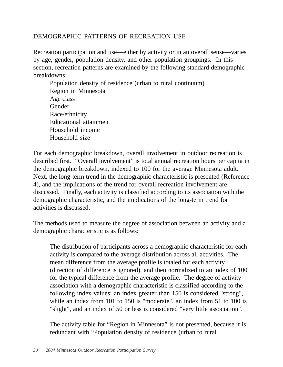## DEMOGRAPHIC PATTERNS OF RECREATION USE

Recreation participation and use—either by activity or in an overall sense—varies by age, gender, population density, and other population groupings. In this section, recreation patterns are examined by the following standard demographic breakdowns:

Population density of residence (urban to rural continuum) Region in Minnesota Age class **Gender** Race/ethnicity Educational attainment Household income Household size

For each demographic breakdown, overall involvement in outdoor recreation is described first. "Overall involvement" is total annual recreation hours per capita in the demographic breakdown, indexed to 100 for the average Minnesota adult. Next, the long-term trend in the demographic characteristic is presented (Reference 4), and the implications of the trend for overall recreation involvement are discussed. Finally, each activity is classified according to its association with the demographic characteristic, and the implications of the long-term trend for activities is discussed.

The methods used to measure the degree of association between an activity and a demographic characteristic is as follows:

The distribution of participants across a demographic characteristic for each activity is compared to the average distribution across all activities. The mean difference from the average profile is totaled for each activity (direction of difference is ignored), and then normalized to an index of 100 for the typical difference from the average profile. The degree of activity association with a demographic characteristic is classified according to the following index values: an index greater than 150 is considered "strong", while an index from 101 to 150 is "moderate", an index from 51 to 100 is "slight", and an index of 50 or less is considered "very little association".

The activity table for "Region in Minnesota" is not presented, because it is redundant with "Population density of residence (urban to rural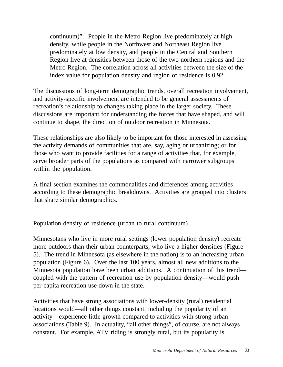continuum)". People in the Metro Region live predominately at high density, while people in the Northwest and Northeast Region live predominately at low density, and people in the Central and Southern Region live at densities between those of the two northern regions and the Metro Region. The correlation across all activities between the size of the index value for population density and region of residence is 0.92.

The discussions of long-term demographic trends, overall recreation involvement, and activity-specific involvement are intended to be general assessments of recreation's relationship to changes taking place in the larger society. These discussions are important for understanding the forces that have shaped, and will continue to shape, the direction of outdoor recreation in Minnesota.

These relationships are also likely to be important for those interested in assessing the activity demands of communities that are, say, aging or urbanizing; or for those who want to provide facilities for a range of activities that, for example, serve broader parts of the populations as compared with narrower subgroups within the population.

A final section examines the commonalities and differences among activities according to these demographic breakdowns. Activities are grouped into clusters that share similar demographics.

## Population density of residence (urban to rural continuum)

Minnesotans who live in more rural settings (lower population density) recreate more outdoors than their urban counterparts, who live a higher densities (Figure 5). The trend in Minnesota (as elsewhere in the nation) is to an increasing urban population (Figure 6). Over the last 100 years, almost all new additions to the Minnesota population have been urban additions. A continuation of this trend coupled with the pattern of recreation use by population density—would push per-capita recreation use down in the state.

Activities that have strong associations with lower-density (rural) residential locations would—all other things constant, including the popularity of an activity—experience little growth compared to activities with strong urban associations (Table 9). In actuality, "all other things", of course, are not always constant. For example, ATV riding is strongly rural, but its popularity is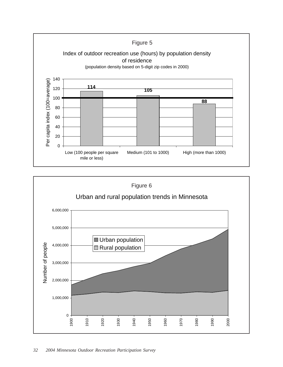

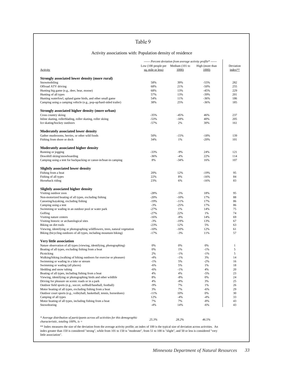## Table 9

#### Activity associations with: Population density of residence

|                                                                                    |                                    | ------ Percent deviation from average activity profile* ------ |                 |           |
|------------------------------------------------------------------------------------|------------------------------------|----------------------------------------------------------------|-----------------|-----------|
|                                                                                    | Low (100 people per Medium (101 to |                                                                | High (more than | Deviation |
| <b>Activity</b>                                                                    | sq. mile or less)                  | 1000)                                                          | 1000            | index**   |
| Strongly associated lower density (more rural)                                     |                                    |                                                                |                 |           |
| Snowmobiling                                                                       | 58%                                | 39%                                                            | -55%            | 282       |
| Offroad ATV driving                                                                | 68%                                | 21%                                                            | $-50%$          | 255       |
| Hunting big game (e.g., deer, bear, moose)                                         | 68%                                | 13%                                                            | -45%            | 229       |
|                                                                                    | 57%                                | 13%                                                            | -39%            | 201       |
| Hunting of all types<br>Hunting waterfowl, upland game birds, and other small game | 54%                                | 11%                                                            | $-36%$          | 186       |
|                                                                                    |                                    |                                                                |                 |           |
| Camping using a camping vehicle (e.g., pop-up/hard-sided trailer)                  | 38%                                | 25%                                                            | -36%            | 185       |
| Strongly associated higher density (more urban)                                    |                                    |                                                                |                 |           |
| Cross country skiing                                                               | $-35%$                             | $-45%$                                                         | 46%             | 237       |
| Inline skating, rollerblading, roller skating, roller skiing                       | $-53%$                             | $-18%$                                                         | 40%             | 205       |
| Ice skating/hockey outdoors                                                        | $-57%$                             | 2%                                                             | 30%             | 161       |
|                                                                                    |                                    |                                                                |                 |           |
| <b>Moderately associated lower density</b>                                         |                                    |                                                                |                 |           |
| Gather mushrooms, berries, or other wild foods                                     | 50%                                | $-15%$                                                         | -18%            | 139       |
| Fishing from shore or dock                                                         | 34%                                | 1%                                                             | $-20%$          | 101       |
|                                                                                    |                                    |                                                                |                 |           |
| Moderately associated higher density                                               |                                    |                                                                |                 |           |
| Running or jogging                                                                 | $-33%$                             | $-9%$                                                          | 24%             | 121       |
| Downhill skiing/snowboarding                                                       | $-36%$                             | $-4%$                                                          | 22%             | 114       |
| Camping using a tent for backpacking or canoe-in/boat-in camping                   | 8%                                 | $-34%$                                                         | 16%             | 107       |
| <b>Slightly associated lower density</b>                                           |                                    |                                                                |                 |           |
| Fishing from a boat                                                                | 20%                                | 12%                                                            | $-19%$          | 95        |
| Fishing of all types                                                               | 22%                                | 8%                                                             | $-16%$          | 84        |
| Horseback riding                                                                   | 23%                                | 6%                                                             | $-16%$          | 83        |
|                                                                                    |                                    |                                                                |                 |           |
| <b>Slightly associated higher density</b>                                          |                                    |                                                                |                 |           |
| Visiting outdoor zoos                                                              | $-28%$                             | $-5%$                                                          | 18%             | 95        |
| Non-motorized boating of all types, excluding fishing                              | $-20%$                             | $-10%$                                                         | 17%             | 88        |
| Canoeing/kayaking, excluding fishing                                               | $-19%$                             | $-11%$                                                         | 17%             | 86        |
| Camping using a tent                                                               | $-3%$                              | $-25%$                                                         | 17%             | 86        |
| Swimming or wading in an outdoor pool or water park                                | $-27%$                             | 1%                                                             | 14%             | 75        |
| Golfing                                                                            | $-27%$                             | 22%                                                            | 1%              | 74        |
| Visiting nature centers                                                            | $-16%$                             | $-8%$                                                          | 14%             | 69        |
| Visiting historic or archaeological sites                                          | $-3%$                              | $-19%$                                                         | 13%             | 67        |
| Biking on dirt trails                                                              | $-23%$                             | 12%                                                            | 5%              | 63        |
| Viewing, identifying or photographing wildflowers, trees, natural vegetation       | $-10%$                             | $-10%$                                                         | 12%             | 61        |
| Biking (bicycling outdoors of all types, including mountain biking)                | $-17%$                             | $-3%$                                                          | 11%             | 57        |
|                                                                                    |                                    |                                                                |                 |           |
| <b>Very little association</b>                                                     |                                    |                                                                |                 |           |
| Nature observation of all types (viewing, identifying, photographing)              | 0%                                 | 0%                                                             | 0%              | 1         |
| Boating of all types, excluding fishing from a boat                                | 0%                                 | 1%                                                             | $-1%$           | 5         |
| Picnicking                                                                         | 2%                                 | $-1%$                                                          | $-1%$           | 5         |
| Walking/hiking (walking of hiking outdoors for exercise or pleasure)               | $-4%$                              | $-1%$                                                          | 3%              | 14        |
| Swimming or wading in a lake or stream                                             | $-1\%$                             | 5%                                                             | $-2%$           | 16        |
| Swimming or wading (all places)                                                    | $-6%$                              | 5%                                                             | 1%              | 18        |
| Sledding and snow tubing                                                           | -6%                                | $-1%$                                                          | 4%              | 20        |
| Boating of all types, including fishing from a boat                                | 4%                                 | 4%                                                             | $-5%$           | 23        |
| Viewing, identifying or photographing birds and other wildlife                     | 8%                                 | -8%                                                            | 0%              | 24        |
| Driving for pleasure on scenic roads or in a park                                  | 4%                                 | -8%                                                            | 3%              | 25        |
| Outdoor field sports (e.g., soccer, softball/baseball, football)                   | $-9%$                              | 7%                                                             | 1%              | 26        |
| Motor boating of all types, excluding fishing from a boat                          | 3%                                 | 7%                                                             | $-6%$           | 29        |
| Outdoor court sports (e.g., volleyball, basketball, tennis, horseshoes)            | $-11%$                             | 10%                                                            | 0%              | 30        |
| Camping of all types                                                               | 12%                                | $-4%$                                                          | $-4%$           | 33        |
| Motor boating of all types, including fishing from a boat                          | 7%                                 | 7%                                                             | -8%             | 43        |
| Snowshoeing                                                                        | $-4%$                              | 14%                                                            | -6%             | 43        |
|                                                                                    |                                    |                                                                |                 |           |
| * Average distribution of participants across all activities for this demographic  |                                    |                                                                |                 |           |
| <i>characteristic, totaling 100%, is</i> $=$                                       | 25.3%                              | 28.2%                                                          | 46.5%           |           |
|                                                                                    |                                    |                                                                |                 |           |

\*\* Index measures the size of the deviation from the average activity profile; an index of 100 is the typical size of deviation across activities. An index greater than 150 is considered "strong", while from 101 to 150 is "moderate", from 51 to 100 is "slight", and 50 or less is considered "very little association".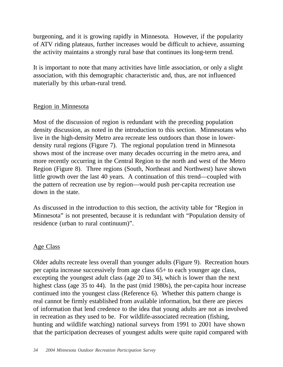burgeoning, and it is growing rapidly in Minnesota. However, if the popularity of ATV riding plateaus, further increases would be difficult to achieve, assuming the activity maintains a strongly rural base that continues its long-term trend.

It is important to note that many activities have little association, or only a slight association, with this demographic characteristic and, thus, are not influenced materially by this urban-rural trend.

## Region in Minnesota

Most of the discussion of region is redundant with the preceding population density discussion, as noted in the introduction to this section. Minnesotans who live in the high-density Metro area recreate less outdoors than those in lowerdensity rural regions (Figure 7). The regional population trend in Minnesota shows most of the increase over many decades occurring in the metro area, and more recently occurring in the Central Region to the north and west of the Metro Region (Figure 8). Three regions (South, Northeast and Northwest) have shown little growth over the last 40 years. A continuation of this trend—coupled with the pattern of recreation use by region—would push per-capita recreation use down in the state.

As discussed in the introduction to this section, the activity table for "Region in Minnesota" is not presented, because it is redundant with "Population density of residence (urban to rural continuum)".

## Age Class

Older adults recreate less overall than younger adults (Figure 9). Recreation hours per capita increase successively from age class 65+ to each younger age class, excepting the youngest adult class (age 20 to 34), which is lower than the next highest class (age 35 to 44). In the past (mid 1980s), the per-capita hour increase continued into the youngest class (Reference 6). Whether this pattern change is real cannot be firmly established from available information, but there are pieces of information that lend credence to the idea that young adults are not as involved in recreation as they used to be. For wildlife-associated recreation (fishing, hunting and wildlife watching) national surveys from 1991 to 2001 have shown that the participation decreases of youngest adults were quite rapid compared with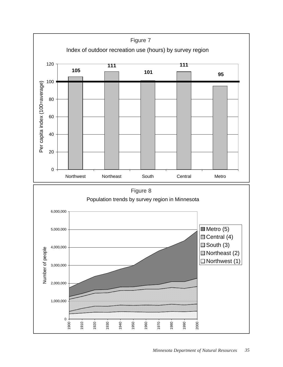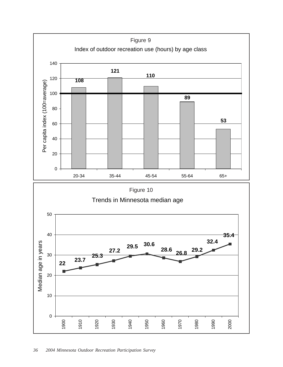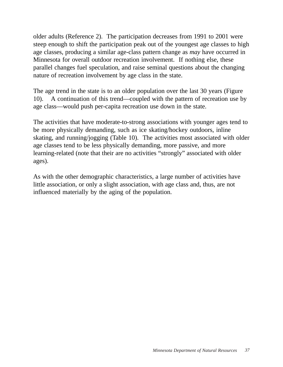older adults (Reference 2). The participation decreases from 1991 to 2001 were steep enough to shift the participation peak out of the youngest age classes to high age classes, producing a similar age-class pattern change as *may* have occurred in Minnesota for overall outdoor recreation involvement. If nothing else, these parallel changes fuel speculation, and raise seminal questions about the changing nature of recreation involvement by age class in the state.

The age trend in the state is to an older population over the last 30 years (Figure 10). A continuation of this trend—coupled with the pattern of recreation use by age class—would push per-capita recreation use down in the state.

The activities that have moderate-to-strong associations with younger ages tend to be more physically demanding, such as ice skating/hockey outdoors, inline skating, and running/jogging (Table 10). The activities most associated with older age classes tend to be less physically demanding, more passive, and more learning-related (note that their are no activities "strongly" associated with older ages).

As with the other demographic characteristics, a large number of activities have little association, or only a slight association, with age class and, thus, are not influenced materially by the aging of the population.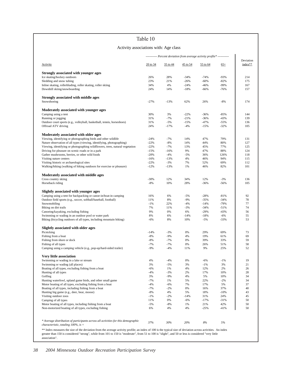#### Activity associations with: Age class

|                                                                                                                                                             |              |           |             | ----------- Percent deviation from average activity profile* ----------- |                  |                      |
|-------------------------------------------------------------------------------------------------------------------------------------------------------------|--------------|-----------|-------------|--------------------------------------------------------------------------|------------------|----------------------|
| <b>Activity</b>                                                                                                                                             | $20$ to $34$ | 35 to 44  | $45$ to 54  | 55 to 64                                                                 | $65+$            | Deviation<br>index** |
| Strongly associated with younger ages                                                                                                                       |              |           |             |                                                                          |                  |                      |
| Ice skating/hockey outdoors                                                                                                                                 | 26%          | 28%       | -34%        | $-74%$                                                                   | $-93%$           | 214                  |
| Sledding and snow tubing                                                                                                                                    | 23%          | 21%       | $-26%$      | $-60%$                                                                   | $-82%$           | 175                  |
| Inline skating, rollerblading, roller skating, roller skiing                                                                                                | 34%          | 4%        | $-24%$      | -46%                                                                     | $-99%$           | 167                  |
| Downhill skiing/snowboarding                                                                                                                                | 24%          | 14%       | $-18%$      | -66%                                                                     | $-76%$           | 157                  |
| Strongly associated with middle ages                                                                                                                        |              |           |             |                                                                          |                  |                      |
| Snowshoeing                                                                                                                                                 | $-27%$       | $-13%$    | 62%         | 26%                                                                      | $-8%$            | 174                  |
| Moderately associated with younger ages                                                                                                                     |              |           |             |                                                                          |                  |                      |
| Camping using a tent                                                                                                                                        | 30%          | 3%        | $-22%$      | $-36%$                                                                   | $-85%$           | 144                  |
| Running or jogging                                                                                                                                          | 31%          | $-7%$     | $-21%$      | $-36%$                                                                   | $-43%$           | 139                  |
| Outdoor court sports (e.g., volleyball, basketball, tennis, horseshoes)                                                                                     | 31%          | $-5%$     | $-15%$      | $-47%$                                                                   | $-55%$           | 136                  |
| Offroad ATV driving                                                                                                                                         | 24%          | $-17%$    | $-4%$       | $-15%$                                                                   | $-32%$           | 105                  |
| Moderately associated with older ages                                                                                                                       |              |           |             |                                                                          |                  |                      |
| Viewing, identifying or photographing birds and other wildlife                                                                                              | $-24%$       | $-7%$     | 14%         | 47%                                                                      | 79%              | 131                  |
| Nature observation of all types (viewing, identifying, photographing)                                                                                       | $-22%$       | $-8%$     | 14%         | 44%                                                                      | 80%              | 127                  |
| Viewing, identifying or photographing wildflowers, trees, natural vegetation                                                                                | $-22%$       | $-7%$     | 13%         | 45%                                                                      | 77%              | 125                  |
| Driving for pleasure on scenic roads or in a park                                                                                                           | $-15%$       | $-16%$    | 9%          | 47%                                                                      | 88%              | 124                  |
| Gather mushrooms, berries, or other wild foods                                                                                                              | $-20%$       | $-4%$     | -5%         | 36%                                                                      | 126%             | 118                  |
| Visiting nature centers                                                                                                                                     | $-16%$       | $-13%$    | 4%          | 46%                                                                      | 94%              | 115                  |
| Visiting historic or archaeological sites                                                                                                                   | $-22%$       | $-3%$     | 7%          | 52%                                                                      | 69%              | 112                  |
| Walking/hiking (walking of hiking outdoors for exercise or pleasure)                                                                                        | $-12%$       | $-13%$    | 1%          | 46%                                                                      | 82%              | 101                  |
| Moderately associated with middle ages                                                                                                                      |              |           |             |                                                                          |                  |                      |
| Cross country skiing                                                                                                                                        | $-30%$       | 12%       | 34%         | 12%                                                                      | $-3%$            | 136                  |
| Horseback riding                                                                                                                                            | $-8%$        | 10%       | 28%         | $-36%$                                                                   | $-56%$           | 105                  |
| Slightly associated with younger ages                                                                                                                       |              |           |             |                                                                          |                  |                      |
| Camping using a tent for backpacking or canoe-in/boat-in camping                                                                                            | 16%          | 6%        | $-5%$       | $-28%$                                                                   | $-81%$           | 92                   |
| Outdoor field sports (e.g., soccer, softball/baseball, football)                                                                                            | 11%          | 8%        | $-9%$       | $-35%$                                                                   | $-34%$           | 78                   |
| Snowmobiling                                                                                                                                                | $-1\%$       | 22%       | $-4%$       | $-14%$                                                                   | $-79%$           | 77                   |
| Biking on dirt trails                                                                                                                                       | 7%<br>9%     | 11%<br>0% | $-3%$<br>6% | $-34%$<br>$-29%$                                                         | $-51%$<br>$-43%$ | 74<br>56             |
| Canoeing/kayaking, excluding fishing<br>Swimming or wading in an outdoor pool or water park                                                                 | 8%           | 6%        | -14%        | $-18%$                                                                   | $-6%$            | 55                   |
| Biking (bicycling outdoors of all types, including mountain biking)                                                                                         | $-6%$        | 8%        | 10%         | $-5%$                                                                    | $-33%$           | 53                   |
|                                                                                                                                                             |              |           |             |                                                                          |                  |                      |
| Slightly associated with older ages<br>Picnicking                                                                                                           | $-14%$       | $-3%$     | 0%          | 29%                                                                      | 69%              | 73                   |
| Fishing from a boat                                                                                                                                         | $-8%$        | $-9%$     | 4%          | 19%                                                                      | 61%              | 69                   |
| Fishing from shore or dock                                                                                                                                  | $-8%$        | $-7%$     | 0%          | 39%                                                                      | 33%              | 59                   |
| Fishing of all types                                                                                                                                        | $-7%$        | $-7%$     | 0%          | 26%                                                                      | 51%              | 58                   |
| Camping using a camping vehicle (e.g., pop-up/hard-sided trailer)                                                                                           | $-9%$        | $-4%$     | 11%         | 9%                                                                       | 25%              | 52                   |
| <b>Very little association</b>                                                                                                                              |              |           |             |                                                                          |                  |                      |
| Swimming or wading in a lake or stream                                                                                                                      | 4%           | $-4%$     | 0%          | $-6%$                                                                    | $-1%$            | 19                   |
| Swimming or wading (all places)                                                                                                                             | 3%           | $-5%$     | 3%          | $-1%$                                                                    | 3%               | 21                   |
| Boating of all types, excluding fishing from a boat                                                                                                         | $-6%$        | 1%        | 4%          | 12%                                                                      | 2%               | 26                   |
| Hunting of all types                                                                                                                                        | $-4%$        | $-3%$     | 2%          | 17%                                                                      | 10%              | 28                   |
| Golfing                                                                                                                                                     | 3%           | $-9%$     | 4%          | 5%                                                                       | 10%              | 34                   |
| Hunting waterfowl, upland game birds, and other small game                                                                                                  | $-7%$        | 1%        | 5%          | 22%                                                                      | $-2\%$           | 34                   |
| Motor boating of all types, excluding fishing from a boat                                                                                                   | $-4%$        | $-6%$     | 7%          | 17%                                                                      | 5%               | 37                   |
| Boating of all types, including fishing from a boat                                                                                                         | $-7%$        | $-2%$     | 0%          | 16%                                                                      | 37%              | 40                   |
| Hunting big game (e.g., deer, bear, moose)                                                                                                                  | $-8%$        | 4%        | 5%          | 18%                                                                      | $-10%$           | 43                   |
| Visiting outdoor zoos                                                                                                                                       | $-1%$        | $-2%$     | -14%        | 31%                                                                      | 24%              | 45                   |
| Camping of all types                                                                                                                                        | 11%          | 0%        | $-6%$       | $-17%$                                                                   | $-31%$           | 50                   |
| Motor boating of all types, including fishing from a boat                                                                                                   | $-5%$        | $-8%$     | 1%          | 21%                                                                      | 42%              | 50                   |
| Non-motorized boating of all types, excluding fishing                                                                                                       | 6%           | 4%        | 4%          | $-25%$                                                                   | $-41%$           | 50                   |
|                                                                                                                                                             |              |           |             |                                                                          |                  |                      |
| * Average distribution of participants across all activities for this demographic<br><i>characteristic, totaling 100%, is</i> =                             | 37%          | 30%       | 20%         | 8%                                                                       | $5\%$            |                      |
| ** Index measures the size of the deviation from the average activity profile; an index of 100 is the typical size of deviation across activities. An index |              |           |             |                                                                          |                  |                      |

greater than 150 is considered "strong", while from 101 to 150 is "moderate", from 51 to 100 is "slight", and 50 or less is considered "very little association".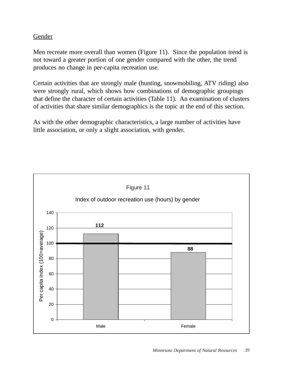# Gender

Men recreate more overall than women (Figure 11). Since the population trend is not toward a greater portion of one gender compared with the other, the trend produces no change in per-capita recreation use.

Certain activities that are strongly male (hunting, snowmobiling, ATV riding) also were strongly rural, which shows how combinations of demographic groupings that define the character of certain activities (Table 11). An examination of clusters of activities that share similar demographics is the topic at the end of this section.

As with the other demographic characteristics, a large number of activities have little association, or only a slight association, with gender.

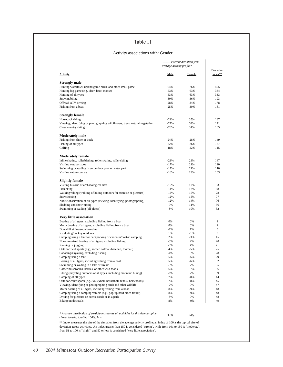#### Activity associations with: Gender

|                                                                                          |        | ------- Percent deviation from    |                      |
|------------------------------------------------------------------------------------------|--------|-----------------------------------|----------------------|
|                                                                                          |        | average activity profile* ------- |                      |
| Activity                                                                                 | Male   | Female                            | Deviation<br>index** |
| <b>Strongly male</b>                                                                     |        |                                   |                      |
| Hunting waterfowl, upland game birds, and other small game                               | 64%    | $-76%$                            | 405                  |
| Hunting big game (e.g., deer, bear, moose)                                               | 53%    | $-63%$                            | 334                  |
| Hunting of all types                                                                     | 53%    | $-63%$                            | 333                  |
| Snowmobiling                                                                             | 30%    | $-36%$                            | 193                  |
| Offroad ATV driving                                                                      | 28%    | $-34%$                            | 178                  |
| Fishing from a boat                                                                      | 25%    | $-30%$                            | 161                  |
| <b>Strongly female</b>                                                                   |        |                                   |                      |
| Horseback riding                                                                         | $-29%$ | 35%                               | 187                  |
| Viewing, identifying or photographing wildflowers, trees, natural vegetation             | $-27%$ | 32%                               | 171                  |
| Cross country skiing                                                                     | $-26%$ | 31%                               | 165                  |
| <b>Moderately male</b>                                                                   |        |                                   |                      |
| Fishing from shore or dock                                                               | 24%    | $-28%$                            | 149                  |
| Fishing of all types                                                                     | 22%    | $-26%$                            | 137                  |
| Golfing                                                                                  | 18%    | $-22%$                            | 115                  |
|                                                                                          |        |                                   |                      |
| <b>Moderately female</b><br>Inline skating, rollerblading, roller skating, roller skiing | $-23%$ | 28%                               | 147                  |
| Visiting outdoor zoos                                                                    | $-17%$ | 21%                               | 110                  |
| Swimming or wading in an outdoor pool or water park                                      | $-17%$ | 21%                               | 110                  |
| Visiting nature centers                                                                  | $-16%$ | 19%                               | 103                  |
| <b>Slightly female</b>                                                                   |        |                                   |                      |
| Visiting historic or archaeological sites                                                | $-15%$ | 17%                               | 93                   |
| Picnicking                                                                               | $-14%$ | 17%                               | 88                   |
| Walking/hiking (walking of hiking outdoors for exercise or pleasure)                     | $-12%$ | 15%                               | 78                   |
| Snowshoeing                                                                              | $-12%$ | 15%                               | 77                   |
| Nature observation of all types (viewing, identifying, photographing)                    | $-12%$ | 14%                               | 76                   |
| Sledding and snow tubing                                                                 | $-9%$  | 11%                               | 56                   |
| Swimming or wading (all places)                                                          | $-8%$  | 10%                               | 52                   |
| Very little association                                                                  |        |                                   |                      |
| Boating of all types, excluding fishing from a boat                                      | 0%     | 0%                                | 1                    |
| Motor boating of all types, excluding fishing from a boat                                | 0%     | 0%                                | $\overline{c}$       |
| Downhill skiing/snowboarding                                                             | $-1%$  | 1%                                | 5                    |
| Ice skating/hockey outdoors                                                              | 1%     | $-1%$                             | 8                    |
| Camping using a tent for backpacking or canoe-in/boat-in camping                         | 2%     | $-3%$                             | 15                   |
| Non-motorized boating of all types, excluding fishing                                    | $-3%$  | 4%                                | 20                   |
| Running or jogging                                                                       | $-3%$  | 4%                                | 21                   |
| Outdoor field sports (e.g., soccer, softball/baseball, football)                         | 4%     | $-5%$                             | 25                   |
| Canoeing/kayaking, excluding fishing                                                     | $-4%$  | 5%                                | 28                   |
| Camping using a tent                                                                     | 5%     | $-6%$                             | 29                   |
| Boating of all types, including fishing from a boat                                      | 5%     | $-6%$                             | 32                   |
| Swimming or wading in a lake or stream                                                   | $-5%$  | 7%                                | 35                   |
| Gather mushrooms, berries, or other wild foods                                           | 6%     | $-7%$                             | 36                   |
| Biking (bicycling outdoors of all types, including mountain biking)                      | $-6%$  | 7%                                | 39                   |
| Camping of all types                                                                     | 7%     | $-8%$                             | 44                   |
| Outdoor court sports (e.g., volleyball, basketball, tennis, horseshoes)                  | 7%     | $-8%$                             | 45                   |
| Viewing, identifying or photographing birds and other wildlife                           | $-7%$  | 9%                                | 47                   |
| Motor boating of all types, including fishing from a boat                                | 8%     | $-9%$                             | 48                   |
| Camping using a camping vehicle (e.g., pop-up/hard-sided trailer)                        | 8%     | $-9%$                             | 48                   |
| Driving for pleasure on scenic roads or in a park                                        | $-8%$  | 9%                                | 48                   |
| Biking on dirt trails                                                                    | 8%     | $-9%$                             | 49                   |
|                                                                                          |        |                                   |                      |
| * Average distribution of participants across all activities for this demographic        | 54%    | 46%                               |                      |
| <i>characteristic, totaling 100%, is =</i>                                               |        |                                   |                      |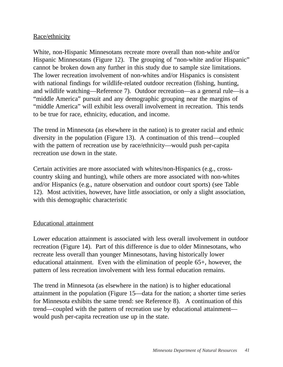# Race/ethnicity

White, non-Hispanic Minnesotans recreate more overall than non-white and/or Hispanic Minnesotans (Figure 12). The grouping of "non-white and/or Hispanic" cannot be broken down any further in this study due to sample size limitations. The lower recreation involvement of non-whites and/or Hispanics is consistent with national findings for wildlife-related outdoor recreation (fishing, hunting, and wildlife watching—Reference 7). Outdoor recreation—as a general rule—is a "middle America" pursuit and any demographic grouping near the margins of "middle America" will exhibit less overall involvement in recreation. This tends to be true for race, ethnicity, education, and income.

The trend in Minnesota (as elsewhere in the nation) is to greater racial and ethnic diversity in the population (Figure 13). A continuation of this trend—coupled with the pattern of recreation use by race/ethnicity—would push per-capita recreation use down in the state.

Certain activities are more associated with whites/non-Hispanics (e.g., crosscountry skiing and hunting), while others are more associated with non-whites and/or Hispanics (e.g., nature observation and outdoor court sports) (see Table 12). Most activities, however, have little association, or only a slight association, with this demographic characteristic

## Educational attainment

Lower education attainment is associated with less overall involvement in outdoor recreation (Figure 14). Part of this difference is due to older Minnesotans, who recreate less overall than younger Minnesotans, having historically lower educational attainment. Even with the elimination of people 65+, however, the pattern of less recreation involvement with less formal education remains.

The trend in Minnesota (as elsewhere in the nation) is to higher educational attainment in the population (Figure 15—data for the nation; a shorter time series for Minnesota exhibits the same trend: see Reference 8). A continuation of this trend—coupled with the pattern of recreation use by educational attainment would push per-capita recreation use up in the state.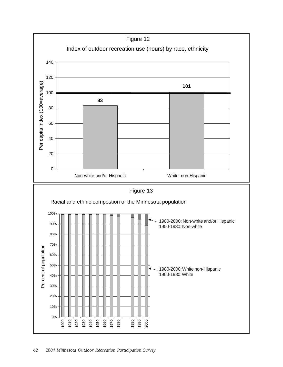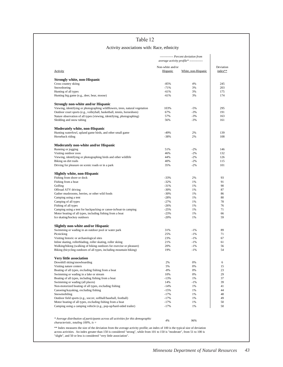### Activity associations with: Race, ethnicity

|                                                                                   |                              | ------------ Percent deviation from<br>average activity profile* ------------- |                      |
|-----------------------------------------------------------------------------------|------------------------------|--------------------------------------------------------------------------------|----------------------|
| <b>Activity</b>                                                                   | Non-white and/or<br>Hispanic | White, non-Hispanic                                                            | Deviation<br>index** |
| <b>Strongly white, non-Hispanic</b>                                               |                              |                                                                                |                      |
| Cross country skiing                                                              | $-85%$                       | 4%                                                                             | 245                  |
| Snowshoeing                                                                       | $-71%$                       | 3%                                                                             | 203                  |
| Hunting of all types                                                              | $-61%$                       | 3%                                                                             | 175                  |
| Hunting big game (e.g., deer, bear, moose)                                        | $-61%$                       | 3%                                                                             | 174                  |
| <b>Strongly non-white and/or Hispanic</b>                                         |                              |                                                                                |                      |
| Viewing, identifying or photographing wildflowers, trees, natural vegetation      | 103%                         | $-5%$                                                                          | 295                  |
| Outdoor court sports (e.g., volleyball, basketball, tennis, horseshoes)           | 67%                          | $-3%$                                                                          | 191                  |
| Nature observation of all types (viewing, identifying, photographing)             | 57%                          | $-3%$                                                                          | 163                  |
| Sledding and snow tubing                                                          | 56%                          | $-3%$                                                                          | 161                  |
| <b>Moderately white, non-Hispanic</b>                                             |                              |                                                                                |                      |
| Hunting waterfowl, upland game birds, and other small game                        | $-49%$                       | 2%                                                                             | 139                  |
| Horseback riding                                                                  | $-38%$                       | 2%                                                                             | 108                  |
| Moderately non-white and/or Hispanic                                              |                              |                                                                                |                      |
| Running or jogging                                                                | 51%                          | $-2%$                                                                          | 146                  |
| Visiting outdoor zoos                                                             | 46%                          | $-2%$                                                                          | 132                  |
| Viewing, identifying or photographing birds and other wildlife                    | 44%                          | $-2%$                                                                          | 126                  |
| Biking on dirt trails                                                             | 40%                          | $-2%$                                                                          | 115                  |
| Driving for pleasure on scenic roads or in a park                                 | 35%                          | $-2%$                                                                          | 101                  |
|                                                                                   |                              |                                                                                |                      |
| Slightly white, non-Hispanic                                                      |                              |                                                                                |                      |
| Fishing from shore or dock                                                        | $-33%$                       | 2%                                                                             | 93                   |
| Fishing from a boat                                                               | $-32%$                       | 1%                                                                             | 91                   |
| Golfing                                                                           | $-31%$                       | 1%                                                                             | 90                   |
| Offroad ATV driving                                                               | $-30%$                       | 1%                                                                             | 87                   |
| Gather mushrooms, berries, or other wild foods                                    | $-30%$                       | 1%                                                                             | 86                   |
| Camping using a tent                                                              | $-28%$                       | 1%                                                                             | 80                   |
| Camping of all types                                                              | $-27%$                       | 1%                                                                             | 78                   |
| Fishing of all types                                                              | $-26%$                       | 1%                                                                             | 76                   |
| Camping using a tent for backpacking or canoe-in/boat-in camping                  | $-25%$                       | 1%                                                                             | 71                   |
| Motor boating of all types, including fishing from a boat                         | $-23%$                       | 1%                                                                             | 66                   |
| Ice skating/hockey outdoors                                                       | $-20%$                       | 1%                                                                             | 59                   |
| <b>Slightly non-white and/or Hispanic</b>                                         |                              |                                                                                |                      |
| Swimming or wading in an outdoor pool or water park                               | 31%                          | $-1\%$                                                                         | 89                   |
| Picnicking                                                                        | 25%                          | $-1%$                                                                          | 71                   |
| Visiting historic or archaeological sites                                         | 23%                          | $-1%$                                                                          | 67                   |
| Inline skating, rollerblading, roller skating, roller skiing                      | 21%                          | $-1%$                                                                          | 61                   |
| Walking/hiking (walking of hiking outdoors for exercise or pleasure)              | 20%                          | $-1%$                                                                          | 56                   |
| Biking (bicycling outdoors of all types, including mountain biking)               | 19%                          | $-1%$                                                                          | 54                   |
| Very little association                                                           |                              |                                                                                |                      |
| Downhill skiing/snowboarding                                                      | 2%                           | 0%                                                                             | 6                    |
| Visiting nature centers                                                           | 5%                           | 0%                                                                             | 15                   |
| Boating of all types, excluding fishing from a boat                               | $-8%$                        | 0%                                                                             | 23                   |
| Swimming or wading in a lake or stream                                            | 10%                          | 0%                                                                             | 29                   |
| Boating of all types, including fishing from a boat                               | $-13%$                       | 1%                                                                             | 37                   |
| Swimming or wading (all places)                                                   | 14%                          | $-1%$                                                                          | 39                   |
| Non-motorized boating of all types, excluding fishing                             | $-14%$                       | 1%                                                                             | 41                   |
| Canoeing/kayaking, excluding fishing                                              | $-15%$                       | 1%                                                                             | 44                   |
| Snowmobiling                                                                      | $-17%$                       | 1%                                                                             | 48                   |
| Outdoor field sports (e.g., soccer, softball/baseball, football)                  | $-17%$                       | 1%                                                                             | 49                   |
| Motor boating of all types, excluding fishing from a boat                         | $-17%$                       | 1%                                                                             | 50                   |
| Camping using a camping vehicle (e.g., pop-up/hard-sided trailer)                 | $-17%$                       | 1%                                                                             | 50                   |
|                                                                                   |                              |                                                                                |                      |
|                                                                                   |                              |                                                                                |                      |
| * Average distribution of participants across all activities for this demographic | 4%                           | 96%                                                                            |                      |

across activities. An index greater than 150 is considered "strong", while from 101 to 150 is "moderate", from 51 to 100 is "slight", and 50 or less is considered "very little association".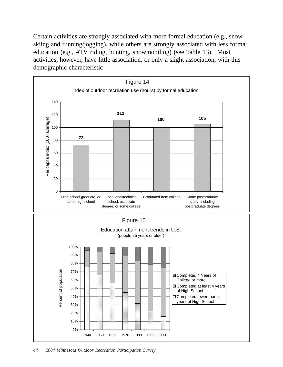Certain activities are strongly associated with more formal education (e.g., snow skiing and running/jogging), while others are strongly associated with less formal education (e.g., ATV riding, hunting, snowmobiling) (see Table 13). Most activities, however, have little association, or only a slight association, with this demographic characteristic

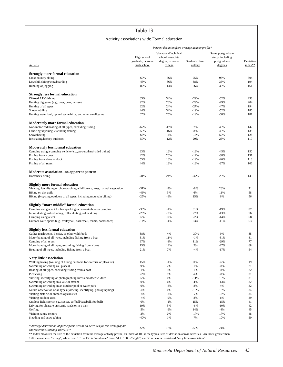### Activity associations with: Formal education

|                                                                                                                                                                                                                                                                                                                                  |                                  |                                           |                  | -------------------- Percent deviation from average activity profile* -------------------- |            |
|----------------------------------------------------------------------------------------------------------------------------------------------------------------------------------------------------------------------------------------------------------------------------------------------------------------------------------|----------------------------------|-------------------------------------------|------------------|--------------------------------------------------------------------------------------------|------------|
|                                                                                                                                                                                                                                                                                                                                  | High school<br>graduate, or some | Vocational/technical<br>school, associate | Graduated from   | Some postgraduate<br>study, including<br>postgraduate                                      | Deviation  |
| Activity                                                                                                                                                                                                                                                                                                                         | high school                      | degree, or some<br>college                | college          | degrees                                                                                    | index**    |
| <b>Strongly more formal education</b>                                                                                                                                                                                                                                                                                            |                                  |                                           |                  |                                                                                            |            |
| Cross country skiing                                                                                                                                                                                                                                                                                                             | $-69%$                           | $-56%$                                    | 25%              | 93%                                                                                        | 304        |
| Downhill skiing/snowboarding                                                                                                                                                                                                                                                                                                     | $-45%$                           | $-36%$                                    | 38%              | 35%                                                                                        | 194        |
| Running or jogging                                                                                                                                                                                                                                                                                                               | $-86%$                           | $-14%$                                    | 26%              | 35%                                                                                        | 161        |
| <b>Strongly less formal education</b>                                                                                                                                                                                                                                                                                            |                                  |                                           |                  |                                                                                            |            |
| Offroad ATV driving                                                                                                                                                                                                                                                                                                              | 85%                              | 34%                                       | $-29%$           | $-62%$                                                                                     | 238        |
| Hunting big game (e.g., deer, bear, moose)                                                                                                                                                                                                                                                                                       | 92%                              | 23%                                       | $-29%$           | $-49%$                                                                                     | 204        |
| Hunting of all types                                                                                                                                                                                                                                                                                                             | 82%                              | 24%                                       | $-27%$           | $-47%$                                                                                     | 194        |
| Snowmobiling                                                                                                                                                                                                                                                                                                                     | 44%<br>67%                       | 34%<br>25%                                | $-19%$<br>$-19%$ | $-52%$<br>$-50%$                                                                           | 186<br>181 |
| Hunting waterfowl, upland game birds, and other small game                                                                                                                                                                                                                                                                       |                                  |                                           |                  |                                                                                            |            |
| Moderately more formal education                                                                                                                                                                                                                                                                                                 |                                  |                                           |                  |                                                                                            |            |
| Non-motorized boating of all types, excluding fishing                                                                                                                                                                                                                                                                            | $-62%$                           | $-17%$                                    | 7%               | 48%                                                                                        | 142        |
| Canoeing/kayaking, excluding fishing                                                                                                                                                                                                                                                                                             | $-59%$                           | $-16%$                                    | 8%               | 46%                                                                                        | 138        |
| Snowshoeing<br>Ice skating/hockey outdoors                                                                                                                                                                                                                                                                                       | $-63%$<br>$-57%$                 | $-2%$<br>$-12%$                           | $-15%$<br>20%    | 50%<br>25%                                                                                 | 128<br>119 |
|                                                                                                                                                                                                                                                                                                                                  |                                  |                                           |                  |                                                                                            |            |
| <b>Moderately less formal education</b>                                                                                                                                                                                                                                                                                          |                                  |                                           |                  |                                                                                            |            |
| Camping using a camping vehicle (e.g., pop-up/hard-sided trailer)                                                                                                                                                                                                                                                                | 83%                              | 12%                                       | $-13%$           | $-45%$                                                                                     | 150        |
| Fishing from a boat                                                                                                                                                                                                                                                                                                              | 42%                              | 20%                                       | $-12%$           | $-38%$                                                                                     | 131        |
| Fishing from shore or dock                                                                                                                                                                                                                                                                                                       | 55%<br>44%                       | 13%<br>13%                                | $-19%$           | $-26%$                                                                                     | 118<br>106 |
| Fishing of all types                                                                                                                                                                                                                                                                                                             |                                  |                                           | $-13%$           | $-27%$                                                                                     |            |
| Moderate association--no apparent pattern                                                                                                                                                                                                                                                                                        |                                  |                                           |                  |                                                                                            |            |
| Horseback riding                                                                                                                                                                                                                                                                                                                 | $-31%$                           | 24%                                       | $-37%$           | 20%                                                                                        | 143        |
| Slightly more formal education                                                                                                                                                                                                                                                                                                   |                                  |                                           |                  |                                                                                            |            |
| Viewing, identifying or photographing wildflowers, trees, natural vegetation                                                                                                                                                                                                                                                     | $-31%$                           | $-3%$                                     | $-8%$            | 28%                                                                                        | 71         |
| Biking on dirt trails                                                                                                                                                                                                                                                                                                            | $-46%$                           | 3%                                        | 6%               | 11%                                                                                        | 58         |
| Biking (bicycling outdoors of all types, including mountain biking)                                                                                                                                                                                                                                                              | $-25%$                           | $-6%$                                     | 15%              | 6%                                                                                         | 56         |
| Slightly "more middle" formal education                                                                                                                                                                                                                                                                                          |                                  |                                           |                  |                                                                                            |            |
| Camping using a tent for backpacking or canoe-in/boat-in camping                                                                                                                                                                                                                                                                 | $-30%$                           | $-1%$                                     | 31%              | $-19%$                                                                                     | 87         |
| Inline skating, rollerblading, roller skating, roller skiing                                                                                                                                                                                                                                                                     | $-26%$                           | $-3%$                                     | 27%              | $-13%$                                                                                     | 76         |
| Camping using a tent                                                                                                                                                                                                                                                                                                             | 6%                               | $-9%$                                     | 22%              | $-14%$                                                                                     | 68         |
| Outdoor court sports (e.g., volleyball, basketball, tennis, horseshoes)                                                                                                                                                                                                                                                          | $-14%$                           | $-4%$                                     | 23%              | $-11%$                                                                                     | 63         |
| Slightly less formal education                                                                                                                                                                                                                                                                                                   |                                  |                                           |                  |                                                                                            |            |
| Gather mushrooms, berries, or other wild foods                                                                                                                                                                                                                                                                                   | 38%                              | 4%                                        | $-30%$           | 9%                                                                                         | 85         |
| Motor boating of all types, including fishing from a boat                                                                                                                                                                                                                                                                        | 31%                              | 11%                                       | $-1%$            | $-31%$                                                                                     | 81         |
| Camping of all types                                                                                                                                                                                                                                                                                                             | 37%                              | $-1\%$                                    | 11%              | $-29%$                                                                                     | 77         |
| Motor boating of all types, excluding fishing from a boat                                                                                                                                                                                                                                                                        | 15%                              | 12%                                       | 2%               | $-27%$                                                                                     | 68         |
| Boating of all types, including fishing from a boat                                                                                                                                                                                                                                                                              | 21%                              | 7%                                        | $-4%$            | $-17%$                                                                                     | 54         |
| Very little association                                                                                                                                                                                                                                                                                                          |                                  |                                           |                  |                                                                                            |            |
| Walking/hiking (walking of hiking outdoors for exercise or pleasure)                                                                                                                                                                                                                                                             | 15%                              | $-1%$                                     | 0%               | $-6%$                                                                                      | 19         |
| Swimming or wading (all places)                                                                                                                                                                                                                                                                                                  | 9%                               | 2%                                        | 1%               | $-8%$                                                                                      | 21         |
| Boating of all types, excluding fishing from a boat                                                                                                                                                                                                                                                                              | 1%                               | 5%                                        | $-1%$            | $-8%$                                                                                      | 22         |
| Picnicking                                                                                                                                                                                                                                                                                                                       | 22%                              | 1%                                        | $-4%$            | $-8%$                                                                                      | 31<br>31   |
| Viewing, identifying or photographing birds and other wildlife<br>Swimming or wading in a lake or stream                                                                                                                                                                                                                         | 5%<br>0%                         | 0%<br>6%                                  | $-11%$<br>4%     | 10%<br>$-13%$                                                                              | 32         |
| Swimming or wading in an outdoor pool or water park                                                                                                                                                                                                                                                                              | 0%                               | -8%                                       | 8%               | 4%                                                                                         | 32         |
| Nature observation of all types (viewing, identifying, photographing)                                                                                                                                                                                                                                                            | $-4%$                            | 0%                                        | $-10%$           | 13%                                                                                        | 34         |
| Visiting historic or archaeological sites                                                                                                                                                                                                                                                                                        | $-5%$                            | $-2%$                                     | $-7%$            | 13%                                                                                        | 34         |
| Visiting outdoor zoos                                                                                                                                                                                                                                                                                                            | $-4%$                            | $-9%$                                     | 8%               | 6%                                                                                         | 39         |
| Outdoor field sports (e.g., soccer, softball/baseball, football)                                                                                                                                                                                                                                                                 | 0%                               | -1%                                       | 15%              | $-15%$                                                                                     | 41         |
| Driving for pleasure on scenic roads or in a park                                                                                                                                                                                                                                                                                | 19%                              | 5%                                        | $-6%$            | $-10%$                                                                                     | 42         |
| Golfing                                                                                                                                                                                                                                                                                                                          | 5%                               | $-9%$                                     | 14%              | $-4%$                                                                                      | 45         |
| Visiting nature centers                                                                                                                                                                                                                                                                                                          | 3%<br>$-40%$                     | 0%<br>1%                                  | $-17%$<br>7%     | 17%<br>10%                                                                                 | 48<br>50   |
| Sledding and snow tubing                                                                                                                                                                                                                                                                                                         |                                  |                                           |                  |                                                                                            |            |
| * Average distribution of participants across all activities for this demographic                                                                                                                                                                                                                                                | 12%                              | 37%                                       | 27%              | 24%                                                                                        |            |
| <i>characteristic, totaling 100%, is</i> $=$                                                                                                                                                                                                                                                                                     |                                  |                                           |                  |                                                                                            |            |
| ** Index measures the size of the deviation from the average activity profile; an index of 100 is the typical size of deviation across activities. An index greater than<br>150 is considered "strong", while from 101 to 150 is "moderate", from 51 to 100 is "slight", and 50 or less is considered "very little association". |                                  |                                           |                  |                                                                                            |            |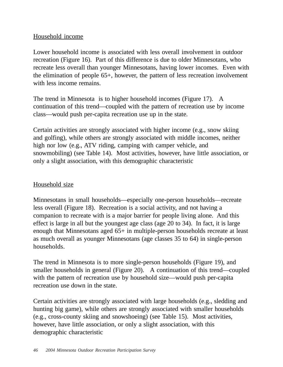# Household income

Lower household income is associated with less overall involvement in outdoor recreation (Figure 16). Part of this difference is due to older Minnesotans, who recreate less overall than younger Minnesotans, having lower incomes. Even with the elimination of people 65+, however, the pattern of less recreation involvement with less income remains.

The trend in Minnesota is to higher household incomes (Figure 17). A continuation of this trend—coupled with the pattern of recreation use by income class—would push per-capita recreation use up in the state.

Certain activities are strongly associated with higher income (e.g., snow skiing and golfing), while others are strongly associated with middle incomes, neither high nor low (e.g., ATV riding, camping with camper vehicle, and snowmobiling) (see Table 14). Most activities, however, have little association, or only a slight association, with this demographic characteristic

## Household size

Minnesotans in small households—especially one-person households—recreate less overall (Figure 18). Recreation is a social activity, and not having a companion to recreate with is a major barrier for people living alone. And this effect is large in all but the youngest age class (age 20 to 34). In fact, it is large enough that Minnesotans aged 65+ in multiple-person households recreate at least as much overall as younger Minnesotans (age classes 35 to 64) in single-person households.

The trend in Minnesota is to more single-person households (Figure 19), and smaller households in general (Figure 20). A continuation of this trend—coupled with the pattern of recreation use by household size—would push per-capita recreation use down in the state.

Certain activities are strongly associated with large households (e.g., sledding and hunting big game), while others are strongly associated with smaller households (e.g., cross-county skiing and snowshoeing) (see Table 15). Most activities, however, have little association, or only a slight association, with this demographic characteristic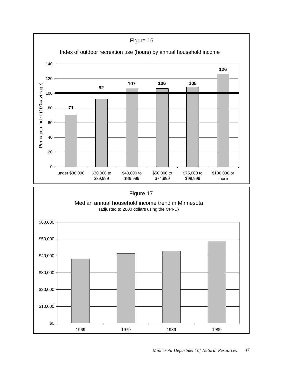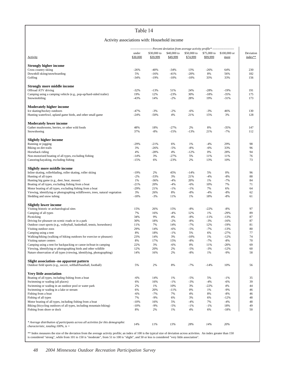#### Activity associations with: Household income

|                                                                                                                                           |                   | --------------------- Percent deviation from average activity profile* --------------------- |                         |                         |              |                                  |                      |
|-------------------------------------------------------------------------------------------------------------------------------------------|-------------------|----------------------------------------------------------------------------------------------|-------------------------|-------------------------|--------------|----------------------------------|----------------------|
| Activity                                                                                                                                  | under<br>\$30,000 | \$30,000 to<br>\$39,999                                                                      | \$40,000 to<br>\$49,999 | \$50,000 to<br>\$74,999 | \$99,999     | \$75,000 to \$100,000 or<br>more | Deviation<br>index** |
|                                                                                                                                           |                   |                                                                                              |                         |                         |              |                                  |                      |
| <b>Strongly higher income</b><br>Cross country skiing                                                                                     | $-26%$            | $-40%$                                                                                       | $-34%$                  | 13%                     | $-26%$       | 64%                              | 230                  |
| Downhill skiing/snowboarding                                                                                                              | 5%                | $-16%$                                                                                       | $-41%$                  | $-20%$                  | 8%           | 56%                              | 182                  |
| Golfing                                                                                                                                   | $-34%$            | $-19%$                                                                                       | $-10%$                  | $-10%$                  | 33%          | 33%                              | 156                  |
|                                                                                                                                           |                   |                                                                                              |                         |                         |              |                                  |                      |
| <b>Strongly more middle income</b>                                                                                                        |                   |                                                                                              |                         |                         |              |                                  |                      |
| Offroad ATV driving                                                                                                                       | $-32%$            | $-13%$                                                                                       | 51%                     | 24%                     | $-28%$       | $-19%$                           | 191                  |
| Camping using a camping vehicle (e.g., pop-up/hard-sided trailer)                                                                         | 19%               | 12%                                                                                          | $-23%$                  | 30%                     | $-18%$       | $-35%$                           | 175                  |
| Snowmobiling                                                                                                                              | $-43%$            | 14%                                                                                          | $-2%$                   | 28%                     | 19%          | $-31%$                           | 173                  |
| <b>Moderately higher income</b>                                                                                                           |                   |                                                                                              |                         |                         |              |                                  |                      |
| Ice skating/hockey outdoors                                                                                                               | $-47%$            | $-3%$                                                                                        | $-2%$                   | $-6%$                   | $-3%$        | 46%                              | 130                  |
| Hunting waterfowl, upland game birds, and other small game                                                                                | $-24%$            | $-50%$                                                                                       | 4%                      | 21%                     | 15%          | 3%                               | 128                  |
|                                                                                                                                           |                   |                                                                                              |                         |                         |              |                                  |                      |
| <b>Moderately lower income</b>                                                                                                            |                   |                                                                                              |                         |                         |              |                                  |                      |
| Gather mushrooms, berries, or other wild foods                                                                                            | 48%               | 18%                                                                                          | $-27%$                  | 2%                      | 8%           | $-35%$                           | 147                  |
| Snowshoeing                                                                                                                               | 37%               | $-8%$                                                                                        | $-15%$                  | $-13%$                  | 21%          | $-7%$                            | 112                  |
|                                                                                                                                           |                   |                                                                                              |                         |                         |              |                                  |                      |
| <b>Slightly higher income</b><br>Running or jogging                                                                                       | $-29%$            | $-21%$                                                                                       | 6%                      | 1%                      | $-4%$        | 29%                              | 98                   |
| Biking on dirt trails                                                                                                                     | 3%                | $-26%$                                                                                       | $-5%$                   | $-8%$                   | $-6%$        | 33%                              | 96                   |
| Horseback riding                                                                                                                          | 4%                | $-28%$                                                                                       | 4%                      | $-12%$                  | 0%           | 28%                              | 94                   |
| Non-motorized boating of all types, excluding fishing                                                                                     | $-14%$            | 3%                                                                                           | $-27%$                  | 5%                      | 11%          | 11%                              | 76                   |
| Canoeing/kayaking, excluding fishing                                                                                                      | $-15%$            | 6%                                                                                           | $-23%$                  | 2%                      | 13%          | 10%                              | 73                   |
|                                                                                                                                           |                   |                                                                                              |                         |                         |              |                                  |                      |
| Slightly more middle income                                                                                                               |                   |                                                                                              |                         |                         |              |                                  |                      |
| Inline skating, rollerblading, roller skating, roller skiing                                                                              | $-19%$            | 2%                                                                                           | 45%                     | $-14%$                  | 5%           | 0%                               | 96                   |
| Hunting of all types                                                                                                                      | $-2%$             | $-33%$                                                                                       | 3%                      | 21%                     | $-4%$        | $-8%$                            | 88                   |
| Hunting big game (e.g., deer, bear, moose)                                                                                                | 1%                | $-36%$                                                                                       | $-4%$                   | 20%                     | 1%           | $-7%$                            | 84                   |
| Boating of all types, excluding fishing from a boat                                                                                       | $-21%$            | 20%                                                                                          | $-4%$                   | $-6%$                   | 10%          | 7%                               | 71                   |
| Motor boating of all types, excluding fishing from a boat<br>Viewing, identifying or photographing wildflowers, trees, natural vegetation | $-29%$<br>3%      | 21%<br>26%                                                                                   | $-1%$<br>8%             | $-1%$<br>$-8%$          | 7%<br>$-4%$  | 6%<br>$-8%$                      | 64<br>62             |
| Sledding and snow tubing                                                                                                                  | $-18%$            | $-3%$                                                                                        | 11%                     | 1%                      | 18%          | $-8%$                            | 61                   |
|                                                                                                                                           |                   |                                                                                              |                         |                         |              |                                  |                      |
| <b>Slightly lower income</b>                                                                                                              |                   |                                                                                              |                         |                         |              |                                  |                      |
| Visiting historic or archaeological sites                                                                                                 | 15%               | 26%                                                                                          | 15%                     | $-8%$                   | $-22%$       | $-8%$                            | 97                   |
| Camping of all types                                                                                                                      | 7%                | 16%                                                                                          | $-4%$                   | 12%                     | 1%           | $-29%$                           | 89                   |
| Picnicking                                                                                                                                | 34%               | 9%                                                                                           | 4%                      | $-8%$                   | $-11%$       | $-13%$                           | 87                   |
| Driving for pleasure on scenic roads or in a park                                                                                         | 30%               | 18%                                                                                          | $-2%$                   | $-8%$                   | $-3%$        | $-16%$                           | 87                   |
| Outdoor court sports (e.g., volleyball, basketball, tennis, horseshoes)                                                                   | 11%<br>29%        | 7%                                                                                           | 14%                     | $-7%$<br>$-5%$          | 12%<br>$-7%$ | $-19%$                           | 81<br>80             |
| Visiting outdoor zoos<br>Camping using a tent                                                                                             | 8%                | 14%<br>18%                                                                                   | $-6%$<br>$-1%$          | 5%                      | 6%           | $-13%$<br>$-27%$                 | 77                   |
| Walking/hiking (walking of hiking outdoors for exercise or pleasure)                                                                      | 23%               | 14%                                                                                          | 3%                      | $-10%$                  | 1%           | $-12%$                           | 74                   |
| Visiting nature centers                                                                                                                   | 8%                | 17%                                                                                          | 15%                     | $-8%$                   | $-7%$        | $-8%$                            | 70                   |
| Camping using a tent for backpacking or canoe-in/boat-in camping                                                                          | 22%               | 3%                                                                                           | $-6%$                   | 0%                      | 11%          | $-20%$                           | 69                   |
| Viewing, identifying or photographing birds and other wildlife                                                                            | 12%               | 20%                                                                                          | 2%                      | $-5%$                   | $-3%$        | $-12%$                           | 60                   |
| Nature observation of all types (viewing, identifying, photographing)                                                                     | 14%               | 16%                                                                                          | 2%                      | $-8%$                   | 1%           | $-9%$                            | 58                   |
|                                                                                                                                           |                   |                                                                                              |                         |                         |              |                                  |                      |
| Slight association--no apparent pattern                                                                                                   |                   |                                                                                              |                         |                         |              |                                  |                      |
| Outdoor field sports (e.g., soccer, softball/baseball, football)                                                                          | 5%                | 2%                                                                                           | 8%                      | $-7%$                   | $-14%$       | 10%                              | 56                   |
| Very little association                                                                                                                   |                   |                                                                                              |                         |                         |              |                                  |                      |
| Boating of all types, including fishing from a boat                                                                                       | $-6%$             | 14%                                                                                          | 1%                      | $-5%$                   | 5%           | $-1%$                            | 35                   |
| Swimming or wading (all places)                                                                                                           | 6%                | 16%                                                                                          | $-1%$                   | $-3%$                   | $-4%$        | $-6%$                            | 39                   |
| Swimming or wading in an outdoor pool or water park                                                                                       | 2%                | 1%                                                                                           | 10%                     | 3%                      | $-22%$       | 4%                               | 44                   |
| Swimming or wading in a lake or stream                                                                                                    | 6%                | 20%                                                                                          | $-11%$                  | 0%                      | 1%           | $-9%$                            | 46                   |
| Fishing from a boat                                                                                                                       | $-6%$             | $-7%$                                                                                        | 7%                      | 4%                      | 8%           | $-8%$                            | 46                   |
| Fishing of all types                                                                                                                      | 7%                | $-9%$                                                                                        | 6%                      | 3%                      | 6%           | $-12%$                           | 48                   |
| Motor boating of all types, including fishing from a boat                                                                                 | $-10%$            | 16%                                                                                          | 5%                      | $-4%$                   | 7%           | $-4%$                            | 48                   |
| Biking (bicycling outdoors of all types, including mountain biking)                                                                       | $-10%$            | $-9%$                                                                                        | $-5%$                   | $-1%$                   | $-1%$        | 18%                              | 49                   |
| Fishing from shore or dock                                                                                                                | 8%                | 2%                                                                                           | 1%                      | 4%                      | 6%           | $-18%$                           | 50                   |
|                                                                                                                                           |                   |                                                                                              |                         |                         |              |                                  |                      |
| * Average distribution of participants across all activities for this demographic                                                         |                   |                                                                                              |                         |                         |              |                                  |                      |
| <i>characteristic, totaling 100%, is</i> $=$                                                                                              | 14%               | 11%                                                                                          | 13%                     | 28%                     | 14%          | 20%                              |                      |
|                                                                                                                                           |                   |                                                                                              |                         |                         |              |                                  |                      |

\*\* Index measures the size of the deviation from the average activity profile; an index of 100 is the typical size of deviation across activities. An index greater than 150 is considered "strong", while from 101 to 150 is "moderate", from 51 to 100 is "slight", and 50 or less is considered "very little association".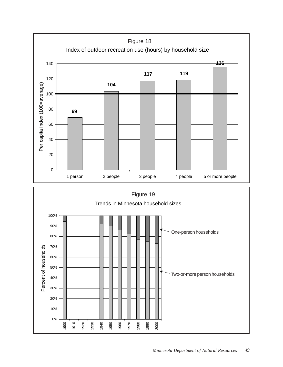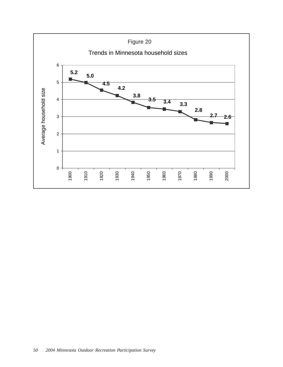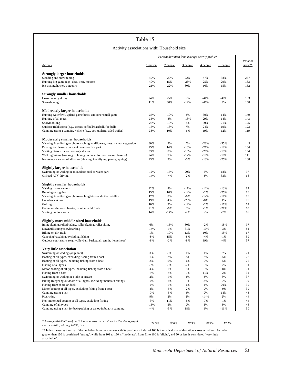#### Activity associations with: Household size

|                                                                                   |                 |             |                  | ---------- Percent deviation from average activity profile* ----------- |              |                      |
|-----------------------------------------------------------------------------------|-----------------|-------------|------------------|-------------------------------------------------------------------------|--------------|----------------------|
| <b>Activity</b>                                                                   | 1 person        | 2 people    | 3 people         | 4 people                                                                | $5+$ people  | Deviation<br>index** |
| <b>Strongly larger households</b>                                                 |                 |             |                  |                                                                         |              |                      |
| Sledding and snow tubing                                                          | $-49%$          | $-29%$      | 22%              | 47%                                                                     | 38%          | 267                  |
| Hunting big game (e.g., deer, bear, moose)                                        | $-40%$          | 15%         | $-23%$           | 25%                                                                     | 29%          | 183                  |
| Ice skating/hockey outdoors                                                       | $-21%$          | $-22%$      | 30%              | 16%                                                                     | 15%          | 152                  |
| <b>Strongly smaller households</b>                                                |                 |             |                  |                                                                         |              |                      |
| Cross country skiing                                                              | 24%             | 25%         | 7%               | $-41%$                                                                  | $-40%$       | 193                  |
| Snowshoeing                                                                       | 11%             | 30%         | $-12%$           | $-46%$                                                                  | 9%           | 168                  |
| <b>Moderately larger households</b>                                               |                 |             |                  |                                                                         |              |                      |
| Hunting waterfowl, upland game birds, and other small game                        | $-35%$          | $-10%$      | 3%               | 39%                                                                     | 14%          | 149                  |
| Hunting of all types                                                              | $-35%$          | 8%          | $-13%$           | 29%                                                                     | 14%          | 143                  |
| Snowmobiling                                                                      | $-25%$          | $-10%$      | $-4%$            | 30%                                                                     | 21%          | 125                  |
| Outdoor field sports (e.g., soccer, softball/baseball, football)                  | $-16%$          | $-18%$      | 7%               | 24%                                                                     | 19%          | 123                  |
| Camping using a camping vehicle (e.g., pop-up/hard-sided trailer)                 | $-33%$          | 10%         | $-6%$            | 19%                                                                     | 12%          | 119                  |
| <b>Moderately smaller households</b>                                              |                 |             |                  |                                                                         |              |                      |
| Viewing, identifying or photographing wildflowers, trees, natural vegetation      | 30%             | 9%          | 5%               | $-28%$                                                                  | $-35%$       | 145                  |
| Driving for pleasure on scenic roads or in a park                                 | 25%             | 14%         | $-13%$           | $-27%$                                                                  | $-12%$       | 134                  |
| Visiting historic or archaeological sites                                         | 33%             | 8%          | $-10%$           | $-26%$                                                                  | $-18%$       | 134                  |
| Walking/hiking (walking of hiking outdoors for exercise or pleasure)              | 24%             | 9%          | $-12%$           | $-16%$                                                                  | $-18%$       | 111                  |
| Nature observation of all types (viewing, identifying, photographing)             | 23%             | 9%          | $-5%$            | $-18%$                                                                  | $-25%$       | 108                  |
| <b>Slightly larger households</b>                                                 |                 |             |                  |                                                                         |              |                      |
| Swimming or wading in an outdoor pool or water park                               | $-12%$          | $-15%$      | 20%              | 5%                                                                      | 18%          | 97                   |
| Offroad ATV driving                                                               | $-14%$          | $-4%$       | $-2%$            | 3%                                                                      | 33%          | 66                   |
| <b>Slightly smaller households</b>                                                |                 |             |                  |                                                                         |              |                      |
| Visiting nature centers                                                           | 22%             | 4%          | $-11%$           | $-12%$                                                                  | $-13%$       | 87                   |
| Running or jogging                                                                | 15%             | 10%         | $-14%$           | $-2%$                                                                   | $-25%$       | 86                   |
| Viewing, identifying or photographing birds and other wildlife                    | 17%             | 8%          | $-6%$            | $-14%$                                                                  | $-17%$       | 86                   |
| Horseback riding<br>Golfing                                                       | 19%<br>10%      | 4%<br>9%    | $-20%$<br>$-12%$ | $-8%$<br>$-2%$                                                          | 1%<br>$-17%$ | 76<br>67             |
| Gather mushrooms, berries, or other wild foods                                    | 21%             | $-6%$       | 0%               | $-1%$                                                                   | $-21%$       | 65                   |
| Visiting outdoor zoos                                                             | 14%             | $-14%$      | $-2%$            | 7%                                                                      | $-2%$        | 65                   |
| Slightly more middle-sized households                                             |                 |             |                  |                                                                         |              |                      |
| Inline skating, rollerblading, roller skating, roller skiing                      | 6%              | $-15%$      | 30%              | $-2%$                                                                   | $-18%$       | 97                   |
| Downhill skiing/snowboarding                                                      | $-14%$          | $-1%$       | 31%              | $-10%$                                                                  | $-3%$        | 81                   |
| Biking on dirt trails                                                             | 1%              | $-10%$      | 13%              | 10%                                                                     | $-15%$       | 67                   |
| Canoeing/kayaking, excluding fishing                                              | $-8%$           | 15%         | $-8%$            | $-4%$                                                                   | $-1\%$       | 59                   |
| Outdoor court sports (e.g., volleyball, basketball, tennis, horseshoes)           | $-8%$           | $-2%$       | -8%              | 19%                                                                     | $-4%$        | 57                   |
| Very little association                                                           |                 |             |                  |                                                                         |              |                      |
| Swimming or wading (all places)                                                   | 3%              | $-5%$       | 1%               | 1%                                                                      | 3%           | 21                   |
| Boating of all types, excluding fishing from a boat                               | 1%              | 2%          | $-5%$            | 3%                                                                      | $-5%$        | 22                   |
| Boating of all types, including fishing from a boat                               | 2%              | 5%          | $-6%$            | 0%                                                                      | $-5%$        | 25                   |
| Fishing of all types                                                              | $-5%$           | $-3%$       | $-2%$            | 6%                                                                      | 7%           | 31                   |
| Motor boating of all types, including fishing from a boat                         | 4%              | $-1%$       | $-5%$            | 6%                                                                      | $-8%$        | 31                   |
| Fishing from a boat                                                               | $-5%$           | $-4%$       | -1%              | 11%                                                                     | $-2%$        | 34                   |
| Swimming or wading in a lake or stream                                            | 2%              | $-9%$       | 4%               | 3%                                                                      | 6%           | 37                   |
| Biking (bicycling outdoors of all types, including mountain biking)               | $-6%$           | $-4%$       | $-1%$            | 8%                                                                      | 9%           | 39                   |
| Fishing from shore or dock                                                        | $-6%$           | $-1%$       | $-6%$            | 1%                                                                      | 20%          | 39                   |
| Motor boating of all types, excluding fishing from a boat                         | 4%              | $-5%$       | $-2%$            | 9%                                                                      | $-9%$        | 39                   |
| Camping using a tent                                                              | $-7%$           | $-5%$       | 4%               | 0%                                                                      | 18%          | 43                   |
| Picnicking                                                                        | 9%              | 2%          | 2%               | -14%                                                                    | 2%           | 44                   |
| Non-motorized boating of all types, excluding fishing<br>Camping of all types     | $-3%$           | 11%         | -5%              | $-7%$                                                                   | $-1\%$       | 44<br>46             |
| Camping using a tent for backpacking or canoe-in/boat-in camping                  | $-15%$<br>$-4%$ | 5%<br>$-5%$ | 0%<br>18%        | 5%<br>1%                                                                | 6%<br>$-11%$ | 50                   |
|                                                                                   |                 |             |                  |                                                                         |              |                      |
| * Average distribution of participants across all activities for this demographic | 21.5%           | 27.6%       | 17.9%            | 20.9%                                                                   | 12.1%        |                      |

association".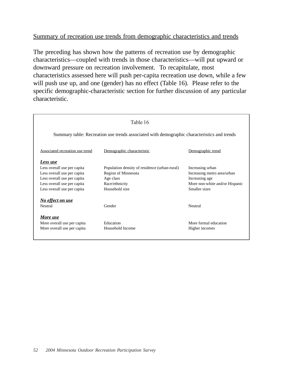# Summary of recreation use trends from demographic characteristics and trends

The preceding has shown how the patterns of recreation use by demographic characteristics—coupled with trends in those characteristics—will put upward or downward pressure on recreation involvement. To recapitulate, most characteristics assessed here will push per-capita recreation use down, while a few will push use up, and one (gender) has no effect (Table 16). Please refer to the specific demographic-characteristic section for further discussion of any particular characteristic.

|                                 | Table 16                                                                                    |                                |
|---------------------------------|---------------------------------------------------------------------------------------------|--------------------------------|
|                                 | Summary table: Recreation use trends associated with demographic characteristics and trends |                                |
| Associated recreation use trend | Demographic characteristic                                                                  | Demographic trend              |
| Less use                        |                                                                                             |                                |
| Less overall use per capita     | Population density of residence (urban-rural)                                               | Increasing urban               |
| Less overall use per capita     | <b>Region of Minnesota</b>                                                                  | Increasing metro area/urban    |
| Less overall use per capita     | Age class                                                                                   | Increasing age                 |
| Less overall use per capita     | Race/ethnicity                                                                              | More non-white and/or Hispanic |
| Less overall use per capita     | Household size                                                                              | Smaller sizes                  |
| No effect on use                |                                                                                             |                                |
| Neutral                         | Gender                                                                                      | Neutral                        |
| More use                        |                                                                                             |                                |
| More overall use per capita     | Education                                                                                   | More formal education          |
| More overall use per capita     | Household Income                                                                            | Higher incomes                 |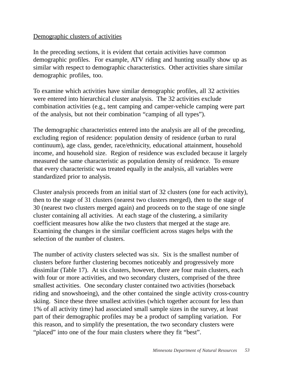# Demographic clusters of activities

In the preceding sections, it is evident that certain activities have common demographic profiles. For example, ATV riding and hunting usually show up as similar with respect to demographic characteristics. Other activities share similar demographic profiles, too.

To examine which activities have similar demographic profiles, all 32 activities were entered into hierarchical cluster analysis. The 32 activities exclude combination activities (e.g., tent camping and camper-vehicle camping were part of the analysis, but not their combination "camping of all types").

The demographic characteristics entered into the analysis are all of the preceding, excluding region of residence: population density of residence (urban to rural continuum), age class, gender, race/ethnicity, educational attainment, household income, and household size. Region of residence was excluded because it largely measured the same characteristic as population density of residence. To ensure that every characteristic was treated equally in the analysis, all variables were standardized prior to analysis.

Cluster analysis proceeds from an initial start of 32 clusters (one for each activity), then to the stage of 31 clusters (nearest two clusters merged), then to the stage of 30 (nearest two clusters merged again) and proceeds on to the stage of one single cluster containing all activities. At each stage of the clustering, a similarity coefficient measures how alike the two clusters that merged at the stage are. Examining the changes in the similar coefficient across stages helps with the selection of the number of clusters.

The number of activity clusters selected was six. Six is the smallest number of clusters before further clustering becomes noticeably and progressively more dissimilar (Table 17). At six clusters, however, there are four main clusters, each with four or more activities, and two secondary clusters, comprised of the three smallest activities. One secondary cluster contained two activities (horseback riding and snowshoeing), and the other contained the single activity cross-country skiing. Since these three smallest activities (which together account for less than 1% of all activity time) had associated small sample sizes in the survey, at least part of their demographic profiles may be a product of sampling variation. For this reason, and to simplify the presentation, the two secondary clusters were "placed" into one of the four main clusters where they fit "best".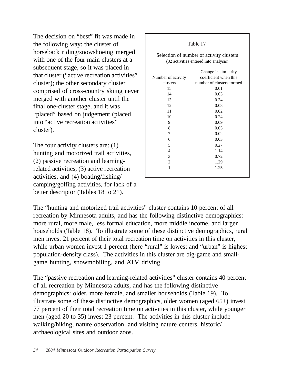The decision on "best" fit was made in the following way: the cluster of horseback riding/snowshoeing merged with one of the four main clusters at a subsequent stage, so it was placed in that cluster ("active recreation activities" cluster); the other secondary cluster comprised of cross-country skiing never merged with another cluster until the final one-cluster stage, and it was "placed" based on judgement (placed into "active recreation activities" cluster).

The four activity clusters are: (1) hunting and motorized trail activities, (2) passive recreation and learningrelated activities, (3) active recreation activities, and (4) boating/fishing/ camping/golfing activities, for lack of a better descriptor (Tables 18 to 21).

|                    | Table 17                                                                          |
|--------------------|-----------------------------------------------------------------------------------|
|                    | Selection of number of activity clusters<br>(32 activities entered into analysis) |
|                    | Change in similarity                                                              |
| Number of activity | coefficient when this                                                             |
| clusters           | number of clusters formed                                                         |
| 15                 | 0.01                                                                              |
| 14                 | 0.03                                                                              |
| 13                 | 0.34                                                                              |
| 12                 | 0.08                                                                              |
| 11                 | 0.02                                                                              |
| 10                 | 0.24                                                                              |
| 9                  | 0.09                                                                              |
| 8                  | 0.05                                                                              |
| 7                  | 0.02                                                                              |
| 6                  | 0.03                                                                              |
| 5                  | 0.27                                                                              |
| $\overline{4}$     | 1.14                                                                              |
| 3                  | 0.72                                                                              |
| $\overline{2}$     | 1.29                                                                              |
| 1                  | 1.25                                                                              |
|                    |                                                                                   |

The "hunting and motorized trail activities" cluster contains 10 percent of all recreation by Minnesota adults, and has the following distinctive demographics: more rural, more male, less formal education, more middle income, and larger households (Table 18). To illustrate some of these distinctive demographics, rural men invest 21 percent of their total recreation time on activities in this cluster, while urban women invest 1 percent (here "rural" is lowest and "urban" is highest population-density class). The activities in this cluster are big-game and smallgame hunting, snowmobiling, and ATV driving.

Г

The "passive recreation and learning-related activities" cluster contains 40 percent of all recreation by Minnesota adults, and has the following distinctive demographics: older, more female, and smaller households (Table 19). To illustrate some of these distinctive demographics, older women (aged 65+) invest 77 percent of their total recreation time on activities in this cluster, while younger men (aged 20 to 35) invest 23 percent. The activities in this cluster include walking/hiking, nature observation, and visiting nature centers, historic/ archaeological sites and outdoor zoos.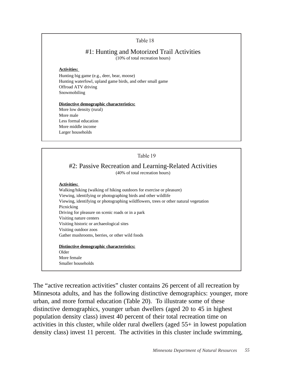## #1: Hunting and Motorized Trail Activities

(10% of total recreation hours)

#### **Activities:**

Hunting big game (e.g., deer, bear, moose) Hunting waterfowl, upland game birds, and other small game Offroad ATV driving Snowmobiling

#### **Distinctive demographic characteristics:**

More low density (rural) More male Less formal education More middle income Larger households



The "active recreation activities" cluster contains 26 percent of all recreation by Minnesota adults, and has the following distinctive demographics: younger, more urban, and more formal education (Table 20). To illustrate some of these distinctive demographics, younger urban dwellers (aged 20 to 45 in highest population density class) invest 40 percent of their total recreation time on activities in this cluster, while older rural dwellers (aged 55+ in lowest population density class) invest 11 percent. The activities in this cluster include swimming,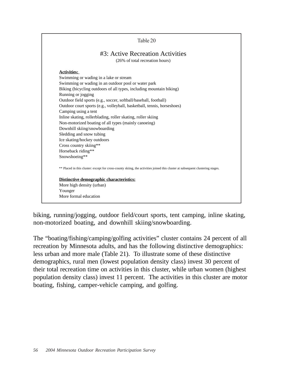

biking, running/jogging, outdoor field/court sports, tent camping, inline skating, non-motorized boating, and downhill skiing/snowboarding.

The "boating/fishing/camping/golfing activities" cluster contains 24 percent of all recreation by Minnesota adults, and has the following distinctive demographics: less urban and more male (Table 21). To illustrate some of these distinctive demographics, rural men (lowest population density class) invest 30 percent of their total recreation time on activities in this cluster, while urban women (highest population density class) invest 11 percent. The activities in this cluster are motor boating, fishing, camper-vehicle camping, and golfing.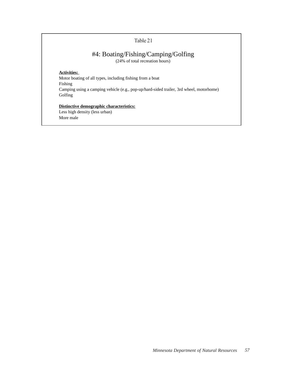# #4: Boating/Fishing/Camping/Golfing

(24% of total recreation hours)

#### **Activities:**

Motor boating of all types, including fishing from a boat Fishing Camping using a camping vehicle (e.g., pop-up/hard-sided trailer, 3rd wheel, motorhome) Golfing

## **Distinctive demographic characteristics:**

Less high density (less urban) More male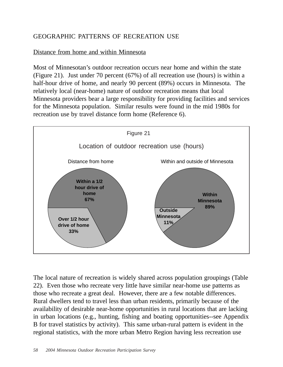# GEOGRAPHIC PATTERNS OF RECREATION USE

# Distance from home and within Minnesota

Most of Minnesotan's outdoor recreation occurs near home and within the state (Figure 21). Just under 70 percent (67%) of all recreation use (hours) is within a half-hour drive of home, and nearly 90 percent (89%) occurs in Minnesota. The relatively local (near-home) nature of outdoor recreation means that local Minnesota providers bear a large responsibility for providing facilities and services for the Minnesota population. Similar results were found in the mid 1980s for recreation use by travel distance form home (Reference 6).



The local nature of recreation is widely shared across population groupings (Table 22). Even those who recreate very little have similar near-home use patterns as those who recreate a great deal. However, there are a few notable differences. Rural dwellers tend to travel less than urban residents, primarily because of the availability of desirable near-home opportunities in rural locations that are lacking in urban locations (e.g., hunting, fishing and boating opportunities--see Appendix B for travel statistics by activity). This same urban-rural pattern is evident in the regional statistics, with the more urban Metro Region having less recreation use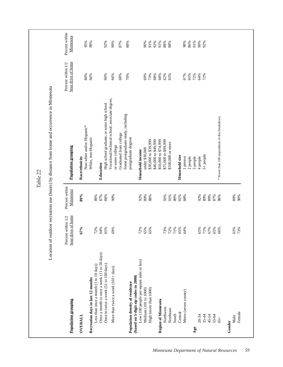|                                                                                      |                                          |                             | Table 22                                                                         |                                          |                             |
|--------------------------------------------------------------------------------------|------------------------------------------|-----------------------------|----------------------------------------------------------------------------------|------------------------------------------|-----------------------------|
| Location of                                                                          |                                          |                             | outdoor recreation use (hours) by distance from home and occurrence in Minnesota |                                          |                             |
| Population grouping                                                                  | hour drive of home<br>Percent within 1/2 | Percent within<br>Minnesota | Population grouping                                                              | hour drive of home<br>Percent within 1/2 | Percent within<br>Minnesota |
| <b>OVERALL</b>                                                                       | 67%                                      | 89%                         | Non-white and/or Hispanic*<br>Race/ethnicity                                     | 80%                                      | 95%                         |
| Less than once a month (1 to 10 days)<br>Recreation days in last 12 months           | 72%                                      | 89%                         | White, non-Hispanic                                                              | 66%                                      | 89%                         |
| Once a month to once a week (11 to 50 days)<br>Once to twice a week (51 to 100 days) | 65%<br>64%                               | 87%<br>88%                  | High school graduate, or some high school<br>Education                           | 66%                                      | 92%                         |
| More than twice a week (101+ days)                                                   | 69%                                      | 90%                         | Vocational/technical school, associate degree,<br>or some college                | 66%                                      | 90%                         |
|                                                                                      |                                          |                             | Graduated from college                                                           | 68%                                      | 87%                         |
| (based on 5-digit zip codes in 2000)<br>Population density of residence              |                                          |                             | Some postgraduate study, including<br>postgraduate degrees                       | 70%                                      | 88%                         |
| Low (100 people per square mile or less)                                             | 72%                                      | 92%                         | Household income                                                                 |                                          |                             |
| Medium (101 to 1000)                                                                 | 65%                                      | 89%                         | under \$30,000                                                                   | 69%                                      | 90%                         |
| High (more than 1000)                                                                | 65%                                      | 88%                         | \$30,000 to \$39,999                                                             | 73%                                      | 91%                         |
|                                                                                      |                                          |                             | \$40,000 to \$49,999                                                             | 68%                                      | 92%                         |
| Region of Minnesota                                                                  |                                          |                             | \$50,000 to \$74,999                                                             | 68%                                      | 91%                         |
| Northwest                                                                            | 73%                                      | 93%                         | \$75,000 to \$99,999                                                             | 62%                                      | 88%                         |
| Northeast                                                                            | 72%                                      | 91%                         | \$100,000 or more                                                                | 65%                                      | 88%                         |
| South                                                                                | 71%                                      | 89%                         |                                                                                  |                                          |                             |
| Central                                                                              | 65%                                      | 92%                         | Household size                                                                   |                                          |                             |
| Metro (seven county)                                                                 | 64%                                      | 88%                         | 1 person                                                                         | 67%                                      | 90%                         |
|                                                                                      |                                          |                             | 2 people                                                                         | 65%                                      | 86%                         |
| Age                                                                                  |                                          |                             | 3 people                                                                         | 72%                                      | 91%                         |
| $20 - 34$                                                                            | 65%                                      | 92%                         | 4 people                                                                         | 64%                                      | 90%                         |
| $35 - 44$                                                                            | 71%                                      | 89%                         | 5+ people                                                                        | 72%                                      | 92%                         |
| 45-54                                                                                | 67%                                      | 89%                         |                                                                                  |                                          |                             |
| $55 - 64$<br>$65 +$                                                                  | 65%                                      | 87%                         |                                                                                  |                                          |                             |
|                                                                                      | 66%                                      | 86%                         | * Fewer than 100 respondents in this breakdown.                                  |                                          |                             |
| Gender                                                                               |                                          |                             |                                                                                  |                                          |                             |
| Male                                                                                 | 63%                                      | 89%                         |                                                                                  |                                          |                             |
| Female                                                                               | 73%                                      | 90%                         |                                                                                  |                                          |                             |
|                                                                                      |                                          |                             |                                                                                  |                                          |                             |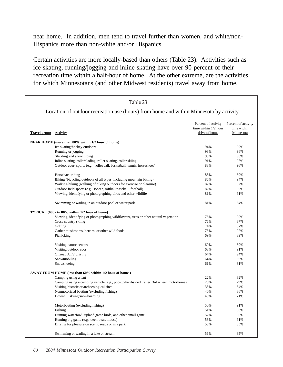near home. In addition, men tend to travel further than women, and white/non-Hispanics more than non-white and/or Hispanics.

Certain activities are more locally-based than others (Table 23). Activities such as ice skating, running/jogging and inline skating have over 90 percent of their recreation time within a half-hour of home. At the other extreme, are the activities for which Minnesotans (and other Midwest residents) travel away from home.

|                              | Table 23                                                                                |                                                              |                                                 |
|------------------------------|-----------------------------------------------------------------------------------------|--------------------------------------------------------------|-------------------------------------------------|
|                              | Location of outdoor recreation use (hours) from home and within Minnesota by activity   |                                                              |                                                 |
| <b>Travel group Activity</b> |                                                                                         | Percent of activity<br>time within 1/2 hour<br>drive of home | Percent of activity<br>time within<br>Minnesota |
|                              | NEAR HOME (more than 80% within 1/2 hour of home)                                       |                                                              |                                                 |
|                              | Ice skating/hockey outdoors                                                             | 94%                                                          | 99%                                             |
|                              | Running or jogging                                                                      | 93%                                                          | 96%                                             |
|                              | Sledding and snow tubing                                                                | 93%                                                          | 98%                                             |
|                              | Inline skating, rollerblading, roller skating, roller skiing                            | 91%                                                          | 97%                                             |
|                              | Outdoor court sports (e.g., volleyball, basketball, tennis, horseshoes)                 | 88%                                                          | 96%                                             |
|                              | Horseback riding                                                                        | 86%                                                          | 89%                                             |
|                              | Biking (bicycling outdoors of all types, including mountain biking)                     | 86%                                                          | 94%                                             |
|                              | Walking/hiking (walking of hiking outdoors for exercise or pleasure)                    | 82%                                                          | 92%                                             |
|                              | Outdoor field sports (e.g., soccer, softball/baseball, football)                        | 82%                                                          | 95%                                             |
|                              | Viewing, identifying or photographing birds and other wildlife                          | 81%                                                          | 91%                                             |
|                              | Swimming or wading in an outdoor pool or water park                                     | 81%                                                          | 84%                                             |
|                              | TYPICAL (60% to 80% within 1/2 hour of home)                                            |                                                              |                                                 |
|                              | Viewing, identifying or photographing wildflowers, trees or other natural vegetation    | 78%                                                          | 90%                                             |
|                              | Cross country skiing                                                                    | 76%                                                          | 87%                                             |
|                              | Golfing                                                                                 | 74%                                                          | 87%                                             |
|                              | Gather mushrooms, berries, or other wild foods                                          | 73%                                                          | 92%                                             |
|                              | Picnicking                                                                              | 69%                                                          | 89%                                             |
|                              | Visiting nature centers                                                                 | 69%                                                          | 89%                                             |
|                              | Visiting outdoor zoos                                                                   | 68%                                                          | 91%                                             |
|                              | Offroad ATV driving                                                                     | 64%                                                          | 94%                                             |
|                              | Snowmobiling                                                                            | 64%                                                          | 86%                                             |
|                              | Snowshoeing                                                                             | 61%                                                          | 81%                                             |
|                              | AWAY FROM HOME (less than 60% within 1/2 hour of home)                                  |                                                              |                                                 |
|                              | Camping using a tent                                                                    | 22%                                                          | 82%                                             |
|                              | Camping using a camping vehicle (e.g., pop-up/hard-sided trailer, 3rd wheel, motorhome) | 25%                                                          | 79%                                             |
|                              | Visiting historic or archaeological sites                                               | 35%                                                          | 64%                                             |
|                              | Nonmotorized boating (excluding fishing)                                                | 40%                                                          | 86%                                             |
|                              | Downhill skiing/snowboarding                                                            | 43%                                                          | 71%                                             |
|                              | Motorboating (excluding fishing)                                                        | 50%                                                          | 91%                                             |
|                              | Fishing                                                                                 | 51%                                                          | 88%                                             |
|                              | Hunting waterfowl, upland game birds, and other small game                              | 52%                                                          | 90%                                             |
|                              | Hunting big game (e.g., deer, bear, moose)                                              | 53%                                                          | 91%                                             |
|                              | Driving for pleasure on scenic roads or in a park                                       | 53%                                                          | 85%                                             |
|                              | Swimming or wading in a lake or stream                                                  | 56%                                                          | 85%                                             |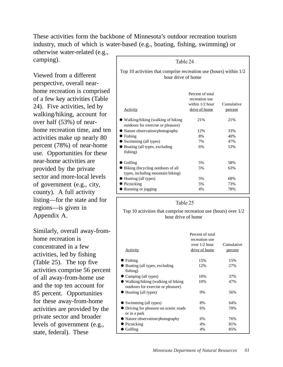These activities form the backbone of Minnesota's outdoor recreation tourism industry, much of which is water-based (e.g., boating, fishing, swimming) or otherwise water-related (e.g.,

camping).

Viewed from a different perspective, overall nearhome recreation is comprised of a few key activities (Table 24). Five activities, led by walking/hiking, account for over half (53%) of nearhome recreation time, and ten activities make up nearly 80 percent (78%) of near-home use. Opportunities for these near-home activities are provided by the private sector and more-local levels of government (e.g., city, county). A full activity listing—for the state and for regions—is given in Appendix A.

Similarly, overall away-fromhome recreation is concentrated in a few activities, led by fishing (Table 25). The top five activities comprise 56 percent of all away-from-home use and the top ten account for 85 percent. Opportunities for these away-from-home activities are provided by the private sector and broader levels of government (e.g., state, federal). These

Table 24 **Activity** Percent of total recreation use within 1/2 hour drive of home Cumulative percent ● Walking/hiking (walking of hiking outdoors for exercise or pleasure) 21% 21% • Nature observation/photography 12% 33%  $\bullet$  Fishing  $8\%$  40% • Swimming (all types) 7% 47% ● Boating (all types, excluding fishing) 6% 53%  $\bullet$  Golfing  $5\%$  58% ● Biking (bicycling outdoors of all types, including mountain biking) 5% 63% ● Hunting (all types) 5% 68% • Picnicking 5% 73% • Running or jogging 4% 4% 78% Top 10 activities that comprise recreation use (hours) within 1/2 hour drive of home

#### Table 25

#### Top 10 activities that comprise recreation use (hours) over 1/2 hour drive of home

| <b>Activity</b>                                                                   | Percent of total<br>recreation use<br>over $1/2$ hour<br>drive of home | Cumulative<br>percent |
|-----------------------------------------------------------------------------------|------------------------------------------------------------------------|-----------------------|
| Fishing                                                                           | 15%                                                                    | 15%                   |
| Boating (all types, excluding                                                     | 12%                                                                    | 27%                   |
| fishing)                                                                          |                                                                        |                       |
| Camping (all types)                                                               | 10%                                                                    | 37%                   |
| $\bullet$ Walking/hiking (walking of hiking<br>outdoors for exercise or pleasure) | 10%                                                                    | 47%                   |
| $\bullet$ Hunting (all types)                                                     | 9%                                                                     | 56%                   |
| Swimming (all types)                                                              | 8%                                                                     | 64%                   |
| Driving for pleasure on scenic roads<br>or in a park                              | 6%                                                                     | 70%                   |
| • Nature observation/photography                                                  | 6%                                                                     | 76%                   |
| Picnicking                                                                        | 4%                                                                     | 81%                   |
| Golfing                                                                           | 4%                                                                     | 85%                   |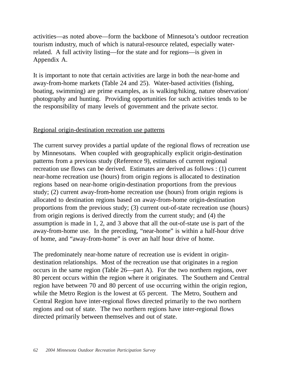activities—as noted above—form the backbone of Minnesota's outdoor recreation tourism industry, much of which is natural-resource related, especially waterrelated. A full activity listing—for the state and for regions—is given in Appendix A.

It is important to note that certain activities are large in both the near-home and away-from-home markets (Table 24 and 25). Water-based activities (fishing, boating, swimming) are prime examples, as is walking/hiking, nature observation/ photography and hunting. Providing opportunities for such activities tends to be the responsibility of many levels of government and the private sector.

## Regional origin-destination recreation use patterns

The current survey provides a partial update of the regional flows of recreation use by Minnesotans. When coupled with geographically explicit origin-destination patterns from a previous study (Reference 9), estimates of current regional recreation use flows can be derived. Estimates are derived as follows : (1) current near-home recreation use (hours) from origin regions is allocated to destination regions based on near-home origin-destination proportions from the previous study; (2) current away-from-home recreation use (hours) from origin regions is allocated to destination regions based on away-from-home origin-destination proportions from the previous study; (3) current out-of-state recreation use (hours) from origin regions is derived directly from the current study; and (4) the assumption is made in 1, 2, and 3 above that all the out-of-state use is part of the away-from-home use. In the preceding, "near-home" is within a half-hour drive of home, and "away-from-home" is over an half hour drive of home.

The predominately near-home nature of recreation use is evident in origindestination relationships. Most of the recreation use that originates in a region occurs in the same region (Table 26—part A). For the two northern regions, over 80 percent occurs within the region where it originates. The Southern and Central region have between 70 and 80 percent of use occurring within the origin region, while the Metro Region is the lowest at 65 percent. The Metro, Southern and Central Region have inter-regional flows directed primarily to the two northern regions and out of state. The two northern regions have inter-regional flows directed primarily between themselves and out of state.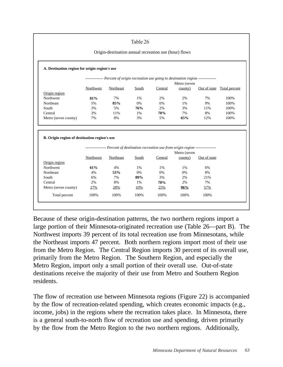Origin-destination annual recreation use (hour) flows

|                                                         |           | -------------- Percent of origin recreation use going to destination region -------------- |       |         |              |              |                            |
|---------------------------------------------------------|-----------|--------------------------------------------------------------------------------------------|-------|---------|--------------|--------------|----------------------------|
|                                                         |           |                                                                                            |       |         | Metro (seven |              |                            |
|                                                         | Northwest | Northeast                                                                                  | South | Central | countv)      |              | Out of state Total percent |
| Origin region                                           |           |                                                                                            |       |         |              |              |                            |
| Northwest                                               | 81%       | 7%                                                                                         | 1%    | 2%      | 2%           | 7%           | 100%                       |
| Northeast                                               | 5%        | 85%                                                                                        | 0%    | 0%      | 1%           | 9%           | 100%                       |
| South                                                   | 3%        | 5%                                                                                         | 76%   | 2%      | 3%           | 11%          | 100%                       |
| Central                                                 | 3%        | 11%                                                                                        | 1%    | 70%     | 7%           | 8%           | 100%                       |
| Metro (seven county)                                    | 7%        | 8%                                                                                         | 3%    | 5%      | 65%          | 12%          | 100%                       |
| B. Origin region of destination region's use            |           |                                                                                            |       |         |              |              |                            |
|                                                         |           |                                                                                            |       |         |              |              |                            |
|                                                         |           | --------------- Percent of destination recreation use from origin region ----------------  |       |         | Metro (seven |              |                            |
|                                                         | Northwest | Northeast                                                                                  | South | Central | county)      | Out of state |                            |
|                                                         |           |                                                                                            |       |         |              |              |                            |
|                                                         | 61%       | 4%                                                                                         | 1%    | 1%      | 1%           | 6%           |                            |
|                                                         | 4%        | 53%                                                                                        | 0%    | 0%      | 0%           | 8%           |                            |
| Origin region<br><b>Northwest</b><br>Northeast<br>South | 6%        | 7%                                                                                         | 89%   | 3%      | 2%           | 21%          |                            |
| Central                                                 | 2%        | 8%                                                                                         | 1%    | 70%     | 2%           | 7%           |                            |
| Metro (seven county)                                    | 27%       | 28%                                                                                        | 10%   | 25%     | 96%          | 57%          |                            |

Because of these origin-destination patterns, the two northern regions import a large portion of their Minnesota-originated recreation use (Table 26—part B). The Northwest imports 39 percent of its total recreation use from Minnesotans, while the Northeast imports 47 percent. Both northern regions import most of their use from the Metro Region. The Central Region imports 30 percent of its overall use, primarily from the Metro Region. The Southern Region, and especially the Metro Region, import only a small portion of their overall use. Out-of-state destinations receive the majority of their use from Metro and Southern Region residents.

The flow of recreation use between Minnesota regions (Figure 22) is accompanied by the flow of recreation-related spending, which creates economic impacts (e.g., income, jobs) in the regions where the recreation takes place. In Minnesota, there is a general south-to-north flow of recreation use and spending, driven primarily by the flow from the Metro Region to the two northern regions. Additionally,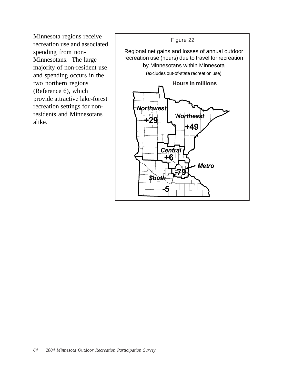recreation use and associated spending from non-Minnesotans. The large majority of non-resident use and spending occurs in the two northern regions (Reference 6), which provide attractive lake-forest recreation settings for nonresidents and Minnesotans alike.

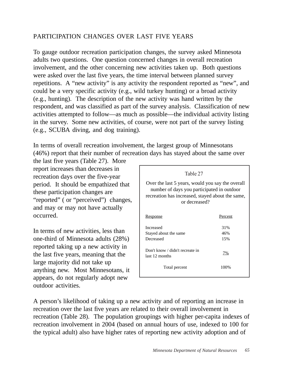# PARTICIPATION CHANGES OVER LAST FIVE YEARS

To gauge outdoor recreation participation changes, the survey asked Minnesota adults two questions. One question concerned changes in overall recreation involvement, and the other concerning new activities taken up. Both questions were asked over the last five years, the time interval between planned survey repetitions. A "new activity" is any activity the respondent reported as "new", and could be a very specific activity (e.g., wild turkey hunting) or a broad activity (e.g., hunting). The description of the new activity was hand written by the respondent, and was classified as part of the survey analysis. Classification of new activities attempted to follow—as much as possible—the individual activity listing in the survey. Some new activities, of course, were not part of the survey listing (e.g., SCUBA diving, and dog training).

In terms of overall recreation involvement, the largest group of Minnesotans (46%) report that their number of recreation days has stayed about the same over

the last five years (Table 27). More report increases than decreases in recreation days over the five-year period. It should be empathized that these participation changes are "reported" (or "perceived") changes, and may or may not have actually occurred.

In terms of new activities, less than one-third of Minnesota adults (28%) reported taking up a new activity in the last five years, meaning that the large majority did not take up anything new. Most Minnesotans, it appears, do not regularly adopt new outdoor activities.

| Table 27                                                                                                                                                            |         |  |  |  |
|---------------------------------------------------------------------------------------------------------------------------------------------------------------------|---------|--|--|--|
| Over the last 5 years, would you say the overall<br>number of days you participated in outdoor<br>recreation has increased, stayed about the same,<br>or decreased? |         |  |  |  |
| <u>Response</u>                                                                                                                                                     | Percent |  |  |  |
| <b>Increased</b>                                                                                                                                                    | 31%     |  |  |  |
| Stayed about the same                                                                                                                                               | 46%     |  |  |  |
| Decreased                                                                                                                                                           | 15%     |  |  |  |
| Don't know / didn't recreate in<br>last 12 months                                                                                                                   | 7%      |  |  |  |
| Total percent                                                                                                                                                       | 100%    |  |  |  |

A person's likelihood of taking up a new activity and of reporting an increase in recreation over the last five years are related to their overall involvement in recreation (Table 28). The population groupings with higher per-capita indexes of recreation involvement in 2004 (based on annual hours of use, indexed to 100 for the typical adult) also have higher rates of reporting new activity adoption and of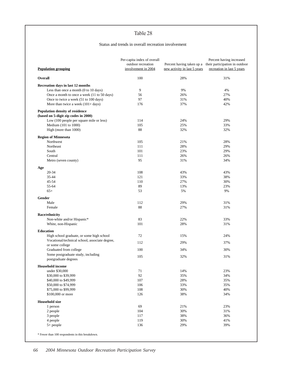#### Status and trends in overall recreation involvement

| <b>Population grouping</b>                                                           | Per-capita index of overall<br>outdoor recreation<br>involvement in 2004 | new activity in last 5 years | Percent having increased<br>Percent having taken up a their participation in outdoor<br>recreation in last 5 years |
|--------------------------------------------------------------------------------------|--------------------------------------------------------------------------|------------------------------|--------------------------------------------------------------------------------------------------------------------|
| Overall                                                                              | 100                                                                      | 28%                          | 31%                                                                                                                |
| Recreation days in last 12 months                                                    |                                                                          |                              |                                                                                                                    |
| Less than once a month $(0 to 10 days)$                                              | 9                                                                        | 9%                           | 4%                                                                                                                 |
| Once a month to once a week (11 to 50 days)<br>Once to twice a week (51 to 100 days) | 56<br>97                                                                 | 26%<br>31%                   | 27%<br>40%                                                                                                         |
| More than twice a week $(101 + days)$                                                | 176                                                                      | 37%                          | 42%                                                                                                                |
| Population density of residence                                                      |                                                                          |                              |                                                                                                                    |
| (based on 5-digit zip codes in 2000)                                                 |                                                                          |                              |                                                                                                                    |
| Low (100 people per square mile or less)                                             | 114                                                                      | 24%                          | 29%                                                                                                                |
| Medium (101 to 1000)<br>High (more than 1000)                                        | 105<br>88                                                                | 25%<br>32%                   | 33%<br>32%                                                                                                         |
|                                                                                      |                                                                          |                              |                                                                                                                    |
| <b>Region of Minnesota</b>                                                           |                                                                          |                              |                                                                                                                    |
| Northwest                                                                            | 105                                                                      | 21%                          | 28%                                                                                                                |
| Northeast                                                                            | 111                                                                      | 28%                          | 29%                                                                                                                |
| South<br>Central                                                                     | 101<br>111                                                               | 23%<br>26%                   | 29%<br>26%                                                                                                         |
| Metro (seven county)                                                                 | 95                                                                       | 31%                          | 34%                                                                                                                |
|                                                                                      |                                                                          |                              |                                                                                                                    |
| Age                                                                                  |                                                                          |                              |                                                                                                                    |
| 20-34                                                                                | 108                                                                      | 43%                          | 43%                                                                                                                |
| 35-44                                                                                | 121                                                                      | 33%                          | 38%                                                                                                                |
| 45-54<br>55-64                                                                       | 110<br>89                                                                | 27%<br>13%                   | 30%<br>23%                                                                                                         |
| $65+$                                                                                | 53                                                                       | 5%                           | 9%                                                                                                                 |
|                                                                                      |                                                                          |                              |                                                                                                                    |
| Gender                                                                               |                                                                          |                              |                                                                                                                    |
| Male                                                                                 | 112                                                                      | 29%                          | 31%                                                                                                                |
| Female                                                                               | 88                                                                       | 27%                          | 31%                                                                                                                |
| <b>Race/ethnicity</b>                                                                |                                                                          |                              |                                                                                                                    |
| Non-white and/or Hispanic*                                                           | 83                                                                       | 22%                          | 33%                                                                                                                |
| White, non-Hispanic                                                                  | 101                                                                      | 28%                          | 31%                                                                                                                |
| Education                                                                            |                                                                          |                              |                                                                                                                    |
| High school graduate, or some high school                                            | 72                                                                       | 15%                          | 24%                                                                                                                |
| Vocational/technical school, associate degree,                                       | 112                                                                      | 29%                          | 37%                                                                                                                |
| or some college                                                                      |                                                                          |                              |                                                                                                                    |
| Graduated from college                                                               | 100                                                                      | 34%                          | 30%                                                                                                                |
| Some postgraduate study, including                                                   | 105                                                                      | 32%                          | 31%                                                                                                                |
| postgraduate degrees                                                                 |                                                                          |                              |                                                                                                                    |
| <b>Household</b> income                                                              |                                                                          |                              |                                                                                                                    |
| under \$30,000                                                                       | 71                                                                       | 14%                          | 23%                                                                                                                |
| \$30,000 to \$39,999                                                                 | 92                                                                       | 35%                          | 34%                                                                                                                |
| \$40,000 to \$49,999                                                                 | 107                                                                      | 28%                          | 35%                                                                                                                |
| \$50,000 to \$74,999                                                                 | 106                                                                      | 33%                          | 35%                                                                                                                |
| \$75,000 to \$99,999<br>\$100,000 or more                                            | 108                                                                      | 30%<br>38%                   | 40%                                                                                                                |
|                                                                                      | 126                                                                      |                              | 34%                                                                                                                |
| <b>Household size</b>                                                                |                                                                          |                              |                                                                                                                    |
| 1 person                                                                             | 69                                                                       | 21%                          | 23%                                                                                                                |
| 2 people                                                                             | 104                                                                      | 30%                          | 31%                                                                                                                |
| 3 people                                                                             | 117                                                                      | 38%                          | 36%                                                                                                                |
| 4 people                                                                             | 119                                                                      | 30%                          | 41%                                                                                                                |
| $5+$ people                                                                          | 136                                                                      | 29%                          | 39%                                                                                                                |

 $\hspace{0.1mm}^*$  Fewer than 100 respondents in this breakdown.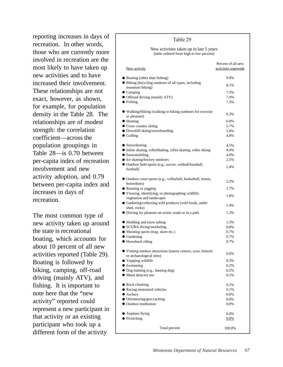reporting increases in days of recreation. In other words, those who are currently more involved in recreation are the most likely to have taken up new activities and to have increased their involvement. These relationships are not exact, however, as shown, for example, for population density in the Table 28. The relationships are of modest strength: the correlation coefficient—across the population groupings in Table 28—is 0.70 between per-capita index of recreation involvement and new activity adoption, and 0.79 between per-capita index and increases in days of recreation.

The most common type of new activity taken up around the state is recreational boating, which accounts for about 10 percent of all new activities reported (Table 29). Boating is followed by biking, camping, off-road driving (mainly ATV), and fishing. It is important to note here that the "new activity" reported could represent a new participant in that activity or an existing participant who took up a different form of the activity

## New activity Percent of all new activities statewide ● Boating (other than fishing) 9.9% ● Biking (bicycling outdoors of all types, including 8.1% 8.1% ● Camping 7.5% ● Offroad driving (mainly ATV) 7.4%  $\bullet$  Fishing  $7.3\%$ ● Walking/Hiking (walking or hiking outdoors for exercise or pleasure) 6.3%  $\bullet$  Hunting 6.0% • Cross country skiing 5.7% ● Downhill skiing/snowboarding 5.0%  $\bullet$  Golfing  $4.8\%$ ● Snowshoeing 4.5% ● Inline skating, rollerblading, roller skating, roller skiing 4.4% • Snowmobiling  $4.0\%$ ● Ice skating/hockey outdoors 2.5% ● Outdoor field sports (e.g., soccer, softball/baseball, 2.4% 2.4% ● Outdoor court sports (e.g., volleyball, basketball, tennis, 2.2% horseshoes) • Running or jogging 1.7% ● Viewing, identifying, or photographing wildlife, viewing, the end of photographing whene,<br>the separation and landscapes the separation and landscapes ● Gathering/collecting wild products (wild foods, antler 1.4% shed, rocks) ● Driving for pleasure on scenic roads or in a park 1.3% • Sledding and snow tubing 1.3% ● SCUBA diving/snorkeling 0.8% ● Shooting sports (trap, skeet etc.) 0.7% • Gardening  $0.7\%$ ● Horseback riding 0.7% ● Visiting outdoor attractions (nature centers, zoos, historic or archaeological sites) 0.6% ● Trapping wildlife 0.3% ● Swimming 0.2% ● Dog training (e.g., hunting dog) 0.2% • Metal detector use 0.1% • Rock climbing 0.1% ● Racing motorized vehicles 0.1% ● Archery 0.0% ● Orienteering/geo-caching 0.0% ● Outdoor meditation 0.0% ● Airplane flying 0.0%  $\bullet$  Picnicking  $0.0\%$ Total percent 100.0% New activities taken up in last 5 years (table ordered from high to low percent) Table 29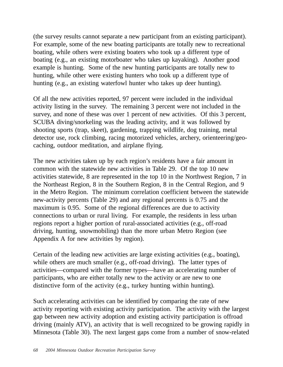(the survey results cannot separate a new participant from an existing participant). For example, some of the new boating participants are totally new to recreational boating, while others were existing boaters who took up a different type of boating (e.g., an existing motorboater who takes up kayaking). Another good example is hunting. Some of the new hunting participants are totally new to hunting, while other were existing hunters who took up a different type of hunting (e.g., an existing waterfowl hunter who takes up deer hunting).

Of all the new activities reported, 97 percent were included in the individual activity listing in the survey. The remaining 3 percent were not included in the survey, and none of these was over 1 percent of new activities. Of this 3 percent, SCUBA diving/snorkeling was the leading activity, and it was followed by shooting sports (trap, skeet), gardening, trapping wildlife, dog training, metal detector use, rock climbing, racing motorized vehicles, archery, orienteering/geocaching, outdoor meditation, and airplane flying.

The new activities taken up by each region's residents have a fair amount in common with the statewide new activities in Table 29. Of the top 10 new activities statewide, 8 are represented in the top 10 in the Northwest Region, 7 in the Northeast Region, 8 in the Southern Region, 8 in the Central Region, and 9 in the Metro Region. The minimum correlation coefficient between the statewide new-activity percents (Table 29) and any regional percents is 0.75 and the maximum is 0.95. Some of the regional differences are due to activity connections to urban or rural living. For example, the residents in less urban regions report a higher portion of rural-associated activities (e.g., off-road driving, hunting, snowmobiling) than the more urban Metro Region (see Appendix A for new activities by region).

Certain of the leading new activities are large existing activities (e.g., boating), while others are much smaller (e.g., off-road driving). The latter types of activities—compared with the former types—have an accelerating number of participants, who are either totally new to the activity or are new to one distinctive form of the activity (e.g., turkey hunting within hunting).

Such accelerating activities can be identified by comparing the rate of new activity reporting with existing activity participation. The activity with the largest gap between new activity adoption and existing activity participation is offroad driving (mainly ATV), an activity that is well recognized to be growing rapidly in Minnesota (Table 30). The next largest gaps come from a number of snow-related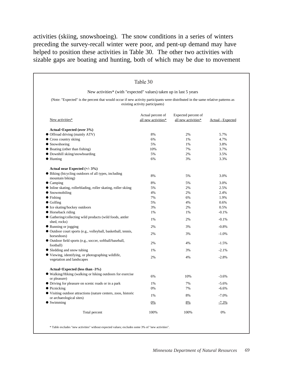activities (skiing, snowshoeing). The snow conditions in a series of winters preceding the survey-recall winter were poor, and pent-up demand may have helped to position these activities in Table 30. The other two activities with sizable gaps are boating and hunting, both of which may be due to movement

| New activities* (with "expected" values) taken up in last 5 years<br>(Note: "Expected" is the percent that would occur if new activity participants were distributed in the same relative patterns as<br>existing activity participants) |                                          |                                            |                   |  |
|------------------------------------------------------------------------------------------------------------------------------------------------------------------------------------------------------------------------------------------|------------------------------------------|--------------------------------------------|-------------------|--|
| New activities*                                                                                                                                                                                                                          | Actual percent of<br>all new activities* | Expected percent of<br>all new activities* | Actual - Expected |  |
| Actual>Expected (over 3%)                                                                                                                                                                                                                |                                          |                                            |                   |  |
| • Offroad driving (mainly ATV)                                                                                                                                                                                                           | 8%                                       | 2%                                         | 5.7%              |  |
| • Cross country skiing                                                                                                                                                                                                                   | 6%                                       | 1%                                         | 4.7%              |  |
| • Snowshoeing                                                                                                                                                                                                                            | 5%                                       | 1%                                         | 3.8%              |  |
| • Boating (other than fishing)                                                                                                                                                                                                           | 10%                                      | 7%                                         | 3.7%              |  |
| · Downhill skiing/snowboarding                                                                                                                                                                                                           | 5%                                       | 2%                                         | 3.5%              |  |
| $\bullet$ Hunting                                                                                                                                                                                                                        | 6%                                       | 3%                                         | 3.3%              |  |
| Actual near Expected (+/- 3%)                                                                                                                                                                                                            |                                          |                                            |                   |  |
| • Biking (bicycling outdoors of all types, including                                                                                                                                                                                     | 8%                                       | 5%                                         | 3.0%              |  |
| mountain biking)                                                                                                                                                                                                                         |                                          |                                            |                   |  |
| $\bullet$ Camping                                                                                                                                                                                                                        | 8%                                       | 5%                                         | 3.0%              |  |
| • Inline skating, rollerblading, roller skating, roller skiing                                                                                                                                                                           | 5%                                       | 2%                                         | 2.5%              |  |
| $\bullet$ Snowmobiling                                                                                                                                                                                                                   | 4%                                       | 2%                                         | 2.4%              |  |
| $\bullet$ Fishing                                                                                                                                                                                                                        | 7%                                       | 6%                                         | 1.9%              |  |
| $\bullet$ Golfing                                                                                                                                                                                                                        | 5%                                       | 4%                                         | 0.6%              |  |
| • Ice skating/hockey outdoors                                                                                                                                                                                                            | 3%                                       | 2%                                         | 0.5%              |  |
| • Horseback riding                                                                                                                                                                                                                       | 1%                                       | 1%                                         | $-0.1%$           |  |
| • Gathering/collecting wild products (wild foods, antler<br>shed, rocks)                                                                                                                                                                 | 1%                                       | 2%                                         | $-0.1%$           |  |
| • Running or jogging                                                                                                                                                                                                                     | 2%                                       | 3%                                         | $-0.8%$           |  |
| · Outdoor court sports (e.g., volleyball, basketball, tennis,<br>horseshoes)                                                                                                                                                             | 2%                                       | 3%                                         | $-1.0%$           |  |
| · Outdoor field sports (e.g., soccer, softball/baseball,<br>football)                                                                                                                                                                    | 2%                                       | 4%                                         | $-1.5%$           |  |
| • Sledding and snow tubing                                                                                                                                                                                                               | 1%                                       | 3%                                         | $-2.1%$           |  |
| ● Viewing, identifying, or photographing wildlife,<br>vegetation and landscapes                                                                                                                                                          | 2%                                       | 4%                                         | $-2.8%$           |  |
| Actual <expected (less="" -3%)<="" td="" than=""><td></td><td></td><td></td></expected>                                                                                                                                                  |                                          |                                            |                   |  |
| • Walking/Hiking (walking or hiking outdoors for exercise<br>or pleasure)                                                                                                                                                                | 6%                                       | 10%                                        | $-3.6%$           |  |
| • Driving for pleasure on scenic roads or in a park                                                                                                                                                                                      | 1%                                       | 7%                                         | $-5.6%$           |  |
| $\bullet$ Picnicking                                                                                                                                                                                                                     | 0%                                       | 7%                                         | $-6.6%$           |  |
| • Visiting outdoor attractions (nature centers, zoos, historic<br>or archaeological sites)                                                                                                                                               | 1%                                       | 8%                                         | $-7.0%$           |  |
| $\bullet$ Swimming                                                                                                                                                                                                                       | $0\%$                                    | 8%                                         | $-7.3%$           |  |
| Total percent                                                                                                                                                                                                                            | 100%                                     | 100%                                       | $0\%$             |  |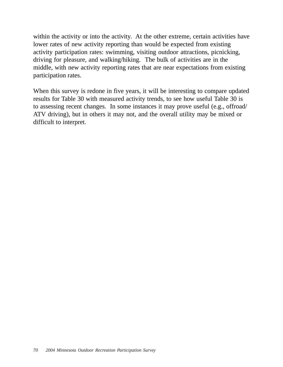within the activity or into the activity. At the other extreme, certain activities have lower rates of new activity reporting than would be expected from existing activity participation rates: swimming, visiting outdoor attractions, picnicking, driving for pleasure, and walking/hiking. The bulk of activities are in the middle, with new activity reporting rates that are near expectations from existing participation rates.

When this survey is redone in five years, it will be interesting to compare updated results for Table 30 with measured activity trends, to see how useful Table 30 is to assessing recent changes. In some instances it may prove useful (e.g., offroad/ ATV driving), but in others it may not, and the overall utility may be mixed or difficult to interpret.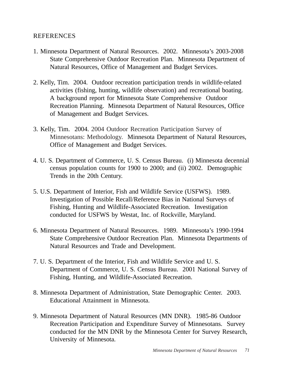## REFERENCES

- 1. Minnesota Department of Natural Resources. 2002. Minnesota's 2003-2008 State Comprehensive Outdoor Recreation Plan. Minnesota Department of Natural Resources, Office of Management and Budget Services.
- 2. Kelly, Tim. 2004. Outdoor recreation participation trends in wildlife-related activities (fishing, hunting, wildlife observation) and recreational boating. A background report for Minnesota State Comprehensive Outdoor Recreation Planning. Minnesota Department of Natural Resources, Office of Management and Budget Services.
- 3. Kelly, Tim. 2004. 2004 Outdoor Recreation Participation Survey of Minnesotans: Methodology. Minnesota Department of Natural Resources, Office of Management and Budget Services.
- 4. U. S. Department of Commerce, U. S. Census Bureau. (i) Minnesota decennial census population counts for 1900 to 2000; and (ii) 2002. Demographic Trends in the 20th Century.
- 5. U.S. Department of Interior, Fish and Wildlife Service (USFWS). 1989. Investigation of Possible Recall/Reference Bias in National Surveys of Fishing, Hunting and Wildlife-Associated Recreation. Investigation conducted for USFWS by Westat, Inc. of Rockville, Maryland.
- 6. Minnesota Department of Natural Resources. 1989. Minnesota's 1990-1994 State Comprehensive Outdoor Recreation Plan. Minnesota Departments of Natural Resources and Trade and Development.
- 7. U. S. Department of the Interior, Fish and Wildlife Service and U. S. Department of Commerce, U. S. Census Bureau. 2001 National Survey of Fishing, Hunting, and Wildlife-Associated Recreation.
- 8. Minnesota Department of Administration, State Demographic Center. 2003. Educational Attainment in Minnesota.
- 9. Minnesota Department of Natural Resources (MN DNR). 1985-86 Outdoor Recreation Participation and Expenditure Survey of Minnesotans. Survey conducted for the MN DNR by the Minnesota Center for Survey Research, University of Minnesota.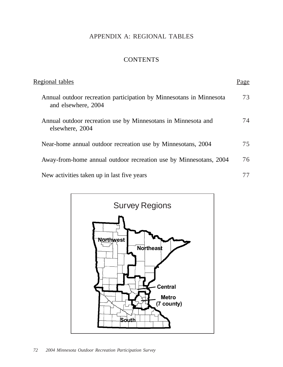# APPENDIX A: REGIONAL TABLES

# **CONTENTS**

| Regional tables                                                                            | age |
|--------------------------------------------------------------------------------------------|-----|
| Annual outdoor recreation participation by Minnesotans in Minnesota<br>and elsewhere, 2004 | 73  |
| Annual outdoor recreation use by Minnesotans in Minnesota and<br>elsewhere, 2004           | 74  |
| Near-home annual outdoor recreation use by Minnesotans, 2004                               | 75  |
| Away-from-home annual outdoor recreation use by Minnesotans, 2004                          | 76  |
| New activities taken up in last five years                                                 |     |

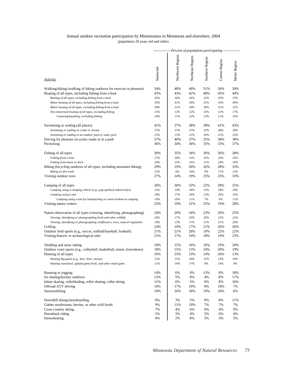### Annual outdoor recreation participation by Minnesotans in Minnesota and elsewhere, 2004 (population 20 years old and older)

|                                                                              |           | ------------- Percent of population participating -------------- |                  |                 |                |              |
|------------------------------------------------------------------------------|-----------|------------------------------------------------------------------|------------------|-----------------|----------------|--------------|
| Activity                                                                     | Statewide | Northwest Region                                                 | Northeast Region | Southern Region | Central Region | Metro Region |
| Walking/hiking (walking of hiking outdoors for exercise or pleasure)         | 54%       | 48%                                                              | 49%              | 51%             | 56%            | 58%          |
| Boating of all types, including fishing from a boat                          | 43%       | 43%                                                              | 42%              | 40%             | 45%            | 44%          |
| Boating of all types, excluding fishing from a boat                          | 36%       | 36%                                                              | 34%              | 32%             | 35%            | 37%          |
| Motor boating of all types, including fishing from a boat                    | 39%       | 41%                                                              | 39%              | 35%             | 43%            | 40%          |
| Motor boating of all types, excluding fishing from a boat                    | 30%       | 31%                                                              | 30%              | 26%             | 31%            | 31%          |
| Non-motorized boating of all types, excluding fishing                        | 15%       | 12%                                                              | 12%              | 14%             | 12%            | 17%          |
| Canoeing/kayaking, excluding fishing                                         | 14%       | 11%                                                              | 12%              | 13%             | 11%            | 16%          |
| Swimming or wading (all places)                                              | 41%       | 37%                                                              | 38%              | 38%             | 41%            | 43%          |
| Swimming or wading in a lake or stream                                       | 37%       | 37%                                                              | 37%              | 33%             | 38%            | 38%          |
| Swimming or wading in an outdoor pool or water park                          | 22%       | 12%                                                              | 12%              | 20%             | 21%            | 25%          |
| Driving for pleasure on scenic roads or in a park                            | 37%       | 40%                                                              | 37%              | 35%             | 38%            | 38%          |
| Picnicking                                                                   | 36%       | 34%                                                              | 36%              | 35%             | 33%            | 37%          |
| Fishing of all types                                                         | 30%       | 35%                                                              | 34%              | 30%             | 36%            | 28%          |
| Fishing from a boat                                                          | 27%       | 30%                                                              | 31%              | 25%             | 33%            | 25%          |
| Fishing from shore or dock                                                   | 20%       | 25%                                                              | 25%              | 21%             | 24%            | 18%          |
| Biking (bicycling outdoors of all types, including mountain biking)          | 29%       | 19%                                                              | 20%              | 26%             | 28%            | 33%          |
| Biking on dirt trails                                                        | $12\%$    | $6\%$                                                            | $10\%$           | $9\%$           | 11%            | 15%          |
| Visiting outdoor zoos                                                        | 27%       | 14%                                                              | 19%              | 25%             | 25%            | 33%          |
| Camping of all types                                                         | 26%       | 30%                                                              | 32%              | 22%             | 28%            | 25%          |
| Camping using a camping vehicle (e.g., pop-up/hard-sided trailer)            | 13%       | 19%                                                              | 18%              | 13%             | 18%            | 10%          |
| Camping using a tent                                                         | $18\%$    | 17%                                                              | $20\%$           | 13%             | 16%            | 19%          |
| Camping using a tent for backpacking or canoe-in/boat-in camping             | 10%       | 10%                                                              | 11%              | 7%              | 6%             | 11%          |
| Visiting nature centers                                                      | 25%       | 19%                                                              | 21%              | 25%             | 19%            | 28%          |
| Nature observation of all types (viewing, identifying, photographing)        | 24%       | 20%                                                              | 24%              | 23%             | 26%            | 25%          |
| Viewing, identifying or photographing birds and other wildlife               | 20%       | 17%                                                              | 20%              | 20%             | 21%            | 21%          |
| Viewing, identifying or photographing wildflowers, trees, natural vegetation | 18%       | 13%                                                              | 17%              | 15%             | 21%            | 20%          |
| Golfing                                                                      | 24%       | 19%                                                              | 17%              | 21%             | 26%            | 26%          |
| Outdoor field sports (e.g., soccer, softball/baseball, football)             | 21%       | 21%                                                              | 20%              | 19%             | 22%            | 22%          |
| Visiting historic or archaeological sites                                    | 21%       | 17%                                                              | 19%              | 18%             | 19%            | 23%          |
| Sledding and snow tubing                                                     | 18%       | 15%                                                              | 16%              | 16%             | 19%            | 20%          |
| Outdoor court sports (e.g., volleyball, basketball, tennis, horseshoes)      | 18%       | 15%                                                              | 13%              | 16%             | 20%            | 19%          |
| Hunting of all types                                                         | 16%       | 23%                                                              | 23%              | 14%             | 26%            | 13%          |
| Hunting big game (e.g., deer, bear, moose)                                   | 13%       | 21%                                                              | 20%              | 12%             | 23%            | 10%          |
| Hunting waterfowl, upland game birds, and other small game                   | $11\%$    | 14%                                                              | 17%              | 9%              | 14%            | 9%           |
| Running or jogging                                                           | 14%       | 6%                                                               | 9%               | 13%             | 8%             | 18%          |
| Ice skating/hockey outdoors                                                  | 12%       | 5%                                                               | 8%               | 4%              | 8%             | 17%          |
| Inline skating, rollerblading, roller skating, roller skiing                 | 11%       | 6%                                                               | 5%               | 6%              | 8%             | 16%          |
| Offroad ATV driving                                                          | 10%       | 17%                                                              | 19%              | 9%              | 18%            | 7%           |
| Snowmobiling                                                                 | 10%       | 16%                                                              | 18%              | 10%             | 16%            | 6%           |
| Downhill skiing/snowboarding                                                 | 9%        | 3%                                                               | 5%               | 9%              | 8%             | 11%          |
| Gather mushrooms, berries, or other wild foods                               | 9%        | 11%                                                              | 19%              | 7%              | 7%             | 7%           |
| Cross country skiing                                                         | 7%        | 4%                                                               | 6%               | 4%              | 4%             | 9%           |
| Horseback riding                                                             | 5%        | 3%                                                               | 4%               | 5%              | 6%             | 4%           |
| Snowshoeing                                                                  | 4%        | 2%                                                               | 8%               | 3%              | 3%             | 5%           |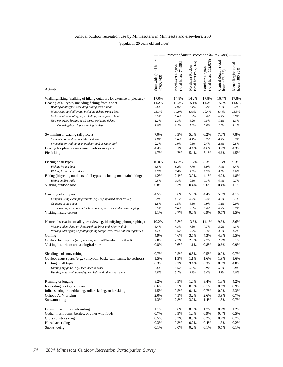### Annual outdoor recreation use by Minnesotans in Minnesota and elsewhere, 2004

(population 20 years old and older)

|                                                                                                                             |                                       | --------- Percent of annual recreation hours $(000's)$ ---------- |                                              |                                            |                                           |                                       |
|-----------------------------------------------------------------------------------------------------------------------------|---------------------------------------|-------------------------------------------------------------------|----------------------------------------------|--------------------------------------------|-------------------------------------------|---------------------------------------|
| <b>Activity</b>                                                                                                             | Statewide (total hours<br>$=760, 743$ | $(total hour = 71,958)$<br>Northwest Region                       | (total hours= $72,566$ )<br>Northeast Region | $(total hours=152,078)$<br>Southern Region | Central Region (total<br>$hours = 77,187$ | Metro Region (total<br>hours=386,954) |
| Walking/hiking (walking of hiking outdoors for exercise or pleasure)<br>Boating of all types, including fishing from a boat | 17.0%<br>14.2%                        | 14.8%<br>16.2%                                                    | 14.2%<br>15.1%                               | 17.8%<br>11.2%                             | 16.4%<br>15.0%                            | 17.8%<br>14.6%                        |
| Boating of all types, excluding fishing from a boat                                                                         | 7.6%                                  | 7.9%                                                              | 7.4%                                         | 6.2%                                       | 7.5%                                      | 8.2%                                  |
| Motor boating of all types, including fishing from a boat                                                                   | 13.0%                                 | 14.9%                                                             | 13.9%                                        | 10.4%                                      | 13.8%                                     | 13.3%                                 |
| Motor boating of all types, excluding fishing from a boat                                                                   | 6.5%                                  | 6.6%                                                              | 6.2%                                         | 5.4%                                       | 6.4%                                      | 6.9%                                  |
| Non-motorized boating of all types, excluding fishing                                                                       | 1.2%                                  | 1.3%                                                              | 1.2%                                         | 0.8%                                       | 1.1%                                      | 1.3%                                  |
| Canoeing/kayaking, excluding fishing                                                                                        | 1.0%                                  | 1.2%                                                              | 1.0%                                         | 0.8%                                       | 1.0%                                      | 1.1%                                  |
| Swimming or wading (all places)                                                                                             | 7.0%                                  | 6.5%                                                              | 5.0%                                         | 6.2%                                       | 7.0%                                      | 7.8%                                  |
| Swimming or wading in a lake or stream                                                                                      | 4.8%                                  | 5.6%                                                              | 4.4%                                         | 3.7%                                       | 4.4%                                      | 5.3%                                  |
| Swimming or wading in an outdoor pool or water park                                                                         | 2.2%                                  | 1.0%                                                              | 0.6%                                         | 2.4%                                       | 2.6%                                      | 2.6%                                  |
| Driving for pleasure on scenic roads or in a park                                                                           | 4.4%                                  | 5.1%                                                              | 4.4%                                         | 4.6%                                       | 3.9%                                      | 4.3%                                  |
| Picnicking                                                                                                                  | 4.7%                                  | 4.7%                                                              | 5.4%                                         | 5.1%                                       | 4.6%                                      | 4.5%                                  |
| Fishing of all types                                                                                                        | 10.0%                                 | 14.3%                                                             | 11.7%                                        | 8.3%                                       | 11.4%                                     | 9.3%                                  |
| Fishing from a boat                                                                                                         | 6.5%                                  | 8.2%                                                              | 7.7%                                         | 5.0%                                       | 7.4%                                      | 6.4%                                  |
| Fishing from shore or dock                                                                                                  | 3.5%                                  | $6.0\%$                                                           | 4.0%                                         | 3.3%                                       | 4.0%                                      | 2.9%                                  |
| Biking (bicycling outdoors of all types, including mountain biking)                                                         | 4.2%                                  | 2.4%                                                              | 3.0%                                         | 4.1%                                       | 4.0%                                      | 4.8%                                  |
| Biking on dirt trails                                                                                                       | 0.5%                                  | 0.3%                                                              | 0.5%                                         | 0.3%                                       | 0.4%                                      | 0.7%                                  |
| Visiting outdoor zoos                                                                                                       | 0.8%                                  | 0.3%                                                              | 0.4%                                         | 0.6%                                       | 0.4%                                      | 1.1%                                  |
| Camping of all types                                                                                                        | 4.5%                                  | 5.6%                                                              | 5.0%                                         | 4.4%                                       | 5.0%                                      | 4.1%                                  |
| Camping using a camping vehicle (e.g., pop-up/hard-sided trailer)                                                           | 2.9%                                  | 4.1%                                                              | 3.5%                                         | 3.4%                                       | 3.9%                                      | 2.1%                                  |
| Camping using a tent                                                                                                        | 1.6%                                  | 1.5%                                                              | 1.6%                                         | 0.9%                                       | 1.1%                                      | 2.0%                                  |
| Camping using a tent for backpacking or canoe-in/boat-in camping                                                            | 0.5%                                  | 0.6%                                                              | 0.6%                                         | 0.4%                                       | 0.2%                                      | 0.7%                                  |
| Visiting nature centers                                                                                                     | 1.1%                                  | 0.7%                                                              | 0.6%                                         | 0.9%                                       | 0.5%                                      | 1.5%                                  |
| Nature observation of all types (viewing, identifying, photographing)                                                       | 10.2%                                 | 7.8%                                                              | 13.8%                                        | 14.1%                                      | 9.3%                                      | 8.6%                                  |
| Viewing, identifying or photographing birds and other wildlife                                                              | 5.4%                                  | 4.3%                                                              | 7.8%                                         | 7.7%                                       | 5.2%                                      | 4.3%                                  |
| Viewing, identifying or photographing wildflowers, trees, natural vegetation                                                | 4.7%                                  | 3.5%                                                              | $6.0\%$                                      | 6.3%                                       | 4.0%                                      | 4.2%                                  |
| Golfing                                                                                                                     | 4.9%                                  | 4.6%                                                              | 3.5%                                         | 4.3%                                       | 4.3%                                      | 5.5%                                  |
| Outdoor field sports (e.g., soccer, softball/baseball, football)                                                            | 2.8%                                  | 2.3%                                                              | 2.0%                                         | 2.7%                                       | 2.7%                                      | 3.1%                                  |
| Visiting historic or archaeological sites                                                                                   | 0.8%                                  | 0.6%                                                              | 1.1%                                         | 0.8%                                       | 0.6%                                      | 0.9%                                  |
| Sledding and snow tubing                                                                                                    | 0.7%                                  | 0.5%                                                              | 0.5%                                         | 0.5%                                       | 0.9%                                      | 0.7%                                  |
| Outdoor court sports (e.g., volleyball, basketball, tennis, horseshoes)                                                     | 1.5%                                  | 1.3%                                                              | 1.1%                                         | 1.6%                                       | 1.9%                                      | 1.6%                                  |
| Hunting of all types                                                                                                        | 6.3%                                  | 9.2%                                                              | 9.4%                                         | 6.3%                                       | 8.5%                                      | 4.8%                                  |
| Hunting big game (e.g., deer, bear, moose)                                                                                  | 3.6%                                  | 5.5%                                                              | 5.2%                                         | 2.9%                                       | 5.3%                                      | 2.8%                                  |
| Hunting waterfowl, upland game birds, and other small game                                                                  | 2.8%                                  | 3.7%                                                              | 4.3%                                         | 3.4%                                       | 3.1%                                      | 2.0%                                  |
| Running or jogging                                                                                                          | 3.2%                                  | 0.9%                                                              | 1.6%                                         | 3.4%                                       | 1.3%                                      | 4.2%                                  |
| Ice skating/hockey outdoors                                                                                                 | 0.6%                                  | 0.5%                                                              | 0.5%                                         | 0.1%                                       | 0.6%                                      | 0.9%                                  |
| Inline skating, rollerblading, roller skating, roller skiing                                                                | 1.5%                                  | 0.5%                                                              | 0.4%                                         | 0.7%                                       | 0.9%                                      | 2.3%                                  |
| Offroad ATV driving                                                                                                         | 2.0%                                  | 4.5%                                                              | 3.2%                                         | 2.6%                                       | 3.9%                                      | 0.7%                                  |
| Snowmobiling                                                                                                                | 1.3%                                  | 2.8%                                                              | 3.2%                                         | 1.4%                                       | 1.5%                                      | 0.7%                                  |
| Downhill skiing/snowboarding                                                                                                | 1.1%                                  | 0.6%                                                              | 0.6%                                         | 1.7%                                       | 0.9%                                      | 1.2%                                  |
| Gather mushrooms, berries, or other wild foods                                                                              | 0.7%                                  | 0.9%                                                              | 1.0%                                         | 0.9%                                       | 0.4%                                      | 0.5%                                  |
| Cross country skiing                                                                                                        | 0.5%                                  | 0.3%                                                              | 0.5%                                         | 0.2%                                       | 0.2%                                      | 0.7%                                  |
| Horseback riding                                                                                                            | 0.3%                                  | 0.3%                                                              | 0.2%                                         | 0.4%                                       | 1.3%                                      | 0.2%                                  |
| Snowshoeing                                                                                                                 | 0.1%                                  | $0.0\%$                                                           | 0.2%                                         | 0.1%                                       | 0.1%                                      | $0.1\%$                               |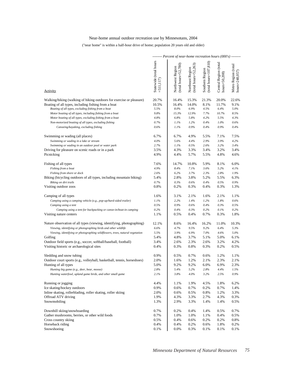## Near-home annual outdoor recreation use by Minnesotans, 2004

### ("near home" is within a half-hour drive of home; population 20 years old and older)

|                                                                                                                                                                                                                                                                                                              |                                        | $-----$ Percent of near-home recreation hours (000's) $-----$ |                                              |                                            |                                           |                                       |
|--------------------------------------------------------------------------------------------------------------------------------------------------------------------------------------------------------------------------------------------------------------------------------------------------------------|----------------------------------------|---------------------------------------------------------------|----------------------------------------------|--------------------------------------------|-------------------------------------------|---------------------------------------|
| Activity                                                                                                                                                                                                                                                                                                     | Statewide (total hours<br>$=511,117$   | $(tota1$ hours= $52,780$ )<br>Northwest Region                | $(total hours = 52,263)$<br>Northeast Region | $(total hours=107,810)$<br>Southern Region | Central Region (total<br>$hours = 50,208$ | Metro Region (total<br>hours=248,057) |
|                                                                                                                                                                                                                                                                                                              |                                        |                                                               |                                              |                                            |                                           |                                       |
| Walking/hiking (walking of hiking outdoors for exercise or pleasure)<br>Boating of all types, including fishing from a boat<br>Boating of all types, excluding fishing from a boat<br>Motor boating of all types, including fishing from a boat<br>Motor boating of all types, excluding fishing from a boat | 20.7%<br>10.5%<br>5.5%<br>9.8%<br>4.8% | 16.4%<br>16.4%<br>8.0%<br>15.3%<br>6.8%                       | 15.3%<br>14.0%<br>6.9%<br>12.9%<br>5.8%      | 21.3%<br>8.1%<br>4.5%<br>7.7%<br>4.2%      | 20.0%<br>11.7%<br>6.4%<br>10.7%<br>5.5%   | 22.6%<br>9.1%<br>5.0%<br>8.5%<br>4.3% |
| Non-motorized boating of all types, excluding fishing                                                                                                                                                                                                                                                        | 0.7%                                   | 1.1%                                                          | 1.2%                                         | 0.4%                                       | 1.0%                                      | 0.6%                                  |
| Canoeing/kayaking, excluding fishing                                                                                                                                                                                                                                                                         | 0.6%                                   | 1.1%                                                          | 0.9%                                         | 0.4%                                       | 0.9%                                      | 0.4%                                  |
| Swimming or wading (all places)<br>Swimming or wading in a lake or stream<br>Swimming or wading in an outdoor pool or water park<br>Driving for pleasure on scenic roads or in a park<br>Picnicking                                                                                                          | 6.7%<br>4.0%<br>2.7%<br>3.5%<br>4.9%   | 6.7%<br>5.6%<br>1.1%<br>4.3%<br>4.4%                          | 4.9%<br>4.4%<br>0.5%<br>3.3%<br>5.7%         | 5.5%<br>2.9%<br>2.6%<br>3.4%<br>5.5%       | 7.1%<br>3.9%<br>3.2%<br>3.2%<br>4.8%      | 7.5%<br>4.2%<br>3.4%<br>3.4%<br>4.6%  |
|                                                                                                                                                                                                                                                                                                              |                                        |                                                               |                                              |                                            |                                           |                                       |
| Fishing of all types<br>Fishing from a boat                                                                                                                                                                                                                                                                  | 7.6%<br>4.9%                           | 14.7%<br>8.4%                                                 | 10.8%<br>7.1%                                | 5.9%<br>3.6%                               | 8.1%<br>5.2%                              | 6.0%<br>4.1%                          |
| Fishing from shore or dock                                                                                                                                                                                                                                                                                   | 2.6%                                   | 6.2%                                                          | 3.7%                                         | 2.3%                                       | 2.8%                                      | 1.9%                                  |
| Biking (bicycling outdoors of all types, including mountain biking)                                                                                                                                                                                                                                          | 5.4%                                   | 2.8%                                                          | 3.8%                                         | 5.2%                                       | 5.5%                                      | 6.3%                                  |
| Biking on dirt trails                                                                                                                                                                                                                                                                                        | 0.7%                                   | 0.3%                                                          | 0.6%                                         | 0.4%                                       | 0.5%                                      | 0.9%                                  |
| Visiting outdoor zoos                                                                                                                                                                                                                                                                                        | 0.8%                                   | 0.2%                                                          | 0.3%                                         | 0.4%                                       | 0.3%                                      | 1.3%                                  |
| Camping of all types                                                                                                                                                                                                                                                                                         | 1.6%                                   | 3.1%                                                          | 2.1%                                         | 1.6%                                       | 2.1%                                      | 1.1%                                  |
| Camping using a camping vehicle (e.g., pop-up/hard-sided trailer)                                                                                                                                                                                                                                            | 1.1%                                   | 2.2%                                                          | 1.4%                                         | 1.2%                                       | 1.8%                                      | 0.6%                                  |
| Camping using a tent                                                                                                                                                                                                                                                                                         | 0.5%                                   | 0.9%                                                          | 0.6%                                         | 0.4%                                       | 0.3%                                      | 0.5%                                  |
| Camping using a tent for backpacking or canoe-in/boat-in camping                                                                                                                                                                                                                                             | 0.2%                                   | 0.4%                                                          | 0.3%                                         | 0.2%                                       | 0.1%                                      | 0.2%                                  |
| Visiting nature centers                                                                                                                                                                                                                                                                                      | 1.1%                                   | 0.5%                                                          | 0.4%                                         | 0.7%                                       | 0.3%                                      | 1.8%                                  |
| Nature observation of all types (viewing, identifying, photographing)<br>Viewing, identifying or photographing birds and other wildlife<br>Viewing, identifying or photographing wildflowers, trees, natural vegetation                                                                                      | 12.1%<br>6.6%<br>5.5%                  | 8.6%<br>4.7%<br>3.9%                                          | 16.4%<br>9.5%<br>6.9%                        | 16.2%<br>9.2%<br>7.0%                      | 11.0%<br>6.4%<br>4.6%                     | 10.3%<br>5.3%<br>5.0%                 |
| Golfing                                                                                                                                                                                                                                                                                                      | 5.4%                                   | 4.8%                                                          | 3.7%                                         | 5.1%                                       | 5.0%                                      | 6.1%                                  |
| Outdoor field sports (e.g., soccer, softball/baseball, football)<br>Visiting historic or archaeological sites                                                                                                                                                                                                | 3.4%<br>0.4%                           | 2.6%<br>0.3%                                                  | 2.3%<br>0.8%                                 | 2.6%<br>0.3%                               | 3.2%<br>0.2%                              | 4.2%<br>0.5%                          |
| Sledding and snow tubing                                                                                                                                                                                                                                                                                     | 0.9%                                   | 0.5%                                                          | 0.7%                                         | 0.6%                                       | 1.2%                                      | 1.1%                                  |
| Outdoor court sports (e.g., volleyball, basketball, tennis, horseshoes)                                                                                                                                                                                                                                      | 2.0%                                   | 1.6%                                                          | 1.2%                                         | 2.1%                                       | 2.3%                                      | 2.1%                                  |
| Hunting of all types                                                                                                                                                                                                                                                                                         | 5.0%                                   | 9.2%                                                          | 9.2%                                         | 6.0%                                       | 6.9%                                      | 2.3%                                  |
| Hunting big game (e.g., deer, bear, moose)                                                                                                                                                                                                                                                                   | 2.8%                                   | 5.4%                                                          | 5.2%                                         | 2.8%                                       | 4.4%                                      | 1.5%                                  |
| Hunting waterfowl, upland game birds, and other small game                                                                                                                                                                                                                                                   | 2.1%                                   | 3.8%                                                          | 4.0%                                         | 3.2%                                       | 2.5%                                      | $0.9\%$                               |
| Running or jogging<br>Ice skating/hockey outdoors                                                                                                                                                                                                                                                            | 4.4%<br>0.9%                           | 1.1%<br>0.6%                                                  | 1.9%<br>0.7%                                 | 4.5%<br>0.2%                               | 1.8%<br>0.7%                              | 6.2%<br>1.4%                          |
| Inline skating, rollerblading, roller skating, roller skiing                                                                                                                                                                                                                                                 | 2.0%                                   | 0.6%                                                          | 0.5%                                         | 0.8%                                       | 1.2%                                      | 3.3%                                  |
| Offroad ATV driving                                                                                                                                                                                                                                                                                          | 1.9%                                   | 4.3%                                                          | 3.3%                                         | 2.7%                                       | 4.3%                                      | 0.3%                                  |
| Snowmobiling                                                                                                                                                                                                                                                                                                 | 1.3%                                   | 2.9%                                                          | 3.3%                                         | 1.4%                                       | 1.4%                                      | 0.5%                                  |
| Downhill skiing/snowboarding                                                                                                                                                                                                                                                                                 | 0.7%                                   | 0.2%                                                          | 0.4%                                         | 1.4%                                       | 0.5%                                      | 0.7%                                  |
| Gather mushrooms, berries, or other wild foods                                                                                                                                                                                                                                                               | 0.7%                                   | 1.0%                                                          | 1.0%                                         | 1.1%                                       | 0.4%                                      | 0.5%                                  |
| Cross country skiing                                                                                                                                                                                                                                                                                         | 0.5%                                   | 0.4%                                                          | 0.6%                                         | 0.2%                                       | 0.2%                                      | 0.8%                                  |
| Horseback riding                                                                                                                                                                                                                                                                                             | 0.4%                                   | 0.4%                                                          | 0.2%                                         | 0.6%                                       | 1.8%                                      | 0.2%                                  |
| Snowshoeing                                                                                                                                                                                                                                                                                                  | 0.1%                                   | 0.0%                                                          | 0.3%                                         | 0.1%                                       | 0.1%                                      | 0.1%                                  |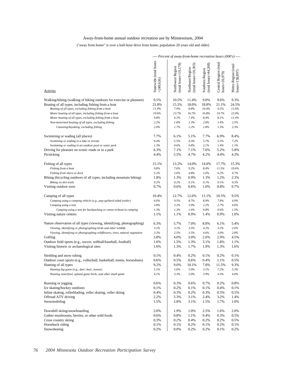### Away-from-home annual outdoor recreation use by Minnesotans, 2004

("away from home" is over a half-hour drive from home; population 20 years old and older)

|                                                                              |                                      | ---- r ercent of away-from-nome recreation nours (000 s) ---- |                                               |                                             |                                        |                                       |
|------------------------------------------------------------------------------|--------------------------------------|---------------------------------------------------------------|-----------------------------------------------|---------------------------------------------|----------------------------------------|---------------------------------------|
| Activity                                                                     | Statewide (total hours<br>$=249,626$ | $(total hours=19,178)$<br>Northwest Region                    | $(tota$ hours= $20,303$ )<br>Northeast Region | (total hours= $44,268$ )<br>Southern Region | Central Region (total<br>hours=26,979) | Metro Region (total<br>hours=138,897) |
| Walking/hiking (walking of hiking outdoors for exercise or pleasure)         | 9.5%                                 | 10.5%                                                         | 11.4%                                         | 9.0%                                        | 9.6%                                   | 9.3%                                  |
| Boating of all types, including fishing from a boat                          | 21.8%                                | 15.5%                                                         | 18.0%                                         | 18.8%                                       | 21.1%                                  | 24.5%                                 |
| Boating of all types, excluding fishing from a boat                          | 11.9%                                | 7.9%                                                          | 8.8%                                          | 10.4%                                       | 9.5%                                   | 13.9%                                 |
| Motor boating of all types, including fishing from a boat                    | 19.6%                                | 13.7%                                                         | 16.7%                                         | 16.8%                                       | 19.7%                                  | 22.0%                                 |
| Motor boating of all types, excluding fishing from a boat                    | 9.8%                                 | 6.1%                                                          | 7.4%                                          | 8.4%                                        | 8.1%                                   | 11.4%                                 |
| Non-motorized boating of all types, excluding fishing                        | 2.2%                                 | 1.8%                                                          | 1.3%                                          | 2.0%                                        | 1.4%                                   | 2.5%                                  |
| Canoeing/kayaking, excluding fishing                                         | 2.0%                                 | 1.7%                                                          | 1.2%                                          | 1.8%                                        | 1.3%                                   | 2.3%                                  |
| Swimming or wading (all places)                                              | 7.7%                                 | 6.1%                                                          | 5.1%                                          | 7.7%                                        | 6.9%                                   | 8.4%                                  |
| Swimming or wading in a lake or stream                                       | 6.4%                                 | 5.5%                                                          | 4.3%                                          | 5.7%                                        | 5.5%                                   | 7.2%                                  |
| Swimming or wading in an outdoor pool or water park                          | 1.3%                                 | 0.6%                                                          | $0.8\%$                                       | 2.1%                                        | 1.4%                                   | 1.1%                                  |
| Driving for pleasure on scenic roads or in a park                            | 6.3%                                 | 7.1%                                                          | 7.1%                                          | 7.6%                                        | 5.2%                                   | 5.8%                                  |
| Picnicking                                                                   | 4.4%                                 | 5.5%                                                          | 4.7%                                          | 4.2%                                        | 4.4%                                   | 4.3%                                  |
| Fishing of all types                                                         | 15.1%                                | 13.2%                                                         | 14.0%                                         | 14.0%                                       | 17.7%                                  | 15.3%                                 |
| Fishing from a boat                                                          | 9.8%                                 | 7.6%                                                          | 9.2%                                          | 8.4%                                        | 11.5%                                  | 10.6%                                 |
| Fishing from shore or dock                                                   | 5.2%                                 | 5.6%                                                          | 4.8%                                          | 5.6%                                        | 6.2%                                   | 4.7%                                  |
| Biking (bicycling outdoors of all types, including mountain biking)          | 1.8%                                 | 1.3%                                                          | 0.9%                                          | 1.3%                                        | 1.2%                                   | 2.3%                                  |
| Biking on dirt trails                                                        | 0.2%                                 | 0.2%                                                          | 0.1%                                          | 0.1%                                        | 0.1%                                   | 0.3%                                  |
| Visiting outdoor zoos                                                        | 0.7%                                 | 0.6%                                                          | 0.6%                                          | 1.0%                                        | 0.8%                                   | 0.7%                                  |
| Camping of all types                                                         | 10.4%                                | 12.7%                                                         | 12.6%                                         | 11.1%                                       | 10.5%                                  | 9.5%                                  |
| Camping using a camping vehicle (e.g., pop-up/hard-sided trailer)            | 6.6%                                 | 9.5%                                                          | 8.7%                                          | 8.9%                                        | 7.8%                                   | 4.9%                                  |
| Camping using a tent                                                         | 3.8%                                 | 3.2%                                                          | 3.9%                                          | 2.2%                                        | 2.7%                                   | 4.6%                                  |
| Camping using a tent for backpacking or canoe-in/boat-in camping             | 1.3%                                 | 1.3%                                                          | 1.6%                                          | 0.8%                                        | 0.6%                                   | 1.5%                                  |
| Visiting nature centers                                                      | 1.1%                                 | 1.1%                                                          | 0.9%                                          | 1.4%                                        | 0.9%                                   | 1.0%                                  |
| Nature observation of all types (viewing, identifying, photographing)        | 6.3%                                 | 5.7%                                                          | 7.0%                                          | 8.8%                                        | 6.1%                                   | 5.4%                                  |
| Viewing, identifying or photographing birds and other wildlife               | 3.1%                                 | 3.1%                                                          | 3.5%                                          | 4.2%                                        | 3.2%                                   | 2.6%                                  |
| Viewing, identifying or photographing wildflowers, trees, natural vegetation | 3.2%                                 | 2.5%                                                          | 3.5%                                          | 4.6%                                        | 3.0%                                   | 2.8%                                  |
| Golfing                                                                      | 3.8%                                 | 4.0%                                                          | 3.0%                                          | 2.6%                                        | 2.9%                                   | 4.5%                                  |
| Outdoor field sports (e.g., soccer, softball/baseball, football)             | 1.6%                                 | 1.5%                                                          | 1.3%                                          | 3.1%                                        | 1.8%                                   | 1.1%                                  |
| Visiting historic or archaeological sites                                    | 1.6%                                 | 1.3%                                                          | 1.7%                                          | 1.9%                                        | 1.3%                                   | 1.6%                                  |
| Sledding and snow tubing                                                     | 0.1%                                 | 0.4%                                                          | 0.2%                                          | 0.1%                                        | 0.2%                                   | 0.1%                                  |
| Outdoor court sports (e.g., volleyball, basketball, tennis, horseshoes)      | 0.6%                                 | 0.5%                                                          | 0.6%                                          | 0.4%                                        | 1.1%                                   | 0.5%                                  |
| Hunting of all types                                                         | 9.2%                                 | 9.0%                                                          | 10.1%                                         | 7.0%                                        | 11.5%                                  | 9.3%                                  |
| Hunting big game (e.g., deer, bear, moose)                                   | 5.1%                                 | 5.6%                                                          | 5.0%                                          | 3.1%                                        | 7.2%                                   | 5.3%                                  |
| Hunting waterfowl, upland game birds, and other small game                   | 4.1%                                 | 3.3%                                                          | 5.0%                                          | 3.9%                                        | 4.3%                                   | 4.0%                                  |
| Running or jogging                                                           | 0.6%                                 | 0.3%                                                          | 0.6%                                          | 0.7%                                        | 0.2%                                   | 0.8%                                  |
| Ice skating/hockey outdoors                                                  | 0.1%                                 | 0.2%                                                          | 0.1%                                          | 0.1%                                        | 0.4%                                   | 0.1%                                  |
| Inline skating, rollerblading, roller skating, roller skiing                 | 0.4%                                 | 0.3%                                                          | 0.2%                                          | 0.3%                                        | 0.5%                                   | 0.5%                                  |
| Offroad ATV driving                                                          | 2.2%                                 | 5.3%                                                          | 3.1%                                          | 2.4%                                        | 3.2%                                   | 1.4%                                  |
| Snowmobiling                                                                 | 1.5%                                 | 2.8%                                                          | 3.1%                                          | 1.5%                                        | 1.7%                                   | 1.0%                                  |
| Downhill skiing/snowboarding                                                 | 2.0%                                 | 1.9%                                                          | 1.0%                                          | 2.5%                                        | 1.6%                                   | 2.0%                                  |
| Gather mushrooms, berries, or other wild foods                               | 0.6%                                 | 0.8%                                                          | 1.1%                                          | 0.4%                                        | 0.3%                                   | 0.5%                                  |
| Cross country skiing                                                         | 0.3%                                 | 0.2%                                                          | 0.4%                                          | 0.2%                                        | 0.2%                                   | 0.5%                                  |
| Horseback riding                                                             | 0.1%                                 | 0.1%                                                          | 0.2%                                          | 0.1%                                        | 0.2%                                   | 0.1%                                  |
| Snowshoeing                                                                  | 0.2%                                 | 0.0%                                                          | 0.2%                                          | 0.2%                                        | 0.1%                                   | 0.2%                                  |

*Percent of away-from-home recreation hours (000's)*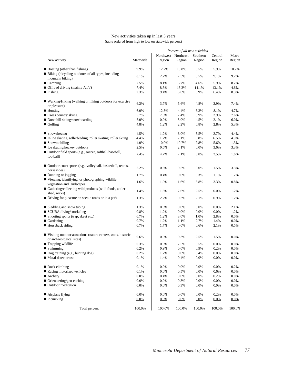### New activities taken up in last 5 years (table ordered from high to low on statewide percent)

|                                                                                            |           | --------------------------- Percent of all new activities --------------------------- |         |                    |                   |                 |
|--------------------------------------------------------------------------------------------|-----------|---------------------------------------------------------------------------------------|---------|--------------------|-------------------|-----------------|
| New activity                                                                               | Statewide | Northwest Northeast<br>Region                                                         | Region  | Southern<br>Region | Central<br>Region | Metro<br>Region |
| • Boating (other than fishing)                                                             | 9.9%      | 12.7%                                                                                 | 15.8%   | 5.5%               | 5.9%              | 10.7%           |
| • Biking (bicycling outdoors of all types, including<br>mountain biking)                   | 8.1%      | 2.2%                                                                                  | 2.5%    | 8.5%               | 9.1%              | 9.2%            |
| $\bullet$ Camping                                                                          | 7.5%      | 8.1%                                                                                  | 6.7%    | 4.6%               | 5.9%              | 8.7%            |
| • Offroad driving (mainly ATV)                                                             | 7.4%      | 8.3%                                                                                  | 13.3%   | 11.1%              | 13.1%             | 4.6%            |
| $\bullet$ Fishing                                                                          | 7.3%      | 9.4%                                                                                  | 5.6%    | 3.9%               | 6.4%              | 8.3%            |
| • Walking/Hiking (walking or hiking outdoors for exercise<br>or pleasure)                  | 6.3%      | 3.7%                                                                                  | 5.6%    | 4.8%               | 3.9%              | 7.4%            |
| $\bullet$ Hunting                                                                          | 6.0%      | 12.3%                                                                                 | 4.4%    | 8.3%               | 8.1%              | 4.7%            |
| • Cross country skiing                                                                     | 5.7%      | 7.5%                                                                                  | 2.4%    | 0.9%               | 3.9%              | 7.6%            |
| · Downhill skiing/snowboarding                                                             | 5.0%      | 0.0%                                                                                  | 5.0%    | 4.5%               | 2.1%              | 6.0%            |
| $\bullet$ Golfing                                                                          | 4.8%      | 1.2%                                                                                  | 2.2%    | 6.8%               | 2.8%              | 5.3%            |
| $\bullet$ Snowshoeing                                                                      | 4.5%      | 1.2%                                                                                  | 6.0%    | 5.5%               | 3.7%              | 4.4%            |
| • Inline skating, rollerblading, roller skating, roller skiing                             | 4.4%      | 1.7%                                                                                  | 2.1%    | 3.8%               | 6.5%              | 4.9%            |
| $\bullet$ Snowmobiling                                                                     | 4.0%      | 10.0%                                                                                 | 10.7%   | 7.8%               | 5.6%              | 1.3%            |
| • Ice skating/hockey outdoors                                                              | 2.5%      | 0.6%                                                                                  | 2.1%    | $0.0\%$            | 3.6%              | 3.3%            |
| • Outdoor field sports (e.g., soccer, softball/baseball,<br>football)                      | 2.4%      | 4.7%                                                                                  | 2.1%    | 3.8%               | 3.5%              | 1.6%            |
| • Outdoor court sports (e.g., volleyball, basketball, tennis,<br>horseshoes)               | 2.2%      | 0.6%                                                                                  | 0.5%    | 0.0%               | 1.5%              | 3.3%            |
| • Running or jogging                                                                       | 1.7%      | 0.4%                                                                                  | 0.0%    | 3.3%               | 1.1%              | 1.7%            |
| • Viewing, identifying, or photographing wildlife,<br>vegetation and landscapes            | 1.6%      | 1.9%                                                                                  | 1.6%    | 3.8%               | 3.3%              | 0.8%            |
| • Gathering/collecting wild products (wild foods, antler<br>shed, rocks)                   | 1.4%      | 1.5%                                                                                  | 2.6%    | 2.5%               | 0.0%              | 1.2%            |
| • Driving for pleasure on scenic roads or in a park                                        | 1.3%      | 2.2%                                                                                  | 0.3%    | 2.1%               | 0.9%              | 1.2%            |
| • Sledding and snow tubing                                                                 | 1.3%      | 0.0%                                                                                  | 0.0%    | 0.0%               | 0.0%              | 2.1%            |
| • SCUBA diving/snorkeling                                                                  | 0.8%      | 1.2%                                                                                  | 0.0%    | 0.0%               | 0.0%              | 1.2%            |
| • Shooting sports (trap, skeet etc.)                                                       | 0.7%      | 1.2%                                                                                  | 3.0%    | 1.0%               | 2.8%              | 0.0%            |
| $\bullet$ Gardening                                                                        | 0.7%      | 1.2%                                                                                  | 1.1%    | 2.7%               | 1.4%              | 0.0%            |
| • Horseback riding                                                                         | 0.7%      | 1.7%                                                                                  | $0.0\%$ | 0.6%               | 2.1%              | 0.5%            |
| • Visiting outdoor attractions (nature centers, zoos, historic<br>or archaeological sites) | 0.6%      | 0.0%                                                                                  | 0.3%    | 2.5%               | 1.5%              | 0.0%            |
| • Trapping wildlife                                                                        | 0.3%      | 0.0%                                                                                  | 2.5%    | 0.5%               | 0.0%              | 0.0%            |
| $\bullet$ Swimming                                                                         | 0.2%      | 0.9%                                                                                  | 0.0%    | 0.9%               | 0.2%              | 0.0%            |
| • Dog training (e.g., hunting dog)                                                         | 0.2%      | 1.7%                                                                                  | 0.0%    | 0.4%               | 0.0%              | 0.0%            |
| Metal detector use                                                                         | 0.1%      | 1.4%                                                                                  | 0.4%    | 0.0%               | $0.0\%$           | $0.0\%$         |
|                                                                                            |           |                                                                                       |         |                    |                   |                 |
| $\bullet$ Rock climbing                                                                    | 0.1%      | 0.0%                                                                                  | 0.0%    | 0.0%               | 0.0%              | 0.2%            |
| • Racing motorized vehicles                                                                | 0.1%      | 0.0%                                                                                  | 0.5%    | 0.0%               | 0.6%              | 0.0%            |
| $\bullet$ Archery                                                                          | 0.0%      | 0.4%                                                                                  | 0.0%    | 0.0%               | 0.2%              | 0.0%            |
| $\bullet$ Orienteering/geo-caching                                                         | 0.0%      | 0.0%                                                                                  | 0.3%    | $0.0\%$            | 0.0%              | 0.0%            |
| • Outdoor meditation                                                                       | 0.0%      | 0.0%                                                                                  | 0.3%    | 0.0%               | 0.0%              | 0.0%            |
| $\bullet$ Airplane flying                                                                  | 0.0%      | 0.0%                                                                                  | 0.0%    | 0.0%               | 0.2%              | 0.0%            |
| • Picnicking                                                                               | 0.0%      | 0.0%                                                                                  | 0.0%    | 0.0%               | 0.0%              | 0.0%            |
| Total percent                                                                              | 100.0%    | 100.0%                                                                                | 100.0%  | 100.0%             | 100.0%            | 100.0%          |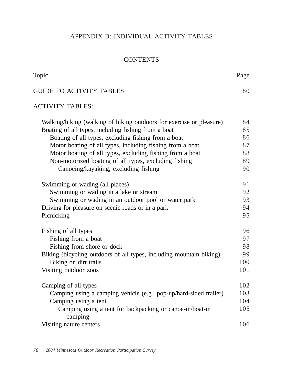## APPENDIX B: INDIVIDUAL ACTIVITY TABLES

## **CONTENTS**

Page

Topic

| <b>GUIDE TO ACTIVITY TABLES</b>                                      | 80  |
|----------------------------------------------------------------------|-----|
| <b>ACTIVITY TABLES:</b>                                              |     |
| Walking/hiking (walking of hiking outdoors for exercise or pleasure) | 84  |
| Boating of all types, including fishing from a boat                  | 85  |
| Boating of all types, excluding fishing from a boat                  | 86  |
| Motor boating of all types, including fishing from a boat            | 87  |
| Motor boating of all types, excluding fishing from a boat            | 88  |
| Non-motorized boating of all types, excluding fishing                | 89  |
| Canoeing/kayaking, excluding fishing                                 | 90  |
| Swimming or wading (all places)                                      | 91  |
| Swimming or wading in a lake or stream                               | 92  |
| Swimming or wading in an outdoor pool or water park                  | 93  |
| Driving for pleasure on scenic roads or in a park                    | 94  |
| Picnicking                                                           | 95  |
| Fishing of all types                                                 | 96  |
| Fishing from a boat                                                  | 97  |
| Fishing from shore or dock                                           | 98  |
| Biking (bicycling outdoors of all types, including mountain biking)  | 99  |
| Biking on dirt trails                                                | 100 |
| Visiting outdoor zoos                                                | 101 |
| Camping of all types                                                 | 102 |
| Camping using a camping vehicle (e.g., pop-up/hard-sided trailer)    | 103 |
| Camping using a tent                                                 | 104 |
| Camping using a tent for backpacking or canoe-in/boat-in<br>camping  | 105 |
| Visiting nature centers                                              | 106 |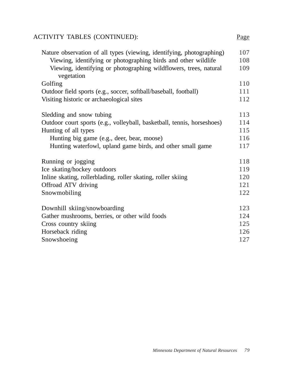# ACTIVITY TABLES (CONTINUED):

| Nature observation of all types (viewing, identifying, photographing)   | 107 |
|-------------------------------------------------------------------------|-----|
| Viewing, identifying or photographing birds and other wildlife          | 108 |
| Viewing, identifying or photographing wildflowers, trees, natural       | 109 |
| vegetation                                                              |     |
| Golfing                                                                 | 110 |
| Outdoor field sports (e.g., soccer, softball/baseball, football)        | 111 |
| Visiting historic or archaeological sites                               | 112 |
|                                                                         |     |
| Sledding and snow tubing                                                | 113 |
| Outdoor court sports (e.g., volleyball, basketball, tennis, horseshoes) | 114 |
| Hunting of all types                                                    | 115 |
| Hunting big game (e.g., deer, bear, moose)                              | 116 |
| Hunting waterfowl, upland game birds, and other small game              | 117 |
| Running or jogging                                                      | 118 |
| Ice skating/hockey outdoors                                             | 119 |
| Inline skating, rollerblading, roller skating, roller skiing            | 120 |
| Offroad ATV driving                                                     | 121 |
| Snowmobiling                                                            | 122 |
|                                                                         |     |
| Downhill skiing/snowboarding                                            | 123 |
| Gather mushrooms, berries, or other wild foods                          | 124 |
| Cross country skiing                                                    | 125 |
| Horseback riding                                                        | 126 |
| Snowshoeing                                                             | 127 |

Page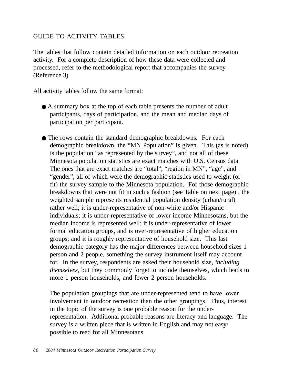## GUIDE TO ACTIVITY TABLES

The tables that follow contain detailed information on each outdoor recreation activity. For a complete description of how these data were collected and processed, refer to the methodological report that accompanies the survey (Reference 3).

All activity tables follow the same format:

● A summary box at the top of each table presents the number of adult participants, days of participation, and the mean and median days of participation per participant.

• The rows contain the standard demographic breakdowns. For each demographic breakdown, the "MN Population" is given. This (as is noted) is the population "as represented by the survey", and not all of these Minnesota population statistics are exact matches with U.S. Census data. The ones that are exact matches are "total", "region in MN", "age", and "gender", all of which were the demographic statistics used to weight (or fit) the survey sample to the Minnesota population. For those demographic breakdowns that were not fit in such a fashion (see Table on next page) , the weighted sample represents residential population density (urban/rural) rather well; it is under-representative of non-white and/or Hispanic individuals; it is under-representative of lower income Minnesotans, but the median income is represented well; it is under-representative of lower formal education groups, and is over-representative of higher education groups; and it is roughly representative of household size. This last demographic category has the major differences between household sizes 1 person and 2 people, something the survey instrument itself may account for. In the survey, respondents are asked their household size, *including themselves*, but they commonly forget to include themselves, which leads to more 1 person households, and fewer 2 person households.

The population groupings that are under-represented tend to have lower involvement in outdoor recreation than the other groupings. Thus, interest in the topic of the survey is one probable reason for the underrepresentation. Additional probable reasons are literacy and language. The survey is a written piece that is written in English and may not easy/ possible to read for all Minnesotans.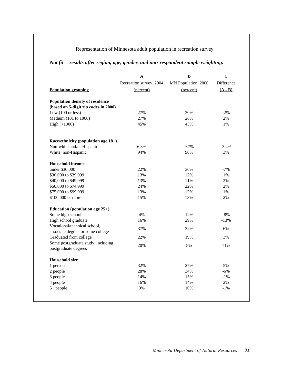## Representation of Minnesota adult population in recreation survey

## *Not fit -- results after region, age, gender, and non-respondent sample weighting:*

|                                                                   | A                       | B                   | $\mathbf C$ |
|-------------------------------------------------------------------|-------------------------|---------------------|-------------|
|                                                                   | Recreation survey, 2004 | MN Population, 2000 | Difference  |
| <b>Population grouping</b>                                        | (percent)               | (percent)           | $(A - B)$   |
| <b>Population density of residence</b>                            |                         |                     |             |
| (based on 5-digit zip codes in 2000)                              |                         |                     |             |
| Low $(100 \text{ or less})$                                       | 27%                     | 30%                 | $-2\%$      |
| Medium (101 to 1000)                                              | 27%                     | 26%                 | 2%          |
| High $(>1000)$                                                    | 45%                     | 45%                 | 1%          |
| Race/ethnicity (population age 18+)                               |                         |                     |             |
| Non-white and/or Hispanic                                         | 6.3%                    | 9.7%                | $-3.4%$     |
| White, non-Hispanic                                               | 94%                     | 90%                 | 3%          |
| <b>Household income</b>                                           |                         |                     |             |
| under \$30,000                                                    | 22%                     | 30%                 | $-7%$       |
| \$30,000 to \$39,999                                              | 13%                     | 12%                 | $1\%$       |
| \$40,000 to \$49,999                                              | 13%                     | 11%                 | 2%          |
| \$50,000 to \$74,999                                              | 24%                     | 22%                 | 2%          |
| \$75,000 to \$99,999                                              | 13%                     | 12%                 | 1%          |
| \$100,000 or more                                                 | 15%                     | 13%                 | 2%          |
| Education (population age $25+$ )                                 |                         |                     |             |
| Some high school                                                  | 4%                      | 12%                 | $-8%$       |
| High school graduate                                              | 16%                     | 29%                 | $-13%$      |
| Vocational/technical school,<br>associate degree, or some college | 37%                     | 32%                 | 6%          |
| Graduated from college                                            | 22%                     | 19%                 | 3%          |
| Some postgraduate study, including<br>postgraduate degrees        | 20%                     | 8%                  | 11%         |
| <b>Household size</b>                                             |                         |                     |             |
| 1 person                                                          | 32%                     | 27%                 | 5%          |
| 2 people                                                          | 28%                     | 34%                 | $-6%$       |
| 3 people                                                          | 14%                     | 15%                 | $-1\%$      |
| 4 people                                                          | 16%                     | 14%                 | 2%          |
| $5+$ people                                                       | 9%                      | 10%                 | $-1\%$      |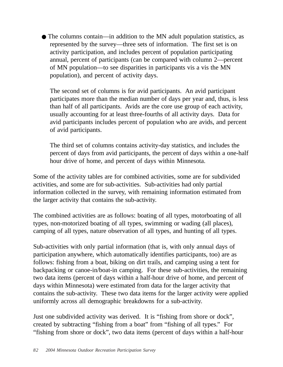● The columns contain—in addition to the MN adult population statistics, as represented by the survey—three sets of information. The first set is on activity participation, and includes percent of population participating annual, percent of participants (can be compared with column 2—percent of MN population—to see disparities in participants vis a vis the MN population), and percent of activity days.

The second set of columns is for avid participants. An avid participant participates more than the median number of days per year and, thus, is less than half of all participants. Avids are the core use group of each activity, usually accounting for at least three-fourths of all activity days. Data for avid participants includes percent of population who are avids, and percent of avid participants.

The third set of columns contains activity-day statistics, and includes the percent of days from avid participants, the percent of days within a one-half hour drive of home, and percent of days within Minnesota.

Some of the activity tables are for combined activities, some are for subdivided activities, and some are for sub-activities. Sub-activities had only partial information collected in the survey, with remaining information estimated from the larger activity that contains the sub-activity.

The combined activities are as follows: boating of all types, motorboating of all types, non-motorized boating of all types, swimming or wading (all places), camping of all types, nature observation of all types, and hunting of all types.

Sub-activities with only partial information (that is, with only annual days of participation anywhere, which automatically identifies participants, too) are as follows: fishing from a boat, biking on dirt trails, and camping using a tent for backpacking or canoe-in/boat-in camping. For these sub-activities, the remaining two data items (percent of days within a half-hour drive of home, and percent of days within Minnesota) were estimated from data for the larger activity that contains the sub-activity. These two data items for the larger activity were applied uniformly across all demographic breakdowns for a sub-activity.

Just one subdivided activity was derived. It is "fishing from shore or dock", created by subtracting "fishing from a boat" from "fishing of all types." For "fishing from shore or dock", two data items (percent of days within a half-hour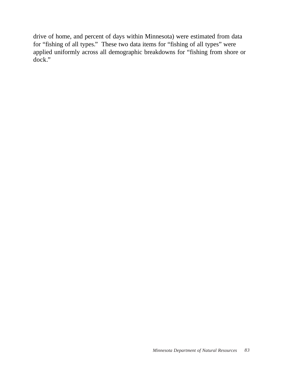drive of home, and percent of days within Minnesota) were estimated from data for "fishing of all types." These two data items for "fishing of all types" were applied uniformly across all demographic breakdowns for "fishing from shore or dock."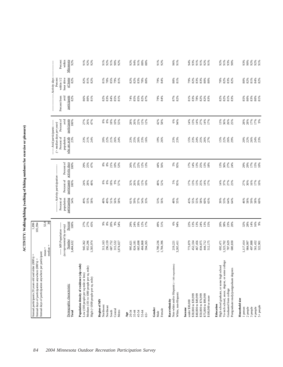ACTIVITY: Walking/hiking (walking of hiking outdoors for exercise or pleasure) **ACTIVITY: Walking/hiking (walking of hiking outdoors for exercise or pleasure)**

| Percent of<br>participants<br>avid<br>18%<br>8%<br>8%%<br>2021<br>2021<br>42%<br>58%<br>14%<br>$8888888$<br>$77888$<br>$1788$<br>100%<br>27%<br>26%<br>47%<br>$\begin{array}{l} 8\% \\ 8\% \end{array}$<br>10%<br>55%<br>6%<br>14%<br>27%<br>14%<br>17%<br>13%<br>36%<br>26%<br>25%<br>94%<br>13%<br>----- Avid participants ------<br>$($ > median days per year)<br>Percent of<br>who are avids<br>population<br>23%<br>21%<br>26%<br>23%<br>16%<br>26%<br>23%<br>23%<br>24%<br>25%<br>26%<br>27%<br>22%<br>26%<br>24%<br>23%<br>23%<br>21%<br>24%<br>20%<br>22%<br>26%<br>24%<br>23%<br>25%<br>19%<br>$15%$<br>$23%$<br>15%<br>28%<br>29%<br>20%<br>Percent of<br>activity days<br>100%<br>21%<br>10%<br>53%<br>26%<br>27%<br>22%<br>12%<br>44%<br>56%<br>5%<br>95%<br>13%<br>25%<br>13%<br>18%<br>29%<br>29%<br>17%<br>15%<br>10%<br>8%<br>25%<br>47%<br>$\begin{array}{c} 8\% \\ 8\% \end{array}$<br>13%<br>$17%$<br>14%<br>--- Activity participation --<br>Percent of<br>participants<br>100%<br>18%<br>32%<br>26%<br>12%<br>13%<br>$14%$<br>$37%$<br>$23%$<br>27%<br>30%<br>16%<br>17%<br>10%<br>24%<br>28%<br>48%<br>$\substack{8\% \\ 8\%}$<br>$9\%$<br>57%<br>10%<br>48%<br>52%<br>5%<br>95%<br>17%<br>13%<br>25%<br>14%<br>17%<br>Percent of<br>population<br>participating<br>$61%$<br>$59%$<br>$57%$<br>58%<br>54%<br>49%<br>55%<br>51%<br>53%<br>56%<br>55%<br>60%<br>65%<br>39%<br>53%<br>64%<br>46%<br>59%<br>58%<br>60%<br>58%<br>48%<br>49%<br>56%<br>58%<br>54%<br>33%<br>48%<br>55%<br>43%<br>55%<br>58%<br>64%<br>55.9<br>38<br>20%<br>9%<br>54%<br>Percent<br>27%<br>27%<br>$\frac{9\%}{8\%}$<br>29%<br>24%<br>19%<br>49%<br>51%<br>6%<br>$22%$<br>$13%$<br>13%<br>24%<br>13%<br>20%<br>38%<br>23%<br>32%<br>28%<br>14%<br>16%<br>9%<br>100%<br>45%<br>12%<br>17%<br>94%<br>20%<br>15%<br>--- MN Population -----<br>(as represented by survey)<br>Number<br>3,484,632<br>955,296<br>1,700,236<br>467,456<br>497,888<br>945,362<br>296,159<br>687,752<br>315,532<br>665,698<br>404,868<br>1,784,396<br>787,629<br>680,830<br>1,117,414<br>561,432<br>322,901<br>1,583,974<br>594,265<br>773,879<br>452,334<br>834,075<br>444,712<br>512,175<br>1,323,702<br>984,997<br>311,163<br>1,874,027<br>824,181<br>692,471<br>3,265,411<br>995,621<br>219,22<br>$mean =$<br>median:<br>Vo-tech school, assoc. degree, or some college<br>Non-white and/or Hispanic (< 100 respondents)<br>Population density of residence (zip code)<br>High school graduate, or some high school<br>Medium (101 to 1000 people per sq. mile)<br>Postgraduate study/postgraduate degrees<br>Low (100 people per sq mile or less)<br>High (>1000 people per sq. mile)<br>Demographic characteristic<br>Graduated from college<br>White, non-Hispanic<br>\$30,000 to \$39,999<br>\$40,000 to \$49,999<br>\$50,000 to \$74,999<br>\$75,000 to \$99,999<br>\$100,000 or more<br>Household size<br>Region of MN<br>Race/ethnicity<br>under \$30,000<br>Education<br>Northwest<br>Northeast<br>2 people<br>3 people<br>4 people<br>1 person<br>Income<br>Gender<br>Female<br>Central<br>Metro<br>South<br>Total<br>45-54<br>$35 - 44$<br>55-64<br>20-34<br>Male<br>Age<br>$65+$ | Annual days of participation anywhere per participant:<br>Annual days of participation anywhere (000's) = | 1,896<br>105,994 |  |  |                             |                                  |  |
|-------------------------------------------------------------------------------------------------------------------------------------------------------------------------------------------------------------------------------------------------------------------------------------------------------------------------------------------------------------------------------------------------------------------------------------------------------------------------------------------------------------------------------------------------------------------------------------------------------------------------------------------------------------------------------------------------------------------------------------------------------------------------------------------------------------------------------------------------------------------------------------------------------------------------------------------------------------------------------------------------------------------------------------------------------------------------------------------------------------------------------------------------------------------------------------------------------------------------------------------------------------------------------------------------------------------------------------------------------------------------------------------------------------------------------------------------------------------------------------------------------------------------------------------------------------------------------------------------------------------------------------------------------------------------------------------------------------------------------------------------------------------------------------------------------------------------------------------------------------------------------------------------------------------------------------------------------------------------------------------------------------------------------------------------------------------------------------------------------------------------------------------------------------------------------------------------------------------------------------------------------------------------------------------------------------------------------------------------------------------------------------------------------------------------------------------------------------------------------------------------------------------------------------------------------------------------------------------------------------------------------------------------------------------------------------------------------------------------------------------------------------------------------------------------------------------------------------------------------------------------------------------------------------------------------------------------------------------------------------------------------------------------------------------------------------------------------------------------------------------------------------------------------------------------|-----------------------------------------------------------------------------------------------------------|------------------|--|--|-----------------------------|----------------------------------|--|
|                                                                                                                                                                                                                                                                                                                                                                                                                                                                                                                                                                                                                                                                                                                                                                                                                                                                                                                                                                                                                                                                                                                                                                                                                                                                                                                                                                                                                                                                                                                                                                                                                                                                                                                                                                                                                                                                                                                                                                                                                                                                                                                                                                                                                                                                                                                                                                                                                                                                                                                                                                                                                                                                                                                                                                                                                                                                                                                                                                                                                                                                                                                                                                         |                                                                                                           |                  |  |  |                             |                                  |  |
|                                                                                                                                                                                                                                                                                                                                                                                                                                                                                                                                                                                                                                                                                                                                                                                                                                                                                                                                                                                                                                                                                                                                                                                                                                                                                                                                                                                                                                                                                                                                                                                                                                                                                                                                                                                                                                                                                                                                                                                                                                                                                                                                                                                                                                                                                                                                                                                                                                                                                                                                                                                                                                                                                                                                                                                                                                                                                                                                                                                                                                                                                                                                                                         |                                                                                                           |                  |  |  |                             | - Activity days<br>Percent       |  |
|                                                                                                                                                                                                                                                                                                                                                                                                                                                                                                                                                                                                                                                                                                                                                                                                                                                                                                                                                                                                                                                                                                                                                                                                                                                                                                                                                                                                                                                                                                                                                                                                                                                                                                                                                                                                                                                                                                                                                                                                                                                                                                                                                                                                                                                                                                                                                                                                                                                                                                                                                                                                                                                                                                                                                                                                                                                                                                                                                                                                                                                                                                                                                                         |                                                                                                           |                  |  |  | Percent from<br>avid        | within $1/2$<br>hour drive       |  |
|                                                                                                                                                                                                                                                                                                                                                                                                                                                                                                                                                                                                                                                                                                                                                                                                                                                                                                                                                                                                                                                                                                                                                                                                                                                                                                                                                                                                                                                                                                                                                                                                                                                                                                                                                                                                                                                                                                                                                                                                                                                                                                                                                                                                                                                                                                                                                                                                                                                                                                                                                                                                                                                                                                                                                                                                                                                                                                                                                                                                                                                                                                                                                                         |                                                                                                           |                  |  |  | participants<br>82%         | of home<br>82%                   |  |
|                                                                                                                                                                                                                                                                                                                                                                                                                                                                                                                                                                                                                                                                                                                                                                                                                                                                                                                                                                                                                                                                                                                                                                                                                                                                                                                                                                                                                                                                                                                                                                                                                                                                                                                                                                                                                                                                                                                                                                                                                                                                                                                                                                                                                                                                                                                                                                                                                                                                                                                                                                                                                                                                                                                                                                                                                                                                                                                                                                                                                                                                                                                                                                         |                                                                                                           |                  |  |  |                             |                                  |  |
|                                                                                                                                                                                                                                                                                                                                                                                                                                                                                                                                                                                                                                                                                                                                                                                                                                                                                                                                                                                                                                                                                                                                                                                                                                                                                                                                                                                                                                                                                                                                                                                                                                                                                                                                                                                                                                                                                                                                                                                                                                                                                                                                                                                                                                                                                                                                                                                                                                                                                                                                                                                                                                                                                                                                                                                                                                                                                                                                                                                                                                                                                                                                                                         |                                                                                                           |                  |  |  | 86%<br>80%                  | 82 %<br>82 %<br>82 %             |  |
|                                                                                                                                                                                                                                                                                                                                                                                                                                                                                                                                                                                                                                                                                                                                                                                                                                                                                                                                                                                                                                                                                                                                                                                                                                                                                                                                                                                                                                                                                                                                                                                                                                                                                                                                                                                                                                                                                                                                                                                                                                                                                                                                                                                                                                                                                                                                                                                                                                                                                                                                                                                                                                                                                                                                                                                                                                                                                                                                                                                                                                                                                                                                                                         |                                                                                                           |                  |  |  | 81%                         |                                  |  |
|                                                                                                                                                                                                                                                                                                                                                                                                                                                                                                                                                                                                                                                                                                                                                                                                                                                                                                                                                                                                                                                                                                                                                                                                                                                                                                                                                                                                                                                                                                                                                                                                                                                                                                                                                                                                                                                                                                                                                                                                                                                                                                                                                                                                                                                                                                                                                                                                                                                                                                                                                                                                                                                                                                                                                                                                                                                                                                                                                                                                                                                                                                                                                                         |                                                                                                           |                  |  |  | 82%                         | 81%                              |  |
|                                                                                                                                                                                                                                                                                                                                                                                                                                                                                                                                                                                                                                                                                                                                                                                                                                                                                                                                                                                                                                                                                                                                                                                                                                                                                                                                                                                                                                                                                                                                                                                                                                                                                                                                                                                                                                                                                                                                                                                                                                                                                                                                                                                                                                                                                                                                                                                                                                                                                                                                                                                                                                                                                                                                                                                                                                                                                                                                                                                                                                                                                                                                                                         |                                                                                                           |                  |  |  | 83%                         | 78%                              |  |
|                                                                                                                                                                                                                                                                                                                                                                                                                                                                                                                                                                                                                                                                                                                                                                                                                                                                                                                                                                                                                                                                                                                                                                                                                                                                                                                                                                                                                                                                                                                                                                                                                                                                                                                                                                                                                                                                                                                                                                                                                                                                                                                                                                                                                                                                                                                                                                                                                                                                                                                                                                                                                                                                                                                                                                                                                                                                                                                                                                                                                                                                                                                                                                         |                                                                                                           |                  |  |  | 84%                         | 85%                              |  |
|                                                                                                                                                                                                                                                                                                                                                                                                                                                                                                                                                                                                                                                                                                                                                                                                                                                                                                                                                                                                                                                                                                                                                                                                                                                                                                                                                                                                                                                                                                                                                                                                                                                                                                                                                                                                                                                                                                                                                                                                                                                                                                                                                                                                                                                                                                                                                                                                                                                                                                                                                                                                                                                                                                                                                                                                                                                                                                                                                                                                                                                                                                                                                                         |                                                                                                           |                  |  |  | 85%<br>81%                  | 79%<br>81%                       |  |
|                                                                                                                                                                                                                                                                                                                                                                                                                                                                                                                                                                                                                                                                                                                                                                                                                                                                                                                                                                                                                                                                                                                                                                                                                                                                                                                                                                                                                                                                                                                                                                                                                                                                                                                                                                                                                                                                                                                                                                                                                                                                                                                                                                                                                                                                                                                                                                                                                                                                                                                                                                                                                                                                                                                                                                                                                                                                                                                                                                                                                                                                                                                                                                         |                                                                                                           |                  |  |  |                             |                                  |  |
|                                                                                                                                                                                                                                                                                                                                                                                                                                                                                                                                                                                                                                                                                                                                                                                                                                                                                                                                                                                                                                                                                                                                                                                                                                                                                                                                                                                                                                                                                                                                                                                                                                                                                                                                                                                                                                                                                                                                                                                                                                                                                                                                                                                                                                                                                                                                                                                                                                                                                                                                                                                                                                                                                                                                                                                                                                                                                                                                                                                                                                                                                                                                                                         |                                                                                                           |                  |  |  |                             |                                  |  |
|                                                                                                                                                                                                                                                                                                                                                                                                                                                                                                                                                                                                                                                                                                                                                                                                                                                                                                                                                                                                                                                                                                                                                                                                                                                                                                                                                                                                                                                                                                                                                                                                                                                                                                                                                                                                                                                                                                                                                                                                                                                                                                                                                                                                                                                                                                                                                                                                                                                                                                                                                                                                                                                                                                                                                                                                                                                                                                                                                                                                                                                                                                                                                                         |                                                                                                           |                  |  |  | $74%8%$<br>$75%8%3%$        | 82 %<br>82 %<br>83 %             |  |
|                                                                                                                                                                                                                                                                                                                                                                                                                                                                                                                                                                                                                                                                                                                                                                                                                                                                                                                                                                                                                                                                                                                                                                                                                                                                                                                                                                                                                                                                                                                                                                                                                                                                                                                                                                                                                                                                                                                                                                                                                                                                                                                                                                                                                                                                                                                                                                                                                                                                                                                                                                                                                                                                                                                                                                                                                                                                                                                                                                                                                                                                                                                                                                         |                                                                                                           |                  |  |  |                             |                                  |  |
|                                                                                                                                                                                                                                                                                                                                                                                                                                                                                                                                                                                                                                                                                                                                                                                                                                                                                                                                                                                                                                                                                                                                                                                                                                                                                                                                                                                                                                                                                                                                                                                                                                                                                                                                                                                                                                                                                                                                                                                                                                                                                                                                                                                                                                                                                                                                                                                                                                                                                                                                                                                                                                                                                                                                                                                                                                                                                                                                                                                                                                                                                                                                                                         |                                                                                                           |                  |  |  |                             | $78%$<br>$80%$                   |  |
|                                                                                                                                                                                                                                                                                                                                                                                                                                                                                                                                                                                                                                                                                                                                                                                                                                                                                                                                                                                                                                                                                                                                                                                                                                                                                                                                                                                                                                                                                                                                                                                                                                                                                                                                                                                                                                                                                                                                                                                                                                                                                                                                                                                                                                                                                                                                                                                                                                                                                                                                                                                                                                                                                                                                                                                                                                                                                                                                                                                                                                                                                                                                                                         |                                                                                                           |                  |  |  |                             |                                  |  |
|                                                                                                                                                                                                                                                                                                                                                                                                                                                                                                                                                                                                                                                                                                                                                                                                                                                                                                                                                                                                                                                                                                                                                                                                                                                                                                                                                                                                                                                                                                                                                                                                                                                                                                                                                                                                                                                                                                                                                                                                                                                                                                                                                                                                                                                                                                                                                                                                                                                                                                                                                                                                                                                                                                                                                                                                                                                                                                                                                                                                                                                                                                                                                                         |                                                                                                           |                  |  |  | 79%<br>84%                  | %6L<br>%81                       |  |
|                                                                                                                                                                                                                                                                                                                                                                                                                                                                                                                                                                                                                                                                                                                                                                                                                                                                                                                                                                                                                                                                                                                                                                                                                                                                                                                                                                                                                                                                                                                                                                                                                                                                                                                                                                                                                                                                                                                                                                                                                                                                                                                                                                                                                                                                                                                                                                                                                                                                                                                                                                                                                                                                                                                                                                                                                                                                                                                                                                                                                                                                                                                                                                         |                                                                                                           |                  |  |  |                             |                                  |  |
|                                                                                                                                                                                                                                                                                                                                                                                                                                                                                                                                                                                                                                                                                                                                                                                                                                                                                                                                                                                                                                                                                                                                                                                                                                                                                                                                                                                                                                                                                                                                                                                                                                                                                                                                                                                                                                                                                                                                                                                                                                                                                                                                                                                                                                                                                                                                                                                                                                                                                                                                                                                                                                                                                                                                                                                                                                                                                                                                                                                                                                                                                                                                                                         |                                                                                                           |                  |  |  | 87%<br>82%                  | $88%$<br>81%                     |  |
|                                                                                                                                                                                                                                                                                                                                                                                                                                                                                                                                                                                                                                                                                                                                                                                                                                                                                                                                                                                                                                                                                                                                                                                                                                                                                                                                                                                                                                                                                                                                                                                                                                                                                                                                                                                                                                                                                                                                                                                                                                                                                                                                                                                                                                                                                                                                                                                                                                                                                                                                                                                                                                                                                                                                                                                                                                                                                                                                                                                                                                                                                                                                                                         |                                                                                                           |                  |  |  |                             |                                  |  |
|                                                                                                                                                                                                                                                                                                                                                                                                                                                                                                                                                                                                                                                                                                                                                                                                                                                                                                                                                                                                                                                                                                                                                                                                                                                                                                                                                                                                                                                                                                                                                                                                                                                                                                                                                                                                                                                                                                                                                                                                                                                                                                                                                                                                                                                                                                                                                                                                                                                                                                                                                                                                                                                                                                                                                                                                                                                                                                                                                                                                                                                                                                                                                                         |                                                                                                           |                  |  |  | 81%                         |                                  |  |
|                                                                                                                                                                                                                                                                                                                                                                                                                                                                                                                                                                                                                                                                                                                                                                                                                                                                                                                                                                                                                                                                                                                                                                                                                                                                                                                                                                                                                                                                                                                                                                                                                                                                                                                                                                                                                                                                                                                                                                                                                                                                                                                                                                                                                                                                                                                                                                                                                                                                                                                                                                                                                                                                                                                                                                                                                                                                                                                                                                                                                                                                                                                                                                         |                                                                                                           |                  |  |  | 83%                         | 79%<br>82%                       |  |
|                                                                                                                                                                                                                                                                                                                                                                                                                                                                                                                                                                                                                                                                                                                                                                                                                                                                                                                                                                                                                                                                                                                                                                                                                                                                                                                                                                                                                                                                                                                                                                                                                                                                                                                                                                                                                                                                                                                                                                                                                                                                                                                                                                                                                                                                                                                                                                                                                                                                                                                                                                                                                                                                                                                                                                                                                                                                                                                                                                                                                                                                                                                                                                         |                                                                                                           |                  |  |  | 78%                         | 83%                              |  |
|                                                                                                                                                                                                                                                                                                                                                                                                                                                                                                                                                                                                                                                                                                                                                                                                                                                                                                                                                                                                                                                                                                                                                                                                                                                                                                                                                                                                                                                                                                                                                                                                                                                                                                                                                                                                                                                                                                                                                                                                                                                                                                                                                                                                                                                                                                                                                                                                                                                                                                                                                                                                                                                                                                                                                                                                                                                                                                                                                                                                                                                                                                                                                                         |                                                                                                           |                  |  |  | 82%<br>82%<br>83%           | $83%$<br>$80%$<br>$80%$          |  |
|                                                                                                                                                                                                                                                                                                                                                                                                                                                                                                                                                                                                                                                                                                                                                                                                                                                                                                                                                                                                                                                                                                                                                                                                                                                                                                                                                                                                                                                                                                                                                                                                                                                                                                                                                                                                                                                                                                                                                                                                                                                                                                                                                                                                                                                                                                                                                                                                                                                                                                                                                                                                                                                                                                                                                                                                                                                                                                                                                                                                                                                                                                                                                                         |                                                                                                           |                  |  |  |                             |                                  |  |
|                                                                                                                                                                                                                                                                                                                                                                                                                                                                                                                                                                                                                                                                                                                                                                                                                                                                                                                                                                                                                                                                                                                                                                                                                                                                                                                                                                                                                                                                                                                                                                                                                                                                                                                                                                                                                                                                                                                                                                                                                                                                                                                                                                                                                                                                                                                                                                                                                                                                                                                                                                                                                                                                                                                                                                                                                                                                                                                                                                                                                                                                                                                                                                         |                                                                                                           |                  |  |  |                             |                                  |  |
|                                                                                                                                                                                                                                                                                                                                                                                                                                                                                                                                                                                                                                                                                                                                                                                                                                                                                                                                                                                                                                                                                                                                                                                                                                                                                                                                                                                                                                                                                                                                                                                                                                                                                                                                                                                                                                                                                                                                                                                                                                                                                                                                                                                                                                                                                                                                                                                                                                                                                                                                                                                                                                                                                                                                                                                                                                                                                                                                                                                                                                                                                                                                                                         |                                                                                                           |                  |  |  |                             |                                  |  |
|                                                                                                                                                                                                                                                                                                                                                                                                                                                                                                                                                                                                                                                                                                                                                                                                                                                                                                                                                                                                                                                                                                                                                                                                                                                                                                                                                                                                                                                                                                                                                                                                                                                                                                                                                                                                                                                                                                                                                                                                                                                                                                                                                                                                                                                                                                                                                                                                                                                                                                                                                                                                                                                                                                                                                                                                                                                                                                                                                                                                                                                                                                                                                                         |                                                                                                           |                  |  |  | $82888$<br>$8288$<br>$8328$ | $78%$<br>$82%$<br>$82%$<br>$82%$ |  |
|                                                                                                                                                                                                                                                                                                                                                                                                                                                                                                                                                                                                                                                                                                                                                                                                                                                                                                                                                                                                                                                                                                                                                                                                                                                                                                                                                                                                                                                                                                                                                                                                                                                                                                                                                                                                                                                                                                                                                                                                                                                                                                                                                                                                                                                                                                                                                                                                                                                                                                                                                                                                                                                                                                                                                                                                                                                                                                                                                                                                                                                                                                                                                                         |                                                                                                           |                  |  |  |                             |                                  |  |
|                                                                                                                                                                                                                                                                                                                                                                                                                                                                                                                                                                                                                                                                                                                                                                                                                                                                                                                                                                                                                                                                                                                                                                                                                                                                                                                                                                                                                                                                                                                                                                                                                                                                                                                                                                                                                                                                                                                                                                                                                                                                                                                                                                                                                                                                                                                                                                                                                                                                                                                                                                                                                                                                                                                                                                                                                                                                                                                                                                                                                                                                                                                                                                         |                                                                                                           |                  |  |  |                             |                                  |  |
|                                                                                                                                                                                                                                                                                                                                                                                                                                                                                                                                                                                                                                                                                                                                                                                                                                                                                                                                                                                                                                                                                                                                                                                                                                                                                                                                                                                                                                                                                                                                                                                                                                                                                                                                                                                                                                                                                                                                                                                                                                                                                                                                                                                                                                                                                                                                                                                                                                                                                                                                                                                                                                                                                                                                                                                                                                                                                                                                                                                                                                                                                                                                                                         |                                                                                                           |                  |  |  |                             | 80%                              |  |
|                                                                                                                                                                                                                                                                                                                                                                                                                                                                                                                                                                                                                                                                                                                                                                                                                                                                                                                                                                                                                                                                                                                                                                                                                                                                                                                                                                                                                                                                                                                                                                                                                                                                                                                                                                                                                                                                                                                                                                                                                                                                                                                                                                                                                                                                                                                                                                                                                                                                                                                                                                                                                                                                                                                                                                                                                                                                                                                                                                                                                                                                                                                                                                         |                                                                                                           |                  |  |  | $85%$<br>$80%$<br>$83%$     | 82%<br>$81\%$                    |  |
|                                                                                                                                                                                                                                                                                                                                                                                                                                                                                                                                                                                                                                                                                                                                                                                                                                                                                                                                                                                                                                                                                                                                                                                                                                                                                                                                                                                                                                                                                                                                                                                                                                                                                                                                                                                                                                                                                                                                                                                                                                                                                                                                                                                                                                                                                                                                                                                                                                                                                                                                                                                                                                                                                                                                                                                                                                                                                                                                                                                                                                                                                                                                                                         |                                                                                                           |                  |  |  |                             |                                  |  |
|                                                                                                                                                                                                                                                                                                                                                                                                                                                                                                                                                                                                                                                                                                                                                                                                                                                                                                                                                                                                                                                                                                                                                                                                                                                                                                                                                                                                                                                                                                                                                                                                                                                                                                                                                                                                                                                                                                                                                                                                                                                                                                                                                                                                                                                                                                                                                                                                                                                                                                                                                                                                                                                                                                                                                                                                                                                                                                                                                                                                                                                                                                                                                                         | $5+$ people                                                                                               |                  |  |  | $80%$<br>81%                | 84%<br>82%                       |  |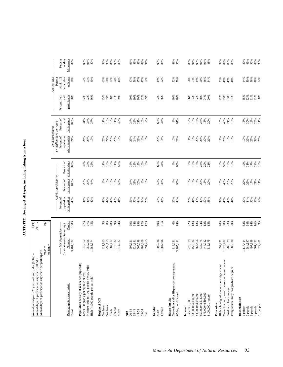| n    |
|------|
| נ    |
| ׇ֚֞֡ |
|      |
|      |
| נ    |
|      |
|      |
|      |
| l    |

| Annual participants 20 years old and older (000's) =<br>Annual days of participation anywhere (000's) =                                                                       |                                                                                 | 1,493<br>29,617                            |                                                  |                                                                    |                                       |                                                                                                                        |                                            |                                             |                                                                          |                                        |
|-------------------------------------------------------------------------------------------------------------------------------------------------------------------------------|---------------------------------------------------------------------------------|--------------------------------------------|--------------------------------------------------|--------------------------------------------------------------------|---------------------------------------|------------------------------------------------------------------------------------------------------------------------|--------------------------------------------|---------------------------------------------|--------------------------------------------------------------------------|----------------------------------------|
| Annual days of participation anywhere per participant:                                                                                                                        | $mean =$<br>median                                                              | 19.8                                       |                                                  |                                                                    |                                       |                                                                                                                        |                                            |                                             |                                                                          |                                        |
| Demographic characteristic<br>Total                                                                                                                                           | ----- MN Population ------<br>(as represented by survey)<br>Number<br>3,484,632 | Percent<br>100%                            | Percent of<br>population<br>participating<br>43% | ----- Activity participation<br>participants<br>Percent of<br>100% | Percent of<br>activity days<br>100%   | ----- Avid participants ------<br>$($ >median \ days \ per \ year)<br>Percent of<br>who are avids<br>population<br>21% | Percent of<br>avid<br>participants<br>100% | avid<br>participants<br>Percent from<br>90% | - Activity days<br>within 1/2<br>hour drive<br>of home<br>Percent<br>50% | Percent<br>Minnesota<br>within<br>89%  |
| Population density of residence (zip code)<br>Medium (101 to 1000 people per sq. mile)<br>Low (100 people per sq mile or less)<br>High (>1000 people per sq. mile)            | 955,296<br>1,583,974<br>945,362                                                 | 27%<br>27%<br>45%                          | 41%<br>46%<br>42%                                | 26%<br>29%<br>44%                                                  | 35%<br>36%<br>30%                     | 24%<br>25%<br>17%                                                                                                      | 31%<br>33%<br>37%                          | 92%<br>92%<br>86%                           | 57%<br>53%<br>40%                                                        | 91%<br>90%<br>87%                      |
| Region of MN<br>Northwest<br>Northeast<br>Central<br>South<br>Metro                                                                                                           | 296,159<br>687,752<br>315,532<br>311,163<br>1,874,027                           | $9%$<br>$8%$<br>$20%$<br>$9\%$<br>54%      | 43%<br>42%<br>40%<br>45%<br>44%                  | $\begin{array}{c} 9\% \\ 8\% \end{array}$<br>$18\%$<br>10%<br>55%  | 16%<br>11%<br>11%<br>10%<br>53%       | 24%<br>20%<br>25%<br>25%<br>19%                                                                                        | 10%<br>19%<br>11%<br>11%<br>49%            | 93%<br>93%<br>88%<br>91%<br>89%             | 52%<br>63%<br>60%<br>54%<br>$4\%$                                        | 93%<br>90%<br>86%<br>93%<br>89%        |
| 45-54<br>20-34<br>$35 - 44$<br>55-64<br>Age<br>$65+$                                                                                                                          | 665,698<br>404,868<br>594,265<br>995,621<br>824,181                             | 19%<br>12%<br>24%<br>29%<br>17%            | 52%<br>44%<br>34%<br>51%<br>20%                  | 20%<br>29%<br>$9%$<br>$8%$<br>34%                                  | $18\%$<br>36%<br>28%<br>$10\%$<br>8%  | 25%<br>24%<br>23%<br>$18\%$<br>9%                                                                                      | 21%<br>10%<br>7%<br>34%<br>28%             | 90%<br>89%<br>90%<br>92%<br>89%             | 47%<br>47%<br>56%<br>47%<br>52%                                          | 88%<br>91%<br>88%<br>89%<br>91%        |
| Gender<br>Female<br>Male                                                                                                                                                      | 1,700,236<br>1,784,396                                                          | 49%<br>51%                                 | 50%<br>36%                                       | 57%<br>43%                                                         | 66%<br>34%                            | 28%<br>14%                                                                                                             | 66%<br>34%                                 | 92%<br>86%                                  | 49%<br>52%                                                               | 90%<br>88%                             |
| Non-white and/or Hispanic $(<100$ respondents)<br>White, non-Hispanic<br>Race/ethnicity                                                                                       | 3,265,411<br>219,221                                                            | 6%<br>94%                                  | 27%<br>44%                                       | 4%<br>96%                                                          | 4%<br>96%                             | 10%<br>22%                                                                                                             | 3%<br>97%                                  | 90%<br>90%                                  | 52%<br>50%                                                               | 89%<br>90%                             |
| \$50,000 to \$74,999<br>\$30,000 to \$39,999<br>\$40,000 to \$49,999<br>\$75,000 to \$99,999<br>\$100,000 or more<br>under \$30,000<br>$h come$                               | 467,456<br>452,334<br>834,075<br>444,712<br>512,175<br>773,879                  | 13%<br>13%<br>24%<br>22%<br>$13%$<br>$15%$ | 44%<br>43%<br>49%<br>50%<br>58%<br>26%           | 13%<br>13%<br>27%<br>13%<br>$15%$<br>$20%$                         | 23%<br>20%<br>9%<br>10%<br>17%<br>21% | 11%<br>16%<br>20%<br>25%<br>30%<br>29%                                                                                 | 12%<br>10%<br>13%<br>28%<br>18%<br>20%     | 86%<br>84%<br>92%<br>88%<br>94%<br>90%      | 53%<br>49%<br>50%<br>56%<br>46%<br>54%                                   | 91%<br>86%<br>91%<br>93%<br>91%<br>88% |
| Vo-tech school, assoc. degree, or some college<br>High school graduate, or some high school<br>Postgraduate study/postgraduate degrees<br>Graduated from college<br>Education | 787,629<br>680,830<br>692,471<br>1,323,702                                      | 38%<br>20%<br>23%<br>20%                   | 32%<br>45%<br>48%<br>44%                         | 15%<br>40%<br>26%<br>20%                                           | $50%$<br>19%<br>15%<br>16%            | 17%<br>25%<br>19%<br>19%                                                                                               | 15%<br>46%<br>21%<br>18%                   | 92%<br>93%<br>83%<br>87%                    | 53%<br>49%<br>49%<br>48%                                                 | 92%<br>89%<br>88%<br>89%               |
| Household size<br>5+ people<br>1 person<br>$2\,\mathrm{people}$<br>3 people<br>4 people                                                                                       | 1,117,414<br>497,888<br>984,997<br>561,432<br>322,901                           | 14%<br>9%<br>32%<br>28%<br>16%             | 50%<br>30%<br>44%<br>55%<br>54%                  | 22%<br>29%<br>$17\%$<br>21%<br>11%                                 | 19%<br>33%<br>17%<br>22%<br>10%       | 27%<br>32%<br>25%<br>10%<br>22%                                                                                        | 19%<br>25%<br>11%<br>16%<br>30%            | 85%<br>92%<br>91%<br>91%<br>88%             | 4%<br>50%<br>56%<br>48%<br>54%                                           | 89%<br>89%<br>92%<br>88%<br>90%        |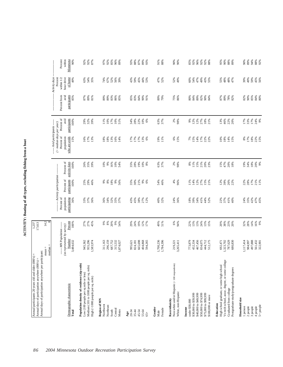ACTIVITY: Boating of all types, excluding fishing from a boat **ACTIVITY: Boating of all types, excluding fishing from a boat**

| Minnesota<br>Activity days<br>of home<br>within 1/2<br>hour drive<br>Percent<br>43%<br>52%<br>49%<br>39%<br>49%<br>59%<br>49%<br>63%<br>54%<br>74%<br>67%<br>52%<br>56%<br>59%<br>45%<br>44%<br>47%<br>52%<br>60%<br>54%<br>47%<br>49%<br>43%<br>55%<br>48%<br>48%<br>45%<br>56%<br>35%<br>39%<br>55%<br>47%<br>53%<br>participants<br>Percent from<br>avid<br>89%<br>83%<br>84%<br>$75%$<br>86%<br>84%<br>82%<br>90%<br>85%<br>84%<br>80%<br>85%<br>87%<br>81%<br>89%<br>89%<br>86%<br>85%<br>85%<br>83%<br>90%<br>89%<br>79%<br>80%<br>89%<br>82%<br>87%<br>89%<br>78%<br>91%<br>90%<br>84%<br>82%<br>Percent of<br>avid<br>participants<br>17%<br>22%<br>63%<br>$2\%$<br>98%<br>17%<br>17%<br>174%<br>100%<br>29%<br>32%<br>10%<br>34%<br>28%<br>10%<br>12%<br>12%<br>27%<br>13%<br>46%<br>22%<br>39%<br>11%<br>10%<br>51%<br>6%<br>37%<br>666<br>18%<br>21%<br>20%<br>--- Avid participants ------<br>$($ > median days per year)<br>Percent of<br>population<br>who are avids<br>17%<br>18%<br>15%<br>15%<br>16%<br>$17\%$<br>13%<br>$17%$<br>$17%$<br>$17%$<br>$6%$<br>19%<br>11%<br>$6%$<br>15%<br>15%<br>14%<br>17%<br>10%<br>$18\%$<br>14%<br>15%<br>8%<br>7%<br>22%<br>22%<br>Percent of<br>activity days<br>19%<br>18%<br>20%<br>9%<br>26%<br>$35%$<br>$39%$<br>$16%$<br>$10%$<br>$54%$<br>63%<br>37%<br>2%<br>98%<br>11%<br>15%<br>21%<br>15%<br>47%<br>20%<br>19%<br>34%<br>100%<br>10%<br>9%<br>$35%$<br>$28%$<br>10%<br>8%<br>8%<br>20%<br>23%<br>18%<br>--- Activity participation-<br>Percent of<br>participants<br>100%<br>25%<br>29%<br>8888886<br>21%<br>4%<br>96%<br>12%<br>27%<br>22%<br>28%<br>17%<br>21%<br>11%<br>46%<br>35%<br>9%<br>54%<br>46%<br>11%<br>14%<br>15%<br>12%<br>39%<br>26%<br>30%<br>21%<br>22%<br>Percent of<br>population<br>participating<br>24%<br>$47%$<br>$47%$<br>$45%$<br>36%<br>33%<br>37%<br>36%<br>34%<br>32%<br>35%<br>37%<br>43%<br>45%<br>38%<br>27%<br>12%<br>40%<br>32%<br>24%<br>36%<br>18%<br>39%<br>34%<br>41%<br>22%<br>41%<br>35%<br>36%<br>44%<br>52%<br>37%<br>40%<br>Percent<br>14%<br>16%<br>9%<br>27%<br>27%<br>45%<br>88888<br>29%<br>24%<br>19%<br>12%<br>49%<br>51%<br>6%<br>94%<br>13%<br>13%<br>24%<br>13%<br>15%<br>20%<br>38%<br>23%<br>32%<br>28%<br>100%<br>54%<br>17%<br>22%<br>20%<br>----- MN Population -----<br>(as represented by survey)<br>Number<br>3,484,632<br>1,700,236<br>1117,414<br>497,888<br>561,432<br>322,901<br>955,296<br>296,159<br>687,752<br>315,532<br>665,698<br>467,456<br>834,075<br>787,629<br>945,362<br>1,583,974<br>404,868<br>594,265<br>1,784,396<br>773,879<br>452,334<br>444,712<br>512,175<br>1,323,702<br>680,830<br>984,997<br>311,163<br>1,874,027<br>3,265,411<br>692,471<br>995,621<br>824,181<br>219,221<br>median<br>Vo-tech school, assoc. degree, or some college<br>Population density of residence (zip code)<br>nts)<br>High school graduate, or some high school<br>Medium (101 to 1000 people per sq. mile)<br>Non-white and/or Hispanic (<100 responde<br>Postgraduate study/postgraduate degrees<br>Low (100 people per sq mile or less)<br>High (>1000 people per sq. mile)<br>Demographic characteristic<br>Graduated from college<br>White, non-Hispanic<br>\$30,000 to \$39,999<br>\$40,000 to \$49,999<br>\$50,000 to \$74,999<br>\$75,000 to \$99,999<br>\$100,000 or more<br>Household size<br>Region of MN<br>Race/ethnicity<br>under \$30,000<br>Education<br>Northwest<br>5+ people<br>Northeast<br>1 person<br>2 people<br>3 people<br>4 people<br>Income<br>Gender<br>Female<br>Central<br>Metro<br>South<br>20-34<br>35-44<br>45-54<br>55-64<br>Male<br>Total<br>Age<br>$65+$ | Annual days of participation anywhere per participant: | $mean =$ |          |  |  |  |  |
|-----------------------------------------------------------------------------------------------------------------------------------------------------------------------------------------------------------------------------------------------------------------------------------------------------------------------------------------------------------------------------------------------------------------------------------------------------------------------------------------------------------------------------------------------------------------------------------------------------------------------------------------------------------------------------------------------------------------------------------------------------------------------------------------------------------------------------------------------------------------------------------------------------------------------------------------------------------------------------------------------------------------------------------------------------------------------------------------------------------------------------------------------------------------------------------------------------------------------------------------------------------------------------------------------------------------------------------------------------------------------------------------------------------------------------------------------------------------------------------------------------------------------------------------------------------------------------------------------------------------------------------------------------------------------------------------------------------------------------------------------------------------------------------------------------------------------------------------------------------------------------------------------------------------------------------------------------------------------------------------------------------------------------------------------------------------------------------------------------------------------------------------------------------------------------------------------------------------------------------------------------------------------------------------------------------------------------------------------------------------------------------------------------------------------------------------------------------------------------------------------------------------------------------------------------------------------------------------------------------------------------------------------------------------------------------------------------------------------------------------------------------------------------------------------------------------------------------------------------------------------------------------------------------------------------------------------------------------------------------------------------------------------------------------------------------------------------------------------------------------------------------------------------------------------------------------------------------------------------------------------------------------------------------------------------------------------------------------------------------------------------------------------------------------------------------------------------------------------------------------------------------------------------------------------------------------------------------------------------------------------------|--------------------------------------------------------|----------|----------|--|--|--|--|
|                                                                                                                                                                                                                                                                                                                                                                                                                                                                                                                                                                                                                                                                                                                                                                                                                                                                                                                                                                                                                                                                                                                                                                                                                                                                                                                                                                                                                                                                                                                                                                                                                                                                                                                                                                                                                                                                                                                                                                                                                                                                                                                                                                                                                                                                                                                                                                                                                                                                                                                                                                                                                                                                                                                                                                                                                                                                                                                                                                                                                                                                                                                                                                                                                                                                                                                                                                                                                                                                                                                                                                                                                             |                                                        |          | $14.2$ 8 |  |  |  |  |
|                                                                                                                                                                                                                                                                                                                                                                                                                                                                                                                                                                                                                                                                                                                                                                                                                                                                                                                                                                                                                                                                                                                                                                                                                                                                                                                                                                                                                                                                                                                                                                                                                                                                                                                                                                                                                                                                                                                                                                                                                                                                                                                                                                                                                                                                                                                                                                                                                                                                                                                                                                                                                                                                                                                                                                                                                                                                                                                                                                                                                                                                                                                                                                                                                                                                                                                                                                                                                                                                                                                                                                                                                             |                                                        |          |          |  |  |  |  |
|                                                                                                                                                                                                                                                                                                                                                                                                                                                                                                                                                                                                                                                                                                                                                                                                                                                                                                                                                                                                                                                                                                                                                                                                                                                                                                                                                                                                                                                                                                                                                                                                                                                                                                                                                                                                                                                                                                                                                                                                                                                                                                                                                                                                                                                                                                                                                                                                                                                                                                                                                                                                                                                                                                                                                                                                                                                                                                                                                                                                                                                                                                                                                                                                                                                                                                                                                                                                                                                                                                                                                                                                                             |                                                        |          |          |  |  |  |  |
|                                                                                                                                                                                                                                                                                                                                                                                                                                                                                                                                                                                                                                                                                                                                                                                                                                                                                                                                                                                                                                                                                                                                                                                                                                                                                                                                                                                                                                                                                                                                                                                                                                                                                                                                                                                                                                                                                                                                                                                                                                                                                                                                                                                                                                                                                                                                                                                                                                                                                                                                                                                                                                                                                                                                                                                                                                                                                                                                                                                                                                                                                                                                                                                                                                                                                                                                                                                                                                                                                                                                                                                                                             |                                                        |          |          |  |  |  |  |
|                                                                                                                                                                                                                                                                                                                                                                                                                                                                                                                                                                                                                                                                                                                                                                                                                                                                                                                                                                                                                                                                                                                                                                                                                                                                                                                                                                                                                                                                                                                                                                                                                                                                                                                                                                                                                                                                                                                                                                                                                                                                                                                                                                                                                                                                                                                                                                                                                                                                                                                                                                                                                                                                                                                                                                                                                                                                                                                                                                                                                                                                                                                                                                                                                                                                                                                                                                                                                                                                                                                                                                                                                             |                                                        |          |          |  |  |  |  |
|                                                                                                                                                                                                                                                                                                                                                                                                                                                                                                                                                                                                                                                                                                                                                                                                                                                                                                                                                                                                                                                                                                                                                                                                                                                                                                                                                                                                                                                                                                                                                                                                                                                                                                                                                                                                                                                                                                                                                                                                                                                                                                                                                                                                                                                                                                                                                                                                                                                                                                                                                                                                                                                                                                                                                                                                                                                                                                                                                                                                                                                                                                                                                                                                                                                                                                                                                                                                                                                                                                                                                                                                                             |                                                        |          |          |  |  |  |  |
|                                                                                                                                                                                                                                                                                                                                                                                                                                                                                                                                                                                                                                                                                                                                                                                                                                                                                                                                                                                                                                                                                                                                                                                                                                                                                                                                                                                                                                                                                                                                                                                                                                                                                                                                                                                                                                                                                                                                                                                                                                                                                                                                                                                                                                                                                                                                                                                                                                                                                                                                                                                                                                                                                                                                                                                                                                                                                                                                                                                                                                                                                                                                                                                                                                                                                                                                                                                                                                                                                                                                                                                                                             |                                                        |          |          |  |  |  |  |
|                                                                                                                                                                                                                                                                                                                                                                                                                                                                                                                                                                                                                                                                                                                                                                                                                                                                                                                                                                                                                                                                                                                                                                                                                                                                                                                                                                                                                                                                                                                                                                                                                                                                                                                                                                                                                                                                                                                                                                                                                                                                                                                                                                                                                                                                                                                                                                                                                                                                                                                                                                                                                                                                                                                                                                                                                                                                                                                                                                                                                                                                                                                                                                                                                                                                                                                                                                                                                                                                                                                                                                                                                             |                                                        |          |          |  |  |  |  |
|                                                                                                                                                                                                                                                                                                                                                                                                                                                                                                                                                                                                                                                                                                                                                                                                                                                                                                                                                                                                                                                                                                                                                                                                                                                                                                                                                                                                                                                                                                                                                                                                                                                                                                                                                                                                                                                                                                                                                                                                                                                                                                                                                                                                                                                                                                                                                                                                                                                                                                                                                                                                                                                                                                                                                                                                                                                                                                                                                                                                                                                                                                                                                                                                                                                                                                                                                                                                                                                                                                                                                                                                                             |                                                        |          |          |  |  |  |  |
|                                                                                                                                                                                                                                                                                                                                                                                                                                                                                                                                                                                                                                                                                                                                                                                                                                                                                                                                                                                                                                                                                                                                                                                                                                                                                                                                                                                                                                                                                                                                                                                                                                                                                                                                                                                                                                                                                                                                                                                                                                                                                                                                                                                                                                                                                                                                                                                                                                                                                                                                                                                                                                                                                                                                                                                                                                                                                                                                                                                                                                                                                                                                                                                                                                                                                                                                                                                                                                                                                                                                                                                                                             |                                                        |          |          |  |  |  |  |
|                                                                                                                                                                                                                                                                                                                                                                                                                                                                                                                                                                                                                                                                                                                                                                                                                                                                                                                                                                                                                                                                                                                                                                                                                                                                                                                                                                                                                                                                                                                                                                                                                                                                                                                                                                                                                                                                                                                                                                                                                                                                                                                                                                                                                                                                                                                                                                                                                                                                                                                                                                                                                                                                                                                                                                                                                                                                                                                                                                                                                                                                                                                                                                                                                                                                                                                                                                                                                                                                                                                                                                                                                             |                                                        |          |          |  |  |  |  |
|                                                                                                                                                                                                                                                                                                                                                                                                                                                                                                                                                                                                                                                                                                                                                                                                                                                                                                                                                                                                                                                                                                                                                                                                                                                                                                                                                                                                                                                                                                                                                                                                                                                                                                                                                                                                                                                                                                                                                                                                                                                                                                                                                                                                                                                                                                                                                                                                                                                                                                                                                                                                                                                                                                                                                                                                                                                                                                                                                                                                                                                                                                                                                                                                                                                                                                                                                                                                                                                                                                                                                                                                                             |                                                        |          |          |  |  |  |  |
|                                                                                                                                                                                                                                                                                                                                                                                                                                                                                                                                                                                                                                                                                                                                                                                                                                                                                                                                                                                                                                                                                                                                                                                                                                                                                                                                                                                                                                                                                                                                                                                                                                                                                                                                                                                                                                                                                                                                                                                                                                                                                                                                                                                                                                                                                                                                                                                                                                                                                                                                                                                                                                                                                                                                                                                                                                                                                                                                                                                                                                                                                                                                                                                                                                                                                                                                                                                                                                                                                                                                                                                                                             |                                                        |          |          |  |  |  |  |
|                                                                                                                                                                                                                                                                                                                                                                                                                                                                                                                                                                                                                                                                                                                                                                                                                                                                                                                                                                                                                                                                                                                                                                                                                                                                                                                                                                                                                                                                                                                                                                                                                                                                                                                                                                                                                                                                                                                                                                                                                                                                                                                                                                                                                                                                                                                                                                                                                                                                                                                                                                                                                                                                                                                                                                                                                                                                                                                                                                                                                                                                                                                                                                                                                                                                                                                                                                                                                                                                                                                                                                                                                             |                                                        |          |          |  |  |  |  |
|                                                                                                                                                                                                                                                                                                                                                                                                                                                                                                                                                                                                                                                                                                                                                                                                                                                                                                                                                                                                                                                                                                                                                                                                                                                                                                                                                                                                                                                                                                                                                                                                                                                                                                                                                                                                                                                                                                                                                                                                                                                                                                                                                                                                                                                                                                                                                                                                                                                                                                                                                                                                                                                                                                                                                                                                                                                                                                                                                                                                                                                                                                                                                                                                                                                                                                                                                                                                                                                                                                                                                                                                                             |                                                        |          |          |  |  |  |  |
|                                                                                                                                                                                                                                                                                                                                                                                                                                                                                                                                                                                                                                                                                                                                                                                                                                                                                                                                                                                                                                                                                                                                                                                                                                                                                                                                                                                                                                                                                                                                                                                                                                                                                                                                                                                                                                                                                                                                                                                                                                                                                                                                                                                                                                                                                                                                                                                                                                                                                                                                                                                                                                                                                                                                                                                                                                                                                                                                                                                                                                                                                                                                                                                                                                                                                                                                                                                                                                                                                                                                                                                                                             |                                                        |          |          |  |  |  |  |
|                                                                                                                                                                                                                                                                                                                                                                                                                                                                                                                                                                                                                                                                                                                                                                                                                                                                                                                                                                                                                                                                                                                                                                                                                                                                                                                                                                                                                                                                                                                                                                                                                                                                                                                                                                                                                                                                                                                                                                                                                                                                                                                                                                                                                                                                                                                                                                                                                                                                                                                                                                                                                                                                                                                                                                                                                                                                                                                                                                                                                                                                                                                                                                                                                                                                                                                                                                                                                                                                                                                                                                                                                             |                                                        |          |          |  |  |  |  |
|                                                                                                                                                                                                                                                                                                                                                                                                                                                                                                                                                                                                                                                                                                                                                                                                                                                                                                                                                                                                                                                                                                                                                                                                                                                                                                                                                                                                                                                                                                                                                                                                                                                                                                                                                                                                                                                                                                                                                                                                                                                                                                                                                                                                                                                                                                                                                                                                                                                                                                                                                                                                                                                                                                                                                                                                                                                                                                                                                                                                                                                                                                                                                                                                                                                                                                                                                                                                                                                                                                                                                                                                                             |                                                        |          |          |  |  |  |  |
|                                                                                                                                                                                                                                                                                                                                                                                                                                                                                                                                                                                                                                                                                                                                                                                                                                                                                                                                                                                                                                                                                                                                                                                                                                                                                                                                                                                                                                                                                                                                                                                                                                                                                                                                                                                                                                                                                                                                                                                                                                                                                                                                                                                                                                                                                                                                                                                                                                                                                                                                                                                                                                                                                                                                                                                                                                                                                                                                                                                                                                                                                                                                                                                                                                                                                                                                                                                                                                                                                                                                                                                                                             |                                                        |          |          |  |  |  |  |
|                                                                                                                                                                                                                                                                                                                                                                                                                                                                                                                                                                                                                                                                                                                                                                                                                                                                                                                                                                                                                                                                                                                                                                                                                                                                                                                                                                                                                                                                                                                                                                                                                                                                                                                                                                                                                                                                                                                                                                                                                                                                                                                                                                                                                                                                                                                                                                                                                                                                                                                                                                                                                                                                                                                                                                                                                                                                                                                                                                                                                                                                                                                                                                                                                                                                                                                                                                                                                                                                                                                                                                                                                             |                                                        |          |          |  |  |  |  |
|                                                                                                                                                                                                                                                                                                                                                                                                                                                                                                                                                                                                                                                                                                                                                                                                                                                                                                                                                                                                                                                                                                                                                                                                                                                                                                                                                                                                                                                                                                                                                                                                                                                                                                                                                                                                                                                                                                                                                                                                                                                                                                                                                                                                                                                                                                                                                                                                                                                                                                                                                                                                                                                                                                                                                                                                                                                                                                                                                                                                                                                                                                                                                                                                                                                                                                                                                                                                                                                                                                                                                                                                                             |                                                        |          |          |  |  |  |  |
|                                                                                                                                                                                                                                                                                                                                                                                                                                                                                                                                                                                                                                                                                                                                                                                                                                                                                                                                                                                                                                                                                                                                                                                                                                                                                                                                                                                                                                                                                                                                                                                                                                                                                                                                                                                                                                                                                                                                                                                                                                                                                                                                                                                                                                                                                                                                                                                                                                                                                                                                                                                                                                                                                                                                                                                                                                                                                                                                                                                                                                                                                                                                                                                                                                                                                                                                                                                                                                                                                                                                                                                                                             |                                                        |          |          |  |  |  |  |
|                                                                                                                                                                                                                                                                                                                                                                                                                                                                                                                                                                                                                                                                                                                                                                                                                                                                                                                                                                                                                                                                                                                                                                                                                                                                                                                                                                                                                                                                                                                                                                                                                                                                                                                                                                                                                                                                                                                                                                                                                                                                                                                                                                                                                                                                                                                                                                                                                                                                                                                                                                                                                                                                                                                                                                                                                                                                                                                                                                                                                                                                                                                                                                                                                                                                                                                                                                                                                                                                                                                                                                                                                             |                                                        |          |          |  |  |  |  |
|                                                                                                                                                                                                                                                                                                                                                                                                                                                                                                                                                                                                                                                                                                                                                                                                                                                                                                                                                                                                                                                                                                                                                                                                                                                                                                                                                                                                                                                                                                                                                                                                                                                                                                                                                                                                                                                                                                                                                                                                                                                                                                                                                                                                                                                                                                                                                                                                                                                                                                                                                                                                                                                                                                                                                                                                                                                                                                                                                                                                                                                                                                                                                                                                                                                                                                                                                                                                                                                                                                                                                                                                                             |                                                        |          |          |  |  |  |  |
|                                                                                                                                                                                                                                                                                                                                                                                                                                                                                                                                                                                                                                                                                                                                                                                                                                                                                                                                                                                                                                                                                                                                                                                                                                                                                                                                                                                                                                                                                                                                                                                                                                                                                                                                                                                                                                                                                                                                                                                                                                                                                                                                                                                                                                                                                                                                                                                                                                                                                                                                                                                                                                                                                                                                                                                                                                                                                                                                                                                                                                                                                                                                                                                                                                                                                                                                                                                                                                                                                                                                                                                                                             |                                                        |          |          |  |  |  |  |
|                                                                                                                                                                                                                                                                                                                                                                                                                                                                                                                                                                                                                                                                                                                                                                                                                                                                                                                                                                                                                                                                                                                                                                                                                                                                                                                                                                                                                                                                                                                                                                                                                                                                                                                                                                                                                                                                                                                                                                                                                                                                                                                                                                                                                                                                                                                                                                                                                                                                                                                                                                                                                                                                                                                                                                                                                                                                                                                                                                                                                                                                                                                                                                                                                                                                                                                                                                                                                                                                                                                                                                                                                             |                                                        |          |          |  |  |  |  |
|                                                                                                                                                                                                                                                                                                                                                                                                                                                                                                                                                                                                                                                                                                                                                                                                                                                                                                                                                                                                                                                                                                                                                                                                                                                                                                                                                                                                                                                                                                                                                                                                                                                                                                                                                                                                                                                                                                                                                                                                                                                                                                                                                                                                                                                                                                                                                                                                                                                                                                                                                                                                                                                                                                                                                                                                                                                                                                                                                                                                                                                                                                                                                                                                                                                                                                                                                                                                                                                                                                                                                                                                                             |                                                        |          |          |  |  |  |  |
|                                                                                                                                                                                                                                                                                                                                                                                                                                                                                                                                                                                                                                                                                                                                                                                                                                                                                                                                                                                                                                                                                                                                                                                                                                                                                                                                                                                                                                                                                                                                                                                                                                                                                                                                                                                                                                                                                                                                                                                                                                                                                                                                                                                                                                                                                                                                                                                                                                                                                                                                                                                                                                                                                                                                                                                                                                                                                                                                                                                                                                                                                                                                                                                                                                                                                                                                                                                                                                                                                                                                                                                                                             |                                                        |          |          |  |  |  |  |
|                                                                                                                                                                                                                                                                                                                                                                                                                                                                                                                                                                                                                                                                                                                                                                                                                                                                                                                                                                                                                                                                                                                                                                                                                                                                                                                                                                                                                                                                                                                                                                                                                                                                                                                                                                                                                                                                                                                                                                                                                                                                                                                                                                                                                                                                                                                                                                                                                                                                                                                                                                                                                                                                                                                                                                                                                                                                                                                                                                                                                                                                                                                                                                                                                                                                                                                                                                                                                                                                                                                                                                                                                             |                                                        |          |          |  |  |  |  |
|                                                                                                                                                                                                                                                                                                                                                                                                                                                                                                                                                                                                                                                                                                                                                                                                                                                                                                                                                                                                                                                                                                                                                                                                                                                                                                                                                                                                                                                                                                                                                                                                                                                                                                                                                                                                                                                                                                                                                                                                                                                                                                                                                                                                                                                                                                                                                                                                                                                                                                                                                                                                                                                                                                                                                                                                                                                                                                                                                                                                                                                                                                                                                                                                                                                                                                                                                                                                                                                                                                                                                                                                                             |                                                        |          |          |  |  |  |  |
|                                                                                                                                                                                                                                                                                                                                                                                                                                                                                                                                                                                                                                                                                                                                                                                                                                                                                                                                                                                                                                                                                                                                                                                                                                                                                                                                                                                                                                                                                                                                                                                                                                                                                                                                                                                                                                                                                                                                                                                                                                                                                                                                                                                                                                                                                                                                                                                                                                                                                                                                                                                                                                                                                                                                                                                                                                                                                                                                                                                                                                                                                                                                                                                                                                                                                                                                                                                                                                                                                                                                                                                                                             |                                                        |          |          |  |  |  |  |
|                                                                                                                                                                                                                                                                                                                                                                                                                                                                                                                                                                                                                                                                                                                                                                                                                                                                                                                                                                                                                                                                                                                                                                                                                                                                                                                                                                                                                                                                                                                                                                                                                                                                                                                                                                                                                                                                                                                                                                                                                                                                                                                                                                                                                                                                                                                                                                                                                                                                                                                                                                                                                                                                                                                                                                                                                                                                                                                                                                                                                                                                                                                                                                                                                                                                                                                                                                                                                                                                                                                                                                                                                             |                                                        |          |          |  |  |  |  |
|                                                                                                                                                                                                                                                                                                                                                                                                                                                                                                                                                                                                                                                                                                                                                                                                                                                                                                                                                                                                                                                                                                                                                                                                                                                                                                                                                                                                                                                                                                                                                                                                                                                                                                                                                                                                                                                                                                                                                                                                                                                                                                                                                                                                                                                                                                                                                                                                                                                                                                                                                                                                                                                                                                                                                                                                                                                                                                                                                                                                                                                                                                                                                                                                                                                                                                                                                                                                                                                                                                                                                                                                                             |                                                        |          |          |  |  |  |  |
|                                                                                                                                                                                                                                                                                                                                                                                                                                                                                                                                                                                                                                                                                                                                                                                                                                                                                                                                                                                                                                                                                                                                                                                                                                                                                                                                                                                                                                                                                                                                                                                                                                                                                                                                                                                                                                                                                                                                                                                                                                                                                                                                                                                                                                                                                                                                                                                                                                                                                                                                                                                                                                                                                                                                                                                                                                                                                                                                                                                                                                                                                                                                                                                                                                                                                                                                                                                                                                                                                                                                                                                                                             |                                                        |          |          |  |  |  |  |
|                                                                                                                                                                                                                                                                                                                                                                                                                                                                                                                                                                                                                                                                                                                                                                                                                                                                                                                                                                                                                                                                                                                                                                                                                                                                                                                                                                                                                                                                                                                                                                                                                                                                                                                                                                                                                                                                                                                                                                                                                                                                                                                                                                                                                                                                                                                                                                                                                                                                                                                                                                                                                                                                                                                                                                                                                                                                                                                                                                                                                                                                                                                                                                                                                                                                                                                                                                                                                                                                                                                                                                                                                             |                                                        |          |          |  |  |  |  |
|                                                                                                                                                                                                                                                                                                                                                                                                                                                                                                                                                                                                                                                                                                                                                                                                                                                                                                                                                                                                                                                                                                                                                                                                                                                                                                                                                                                                                                                                                                                                                                                                                                                                                                                                                                                                                                                                                                                                                                                                                                                                                                                                                                                                                                                                                                                                                                                                                                                                                                                                                                                                                                                                                                                                                                                                                                                                                                                                                                                                                                                                                                                                                                                                                                                                                                                                                                                                                                                                                                                                                                                                                             |                                                        |          |          |  |  |  |  |
|                                                                                                                                                                                                                                                                                                                                                                                                                                                                                                                                                                                                                                                                                                                                                                                                                                                                                                                                                                                                                                                                                                                                                                                                                                                                                                                                                                                                                                                                                                                                                                                                                                                                                                                                                                                                                                                                                                                                                                                                                                                                                                                                                                                                                                                                                                                                                                                                                                                                                                                                                                                                                                                                                                                                                                                                                                                                                                                                                                                                                                                                                                                                                                                                                                                                                                                                                                                                                                                                                                                                                                                                                             |                                                        |          |          |  |  |  |  |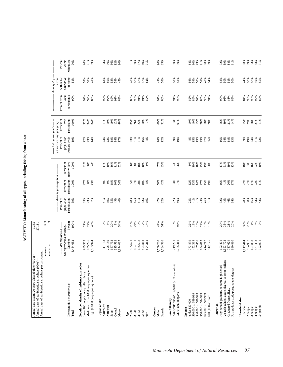ACTIVITY: Motor boating of all types, including fishing from a boat **ACTIVITY: Motor boating of all types, including fishing from a boat**

| Annual days of participation anywhere per participant:<br>Annual participants 20 years old and older (000's) =<br>Annual days of participation anywhere (000's) = | $mean =$                                                           | 19.9<br>1,365<br>27,111                   |                                           |                                              |                             |                                           |                                    |                                      |                                       |                                |
|-------------------------------------------------------------------------------------------------------------------------------------------------------------------|--------------------------------------------------------------------|-------------------------------------------|-------------------------------------------|----------------------------------------------|-----------------------------|-------------------------------------------|------------------------------------|--------------------------------------|---------------------------------------|--------------------------------|
|                                                                                                                                                                   | $median =$                                                         | $\sigma$                                  |                                           |                                              |                             |                                           |                                    |                                      |                                       |                                |
|                                                                                                                                                                   |                                                                    |                                           |                                           | --------- Activity participation ----------- |                             | $($ > median days per year)               | --- Avid participants ------       |                                      | Activity days<br>Percent              |                                |
| Demographic characteristic                                                                                                                                        | ----- MN Population ------<br>(as represented by survey)<br>Number | Percent                                   | Percent of<br>population<br>participating | participants<br>Percent of                   | Percent of<br>activity days | Percent of<br>who are avids<br>population | Percent of<br>avid<br>participants | participants<br>Percent from<br>avid | hour drive<br>within $1/2$<br>of home | Percent<br>Minnesota<br>within |
| Total                                                                                                                                                             | 3,484,632                                                          | 100%                                      | 39%                                       | 100%                                         | 100%                        | 19%                                       | 100%                               | 90%                                  | 51%                                   | 90%                            |
| Population density of residence (zip code)<br>Low (100 people per sq mile or less)                                                                                | 945,362                                                            |                                           |                                           |                                              |                             |                                           |                                    |                                      |                                       | 90%                            |
| Medium (101 to 1000 people per sq. mile)                                                                                                                          | 955,296                                                            | 27%<br>27%                                | 39%<br>43%<br>57%                         | 27%<br>30%<br>43%                            | 31%<br>36%                  | 22%<br>23%                                | $32%$<br>$34%$<br>$34%$            | 92%<br>92%<br>85%                    | 57%<br>53%                            | 91%                            |
| High (>1000 people per sq. mile)                                                                                                                                  | 1,583,974                                                          | 45%                                       |                                           |                                              | 34%                         | 14%                                       |                                    |                                      | 41%                                   | 89%                            |
| Region of MN<br>Northwest                                                                                                                                         | 311,163                                                            |                                           | 41%                                       | $9\%$                                        |                             | 23%                                       | 11%                                | 92%                                  | 63%                                   | 93%                            |
| Northeast                                                                                                                                                         | 296,159                                                            | $\begin{array}{c} 9\% \\ 8\% \end{array}$ | 39%                                       | 9%                                           | $11\%$<br>10%               | 22%                                       | 10%                                | 92%                                  | 59%                                   | 90%                            |
| South                                                                                                                                                             | 687,752                                                            |                                           | 35%                                       | $18\%$                                       | 16%                         | $18\%$                                    | 19%                                | 89%                                  |                                       | 86%                            |
| Central                                                                                                                                                           | 315,532                                                            | 20%<br>9%                                 | 43%                                       | $10\%$                                       | $11\%$                      | 24%                                       | 12%                                | 91%                                  | 53%<br>53%                            | 92%                            |
| Metro                                                                                                                                                             | 1,874,027                                                          | 54%                                       | 40%                                       | 54%                                          | 52%                         | 17%                                       | 48%                                | 89%                                  | 45%                                   | 90%                            |
| 20-34<br>Age                                                                                                                                                      | 995,621                                                            | 29%                                       | 48%                                       |                                              |                             | 23%                                       | 35%                                | 89%                                  | 48%                                   | 91%                            |
| $35 - 44$                                                                                                                                                         | 824,181                                                            | 24%                                       | 45%                                       | 35%<br>27%                                   | 36%<br>28%                  | $21\%$                                    | 26%                                | 90%                                  | 57%                                   | 90%                            |
| 45-54                                                                                                                                                             | 665,698                                                            | 19%                                       | 41%                                       | 20%                                          | $18\%$                      | 21%                                       | 22%                                | 91%                                  | 47%                                   | 87%                            |
| 55-64                                                                                                                                                             | 404,868                                                            | 12%                                       | 32%                                       |                                              | $10\%$                      | 16%                                       | 10%                                | 91%                                  | 47%                                   | 89%                            |
| $65+$                                                                                                                                                             | 594,265                                                            | 17%                                       | 19%                                       | $\frac{10\%}{8\%}$                           | 9%                          | 8%                                        | 7%                                 | 89%                                  | 52%                                   | 91%                            |
| Gender<br>Male                                                                                                                                                    | 1,700,236                                                          | 49%                                       | 47%<br>32%                                | 58%<br>42%                                   | 67%                         | 26%<br>12%                                | 69%<br>31%                         | 92%                                  | 49%                                   | 90%                            |
| Female                                                                                                                                                            | 1,784,396                                                          | 51%                                       |                                           |                                              | 33%                         |                                           |                                    | 86%                                  | 53%                                   | 89%                            |
| Non-white and/or Hispanic (< 100 respondents)<br>Race/ethnicity                                                                                                   | 219,221                                                            | 6%                                        | 22%<br>40%                                | 3%<br>97%                                    | 4%<br>96%                   | 9%<br>19%                                 | 3%<br>97%                          | 91%                                  | 53%<br>51%                            | 90%                            |
| White, non-Hispanic                                                                                                                                               | 3,265,411                                                          | 94%                                       |                                           |                                              |                             |                                           |                                    | 90%                                  |                                       | 90%                            |
| under \$30,000<br>Income                                                                                                                                          | 773,879                                                            | 22%<br>13%                                | 23%<br>41%                                | 12%<br>13%                                   | $9%_{10%$                   |                                           | 10%<br>10%                         | 82%<br>86%                           | 56%                                   | 88%                            |
| \$30,000 to \$39,999                                                                                                                                              | 452,334                                                            |                                           |                                           |                                              |                             |                                           |                                    |                                      | 54%                                   | 90%                            |
| \$40,000 to \$49,999                                                                                                                                              | 467,456                                                            | 13%<br>24%                                | 41%                                       |                                              |                             |                                           | 13%                                |                                      |                                       | 93%                            |
| \$50,000 to \$74,999<br>\$75,000 to \$99,999                                                                                                                      | 834,075<br>444,712                                                 |                                           | 45%                                       | 14%<br>27%<br>15%                            | 18%<br>23%<br>19%           | 8888888<br>8593528                        | 28%                                | % % % %<br>9.8% % 5                  | $50%$<br>$51%$<br>$54%$               | 91%<br>90%                     |
| \$100,000 or more                                                                                                                                                 | 512,175                                                            | $13%$<br>$15%$                            | 46%<br>51%                                |                                              |                             |                                           | $18%$<br>$20%$                     |                                      |                                       | 89%                            |
| High school graduate, or some high school<br>Education                                                                                                            | 692,471                                                            | 20%                                       | 32%                                       | 16%                                          |                             | 16%                                       | 16%                                | 60%                                  | 54%                                   | 92%                            |
| Vo-tech school, assoc. degree, or some college                                                                                                                    | 1,323,702                                                          | 38%                                       | 43%                                       | 41%                                          | $17%$<br>51%                | 24%                                       | 49%                                | 93%                                  | 50%                                   | 89%                            |
| Graduated from college                                                                                                                                            | 787,629                                                            | 23%                                       | 46%                                       | 26%<br>17%                                   | $19\%$                      | $18%$<br>13%                              | 21%                                | 83%<br>85%                           | $51\%$<br>$50\%$                      | 88%                            |
| Postgraduate study/postgraduate degrees                                                                                                                           | 680,830                                                            | 20%                                       | 34%                                       |                                              | 13%                         |                                           | 14%                                |                                      |                                       | 91%                            |
| Household size                                                                                                                                                    |                                                                    |                                           |                                           |                                              |                             |                                           |                                    |                                      |                                       |                                |
| 2 people<br>1 person                                                                                                                                              | 1,117,414<br>984,997                                               | 32%<br>28%                                | 38%<br>28%                                | 22%<br>27%                                   | $18%$<br>33%                | 19%<br>$9\%$                              | 15%<br>29%                         | 92%<br>84%                           | 52%<br>4%                             | 89%<br>90%                     |
| 3 people                                                                                                                                                          | 497,888                                                            | 14%                                       | 46%                                       |                                              | 16%                         | 24%                                       | $18\%$                             | 90%                                  | 57%                                   | 93%                            |
| 4 people                                                                                                                                                          | 561,432                                                            | 16%<br>9%                                 | $53%$<br>48%                              | $17%$<br>22%<br>11%                          | 22%<br>10%                  | $31\%$ $22\%$                             | 27%<br>11%                         | 92%<br>89%                           | 49%<br>55%                            | 88%                            |
| $5+$ people                                                                                                                                                       | 322,901                                                            |                                           |                                           |                                              |                             |                                           |                                    |                                      |                                       | 91%                            |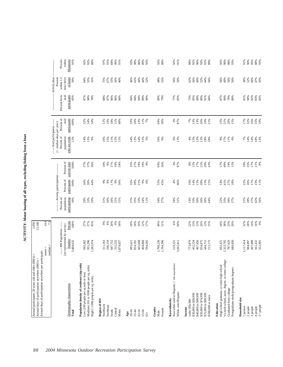ACTIVITY: Motor boating of all types, excluding fishing from a boat **ACTIVITY: Motor boating of all types, excluding fishing from a boat**

| participants<br>Percent from<br>avid<br>84%<br>89%<br>79%<br>77%<br>85%<br>81%<br>85%<br>90%<br>78%<br>88%<br>87%<br>86%<br>86%<br>84%<br>84%<br>89%<br>75%<br>85%<br>89%<br>$80\%$<br>91%<br>87%<br>89%<br>76%<br>80%<br>90%<br>87%<br>84%<br>90%<br>84%<br>Percent of<br>avid<br>participants<br>32 %<br>34 %<br>34 %<br>23%<br>64%<br>3%<br>97%<br>26%<br>$51\%$<br>$20\%$<br>100%<br>12%<br>10%<br>18%<br>11%<br>33%<br>26%<br>11%<br>7%<br>36%<br>7%<br>13%<br>13%<br>19%<br>21%<br>15%<br>48%<br>15%<br>$($ > median days per year)<br>-- Avid participants ---<br>Percent of<br>who are avids<br>population<br>12%<br>15%<br>14%<br>6%<br>13%<br>13%<br>12%<br>13%<br>$11\%$<br>$7%$<br>14%<br>14%<br>9%<br>16%<br>15%<br>11%<br>15%<br>11%<br>14%<br>13%<br>12%<br>16%<br>9%<br>$4\%$<br>$18%$<br>$18%$<br>9%<br>17%<br>9%<br>5%<br>Percent of<br>activity days<br>100%<br>19%<br>64%<br>36%<br>3%<br>97%<br>$19\%$<br>27%<br>37%<br>36%<br>35%<br>27%<br>$10\%$<br>$8\%$<br>12%<br>17%<br>$\frac{218}{20\%}$<br>17%<br>49%<br>9%<br>15%<br>----- Activity participation --<br>Percent of<br>participants<br>100%<br>17%<br>21%<br>55%<br>45%<br>4%<br>13%<br>28%<br>14%<br>$27%$<br>18%<br>$26%$<br>$30%$<br>$4%$<br>9%<br>9%<br>$9\%$<br>35%<br>28%<br>$9\%$<br>$6\%$<br>96%<br>10%<br>14%<br>15%<br>21%<br>41%<br>56%<br>Percent of<br>population<br>participating<br>37%<br>30%<br>29%<br>33%<br>26%<br>37%<br>35%<br>33%<br>34%<br>27%<br>$\frac{18%}{31%}$<br>33%<br>30%<br>36%<br>22%<br>36%<br>27%<br><b>21%</b><br>28%<br>29%<br>31%<br>30%<br>31%<br>31%<br>24%<br>11%<br>14%<br>36%<br>44%<br>33%<br>27%<br>27%<br>19%<br>Percent<br>* * * * * *<br>29%<br>24%<br>12%<br>49%<br>51%<br>6%<br>94%<br>13%<br>13%<br>24%<br>20%<br>38%<br>23%<br>32%<br>28%<br>45%<br>17%<br>22%<br>13%<br>15%<br>20%<br>100%<br>----- MN Population -----<br>(as represented by survey)<br>Number<br>3,484,632<br>1,700,236<br>1,117,414<br>497,888<br>955,296<br>311,163<br>296,159<br>687,752<br>315,532<br>665,698<br>1,784,396<br>467,456<br>834,075<br>512,175<br>787,629<br>680,830<br>984,997<br>945,362<br>1,583,974<br>404,868<br>773,879<br>452,334<br>444,712<br>1,323,702<br>594,265<br>3,265,411<br>692,471<br>1,874,027<br>995,621<br>824,181<br>219,221<br>median =<br>Vo-tech school, assoc. degree, or some college<br>Non-white and/or Hispanic (<100 respondents)<br>Population density of residence (zip code)<br>High school graduate, or some high school<br>Medium (101 to 1000 people per sq. mile)<br>Postgraduate study/postgraduate degrees<br>Low (100 people per sq mile or less)<br>High (>1000 people per sq. mile)<br>Demographic characteristic<br>Graduated from college<br>White, non-Hispanic<br>\$40,000 to \$49,999<br>\$50,000 to \$74,999<br>\$75,000 to \$99,999<br>\$30,000 to \$39,999<br>\$100,000 or more<br>Household size<br>Region of MN<br>Race/ethnicity<br>under \$30,000<br>Education<br>Northwest<br>Northeast<br>2 people<br>3 people<br>1 person<br>Income<br>Gender<br>Female<br>Central<br>Metro<br>South<br>Total<br>45-54<br>20-34<br>35-44<br>55-64<br>Male<br>Age<br>$65 +$ | 82%<br>83%<br>83%<br>$17%$<br>$5%$<br>$5%$<br>$5%$<br>$5%$<br>$5%$<br>$5%$<br>14%<br>18%<br>13%<br>$288$<br>$268$<br>$178$<br>$231$<br>$18$<br>42%<br>36%<br>14%<br>16%<br>9%<br>561,432<br>322,901<br>$5+$ people<br>4 people | Annual days of participation anywhere per participant: | $mean =$ | $14.4$<br>7.5 |  |  |  |                       |                   |
|-------------------------------------------------------------------------------------------------------------------------------------------------------------------------------------------------------------------------------------------------------------------------------------------------------------------------------------------------------------------------------------------------------------------------------------------------------------------------------------------------------------------------------------------------------------------------------------------------------------------------------------------------------------------------------------------------------------------------------------------------------------------------------------------------------------------------------------------------------------------------------------------------------------------------------------------------------------------------------------------------------------------------------------------------------------------------------------------------------------------------------------------------------------------------------------------------------------------------------------------------------------------------------------------------------------------------------------------------------------------------------------------------------------------------------------------------------------------------------------------------------------------------------------------------------------------------------------------------------------------------------------------------------------------------------------------------------------------------------------------------------------------------------------------------------------------------------------------------------------------------------------------------------------------------------------------------------------------------------------------------------------------------------------------------------------------------------------------------------------------------------------------------------------------------------------------------------------------------------------------------------------------------------------------------------------------------------------------------------------------------------------------------------------------------------------------------------------------------------------------------------------------------------------------------------------------------------------------------------------------------------------------------------------------------------------------------------------------------------------------------------------------------------------------------------------------------------------------------------------------------------------------------------------------------------------------------------------------------------------------------------------------------------------------------------------------------------------------------------------------------------------------|--------------------------------------------------------------------------------------------------------------------------------------------------------------------------------------------------------------------------------|--------------------------------------------------------|----------|---------------|--|--|--|-----------------------|-------------------|
|                                                                                                                                                                                                                                                                                                                                                                                                                                                                                                                                                                                                                                                                                                                                                                                                                                                                                                                                                                                                                                                                                                                                                                                                                                                                                                                                                                                                                                                                                                                                                                                                                                                                                                                                                                                                                                                                                                                                                                                                                                                                                                                                                                                                                                                                                                                                                                                                                                                                                                                                                                                                                                                                                                                                                                                                                                                                                                                                                                                                                                                                                                                                           |                                                                                                                                                                                                                                |                                                        |          |               |  |  |  | Activity days         |                   |
|                                                                                                                                                                                                                                                                                                                                                                                                                                                                                                                                                                                                                                                                                                                                                                                                                                                                                                                                                                                                                                                                                                                                                                                                                                                                                                                                                                                                                                                                                                                                                                                                                                                                                                                                                                                                                                                                                                                                                                                                                                                                                                                                                                                                                                                                                                                                                                                                                                                                                                                                                                                                                                                                                                                                                                                                                                                                                                                                                                                                                                                                                                                                           |                                                                                                                                                                                                                                |                                                        |          |               |  |  |  | within 1/2            | Percent           |
|                                                                                                                                                                                                                                                                                                                                                                                                                                                                                                                                                                                                                                                                                                                                                                                                                                                                                                                                                                                                                                                                                                                                                                                                                                                                                                                                                                                                                                                                                                                                                                                                                                                                                                                                                                                                                                                                                                                                                                                                                                                                                                                                                                                                                                                                                                                                                                                                                                                                                                                                                                                                                                                                                                                                                                                                                                                                                                                                                                                                                                                                                                                                           |                                                                                                                                                                                                                                |                                                        |          |               |  |  |  | hour drive<br>of home |                   |
|                                                                                                                                                                                                                                                                                                                                                                                                                                                                                                                                                                                                                                                                                                                                                                                                                                                                                                                                                                                                                                                                                                                                                                                                                                                                                                                                                                                                                                                                                                                                                                                                                                                                                                                                                                                                                                                                                                                                                                                                                                                                                                                                                                                                                                                                                                                                                                                                                                                                                                                                                                                                                                                                                                                                                                                                                                                                                                                                                                                                                                                                                                                                           |                                                                                                                                                                                                                                |                                                        |          |               |  |  |  |                       | 50%               |
|                                                                                                                                                                                                                                                                                                                                                                                                                                                                                                                                                                                                                                                                                                                                                                                                                                                                                                                                                                                                                                                                                                                                                                                                                                                                                                                                                                                                                                                                                                                                                                                                                                                                                                                                                                                                                                                                                                                                                                                                                                                                                                                                                                                                                                                                                                                                                                                                                                                                                                                                                                                                                                                                                                                                                                                                                                                                                                                                                                                                                                                                                                                                           |                                                                                                                                                                                                                                |                                                        |          |               |  |  |  |                       |                   |
|                                                                                                                                                                                                                                                                                                                                                                                                                                                                                                                                                                                                                                                                                                                                                                                                                                                                                                                                                                                                                                                                                                                                                                                                                                                                                                                                                                                                                                                                                                                                                                                                                                                                                                                                                                                                                                                                                                                                                                                                                                                                                                                                                                                                                                                                                                                                                                                                                                                                                                                                                                                                                                                                                                                                                                                                                                                                                                                                                                                                                                                                                                                                           |                                                                                                                                                                                                                                |                                                        |          |               |  |  |  |                       | 64%<br>55%        |
|                                                                                                                                                                                                                                                                                                                                                                                                                                                                                                                                                                                                                                                                                                                                                                                                                                                                                                                                                                                                                                                                                                                                                                                                                                                                                                                                                                                                                                                                                                                                                                                                                                                                                                                                                                                                                                                                                                                                                                                                                                                                                                                                                                                                                                                                                                                                                                                                                                                                                                                                                                                                                                                                                                                                                                                                                                                                                                                                                                                                                                                                                                                                           |                                                                                                                                                                                                                                |                                                        |          |               |  |  |  |                       | 35%               |
|                                                                                                                                                                                                                                                                                                                                                                                                                                                                                                                                                                                                                                                                                                                                                                                                                                                                                                                                                                                                                                                                                                                                                                                                                                                                                                                                                                                                                                                                                                                                                                                                                                                                                                                                                                                                                                                                                                                                                                                                                                                                                                                                                                                                                                                                                                                                                                                                                                                                                                                                                                                                                                                                                                                                                                                                                                                                                                                                                                                                                                                                                                                                           |                                                                                                                                                                                                                                |                                                        |          |               |  |  |  |                       |                   |
|                                                                                                                                                                                                                                                                                                                                                                                                                                                                                                                                                                                                                                                                                                                                                                                                                                                                                                                                                                                                                                                                                                                                                                                                                                                                                                                                                                                                                                                                                                                                                                                                                                                                                                                                                                                                                                                                                                                                                                                                                                                                                                                                                                                                                                                                                                                                                                                                                                                                                                                                                                                                                                                                                                                                                                                                                                                                                                                                                                                                                                                                                                                                           |                                                                                                                                                                                                                                |                                                        |          |               |  |  |  |                       | 75%<br>67%        |
|                                                                                                                                                                                                                                                                                                                                                                                                                                                                                                                                                                                                                                                                                                                                                                                                                                                                                                                                                                                                                                                                                                                                                                                                                                                                                                                                                                                                                                                                                                                                                                                                                                                                                                                                                                                                                                                                                                                                                                                                                                                                                                                                                                                                                                                                                                                                                                                                                                                                                                                                                                                                                                                                                                                                                                                                                                                                                                                                                                                                                                                                                                                                           |                                                                                                                                                                                                                                |                                                        |          |               |  |  |  |                       |                   |
|                                                                                                                                                                                                                                                                                                                                                                                                                                                                                                                                                                                                                                                                                                                                                                                                                                                                                                                                                                                                                                                                                                                                                                                                                                                                                                                                                                                                                                                                                                                                                                                                                                                                                                                                                                                                                                                                                                                                                                                                                                                                                                                                                                                                                                                                                                                                                                                                                                                                                                                                                                                                                                                                                                                                                                                                                                                                                                                                                                                                                                                                                                                                           |                                                                                                                                                                                                                                |                                                        |          |               |  |  |  |                       | 55%               |
|                                                                                                                                                                                                                                                                                                                                                                                                                                                                                                                                                                                                                                                                                                                                                                                                                                                                                                                                                                                                                                                                                                                                                                                                                                                                                                                                                                                                                                                                                                                                                                                                                                                                                                                                                                                                                                                                                                                                                                                                                                                                                                                                                                                                                                                                                                                                                                                                                                                                                                                                                                                                                                                                                                                                                                                                                                                                                                                                                                                                                                                                                                                                           |                                                                                                                                                                                                                                |                                                        |          |               |  |  |  |                       | 56%<br>40%        |
|                                                                                                                                                                                                                                                                                                                                                                                                                                                                                                                                                                                                                                                                                                                                                                                                                                                                                                                                                                                                                                                                                                                                                                                                                                                                                                                                                                                                                                                                                                                                                                                                                                                                                                                                                                                                                                                                                                                                                                                                                                                                                                                                                                                                                                                                                                                                                                                                                                                                                                                                                                                                                                                                                                                                                                                                                                                                                                                                                                                                                                                                                                                                           |                                                                                                                                                                                                                                |                                                        |          |               |  |  |  |                       |                   |
|                                                                                                                                                                                                                                                                                                                                                                                                                                                                                                                                                                                                                                                                                                                                                                                                                                                                                                                                                                                                                                                                                                                                                                                                                                                                                                                                                                                                                                                                                                                                                                                                                                                                                                                                                                                                                                                                                                                                                                                                                                                                                                                                                                                                                                                                                                                                                                                                                                                                                                                                                                                                                                                                                                                                                                                                                                                                                                                                                                                                                                                                                                                                           |                                                                                                                                                                                                                                |                                                        |          |               |  |  |  |                       |                   |
|                                                                                                                                                                                                                                                                                                                                                                                                                                                                                                                                                                                                                                                                                                                                                                                                                                                                                                                                                                                                                                                                                                                                                                                                                                                                                                                                                                                                                                                                                                                                                                                                                                                                                                                                                                                                                                                                                                                                                                                                                                                                                                                                                                                                                                                                                                                                                                                                                                                                                                                                                                                                                                                                                                                                                                                                                                                                                                                                                                                                                                                                                                                                           |                                                                                                                                                                                                                                |                                                        |          |               |  |  |  |                       | 46%               |
|                                                                                                                                                                                                                                                                                                                                                                                                                                                                                                                                                                                                                                                                                                                                                                                                                                                                                                                                                                                                                                                                                                                                                                                                                                                                                                                                                                                                                                                                                                                                                                                                                                                                                                                                                                                                                                                                                                                                                                                                                                                                                                                                                                                                                                                                                                                                                                                                                                                                                                                                                                                                                                                                                                                                                                                                                                                                                                                                                                                                                                                                                                                                           |                                                                                                                                                                                                                                |                                                        |          |               |  |  |  |                       | $62\%$            |
|                                                                                                                                                                                                                                                                                                                                                                                                                                                                                                                                                                                                                                                                                                                                                                                                                                                                                                                                                                                                                                                                                                                                                                                                                                                                                                                                                                                                                                                                                                                                                                                                                                                                                                                                                                                                                                                                                                                                                                                                                                                                                                                                                                                                                                                                                                                                                                                                                                                                                                                                                                                                                                                                                                                                                                                                                                                                                                                                                                                                                                                                                                                                           |                                                                                                                                                                                                                                |                                                        |          |               |  |  |  |                       | 44%               |
|                                                                                                                                                                                                                                                                                                                                                                                                                                                                                                                                                                                                                                                                                                                                                                                                                                                                                                                                                                                                                                                                                                                                                                                                                                                                                                                                                                                                                                                                                                                                                                                                                                                                                                                                                                                                                                                                                                                                                                                                                                                                                                                                                                                                                                                                                                                                                                                                                                                                                                                                                                                                                                                                                                                                                                                                                                                                                                                                                                                                                                                                                                                                           |                                                                                                                                                                                                                                |                                                        |          |               |  |  |  |                       | 44%<br>52%        |
|                                                                                                                                                                                                                                                                                                                                                                                                                                                                                                                                                                                                                                                                                                                                                                                                                                                                                                                                                                                                                                                                                                                                                                                                                                                                                                                                                                                                                                                                                                                                                                                                                                                                                                                                                                                                                                                                                                                                                                                                                                                                                                                                                                                                                                                                                                                                                                                                                                                                                                                                                                                                                                                                                                                                                                                                                                                                                                                                                                                                                                                                                                                                           |                                                                                                                                                                                                                                |                                                        |          |               |  |  |  |                       |                   |
|                                                                                                                                                                                                                                                                                                                                                                                                                                                                                                                                                                                                                                                                                                                                                                                                                                                                                                                                                                                                                                                                                                                                                                                                                                                                                                                                                                                                                                                                                                                                                                                                                                                                                                                                                                                                                                                                                                                                                                                                                                                                                                                                                                                                                                                                                                                                                                                                                                                                                                                                                                                                                                                                                                                                                                                                                                                                                                                                                                                                                                                                                                                                           |                                                                                                                                                                                                                                |                                                        |          |               |  |  |  |                       |                   |
|                                                                                                                                                                                                                                                                                                                                                                                                                                                                                                                                                                                                                                                                                                                                                                                                                                                                                                                                                                                                                                                                                                                                                                                                                                                                                                                                                                                                                                                                                                                                                                                                                                                                                                                                                                                                                                                                                                                                                                                                                                                                                                                                                                                                                                                                                                                                                                                                                                                                                                                                                                                                                                                                                                                                                                                                                                                                                                                                                                                                                                                                                                                                           |                                                                                                                                                                                                                                |                                                        |          |               |  |  |  |                       | 48%               |
|                                                                                                                                                                                                                                                                                                                                                                                                                                                                                                                                                                                                                                                                                                                                                                                                                                                                                                                                                                                                                                                                                                                                                                                                                                                                                                                                                                                                                                                                                                                                                                                                                                                                                                                                                                                                                                                                                                                                                                                                                                                                                                                                                                                                                                                                                                                                                                                                                                                                                                                                                                                                                                                                                                                                                                                                                                                                                                                                                                                                                                                                                                                                           |                                                                                                                                                                                                                                |                                                        |          |               |  |  |  |                       | 55%               |
|                                                                                                                                                                                                                                                                                                                                                                                                                                                                                                                                                                                                                                                                                                                                                                                                                                                                                                                                                                                                                                                                                                                                                                                                                                                                                                                                                                                                                                                                                                                                                                                                                                                                                                                                                                                                                                                                                                                                                                                                                                                                                                                                                                                                                                                                                                                                                                                                                                                                                                                                                                                                                                                                                                                                                                                                                                                                                                                                                                                                                                                                                                                                           |                                                                                                                                                                                                                                |                                                        |          |               |  |  |  |                       |                   |
|                                                                                                                                                                                                                                                                                                                                                                                                                                                                                                                                                                                                                                                                                                                                                                                                                                                                                                                                                                                                                                                                                                                                                                                                                                                                                                                                                                                                                                                                                                                                                                                                                                                                                                                                                                                                                                                                                                                                                                                                                                                                                                                                                                                                                                                                                                                                                                                                                                                                                                                                                                                                                                                                                                                                                                                                                                                                                                                                                                                                                                                                                                                                           |                                                                                                                                                                                                                                |                                                        |          |               |  |  |  |                       |                   |
|                                                                                                                                                                                                                                                                                                                                                                                                                                                                                                                                                                                                                                                                                                                                                                                                                                                                                                                                                                                                                                                                                                                                                                                                                                                                                                                                                                                                                                                                                                                                                                                                                                                                                                                                                                                                                                                                                                                                                                                                                                                                                                                                                                                                                                                                                                                                                                                                                                                                                                                                                                                                                                                                                                                                                                                                                                                                                                                                                                                                                                                                                                                                           |                                                                                                                                                                                                                                |                                                        |          |               |  |  |  |                       | 56%<br>50%        |
|                                                                                                                                                                                                                                                                                                                                                                                                                                                                                                                                                                                                                                                                                                                                                                                                                                                                                                                                                                                                                                                                                                                                                                                                                                                                                                                                                                                                                                                                                                                                                                                                                                                                                                                                                                                                                                                                                                                                                                                                                                                                                                                                                                                                                                                                                                                                                                                                                                                                                                                                                                                                                                                                                                                                                                                                                                                                                                                                                                                                                                                                                                                                           |                                                                                                                                                                                                                                |                                                        |          |               |  |  |  |                       |                   |
|                                                                                                                                                                                                                                                                                                                                                                                                                                                                                                                                                                                                                                                                                                                                                                                                                                                                                                                                                                                                                                                                                                                                                                                                                                                                                                                                                                                                                                                                                                                                                                                                                                                                                                                                                                                                                                                                                                                                                                                                                                                                                                                                                                                                                                                                                                                                                                                                                                                                                                                                                                                                                                                                                                                                                                                                                                                                                                                                                                                                                                                                                                                                           |                                                                                                                                                                                                                                |                                                        |          |               |  |  |  |                       | 62%               |
|                                                                                                                                                                                                                                                                                                                                                                                                                                                                                                                                                                                                                                                                                                                                                                                                                                                                                                                                                                                                                                                                                                                                                                                                                                                                                                                                                                                                                                                                                                                                                                                                                                                                                                                                                                                                                                                                                                                                                                                                                                                                                                                                                                                                                                                                                                                                                                                                                                                                                                                                                                                                                                                                                                                                                                                                                                                                                                                                                                                                                                                                                                                                           |                                                                                                                                                                                                                                |                                                        |          |               |  |  |  |                       | 56%               |
|                                                                                                                                                                                                                                                                                                                                                                                                                                                                                                                                                                                                                                                                                                                                                                                                                                                                                                                                                                                                                                                                                                                                                                                                                                                                                                                                                                                                                                                                                                                                                                                                                                                                                                                                                                                                                                                                                                                                                                                                                                                                                                                                                                                                                                                                                                                                                                                                                                                                                                                                                                                                                                                                                                                                                                                                                                                                                                                                                                                                                                                                                                                                           |                                                                                                                                                                                                                                |                                                        |          |               |  |  |  |                       | 49%               |
|                                                                                                                                                                                                                                                                                                                                                                                                                                                                                                                                                                                                                                                                                                                                                                                                                                                                                                                                                                                                                                                                                                                                                                                                                                                                                                                                                                                                                                                                                                                                                                                                                                                                                                                                                                                                                                                                                                                                                                                                                                                                                                                                                                                                                                                                                                                                                                                                                                                                                                                                                                                                                                                                                                                                                                                                                                                                                                                                                                                                                                                                                                                                           |                                                                                                                                                                                                                                |                                                        |          |               |  |  |  |                       | 52%               |
|                                                                                                                                                                                                                                                                                                                                                                                                                                                                                                                                                                                                                                                                                                                                                                                                                                                                                                                                                                                                                                                                                                                                                                                                                                                                                                                                                                                                                                                                                                                                                                                                                                                                                                                                                                                                                                                                                                                                                                                                                                                                                                                                                                                                                                                                                                                                                                                                                                                                                                                                                                                                                                                                                                                                                                                                                                                                                                                                                                                                                                                                                                                                           |                                                                                                                                                                                                                                |                                                        |          |               |  |  |  |                       | 44%<br>56%        |
|                                                                                                                                                                                                                                                                                                                                                                                                                                                                                                                                                                                                                                                                                                                                                                                                                                                                                                                                                                                                                                                                                                                                                                                                                                                                                                                                                                                                                                                                                                                                                                                                                                                                                                                                                                                                                                                                                                                                                                                                                                                                                                                                                                                                                                                                                                                                                                                                                                                                                                                                                                                                                                                                                                                                                                                                                                                                                                                                                                                                                                                                                                                                           |                                                                                                                                                                                                                                |                                                        |          |               |  |  |  |                       |                   |
|                                                                                                                                                                                                                                                                                                                                                                                                                                                                                                                                                                                                                                                                                                                                                                                                                                                                                                                                                                                                                                                                                                                                                                                                                                                                                                                                                                                                                                                                                                                                                                                                                                                                                                                                                                                                                                                                                                                                                                                                                                                                                                                                                                                                                                                                                                                                                                                                                                                                                                                                                                                                                                                                                                                                                                                                                                                                                                                                                                                                                                                                                                                                           |                                                                                                                                                                                                                                |                                                        |          |               |  |  |  |                       | 56%               |
|                                                                                                                                                                                                                                                                                                                                                                                                                                                                                                                                                                                                                                                                                                                                                                                                                                                                                                                                                                                                                                                                                                                                                                                                                                                                                                                                                                                                                                                                                                                                                                                                                                                                                                                                                                                                                                                                                                                                                                                                                                                                                                                                                                                                                                                                                                                                                                                                                                                                                                                                                                                                                                                                                                                                                                                                                                                                                                                                                                                                                                                                                                                                           |                                                                                                                                                                                                                                |                                                        |          |               |  |  |  |                       | 49%               |
|                                                                                                                                                                                                                                                                                                                                                                                                                                                                                                                                                                                                                                                                                                                                                                                                                                                                                                                                                                                                                                                                                                                                                                                                                                                                                                                                                                                                                                                                                                                                                                                                                                                                                                                                                                                                                                                                                                                                                                                                                                                                                                                                                                                                                                                                                                                                                                                                                                                                                                                                                                                                                                                                                                                                                                                                                                                                                                                                                                                                                                                                                                                                           |                                                                                                                                                                                                                                |                                                        |          |               |  |  |  |                       | $50\%$<br>$50\%$  |
|                                                                                                                                                                                                                                                                                                                                                                                                                                                                                                                                                                                                                                                                                                                                                                                                                                                                                                                                                                                                                                                                                                                                                                                                                                                                                                                                                                                                                                                                                                                                                                                                                                                                                                                                                                                                                                                                                                                                                                                                                                                                                                                                                                                                                                                                                                                                                                                                                                                                                                                                                                                                                                                                                                                                                                                                                                                                                                                                                                                                                                                                                                                                           |                                                                                                                                                                                                                                |                                                        |          |               |  |  |  |                       |                   |
|                                                                                                                                                                                                                                                                                                                                                                                                                                                                                                                                                                                                                                                                                                                                                                                                                                                                                                                                                                                                                                                                                                                                                                                                                                                                                                                                                                                                                                                                                                                                                                                                                                                                                                                                                                                                                                                                                                                                                                                                                                                                                                                                                                                                                                                                                                                                                                                                                                                                                                                                                                                                                                                                                                                                                                                                                                                                                                                                                                                                                                                                                                                                           |                                                                                                                                                                                                                                |                                                        |          |               |  |  |  |                       |                   |
|                                                                                                                                                                                                                                                                                                                                                                                                                                                                                                                                                                                                                                                                                                                                                                                                                                                                                                                                                                                                                                                                                                                                                                                                                                                                                                                                                                                                                                                                                                                                                                                                                                                                                                                                                                                                                                                                                                                                                                                                                                                                                                                                                                                                                                                                                                                                                                                                                                                                                                                                                                                                                                                                                                                                                                                                                                                                                                                                                                                                                                                                                                                                           |                                                                                                                                                                                                                                |                                                        |          |               |  |  |  |                       | 38%               |
|                                                                                                                                                                                                                                                                                                                                                                                                                                                                                                                                                                                                                                                                                                                                                                                                                                                                                                                                                                                                                                                                                                                                                                                                                                                                                                                                                                                                                                                                                                                                                                                                                                                                                                                                                                                                                                                                                                                                                                                                                                                                                                                                                                                                                                                                                                                                                                                                                                                                                                                                                                                                                                                                                                                                                                                                                                                                                                                                                                                                                                                                                                                                           |                                                                                                                                                                                                                                |                                                        |          |               |  |  |  |                       | 52%               |
|                                                                                                                                                                                                                                                                                                                                                                                                                                                                                                                                                                                                                                                                                                                                                                                                                                                                                                                                                                                                                                                                                                                                                                                                                                                                                                                                                                                                                                                                                                                                                                                                                                                                                                                                                                                                                                                                                                                                                                                                                                                                                                                                                                                                                                                                                                                                                                                                                                                                                                                                                                                                                                                                                                                                                                                                                                                                                                                                                                                                                                                                                                                                           |                                                                                                                                                                                                                                |                                                        |          |               |  |  |  |                       | 60%<br>47%<br>59% |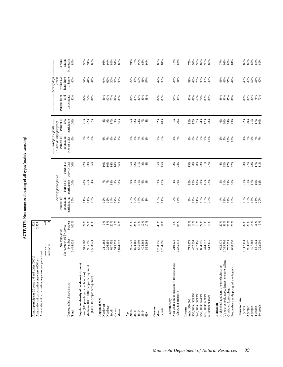ACTIVITY: Non-motorized boating of all types (mainly canoeing) **ACTIVITY: Non-motorized boating of all types (mainly canoeing)**

| Annual days of participation anywhere per participant:<br>Annual participants 20 years old and older (000's) =<br>Annual days of participation anywhere (000's) = |                                                     | 522<br>2,505            |                                           |                                            |                         |                                                                                        |                      |                         |                                                      |                                             |
|-------------------------------------------------------------------------------------------------------------------------------------------------------------------|-----------------------------------------------------|-------------------------|-------------------------------------------|--------------------------------------------|-------------------------|----------------------------------------------------------------------------------------|----------------------|-------------------------|------------------------------------------------------|---------------------------------------------|
|                                                                                                                                                                   | $median =$<br>$mean =$                              | 4.8                     |                                           |                                            |                         |                                                                                        |                      |                         |                                                      |                                             |
|                                                                                                                                                                   | (as represented by survey)<br>--- MN Population --- |                         | Percent of<br>population                  | ----- Activity participation<br>Percent of | Percent of              | --- Avid participants -----<br>$($ > median days per year)<br>Percent of<br>population | Percent of<br>avid   | avid<br>Percent from    | Activity days<br>Percent<br>hour drive<br>within 1/2 | Percent<br>within                           |
| Demographic characteristic<br>Total                                                                                                                               | Number<br>3,484,632                                 | Percent<br>100%         | participating<br>15%                      | participants<br>100%                       | activity days<br>100%   | who are avids<br>6%                                                                    | participants<br>100% | participants<br>82%     | of home<br>40%                                       | Minnesota<br>86%                            |
| Population density of residence (zip code)<br>Low (100 people per sq mile or less)                                                                                | 945,362<br>955,296                                  | 27%<br>27%              | 1%                                        | 20%<br>25%                                 | 22%<br>23%<br>55%       | <b>5</b> 8 8                                                                           | 21%                  | 77%<br>84%              | 41%<br>54%                                           | 91%<br>95%                                  |
| Medium (101 to 1000 people per sq. mile)<br>High (>1000 people per sq. mile)                                                                                      | 1,583,974                                           | 45%                     | 14%<br>18%                                | 54%                                        |                         |                                                                                        | 22%<br>57%           | 84%                     | 34%                                                  | 80%                                         |
| Region of MN<br>Northwest                                                                                                                                         | 311,163                                             | 66                      | 12%                                       | 7%<br>7%                                   |                         | 6%                                                                                     | $8%$<br>9%           | 86%                     | 64%                                                  | 98%                                         |
| Northeast                                                                                                                                                         | 296,159                                             |                         | 12%                                       |                                            |                         |                                                                                        |                      | 90%                     | 69%                                                  | 94%                                         |
| Central<br>South                                                                                                                                                  | 687,752<br>315,532                                  | 8 % % %<br>8 % % %      | 14%<br>12%<br>17%                         | $18%$<br>$8%$<br>$50%$                     | 10%<br>10%<br>10%       | $7%$ $8%$ $7%$                                                                         | 17%<br>9%            | 77%<br>89%              | 30%                                                  | %<br>97%<br>80%                             |
| Metro                                                                                                                                                             | ,874,027                                            |                         |                                           |                                            |                         |                                                                                        | 56%                  | 80%                     | 56%<br>30%                                           |                                             |
| 20-34<br>Age                                                                                                                                                      | 995,621                                             | 29%                     | 20%                                       | 39%                                        |                         |                                                                                        |                      | 81%                     | 27%                                                  | 91%                                         |
| $35 - 44$                                                                                                                                                         | 824,181                                             | 24%                     | 19%                                       | 31%                                        | 35%<br>32%              |                                                                                        | 35%<br>32%           | 83%                     | 46%                                                  | 78%                                         |
| 45-54                                                                                                                                                             | 665,698                                             | 19%                     | 16%                                       | 21%                                        | 21%                     |                                                                                        | 23%                  | 82%                     | 50%                                                  | $90\%$                                      |
| 55-64<br>$65+$                                                                                                                                                    | 404,868<br>594,265                                  | 12%<br>17%              | 8%<br>3%                                  | 6%<br>3%                                   | $8%$<br>4%              | 88888                                                                                  | $7\%$<br>4%          | 86%<br>88%              | 41%<br>57%                                           | 83%<br>94%                                  |
|                                                                                                                                                                   |                                                     |                         |                                           |                                            |                         |                                                                                        |                      |                         |                                                      |                                             |
| Gender<br>Female<br>Male                                                                                                                                          | 1,700,236<br>1,784,396                              | 49%<br>51%              | 16%<br>14%                                | 53%<br>47%                                 | 55%<br>45%              | 7%<br>6%                                                                               | 52%<br>48%           | 82%<br>83%              | 42%<br>38%                                           | $98\%$<br>84%                               |
| Non-white and/or Hispanic (<100 respondents)<br>Race/ethnicity                                                                                                    | 219,221                                             | $6\%$                   | $9\%$                                     | $4\%$                                      |                         |                                                                                        | 1%                   | 64%                     | 25%                                                  | 76%                                         |
| White, non-Hispanic                                                                                                                                               | 3,265,411                                           | 94%                     | 15%                                       | 96%                                        | 2%<br>98%               | 2%<br>7%                                                                               | 99%                  | 83%                     | 41%                                                  | 86%                                         |
| under \$30,000<br>Income                                                                                                                                          | 773,879                                             | 22%                     | 9%                                        | 12%                                        | 13%                     | 4%                                                                                     | 12%                  | 86%                     | 51%                                                  | 75%                                         |
| \$30,000 to \$39,999                                                                                                                                              | 452,334                                             | 13%                     | 14%                                       | 12%                                        | $8\%$                   | $6\%$                                                                                  | 12%                  | 81%                     | 43%                                                  | 92%                                         |
| \$50,000 to \$74,999<br>\$40,000 to \$49,999                                                                                                                      | 467,456<br>834,075                                  | 13%<br>24%              | 11%                                       | 10%<br>29%                                 |                         | 3%7%                                                                                   | 7%<br>24%            | 69%                     | 25%<br>35%                                           | 95%<br>$87\%$                               |
| \$75,000 to \$99,999                                                                                                                                              | 444,712                                             | $13%$<br>$15%$          | 19%<br>19%<br>23%                         | 15%<br>22%                                 | 8%<br>23%<br>27%        | 9%                                                                                     | 17%<br>28%           | 74%<br>89%              | 35%                                                  | 95%                                         |
| \$100,000 or more                                                                                                                                                 | 512,175                                             |                         |                                           |                                            |                         |                                                                                        |                      | 88%                     | 48%                                                  | 82%                                         |
| High school graduate, or some high school<br>Education                                                                                                            | 692,471                                             | 20%                     | 4%                                        |                                            | 4%                      |                                                                                        | 6%                   | 88%                     | 43%                                                  | 77%                                         |
| Vo-tech school, assoc. degree, or some college                                                                                                                    | 1,323,702                                           |                         |                                           |                                            |                         |                                                                                        |                      |                         |                                                      | $\begin{array}{l} 92\% \\ 88\% \end{array}$ |
| Postgraduate study/postgraduate degrees<br>Graduated from college                                                                                                 | 787,629<br>680,830                                  | $38%$<br>$23%$<br>$20%$ | 12%<br>19%<br>28%                         | 5%<br>31%<br>36%                           | $32%$<br>$27%$<br>$57%$ | 88800                                                                                  | 30%<br>34%<br>29%    | $81%$<br>$85%$<br>$81%$ | $42%$<br>$35%$<br>$42%$                              | 81%                                         |
| Household size                                                                                                                                                    |                                                     |                         |                                           |                                            |                         |                                                                                        |                      |                         |                                                      |                                             |
| 1 person                                                                                                                                                          | 1,117,414                                           | 32%<br>28%              | $10%$<br>$16%$<br>$18%$<br>$18%$<br>$20%$ | 21%<br>31%                                 | 23%<br>27%<br>22%       | * * * * *                                                                              | 22%<br>29%           | $86%$<br>$80%$<br>$80%$ | 43%                                                  | $87%$<br>$86%$                              |
| 2 people<br>3 people                                                                                                                                              | 497,888<br>984,997                                  | $14\%$                  |                                           | 17%                                        |                         |                                                                                        | 21%                  |                         | 30%<br>52%                                           | 86%                                         |
| 4 people                                                                                                                                                          | 561,432<br>322,901                                  | 16%<br>9%               |                                           | 19%<br>12%                                 | $17%$<br>11%            |                                                                                        | 17%                  | 78%<br>72%              | 36%                                                  | $84%$<br>$89%$                              |
| 5+ people                                                                                                                                                         |                                                     |                         |                                           |                                            |                         |                                                                                        | 10%                  |                         | 40%                                                  |                                             |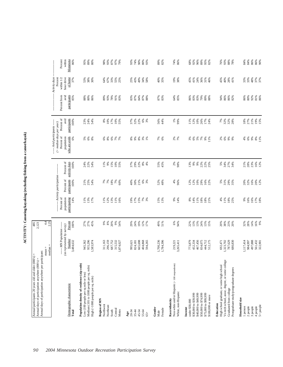$\Lambda{\rm CTNITY}$ : Canoeing/kayaking (excluding fishing from a canoe/kayak) **ACTIVITY: Canoeing/kayaking (excluding fishing from a canoe/kayak)**

| Annual days of participation anywhere per participant:                                      |                                                       |                 |                          |                             |                       |                                                               |                      |                      |                             |
|---------------------------------------------------------------------------------------------|-------------------------------------------------------|-----------------|--------------------------|-----------------------------|-----------------------|---------------------------------------------------------------|----------------------|----------------------|-----------------------------|
|                                                                                             | $mean =$<br>median                                    | $4.4$<br>2.25   |                          |                             |                       |                                                               |                      |                      |                             |
|                                                                                             |                                                       |                 |                          | --- Activity participation- |                       | ----- Avid participants ------<br>$($ > median days per year) |                      |                      | -- Activity days<br>Percent |
|                                                                                             | --- MN Population -----<br>(as represented by survey) |                 | Percent of<br>population | Percent of                  | Percent of            | Percent of<br>population                                      | Percent of<br>avid   | Percent from<br>avid | within 1/2<br>hour drive    |
| Demographic characteristic<br>Total                                                         | Number<br>3,484,632                                   | Percent<br>100% | participating<br>14%     | participants<br>100%        | activity days<br>100% | who are avids<br>6%                                           | participants<br>100% | participants<br>85%  | of home<br>37%              |
| Population density of residence (zip code)<br>Low (100 people per sq mile or less)          |                                                       |                 |                          |                             |                       |                                                               |                      |                      |                             |
| Medium (101 to 1000 people per sq. mile)                                                    | 945,362<br>955,296                                    | 27%<br>27%      | 11%<br>13%               | 21%<br>25%                  | 24%<br>22%            | <b>8</b> 8 8                                                  | 23 %<br>24 %<br>54 % | $^{88\%}_{80\%}$     | $53%$<br>$38%$              |
| High (>1000 people per sq. mile)                                                            | 1,583,974                                             | 45%             | 17%                      | 54%                         | 54%                   |                                                               |                      | 86%                  | 30%                         |
| Region of MN<br>Northwest                                                                   | 311,163                                               |                 | 11%                      |                             | 11%                   |                                                               |                      | 89%                  | 64%                         |
| Northeast                                                                                   | 296,159                                               | $9%$<br>$8%$    | 12%                      | 7%<br>7%                    | 9%                    |                                                               | $8%^{80}$<br>10%     | 93%                  | 67%                         |
| South                                                                                       | 687,752                                               | 20%             | 13%                      | $18\%$                      | $15\%$                |                                                               | 17%                  | 78%                  | 33%                         |
| Central                                                                                     | 315,532                                               | 9%              |                          | 7%                          | 10%                   |                                                               | 10%                  | 91%                  |                             |
| Metro                                                                                       | 1,874,027                                             | 54%             | 11%<br>16%               | 60%                         | 55%                   |                                                               | 55%                  | 83%                  | $55%$<br>$25%$              |
| 20-34<br>$_{\rm Age}$                                                                       |                                                       |                 |                          |                             |                       |                                                               |                      |                      |                             |
| $35 - 44$                                                                                   | 824,181<br>995,621                                    | 29%<br>24%      | 19%                      | 40%<br>30%                  | 37%<br>29%<br>21%     | 88882                                                         | 37%<br>32%<br>22%    | 83%<br>87%           | 25%<br>43%                  |
| 45-54                                                                                       | 665,698                                               | 19%             | 17%<br>15%               | 21%                         |                       |                                                               |                      | 84%                  | 49%                         |
| 55-64                                                                                       | 404,868                                               | 12%             |                          |                             | $8\%$                 |                                                               | $6\%$                |                      |                             |
| $65 +$                                                                                      | 594,265                                               | 17%             | 7%<br>3%                 | 6%<br>3%                    | 4%                    |                                                               | 3%                   | $87%$<br>$88%$       | 34%<br>58%                  |
| Gender                                                                                      |                                                       |                 |                          |                             |                       |                                                               |                      |                      |                             |
| Male                                                                                        | 1,700,236                                             | 49%             | 15%<br>13%               | 52%<br>48%                  | 55%                   | 7%<br>6%                                                      | 56%                  | 87%<br>83%           | 40%<br>35%                  |
| Female                                                                                      | 1,784,396                                             | 51%             |                          |                             | 45%                   |                                                               | 44%                  |                      |                             |
| Non-white and/or Hispanic (<100 respondents)<br>Race/ethnicity                              | 219,22                                                | 6%              | 9%                       | 4%                          |                       |                                                               |                      |                      |                             |
| White, non-Hispanic                                                                         | 3,265,411                                             | 94%             | 14%                      | 96%                         | $2%$<br>98%           | 2%<br>7%                                                      | 1%<br>99%            | 64%<br>85%           | 19%<br>38%                  |
| under \$30,000<br>Income                                                                    | 773,879                                               | 22%             | $8\%$                    |                             |                       |                                                               | 11%                  |                      | 45%                         |
| \$30,000 to \$39,999                                                                        | 452,334                                               | 13%             | 14%                      | 12%<br>12%                  | 13%<br>9%             | $3%$<br>$6%$                                                  | 12%                  | 86%<br>83%           | 41%                         |
| \$40,000 to \$49,999                                                                        | 467,456                                               | 13%             | 11%                      | $10\%$                      | $9\%$                 |                                                               | 10%                  | 83%                  | 24%                         |
| \$50,000 to \$74,999                                                                        | 834,075                                               | 24%             | $18\%$                   |                             |                       | $5%$<br>$7%$                                                  | 26%                  |                      | 36%                         |
| \$75,000 to \$99,999                                                                        | 444,712                                               | 13%             |                          | 29%<br>16%<br>22%           | 22%<br>22%<br>25%     | $9\%$                                                         | 17%                  | %88%<br>89%<br>88%   | 31%                         |
| \$100,000 or more                                                                           | 512,175                                               | 15%             | $\frac{18\%}{21\%}$      |                             |                       | 11%                                                           | 24%                  |                      | 46%                         |
| Education                                                                                   |                                                       |                 |                          |                             |                       |                                                               |                      |                      |                             |
| Vo-tech school, assoc. degree, or some college<br>High school graduate, or some high school | 692,471<br>1,323,702                                  | 20%<br>38%      | 4%<br>11%                |                             |                       |                                                               |                      | 94%<br>86%           | 45%<br>40%                  |
| Graduated from college                                                                      | 787,629                                               |                 |                          | 5%<br>31%<br>35%            | <b>88888</b><br>58558 | 8888                                                          | 7%<br>32%<br>32%     |                      |                             |
| Postgraduate study/postgraduate degrees                                                     | 680,830                                               | 23%<br>20%      | $18%$<br>25%             |                             |                       |                                                               |                      | 86%<br>82%           | $\frac{28\%}{41\%}$         |
| Household size                                                                              | 1.117,414                                             |                 | 666                      | 20%                         |                       |                                                               |                      |                      | 33%                         |
| 1 person<br>2 people                                                                        | 984,997                                               | 32%<br>28%      | 16%                      | 32%                         | $21\%$<br>$28\%$      | 6%<br>4%                                                      | $18%$<br>27%<br>21%  | 86%<br>80%           | 33%                         |
| 3 people                                                                                    | 497,888                                               | 14%             | 16%                      | 16%                         | 23%                   | $9\%$                                                         |                      |                      | 48%                         |
| 4 people                                                                                    |                                                       |                 | $17%$<br>$18%$           |                             |                       | $\begin{array}{c} 8\% \\ 11\% \end{array}$                    |                      | 92%<br>81%<br>86%    |                             |
| $5+$ people                                                                                 | 561,432<br>322,901                                    | 16%<br>9%       |                          | 20%<br>12%                  | 16%<br>12%            |                                                               | 19%<br>15%           |                      | 37%<br>37%                  |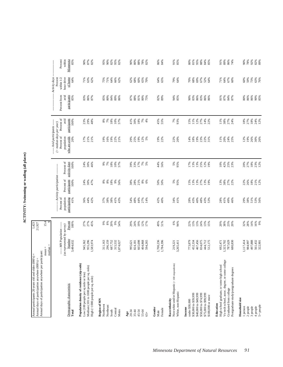| í |
|---|
|   |
|   |
|   |
| ŋ |
|   |
| Ì |
|   |
|   |
|   |
| l |

| Annual days of participation anywhere per participant:<br>Annual participants 20 years old and older (000's) =<br>Annual days of participation anywhere (000's) =             |                                                                            | 1,423<br>21,927                        |                                                  |                                                                   |                                        |                                                                                                                |                                            |                                             |                                                                        |                                        |
|-------------------------------------------------------------------------------------------------------------------------------------------------------------------------------|----------------------------------------------------------------------------|----------------------------------------|--------------------------------------------------|-------------------------------------------------------------------|----------------------------------------|----------------------------------------------------------------------------------------------------------------|--------------------------------------------|---------------------------------------------|------------------------------------------------------------------------|----------------------------------------|
|                                                                                                                                                                               | $median =$<br>$mean =$                                                     | 15.4                                   |                                                  |                                                                   |                                        |                                                                                                                |                                            |                                             |                                                                        |                                        |
| Demographic characteristic<br>Total                                                                                                                                           | (as represented by survey)<br>--- MN Population ---<br>Number<br>3,484,632 | Percent<br>100%                        | Percent of<br>population<br>participating<br>41% | --- Activity participation-<br>Percent of<br>participants<br>100% | Percent of<br>activity days<br>100%    | --- Avid participants -----<br>$($ > median days per year)<br>who are avids<br>Percent of<br>population<br>20% | Percent of<br>avid<br>participants<br>100% | avid<br>participants<br>Percent from<br>85% | Activity days<br>Percent<br>hour drive<br>of home<br>within 1/2<br>64% | Percent<br>within<br>Minnesota<br>85%  |
| Population density of residence (zip code)<br>Medium (101 to 1000 people per sq. mile)<br>Low (100 people per sq mile or less)<br>High (>1000 people per sq. mile)            | 955,296<br>945,362<br>.583,974                                             | $27%$<br>$27%$<br>45%                  | 44%<br>36%<br>42%                                | 24%<br>30%<br>47%                                                 | 30%<br>46%<br>24%                      | 21%<br>17%<br>21%                                                                                              | 29%<br>23%<br>48%                          | 83%<br>86%<br>87%                           | 63%<br>62%<br>71%                                                      | 87%<br>90%<br>82%                      |
| Region of MN<br>Northwest<br>Northeast<br>Central<br>South<br>Metro                                                                                                           | 296,159<br>687,752<br>315,532<br>311,163<br>,874,027                       | 20%<br>8%<br>66<br>9%<br>54%           | 38%<br>37%<br>38%<br>41%<br>43%                  | 8%<br>9%<br>8%<br>8%<br>56%                                       | 18%<br>10%<br>57%<br>9%<br>7%          | 19%<br>16%<br>22%<br>21%<br>19%                                                                                | 18%<br>10%<br>57%<br>8%<br>7%              | 84%<br>89%<br>86%<br>85%<br>80%             | 71%<br>$\begin{array}{l} 68 \\ 48 \\ 60 \\ 8 \end{array}$<br>75%       | 82%<br>95%<br>90%<br>95%<br>82%        |
| $35 - 44$<br>45-54<br>55-64<br>20-34<br>Age<br>$65 +$                                                                                                                         | 404,868<br>665,698<br>824,181<br>594,265<br>995,621                        | 29%<br>24%<br>19%<br>12%<br>17%        | 54%<br>48%<br>44%<br>27%<br>14%                  | 28%<br>21%<br>$8\%$ 6%<br>38%                                     | 39%<br>33%<br>17%<br>7%<br>5%          | 29%<br>25%<br>19%<br>$12%$<br>5%                                                                               | 30%<br>$18\%$<br>$7\%$<br>41%<br>4%        | 88%<br>81%<br>$80\%$<br>87%<br>75%          | 62%<br>68%<br>$60\%$<br>$65\%$<br>70%                                  | $80\%$<br>88%<br>$78%$<br>82%<br>60%   |
| Gender<br>Female<br>Male                                                                                                                                                      | 1,700,236<br>1,784,396                                                     | 49%<br>51%                             | 42%<br>40%                                       | 50%<br>50%                                                        | 44%<br>56%                             | 19%<br>22%                                                                                                     | 45%<br>55%                                 | 82%<br>89%                                  | 64%<br>65%                                                             | 86%<br>84%                             |
| Non-white and/or Hispanic (<100 respondents)<br>White, non-Hispanic<br>Race/ethnicity                                                                                         | 3,265,411<br>219,221                                                       | 6%<br>94%                              | 34%<br>41%                                       | 5%<br>95%                                                         | 5%<br>95%                              | 22%<br>20%                                                                                                     | 7%<br>93%                                  | 94%<br>85%                                  | 79%<br>64%                                                             | 91%<br>85%                             |
| \$50,000 to \$74,999<br>\$40,000 to \$49,999<br>\$75,000 to \$99,999<br>\$30,000 to \$39,999<br>\$100,000 or more<br>under \$30,000<br>Income                                 | 467,456<br>773,879<br>452,334<br>834,075<br>512,175<br>444,712             | 22%<br>13%<br>13%<br>24%<br>13%<br>15% | 43%<br>28%<br>40%<br>48%<br>43%<br>53%           | 13%<br>13%<br>27%<br>15%<br>13%<br>19%                            | 13%<br>13%<br>25%<br>12%<br>19%<br>17% | 18%<br>14%<br>19%<br>23%<br>22%<br>31%                                                                         | 11%<br>12%<br>27%<br>15%<br>14%<br>22%     | 90%<br>83%<br>83%<br>86%<br>86%<br>86%      | 70%<br>68%<br>69%<br>67%<br>52%<br>64%                                 | 81%<br>88%<br>80%<br>95%<br>84%<br>85% |
| Vo-tech school, assoc. degree, or some college<br>High school graduate, or some high school<br>Postgraduate study/postgraduate degrees<br>Graduated from college<br>Education | 1,323,702<br>787,629<br>680,830<br>692,471                                 | 20%<br>38%<br>23%<br>20%               | 28%<br>41%<br>49%<br>46%                         | 13%<br>38%<br>27%                                                 | 10%<br>42%<br>$25%$<br>$23%$           | 11%<br>20%<br>24%<br>25%                                                                                       | 11%<br>38%<br>27%<br>24%                   | 81%<br>87%<br>84%<br>87%                    | 71%<br>$4%$<br>$6%$<br>$6%$                                            | 91%<br>89%<br>86%<br>74%               |
| Household size<br>5+ people<br>1 person<br>2 people<br>3 people<br>4 people                                                                                                   | 497,888<br>1,117,414<br>984,997<br>561,432<br>322,901                      | $14\%$<br>9%<br>32%<br>28%<br>16%      | 29%<br>38%<br>51%<br>53%<br>56%                  | 18%<br>21%<br>12%<br>22%<br>26%                                   | $18\%$<br>23%<br>12%<br>20%<br>27%     | 12%<br>19%<br>26%<br>30%<br>26%                                                                                | $18\%$<br>27%<br>$18\%$<br>24%<br>12%      | 86%<br>90%<br>85%<br>$80\%$<br>86%          | 88<br>887<br>687<br>688                                                | $90\%$<br>78%<br>92%<br>82%<br>89%     |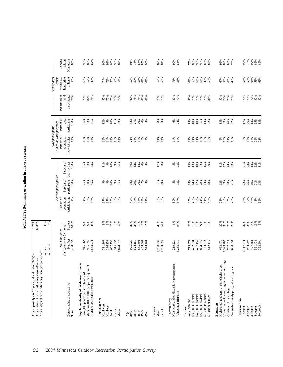ACTIVITY: Swimming or wading in a lake or stream **ACTIVITY: Swimming or wading in a lake or stream**

| -- Activity days<br>Percent<br>hour drive<br>of home<br>within $1/2$<br>57%<br>56%<br>76%<br>55%<br>61%<br>55%<br>$51\%$<br>$53\%$<br>$65\%$<br>53%<br>69%<br>56%<br>68%<br>57%<br>73%<br>56%<br>56%<br>51%<br>56%<br>59%<br>51%<br>61%<br>61%<br>59%<br>61%<br>61%<br>46%<br>67%<br>60%<br>49%<br>74%<br>59%<br>49%<br>Percent from<br>avid<br>participants<br>77%<br>77%<br>76%<br>82%<br>75%<br>75%<br>73%<br>75%<br>76%<br>78%<br>80%<br>77%<br>86%<br>70%<br>73%<br>70%<br>81%<br>80%<br>79%<br>73%<br>78%<br>70%<br>79%<br>$80%$<br>$80%$<br>85%<br>79%<br>77%<br>80%<br>78%<br>68%<br>61%<br>Percent of<br>avid<br>participants<br>26%<br>33%<br>16%<br>$10%$<br>$26%$<br>$18\%$<br>25%<br>13%<br>100%<br>41%<br>$12%$<br>8%<br>11%<br>43%<br>20%<br>$6\%$<br>4%<br>50%<br>50%<br>6%<br>94%<br>14%<br>22%<br>13%<br>39%<br>26%<br>22%<br>17%<br>26%<br>53%<br>27%<br>18%<br>10%<br>----- Avid participants ------<br>$($ > median days per year)<br>Percent of<br>who are avids<br>population<br>14%<br>14%<br>14%<br>$\begin{array}{c} 8\% \\ 13\% \end{array}$<br>$18\%$<br>13%<br>17%<br>14%<br>12%<br>21%<br>$8\%$<br>14%<br>11%<br>11%<br>16%<br>15%<br>17%<br>16%<br>22%<br>21%<br>13%<br>18%<br>16%<br>16%<br>3%<br>14%<br>14%<br>12%<br>16%<br>22%<br>$9\%$<br>14%<br>Percent of<br>activity days<br>$18\%$<br>100%<br>$18\%$<br>47%<br><b>21%</b><br>28%<br>22%<br>11%<br>25%<br>33%<br>11%<br>16%<br>9%<br>40%<br>32%<br>$6\%$<br>4%<br>53%<br>5%<br>95%<br>19%<br>$10\%$<br>23%<br>$11\%$<br>42%<br>24%<br>23%<br>43%<br>9%<br>56%<br>13%<br>15%<br>20%<br>--- Activity participation-<br>Percent of<br>participants<br>19%<br>21%<br>13%<br>100%<br>$18\%$<br>20%<br>$7\%$<br>51%<br>49%<br>5%<br>95%<br>12%<br>12%<br>39%<br>28%<br>22%<br>25%<br>25%<br>30%<br>45%<br>9%<br>9%<br>$9\%$<br>38%<br>29%<br>5%<br>15%<br>14%<br>28%<br>$14%$<br>18%<br>21%<br>55%<br>Percent of<br>population<br>participating<br>37%<br>34%<br>39%<br>33%<br>49%<br>38%<br>39%<br>35%<br>30%<br>25%<br>40%<br>32%<br>44%<br>38%<br>45%<br>26%<br>32%<br>47%<br>52%<br>37%<br>37%<br>37%<br>38%<br>38%<br>44%<br>23%<br>12%<br>37%<br>41%<br>46%<br>23%<br>40%<br>48%<br>Percent<br>27%<br>27%<br>20%<br>19%<br>49%<br>51%<br>6%<br>94%<br>13%<br>38%<br>14%<br>16%<br>9%<br>45%<br>$\frac{9\%}{8\%}$<br>9%<br>54%<br>29%<br>24%<br>12%<br>17%<br>22%<br>13%<br>24%<br>$13%$<br>$15%$<br>20%<br>23%<br>20%<br>32%<br>28%<br>100%<br>----- MN Population -----<br>(as represented by survey)<br>Number<br>497,888<br>665,698<br>1,700,236<br>467,456<br>1,117,414<br>561,432<br>3,484,632<br>945,362<br>955,296<br>296,159<br>687,752<br>1,784,396<br>773,879<br>452,334<br>834,075<br>1,323,702<br>787,629<br>984,997<br>1,583,974<br>311,163<br>315,532<br>404,868<br>594,265<br>444,712<br>512,175<br>692,471<br>680,830<br>322,901<br>1,874,027<br>995,621<br>824,181<br>219,221<br>3,265,411<br>median<br>Vo-tech school, assoc. degree, or some college<br>Population density of residence (zip code)<br>Non-white and/or Hispanic (<100 respondents)<br>High school graduate, or some high school<br>Medium (101 to 1000 people per sq. mile)<br>Postgraduate study/postgraduate degrees<br>Low (100 people per sq mile or less)<br>High (>1000 people per sq. mile)<br>Demographic characteristic<br>Graduated from college<br>White, non-Hispanic<br>\$30,000 to \$39,999<br>\$40,000 to \$49,999<br>\$50,000 to \$74,999<br>\$75,000 to \$99,999<br>\$100,000 or more<br>Household size<br>Region of MN<br>Race/ethnicity<br>under \$30,000<br>Education<br>Northwest<br>$5+$ people<br>Northeast<br>3 people<br>4 people<br>1 person<br>$2$ people $% \left( \left( \mathcal{A}\right) \right)$<br>Gender<br>Income<br>Female<br>Central<br>South<br>Metro<br>Total<br>$20 - 34$<br>45-54<br>55-64<br>$35 - 44$<br>Male<br>$_{\rm Age}$<br>$65+$ | Annual days of participation anywhere per participant: | Annual days of participation anywhere (000's) = |               |  |  |  |  |
|--------------------------------------------------------------------------------------------------------------------------------------------------------------------------------------------------------------------------------------------------------------------------------------------------------------------------------------------------------------------------------------------------------------------------------------------------------------------------------------------------------------------------------------------------------------------------------------------------------------------------------------------------------------------------------------------------------------------------------------------------------------------------------------------------------------------------------------------------------------------------------------------------------------------------------------------------------------------------------------------------------------------------------------------------------------------------------------------------------------------------------------------------------------------------------------------------------------------------------------------------------------------------------------------------------------------------------------------------------------------------------------------------------------------------------------------------------------------------------------------------------------------------------------------------------------------------------------------------------------------------------------------------------------------------------------------------------------------------------------------------------------------------------------------------------------------------------------------------------------------------------------------------------------------------------------------------------------------------------------------------------------------------------------------------------------------------------------------------------------------------------------------------------------------------------------------------------------------------------------------------------------------------------------------------------------------------------------------------------------------------------------------------------------------------------------------------------------------------------------------------------------------------------------------------------------------------------------------------------------------------------------------------------------------------------------------------------------------------------------------------------------------------------------------------------------------------------------------------------------------------------------------------------------------------------------------------------------------------------------------------------------------------------------------------------------------------------------------------------------------------------------------------------------------------------------------------------------------------------------------------------------------------------------------------------------------------------------------------------------------------------------------------------------------------------------------------------------------------------------------------------------------------------------------------------------------------------------------------------------------------------------------------------------------------------------------------------------------------------------------------------------------------------------------------------------------------------------------------------------|--------------------------------------------------------|-------------------------------------------------|---------------|--|--|--|--|
|                                                                                                                                                                                                                                                                                                                                                                                                                                                                                                                                                                                                                                                                                                                                                                                                                                                                                                                                                                                                                                                                                                                                                                                                                                                                                                                                                                                                                                                                                                                                                                                                                                                                                                                                                                                                                                                                                                                                                                                                                                                                                                                                                                                                                                                                                                                                                                                                                                                                                                                                                                                                                                                                                                                                                                                                                                                                                                                                                                                                                                                                                                                                                                                                                                                                                                                                                                                                                                                                                                                                                                                                                                                                                                                                                                                                                                                              |                                                        | $mean =$                                        | $11.6$<br>7.5 |  |  |  |  |
|                                                                                                                                                                                                                                                                                                                                                                                                                                                                                                                                                                                                                                                                                                                                                                                                                                                                                                                                                                                                                                                                                                                                                                                                                                                                                                                                                                                                                                                                                                                                                                                                                                                                                                                                                                                                                                                                                                                                                                                                                                                                                                                                                                                                                                                                                                                                                                                                                                                                                                                                                                                                                                                                                                                                                                                                                                                                                                                                                                                                                                                                                                                                                                                                                                                                                                                                                                                                                                                                                                                                                                                                                                                                                                                                                                                                                                                              |                                                        |                                                 |               |  |  |  |  |
|                                                                                                                                                                                                                                                                                                                                                                                                                                                                                                                                                                                                                                                                                                                                                                                                                                                                                                                                                                                                                                                                                                                                                                                                                                                                                                                                                                                                                                                                                                                                                                                                                                                                                                                                                                                                                                                                                                                                                                                                                                                                                                                                                                                                                                                                                                                                                                                                                                                                                                                                                                                                                                                                                                                                                                                                                                                                                                                                                                                                                                                                                                                                                                                                                                                                                                                                                                                                                                                                                                                                                                                                                                                                                                                                                                                                                                                              |                                                        |                                                 |               |  |  |  |  |
|                                                                                                                                                                                                                                                                                                                                                                                                                                                                                                                                                                                                                                                                                                                                                                                                                                                                                                                                                                                                                                                                                                                                                                                                                                                                                                                                                                                                                                                                                                                                                                                                                                                                                                                                                                                                                                                                                                                                                                                                                                                                                                                                                                                                                                                                                                                                                                                                                                                                                                                                                                                                                                                                                                                                                                                                                                                                                                                                                                                                                                                                                                                                                                                                                                                                                                                                                                                                                                                                                                                                                                                                                                                                                                                                                                                                                                                              |                                                        |                                                 |               |  |  |  |  |
|                                                                                                                                                                                                                                                                                                                                                                                                                                                                                                                                                                                                                                                                                                                                                                                                                                                                                                                                                                                                                                                                                                                                                                                                                                                                                                                                                                                                                                                                                                                                                                                                                                                                                                                                                                                                                                                                                                                                                                                                                                                                                                                                                                                                                                                                                                                                                                                                                                                                                                                                                                                                                                                                                                                                                                                                                                                                                                                                                                                                                                                                                                                                                                                                                                                                                                                                                                                                                                                                                                                                                                                                                                                                                                                                                                                                                                                              |                                                        |                                                 |               |  |  |  |  |
|                                                                                                                                                                                                                                                                                                                                                                                                                                                                                                                                                                                                                                                                                                                                                                                                                                                                                                                                                                                                                                                                                                                                                                                                                                                                                                                                                                                                                                                                                                                                                                                                                                                                                                                                                                                                                                                                                                                                                                                                                                                                                                                                                                                                                                                                                                                                                                                                                                                                                                                                                                                                                                                                                                                                                                                                                                                                                                                                                                                                                                                                                                                                                                                                                                                                                                                                                                                                                                                                                                                                                                                                                                                                                                                                                                                                                                                              |                                                        |                                                 |               |  |  |  |  |
|                                                                                                                                                                                                                                                                                                                                                                                                                                                                                                                                                                                                                                                                                                                                                                                                                                                                                                                                                                                                                                                                                                                                                                                                                                                                                                                                                                                                                                                                                                                                                                                                                                                                                                                                                                                                                                                                                                                                                                                                                                                                                                                                                                                                                                                                                                                                                                                                                                                                                                                                                                                                                                                                                                                                                                                                                                                                                                                                                                                                                                                                                                                                                                                                                                                                                                                                                                                                                                                                                                                                                                                                                                                                                                                                                                                                                                                              |                                                        |                                                 |               |  |  |  |  |
|                                                                                                                                                                                                                                                                                                                                                                                                                                                                                                                                                                                                                                                                                                                                                                                                                                                                                                                                                                                                                                                                                                                                                                                                                                                                                                                                                                                                                                                                                                                                                                                                                                                                                                                                                                                                                                                                                                                                                                                                                                                                                                                                                                                                                                                                                                                                                                                                                                                                                                                                                                                                                                                                                                                                                                                                                                                                                                                                                                                                                                                                                                                                                                                                                                                                                                                                                                                                                                                                                                                                                                                                                                                                                                                                                                                                                                                              |                                                        |                                                 |               |  |  |  |  |
|                                                                                                                                                                                                                                                                                                                                                                                                                                                                                                                                                                                                                                                                                                                                                                                                                                                                                                                                                                                                                                                                                                                                                                                                                                                                                                                                                                                                                                                                                                                                                                                                                                                                                                                                                                                                                                                                                                                                                                                                                                                                                                                                                                                                                                                                                                                                                                                                                                                                                                                                                                                                                                                                                                                                                                                                                                                                                                                                                                                                                                                                                                                                                                                                                                                                                                                                                                                                                                                                                                                                                                                                                                                                                                                                                                                                                                                              |                                                        |                                                 |               |  |  |  |  |
|                                                                                                                                                                                                                                                                                                                                                                                                                                                                                                                                                                                                                                                                                                                                                                                                                                                                                                                                                                                                                                                                                                                                                                                                                                                                                                                                                                                                                                                                                                                                                                                                                                                                                                                                                                                                                                                                                                                                                                                                                                                                                                                                                                                                                                                                                                                                                                                                                                                                                                                                                                                                                                                                                                                                                                                                                                                                                                                                                                                                                                                                                                                                                                                                                                                                                                                                                                                                                                                                                                                                                                                                                                                                                                                                                                                                                                                              |                                                        |                                                 |               |  |  |  |  |
|                                                                                                                                                                                                                                                                                                                                                                                                                                                                                                                                                                                                                                                                                                                                                                                                                                                                                                                                                                                                                                                                                                                                                                                                                                                                                                                                                                                                                                                                                                                                                                                                                                                                                                                                                                                                                                                                                                                                                                                                                                                                                                                                                                                                                                                                                                                                                                                                                                                                                                                                                                                                                                                                                                                                                                                                                                                                                                                                                                                                                                                                                                                                                                                                                                                                                                                                                                                                                                                                                                                                                                                                                                                                                                                                                                                                                                                              |                                                        |                                                 |               |  |  |  |  |
|                                                                                                                                                                                                                                                                                                                                                                                                                                                                                                                                                                                                                                                                                                                                                                                                                                                                                                                                                                                                                                                                                                                                                                                                                                                                                                                                                                                                                                                                                                                                                                                                                                                                                                                                                                                                                                                                                                                                                                                                                                                                                                                                                                                                                                                                                                                                                                                                                                                                                                                                                                                                                                                                                                                                                                                                                                                                                                                                                                                                                                                                                                                                                                                                                                                                                                                                                                                                                                                                                                                                                                                                                                                                                                                                                                                                                                                              |                                                        |                                                 |               |  |  |  |  |
|                                                                                                                                                                                                                                                                                                                                                                                                                                                                                                                                                                                                                                                                                                                                                                                                                                                                                                                                                                                                                                                                                                                                                                                                                                                                                                                                                                                                                                                                                                                                                                                                                                                                                                                                                                                                                                                                                                                                                                                                                                                                                                                                                                                                                                                                                                                                                                                                                                                                                                                                                                                                                                                                                                                                                                                                                                                                                                                                                                                                                                                                                                                                                                                                                                                                                                                                                                                                                                                                                                                                                                                                                                                                                                                                                                                                                                                              |                                                        |                                                 |               |  |  |  |  |
|                                                                                                                                                                                                                                                                                                                                                                                                                                                                                                                                                                                                                                                                                                                                                                                                                                                                                                                                                                                                                                                                                                                                                                                                                                                                                                                                                                                                                                                                                                                                                                                                                                                                                                                                                                                                                                                                                                                                                                                                                                                                                                                                                                                                                                                                                                                                                                                                                                                                                                                                                                                                                                                                                                                                                                                                                                                                                                                                                                                                                                                                                                                                                                                                                                                                                                                                                                                                                                                                                                                                                                                                                                                                                                                                                                                                                                                              |                                                        |                                                 |               |  |  |  |  |
|                                                                                                                                                                                                                                                                                                                                                                                                                                                                                                                                                                                                                                                                                                                                                                                                                                                                                                                                                                                                                                                                                                                                                                                                                                                                                                                                                                                                                                                                                                                                                                                                                                                                                                                                                                                                                                                                                                                                                                                                                                                                                                                                                                                                                                                                                                                                                                                                                                                                                                                                                                                                                                                                                                                                                                                                                                                                                                                                                                                                                                                                                                                                                                                                                                                                                                                                                                                                                                                                                                                                                                                                                                                                                                                                                                                                                                                              |                                                        |                                                 |               |  |  |  |  |
|                                                                                                                                                                                                                                                                                                                                                                                                                                                                                                                                                                                                                                                                                                                                                                                                                                                                                                                                                                                                                                                                                                                                                                                                                                                                                                                                                                                                                                                                                                                                                                                                                                                                                                                                                                                                                                                                                                                                                                                                                                                                                                                                                                                                                                                                                                                                                                                                                                                                                                                                                                                                                                                                                                                                                                                                                                                                                                                                                                                                                                                                                                                                                                                                                                                                                                                                                                                                                                                                                                                                                                                                                                                                                                                                                                                                                                                              |                                                        |                                                 |               |  |  |  |  |
|                                                                                                                                                                                                                                                                                                                                                                                                                                                                                                                                                                                                                                                                                                                                                                                                                                                                                                                                                                                                                                                                                                                                                                                                                                                                                                                                                                                                                                                                                                                                                                                                                                                                                                                                                                                                                                                                                                                                                                                                                                                                                                                                                                                                                                                                                                                                                                                                                                                                                                                                                                                                                                                                                                                                                                                                                                                                                                                                                                                                                                                                                                                                                                                                                                                                                                                                                                                                                                                                                                                                                                                                                                                                                                                                                                                                                                                              |                                                        |                                                 |               |  |  |  |  |
|                                                                                                                                                                                                                                                                                                                                                                                                                                                                                                                                                                                                                                                                                                                                                                                                                                                                                                                                                                                                                                                                                                                                                                                                                                                                                                                                                                                                                                                                                                                                                                                                                                                                                                                                                                                                                                                                                                                                                                                                                                                                                                                                                                                                                                                                                                                                                                                                                                                                                                                                                                                                                                                                                                                                                                                                                                                                                                                                                                                                                                                                                                                                                                                                                                                                                                                                                                                                                                                                                                                                                                                                                                                                                                                                                                                                                                                              |                                                        |                                                 |               |  |  |  |  |
|                                                                                                                                                                                                                                                                                                                                                                                                                                                                                                                                                                                                                                                                                                                                                                                                                                                                                                                                                                                                                                                                                                                                                                                                                                                                                                                                                                                                                                                                                                                                                                                                                                                                                                                                                                                                                                                                                                                                                                                                                                                                                                                                                                                                                                                                                                                                                                                                                                                                                                                                                                                                                                                                                                                                                                                                                                                                                                                                                                                                                                                                                                                                                                                                                                                                                                                                                                                                                                                                                                                                                                                                                                                                                                                                                                                                                                                              |                                                        |                                                 |               |  |  |  |  |
|                                                                                                                                                                                                                                                                                                                                                                                                                                                                                                                                                                                                                                                                                                                                                                                                                                                                                                                                                                                                                                                                                                                                                                                                                                                                                                                                                                                                                                                                                                                                                                                                                                                                                                                                                                                                                                                                                                                                                                                                                                                                                                                                                                                                                                                                                                                                                                                                                                                                                                                                                                                                                                                                                                                                                                                                                                                                                                                                                                                                                                                                                                                                                                                                                                                                                                                                                                                                                                                                                                                                                                                                                                                                                                                                                                                                                                                              |                                                        |                                                 |               |  |  |  |  |
|                                                                                                                                                                                                                                                                                                                                                                                                                                                                                                                                                                                                                                                                                                                                                                                                                                                                                                                                                                                                                                                                                                                                                                                                                                                                                                                                                                                                                                                                                                                                                                                                                                                                                                                                                                                                                                                                                                                                                                                                                                                                                                                                                                                                                                                                                                                                                                                                                                                                                                                                                                                                                                                                                                                                                                                                                                                                                                                                                                                                                                                                                                                                                                                                                                                                                                                                                                                                                                                                                                                                                                                                                                                                                                                                                                                                                                                              |                                                        |                                                 |               |  |  |  |  |
|                                                                                                                                                                                                                                                                                                                                                                                                                                                                                                                                                                                                                                                                                                                                                                                                                                                                                                                                                                                                                                                                                                                                                                                                                                                                                                                                                                                                                                                                                                                                                                                                                                                                                                                                                                                                                                                                                                                                                                                                                                                                                                                                                                                                                                                                                                                                                                                                                                                                                                                                                                                                                                                                                                                                                                                                                                                                                                                                                                                                                                                                                                                                                                                                                                                                                                                                                                                                                                                                                                                                                                                                                                                                                                                                                                                                                                                              |                                                        |                                                 |               |  |  |  |  |
|                                                                                                                                                                                                                                                                                                                                                                                                                                                                                                                                                                                                                                                                                                                                                                                                                                                                                                                                                                                                                                                                                                                                                                                                                                                                                                                                                                                                                                                                                                                                                                                                                                                                                                                                                                                                                                                                                                                                                                                                                                                                                                                                                                                                                                                                                                                                                                                                                                                                                                                                                                                                                                                                                                                                                                                                                                                                                                                                                                                                                                                                                                                                                                                                                                                                                                                                                                                                                                                                                                                                                                                                                                                                                                                                                                                                                                                              |                                                        |                                                 |               |  |  |  |  |
|                                                                                                                                                                                                                                                                                                                                                                                                                                                                                                                                                                                                                                                                                                                                                                                                                                                                                                                                                                                                                                                                                                                                                                                                                                                                                                                                                                                                                                                                                                                                                                                                                                                                                                                                                                                                                                                                                                                                                                                                                                                                                                                                                                                                                                                                                                                                                                                                                                                                                                                                                                                                                                                                                                                                                                                                                                                                                                                                                                                                                                                                                                                                                                                                                                                                                                                                                                                                                                                                                                                                                                                                                                                                                                                                                                                                                                                              |                                                        |                                                 |               |  |  |  |  |
|                                                                                                                                                                                                                                                                                                                                                                                                                                                                                                                                                                                                                                                                                                                                                                                                                                                                                                                                                                                                                                                                                                                                                                                                                                                                                                                                                                                                                                                                                                                                                                                                                                                                                                                                                                                                                                                                                                                                                                                                                                                                                                                                                                                                                                                                                                                                                                                                                                                                                                                                                                                                                                                                                                                                                                                                                                                                                                                                                                                                                                                                                                                                                                                                                                                                                                                                                                                                                                                                                                                                                                                                                                                                                                                                                                                                                                                              |                                                        |                                                 |               |  |  |  |  |
|                                                                                                                                                                                                                                                                                                                                                                                                                                                                                                                                                                                                                                                                                                                                                                                                                                                                                                                                                                                                                                                                                                                                                                                                                                                                                                                                                                                                                                                                                                                                                                                                                                                                                                                                                                                                                                                                                                                                                                                                                                                                                                                                                                                                                                                                                                                                                                                                                                                                                                                                                                                                                                                                                                                                                                                                                                                                                                                                                                                                                                                                                                                                                                                                                                                                                                                                                                                                                                                                                                                                                                                                                                                                                                                                                                                                                                                              |                                                        |                                                 |               |  |  |  |  |
|                                                                                                                                                                                                                                                                                                                                                                                                                                                                                                                                                                                                                                                                                                                                                                                                                                                                                                                                                                                                                                                                                                                                                                                                                                                                                                                                                                                                                                                                                                                                                                                                                                                                                                                                                                                                                                                                                                                                                                                                                                                                                                                                                                                                                                                                                                                                                                                                                                                                                                                                                                                                                                                                                                                                                                                                                                                                                                                                                                                                                                                                                                                                                                                                                                                                                                                                                                                                                                                                                                                                                                                                                                                                                                                                                                                                                                                              |                                                        |                                                 |               |  |  |  |  |
|                                                                                                                                                                                                                                                                                                                                                                                                                                                                                                                                                                                                                                                                                                                                                                                                                                                                                                                                                                                                                                                                                                                                                                                                                                                                                                                                                                                                                                                                                                                                                                                                                                                                                                                                                                                                                                                                                                                                                                                                                                                                                                                                                                                                                                                                                                                                                                                                                                                                                                                                                                                                                                                                                                                                                                                                                                                                                                                                                                                                                                                                                                                                                                                                                                                                                                                                                                                                                                                                                                                                                                                                                                                                                                                                                                                                                                                              |                                                        |                                                 |               |  |  |  |  |
|                                                                                                                                                                                                                                                                                                                                                                                                                                                                                                                                                                                                                                                                                                                                                                                                                                                                                                                                                                                                                                                                                                                                                                                                                                                                                                                                                                                                                                                                                                                                                                                                                                                                                                                                                                                                                                                                                                                                                                                                                                                                                                                                                                                                                                                                                                                                                                                                                                                                                                                                                                                                                                                                                                                                                                                                                                                                                                                                                                                                                                                                                                                                                                                                                                                                                                                                                                                                                                                                                                                                                                                                                                                                                                                                                                                                                                                              |                                                        |                                                 |               |  |  |  |  |
|                                                                                                                                                                                                                                                                                                                                                                                                                                                                                                                                                                                                                                                                                                                                                                                                                                                                                                                                                                                                                                                                                                                                                                                                                                                                                                                                                                                                                                                                                                                                                                                                                                                                                                                                                                                                                                                                                                                                                                                                                                                                                                                                                                                                                                                                                                                                                                                                                                                                                                                                                                                                                                                                                                                                                                                                                                                                                                                                                                                                                                                                                                                                                                                                                                                                                                                                                                                                                                                                                                                                                                                                                                                                                                                                                                                                                                                              |                                                        |                                                 |               |  |  |  |  |
|                                                                                                                                                                                                                                                                                                                                                                                                                                                                                                                                                                                                                                                                                                                                                                                                                                                                                                                                                                                                                                                                                                                                                                                                                                                                                                                                                                                                                                                                                                                                                                                                                                                                                                                                                                                                                                                                                                                                                                                                                                                                                                                                                                                                                                                                                                                                                                                                                                                                                                                                                                                                                                                                                                                                                                                                                                                                                                                                                                                                                                                                                                                                                                                                                                                                                                                                                                                                                                                                                                                                                                                                                                                                                                                                                                                                                                                              |                                                        |                                                 |               |  |  |  |  |
|                                                                                                                                                                                                                                                                                                                                                                                                                                                                                                                                                                                                                                                                                                                                                                                                                                                                                                                                                                                                                                                                                                                                                                                                                                                                                                                                                                                                                                                                                                                                                                                                                                                                                                                                                                                                                                                                                                                                                                                                                                                                                                                                                                                                                                                                                                                                                                                                                                                                                                                                                                                                                                                                                                                                                                                                                                                                                                                                                                                                                                                                                                                                                                                                                                                                                                                                                                                                                                                                                                                                                                                                                                                                                                                                                                                                                                                              |                                                        |                                                 |               |  |  |  |  |
|                                                                                                                                                                                                                                                                                                                                                                                                                                                                                                                                                                                                                                                                                                                                                                                                                                                                                                                                                                                                                                                                                                                                                                                                                                                                                                                                                                                                                                                                                                                                                                                                                                                                                                                                                                                                                                                                                                                                                                                                                                                                                                                                                                                                                                                                                                                                                                                                                                                                                                                                                                                                                                                                                                                                                                                                                                                                                                                                                                                                                                                                                                                                                                                                                                                                                                                                                                                                                                                                                                                                                                                                                                                                                                                                                                                                                                                              |                                                        |                                                 |               |  |  |  |  |
|                                                                                                                                                                                                                                                                                                                                                                                                                                                                                                                                                                                                                                                                                                                                                                                                                                                                                                                                                                                                                                                                                                                                                                                                                                                                                                                                                                                                                                                                                                                                                                                                                                                                                                                                                                                                                                                                                                                                                                                                                                                                                                                                                                                                                                                                                                                                                                                                                                                                                                                                                                                                                                                                                                                                                                                                                                                                                                                                                                                                                                                                                                                                                                                                                                                                                                                                                                                                                                                                                                                                                                                                                                                                                                                                                                                                                                                              |                                                        |                                                 |               |  |  |  |  |
|                                                                                                                                                                                                                                                                                                                                                                                                                                                                                                                                                                                                                                                                                                                                                                                                                                                                                                                                                                                                                                                                                                                                                                                                                                                                                                                                                                                                                                                                                                                                                                                                                                                                                                                                                                                                                                                                                                                                                                                                                                                                                                                                                                                                                                                                                                                                                                                                                                                                                                                                                                                                                                                                                                                                                                                                                                                                                                                                                                                                                                                                                                                                                                                                                                                                                                                                                                                                                                                                                                                                                                                                                                                                                                                                                                                                                                                              |                                                        |                                                 |               |  |  |  |  |
|                                                                                                                                                                                                                                                                                                                                                                                                                                                                                                                                                                                                                                                                                                                                                                                                                                                                                                                                                                                                                                                                                                                                                                                                                                                                                                                                                                                                                                                                                                                                                                                                                                                                                                                                                                                                                                                                                                                                                                                                                                                                                                                                                                                                                                                                                                                                                                                                                                                                                                                                                                                                                                                                                                                                                                                                                                                                                                                                                                                                                                                                                                                                                                                                                                                                                                                                                                                                                                                                                                                                                                                                                                                                                                                                                                                                                                                              |                                                        |                                                 |               |  |  |  |  |
|                                                                                                                                                                                                                                                                                                                                                                                                                                                                                                                                                                                                                                                                                                                                                                                                                                                                                                                                                                                                                                                                                                                                                                                                                                                                                                                                                                                                                                                                                                                                                                                                                                                                                                                                                                                                                                                                                                                                                                                                                                                                                                                                                                                                                                                                                                                                                                                                                                                                                                                                                                                                                                                                                                                                                                                                                                                                                                                                                                                                                                                                                                                                                                                                                                                                                                                                                                                                                                                                                                                                                                                                                                                                                                                                                                                                                                                              |                                                        |                                                 |               |  |  |  |  |
|                                                                                                                                                                                                                                                                                                                                                                                                                                                                                                                                                                                                                                                                                                                                                                                                                                                                                                                                                                                                                                                                                                                                                                                                                                                                                                                                                                                                                                                                                                                                                                                                                                                                                                                                                                                                                                                                                                                                                                                                                                                                                                                                                                                                                                                                                                                                                                                                                                                                                                                                                                                                                                                                                                                                                                                                                                                                                                                                                                                                                                                                                                                                                                                                                                                                                                                                                                                                                                                                                                                                                                                                                                                                                                                                                                                                                                                              |                                                        |                                                 |               |  |  |  |  |
|                                                                                                                                                                                                                                                                                                                                                                                                                                                                                                                                                                                                                                                                                                                                                                                                                                                                                                                                                                                                                                                                                                                                                                                                                                                                                                                                                                                                                                                                                                                                                                                                                                                                                                                                                                                                                                                                                                                                                                                                                                                                                                                                                                                                                                                                                                                                                                                                                                                                                                                                                                                                                                                                                                                                                                                                                                                                                                                                                                                                                                                                                                                                                                                                                                                                                                                                                                                                                                                                                                                                                                                                                                                                                                                                                                                                                                                              |                                                        |                                                 |               |  |  |  |  |
|                                                                                                                                                                                                                                                                                                                                                                                                                                                                                                                                                                                                                                                                                                                                                                                                                                                                                                                                                                                                                                                                                                                                                                                                                                                                                                                                                                                                                                                                                                                                                                                                                                                                                                                                                                                                                                                                                                                                                                                                                                                                                                                                                                                                                                                                                                                                                                                                                                                                                                                                                                                                                                                                                                                                                                                                                                                                                                                                                                                                                                                                                                                                                                                                                                                                                                                                                                                                                                                                                                                                                                                                                                                                                                                                                                                                                                                              |                                                        |                                                 |               |  |  |  |  |
|                                                                                                                                                                                                                                                                                                                                                                                                                                                                                                                                                                                                                                                                                                                                                                                                                                                                                                                                                                                                                                                                                                                                                                                                                                                                                                                                                                                                                                                                                                                                                                                                                                                                                                                                                                                                                                                                                                                                                                                                                                                                                                                                                                                                                                                                                                                                                                                                                                                                                                                                                                                                                                                                                                                                                                                                                                                                                                                                                                                                                                                                                                                                                                                                                                                                                                                                                                                                                                                                                                                                                                                                                                                                                                                                                                                                                                                              |                                                        |                                                 |               |  |  |  |  |
|                                                                                                                                                                                                                                                                                                                                                                                                                                                                                                                                                                                                                                                                                                                                                                                                                                                                                                                                                                                                                                                                                                                                                                                                                                                                                                                                                                                                                                                                                                                                                                                                                                                                                                                                                                                                                                                                                                                                                                                                                                                                                                                                                                                                                                                                                                                                                                                                                                                                                                                                                                                                                                                                                                                                                                                                                                                                                                                                                                                                                                                                                                                                                                                                                                                                                                                                                                                                                                                                                                                                                                                                                                                                                                                                                                                                                                                              |                                                        |                                                 |               |  |  |  |  |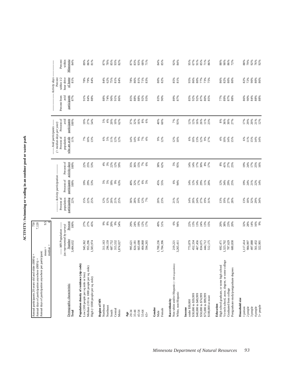ACTIVITY: Swimming or wading in an outdoor pool or water park **ACTIVITY: Swimming or wading in an outdoor pool or water park**

| Annual days of participation anywhere per participant:<br>Annual participants 20 years old and older (000's) =<br>Annual days of participation anywhere (000's) =             |                                                                                | 7,120                                  |                                                  |                                                                          |                                               |                                                                                                                 |                                            |                                             |                                                                          |                                        |
|-------------------------------------------------------------------------------------------------------------------------------------------------------------------------------|--------------------------------------------------------------------------------|----------------------------------------|--------------------------------------------------|--------------------------------------------------------------------------|-----------------------------------------------|-----------------------------------------------------------------------------------------------------------------|--------------------------------------------|---------------------------------------------|--------------------------------------------------------------------------|----------------------------------------|
|                                                                                                                                                                               | $median =$<br>$mean =$                                                         | 9.5                                    |                                                  |                                                                          |                                               |                                                                                                                 |                                            |                                             |                                                                          |                                        |
| Demographic characteristic<br>Total                                                                                                                                           | ----- MN Population -----<br>(as represented by survey)<br>Number<br>3,484,632 | Percent<br>100%                        | Percent of<br>population<br>participating<br>22% | -------- Activity participation --<br>participants<br>Percent of<br>100% | Percent of<br>activity days<br>100%           | --- Avid participants ------<br>$($ > median days per year)<br>Percent of<br>who are avids<br>population<br>11% | Percent of<br>participants<br>avid<br>100% | participants<br>Percent from<br>avid<br>87% | Activity days<br>Percent<br>hour drive<br>of home<br>within $1/2$<br>81% | Percent<br>within<br>Minnesota<br>84%  |
| Population density of residence (zip code)<br>Medium (101 to 1000 people per sq. mile)<br>Low (100 people per sq mile or less)<br>High (>1000 people per sq. mile)            | 955,296<br>945,362<br>1,583,974                                                | 27%<br>27%<br>45%                      | $15%$<br>22%<br>25%                              | 29%<br>53%<br>19%                                                        | 22%<br>25%<br>53%                             | 7%<br>10%<br>13%                                                                                                | 19%<br>27%<br>54%                          | 84%<br>91%<br>88%                           | 78%<br>79%<br>84%                                                        | 89%<br>86%<br>81%                      |
| Region of MIN<br>Northwest<br>Northeast<br>Central<br>Metro<br>South                                                                                                          | 687,752<br>315,532<br>311,163<br>296,159<br>1,874,027                          | $8\%$<br>20%<br>9%<br>666<br>54%       | 12%<br>20%<br>12%<br>21%<br>25%                  | 18%<br>$9\%$<br>5%<br>5%<br>63%                                          | 3%<br>22%<br>12%<br>$4\%$                     | 11%<br>6%<br>5%<br>12%<br>12%                                                                                   | 20%<br>$4\%$<br>10%<br>5%<br>62%           | 88%<br>74%<br>90%<br>91%<br>86%             | 84%<br>62%<br>75%<br>81%<br>84%                                          | 87%<br>78%<br>85%<br>82%<br>93%        |
| $20 - 34$<br>$35 - 44$<br>45-54<br>$55 - 64$<br>Age<br>$65+$                                                                                                                  | 404,868<br>824,181<br>665,698<br>594,265<br>995,621                            | 24%<br>19%<br>12%<br>29%<br>17%        | 28%<br>19%<br>$12\%$ 7%<br>30%                   | 6%<br>5%<br>32%<br>17%<br>40%                                            | 36%<br>15%<br>$7\%$<br>35%<br>6%              | 14%<br>9%<br>7%<br>14%<br>4%                                                                                    | 16%<br>$8\%$<br>37%<br>32%<br>6%           | $85%$<br>$88%$<br>88%<br>92%<br>93%         | 78%<br>86%<br>81%<br>71%<br>83%                                          | 83%<br>93%<br>68%<br>87%<br>71%        |
| Gender<br>Female<br>Male                                                                                                                                                      | 1,700,236<br>1,784,396                                                         | 49%<br>51%                             | 20%<br>23%                                       | 45%<br>55%                                                               | 38%<br>62%                                    | 9%<br>12%                                                                                                       | 40%<br>60%                                 | 83%<br>90%                                  | 80%<br>82%                                                               | 84%<br>85%                             |
| Non-white and/or Hispanic (< 100 respondents)<br>White, non-Hispanic<br>Race/ethnicity                                                                                        | 3,265,411<br>219,221                                                           | 6%<br>94%                              | 21%<br>22%                                       | 6%<br>94%                                                                | 5%<br>95%                                     | 12%<br>10%                                                                                                      | 7%<br>93%                                  | 89%<br>87%                                  | 85%<br>81%                                                               | 92%<br>84%                             |
| \$30,000 to \$39,999<br>\$40,000 to \$49,999<br>\$50,000 to \$74,999<br>\$75,000 to \$99,999<br>\$100,000 or more<br>under \$30,000<br>Income                                 | 452,334<br>467,456<br>834,075<br>444,712<br>512,175<br>773,879                 | 22%<br>13%<br>13%<br>24%<br>13%<br>15% | 14%<br>20%<br>24%<br>27%<br>19%<br>31%           | 14%<br>12%<br>14%<br>29%<br>11%<br>20%                                   | $14%$<br>$17%$<br>$50%$<br>$\frac{8\%}{17\%}$ | $6\%$<br>10%<br>13%<br>12%<br>9%<br>17%                                                                         | 12%<br>16%<br>26%<br>12%<br>11%<br>23%     | 85%<br>92%<br>92%<br>87%<br>80%<br>85%      | 95%<br>86%<br>$80\%$<br>77%<br>73%<br>75%                                | 95%<br>67%<br>91%<br>85%<br>71%<br>86% |
| Vo-tech school, assoc. degree, or some college<br>High school graduate, or some high school<br>Postgraduate study/postgraduate degrees<br>Graduated from college<br>Education | 1,323,702<br>787,629<br>692,471<br>680,830                                     | 20%<br>38%<br>23%<br>20%               | 13%<br>19%<br>27%<br>28%                         | 12%<br>34%<br>29%<br>25%                                                 | $41%$<br>$27%$<br>$25%$<br>$8\%$              | $10\%$<br>14%<br>15%<br>4%                                                                                      | $8\%$<br>36%<br>30%<br>27%                 | 77%<br>89%<br>$87%$<br>$88%$                | 82%<br>86%<br>80%<br>80%                                                 | 88%<br>90%<br>86%<br>72%               |
| Household size<br>5+ people<br>1 person<br>2 people<br>3 people<br>4 people                                                                                                   | 497,888<br>561,432<br>322,901<br>1,117,414<br>984,997                          | 14%<br>16%<br>9%<br>32%<br>28%         | $18\%$<br>13%<br>32%<br>29%<br>34%               | 24%<br>21%<br>22%<br>14%<br>19%                                          | 19%<br>24%<br>17%<br>25%<br>16%               | 11%<br>6%<br>$15%$<br>$14%$<br>$14%$                                                                            | 17%<br>29%<br>21%<br>12%<br>20%            | 86%<br>90%<br>84%<br>$^{968}_{88\%}$        | 82%<br>72%<br>90%<br>80%<br>86%                                          | 79%<br>88%<br>92%<br>76%<br>92%        |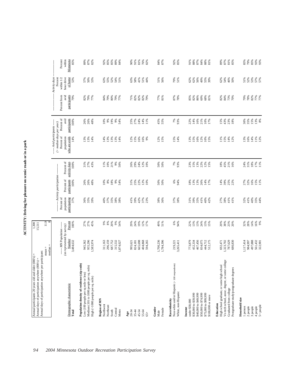ACTIVITY: Driving for pleasure on scenic roads or in a park **ACTIVITY: Driving for pleasure on scenic roads or in a park**

| Minnesota<br>Activity days<br>Percent<br>of home<br>within $1/2$<br>hour drive<br>52%<br>79%<br>51%<br>52%<br>53%<br>57%<br>57%<br>53%<br>57%<br>50%<br>53%<br>63%<br>55%<br>$54%$<br>$51%$<br>63%<br>58%<br>41%<br>51%<br>51%<br>56%<br>51%<br>62%<br>62%<br>56%<br>49%<br>55%<br>39%<br>62%<br>54%<br>46%<br>44%<br>50%<br>Percent from<br>avid<br>participants<br>82%<br>87%<br>78%<br>8<br>8<br>8<br>8<br>8<br>8<br>8<br>7<br>8<br>8<br>7<br>8<br>79%<br>82%<br>79%<br>77%<br>79%<br>80%<br>79%<br>71%<br>82%<br>82%<br>77%<br>81%<br>85%<br>82%<br>86%<br>69%<br>$68%$<br>81%<br>82%<br>84%<br>73%<br>84%<br>77%<br>79%<br>70%<br>Percent of<br>avid<br>participants<br>19%<br>24%<br>7%<br>93%<br>$30\%$<br>$35\%$<br>$15\%$<br>$8\%$<br>$100\%$<br>26%<br>26%<br>48%<br>10%<br>9%<br>9%<br>25%<br>27%<br>14%<br>45%<br>55%<br>22%<br>14%<br>16%<br>21%<br>10%<br>17%<br>15%<br>43%<br>23%<br>18%<br>54%<br>11%<br>----- Avid participants ------<br>$($ > median days per year)<br>Percent of<br>who are avids<br>population<br>14%<br>13%<br>16%<br>15%<br>14%<br>16%<br>15%<br>14%<br>$13%$<br>$16%$<br>14%<br>11%<br>12%<br>13%<br>13%<br>14%<br>14%<br>13%<br>$13%$<br>$14%$<br>$12%$<br>$15%$<br>16%<br>12%<br>15%<br>13%<br>15%<br>12%<br>10%<br>15%<br>11%<br>12%<br>9%<br>activity days<br>Percent of<br>$18\%$<br>100%<br>21%<br>24%<br>$50\%$<br>$50\%$<br>13%<br>$18\%$<br>$45%$<br>$21%$<br>$16%$<br>24%<br>31%<br>$17%$<br>11%<br>$31%$<br>$27%$<br>43%<br>9%<br>50%<br>26%<br>29%<br>12%<br>7%<br>93%<br>23%<br>15%<br>22%<br>$12%$<br>$15%$<br>11%<br>10%<br>10%<br>--- Activity participation --<br>Percent of<br>participants<br>$77%$<br>$77%$<br>$15%$<br>$15%$<br>$11%$<br>100%<br>$18\%$<br>22%<br>13%<br>14%<br>39%<br>26%<br>26%<br>48%<br>$10\%$ $8\%$<br>9%<br>54%<br>31%<br>25%<br>12%<br>10%<br>50%<br>50%<br>6%<br>94%<br>18%<br>13%<br>26%<br>14%<br>17%<br>25%<br>22%<br>Percent of<br>population<br>participating<br>35%<br>42%<br>38%<br>36%<br>37%<br>38%<br>31%<br>39%<br>35%<br>38%<br>41%<br>41%<br>40%<br>35%<br>44%<br>37%<br>36%<br>35%<br>39%<br>40%<br>37%<br>38%<br>38%<br>41%<br>39%<br>37%<br>23%<br>41%<br>40%<br>42%<br>27%<br>41%<br>32%<br>11.9<br>Percent<br>27%<br>27%<br>$9%$<br>$8%$<br>20%<br>9%<br>29%<br>24%<br>19%<br>12%<br>49%<br>51%<br>6%<br>22%<br>13%<br>13%<br>24%<br>13%<br>15%<br>20%<br>38%<br>23%<br>32%<br>28%<br>14%<br>16%<br>100%<br>45%<br>54%<br>17%<br>94%<br>20%<br>---- MN Population -----<br>(as represented by survey)<br>Number<br>3,484,632<br>467,456<br>497,888<br>561,432<br>955,296<br>296,159<br>687,752<br>665,698<br>1,700,236<br>1,784,396<br>1,323,702<br>787,629<br>680,830<br>1,117,414<br>984,997<br>945,362<br>,583,974<br>315,532<br>404,868<br>594,265<br>773,879<br>452,334<br>834,075<br>444,712<br>512,175<br>322,901<br>311,163<br>1,874,027<br>692,471<br>824,181<br>3,265,411<br>995,621<br>219,221<br>$mean =$<br>median<br>Vo-tech school, assoc. degree, or some college<br>Non-white and/or Hispanic (< 100 respondents)<br>Population density of residence (zip code)<br>High school graduate, or some high school<br>Medium (101 to 1000 people per sq. mile)<br>Postgraduate study/postgraduate degrees<br>Low (100 people per sq mile or less)<br>High (>1000 people per sq. mile)<br>Demographic characteristic<br>Graduated from college<br>White, non-Hispanic<br>\$30,000 to \$39,999<br>\$40,000 to \$49,999<br>\$50,000 to \$74,999<br>\$75,000 to \$99,999<br>\$100,000 or more<br>Household size<br>Race/ethnicity<br>Region of MN<br>under \$30,000<br>Education<br>Northwest<br>Northeast<br>2 people<br>3 people<br>4 people<br>1 person<br>Income<br>Gender<br>Central<br>Female<br>South<br>Metro<br>Total<br>20-34<br>$35 - 44$<br>45-54<br>55-64<br>Male<br>Age<br>$65 +$ | Annual days of participation anywhere per participant: |  |  |  |  |  |
|---------------------------------------------------------------------------------------------------------------------------------------------------------------------------------------------------------------------------------------------------------------------------------------------------------------------------------------------------------------------------------------------------------------------------------------------------------------------------------------------------------------------------------------------------------------------------------------------------------------------------------------------------------------------------------------------------------------------------------------------------------------------------------------------------------------------------------------------------------------------------------------------------------------------------------------------------------------------------------------------------------------------------------------------------------------------------------------------------------------------------------------------------------------------------------------------------------------------------------------------------------------------------------------------------------------------------------------------------------------------------------------------------------------------------------------------------------------------------------------------------------------------------------------------------------------------------------------------------------------------------------------------------------------------------------------------------------------------------------------------------------------------------------------------------------------------------------------------------------------------------------------------------------------------------------------------------------------------------------------------------------------------------------------------------------------------------------------------------------------------------------------------------------------------------------------------------------------------------------------------------------------------------------------------------------------------------------------------------------------------------------------------------------------------------------------------------------------------------------------------------------------------------------------------------------------------------------------------------------------------------------------------------------------------------------------------------------------------------------------------------------------------------------------------------------------------------------------------------------------------------------------------------------------------------------------------------------------------------------------------------------------------------------------------------------------------------------------------------------------------------------------------------------------------------------------------------------------------------------------------------------------------------------------------------------------------------------------------------------------------------------------------------------------------------------------------------------------------------------------------------------------------------------------------------------------------------------------------------------------------------------------------------------------------------------------------------------------------------------------------------------------------------------------------------------------|--------------------------------------------------------|--|--|--|--|--|
|                                                                                                                                                                                                                                                                                                                                                                                                                                                                                                                                                                                                                                                                                                                                                                                                                                                                                                                                                                                                                                                                                                                                                                                                                                                                                                                                                                                                                                                                                                                                                                                                                                                                                                                                                                                                                                                                                                                                                                                                                                                                                                                                                                                                                                                                                                                                                                                                                                                                                                                                                                                                                                                                                                                                                                                                                                                                                                                                                                                                                                                                                                                                                                                                                                                                                                                                                                                                                                                                                                                                                                                                                                                                                                                                                                                                               |                                                        |  |  |  |  |  |
|                                                                                                                                                                                                                                                                                                                                                                                                                                                                                                                                                                                                                                                                                                                                                                                                                                                                                                                                                                                                                                                                                                                                                                                                                                                                                                                                                                                                                                                                                                                                                                                                                                                                                                                                                                                                                                                                                                                                                                                                                                                                                                                                                                                                                                                                                                                                                                                                                                                                                                                                                                                                                                                                                                                                                                                                                                                                                                                                                                                                                                                                                                                                                                                                                                                                                                                                                                                                                                                                                                                                                                                                                                                                                                                                                                                                               |                                                        |  |  |  |  |  |
|                                                                                                                                                                                                                                                                                                                                                                                                                                                                                                                                                                                                                                                                                                                                                                                                                                                                                                                                                                                                                                                                                                                                                                                                                                                                                                                                                                                                                                                                                                                                                                                                                                                                                                                                                                                                                                                                                                                                                                                                                                                                                                                                                                                                                                                                                                                                                                                                                                                                                                                                                                                                                                                                                                                                                                                                                                                                                                                                                                                                                                                                                                                                                                                                                                                                                                                                                                                                                                                                                                                                                                                                                                                                                                                                                                                                               |                                                        |  |  |  |  |  |
|                                                                                                                                                                                                                                                                                                                                                                                                                                                                                                                                                                                                                                                                                                                                                                                                                                                                                                                                                                                                                                                                                                                                                                                                                                                                                                                                                                                                                                                                                                                                                                                                                                                                                                                                                                                                                                                                                                                                                                                                                                                                                                                                                                                                                                                                                                                                                                                                                                                                                                                                                                                                                                                                                                                                                                                                                                                                                                                                                                                                                                                                                                                                                                                                                                                                                                                                                                                                                                                                                                                                                                                                                                                                                                                                                                                                               |                                                        |  |  |  |  |  |
|                                                                                                                                                                                                                                                                                                                                                                                                                                                                                                                                                                                                                                                                                                                                                                                                                                                                                                                                                                                                                                                                                                                                                                                                                                                                                                                                                                                                                                                                                                                                                                                                                                                                                                                                                                                                                                                                                                                                                                                                                                                                                                                                                                                                                                                                                                                                                                                                                                                                                                                                                                                                                                                                                                                                                                                                                                                                                                                                                                                                                                                                                                                                                                                                                                                                                                                                                                                                                                                                                                                                                                                                                                                                                                                                                                                                               |                                                        |  |  |  |  |  |
|                                                                                                                                                                                                                                                                                                                                                                                                                                                                                                                                                                                                                                                                                                                                                                                                                                                                                                                                                                                                                                                                                                                                                                                                                                                                                                                                                                                                                                                                                                                                                                                                                                                                                                                                                                                                                                                                                                                                                                                                                                                                                                                                                                                                                                                                                                                                                                                                                                                                                                                                                                                                                                                                                                                                                                                                                                                                                                                                                                                                                                                                                                                                                                                                                                                                                                                                                                                                                                                                                                                                                                                                                                                                                                                                                                                                               |                                                        |  |  |  |  |  |
|                                                                                                                                                                                                                                                                                                                                                                                                                                                                                                                                                                                                                                                                                                                                                                                                                                                                                                                                                                                                                                                                                                                                                                                                                                                                                                                                                                                                                                                                                                                                                                                                                                                                                                                                                                                                                                                                                                                                                                                                                                                                                                                                                                                                                                                                                                                                                                                                                                                                                                                                                                                                                                                                                                                                                                                                                                                                                                                                                                                                                                                                                                                                                                                                                                                                                                                                                                                                                                                                                                                                                                                                                                                                                                                                                                                                               |                                                        |  |  |  |  |  |
|                                                                                                                                                                                                                                                                                                                                                                                                                                                                                                                                                                                                                                                                                                                                                                                                                                                                                                                                                                                                                                                                                                                                                                                                                                                                                                                                                                                                                                                                                                                                                                                                                                                                                                                                                                                                                                                                                                                                                                                                                                                                                                                                                                                                                                                                                                                                                                                                                                                                                                                                                                                                                                                                                                                                                                                                                                                                                                                                                                                                                                                                                                                                                                                                                                                                                                                                                                                                                                                                                                                                                                                                                                                                                                                                                                                                               |                                                        |  |  |  |  |  |
|                                                                                                                                                                                                                                                                                                                                                                                                                                                                                                                                                                                                                                                                                                                                                                                                                                                                                                                                                                                                                                                                                                                                                                                                                                                                                                                                                                                                                                                                                                                                                                                                                                                                                                                                                                                                                                                                                                                                                                                                                                                                                                                                                                                                                                                                                                                                                                                                                                                                                                                                                                                                                                                                                                                                                                                                                                                                                                                                                                                                                                                                                                                                                                                                                                                                                                                                                                                                                                                                                                                                                                                                                                                                                                                                                                                                               |                                                        |  |  |  |  |  |
|                                                                                                                                                                                                                                                                                                                                                                                                                                                                                                                                                                                                                                                                                                                                                                                                                                                                                                                                                                                                                                                                                                                                                                                                                                                                                                                                                                                                                                                                                                                                                                                                                                                                                                                                                                                                                                                                                                                                                                                                                                                                                                                                                                                                                                                                                                                                                                                                                                                                                                                                                                                                                                                                                                                                                                                                                                                                                                                                                                                                                                                                                                                                                                                                                                                                                                                                                                                                                                                                                                                                                                                                                                                                                                                                                                                                               |                                                        |  |  |  |  |  |
|                                                                                                                                                                                                                                                                                                                                                                                                                                                                                                                                                                                                                                                                                                                                                                                                                                                                                                                                                                                                                                                                                                                                                                                                                                                                                                                                                                                                                                                                                                                                                                                                                                                                                                                                                                                                                                                                                                                                                                                                                                                                                                                                                                                                                                                                                                                                                                                                                                                                                                                                                                                                                                                                                                                                                                                                                                                                                                                                                                                                                                                                                                                                                                                                                                                                                                                                                                                                                                                                                                                                                                                                                                                                                                                                                                                                               |                                                        |  |  |  |  |  |
|                                                                                                                                                                                                                                                                                                                                                                                                                                                                                                                                                                                                                                                                                                                                                                                                                                                                                                                                                                                                                                                                                                                                                                                                                                                                                                                                                                                                                                                                                                                                                                                                                                                                                                                                                                                                                                                                                                                                                                                                                                                                                                                                                                                                                                                                                                                                                                                                                                                                                                                                                                                                                                                                                                                                                                                                                                                                                                                                                                                                                                                                                                                                                                                                                                                                                                                                                                                                                                                                                                                                                                                                                                                                                                                                                                                                               |                                                        |  |  |  |  |  |
|                                                                                                                                                                                                                                                                                                                                                                                                                                                                                                                                                                                                                                                                                                                                                                                                                                                                                                                                                                                                                                                                                                                                                                                                                                                                                                                                                                                                                                                                                                                                                                                                                                                                                                                                                                                                                                                                                                                                                                                                                                                                                                                                                                                                                                                                                                                                                                                                                                                                                                                                                                                                                                                                                                                                                                                                                                                                                                                                                                                                                                                                                                                                                                                                                                                                                                                                                                                                                                                                                                                                                                                                                                                                                                                                                                                                               |                                                        |  |  |  |  |  |
|                                                                                                                                                                                                                                                                                                                                                                                                                                                                                                                                                                                                                                                                                                                                                                                                                                                                                                                                                                                                                                                                                                                                                                                                                                                                                                                                                                                                                                                                                                                                                                                                                                                                                                                                                                                                                                                                                                                                                                                                                                                                                                                                                                                                                                                                                                                                                                                                                                                                                                                                                                                                                                                                                                                                                                                                                                                                                                                                                                                                                                                                                                                                                                                                                                                                                                                                                                                                                                                                                                                                                                                                                                                                                                                                                                                                               |                                                        |  |  |  |  |  |
|                                                                                                                                                                                                                                                                                                                                                                                                                                                                                                                                                                                                                                                                                                                                                                                                                                                                                                                                                                                                                                                                                                                                                                                                                                                                                                                                                                                                                                                                                                                                                                                                                                                                                                                                                                                                                                                                                                                                                                                                                                                                                                                                                                                                                                                                                                                                                                                                                                                                                                                                                                                                                                                                                                                                                                                                                                                                                                                                                                                                                                                                                                                                                                                                                                                                                                                                                                                                                                                                                                                                                                                                                                                                                                                                                                                                               |                                                        |  |  |  |  |  |
|                                                                                                                                                                                                                                                                                                                                                                                                                                                                                                                                                                                                                                                                                                                                                                                                                                                                                                                                                                                                                                                                                                                                                                                                                                                                                                                                                                                                                                                                                                                                                                                                                                                                                                                                                                                                                                                                                                                                                                                                                                                                                                                                                                                                                                                                                                                                                                                                                                                                                                                                                                                                                                                                                                                                                                                                                                                                                                                                                                                                                                                                                                                                                                                                                                                                                                                                                                                                                                                                                                                                                                                                                                                                                                                                                                                                               |                                                        |  |  |  |  |  |
|                                                                                                                                                                                                                                                                                                                                                                                                                                                                                                                                                                                                                                                                                                                                                                                                                                                                                                                                                                                                                                                                                                                                                                                                                                                                                                                                                                                                                                                                                                                                                                                                                                                                                                                                                                                                                                                                                                                                                                                                                                                                                                                                                                                                                                                                                                                                                                                                                                                                                                                                                                                                                                                                                                                                                                                                                                                                                                                                                                                                                                                                                                                                                                                                                                                                                                                                                                                                                                                                                                                                                                                                                                                                                                                                                                                                               |                                                        |  |  |  |  |  |
|                                                                                                                                                                                                                                                                                                                                                                                                                                                                                                                                                                                                                                                                                                                                                                                                                                                                                                                                                                                                                                                                                                                                                                                                                                                                                                                                                                                                                                                                                                                                                                                                                                                                                                                                                                                                                                                                                                                                                                                                                                                                                                                                                                                                                                                                                                                                                                                                                                                                                                                                                                                                                                                                                                                                                                                                                                                                                                                                                                                                                                                                                                                                                                                                                                                                                                                                                                                                                                                                                                                                                                                                                                                                                                                                                                                                               |                                                        |  |  |  |  |  |
|                                                                                                                                                                                                                                                                                                                                                                                                                                                                                                                                                                                                                                                                                                                                                                                                                                                                                                                                                                                                                                                                                                                                                                                                                                                                                                                                                                                                                                                                                                                                                                                                                                                                                                                                                                                                                                                                                                                                                                                                                                                                                                                                                                                                                                                                                                                                                                                                                                                                                                                                                                                                                                                                                                                                                                                                                                                                                                                                                                                                                                                                                                                                                                                                                                                                                                                                                                                                                                                                                                                                                                                                                                                                                                                                                                                                               |                                                        |  |  |  |  |  |
|                                                                                                                                                                                                                                                                                                                                                                                                                                                                                                                                                                                                                                                                                                                                                                                                                                                                                                                                                                                                                                                                                                                                                                                                                                                                                                                                                                                                                                                                                                                                                                                                                                                                                                                                                                                                                                                                                                                                                                                                                                                                                                                                                                                                                                                                                                                                                                                                                                                                                                                                                                                                                                                                                                                                                                                                                                                                                                                                                                                                                                                                                                                                                                                                                                                                                                                                                                                                                                                                                                                                                                                                                                                                                                                                                                                                               |                                                        |  |  |  |  |  |
|                                                                                                                                                                                                                                                                                                                                                                                                                                                                                                                                                                                                                                                                                                                                                                                                                                                                                                                                                                                                                                                                                                                                                                                                                                                                                                                                                                                                                                                                                                                                                                                                                                                                                                                                                                                                                                                                                                                                                                                                                                                                                                                                                                                                                                                                                                                                                                                                                                                                                                                                                                                                                                                                                                                                                                                                                                                                                                                                                                                                                                                                                                                                                                                                                                                                                                                                                                                                                                                                                                                                                                                                                                                                                                                                                                                                               |                                                        |  |  |  |  |  |
|                                                                                                                                                                                                                                                                                                                                                                                                                                                                                                                                                                                                                                                                                                                                                                                                                                                                                                                                                                                                                                                                                                                                                                                                                                                                                                                                                                                                                                                                                                                                                                                                                                                                                                                                                                                                                                                                                                                                                                                                                                                                                                                                                                                                                                                                                                                                                                                                                                                                                                                                                                                                                                                                                                                                                                                                                                                                                                                                                                                                                                                                                                                                                                                                                                                                                                                                                                                                                                                                                                                                                                                                                                                                                                                                                                                                               |                                                        |  |  |  |  |  |
|                                                                                                                                                                                                                                                                                                                                                                                                                                                                                                                                                                                                                                                                                                                                                                                                                                                                                                                                                                                                                                                                                                                                                                                                                                                                                                                                                                                                                                                                                                                                                                                                                                                                                                                                                                                                                                                                                                                                                                                                                                                                                                                                                                                                                                                                                                                                                                                                                                                                                                                                                                                                                                                                                                                                                                                                                                                                                                                                                                                                                                                                                                                                                                                                                                                                                                                                                                                                                                                                                                                                                                                                                                                                                                                                                                                                               |                                                        |  |  |  |  |  |
|                                                                                                                                                                                                                                                                                                                                                                                                                                                                                                                                                                                                                                                                                                                                                                                                                                                                                                                                                                                                                                                                                                                                                                                                                                                                                                                                                                                                                                                                                                                                                                                                                                                                                                                                                                                                                                                                                                                                                                                                                                                                                                                                                                                                                                                                                                                                                                                                                                                                                                                                                                                                                                                                                                                                                                                                                                                                                                                                                                                                                                                                                                                                                                                                                                                                                                                                                                                                                                                                                                                                                                                                                                                                                                                                                                                                               |                                                        |  |  |  |  |  |
|                                                                                                                                                                                                                                                                                                                                                                                                                                                                                                                                                                                                                                                                                                                                                                                                                                                                                                                                                                                                                                                                                                                                                                                                                                                                                                                                                                                                                                                                                                                                                                                                                                                                                                                                                                                                                                                                                                                                                                                                                                                                                                                                                                                                                                                                                                                                                                                                                                                                                                                                                                                                                                                                                                                                                                                                                                                                                                                                                                                                                                                                                                                                                                                                                                                                                                                                                                                                                                                                                                                                                                                                                                                                                                                                                                                                               |                                                        |  |  |  |  |  |
|                                                                                                                                                                                                                                                                                                                                                                                                                                                                                                                                                                                                                                                                                                                                                                                                                                                                                                                                                                                                                                                                                                                                                                                                                                                                                                                                                                                                                                                                                                                                                                                                                                                                                                                                                                                                                                                                                                                                                                                                                                                                                                                                                                                                                                                                                                                                                                                                                                                                                                                                                                                                                                                                                                                                                                                                                                                                                                                                                                                                                                                                                                                                                                                                                                                                                                                                                                                                                                                                                                                                                                                                                                                                                                                                                                                                               |                                                        |  |  |  |  |  |
|                                                                                                                                                                                                                                                                                                                                                                                                                                                                                                                                                                                                                                                                                                                                                                                                                                                                                                                                                                                                                                                                                                                                                                                                                                                                                                                                                                                                                                                                                                                                                                                                                                                                                                                                                                                                                                                                                                                                                                                                                                                                                                                                                                                                                                                                                                                                                                                                                                                                                                                                                                                                                                                                                                                                                                                                                                                                                                                                                                                                                                                                                                                                                                                                                                                                                                                                                                                                                                                                                                                                                                                                                                                                                                                                                                                                               |                                                        |  |  |  |  |  |
|                                                                                                                                                                                                                                                                                                                                                                                                                                                                                                                                                                                                                                                                                                                                                                                                                                                                                                                                                                                                                                                                                                                                                                                                                                                                                                                                                                                                                                                                                                                                                                                                                                                                                                                                                                                                                                                                                                                                                                                                                                                                                                                                                                                                                                                                                                                                                                                                                                                                                                                                                                                                                                                                                                                                                                                                                                                                                                                                                                                                                                                                                                                                                                                                                                                                                                                                                                                                                                                                                                                                                                                                                                                                                                                                                                                                               |                                                        |  |  |  |  |  |
|                                                                                                                                                                                                                                                                                                                                                                                                                                                                                                                                                                                                                                                                                                                                                                                                                                                                                                                                                                                                                                                                                                                                                                                                                                                                                                                                                                                                                                                                                                                                                                                                                                                                                                                                                                                                                                                                                                                                                                                                                                                                                                                                                                                                                                                                                                                                                                                                                                                                                                                                                                                                                                                                                                                                                                                                                                                                                                                                                                                                                                                                                                                                                                                                                                                                                                                                                                                                                                                                                                                                                                                                                                                                                                                                                                                                               |                                                        |  |  |  |  |  |
|                                                                                                                                                                                                                                                                                                                                                                                                                                                                                                                                                                                                                                                                                                                                                                                                                                                                                                                                                                                                                                                                                                                                                                                                                                                                                                                                                                                                                                                                                                                                                                                                                                                                                                                                                                                                                                                                                                                                                                                                                                                                                                                                                                                                                                                                                                                                                                                                                                                                                                                                                                                                                                                                                                                                                                                                                                                                                                                                                                                                                                                                                                                                                                                                                                                                                                                                                                                                                                                                                                                                                                                                                                                                                                                                                                                                               |                                                        |  |  |  |  |  |
|                                                                                                                                                                                                                                                                                                                                                                                                                                                                                                                                                                                                                                                                                                                                                                                                                                                                                                                                                                                                                                                                                                                                                                                                                                                                                                                                                                                                                                                                                                                                                                                                                                                                                                                                                                                                                                                                                                                                                                                                                                                                                                                                                                                                                                                                                                                                                                                                                                                                                                                                                                                                                                                                                                                                                                                                                                                                                                                                                                                                                                                                                                                                                                                                                                                                                                                                                                                                                                                                                                                                                                                                                                                                                                                                                                                                               |                                                        |  |  |  |  |  |
|                                                                                                                                                                                                                                                                                                                                                                                                                                                                                                                                                                                                                                                                                                                                                                                                                                                                                                                                                                                                                                                                                                                                                                                                                                                                                                                                                                                                                                                                                                                                                                                                                                                                                                                                                                                                                                                                                                                                                                                                                                                                                                                                                                                                                                                                                                                                                                                                                                                                                                                                                                                                                                                                                                                                                                                                                                                                                                                                                                                                                                                                                                                                                                                                                                                                                                                                                                                                                                                                                                                                                                                                                                                                                                                                                                                                               |                                                        |  |  |  |  |  |
|                                                                                                                                                                                                                                                                                                                                                                                                                                                                                                                                                                                                                                                                                                                                                                                                                                                                                                                                                                                                                                                                                                                                                                                                                                                                                                                                                                                                                                                                                                                                                                                                                                                                                                                                                                                                                                                                                                                                                                                                                                                                                                                                                                                                                                                                                                                                                                                                                                                                                                                                                                                                                                                                                                                                                                                                                                                                                                                                                                                                                                                                                                                                                                                                                                                                                                                                                                                                                                                                                                                                                                                                                                                                                                                                                                                                               |                                                        |  |  |  |  |  |
|                                                                                                                                                                                                                                                                                                                                                                                                                                                                                                                                                                                                                                                                                                                                                                                                                                                                                                                                                                                                                                                                                                                                                                                                                                                                                                                                                                                                                                                                                                                                                                                                                                                                                                                                                                                                                                                                                                                                                                                                                                                                                                                                                                                                                                                                                                                                                                                                                                                                                                                                                                                                                                                                                                                                                                                                                                                                                                                                                                                                                                                                                                                                                                                                                                                                                                                                                                                                                                                                                                                                                                                                                                                                                                                                                                                                               |                                                        |  |  |  |  |  |
|                                                                                                                                                                                                                                                                                                                                                                                                                                                                                                                                                                                                                                                                                                                                                                                                                                                                                                                                                                                                                                                                                                                                                                                                                                                                                                                                                                                                                                                                                                                                                                                                                                                                                                                                                                                                                                                                                                                                                                                                                                                                                                                                                                                                                                                                                                                                                                                                                                                                                                                                                                                                                                                                                                                                                                                                                                                                                                                                                                                                                                                                                                                                                                                                                                                                                                                                                                                                                                                                                                                                                                                                                                                                                                                                                                                                               |                                                        |  |  |  |  |  |
|                                                                                                                                                                                                                                                                                                                                                                                                                                                                                                                                                                                                                                                                                                                                                                                                                                                                                                                                                                                                                                                                                                                                                                                                                                                                                                                                                                                                                                                                                                                                                                                                                                                                                                                                                                                                                                                                                                                                                                                                                                                                                                                                                                                                                                                                                                                                                                                                                                                                                                                                                                                                                                                                                                                                                                                                                                                                                                                                                                                                                                                                                                                                                                                                                                                                                                                                                                                                                                                                                                                                                                                                                                                                                                                                                                                                               |                                                        |  |  |  |  |  |
|                                                                                                                                                                                                                                                                                                                                                                                                                                                                                                                                                                                                                                                                                                                                                                                                                                                                                                                                                                                                                                                                                                                                                                                                                                                                                                                                                                                                                                                                                                                                                                                                                                                                                                                                                                                                                                                                                                                                                                                                                                                                                                                                                                                                                                                                                                                                                                                                                                                                                                                                                                                                                                                                                                                                                                                                                                                                                                                                                                                                                                                                                                                                                                                                                                                                                                                                                                                                                                                                                                                                                                                                                                                                                                                                                                                                               |                                                        |  |  |  |  |  |
|                                                                                                                                                                                                                                                                                                                                                                                                                                                                                                                                                                                                                                                                                                                                                                                                                                                                                                                                                                                                                                                                                                                                                                                                                                                                                                                                                                                                                                                                                                                                                                                                                                                                                                                                                                                                                                                                                                                                                                                                                                                                                                                                                                                                                                                                                                                                                                                                                                                                                                                                                                                                                                                                                                                                                                                                                                                                                                                                                                                                                                                                                                                                                                                                                                                                                                                                                                                                                                                                                                                                                                                                                                                                                                                                                                                                               |                                                        |  |  |  |  |  |
|                                                                                                                                                                                                                                                                                                                                                                                                                                                                                                                                                                                                                                                                                                                                                                                                                                                                                                                                                                                                                                                                                                                                                                                                                                                                                                                                                                                                                                                                                                                                                                                                                                                                                                                                                                                                                                                                                                                                                                                                                                                                                                                                                                                                                                                                                                                                                                                                                                                                                                                                                                                                                                                                                                                                                                                                                                                                                                                                                                                                                                                                                                                                                                                                                                                                                                                                                                                                                                                                                                                                                                                                                                                                                                                                                                                                               |                                                        |  |  |  |  |  |
|                                                                                                                                                                                                                                                                                                                                                                                                                                                                                                                                                                                                                                                                                                                                                                                                                                                                                                                                                                                                                                                                                                                                                                                                                                                                                                                                                                                                                                                                                                                                                                                                                                                                                                                                                                                                                                                                                                                                                                                                                                                                                                                                                                                                                                                                                                                                                                                                                                                                                                                                                                                                                                                                                                                                                                                                                                                                                                                                                                                                                                                                                                                                                                                                                                                                                                                                                                                                                                                                                                                                                                                                                                                                                                                                                                                                               |                                                        |  |  |  |  |  |
| 9%<br>5+ people                                                                                                                                                                                                                                                                                                                                                                                                                                                                                                                                                                                                                                                                                                                                                                                                                                                                                                                                                                                                                                                                                                                                                                                                                                                                                                                                                                                                                                                                                                                                                                                                                                                                                                                                                                                                                                                                                                                                                                                                                                                                                                                                                                                                                                                                                                                                                                                                                                                                                                                                                                                                                                                                                                                                                                                                                                                                                                                                                                                                                                                                                                                                                                                                                                                                                                                                                                                                                                                                                                                                                                                                                                                                                                                                                                                               |                                                        |  |  |  |  |  |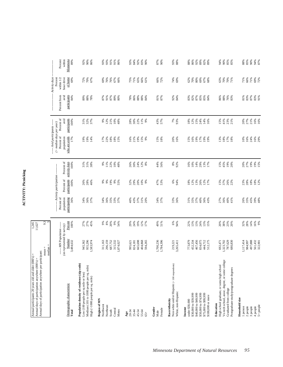| ۱ |
|---|
|   |
|   |
|   |
|   |
|   |
|   |
|   |
|   |
|   |
|   |

| Annual days of participation anywhere per participant:<br>Annual participants 20 years old and older $(000's)$ =<br>Annual days of participation anywhere (000's) = |                                                   | 1,245<br>11,627   |                          |                                           |                                                        |                                                                                           |                      |                      |                                                      |                   |
|---------------------------------------------------------------------------------------------------------------------------------------------------------------------|---------------------------------------------------|-------------------|--------------------------|-------------------------------------------|--------------------------------------------------------|-------------------------------------------------------------------------------------------|----------------------|----------------------|------------------------------------------------------|-------------------|
|                                                                                                                                                                     | median<br>$mean =$                                | $9.\overline{3}$  |                          |                                           |                                                        |                                                                                           |                      |                      |                                                      |                   |
|                                                                                                                                                                     | (as represented by survey)<br>-- MN Population -- |                   | Percent of<br>population | --- Activity participation-<br>Percent of | Percent of                                             | ----- Avid participants ------<br>$($ > median days per year)<br>Percent of<br>population | Percent of<br>avid   | avid<br>Percent from | Activity days<br>within 1/2<br>hour drive<br>Percent | within<br>Percent |
| Demographic characteristic<br>Total                                                                                                                                 | Number<br>3,484,632                               | Percent<br>100%   | participating<br>36%     | participants<br>100%                      | activity days<br>100%                                  | who are avids<br>17%                                                                      | participants<br>100% | participants<br>84%  | of home<br>69%                                       | Minnesota<br>89%  |
| Population density of residence (zip code)<br>Low (100 people per sq mile or less)                                                                                  | 945,362                                           |                   | 34%                      | 26%                                       |                                                        | 9%                                                                                        | 31%                  | 89%                  | 72%                                                  | 92%               |
| Medium (101 to 1000 people per sq. mile)<br>$\rm High$ $(>1000$ people per sq. mile)                                                                                | 955,296<br>1,583,974                              | 27%<br>27%<br>45% | 36%<br>37%               | 28%<br>46%                                | $\begin{array}{c} 31\,\% \\ 31\,\% \end{array}$<br>38% | 19%<br>14%                                                                                | 32%<br>37%           | $^{968}_{188}$       | $\frac{70\%}{67\%}$                                  | 90%<br>86%        |
| Region of MN<br>Northwest                                                                                                                                           | 311,163                                           | 66                | 34%                      | $9\%$                                     | 9%                                                     | 17%                                                                                       | 9%                   | 87%                  | 69%                                                  | 93%               |
| Northeast                                                                                                                                                           | 296,159                                           |                   | 36%                      | 9%                                        | 11%                                                    | 22%                                                                                       | 12%                  | 91%                  | 76%                                                  | 93%               |
| Central<br>South                                                                                                                                                    | 687,752<br>315,532                                | $8%$<br>20%       | 35%<br>33%<br>37%        | 19%<br>9%                                 | 22%<br>10%                                             | $18%$<br>$18%$<br>$15%$                                                                   | 21%<br>10%           | 87%<br>89%           | 76%<br>67%                                           | 91%<br>91%        |
| Metro                                                                                                                                                               | 1,874,027                                         | 54%               |                          | 55%                                       | 48%                                                    |                                                                                           | 48%                  | 80%                  | 66%                                                  | 86%               |
| $20 - 34$<br>Age                                                                                                                                                    | 995,621                                           | 29%               | 40%                      | 32%                                       | 26%                                                    | 16%                                                                                       | 28%                  | 78%                  | 75%                                                  | 93%               |
| $35 - 44$                                                                                                                                                           | 824,181                                           | 24%               | 43%                      | 29%                                       | 30%                                                    | 21%                                                                                       | 30%                  | 86%                  | 71%                                                  | 84%               |
| 45-54                                                                                                                                                               | 665,698                                           | 19%               | 37%                      | 20%                                       | 24%                                                    | 19%                                                                                       | 22%                  | 88%                  | 65%                                                  | 92%               |
| 55-64<br>$65+$                                                                                                                                                      | 404,868<br>594,265                                | 12%<br>17%        | 31%<br>20%               | 10%<br>9%                                 | 12%<br>$8\%$                                           | 15%<br>9%                                                                                 | $11\%$<br>9%         | 88%<br>84%           | 66%<br>61%                                           | 83%<br>90%        |
| Gender<br>Male                                                                                                                                                      | 1,700,236                                         | 49%               | 34%                      | 47%                                       | 4%                                                     | 15%<br>18%                                                                                | 43%                  | 81%<br>87%           | 66%                                                  | 87%               |
| Female                                                                                                                                                              | 1,784,396                                         | 51%               | 37%                      | 53%                                       | 56%                                                    |                                                                                           | 57%                  |                      | 72%                                                  | 90%               |
| Non-white and/or Hispanic $(<100$ respondents)<br>White, non-Hispanic<br>Race/ethnicity                                                                             | 3,265,411<br>219,221                              | 6%<br>94%         | 33%<br>36%               | 6%<br>94%                                 | 8%<br>92%                                              | 20%<br>16%                                                                                | 7%<br>93%            | 92%<br>84%           | 74%<br>69%                                           | 93%<br>88%        |
| under \$30,000<br>Income                                                                                                                                            | 773,879                                           | 22%               | 31%                      | 18%                                       | 16%                                                    | 15%                                                                                       | 18%                  | 83%                  | 62%                                                  | 88%               |
| \$30,000 to \$39,999                                                                                                                                                | 452,334                                           | 13%               | 35%                      | 12%<br>13%                                | 10%                                                    | 16%                                                                                       | 12%                  | 82%                  | 70%                                                  | 86%               |
| \$40,000 to \$49,999<br>\$50,000 to \$74,999                                                                                                                        | 467,456<br>834,075                                | 13%<br>24%        | 37%<br>40%               | 26%                                       | 14%<br>29%                                             | 19%<br>17%                                                                                | $15\%$<br>24%        | 87%<br>85%           | $80\%$<br>69%                                        | 92%<br>$89\%$     |
| \$75,000 to \$99,999                                                                                                                                                | 444,712                                           | 13%               | 36%                      | 12%<br>17%                                | 13%<br>17%                                             | 19%                                                                                       | 14%                  | 85%                  | 67%                                                  | 82%<br>89%        |
| \$100,000 or more                                                                                                                                                   | 512,175                                           | 15%               | 43%                      |                                           |                                                        |                                                                                           | 16%                  | 84%                  | 68%                                                  |                   |
| High school graduate, or some high school<br>Education                                                                                                              | 692,471                                           | 20%               | 27%                      | 15%                                       | 15%                                                    | 13%                                                                                       | 15%                  | 86%                  | 63%                                                  | 94%               |
| Vo-tech school, assoc. degree, or some college                                                                                                                      | 1,323,702<br>787,629                              | 38%               | 36%<br>40%               | 37%                                       | 45%<br>19%                                             | 18%                                                                                       | 41%                  | 88%                  | 70%                                                  | 90%               |
| Postgraduate study/postgraduate degrees<br>Graduated from college                                                                                                   | 680,830                                           | 23%<br>20%        | 41%                      | 26%<br>22%                                | 20%                                                    | $17\%$ 18%                                                                                | 23%<br>21%           | 76%<br>83%           | $\frac{9000}{71\%}$                                  | $85%$<br>$85%$    |
| Household size                                                                                                                                                      |                                                   |                   |                          |                                           |                                                        |                                                                                           |                      |                      |                                                      |                   |
| 2 people<br>1 person                                                                                                                                                | 1,117,414<br>984,997                              | 32%<br>28%        | 26%<br>35%               | 23%<br>28%                                | 20%<br>27%                                             | 10%<br>16%                                                                                | 20%<br>27%           | 81%<br>83%           | 71%<br>66%                                           | $88%$<br>$85%$    |
| 3 people                                                                                                                                                            | 497,888                                           | $14\%$            | 45%                      |                                           |                                                        | 24%                                                                                       | 21%                  | 87%                  | 71%                                                  |                   |
| $5+$ people<br>4 people                                                                                                                                             | 561,432<br>322,901                                | 16%<br>9%         | 39%<br>48%               | 18%<br>18%<br>12%                         | 19%<br>19%<br>15%                                      | 16%<br>29%                                                                                | 16%<br>16%           | 83%<br>91%           | 69%<br>72%                                           | $8888$<br>$878$   |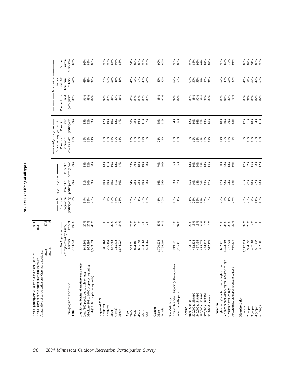| Percent<br>Minnesota<br>Activity days<br>of home<br>within 1/2<br>hour drive<br>Percent<br>$62%$<br>$50%$<br>45%<br>51%<br>64%<br>42%<br>56%<br>51%<br>49%<br>75%<br>66%<br>51%<br>48%<br>54%<br>50%<br>48%<br>49%<br>55%<br>$60\%$<br>57%<br>55%<br>56%<br>57%<br>49%<br>51%<br>63%<br>37%<br>46%<br>41%<br>54%<br>50%<br>31%<br>47%<br>participants<br>Percent from<br>avid<br>89%<br>$86%$<br>$87%$<br>$86%$<br>$85%$<br>$88%$<br>$83%$<br>97%<br>87%<br>83%<br>91%<br>86%<br>87%<br>87%<br>88%<br>91%<br>82%<br>92%<br>88%<br>$^{88\%}_{89\%}$<br>88%<br>87%<br><b>83%</b><br>88%<br>92%<br>85%<br>92%<br>84%<br>89%<br>91%<br>82%<br>79%<br>Percent of<br>avid<br>participants<br>$19%$<br>$12%$<br>$47%$<br>19%<br>69%<br>4%<br>18%<br>24%<br>11%<br>100%<br>35%<br>32%<br>33%<br>36%<br>28%<br>11%<br>7%<br>31%<br>96%<br>16%<br>27%<br>19%<br>18%<br>49%<br>12%<br>17%<br>31%<br>12%<br>10%<br>12%<br>10%<br>16%<br>--- Avid participants -----<br>$($ > median days per year)<br>Percent of<br>population<br>who are avids<br>18%<br>22%<br>19%<br>15%<br>$19%$<br>$18%$<br>19%<br>18%<br>19%<br>13%<br>3888888<br>21%<br>9%<br>$10%$<br>$15%$<br>17%<br>23%<br>17%<br>$14%$<br>20%<br>13%<br>9%<br>$8\%$<br>16%<br>11%<br>$\frac{8\%}{12\%}$<br>$18\%$<br>Percent of<br>activity days<br>$15%$<br>$23%$<br>$12%$<br>100%<br>$38%$<br>$32%$<br>$30%$<br>$13%$<br>$15%$<br>$14%$<br>$18\%$<br>70%<br>30%<br>5%<br>95%<br>25%<br>52%<br>18%<br>10%<br>I7%<br>32%<br>35%<br>29%<br>10%<br>8%<br>13%<br>10%<br>20%<br>$18%$<br>$15%$<br>20%<br>------ Activity participation -------<br>Percent of<br>participants<br>20%<br>3%<br>97%<br>21%<br>27%<br>$18\%$<br>22%<br>13%<br>100%<br>31%<br>30%<br>39%<br>$10%$<br>$10%$<br>19%<br>11%<br>50%<br>34%<br>28%<br>$10\%$ $8\%$<br>66%<br>34%<br>15%<br>$10\%$<br>14%<br>29%<br>17%<br>42%<br>23%<br>18%<br>15%<br>17%<br>Percent of<br>population<br>participating<br>37%<br>30%<br>$30\%$<br>$36\%$<br>$28\%$<br>$31\%$<br>$26\%$<br>$15\%$<br>16%<br>31%<br>$21\%$<br>$25\%$<br>32%<br>27%<br>20%<br>28%<br>41%<br>43%<br>34%<br>33%<br>26%<br>35%<br>34%<br>36%<br>35%<br>41%<br>20%<br>37%<br>34%<br>31%<br>27%<br>35%<br>36%<br>$14\%$<br>Percent<br>27%<br>27%<br>* * * * *<br>\$ * \$ * * *<br>19%<br>6%<br>13%<br>$38%$<br>$23%$<br>16%<br>9%<br>45%<br>24%<br>12%<br>17%<br>49%<br>51%<br>94%<br>22%<br>13%<br>24%<br>$13%$<br>$15%$<br>20%<br>32%<br>28%<br>100%<br>29%<br>20%<br>----- MN Population -----<br>(as represented by survey)<br>Number<br>497,888<br>561,432<br>322,901<br>3,484,632<br>955,296<br>665,698<br>1,700,236<br>467,456<br>945,362<br>296,159<br>687,752<br>773,879<br>452,334<br>834,075<br>1,323,702<br>787,629<br>1,117,414<br>984,997<br>1,583,974<br>315,532<br>1,874,027<br>404,868<br>594,265<br>1,784,396<br>444,712<br>512,175<br>680,830<br>311,163<br>3,265,411<br>692,471<br>824,181<br>995,621<br>219,221<br>Vo-tech school, assoc. degree, or some college<br>Population density of residence (zip code)<br>Non-white and/or Hispanic (<100 respondents)<br>High school graduate, or some high school<br>Medium (101 to 1000 people per sq. mile)<br>Postgraduate study/postgraduate degrees<br>Low (100 people per sq mile or less)<br>High (>1000 people per sq. mile)<br>Demographic characteristic<br>Graduated from college<br>White, non-Hispanic<br>\$40,000 to \$49,999<br>\$50,000 to \$74,999<br>\$75,000 to \$99,999<br>\$30,000 to \$39,999<br>\$100,000 or more<br>Household size<br>Region of MN<br>Race/ethnicity<br>under \$30,000<br>Education<br>Northwest<br>5+ people<br>Northeast<br>1 person<br>3 people<br>2 people<br>4 people<br>Gender<br>Income<br>Female<br>Central<br>Metro<br>South<br>$35 - 44$<br>45-54<br>55-64<br>Total<br>20-34<br>Male<br>Age<br>$65+$ | Annual days of participation anywhere per participant: | median<br>$mean =$ | 17.5 |  |  |  |  |
|-------------------------------------------------------------------------------------------------------------------------------------------------------------------------------------------------------------------------------------------------------------------------------------------------------------------------------------------------------------------------------------------------------------------------------------------------------------------------------------------------------------------------------------------------------------------------------------------------------------------------------------------------------------------------------------------------------------------------------------------------------------------------------------------------------------------------------------------------------------------------------------------------------------------------------------------------------------------------------------------------------------------------------------------------------------------------------------------------------------------------------------------------------------------------------------------------------------------------------------------------------------------------------------------------------------------------------------------------------------------------------------------------------------------------------------------------------------------------------------------------------------------------------------------------------------------------------------------------------------------------------------------------------------------------------------------------------------------------------------------------------------------------------------------------------------------------------------------------------------------------------------------------------------------------------------------------------------------------------------------------------------------------------------------------------------------------------------------------------------------------------------------------------------------------------------------------------------------------------------------------------------------------------------------------------------------------------------------------------------------------------------------------------------------------------------------------------------------------------------------------------------------------------------------------------------------------------------------------------------------------------------------------------------------------------------------------------------------------------------------------------------------------------------------------------------------------------------------------------------------------------------------------------------------------------------------------------------------------------------------------------------------------------------------------------------------------------------------------------------------------------------------------------------------------------------------------------------------------------------------------------------------------------------------------------------------------------------------------------------------------------------------------------------------------------------------------------------------------------------------------------------------------------------------------------------------------------------------------------------------------------------------------------------------------------------------------------------------------------------------------------------------------------------------------|--------------------------------------------------------|--------------------|------|--|--|--|--|
|                                                                                                                                                                                                                                                                                                                                                                                                                                                                                                                                                                                                                                                                                                                                                                                                                                                                                                                                                                                                                                                                                                                                                                                                                                                                                                                                                                                                                                                                                                                                                                                                                                                                                                                                                                                                                                                                                                                                                                                                                                                                                                                                                                                                                                                                                                                                                                                                                                                                                                                                                                                                                                                                                                                                                                                                                                                                                                                                                                                                                                                                                                                                                                                                                                                                                                                                                                                                                                                                                                                                                                                                                                                                                                                                                                                                 |                                                        |                    |      |  |  |  |  |
|                                                                                                                                                                                                                                                                                                                                                                                                                                                                                                                                                                                                                                                                                                                                                                                                                                                                                                                                                                                                                                                                                                                                                                                                                                                                                                                                                                                                                                                                                                                                                                                                                                                                                                                                                                                                                                                                                                                                                                                                                                                                                                                                                                                                                                                                                                                                                                                                                                                                                                                                                                                                                                                                                                                                                                                                                                                                                                                                                                                                                                                                                                                                                                                                                                                                                                                                                                                                                                                                                                                                                                                                                                                                                                                                                                                                 |                                                        |                    |      |  |  |  |  |
|                                                                                                                                                                                                                                                                                                                                                                                                                                                                                                                                                                                                                                                                                                                                                                                                                                                                                                                                                                                                                                                                                                                                                                                                                                                                                                                                                                                                                                                                                                                                                                                                                                                                                                                                                                                                                                                                                                                                                                                                                                                                                                                                                                                                                                                                                                                                                                                                                                                                                                                                                                                                                                                                                                                                                                                                                                                                                                                                                                                                                                                                                                                                                                                                                                                                                                                                                                                                                                                                                                                                                                                                                                                                                                                                                                                                 |                                                        |                    |      |  |  |  |  |
|                                                                                                                                                                                                                                                                                                                                                                                                                                                                                                                                                                                                                                                                                                                                                                                                                                                                                                                                                                                                                                                                                                                                                                                                                                                                                                                                                                                                                                                                                                                                                                                                                                                                                                                                                                                                                                                                                                                                                                                                                                                                                                                                                                                                                                                                                                                                                                                                                                                                                                                                                                                                                                                                                                                                                                                                                                                                                                                                                                                                                                                                                                                                                                                                                                                                                                                                                                                                                                                                                                                                                                                                                                                                                                                                                                                                 |                                                        |                    |      |  |  |  |  |
|                                                                                                                                                                                                                                                                                                                                                                                                                                                                                                                                                                                                                                                                                                                                                                                                                                                                                                                                                                                                                                                                                                                                                                                                                                                                                                                                                                                                                                                                                                                                                                                                                                                                                                                                                                                                                                                                                                                                                                                                                                                                                                                                                                                                                                                                                                                                                                                                                                                                                                                                                                                                                                                                                                                                                                                                                                                                                                                                                                                                                                                                                                                                                                                                                                                                                                                                                                                                                                                                                                                                                                                                                                                                                                                                                                                                 |                                                        |                    |      |  |  |  |  |
|                                                                                                                                                                                                                                                                                                                                                                                                                                                                                                                                                                                                                                                                                                                                                                                                                                                                                                                                                                                                                                                                                                                                                                                                                                                                                                                                                                                                                                                                                                                                                                                                                                                                                                                                                                                                                                                                                                                                                                                                                                                                                                                                                                                                                                                                                                                                                                                                                                                                                                                                                                                                                                                                                                                                                                                                                                                                                                                                                                                                                                                                                                                                                                                                                                                                                                                                                                                                                                                                                                                                                                                                                                                                                                                                                                                                 |                                                        |                    |      |  |  |  |  |
|                                                                                                                                                                                                                                                                                                                                                                                                                                                                                                                                                                                                                                                                                                                                                                                                                                                                                                                                                                                                                                                                                                                                                                                                                                                                                                                                                                                                                                                                                                                                                                                                                                                                                                                                                                                                                                                                                                                                                                                                                                                                                                                                                                                                                                                                                                                                                                                                                                                                                                                                                                                                                                                                                                                                                                                                                                                                                                                                                                                                                                                                                                                                                                                                                                                                                                                                                                                                                                                                                                                                                                                                                                                                                                                                                                                                 |                                                        |                    |      |  |  |  |  |
|                                                                                                                                                                                                                                                                                                                                                                                                                                                                                                                                                                                                                                                                                                                                                                                                                                                                                                                                                                                                                                                                                                                                                                                                                                                                                                                                                                                                                                                                                                                                                                                                                                                                                                                                                                                                                                                                                                                                                                                                                                                                                                                                                                                                                                                                                                                                                                                                                                                                                                                                                                                                                                                                                                                                                                                                                                                                                                                                                                                                                                                                                                                                                                                                                                                                                                                                                                                                                                                                                                                                                                                                                                                                                                                                                                                                 |                                                        |                    |      |  |  |  |  |
|                                                                                                                                                                                                                                                                                                                                                                                                                                                                                                                                                                                                                                                                                                                                                                                                                                                                                                                                                                                                                                                                                                                                                                                                                                                                                                                                                                                                                                                                                                                                                                                                                                                                                                                                                                                                                                                                                                                                                                                                                                                                                                                                                                                                                                                                                                                                                                                                                                                                                                                                                                                                                                                                                                                                                                                                                                                                                                                                                                                                                                                                                                                                                                                                                                                                                                                                                                                                                                                                                                                                                                                                                                                                                                                                                                                                 |                                                        |                    |      |  |  |  |  |
|                                                                                                                                                                                                                                                                                                                                                                                                                                                                                                                                                                                                                                                                                                                                                                                                                                                                                                                                                                                                                                                                                                                                                                                                                                                                                                                                                                                                                                                                                                                                                                                                                                                                                                                                                                                                                                                                                                                                                                                                                                                                                                                                                                                                                                                                                                                                                                                                                                                                                                                                                                                                                                                                                                                                                                                                                                                                                                                                                                                                                                                                                                                                                                                                                                                                                                                                                                                                                                                                                                                                                                                                                                                                                                                                                                                                 |                                                        |                    |      |  |  |  |  |
|                                                                                                                                                                                                                                                                                                                                                                                                                                                                                                                                                                                                                                                                                                                                                                                                                                                                                                                                                                                                                                                                                                                                                                                                                                                                                                                                                                                                                                                                                                                                                                                                                                                                                                                                                                                                                                                                                                                                                                                                                                                                                                                                                                                                                                                                                                                                                                                                                                                                                                                                                                                                                                                                                                                                                                                                                                                                                                                                                                                                                                                                                                                                                                                                                                                                                                                                                                                                                                                                                                                                                                                                                                                                                                                                                                                                 |                                                        |                    |      |  |  |  |  |
|                                                                                                                                                                                                                                                                                                                                                                                                                                                                                                                                                                                                                                                                                                                                                                                                                                                                                                                                                                                                                                                                                                                                                                                                                                                                                                                                                                                                                                                                                                                                                                                                                                                                                                                                                                                                                                                                                                                                                                                                                                                                                                                                                                                                                                                                                                                                                                                                                                                                                                                                                                                                                                                                                                                                                                                                                                                                                                                                                                                                                                                                                                                                                                                                                                                                                                                                                                                                                                                                                                                                                                                                                                                                                                                                                                                                 |                                                        |                    |      |  |  |  |  |
|                                                                                                                                                                                                                                                                                                                                                                                                                                                                                                                                                                                                                                                                                                                                                                                                                                                                                                                                                                                                                                                                                                                                                                                                                                                                                                                                                                                                                                                                                                                                                                                                                                                                                                                                                                                                                                                                                                                                                                                                                                                                                                                                                                                                                                                                                                                                                                                                                                                                                                                                                                                                                                                                                                                                                                                                                                                                                                                                                                                                                                                                                                                                                                                                                                                                                                                                                                                                                                                                                                                                                                                                                                                                                                                                                                                                 |                                                        |                    |      |  |  |  |  |
|                                                                                                                                                                                                                                                                                                                                                                                                                                                                                                                                                                                                                                                                                                                                                                                                                                                                                                                                                                                                                                                                                                                                                                                                                                                                                                                                                                                                                                                                                                                                                                                                                                                                                                                                                                                                                                                                                                                                                                                                                                                                                                                                                                                                                                                                                                                                                                                                                                                                                                                                                                                                                                                                                                                                                                                                                                                                                                                                                                                                                                                                                                                                                                                                                                                                                                                                                                                                                                                                                                                                                                                                                                                                                                                                                                                                 |                                                        |                    |      |  |  |  |  |
|                                                                                                                                                                                                                                                                                                                                                                                                                                                                                                                                                                                                                                                                                                                                                                                                                                                                                                                                                                                                                                                                                                                                                                                                                                                                                                                                                                                                                                                                                                                                                                                                                                                                                                                                                                                                                                                                                                                                                                                                                                                                                                                                                                                                                                                                                                                                                                                                                                                                                                                                                                                                                                                                                                                                                                                                                                                                                                                                                                                                                                                                                                                                                                                                                                                                                                                                                                                                                                                                                                                                                                                                                                                                                                                                                                                                 |                                                        |                    |      |  |  |  |  |
|                                                                                                                                                                                                                                                                                                                                                                                                                                                                                                                                                                                                                                                                                                                                                                                                                                                                                                                                                                                                                                                                                                                                                                                                                                                                                                                                                                                                                                                                                                                                                                                                                                                                                                                                                                                                                                                                                                                                                                                                                                                                                                                                                                                                                                                                                                                                                                                                                                                                                                                                                                                                                                                                                                                                                                                                                                                                                                                                                                                                                                                                                                                                                                                                                                                                                                                                                                                                                                                                                                                                                                                                                                                                                                                                                                                                 |                                                        |                    |      |  |  |  |  |
|                                                                                                                                                                                                                                                                                                                                                                                                                                                                                                                                                                                                                                                                                                                                                                                                                                                                                                                                                                                                                                                                                                                                                                                                                                                                                                                                                                                                                                                                                                                                                                                                                                                                                                                                                                                                                                                                                                                                                                                                                                                                                                                                                                                                                                                                                                                                                                                                                                                                                                                                                                                                                                                                                                                                                                                                                                                                                                                                                                                                                                                                                                                                                                                                                                                                                                                                                                                                                                                                                                                                                                                                                                                                                                                                                                                                 |                                                        |                    |      |  |  |  |  |
|                                                                                                                                                                                                                                                                                                                                                                                                                                                                                                                                                                                                                                                                                                                                                                                                                                                                                                                                                                                                                                                                                                                                                                                                                                                                                                                                                                                                                                                                                                                                                                                                                                                                                                                                                                                                                                                                                                                                                                                                                                                                                                                                                                                                                                                                                                                                                                                                                                                                                                                                                                                                                                                                                                                                                                                                                                                                                                                                                                                                                                                                                                                                                                                                                                                                                                                                                                                                                                                                                                                                                                                                                                                                                                                                                                                                 |                                                        |                    |      |  |  |  |  |
|                                                                                                                                                                                                                                                                                                                                                                                                                                                                                                                                                                                                                                                                                                                                                                                                                                                                                                                                                                                                                                                                                                                                                                                                                                                                                                                                                                                                                                                                                                                                                                                                                                                                                                                                                                                                                                                                                                                                                                                                                                                                                                                                                                                                                                                                                                                                                                                                                                                                                                                                                                                                                                                                                                                                                                                                                                                                                                                                                                                                                                                                                                                                                                                                                                                                                                                                                                                                                                                                                                                                                                                                                                                                                                                                                                                                 |                                                        |                    |      |  |  |  |  |
|                                                                                                                                                                                                                                                                                                                                                                                                                                                                                                                                                                                                                                                                                                                                                                                                                                                                                                                                                                                                                                                                                                                                                                                                                                                                                                                                                                                                                                                                                                                                                                                                                                                                                                                                                                                                                                                                                                                                                                                                                                                                                                                                                                                                                                                                                                                                                                                                                                                                                                                                                                                                                                                                                                                                                                                                                                                                                                                                                                                                                                                                                                                                                                                                                                                                                                                                                                                                                                                                                                                                                                                                                                                                                                                                                                                                 |                                                        |                    |      |  |  |  |  |
|                                                                                                                                                                                                                                                                                                                                                                                                                                                                                                                                                                                                                                                                                                                                                                                                                                                                                                                                                                                                                                                                                                                                                                                                                                                                                                                                                                                                                                                                                                                                                                                                                                                                                                                                                                                                                                                                                                                                                                                                                                                                                                                                                                                                                                                                                                                                                                                                                                                                                                                                                                                                                                                                                                                                                                                                                                                                                                                                                                                                                                                                                                                                                                                                                                                                                                                                                                                                                                                                                                                                                                                                                                                                                                                                                                                                 |                                                        |                    |      |  |  |  |  |
|                                                                                                                                                                                                                                                                                                                                                                                                                                                                                                                                                                                                                                                                                                                                                                                                                                                                                                                                                                                                                                                                                                                                                                                                                                                                                                                                                                                                                                                                                                                                                                                                                                                                                                                                                                                                                                                                                                                                                                                                                                                                                                                                                                                                                                                                                                                                                                                                                                                                                                                                                                                                                                                                                                                                                                                                                                                                                                                                                                                                                                                                                                                                                                                                                                                                                                                                                                                                                                                                                                                                                                                                                                                                                                                                                                                                 |                                                        |                    |      |  |  |  |  |
|                                                                                                                                                                                                                                                                                                                                                                                                                                                                                                                                                                                                                                                                                                                                                                                                                                                                                                                                                                                                                                                                                                                                                                                                                                                                                                                                                                                                                                                                                                                                                                                                                                                                                                                                                                                                                                                                                                                                                                                                                                                                                                                                                                                                                                                                                                                                                                                                                                                                                                                                                                                                                                                                                                                                                                                                                                                                                                                                                                                                                                                                                                                                                                                                                                                                                                                                                                                                                                                                                                                                                                                                                                                                                                                                                                                                 |                                                        |                    |      |  |  |  |  |
|                                                                                                                                                                                                                                                                                                                                                                                                                                                                                                                                                                                                                                                                                                                                                                                                                                                                                                                                                                                                                                                                                                                                                                                                                                                                                                                                                                                                                                                                                                                                                                                                                                                                                                                                                                                                                                                                                                                                                                                                                                                                                                                                                                                                                                                                                                                                                                                                                                                                                                                                                                                                                                                                                                                                                                                                                                                                                                                                                                                                                                                                                                                                                                                                                                                                                                                                                                                                                                                                                                                                                                                                                                                                                                                                                                                                 |                                                        |                    |      |  |  |  |  |
|                                                                                                                                                                                                                                                                                                                                                                                                                                                                                                                                                                                                                                                                                                                                                                                                                                                                                                                                                                                                                                                                                                                                                                                                                                                                                                                                                                                                                                                                                                                                                                                                                                                                                                                                                                                                                                                                                                                                                                                                                                                                                                                                                                                                                                                                                                                                                                                                                                                                                                                                                                                                                                                                                                                                                                                                                                                                                                                                                                                                                                                                                                                                                                                                                                                                                                                                                                                                                                                                                                                                                                                                                                                                                                                                                                                                 |                                                        |                    |      |  |  |  |  |
|                                                                                                                                                                                                                                                                                                                                                                                                                                                                                                                                                                                                                                                                                                                                                                                                                                                                                                                                                                                                                                                                                                                                                                                                                                                                                                                                                                                                                                                                                                                                                                                                                                                                                                                                                                                                                                                                                                                                                                                                                                                                                                                                                                                                                                                                                                                                                                                                                                                                                                                                                                                                                                                                                                                                                                                                                                                                                                                                                                                                                                                                                                                                                                                                                                                                                                                                                                                                                                                                                                                                                                                                                                                                                                                                                                                                 |                                                        |                    |      |  |  |  |  |
|                                                                                                                                                                                                                                                                                                                                                                                                                                                                                                                                                                                                                                                                                                                                                                                                                                                                                                                                                                                                                                                                                                                                                                                                                                                                                                                                                                                                                                                                                                                                                                                                                                                                                                                                                                                                                                                                                                                                                                                                                                                                                                                                                                                                                                                                                                                                                                                                                                                                                                                                                                                                                                                                                                                                                                                                                                                                                                                                                                                                                                                                                                                                                                                                                                                                                                                                                                                                                                                                                                                                                                                                                                                                                                                                                                                                 |                                                        |                    |      |  |  |  |  |
|                                                                                                                                                                                                                                                                                                                                                                                                                                                                                                                                                                                                                                                                                                                                                                                                                                                                                                                                                                                                                                                                                                                                                                                                                                                                                                                                                                                                                                                                                                                                                                                                                                                                                                                                                                                                                                                                                                                                                                                                                                                                                                                                                                                                                                                                                                                                                                                                                                                                                                                                                                                                                                                                                                                                                                                                                                                                                                                                                                                                                                                                                                                                                                                                                                                                                                                                                                                                                                                                                                                                                                                                                                                                                                                                                                                                 |                                                        |                    |      |  |  |  |  |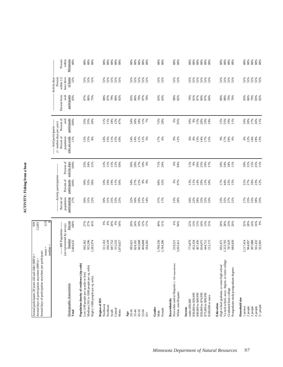# **ACTIVITY: Fishing from a boat ACTIVITY: Fishing from a boat**

| Annual days of participation anywhere per participant:<br>Annual participants 20 years old and older (000's) =<br>Annual days of participation anywhere (000's) =             | $mean =$                                                                                  | $\frac{12.9}{8}$<br>929<br>12,003          |                                                  |                                                                            |                                          |                                                                                                                  |                                            |                                             |                                                                          |                                                                |
|-------------------------------------------------------------------------------------------------------------------------------------------------------------------------------|-------------------------------------------------------------------------------------------|--------------------------------------------|--------------------------------------------------|----------------------------------------------------------------------------|------------------------------------------|------------------------------------------------------------------------------------------------------------------|--------------------------------------------|---------------------------------------------|--------------------------------------------------------------------------|----------------------------------------------------------------|
| Demographic characteristic<br>Total                                                                                                                                           | --- MN Population ----<br>(as represented by survey)<br>Number<br>3,484,632<br>$median =$ | Percent<br>100%                            | Percent of<br>population<br>participating<br>27% | --------- Activity participation ---<br>participants<br>Percent of<br>100% | Percent of<br>activity days<br>100%      | ----- Avid participants -----<br>$($ > median days per year)<br>Percent of<br>who are avids<br>population<br>11% | Percent of<br>participants<br>avid<br>100% | participants<br>Percent from<br>avid<br>83% | Activity days<br>hour drive<br>of home<br>Percent<br>within $1/2$<br>51% | Percent<br>within<br>Minnesota<br>88%                          |
| Population density of residence (zip code)<br>Medium (101 to 1000 people per sq. mile)<br>Low (100 people per sq mile or less)<br>High (>1000 people per sq. mile)            | 945,362<br>955,296<br>1,583,974                                                           | 27%<br>27%<br>45%                          | 31%<br>22%<br>30%                                | $30\%$<br>$32\%$<br>$38\%$                                                 | 35%<br>34%<br>31%                        | $15%$ $8%$                                                                                                       | 35%<br>35%<br>30%                          | 87%<br>86%<br>75%                           | $\begin{array}{l} 51\% \\ 51\% \end{array}$<br>51%                       | $88\%$<br>$88\%$<br>$88\%$                                     |
| Region of MN<br>Northwest<br>Northeast<br>Central<br>Metro<br>South                                                                                                           | 296,159<br>687,752<br>315,532<br>311,163<br>1,874,027                                     | $8\%$<br>20%<br>9%<br>$9\%$<br>54%         | 25%<br>33%<br>31%<br>25%<br>30%                  | 19%<br>11%<br>50%<br>10%<br>10%                                            | 11%<br>15%<br>12%<br>12%<br>50%          | 11%<br>15%<br>10%<br>14%<br>15%                                                                                  | $18\%$<br>11%<br>12%<br>47%<br>11%         | 88%<br>87%<br>79%<br>86%<br>82%             | $51\%$<br>51%<br>51%<br>51%<br>51%                                       | $88\%$<br>$88\%$<br>$88\%$<br>88%                              |
| $35 - 44$<br>45-54<br>55-64<br>20-34<br>Age<br>$65+$                                                                                                                          | 665,698<br>404,868<br>824,181<br>594,265<br>995,621                                       | 24%<br>19%<br>$12%$<br>17%<br>29%          | 32%<br>30%<br>29%<br>$21\%$<br>14%               | 27%<br>21%<br>9%<br>34%                                                    | 28%<br>17%<br>10%<br>36%<br>9%           | $11%$<br>5%<br>14%<br>11%<br>14%                                                                                 | $11%$<br>7%<br>34%<br>30%<br>18%           | 83%<br>86%<br>79%<br>87%<br>78%             | 51%<br>51%<br>51%<br>51%<br>51%                                          | 88%                                                            |
| Gender<br>Female<br>Male                                                                                                                                                      | 1,700,236<br>1,784,396                                                                    | 49%<br>51%                                 | 37%<br>17%                                       | 68%<br>32%                                                                 | 71%<br>29%                               | I 7%<br>6%                                                                                                       | 72%<br>28%                                 | 83%<br>83%                                  | $51\%$<br>$51\%$                                                         | $^{96}_{88\%}$                                                 |
| Non-white and/or Hispanic (<100 respondents)<br>White, non-Hispanic<br>Race/ethnicity                                                                                         | 3,265,411<br>219,221                                                                      | $6\%$<br>94%                               | 13%<br>28%                                       | 3%<br>97%                                                                  | 6%<br>94%                                | 9%<br>12%                                                                                                        | 5%<br>95%                                  | 98%<br>82%                                  | 51%<br>51%                                                               | $^{96}_{88\%}$                                                 |
| \$40,000 to \$49,999<br>\$50,000 to \$74,999<br>\$75,000 to \$99,999<br>\$30,000 to \$39,999<br>\$100,000 or more<br>under \$30,000<br>Income                                 | 452,334<br>467,456<br>834,075<br>773,879<br>444,712<br>512,175                            | 13%<br>24%<br>22%<br>13%<br>$13%$<br>$15%$ | 16%<br>22%<br>28%<br>33%<br>32%<br>33%           | 11%<br>14%<br>29%<br>13%<br>15%<br>18%                                     | 11%<br>20%<br>25%<br>9%<br>$18\%$<br>17% | 88884<br>17%<br>15%                                                                                              | 10%<br>9%<br>$15%$<br>$28%$<br>19%<br>19%  | 76%<br>81%<br>87%<br>$80\%$<br>87%<br>84%   | $51\%$<br>51%<br>51%<br>51%<br>51%<br>51%                                | $88\%$<br>$\begin{array}{l} \ast\atop 88883323244 \end{array}$ |
| Vo-tech school, assoc. degree, or some college<br>High school graduate, or some high school<br>Postgraduate study/postgraduate degrees<br>Graduated from college<br>Education | 1,323,702<br>692,471<br>787,629<br>680,830                                                | 20%<br>$38%$<br>$23%$<br>$20%$             | 23%<br>32%<br>27%<br>21%                         | 44%<br>23%<br>15%<br>17%                                                   | 18%<br>54%<br>$18\%$<br>11%              | $9\%$<br>17%<br>$10%$ 6%                                                                                         | 15%<br>55%<br>19%<br>11%                   | 80%<br>88%<br>76%<br>76%                    | $51\%$<br>51%<br>51%<br>51%                                              | 88%<br>$88%$<br>$88%$<br>$88%$                                 |
| Household size<br>$5+$ people<br>4 people<br>1 person<br>2 people<br>3 people                                                                                                 | 497,888<br>561,432<br>322,901<br>1,117,414<br>984,997                                     | 16%<br>9%<br>$32%$<br>$28%$<br>$14%$       | 17%<br>25%<br>33%<br>38%<br>35%                  | 21%<br>27%<br>$18\%$<br>23%<br>12%                                         | $\frac{18\%}{31\%}$<br>15%<br>25%<br>11% | $888880$<br>$148880$<br>$158$                                                                                    | 16%<br>50%<br>178%<br>11%                  | 86%<br>79%<br><b>83%</b><br>82%<br>83%      | 51%<br>51%<br>51%<br>$51\%$<br>$51\%$                                    |                                                                |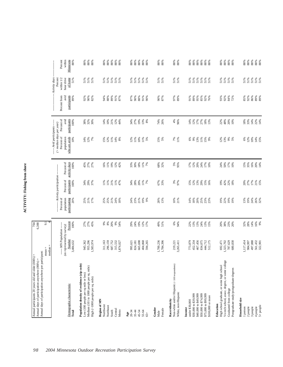# ACTIVITY: Fishing from shore **ACTIVITY: Fishing from shore**

| Annual days of participation anywhere per participant:                                                                                                                        | $\mathbf{H}$<br>$mean =$<br>median                                            | 9.1                                                               |                                                  |                                                                   |                                          |                                                                                                                 |                                                |                                             |                                                                                |  |
|-------------------------------------------------------------------------------------------------------------------------------------------------------------------------------|-------------------------------------------------------------------------------|-------------------------------------------------------------------|--------------------------------------------------|-------------------------------------------------------------------|------------------------------------------|-----------------------------------------------------------------------------------------------------------------|------------------------------------------------|---------------------------------------------|--------------------------------------------------------------------------------|--|
| Demographic characteristic<br>Total                                                                                                                                           | --- MN Population ------<br>(as represented by survey)<br>Number<br>3,484,632 | Percent<br>100%                                                   | Percent of<br>population<br>participating<br>20% | --- Activity participation-<br>Percent of<br>participants<br>100% | Percent of<br>activity days<br>100%      | --- Avid participants -----<br>$(>median\ days\ per\ year)$<br>Percent of<br>who are avids<br>population<br>10% | Percent of<br>avid<br>participants<br>100%     | participants<br>avid<br>Percent from<br>89% | Activity days<br>hour drive<br>of home<br>within $1/2$<br>Percent<br>51%       |  |
| Population density of residence (zip code)<br>Medium (101 to 1000 people per sq. mile)<br>Low (100 people per sq mile or less)<br>High (>1000 people per sq. mile)            | 945,362<br>955,296<br>1,583,974                                               | 27%<br>27%<br>45%                                                 | 25%<br>21%<br>17%                                | 34%<br>29%<br>37%                                                 | $45%$<br>$27%$<br>27%                    | 12%<br>14%<br>7%                                                                                                | 38%<br>32%<br>30%                              | 92%<br>90%<br>82%                           | $\begin{array}{l} 51\,\% \\ 51\,\% \end{array}$<br>51%                         |  |
| Region of MN<br>Northwest<br>Northeast<br>Central<br>Metro<br>South                                                                                                           | 296,159<br>687,752<br>315,532<br>311,163<br>1,874,027                         | $9%$<br>8%<br>20%<br>$9%$<br>54%                                  | 25%<br>25%<br>21%<br>24%<br>18%                  | $\frac{11\%}{11\%}$<br>$21%$<br>$11%$<br>$47%$                    | $\frac{16\%}{11\%}$<br>19%<br>12%<br>42% | 11%<br>$14%$<br>8%<br>$15%$<br>$12%$                                                                            | $21%$<br>$12%$<br>$44%$<br>14%<br>10%          | 94%<br>88%<br>89%<br>91%<br>87%             | 51%<br>$\frac{8}{51}$ % $\frac{8}{51}$ %<br>51%                                |  |
| 45-54<br>20-34<br>$35 - 44$<br>55-64<br>Age<br>$65+$                                                                                                                          | 665,698<br>404,868<br>995,621<br>824,181<br>594,265                           | 19%<br>29%<br>24%<br>12%<br>17%                                   | 21%<br>24%<br>23%<br>19%<br>9%                   | $34%$<br>$28%$<br>$11%$<br>7%                                     | 33%<br>30%<br>$18\%$<br>11%<br>7%        | $10%$<br>$1%$<br>$5%$<br>12%<br>11%                                                                             | 34%<br>27%<br>19%<br>13%<br>8%                 | 87%<br>88%<br>91%<br>90%<br>90%             | 51%<br>51%<br>51%<br>51%<br>51%                                                |  |
| Gender<br>Female<br>Male                                                                                                                                                      | 1,700,236<br>1,784,396                                                        | 49%<br>51%                                                        | 28%<br>13%                                       | 67%<br>33%                                                        | 68%<br>32%                               | $15%$<br>$5%$                                                                                                   | 74%<br>26%                                     | 90%<br>87%                                  | 51%<br>51%                                                                     |  |
| Non-white and/or Hispanic (<100 respondents)<br>White, non-Hispanic<br>Race/ethnicity                                                                                         | 3,265,411<br>219,221                                                          | 6%<br>94%                                                         | 10%<br>21%                                       | 3%<br>97%                                                         | 5%<br>95%                                | $7%$<br>11%                                                                                                     | 4%<br>96%                                      | 97%<br>89%                                  | 51%<br>51%                                                                     |  |
| \$40,000 to \$49,999<br>\$50,000 to \$74,999<br>\$30,000 to \$39,999<br>\$75,000 to \$99,999<br>\$100,000 or more<br>under \$30,000<br>Income                                 | 452,334<br>467,456<br>834,075<br>444,712<br>773,879<br>512,175                | 22%<br>13%<br>13%<br>24%<br>$13%$<br>$15%$                        | 25%<br>14%<br>$18\%$<br>20%<br>23%<br>23%        | 12%<br>13%<br>29%<br>15%<br>$15%$<br>$16%$                        | 20%<br>24%<br>17%<br>12%<br>17%<br>10%   | $6%$<br>9%<br>13%<br>11%<br><b>15%</b>                                                                          | 14%<br>12%<br>$17%$<br>$27%$<br>$18%$<br>$13%$ | 91%<br>89%<br>95%<br>85%<br>92%<br>76%      | 51%<br>51%<br>51%<br>$51\%$<br>$\begin{array}{l} 51\,\% \\ 51\,\% \end{array}$ |  |
| Vo-tech school, assoc. degree, or some college<br>High school graduate, or some high school<br>Postgraduate study/postgraduate degrees<br>Graduated from college<br>Education | 787,629<br>692,471<br>1,323,702<br>680,830                                    | 20%<br>$38%$<br>23%<br>20%                                        | 19%<br>22%<br>19%<br>19%                         | 19%<br>42%<br>22%<br>18%                                          | 24%<br>50%<br>17%<br>10%                 | 12%<br>13%<br>9%<br>5%                                                                                          | $48%$<br>20%<br>10%<br>22%                     | 93%<br>92%<br>84%<br>72%                    | 51%<br>51%<br>51%<br>51%                                                       |  |
| Household size<br>$5+$ people<br>1 person<br>2 people<br>3 people<br>4 people                                                                                                 | 1,117,414<br>497,888<br>561,432<br>984,997<br>322,901                         | $\begin{array}{l} 888 \\ 788 \\ 198 \\ 199 \\ 108 \\ \end{array}$ | 13%<br>19%<br>24%<br>26%<br>32%                  | 17%<br>21%<br>15%<br>20%<br>27%                                   | 16%<br>$15%$<br>35%<br>20%<br>14%        | $6880288$<br>10%<br>15%                                                                                         | $18%$<br>33%<br>14%<br>22%<br>14%              | 85%<br>92%<br>86%<br>89%<br>89%             | 51%<br>51%<br>51%<br>$51\%$<br>$51\%$                                          |  |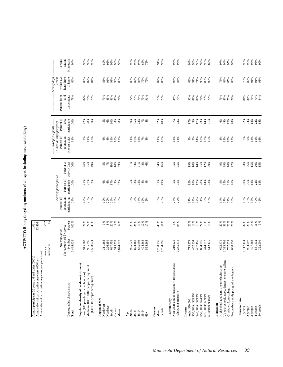ACTIVITY: Biking (bicycling outdoors of all types, including mountain biking) **ACTIVITY: Biking (bicycling outdoors of all types, including mountain biking)**

| Annual days of participation anywhere per participant:<br>Annual participants 20 years old and older (000's) =<br>Annual days of participation anywhere (000's) =             |                                                                               | 1,011<br>22,436                        |                                                  |                                                                          |                                        |                                                                                                                   |                                            |                                             |                                                                            |                                        |
|-------------------------------------------------------------------------------------------------------------------------------------------------------------------------------|-------------------------------------------------------------------------------|----------------------------------------|--------------------------------------------------|--------------------------------------------------------------------------|----------------------------------------|-------------------------------------------------------------------------------------------------------------------|--------------------------------------------|---------------------------------------------|----------------------------------------------------------------------------|----------------------------------------|
|                                                                                                                                                                               | $mean =$<br>median                                                            | 22.2<br>15                             |                                                  |                                                                          |                                        |                                                                                                                   |                                            |                                             |                                                                            |                                        |
| Demographic characteristic<br>Total                                                                                                                                           | ---- MN Population -----<br>(as represented by survey)<br>Number<br>3,484,632 | Percent<br>100%                        | Percent of<br>population<br>participating<br>29% | -------- Activity participation --<br>Percent of<br>participants<br>100% | Percent of<br>activity days<br>100%    | ----- Avid participants ------<br>$($ > median days per year)<br>Percent of<br>who are avids<br>population<br>11% | Percent of<br>participants<br>avid<br>100% | Percent from<br>avid<br>participants<br>79% | Activity days<br>Percent<br>within $1/2\,$<br>hour drive<br>of home<br>86% | Percent<br>within<br>Minnesota<br>94%  |
| Population density of residence (zip code)<br>Medium (101 to 1000 people per sq. mile)<br>Low (100 people per sq mile or less)<br>High (>1000 people per sq. mile)            | 955,296<br>945,362<br>,583,974                                                | 27%<br>27%<br>45%                      | 22%<br>29%<br>33%                                | 21%<br>27%<br>52%                                                        | 26%<br>25%<br>49%                      | 9%<br>11%<br>12%                                                                                                  | 22%<br>28%<br>50%                          | 84%<br>76%<br>78%                           | $87%$<br>$84%$<br>$99\%$                                                   | 95%<br>92%<br>95%                      |
| Region of MN<br>Northwest<br>Northeast<br>Central<br>South<br>Metro                                                                                                           | 296,159<br>687,752<br>315,532<br>311,163<br>1,874,027                         | $8\%$<br>20%<br>$9\%$<br>66<br>54%     | 26%<br>19%<br>20%<br>28%<br>33%                  | 17%<br>$6\%$<br>$9\%$<br>62%<br>$\frac{6}{6}$                            | 19%<br>7%<br>$10\%$<br>59%<br>5%       | 11%<br>10%<br>8%<br>12%<br>$\frac{6}{6}$                                                                          | 20%<br>$6\%$<br>$8\%$<br>5%<br>60%         | 79%<br>85%<br>83%<br>80%<br>77%             | 85%<br>91%<br>91%<br>90%<br>83%                                            | 89%<br>92%<br>95%<br>96%<br>95%        |
| 35-44<br>45-54<br>55-64<br>20-34<br>Age<br>$65+$                                                                                                                              | 404,868<br>665,698<br>594,265<br>824,181<br>995,621                           | 24%<br>19%<br>12%<br>29%<br>17%        | 39%<br>35%<br>33%<br>19%<br>6%                   | 22%<br>$8\%$<br>35%<br>32%<br>4%                                         | 21%<br>$8\%$<br>31%<br>34%<br>6%       | 11%<br>16%<br>$13%$<br>$7%$<br>$3%$                                                                               | 30%<br>35%<br>23%<br>7%<br>4%              | 77%<br>79%<br>78%<br>79%<br>91%             | $87\%$<br>89%<br>85%<br>79%<br>72%                                         | 95%<br>97%<br>86%<br>98%<br>76%        |
| Gender<br>Female<br>Male                                                                                                                                                      | 1,700,236<br>1,784,396                                                        | 49%<br>51%                             | 30%<br>28%                                       | 51%<br>49%                                                               | 54%<br>46%                             | 11%<br>10%                                                                                                        | 52%<br>48%                                 | 79%<br>79%                                  | 87%<br>85%                                                                 | 94%<br>95%                             |
| Non-white and/or Hispanic $(<100~\rm{respondents})$<br>White, non-Hispanic<br>Race/ethnicity                                                                                  | 3,265,411<br>219,221                                                          | 6%<br>94%                              | 25%<br>29%                                       | 5%<br>95%                                                                | 5%<br>95%                              | 13%<br>11%                                                                                                        | 7%<br>93%                                  | 84%<br>79%                                  | 95%<br>85%                                                                 | 98%<br>94%                             |
| \$40,000 to \$49,999<br>\$50,000 to \$74,999<br>\$75,000 to \$99,999<br>\$30,000 to \$39,999<br>\$100,000 or more<br>under \$30,000<br>Income                                 | 467,456<br>444,712<br>512,175<br>773,879<br>452,334<br>834,075                | 13%<br>13%<br>24%<br>22%<br>13%<br>15% | 17%<br>24%<br>27%<br>34%<br>32%<br>47%           | 12%<br>10%<br>12%<br>28%<br>14%<br>23%                                   | 14%<br>25%<br>19%<br>10%<br>12%<br>20% | 14%<br>10%<br>12%<br>15%<br>7%<br>$9\%$                                                                           | 17%<br>17%<br>23%<br>9%<br>14%<br>21%      | 92%<br>81%<br>87%<br>74%<br>75%<br>70%      | 83%<br>91%<br>71%<br>$90\%$<br>$88\%$<br>90%                               | 96%<br>97%<br>94%<br>96%<br>96%<br>89% |
| Vo-tech school, assoc. degree, or some college<br>High school graduate, or some high school<br>Postgraduate study/postgraduate degrees<br>Graduated from college<br>Education | 787,629<br>680,830<br>1,323,702<br>692,471                                    | 20%<br>38%<br>23%<br>20%               | 27%<br>39%<br>38%<br>14%                         | $9\%$<br>35%<br>31%<br>26%                                               | $9\%$<br>39%<br>26%<br>27%             | 3%<br>13%<br>$10\%$<br>15%                                                                                        | 6%<br>44%<br>22%<br>28%                    | 76%<br>86%<br>70%<br>79%                    | 88%<br>76%<br>$85\% \\ 88\%$                                               | 97%<br>94%<br>95%<br>93%               |
| Household size<br>$5+$ people<br>2 people<br>3 people<br>4 people<br>1 person                                                                                                 | 497,888<br>561,432<br>322,901<br>1,117,414<br>984,997                         | 32%<br>28%<br>14%<br>16%<br>9%         | 27%<br>36%<br>40%<br>42%<br>19%                  | 20%<br>26%<br>18%<br>22%<br>13%                                          | 23%<br>26%<br>15%<br>20%<br>15%        | 7%<br>9%<br>$13%$<br>$15%$<br>$16%$                                                                               | 24%<br>$18\%$<br>22%<br>14%<br>22%         | 81%<br>76%<br>$70%$<br>84%<br>84%           | 78%<br>82%<br>91%<br>91%<br>93%                                            | 90%<br>95%<br>94%<br>96%<br>99%        |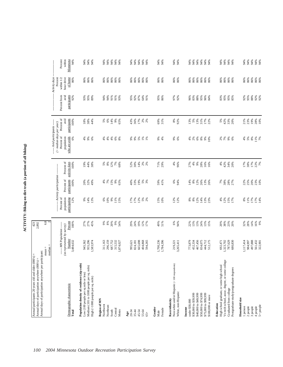ACTIVITY: Biking on dirt trails (a portion of all biking) **ACTIVITY: Biking on dirt trails (a portion of all biking)**

|                                                                                    | median                                            | 6.8                       |                                           |                                    |                                     |                                                                             |                              |                             |                                           |
|------------------------------------------------------------------------------------|---------------------------------------------------|---------------------------|-------------------------------------------|------------------------------------|-------------------------------------|-----------------------------------------------------------------------------|------------------------------|-----------------------------|-------------------------------------------|
|                                                                                    | ---- MN Population ----                           |                           | Percent of                                | ---- Activity participation ---    |                                     | ----- Avid participants ------<br>$($ > median days per year)<br>Percent of | Percent of                   | Percent from                | -- Activity days<br>within 1/2<br>Percent |
| Demographic characteristic<br>Total                                                | (as represented by survey)<br>Number<br>3,484,632 | Percent<br>100%           | population<br>participating<br>12%        | Percent of<br>participants<br>100% | Percent of<br>activity days<br>100% | who are avids<br>population<br>$6\%$                                        | avid<br>participants<br>100% | participants<br>avid<br>92% | hour drive<br>of home<br>86%              |
| Population density of residence (zip code)<br>Low (100 people per sq mile or less) |                                                   |                           |                                           |                                    | 19%                                 |                                                                             |                              | 93%                         |                                           |
| Medium (101 to 1000 people per sq. mile)<br>High (>1000 people per sq. mile)       | 945,362<br>955,296<br>1,583,974                   | 27%<br>27%<br>45%         | 9%<br>14%<br>13%                          | 20%<br>32%<br>49%                  | $\frac{44\%}{38\%}$                 | ~ \$88                                                                      | $18%$<br>38%<br>44%          | 95%<br>89%                  | 86%<br>86%<br>86%                         |
| Region of MN<br>Northwest                                                          | 311,163                                           |                           |                                           |                                    |                                     |                                                                             |                              | 94%                         | 86%                                       |
| Northeast                                                                          | 296,159                                           | $9%$<br>$8%$              | $6%$<br>$10%$                             | 4%7%                               |                                     | $4%$<br>$4%$                                                                | $5%$<br>$6%$                 | 94%                         | 86%                                       |
| South                                                                              | 687,752                                           | $20\%$                    | $9\%$                                     |                                    |                                     |                                                                             | 14%                          | 91%                         | 86%                                       |
| Central<br>Metro                                                                   | 315,532<br>1,874,027                              | $9\%$<br>54%              | $196$<br>$15%$                            | 15%<br>9%<br>65%                   |                                     | $4%$ $8%$                                                                   | 9%<br>65%                    | 91%<br>93%                  | 86%<br>86%                                |
| $Age$<br>20-34                                                                     | 995,621                                           |                           |                                           | 40%                                |                                     |                                                                             |                              | 95%                         |                                           |
| $35 - 44$                                                                          | 824,181                                           |                           |                                           |                                    |                                     |                                                                             |                              |                             | 86%<br>86%                                |
| 45-54                                                                              | 665,698                                           | 29%<br>21%<br>19%         | 17%<br>17%<br>12%                         | 33%<br>19%                         | $52%$<br>$30%$<br>$14%$             | 888828                                                                      | 43%<br>36%<br>17%            | 92%<br>87%                  | 86%                                       |
| 55-64                                                                              | 404,868                                           | 12%                       |                                           |                                    |                                     |                                                                             |                              | 64%                         | 86%                                       |
| $65 +$                                                                             | 594,265                                           | 17%                       | $5%$<br>2%                                | $5%$<br>$3%$                       | $2%$<br>$2%$                        |                                                                             | $2%$<br>$2%$                 | 91%                         | 86%                                       |
| Gender                                                                             |                                                   |                           |                                           |                                    |                                     |                                                                             |                              |                             |                                           |
| Female<br>Male                                                                     | 1,700,236<br>1,784,396                            | 49%<br>51%                | 15%<br>10%                                | 59%<br>41%                         | 71%<br>29%                          | $3\%$                                                                       | 69%<br>31%                   | 95%<br>86%                  | 86%<br>86%                                |
| Race/ethnicity                                                                     |                                                   |                           |                                           |                                    |                                     |                                                                             |                              |                             |                                           |
| Non-white and/or Hispanic (<100 respondents)<br>White, non-Hispanic                | 3,265,411<br>219,221                              | $6\%$<br>94%              | 12%<br>12%                                | 6%<br>94%                          | 4%<br>96%                           | 9%<br>6%                                                                    | 8%<br>92%                    | 97%<br>92%                  | 86%<br>86%                                |
| Income                                                                             |                                                   |                           |                                           |                                    |                                     |                                                                             |                              |                             |                                           |
| under \$30,000                                                                     | 773,879                                           | 22%                       | $\begin{array}{l} 8\% \\ 8\% \end{array}$ | $14\%$ $8\%$                       | 27%<br>4%                           | $4%^{8}$                                                                    |                              | 96%                         | 86%                                       |
| \$30,000 to \$39,999                                                               | 452,334                                           | 13%                       |                                           |                                    |                                     |                                                                             | $13%$<br>5%                  | 83%                         | 86%                                       |
| \$40,000 to \$49,999                                                               | 467,456<br>834,075                                | 13%<br>24%                | 12%                                       | 12%<br>26%                         | $9\%$<br>28%                        | $6\%$                                                                       | 13%<br>31%                   | 88%<br>95%                  | 86%<br>86%                                |
| \$50,000 to \$74,999<br>\$75,000 to \$99,999                                       | 444,712                                           |                           |                                           |                                    |                                     |                                                                             | 17%                          | 96%                         | 86%                                       |
| \$100,000 or more                                                                  | 512,175                                           | $13%$<br>$15%$            | 14%<br>13%<br>23%                         | 13%<br>26%                         | 16%<br>16%                          | $8%$ $8%$ $8%$                                                              | 22%                          | 84%                         | 86%                                       |
| Education                                                                          |                                                   |                           |                                           |                                    |                                     |                                                                             |                              |                             |                                           |
| High school graduate, or some high school                                          | 692,471                                           |                           |                                           |                                    | 4%                                  |                                                                             |                              | 83%                         | 86%                                       |
| Vo-tech school, assoc. degree, or some college<br>Graduated from college           | 1,323,702                                         | <b>8 % % 8</b><br>8 % Å 8 | $488$<br>1288<br>1796                     | 7%<br>38%<br>27%                   | 42%                                 | 2 8 8 8                                                                     | 5%<br>42%<br>30%             | 95%<br>95%<br>85%           | $86\%$<br>86%                             |
| Postgraduate study/postgraduate degrees                                            | 787,629<br>680,830                                |                           |                                           |                                    | $34%$<br>$20%$                      |                                                                             |                              |                             | 86%                                       |
| Household size                                                                     |                                                   |                           |                                           |                                    |                                     |                                                                             |                              |                             |                                           |
| 1 person                                                                           | 1,117,414                                         | 32%<br>28%                |                                           | 22%<br>25%                         | I7%<br>38%                          | 4% 5%                                                                       | 21%<br>23%                   | 92%                         | 86%                                       |
| 2 people                                                                           | 984,997                                           |                           | $8%$<br>11%<br>17%                        |                                    |                                     |                                                                             |                              | 95%                         | 86%                                       |
| 3 people                                                                           | 497,888<br>561,432<br>322,901                     | $14\%$                    | 17%<br>14%                                | 23%<br>10%<br>20%                  | $17%$<br>22%<br>7%                  | $8\%$<br>$11\%$ $7\%$                                                       | 19%<br>28%<br>10%            | 88%<br>92%<br>92%           | 86%<br>86%<br>86%                         |
| 4 people                                                                           |                                                   | 16%<br>9%                 |                                           |                                    |                                     |                                                                             |                              |                             |                                           |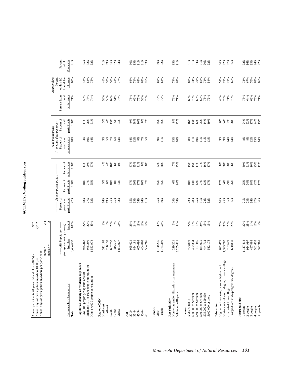# ACTIVITY: Visiting outdoor zoos **ACTIVITY: Visiting outdoor zoos**

| Annual days of participation anywhere per participant:<br>Annual participants 20 years old and older (000's) =<br>Annual days of participation anywhere (000's) = | $mean =$                                          | $\frac{4}{2}$<br>957<br>2,252 |                                    |                                                    |                                     |                                           |                              |                             |                              |                            |
|-------------------------------------------------------------------------------------------------------------------------------------------------------------------|---------------------------------------------------|-------------------------------|------------------------------------|----------------------------------------------------|-------------------------------------|-------------------------------------------|------------------------------|-----------------------------|------------------------------|----------------------------|
|                                                                                                                                                                   | $median =$                                        |                               |                                    |                                                    |                                     | ---- Avid participants -----              |                              |                             | Activity days                |                            |
|                                                                                                                                                                   | ---- MN Population ----                           |                               | Percent of                         | ----- Activity participation                       |                                     | $($ > median days per year)<br>Percent of | Percent of                   | Percent from                | Percent<br>within $1/2$      | Percent                    |
| Demographic characteristic<br>Total                                                                                                                               | (as represented by survey)<br>Number<br>3,484,632 | Percent<br>100%               | population<br>participating<br>27% | participants<br>Percent of<br>100%                 | Percent of<br>activity days<br>100% | population<br>who are avids<br>10%        | participants<br>avid<br>100% | avid<br>participants<br>71% | hour drive<br>of home<br>68% | within<br>91%<br>Minnesota |
| Population density of residence (zip code)                                                                                                                        |                                                   |                               |                                    |                                                    |                                     |                                           |                              |                             |                              |                            |
| Medium (101 to 1000 people per sq. mile)<br>Low (100 people per sq mile or less)                                                                                  | 955,296<br>945,362                                | 27%<br>27%<br>45%             | 18%                                | 27%<br>18%                                         | 14%<br>29%<br>57%                   | 4%<br>10%                                 | 28%<br>11%                   | 55%<br>73%                  | 68%<br>43%                   | 85%                        |
| High (>1000 people per sq. mile)                                                                                                                                  | 1,583,974                                         |                               | 27%<br>33%                         | 55%                                                |                                     | 14%                                       | 61%                          | 74%                         | 75%                          | 92%<br>92%                 |
| Region of MN<br>Northwest                                                                                                                                         | 311,163                                           | 9%                            | 14%                                | 5%                                                 |                                     |                                           |                              | 58%                         | 46%                          | 71%                        |
| Northeast                                                                                                                                                         | 296,159                                           | $8\%$                         | 19%                                | 6%                                                 | 4%                                  | $3%$<br>$5%$                              | $3%$<br>4%                   | 58%                         | 52%                          | 89%                        |
| South                                                                                                                                                             | 687,752                                           |                               | 25%                                |                                                    | 16%                                 | $7\%$                                     |                              | 62%                         | 50%                          | 85%<br>92%                 |
| Central<br>Metro                                                                                                                                                  | 315,532<br>1,874,027                              | 20%<br>9%<br>54%              | 25%<br>33%                         | $\begin{array}{l} 18\% \\ 8\% \\ 64\% \end{array}$ | 6%<br>70%                           | $6\%$<br>14%                              | 13%<br>5%<br>74%             | 51%<br>76%                  | 41%<br>77%                   | 94%                        |
|                                                                                                                                                                   |                                                   |                               |                                    |                                                    |                                     |                                           |                              |                             |                              |                            |
| 20-34<br>Age                                                                                                                                                      | 995,621                                           | 29%                           | 35%                                | 37%                                                | 37%<br>25%                          | 14%                                       | 40%                          | 73%                         | 66%                          | 90%                        |
| $35 - 44$                                                                                                                                                         | 824,181                                           | 24%                           | 33%                                | 29%                                                |                                     | 12%                                       | 28%                          | 66%                         | 71%                          | 93%                        |
| 45-54                                                                                                                                                             | 665,698                                           | 19%                           | 24%                                | 17%                                                | 21%                                 | $8\%$                                     | 16%                          | 75%                         | 68%                          | 91%                        |
| 55-64<br>$65+$                                                                                                                                                    | 404,868<br>594,265                                | 12%<br>17%                    | 24%<br>11%                         | 10%<br>7%                                          | $8\%$<br>8%                         | $7%$<br>5%                                | 8%7%                         | 58%<br>79%                  | 63%<br>76%                   | 93%<br>91%                 |
|                                                                                                                                                                   |                                                   |                               |                                    |                                                    |                                     |                                           |                              |                             |                              |                            |
| Gender<br>Male                                                                                                                                                    | 1,700,236                                         | 49%                           | 25%<br>30%                         | 45%                                                | 42%                                 | $9\%$<br>11%                              | 45%                          | 70%<br>72%                  | 69%                          | 90%                        |
| Female                                                                                                                                                            | 1,784,396                                         | 51%                           |                                    | 55%                                                | 58%                                 |                                           | 55%                          |                             | 68%                          | 92%                        |
| Non-white and/or Hispanic (< 100 respondents)<br>Race/ethnicity                                                                                                   | 219,221                                           | 6%                            | 29%                                | 6%                                                 | 7%                                  | 13%<br>10%                                | 8%<br>92%                    | 76%                         | 74%                          | 93%                        |
| White, non-Hispanic                                                                                                                                               | 3,265,411                                         | 94%                           | 28%                                | 94%                                                | 93%                                 |                                           |                              | 71%                         | 68%                          | 91%                        |
| under \$30,000<br>Income                                                                                                                                          | 773,879                                           | 22%                           | 23%                                | $18\%$                                             |                                     | 8%                                        | 16%                          | 65%                         | 69%                          | 91%                        |
| \$30,000 to \$39,999                                                                                                                                              | 452,334                                           | 13%                           |                                    | 13%<br>12%                                         |                                     | 11%<br>10%                                | 13%<br>12%                   | 73%                         | 74%                          | 91%<br>94%                 |
| \$40,000 to \$49,999                                                                                                                                              | 467,456                                           | 13%                           | 28%<br>25%                         |                                                    | 15%<br>15%<br>11%                   |                                           |                              | 65%                         | 79%                          |                            |
| \$50,000 to \$74,999<br>\$75,000 to \$99,999                                                                                                                      | 834,075<br>444,712                                |                               | 31%                                |                                                    |                                     | 11%                                       | 25%                          | 69%                         | 66%                          | 91%<br>90%                 |
| \$100,000 or more                                                                                                                                                 | 512,175                                           | 24%<br>13%<br>15%             | <b>28%</b><br>32%                  | 27%<br>13%<br>17%                                  | $16%$<br>17%                        | 11%<br>13%                                | 14%<br>19%                   | 76%<br>72%                  | 71%<br>54%                   | 92%                        |
| Education                                                                                                                                                         |                                                   | 20%                           |                                    |                                                    |                                     |                                           |                              |                             | 59%                          |                            |
| Vo-tech school, assoc. degree, or some college<br>High school graduate, or some high school                                                                       | 692,471<br>1,323,702                              | 38%                           | 16%<br>25%                         | 12%<br>34%                                         | 8%<br>38%                           | 3%<br>9%                                  | 6%                           | 48%<br>73%                  | 71%                          | 86%<br>92%                 |
| Graduated from college                                                                                                                                            | 787,629                                           | 23%                           | 35%                                | 29%                                                |                                     | 14%                                       | 34%<br>32%<br>28%            | 71%                         | 71%                          |                            |
| Postgraduate study/postgraduate degrees                                                                                                                           | 680,830                                           | 20%                           | 36%                                | 26%                                                | 28%<br>26%                          | 14%                                       |                              | 75%                         | 65%                          | 87%<br>96%                 |
| Household size                                                                                                                                                    |                                                   |                               |                                    |                                                    |                                     |                                           |                              |                             |                              |                            |
| 1 person<br>2 people                                                                                                                                              | 1,117,414<br>984,997                              | 32%<br>28%                    | 21%<br>23%                         | 25%<br>24%                                         | 21%<br>30%                          | $\substack{8\% \\ 8\%}$                   | 24%<br>22%                   | 76%<br>64%                  | 67%<br>73%                   | 92%<br>86%                 |
| 3 people                                                                                                                                                          | 497,888                                           |                               |                                    | $18\%$                                             | 16%                                 |                                           | 17%                          | 66%                         | 70%                          |                            |
| 4 people                                                                                                                                                          | 561,432<br>322,901                                | 14%<br>16%<br>9%              | $37%$<br>$37%$<br>$36%$            | 22%<br>12%                                         | 23%<br>11%                          | $12%$<br>$15%$<br>$14%$                   | 24%<br>13%                   | 75%<br>71%                  | 63%<br>66%                   | 93%<br>94%<br>92%          |
| $5+$ people                                                                                                                                                       |                                                   |                               |                                    |                                                    |                                     |                                           |                              |                             |                              |                            |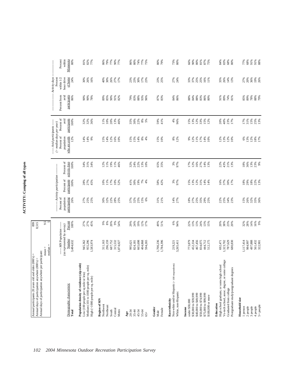| ž                  |
|--------------------|
| $\equiv$<br>ē      |
| J<br>niu<br>1<br>l |
| $\ddot{ }$         |
| HN                 |
|                    |

 $\bullet$ 

| Annual days of participation anywhere per participant:                           | $mean =$                             |             |                             |                                                             |                                                              |                                                               |                      |                      |                          |
|----------------------------------------------------------------------------------|--------------------------------------|-------------|-----------------------------|-------------------------------------------------------------|--------------------------------------------------------------|---------------------------------------------------------------|----------------------|----------------------|--------------------------|
|                                                                                  | median:                              | 9.5         |                             |                                                             |                                                              |                                                               |                      |                      |                          |
|                                                                                  |                                      |             |                             | --- Activity participation --                               |                                                              | ----- Avid participants ------<br>$($ > median days per year) |                      |                      | Activity days<br>Percent |
|                                                                                  | --- MN Population ---                |             | Percent of                  |                                                             |                                                              | Percent of                                                    | Percent of           | Percent from         | within 1/2               |
| Demographic characteristic                                                       | (as represented by survey)<br>Number | Percent     | population<br>participating | Percent of<br>participants                                  | Percent of<br>activity days                                  | who are avids<br>population                                   | participants<br>avid | participants<br>avid | hour drive<br>of home    |
| Total                                                                            | 3,484,632                            | 100%        | 26%                         | 100%                                                        | 100%                                                         | 12%                                                           | 100%                 | 86%                  | 24%                      |
| Population density of residence (zip code)                                       |                                      |             |                             |                                                             |                                                              |                                                               |                      |                      |                          |
| Medium (101 to 1000 people per sq. mile)<br>Low (100 people per sq mile or less) | 945,362<br>955,296                   | 27%<br>27%  | 27%<br>25%                  |                                                             |                                                              | $14%$<br>14%                                                  |                      | 90%<br>90%           | 30%<br>26%               |
| High (>1000 people per sq. mile)                                                 | .583,974                             | 45%         | 25%                         | 28%<br>27%<br>45%                                           | * * *<br>* * *                                               | 9%                                                            | 32%<br>32%<br>36%    | 78%                  | 16%                      |
| Region of MN                                                                     |                                      |             |                             |                                                             |                                                              |                                                               |                      |                      |                          |
| Northwest                                                                        | 311,163                              |             | 30%                         | $10\%$                                                      |                                                              | $15%$<br>$14%$                                                |                      | 89%                  | 40%                      |
| Northeast                                                                        | 296,159                              |             | 32%                         | 11%                                                         | $12\%$ 11%                                                   |                                                               | 11%<br>10%           | 85%                  | 30%                      |
| South                                                                            | 687,752                              |             | 22%                         | 17%                                                         | 19%                                                          | 12%                                                           | 20%                  | 90%                  | 26%                      |
| Central                                                                          | 315,532                              | * * * * * * | 28%<br>25%                  | 10%<br>52%                                                  | 11%                                                          | 16%                                                           | 13%<br>46%           | 91%                  | 27%<br>17%               |
| Metro                                                                            | ,874,027                             |             |                             |                                                             | 46%                                                          | 10%                                                           |                      | 82%                  |                          |
| Age                                                                              |                                      |             |                             |                                                             |                                                              |                                                               |                      |                      |                          |
| 20-34                                                                            | 995,621                              | 29%<br>24%  | 37%<br>32%<br>25%           | $41%$<br>$30%$<br>$19%$                                     | %<br>ನ ಸೆ ನ<br>ನ ನ                                           | $15%$<br>$15%$<br>$14%$                                       | 35%<br>30%<br>22%    | %<br>83%<br>88%      | 23 %<br>23 %<br>30 %     |
| $35 - 44$                                                                        | 824,181                              |             |                             |                                                             |                                                              |                                                               |                      |                      |                          |
| 45-54                                                                            | 665,698                              | 19%         |                             |                                                             |                                                              |                                                               |                      |                      |                          |
| 55-64                                                                            | 404,868                              | 12%         | 15%                         | $7\%$                                                       | 13%                                                          | $8\%$                                                         | $8\%$                | 93%                  |                          |
| $65 +$                                                                           | 594,265                              | 17%         | 6%                          | 4%                                                          | 10%                                                          | 4%                                                            | 5%                   | 96%                  | $17%$<br>$23%$           |
| Gender                                                                           |                                      |             |                             |                                                             |                                                              |                                                               |                      |                      |                          |
| Male                                                                             | 1,700,236                            | 49%         |                             |                                                             | 65%                                                          |                                                               | 59%                  |                      |                          |
| Female                                                                           | 1,784,396                            | 51%         | $31\%$<br>$21\%$            | 58%<br>42%                                                  | 35%                                                          | 15%<br>10%                                                    | 41%                  | 87%<br>83%           | 23%<br>25%               |
| Race/ethnicity                                                                   |                                      |             |                             |                                                             |                                                              |                                                               |                      |                      |                          |
| Non-white and/or Hispanic (< 100 respondents)<br>White, non-Hispanic             | 219,221<br>3,265,411                 | 6%<br>94%   | 14%<br>27%                  | 3%<br>97%                                                   | 3%<br>97%                                                    | $\frac{8\%}{12\%}$                                            | 4%<br>96%            | 84%<br>86%           | 27%<br>24%               |
| Income                                                                           |                                      |             |                             |                                                             |                                                              |                                                               |                      |                      |                          |
| under \$30,000                                                                   | 773,879                              | 22%         | $18\%$                      |                                                             |                                                              |                                                               |                      | 88%                  | 33%                      |
| \$30,000 to \$39,999                                                             | 452,334                              | 13%         | 27%                         | 15%<br>13%                                                  | 17%<br>12%                                                   | 9%<br>12%                                                     | 15%<br>13%           | 84%                  | 37%                      |
| \$40,000 to \$49,999                                                             | 467,456                              | 13%         | 25%                         | 12%                                                         | 16%                                                          | 11%                                                           | 12%                  | 88%                  | 25%                      |
| \$50,000 to \$74,999                                                             | 834,075                              | 24%         | 35%                         | 31%                                                         | 27%                                                          | 17%                                                           | 33%                  | 83%                  | 25%                      |
| \$75,000 to \$99,999                                                             | 444,712                              | 13%         | 29%<br>25%                  | $14%$<br>14%                                                | 14%<br>13%                                                   | 14%<br>10%                                                    | 15%<br>12%           | 86%                  | 16%<br>11%               |
| \$100,000 or more                                                                | 512,175                              | 15%         |                             |                                                             |                                                              |                                                               |                      | 80%                  |                          |
| Education                                                                        |                                      |             |                             |                                                             |                                                              |                                                               |                      |                      |                          |
| High school graduate, or some high school                                        | 692,471                              | 20%<br>38%  | 22%<br>25%                  |                                                             | 22%<br>43%                                                   |                                                               |                      | 91%<br>89%           | 35%<br>26%               |
| Vo-tech school, assoc. degree, or some college<br>Graduated from college         | 787,629<br>1,323,702                 |             |                             |                                                             |                                                              |                                                               |                      |                      |                          |
| Postgraduate study/postgraduate degrees                                          | 680,830                              | 23%<br>20%  | 34%<br>23%                  | $\begin{array}{l} 16\% \\ 37\% \\ 30\% \\ 17\% \end{array}$ | 21%<br>13%                                                   | 12%<br>12%<br>12%                                             | 20%<br>40%<br>17%    | 74%<br>81%           | 14%<br>13%               |
|                                                                                  |                                      |             |                             |                                                             |                                                              |                                                               |                      |                      |                          |
| Household size<br>1 person                                                       | 1,117,414                            |             |                             |                                                             |                                                              | 6%                                                            |                      |                      | 27%                      |
| 2 people                                                                         | 984,997                              | 32%<br>28%  | 15%<br>26%                  | 18%<br>29%                                                  |                                                              | 13%                                                           | $17%$<br>31%         | 85%<br>89%           | $20\%$                   |
| 3 people                                                                         | 497,888                              | 14%         | 32%<br>35%<br>36%           | 18%<br>22%<br>13%                                           | $\begin{array}{l} 8\% \\ 8\% \\ 18\% \\ 12\% \\ \end{array}$ | $12%$<br>$18%$<br>$17%$                                       | $15%$<br>25%<br>13%  | 78%                  | 36%                      |
| 4 people                                                                         | 561,432<br>322,901                   | 16%<br>9%   |                             |                                                             |                                                              |                                                               |                      |                      |                          |
|                                                                                  |                                      |             |                             |                                                             |                                                              |                                                               |                      | 88%<br>79%           | 19%<br>26%               |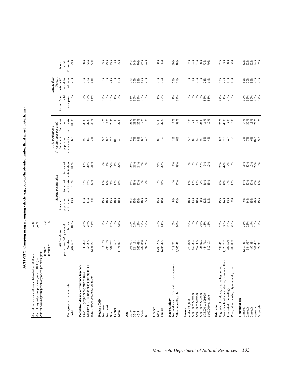ACTIVITY: Camping using a camping vehicle (e.g., pop-up/hard-sided trailer, third wheel, motorhome) **ACTIVITY: Camping using a camping vehicle (e.g., pop-up/hard-sided trailer, third wheel, motorhome)**

| Annual days of participation anywhere per participant:<br>Annual participants 20 years old and older (000's) =<br>Annual days of participation anywhere (000's) = |                                                         | 450<br>5,469    |                                        |                                             |                       |                                                                                          |                      |                      |                                                        |                           |
|-------------------------------------------------------------------------------------------------------------------------------------------------------------------|---------------------------------------------------------|-----------------|----------------------------------------|---------------------------------------------|-----------------------|------------------------------------------------------------------------------------------|----------------------|----------------------|--------------------------------------------------------|---------------------------|
|                                                                                                                                                                   | $median =$<br>$mean =$                                  | 12.2            |                                        |                                             |                       |                                                                                          |                      |                      |                                                        |                           |
|                                                                                                                                                                   | (as represented by survey)<br>----- MN Population ----- |                 | Percent of<br>population               | -------Activity participation<br>Percent of | Percent of            | ----- Avid participants -----<br>$($ > median days per year)<br>Percent of<br>population | Percent of<br>avid   | Percent from<br>avid | Activity days<br>Percent<br>hour drive<br>within $1/2$ | Percent<br>within         |
| Demographic characteristic<br>Total                                                                                                                               | Number<br>3,484,632                                     | Percent<br>100% | participating<br>13%                   | participants<br>100%                        | activity days<br>100% | who are avids<br>6%                                                                      | participants<br>100% | participants<br>89%  | of home<br>25%                                         | Minnesota<br>79%          |
| Population density of residence (zip code)<br>Low (100 people per sq mile or less)                                                                                | 945,362                                                 | 27%             | $17%$<br>$17%$                         | 35%                                         | 40%                   | 666                                                                                      | 39%                  | 92%                  | 28%<br>25%                                             |                           |
| Medium (101 to 1000 people per sq. mile)<br>$\rm High$ $\langle >\!1000$ people per sq. mile)                                                                     | 955,296<br>1,583,974                                    | 27%<br>45%      | $8%$                                   | 35%<br>30%                                  | 36%<br>23%            | $8%$<br>3%                                                                               | 37%<br>24%           | 89%<br>83%           | 18%                                                    | $78%$<br>$82%$<br>$73%$   |
| Region of MN<br>Northwest                                                                                                                                         | 311,163                                                 | 66              | 19%                                    | 13%                                         | 14%                   | 660                                                                                      | 14%                  | 89%                  | 38%                                                    | 83%                       |
| Northeast                                                                                                                                                         | 296,159                                                 | $8\%$           | 18%                                    | 12%                                         | 11%                   | $8\%$                                                                                    | 11%                  | 88%                  | 30%                                                    | 79%                       |
| Central<br>South                                                                                                                                                  | 687,752<br>315,532                                      | 20%<br>9%       | 13%<br>18%<br>10%                      | 21%<br>13%                                  | 24%<br>14%<br>37%     | 7%                                                                                       | 23%                  | 90%<br>91%           | 24%<br>30%                                             | 73%<br>93%                |
| Metro                                                                                                                                                             | 1,874,027                                               | 54%             |                                        | 41%                                         |                       | $10%$<br>$4%$                                                                            | 15%<br>37%           | 87%                  | 17%                                                    | 75%                       |
| $20 - 34$<br>$_{\rm Age}$                                                                                                                                         | 995,621                                                 | 29%             |                                        |                                             |                       |                                                                                          |                      | 81%                  |                                                        |                           |
| $35 - 44$                                                                                                                                                         | 824,181                                                 | 24%             |                                        | 34%<br>29%                                  | 24%<br>21%<br>24%     |                                                                                          | 25%<br>29%           | 86%                  |                                                        |                           |
| 45-54                                                                                                                                                             | 665,698                                                 | 19%             |                                        | 22%                                         |                       |                                                                                          | 25%                  | 89%                  |                                                        |                           |
| $55 - 64$<br>$65+$                                                                                                                                                | 404,868<br>594,265                                      | 12%<br>17%      | $15%$<br>$8%$<br>$15%$<br>$5%$<br>$5%$ | 9%<br>7%                                    | $16%$<br>15%          | x x x x x x                                                                              | 12%<br>10%           | 96%<br>96%           | $388888$<br>$75272$                                    | 8<br>8 3 8 8 8<br>8 8 8 8 |
| Gender<br>Female<br>Male                                                                                                                                          | 1,700,236<br>1,784,396                                  | 49%<br>51%      | 15%<br>10%                             | 59%<br>41%                                  | 71%<br>29%            | $\substack{86 \\ 4\%}$                                                                   | 63%<br>37%           | 91%<br>83%           | 23%<br>30%                                             | 80%<br>75%                |
| Non-white and/or Hispanic (< 100 respondents)<br>Race/ethnicity                                                                                                   | 219,221                                                 | $6\%$           |                                        | $4%$                                        |                       |                                                                                          | $1\%$                | 41%                  | 63%                                                    | $80\%$                    |
| White, non-Hispanic                                                                                                                                               | 3,265,411                                               | 94%             | $8%^{8}$<br>13%                        | 96%                                         | $1%$<br>99%           | $1%$<br>6%                                                                               | 99%                  | 89%                  | 24%                                                    | 78%                       |
| under \$30,000<br>Income                                                                                                                                          | 773,879                                                 | 22%             | 10%                                    | 16%                                         | 19%                   | 5%                                                                                       | 16%                  | 89%                  | 36%                                                    | 62%                       |
| \$30,000 to \$39,999                                                                                                                                              | 452,334                                                 | 13%             | 13%                                    | 13%                                         | 13%                   | $8\%$                                                                                    | 17%                  | 90%                  | 34%                                                    | 94%                       |
| \$40,000 to \$49,999<br>\$50,000 to \$74,999                                                                                                                      | 467,456<br>834,075                                      | 13%<br>24%      | $10\%$<br>20%                          | 10%<br>37%                                  | $18\%$<br>28%         | 5%<br>9%                                                                                 | 12%<br>34%           | 95%<br>83%           | 20%<br>30%                                             | 88%<br>74%                |
| \$75,000 to \$99,999                                                                                                                                              | 444,712                                                 | 13%<br>15%      | 12%<br>11%                             | 11%<br>13%                                  | $9%_{12%}$            | $5%$<br>4%                                                                               | 11%                  | 86%                  | 21%<br>14%                                             | 73%                       |
| \$100,000 or more                                                                                                                                                 | 512,175                                                 |                 |                                        |                                             |                       |                                                                                          | 10%                  | 83%                  |                                                        | 70%                       |
| High school graduate, or some high school<br>Education                                                                                                            | 692,471                                                 | 20%             | 15%                                    | 22%                                         | 28%                   | $8\%$                                                                                    | 26%                  | 92%                  | 33%                                                    | 82%                       |
| Vo-tech school, assoc. degree, or some college<br>Graduated from college                                                                                          | 1,323,702<br>787,629                                    | 38%<br>23%      | 14%<br>13%<br>9%                       | 41%                                         | 47%<br>17%            | $7%$<br>4%                                                                               | 46%<br>14%           | 91%                  | 27%<br>13%                                             | 83%                       |
| Postgraduate study/postgraduate degrees                                                                                                                           | 680,830                                                 | 20%             |                                        | 23%<br>13%                                  | 8%                    | 4%                                                                                       | 14%                  | $78%$<br>83%         | 13%                                                    | <b>58%</b><br>82%         |
| Household size                                                                                                                                                    |                                                         |                 |                                        |                                             |                       |                                                                                          |                      |                      |                                                        |                           |
| 1 person<br>2 people                                                                                                                                              | 1117,414<br>984,997                                     | 32%<br>28%      |                                        | 14%<br>30%                                  | $\frac{16%}{40%}$     | 3%<br>7%                                                                                 | 14%<br>32%           | 90%<br>92%           | 32%<br>20%                                             | 82%<br>62%<br>92%         |
| 3 people                                                                                                                                                          |                                                         | 14%             |                                        | 17%                                         |                       |                                                                                          | 13%                  | $80\%$               | 39%                                                    |                           |
| 5+ people<br>4 people                                                                                                                                             | 497,888<br>561,432<br>322,901                           | 16%<br>9%       | 8% % % % % % 9%                        | 25%<br>14%                                  | $12%$<br>24%<br>8%    | $6%$<br>$10%$<br>$9%$                                                                    | 27%<br>13%           | 90%<br>82%           | <b>20%</b><br>28%                                      | $\frac{94\%}{87\%}$       |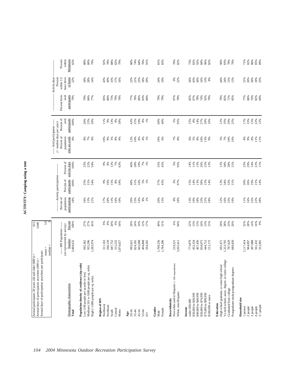| Activity days<br>hour drive<br>of home<br>within $1/2$<br>Percent<br>9%<br>22%<br>$30%$<br>$18%$<br>$25%$<br>22%<br>34%<br>28%<br>33%<br>17%<br>$22%$<br>$21%$<br>25%<br>18%<br>20%<br>24%<br>19%<br>26%<br>43%<br>36%<br>16%<br>44%<br>24%<br>$15%$<br>$13%$<br>21%<br>20%<br>14%<br>43%<br>30%<br>16%<br>$13%$<br>8%<br>Percent from<br>avid<br>participants<br>86%<br>83%<br>84%<br>97%<br>78%<br>78%<br>77%<br>86%<br>70%<br>82%<br>69%<br>79%<br>79%<br>84%<br>77%<br>85%<br>80%<br>73%<br>79%<br>79%<br>77%<br>78%<br>79%<br>%67<br>82%<br>67%<br>78%<br>%<br>92%<br>79%<br>82%<br>71%<br>85%<br>Percent of<br>avid<br>participants<br>100%<br>25%<br>50%<br>$11%$<br>9%<br>13%<br>$9\%$<br>43%<br>31%<br>19%<br>$6\%$<br>1%<br>60%<br>40%<br>5%<br>95%<br>$8\%$<br>14%<br>27%<br>20%<br>12%<br>35%<br>29%<br>$17%$<br>$5%$ $5%$<br>$5%$<br>$5%$<br>$12%$<br>26%<br>58%<br>15%<br>16%<br>25%<br>-- Avid participants -----<br>$($ > median days per year)<br>Percent of<br>who are avids<br>population<br>8%<br>$7\%$ 8%<br>$8\%$<br>$\frac{96}{7\%}$<br>9%<br>10%<br>9%<br>$5\%$<br>8%<br>9%<br>12%<br>10%<br>8%<br>$4%$<br>1%<br>$10%$<br>$6%$<br>6%<br>$5\%$<br>$8\%$<br>10%<br>13%<br>9%<br>7%<br>10%<br>4%<br>9%<br>11%<br>11%<br>5%<br>10%<br>Percent of<br>activity days<br>$14%$<br>22%<br>11%<br>100%<br>ង<br>ខ្លួន<br>អង្គ<br>12%<br>$46%$<br>$28%$<br>$19%$<br>$7%$<br>1%<br>55%<br>5%<br>95%<br>13%<br>26%<br>13%<br>23%<br>29%<br>9%<br>9%<br>7%<br>63%<br>45%<br>14%<br>11%<br>22%<br>13%<br>38%<br>$\frac{28\%}{21\%}$<br>----- Activity participation<br>Percent of<br>participants<br>100%<br>25%<br>21%<br>19%<br>21%<br>14%<br>54%<br>15%<br>48%<br>31%<br>16%<br>$5%$<br>$1%$<br>57%<br>43%<br>3%<br>97%<br>14%<br>13%<br>30%<br>13%<br>34%<br>32%<br>21%<br>20%<br>26%<br>$9%_{10%}$<br>8%<br>59%<br>15%<br>$15%$<br>$14%$<br>Percent of<br>population<br>participating<br>16%<br>23%<br>22%<br>18%<br>16%<br>13%<br>13%<br>16%<br>29%<br>23%<br>14%<br>8%<br>20%<br>15%<br>$9%_{6}$<br>18%<br>13%<br>19%<br>$18\%$<br>23%<br>21%<br>18%<br>12%<br>16%<br>25%<br>11%<br>28%<br>21%<br>17%<br>20%<br>$1\%$<br>19%<br>19%<br>$5.0\degree$<br>Percent<br>27%<br>27%<br>* * * * *<br>\$ * \$ * * *<br>19%<br>49%<br>6%<br>94%<br>24%<br>20%<br>23%<br>20%<br>32%<br>28%<br>14%<br>16%<br>45%<br>29%<br>24%<br>12%<br>17%<br>51%<br>22%<br>13%<br>13%<br>13%<br>15%<br>38%<br>9%<br>100%<br>----- MN Population -----<br>(as represented by survey)<br>Number<br>3,484,632<br>955,296<br>1,700,236<br>467,456<br>1,117,414<br>497,888<br>945,362<br>296,159<br>687,752<br>315,532<br>665,698<br>404,868<br>1,784,396<br>773,879<br>452,334<br>834,075<br>444,712<br>1,323,702<br>787,629<br>680,830<br>984,997<br>561,432<br>.583,974<br>311,163<br>594,265<br>512,175<br>692,471<br>995,621<br>824,181<br>219,221<br>3,265,411<br>322,901<br>1,874,027<br>$mean =$<br>median<br>Vo-tech school, assoc. degree, or some college<br>Population density of residence (zip code)<br>Non-white and/or Hispanic (<100 respondents)<br>High school graduate, or some high school<br>Medium (101 to 1000 people per sq. mile)<br>Postgraduate study/postgraduate degrees<br>Low (100 people per sq mile or less)<br>High (>1000 people per sq. mile)<br>Demographic characteristic<br>Graduated from college<br>White, non-Hispanic<br>\$30,000 to \$39,999<br>\$40,000 to \$49,999<br>\$50,000 to \$74,999<br>\$75,000 to \$99,999<br>\$100,000 or more<br>Household size<br>Region of MN<br>Race/ethnicity<br>under \$30,000<br>Education<br>Northwest<br>$5+$ people<br>Northeast<br>2 people<br>3 people<br>4 people<br>1 person<br>Income<br>Gender<br>Female<br>Central<br>Metro<br>South<br>45-54<br>Total<br>$20 - 34$<br>$35 - 44$<br>55-64<br>Male<br>Age<br>$65 +$ | Annual days of participation anywhere per participant: | Annual participants 20 years old and older (000's) =<br>Annual days of participation anywhere (000's) = | 613<br>3,046 |  |  |  |  |
|----------------------------------------------------------------------------------------------------------------------------------------------------------------------------------------------------------------------------------------------------------------------------------------------------------------------------------------------------------------------------------------------------------------------------------------------------------------------------------------------------------------------------------------------------------------------------------------------------------------------------------------------------------------------------------------------------------------------------------------------------------------------------------------------------------------------------------------------------------------------------------------------------------------------------------------------------------------------------------------------------------------------------------------------------------------------------------------------------------------------------------------------------------------------------------------------------------------------------------------------------------------------------------------------------------------------------------------------------------------------------------------------------------------------------------------------------------------------------------------------------------------------------------------------------------------------------------------------------------------------------------------------------------------------------------------------------------------------------------------------------------------------------------------------------------------------------------------------------------------------------------------------------------------------------------------------------------------------------------------------------------------------------------------------------------------------------------------------------------------------------------------------------------------------------------------------------------------------------------------------------------------------------------------------------------------------------------------------------------------------------------------------------------------------------------------------------------------------------------------------------------------------------------------------------------------------------------------------------------------------------------------------------------------------------------------------------------------------------------------------------------------------------------------------------------------------------------------------------------------------------------------------------------------------------------------------------------------------------------------------------------------------------------------------------------------------------------------------------------------------------------------------------------------------------------------------------------------------------------------------------------------------------------------------------------------------------------------------------------------------------------------------------------------------------------------------------------------------------------------------------------------------------------------------------------------------------------------------------------------------------------------------------------------------------------------------------------------------------------------------------------------------------------------------|--------------------------------------------------------|---------------------------------------------------------------------------------------------------------|--------------|--|--|--|--|
|                                                                                                                                                                                                                                                                                                                                                                                                                                                                                                                                                                                                                                                                                                                                                                                                                                                                                                                                                                                                                                                                                                                                                                                                                                                                                                                                                                                                                                                                                                                                                                                                                                                                                                                                                                                                                                                                                                                                                                                                                                                                                                                                                                                                                                                                                                                                                                                                                                                                                                                                                                                                                                                                                                                                                                                                                                                                                                                                                                                                                                                                                                                                                                                                                                                                                                                                                                                                                                                                                                                                                                                                                                                                                                                                                                                              |                                                        |                                                                                                         |              |  |  |  |  |
|                                                                                                                                                                                                                                                                                                                                                                                                                                                                                                                                                                                                                                                                                                                                                                                                                                                                                                                                                                                                                                                                                                                                                                                                                                                                                                                                                                                                                                                                                                                                                                                                                                                                                                                                                                                                                                                                                                                                                                                                                                                                                                                                                                                                                                                                                                                                                                                                                                                                                                                                                                                                                                                                                                                                                                                                                                                                                                                                                                                                                                                                                                                                                                                                                                                                                                                                                                                                                                                                                                                                                                                                                                                                                                                                                                                              |                                                        |                                                                                                         |              |  |  |  |  |
|                                                                                                                                                                                                                                                                                                                                                                                                                                                                                                                                                                                                                                                                                                                                                                                                                                                                                                                                                                                                                                                                                                                                                                                                                                                                                                                                                                                                                                                                                                                                                                                                                                                                                                                                                                                                                                                                                                                                                                                                                                                                                                                                                                                                                                                                                                                                                                                                                                                                                                                                                                                                                                                                                                                                                                                                                                                                                                                                                                                                                                                                                                                                                                                                                                                                                                                                                                                                                                                                                                                                                                                                                                                                                                                                                                                              |                                                        |                                                                                                         |              |  |  |  |  |
|                                                                                                                                                                                                                                                                                                                                                                                                                                                                                                                                                                                                                                                                                                                                                                                                                                                                                                                                                                                                                                                                                                                                                                                                                                                                                                                                                                                                                                                                                                                                                                                                                                                                                                                                                                                                                                                                                                                                                                                                                                                                                                                                                                                                                                                                                                                                                                                                                                                                                                                                                                                                                                                                                                                                                                                                                                                                                                                                                                                                                                                                                                                                                                                                                                                                                                                                                                                                                                                                                                                                                                                                                                                                                                                                                                                              |                                                        |                                                                                                         |              |  |  |  |  |
|                                                                                                                                                                                                                                                                                                                                                                                                                                                                                                                                                                                                                                                                                                                                                                                                                                                                                                                                                                                                                                                                                                                                                                                                                                                                                                                                                                                                                                                                                                                                                                                                                                                                                                                                                                                                                                                                                                                                                                                                                                                                                                                                                                                                                                                                                                                                                                                                                                                                                                                                                                                                                                                                                                                                                                                                                                                                                                                                                                                                                                                                                                                                                                                                                                                                                                                                                                                                                                                                                                                                                                                                                                                                                                                                                                                              |                                                        |                                                                                                         |              |  |  |  |  |
|                                                                                                                                                                                                                                                                                                                                                                                                                                                                                                                                                                                                                                                                                                                                                                                                                                                                                                                                                                                                                                                                                                                                                                                                                                                                                                                                                                                                                                                                                                                                                                                                                                                                                                                                                                                                                                                                                                                                                                                                                                                                                                                                                                                                                                                                                                                                                                                                                                                                                                                                                                                                                                                                                                                                                                                                                                                                                                                                                                                                                                                                                                                                                                                                                                                                                                                                                                                                                                                                                                                                                                                                                                                                                                                                                                                              |                                                        |                                                                                                         |              |  |  |  |  |
|                                                                                                                                                                                                                                                                                                                                                                                                                                                                                                                                                                                                                                                                                                                                                                                                                                                                                                                                                                                                                                                                                                                                                                                                                                                                                                                                                                                                                                                                                                                                                                                                                                                                                                                                                                                                                                                                                                                                                                                                                                                                                                                                                                                                                                                                                                                                                                                                                                                                                                                                                                                                                                                                                                                                                                                                                                                                                                                                                                                                                                                                                                                                                                                                                                                                                                                                                                                                                                                                                                                                                                                                                                                                                                                                                                                              |                                                        |                                                                                                         |              |  |  |  |  |
|                                                                                                                                                                                                                                                                                                                                                                                                                                                                                                                                                                                                                                                                                                                                                                                                                                                                                                                                                                                                                                                                                                                                                                                                                                                                                                                                                                                                                                                                                                                                                                                                                                                                                                                                                                                                                                                                                                                                                                                                                                                                                                                                                                                                                                                                                                                                                                                                                                                                                                                                                                                                                                                                                                                                                                                                                                                                                                                                                                                                                                                                                                                                                                                                                                                                                                                                                                                                                                                                                                                                                                                                                                                                                                                                                                                              |                                                        |                                                                                                         |              |  |  |  |  |
|                                                                                                                                                                                                                                                                                                                                                                                                                                                                                                                                                                                                                                                                                                                                                                                                                                                                                                                                                                                                                                                                                                                                                                                                                                                                                                                                                                                                                                                                                                                                                                                                                                                                                                                                                                                                                                                                                                                                                                                                                                                                                                                                                                                                                                                                                                                                                                                                                                                                                                                                                                                                                                                                                                                                                                                                                                                                                                                                                                                                                                                                                                                                                                                                                                                                                                                                                                                                                                                                                                                                                                                                                                                                                                                                                                                              |                                                        |                                                                                                         |              |  |  |  |  |
|                                                                                                                                                                                                                                                                                                                                                                                                                                                                                                                                                                                                                                                                                                                                                                                                                                                                                                                                                                                                                                                                                                                                                                                                                                                                                                                                                                                                                                                                                                                                                                                                                                                                                                                                                                                                                                                                                                                                                                                                                                                                                                                                                                                                                                                                                                                                                                                                                                                                                                                                                                                                                                                                                                                                                                                                                                                                                                                                                                                                                                                                                                                                                                                                                                                                                                                                                                                                                                                                                                                                                                                                                                                                                                                                                                                              |                                                        |                                                                                                         |              |  |  |  |  |
|                                                                                                                                                                                                                                                                                                                                                                                                                                                                                                                                                                                                                                                                                                                                                                                                                                                                                                                                                                                                                                                                                                                                                                                                                                                                                                                                                                                                                                                                                                                                                                                                                                                                                                                                                                                                                                                                                                                                                                                                                                                                                                                                                                                                                                                                                                                                                                                                                                                                                                                                                                                                                                                                                                                                                                                                                                                                                                                                                                                                                                                                                                                                                                                                                                                                                                                                                                                                                                                                                                                                                                                                                                                                                                                                                                                              |                                                        |                                                                                                         |              |  |  |  |  |
|                                                                                                                                                                                                                                                                                                                                                                                                                                                                                                                                                                                                                                                                                                                                                                                                                                                                                                                                                                                                                                                                                                                                                                                                                                                                                                                                                                                                                                                                                                                                                                                                                                                                                                                                                                                                                                                                                                                                                                                                                                                                                                                                                                                                                                                                                                                                                                                                                                                                                                                                                                                                                                                                                                                                                                                                                                                                                                                                                                                                                                                                                                                                                                                                                                                                                                                                                                                                                                                                                                                                                                                                                                                                                                                                                                                              |                                                        |                                                                                                         |              |  |  |  |  |
|                                                                                                                                                                                                                                                                                                                                                                                                                                                                                                                                                                                                                                                                                                                                                                                                                                                                                                                                                                                                                                                                                                                                                                                                                                                                                                                                                                                                                                                                                                                                                                                                                                                                                                                                                                                                                                                                                                                                                                                                                                                                                                                                                                                                                                                                                                                                                                                                                                                                                                                                                                                                                                                                                                                                                                                                                                                                                                                                                                                                                                                                                                                                                                                                                                                                                                                                                                                                                                                                                                                                                                                                                                                                                                                                                                                              |                                                        |                                                                                                         |              |  |  |  |  |
|                                                                                                                                                                                                                                                                                                                                                                                                                                                                                                                                                                                                                                                                                                                                                                                                                                                                                                                                                                                                                                                                                                                                                                                                                                                                                                                                                                                                                                                                                                                                                                                                                                                                                                                                                                                                                                                                                                                                                                                                                                                                                                                                                                                                                                                                                                                                                                                                                                                                                                                                                                                                                                                                                                                                                                                                                                                                                                                                                                                                                                                                                                                                                                                                                                                                                                                                                                                                                                                                                                                                                                                                                                                                                                                                                                                              |                                                        |                                                                                                         |              |  |  |  |  |
|                                                                                                                                                                                                                                                                                                                                                                                                                                                                                                                                                                                                                                                                                                                                                                                                                                                                                                                                                                                                                                                                                                                                                                                                                                                                                                                                                                                                                                                                                                                                                                                                                                                                                                                                                                                                                                                                                                                                                                                                                                                                                                                                                                                                                                                                                                                                                                                                                                                                                                                                                                                                                                                                                                                                                                                                                                                                                                                                                                                                                                                                                                                                                                                                                                                                                                                                                                                                                                                                                                                                                                                                                                                                                                                                                                                              |                                                        |                                                                                                         |              |  |  |  |  |
|                                                                                                                                                                                                                                                                                                                                                                                                                                                                                                                                                                                                                                                                                                                                                                                                                                                                                                                                                                                                                                                                                                                                                                                                                                                                                                                                                                                                                                                                                                                                                                                                                                                                                                                                                                                                                                                                                                                                                                                                                                                                                                                                                                                                                                                                                                                                                                                                                                                                                                                                                                                                                                                                                                                                                                                                                                                                                                                                                                                                                                                                                                                                                                                                                                                                                                                                                                                                                                                                                                                                                                                                                                                                                                                                                                                              |                                                        |                                                                                                         |              |  |  |  |  |
|                                                                                                                                                                                                                                                                                                                                                                                                                                                                                                                                                                                                                                                                                                                                                                                                                                                                                                                                                                                                                                                                                                                                                                                                                                                                                                                                                                                                                                                                                                                                                                                                                                                                                                                                                                                                                                                                                                                                                                                                                                                                                                                                                                                                                                                                                                                                                                                                                                                                                                                                                                                                                                                                                                                                                                                                                                                                                                                                                                                                                                                                                                                                                                                                                                                                                                                                                                                                                                                                                                                                                                                                                                                                                                                                                                                              |                                                        |                                                                                                         |              |  |  |  |  |
|                                                                                                                                                                                                                                                                                                                                                                                                                                                                                                                                                                                                                                                                                                                                                                                                                                                                                                                                                                                                                                                                                                                                                                                                                                                                                                                                                                                                                                                                                                                                                                                                                                                                                                                                                                                                                                                                                                                                                                                                                                                                                                                                                                                                                                                                                                                                                                                                                                                                                                                                                                                                                                                                                                                                                                                                                                                                                                                                                                                                                                                                                                                                                                                                                                                                                                                                                                                                                                                                                                                                                                                                                                                                                                                                                                                              |                                                        |                                                                                                         |              |  |  |  |  |
|                                                                                                                                                                                                                                                                                                                                                                                                                                                                                                                                                                                                                                                                                                                                                                                                                                                                                                                                                                                                                                                                                                                                                                                                                                                                                                                                                                                                                                                                                                                                                                                                                                                                                                                                                                                                                                                                                                                                                                                                                                                                                                                                                                                                                                                                                                                                                                                                                                                                                                                                                                                                                                                                                                                                                                                                                                                                                                                                                                                                                                                                                                                                                                                                                                                                                                                                                                                                                                                                                                                                                                                                                                                                                                                                                                                              |                                                        |                                                                                                         |              |  |  |  |  |
|                                                                                                                                                                                                                                                                                                                                                                                                                                                                                                                                                                                                                                                                                                                                                                                                                                                                                                                                                                                                                                                                                                                                                                                                                                                                                                                                                                                                                                                                                                                                                                                                                                                                                                                                                                                                                                                                                                                                                                                                                                                                                                                                                                                                                                                                                                                                                                                                                                                                                                                                                                                                                                                                                                                                                                                                                                                                                                                                                                                                                                                                                                                                                                                                                                                                                                                                                                                                                                                                                                                                                                                                                                                                                                                                                                                              |                                                        |                                                                                                         |              |  |  |  |  |
|                                                                                                                                                                                                                                                                                                                                                                                                                                                                                                                                                                                                                                                                                                                                                                                                                                                                                                                                                                                                                                                                                                                                                                                                                                                                                                                                                                                                                                                                                                                                                                                                                                                                                                                                                                                                                                                                                                                                                                                                                                                                                                                                                                                                                                                                                                                                                                                                                                                                                                                                                                                                                                                                                                                                                                                                                                                                                                                                                                                                                                                                                                                                                                                                                                                                                                                                                                                                                                                                                                                                                                                                                                                                                                                                                                                              |                                                        |                                                                                                         |              |  |  |  |  |
|                                                                                                                                                                                                                                                                                                                                                                                                                                                                                                                                                                                                                                                                                                                                                                                                                                                                                                                                                                                                                                                                                                                                                                                                                                                                                                                                                                                                                                                                                                                                                                                                                                                                                                                                                                                                                                                                                                                                                                                                                                                                                                                                                                                                                                                                                                                                                                                                                                                                                                                                                                                                                                                                                                                                                                                                                                                                                                                                                                                                                                                                                                                                                                                                                                                                                                                                                                                                                                                                                                                                                                                                                                                                                                                                                                                              |                                                        |                                                                                                         |              |  |  |  |  |
|                                                                                                                                                                                                                                                                                                                                                                                                                                                                                                                                                                                                                                                                                                                                                                                                                                                                                                                                                                                                                                                                                                                                                                                                                                                                                                                                                                                                                                                                                                                                                                                                                                                                                                                                                                                                                                                                                                                                                                                                                                                                                                                                                                                                                                                                                                                                                                                                                                                                                                                                                                                                                                                                                                                                                                                                                                                                                                                                                                                                                                                                                                                                                                                                                                                                                                                                                                                                                                                                                                                                                                                                                                                                                                                                                                                              |                                                        |                                                                                                         |              |  |  |  |  |
|                                                                                                                                                                                                                                                                                                                                                                                                                                                                                                                                                                                                                                                                                                                                                                                                                                                                                                                                                                                                                                                                                                                                                                                                                                                                                                                                                                                                                                                                                                                                                                                                                                                                                                                                                                                                                                                                                                                                                                                                                                                                                                                                                                                                                                                                                                                                                                                                                                                                                                                                                                                                                                                                                                                                                                                                                                                                                                                                                                                                                                                                                                                                                                                                                                                                                                                                                                                                                                                                                                                                                                                                                                                                                                                                                                                              |                                                        |                                                                                                         |              |  |  |  |  |
|                                                                                                                                                                                                                                                                                                                                                                                                                                                                                                                                                                                                                                                                                                                                                                                                                                                                                                                                                                                                                                                                                                                                                                                                                                                                                                                                                                                                                                                                                                                                                                                                                                                                                                                                                                                                                                                                                                                                                                                                                                                                                                                                                                                                                                                                                                                                                                                                                                                                                                                                                                                                                                                                                                                                                                                                                                                                                                                                                                                                                                                                                                                                                                                                                                                                                                                                                                                                                                                                                                                                                                                                                                                                                                                                                                                              |                                                        |                                                                                                         |              |  |  |  |  |
|                                                                                                                                                                                                                                                                                                                                                                                                                                                                                                                                                                                                                                                                                                                                                                                                                                                                                                                                                                                                                                                                                                                                                                                                                                                                                                                                                                                                                                                                                                                                                                                                                                                                                                                                                                                                                                                                                                                                                                                                                                                                                                                                                                                                                                                                                                                                                                                                                                                                                                                                                                                                                                                                                                                                                                                                                                                                                                                                                                                                                                                                                                                                                                                                                                                                                                                                                                                                                                                                                                                                                                                                                                                                                                                                                                                              |                                                        |                                                                                                         |              |  |  |  |  |
|                                                                                                                                                                                                                                                                                                                                                                                                                                                                                                                                                                                                                                                                                                                                                                                                                                                                                                                                                                                                                                                                                                                                                                                                                                                                                                                                                                                                                                                                                                                                                                                                                                                                                                                                                                                                                                                                                                                                                                                                                                                                                                                                                                                                                                                                                                                                                                                                                                                                                                                                                                                                                                                                                                                                                                                                                                                                                                                                                                                                                                                                                                                                                                                                                                                                                                                                                                                                                                                                                                                                                                                                                                                                                                                                                                                              |                                                        |                                                                                                         |              |  |  |  |  |
|                                                                                                                                                                                                                                                                                                                                                                                                                                                                                                                                                                                                                                                                                                                                                                                                                                                                                                                                                                                                                                                                                                                                                                                                                                                                                                                                                                                                                                                                                                                                                                                                                                                                                                                                                                                                                                                                                                                                                                                                                                                                                                                                                                                                                                                                                                                                                                                                                                                                                                                                                                                                                                                                                                                                                                                                                                                                                                                                                                                                                                                                                                                                                                                                                                                                                                                                                                                                                                                                                                                                                                                                                                                                                                                                                                                              |                                                        |                                                                                                         |              |  |  |  |  |
|                                                                                                                                                                                                                                                                                                                                                                                                                                                                                                                                                                                                                                                                                                                                                                                                                                                                                                                                                                                                                                                                                                                                                                                                                                                                                                                                                                                                                                                                                                                                                                                                                                                                                                                                                                                                                                                                                                                                                                                                                                                                                                                                                                                                                                                                                                                                                                                                                                                                                                                                                                                                                                                                                                                                                                                                                                                                                                                                                                                                                                                                                                                                                                                                                                                                                                                                                                                                                                                                                                                                                                                                                                                                                                                                                                                              |                                                        |                                                                                                         |              |  |  |  |  |
|                                                                                                                                                                                                                                                                                                                                                                                                                                                                                                                                                                                                                                                                                                                                                                                                                                                                                                                                                                                                                                                                                                                                                                                                                                                                                                                                                                                                                                                                                                                                                                                                                                                                                                                                                                                                                                                                                                                                                                                                                                                                                                                                                                                                                                                                                                                                                                                                                                                                                                                                                                                                                                                                                                                                                                                                                                                                                                                                                                                                                                                                                                                                                                                                                                                                                                                                                                                                                                                                                                                                                                                                                                                                                                                                                                                              |                                                        |                                                                                                         |              |  |  |  |  |
|                                                                                                                                                                                                                                                                                                                                                                                                                                                                                                                                                                                                                                                                                                                                                                                                                                                                                                                                                                                                                                                                                                                                                                                                                                                                                                                                                                                                                                                                                                                                                                                                                                                                                                                                                                                                                                                                                                                                                                                                                                                                                                                                                                                                                                                                                                                                                                                                                                                                                                                                                                                                                                                                                                                                                                                                                                                                                                                                                                                                                                                                                                                                                                                                                                                                                                                                                                                                                                                                                                                                                                                                                                                                                                                                                                                              |                                                        |                                                                                                         |              |  |  |  |  |
|                                                                                                                                                                                                                                                                                                                                                                                                                                                                                                                                                                                                                                                                                                                                                                                                                                                                                                                                                                                                                                                                                                                                                                                                                                                                                                                                                                                                                                                                                                                                                                                                                                                                                                                                                                                                                                                                                                                                                                                                                                                                                                                                                                                                                                                                                                                                                                                                                                                                                                                                                                                                                                                                                                                                                                                                                                                                                                                                                                                                                                                                                                                                                                                                                                                                                                                                                                                                                                                                                                                                                                                                                                                                                                                                                                                              |                                                        |                                                                                                         |              |  |  |  |  |
|                                                                                                                                                                                                                                                                                                                                                                                                                                                                                                                                                                                                                                                                                                                                                                                                                                                                                                                                                                                                                                                                                                                                                                                                                                                                                                                                                                                                                                                                                                                                                                                                                                                                                                                                                                                                                                                                                                                                                                                                                                                                                                                                                                                                                                                                                                                                                                                                                                                                                                                                                                                                                                                                                                                                                                                                                                                                                                                                                                                                                                                                                                                                                                                                                                                                                                                                                                                                                                                                                                                                                                                                                                                                                                                                                                                              |                                                        |                                                                                                         |              |  |  |  |  |
|                                                                                                                                                                                                                                                                                                                                                                                                                                                                                                                                                                                                                                                                                                                                                                                                                                                                                                                                                                                                                                                                                                                                                                                                                                                                                                                                                                                                                                                                                                                                                                                                                                                                                                                                                                                                                                                                                                                                                                                                                                                                                                                                                                                                                                                                                                                                                                                                                                                                                                                                                                                                                                                                                                                                                                                                                                                                                                                                                                                                                                                                                                                                                                                                                                                                                                                                                                                                                                                                                                                                                                                                                                                                                                                                                                                              |                                                        |                                                                                                         |              |  |  |  |  |
|                                                                                                                                                                                                                                                                                                                                                                                                                                                                                                                                                                                                                                                                                                                                                                                                                                                                                                                                                                                                                                                                                                                                                                                                                                                                                                                                                                                                                                                                                                                                                                                                                                                                                                                                                                                                                                                                                                                                                                                                                                                                                                                                                                                                                                                                                                                                                                                                                                                                                                                                                                                                                                                                                                                                                                                                                                                                                                                                                                                                                                                                                                                                                                                                                                                                                                                                                                                                                                                                                                                                                                                                                                                                                                                                                                                              |                                                        |                                                                                                         |              |  |  |  |  |
|                                                                                                                                                                                                                                                                                                                                                                                                                                                                                                                                                                                                                                                                                                                                                                                                                                                                                                                                                                                                                                                                                                                                                                                                                                                                                                                                                                                                                                                                                                                                                                                                                                                                                                                                                                                                                                                                                                                                                                                                                                                                                                                                                                                                                                                                                                                                                                                                                                                                                                                                                                                                                                                                                                                                                                                                                                                                                                                                                                                                                                                                                                                                                                                                                                                                                                                                                                                                                                                                                                                                                                                                                                                                                                                                                                                              |                                                        |                                                                                                         |              |  |  |  |  |
|                                                                                                                                                                                                                                                                                                                                                                                                                                                                                                                                                                                                                                                                                                                                                                                                                                                                                                                                                                                                                                                                                                                                                                                                                                                                                                                                                                                                                                                                                                                                                                                                                                                                                                                                                                                                                                                                                                                                                                                                                                                                                                                                                                                                                                                                                                                                                                                                                                                                                                                                                                                                                                                                                                                                                                                                                                                                                                                                                                                                                                                                                                                                                                                                                                                                                                                                                                                                                                                                                                                                                                                                                                                                                                                                                                                              |                                                        |                                                                                                         |              |  |  |  |  |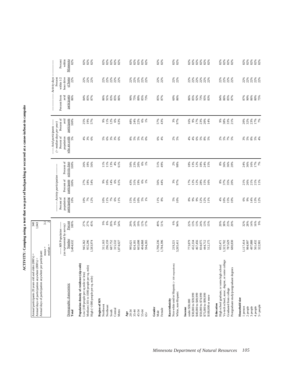ACTIVITY: Camping using a tent that was part of backpacking or occurred at a canoe-in/boat-in campsite **ACTIVITY: Camping using a tent that was part of backpacking or occurred at a canoe-in/boat-in campsite**

| Annual days of participation anywhere per participant:<br>Annual participants 20 years old and older (000's) =<br>Annual days of participation anywhere (000's) = |                                                              | 340<br>1,043            |                                    |                                    |                                     |                                                                           |                              |                             |                                        |                                                               |
|-------------------------------------------------------------------------------------------------------------------------------------------------------------------|--------------------------------------------------------------|-------------------------|------------------------------------|------------------------------------|-------------------------------------|---------------------------------------------------------------------------|------------------------------|-----------------------------|----------------------------------------|---------------------------------------------------------------|
|                                                                                                                                                                   | median<br>$mean =$                                           | $\tilde{ }$<br>3.1      |                                    |                                    |                                     |                                                                           |                              |                             |                                        |                                                               |
|                                                                                                                                                                   | ---- MN Population --                                        |                         | Percent of                         | ---- Activity participation        |                                     | ----- Avid participants ----<br>$($ > median days per year)<br>Percent of | Percent of                   | Percent from                | Activity days<br>within 1/2<br>Percent | Percent                                                       |
| Demographic characteristic<br>Total                                                                                                                               | (as represented by survey)<br>Number<br>3,484,632            | Percent<br>100%         | population<br>participating<br>10% | participants<br>Percent of<br>100% | Percent of<br>activity days<br>100% | who are avids<br>population<br>5%                                         | avid<br>participants<br>100% | avid<br>participants<br>86% | hour drive<br>of home<br>22%           | Minnesota<br>82%<br>within                                    |
| Population density of residence (zip code)<br>Low (100 people per sq mile or less)                                                                                | 945,362                                                      |                         | 10%                                | 27%                                |                                     |                                                                           | 25%                          | 84%                         | 22%                                    |                                                               |
| Medium (101 to 1000 people per sq. mile)<br>High (>1000 people per sq. mile)                                                                                      | 955,296<br>1,583,974                                         | 27%<br>27%<br>45%       | 7%<br>12%                          | 18%<br>54%                         | 26%<br>18%<br>56%                   | ~ \$78                                                                    | 19%<br>57%                   | 85%<br>87%                  | 22%<br>22%                             | $82%$<br>$82%$<br>$82%$                                       |
| Region of MN<br>Northwest                                                                                                                                         | 311,163                                                      | 66                      | 10%                                | 66                                 | 11%                                 | $5\%$                                                                     | 66                           | 86%                         | 22%                                    | 82%                                                           |
| Northeast                                                                                                                                                         | 296,159                                                      | $8\%$                   | 11%                                | 10%                                | 11%                                 | 6%                                                                        | 11%                          | 91%                         | 22%                                    | $82\%$                                                        |
| Central<br>South                                                                                                                                                  | 687,752<br>315,532                                           | 20%<br>9%               | 7%<br>6%                           | $14%$<br>6%                        | 13%                                 | 3%<br>3%                                                                  | 12%<br>$6\%$                 | 83%<br>85%                  | 22%                                    | 82 %<br>82 %<br>82 %                                          |
| Metro                                                                                                                                                             | 1,874,027                                                    | 54%                     | 11%                                | 61%                                | $4\%$ 61%                           |                                                                           | 63%                          | 86%                         | 22%<br>22%                             |                                                               |
| 20-34<br>$_{\rm Age}$                                                                                                                                             | 995,621                                                      | 29%                     |                                    | 43%                                |                                     |                                                                           | 48%                          | 90%                         | 22%                                    | 82%                                                           |
| $35 - 44$                                                                                                                                                         | 824,181                                                      | 24%                     | 15%<br>13%                         | 31%                                | 50%<br>20%<br>20%                   |                                                                           | 24%                          | 75%                         | 22%                                    |                                                               |
| 45-54                                                                                                                                                             | 665,698                                                      | 19%                     | 10%                                | 19%                                |                                     |                                                                           | 22%                          | 89%                         | 22%                                    |                                                               |
| 55-64<br>$65+$                                                                                                                                                    | 404,868<br>594,265                                           | $12%$<br>$17%$          | $5%$<br>1%                         | 6%<br>$1\%$                        | $6\%$<br>1%                         | 88888                                                                     | 6%<br>1%                     | 85%<br>73%                  | 22%<br>22%                             | 8<br>8<br>8<br>8<br>8<br>8<br>8<br>8                          |
| Gender<br>Male                                                                                                                                                    | 1,700,236                                                    | 49%                     |                                    | 56%                                |                                     |                                                                           |                              |                             |                                        |                                                               |
| Female                                                                                                                                                            | 1,784,396                                                    | 51%                     | $\frac{11\%}{8\%}$                 | 44%                                | 51%<br>49%                          | $6%$<br>4%                                                                | 57%<br>43%                   | 85%<br>87%                  | 22%<br>22%                             | 82%<br>82%                                                    |
| Non-white and/or Hispanic (<100 respondents)<br>White, non-Hispanic<br>Race/ethnicity                                                                             | 3,265,411<br>219,221                                         | $6\%$<br>94%            | $5%$<br>10%                        | 3%<br>97%                          | $2\%$<br>98%                        | 2%<br>5%                                                                  | 3%<br>97%                    | $60\%$<br>86%               | 22%<br>22%                             | <b>82%</b><br>82%                                             |
| Income                                                                                                                                                            |                                                              |                         |                                    |                                    |                                     |                                                                           |                              |                             |                                        |                                                               |
| \$30,000 to \$39,999<br>under \$30,000                                                                                                                            | 773,879<br>452,334                                           | 22%<br>13%              | $8\%$<br>9%                        | 17%                                | $18\%$<br>13%                       | 4%<br>$4\%$                                                               | 9%<br>16%                    | 86%<br>85%                  | 22%<br>22%                             | $82\%$                                                        |
| \$40,000 to \$49,999                                                                                                                                              | 467,456                                                      | 13%                     | $9\%$                              | $12%$<br>$12%$<br>$28%$            |                                     |                                                                           | 17%                          | 92%                         | 22%                                    |                                                               |
| \$50,000 to \$74,999                                                                                                                                              | 834,075                                                      | 24%                     |                                    |                                    | $12\%$ 18%                          |                                                                           | 23%                          | 73%                         | 22%                                    |                                                               |
| \$75,000 to \$99,999<br>\$100,000 or more                                                                                                                         | 444,712<br>512,175                                           | $13%$<br>$15%$          | 12%<br>12%<br>11%                  | $15%$<br>$16%$                     | 24%<br>15%                          | 8888                                                                      | 20%<br>14%                   | 95%<br>83%                  | 22%<br>22%                             | 8<br>8<br>8<br>8<br>8<br>8<br>8<br>8<br>8<br>8<br>8           |
| High school graduate, or some high school<br>Education                                                                                                            | 692,471                                                      | 20%                     | 4%                                 |                                    | 8%                                  |                                                                           | $9\%$                        | 84%                         | 22%                                    | 82%                                                           |
| Vo-tech school, assoc. degree, or some college                                                                                                                    | 1,323,702                                                    | 38%                     |                                    | 8%<br>37%<br>35%                   | 36%                                 | 28 8 8 8                                                                  | 38%                          | 86%                         | 22%                                    |                                                               |
| Graduated from college                                                                                                                                            | 787,629<br>680,830                                           | 23%<br>20%              | $10%$<br>$15%$<br>$10%$            |                                    | 36%<br>20%                          |                                                                           | 33%<br>21%                   | 85%<br>87%                  | 22%<br>22%                             | $82%$<br>$82%$<br>$82%$                                       |
| Postgraduate study/postgraduate degrees                                                                                                                           |                                                              |                         |                                    |                                    |                                     |                                                                           |                              |                             |                                        |                                                               |
| Household size<br>1 person                                                                                                                                        | 1,117,414                                                    |                         |                                    |                                    |                                     |                                                                           |                              | 87%                         |                                        |                                                               |
| 2 people                                                                                                                                                          | 984,997                                                      | $32%$<br>$28%$<br>$14%$ | 6%<br>9%                           | 21%<br>26%                         | 24%<br>36%                          | 288888                                                                    | 20%<br>32%                   | 90%                         | 22%<br>22%                             | 8<br>8<br>8<br>8<br>8<br>8<br>8<br>8<br>8<br>8<br>8<br>8<br>8 |
| 4 people<br>3 people                                                                                                                                              |                                                              |                         |                                    | 21%                                | 16%                                 |                                                                           | 23%                          | 86%                         | 22%                                    |                                                               |
| 5+ people                                                                                                                                                         | $\begin{array}{c} 497,888 \\ 561,432 \\ 322,901 \end{array}$ | $16%$<br>9%             | 14%<br>13%<br>12%                  | 21%<br>11%                         | <b>17%</b>                          |                                                                           | 17%<br>7%                    | 80%<br>75%                  | 22%<br>22%                             |                                                               |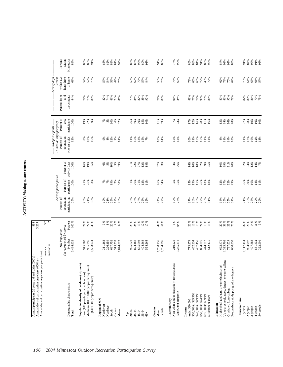| Ď |
|---|
| ֠ |

| Activity days<br>hour drive<br>of home<br>within $1/2$<br>Percent<br>58%<br>75%<br>73%<br>69%<br>68%<br>65%<br>57%<br>69%<br>52%<br>52%<br>56%<br>42%<br>59%<br>62%<br>$77%$<br>57%<br>34%<br>73%<br>$65\%$<br>72%<br>62%<br>73%<br>70%<br>78%<br>64%<br>78%<br>57%<br>54%<br>76%<br>65%<br>$^{40\%}_{77\%}$<br>62%<br>Percent from<br>avid<br>participants<br>91%<br>84%<br>87%<br>%<br>79%<br>73%<br>84%<br>77%<br>75%<br>88%<br>82%<br>74%<br>81%<br>73%<br>84%<br>87%<br>88%<br>90%<br>77%<br>88%<br>88%<br>77%<br>77%<br>90%<br>80%<br>%<br>90%<br>79%<br>86%<br>74%<br>86%<br>75%<br>88%<br>Percent of<br>avid<br>participants<br>$788$<br>50%<br>62%<br>19%<br>16%<br>10%<br>22%<br>59%<br>30%<br>20%<br>15%<br>41%<br>59%<br>7%<br>93%<br>17%<br>12%<br>16%<br>28%<br>11%<br>16%<br>13%<br>34%<br>26%<br>27%<br>28%<br>100%<br>19%<br>26%<br>10%<br>28%<br>-- Avid participants -----<br>$($ > median days per year)<br>Percent of<br>who are avids<br>population<br>12%<br>16%<br>$\begin{array}{l} 8\% \\ 10\% \end{array}$<br>12%<br>11%<br>15%<br>13%<br>$15%$<br>$7%$<br>15%<br>12%<br>11%<br>15%<br>15%<br>11%<br>14%<br>11%<br>12%<br>12%<br>13%<br>$9\%$<br>$8\%$<br>9%<br>14%<br>10%<br>14%<br>10%<br>$11%$<br>$14%$<br>8%<br>16%<br>18%<br>Percent of<br>activity days<br>100%<br>27%<br>37%<br>63%<br>$4%$<br>96%<br>$12%$<br>$14%$<br>7%<br>16%<br>19%<br>65%<br>6%<br>5%<br>16%<br>$5%$<br>69%<br>21%<br>22%<br>$12%$<br>$18%$<br>$10\%$<br>32%<br>10%<br>39%<br>31%<br>20%<br>32%<br>34%<br>14%<br>10%<br>9%<br>25%<br>----- Activity participation<br>Percent of<br>participants<br>100%<br>26%<br>21%<br>16%<br>18%<br>11%<br>53%<br>19%<br>7%<br>60%<br>31%<br>26%<br>12%<br>46%<br>54%<br>5%<br>95%<br>$15%$<br>13%<br>15%<br>26%<br>$13\%$ 18%<br>12%<br>37%<br>22%<br>29%<br>26%<br>29%<br>21%<br>7%<br>7%<br>11%<br>Percent of<br>population<br>participating<br>21%<br>26%<br>28%<br>25%<br>20%<br>24%<br>19%<br>21%<br>25%<br>19%<br>28%<br>28%<br>27%<br>25%<br>24%<br>27%<br>19%<br>17%<br>26%<br>28%<br>27%<br>16%<br>25%<br>25%<br>37%<br>29%<br>29%<br>30%<br>26%<br>26%<br>31%<br>28%<br>16%<br>3.7<br>$\sim$<br>Percent<br>27%<br>27%<br>* * * * *<br>\$ * \$ * * *<br>19%<br>49%<br>6%<br>94%<br>$32%$<br>$28%$<br>14%<br>16%<br>9%<br>45%<br>29%<br>24%<br>12%<br>51%<br>22%<br>13%<br>13%<br>24%<br>13%<br>15%<br>20%<br>38%<br>23%<br>20%<br>100%<br>17%<br>(as represented by survey)<br>---- MN Population ----<br>Number<br>955,296<br>1,700,236<br>1,117,414<br>497,888<br>561,432<br>322,901<br>3,484,632<br>945,362<br>296,159<br>687,752<br>315,532<br>665,698<br>1,784,396<br>773,879<br>452,334<br>467,456<br>834,075<br>444,712<br>1,323,702<br>$787,629$<br>$680,830$<br>984,997<br>1,583,974<br>311,163<br>404,868<br>594,265<br>512,175<br>692,471<br>995,621<br>219,221<br>3,265,411<br>1,874,027<br>824,181<br>$mean =$<br>median<br>Vo-tech school, assoc. degree, or some college<br>Population density of residence (zip code)<br>Non-white and/or Hispanic (<100 respondents)<br>High school graduate, or some high school<br>Medium (101 to 1000 people per sq. mile)<br>Postgraduate study/postgraduate degrees<br>Low (100 people per sq mile or less)<br>High (>1000 people per sq. mile)<br>Demographic characteristic<br>Graduated from college<br>White, non-Hispanic<br>\$40,000 to \$49,999<br>\$50,000 to \$74,999<br>\$30,000 to \$39,999<br>\$75,000 to \$99,999<br>\$100,000 or more<br>Household size<br>Region of MN<br>Race/ethnicity<br>under \$30,000<br>Education<br>Northwest<br>5+ people<br>Northeast<br>1 person<br>2 people<br>3 people<br>4 people<br>Income<br>Gender<br>Female<br>Central<br>South<br>Metro<br>45-54<br>55-64<br>20-34<br>35-44<br>Total<br>Male<br>Age<br>$65+$ | Annual days of participation anywhere per participant: |  |  |  |  |  |
|--------------------------------------------------------------------------------------------------------------------------------------------------------------------------------------------------------------------------------------------------------------------------------------------------------------------------------------------------------------------------------------------------------------------------------------------------------------------------------------------------------------------------------------------------------------------------------------------------------------------------------------------------------------------------------------------------------------------------------------------------------------------------------------------------------------------------------------------------------------------------------------------------------------------------------------------------------------------------------------------------------------------------------------------------------------------------------------------------------------------------------------------------------------------------------------------------------------------------------------------------------------------------------------------------------------------------------------------------------------------------------------------------------------------------------------------------------------------------------------------------------------------------------------------------------------------------------------------------------------------------------------------------------------------------------------------------------------------------------------------------------------------------------------------------------------------------------------------------------------------------------------------------------------------------------------------------------------------------------------------------------------------------------------------------------------------------------------------------------------------------------------------------------------------------------------------------------------------------------------------------------------------------------------------------------------------------------------------------------------------------------------------------------------------------------------------------------------------------------------------------------------------------------------------------------------------------------------------------------------------------------------------------------------------------------------------------------------------------------------------------------------------------------------------------------------------------------------------------------------------------------------------------------------------------------------------------------------------------------------------------------------------------------------------------------------------------------------------------------------------------------------------------------------------------------------------------------------------------------------------------------------------------------------------------------------------------------------------------------------------------------------------------------------------------------------------------------------------------------------------------------------------------------------------------------------------------------------------------------------------------------------------------------------------------------------------------------------------------------------------------------------------------|--------------------------------------------------------|--|--|--|--|--|
|                                                                                                                                                                                                                                                                                                                                                                                                                                                                                                                                                                                                                                                                                                                                                                                                                                                                                                                                                                                                                                                                                                                                                                                                                                                                                                                                                                                                                                                                                                                                                                                                                                                                                                                                                                                                                                                                                                                                                                                                                                                                                                                                                                                                                                                                                                                                                                                                                                                                                                                                                                                                                                                                                                                                                                                                                                                                                                                                                                                                                                                                                                                                                                                                                                                                                                                                                                                                                                                                                                                                                                                                                                                                                                                                                                          |                                                        |  |  |  |  |  |
|                                                                                                                                                                                                                                                                                                                                                                                                                                                                                                                                                                                                                                                                                                                                                                                                                                                                                                                                                                                                                                                                                                                                                                                                                                                                                                                                                                                                                                                                                                                                                                                                                                                                                                                                                                                                                                                                                                                                                                                                                                                                                                                                                                                                                                                                                                                                                                                                                                                                                                                                                                                                                                                                                                                                                                                                                                                                                                                                                                                                                                                                                                                                                                                                                                                                                                                                                                                                                                                                                                                                                                                                                                                                                                                                                                          |                                                        |  |  |  |  |  |
|                                                                                                                                                                                                                                                                                                                                                                                                                                                                                                                                                                                                                                                                                                                                                                                                                                                                                                                                                                                                                                                                                                                                                                                                                                                                                                                                                                                                                                                                                                                                                                                                                                                                                                                                                                                                                                                                                                                                                                                                                                                                                                                                                                                                                                                                                                                                                                                                                                                                                                                                                                                                                                                                                                                                                                                                                                                                                                                                                                                                                                                                                                                                                                                                                                                                                                                                                                                                                                                                                                                                                                                                                                                                                                                                                                          |                                                        |  |  |  |  |  |
|                                                                                                                                                                                                                                                                                                                                                                                                                                                                                                                                                                                                                                                                                                                                                                                                                                                                                                                                                                                                                                                                                                                                                                                                                                                                                                                                                                                                                                                                                                                                                                                                                                                                                                                                                                                                                                                                                                                                                                                                                                                                                                                                                                                                                                                                                                                                                                                                                                                                                                                                                                                                                                                                                                                                                                                                                                                                                                                                                                                                                                                                                                                                                                                                                                                                                                                                                                                                                                                                                                                                                                                                                                                                                                                                                                          |                                                        |  |  |  |  |  |
|                                                                                                                                                                                                                                                                                                                                                                                                                                                                                                                                                                                                                                                                                                                                                                                                                                                                                                                                                                                                                                                                                                                                                                                                                                                                                                                                                                                                                                                                                                                                                                                                                                                                                                                                                                                                                                                                                                                                                                                                                                                                                                                                                                                                                                                                                                                                                                                                                                                                                                                                                                                                                                                                                                                                                                                                                                                                                                                                                                                                                                                                                                                                                                                                                                                                                                                                                                                                                                                                                                                                                                                                                                                                                                                                                                          |                                                        |  |  |  |  |  |
|                                                                                                                                                                                                                                                                                                                                                                                                                                                                                                                                                                                                                                                                                                                                                                                                                                                                                                                                                                                                                                                                                                                                                                                                                                                                                                                                                                                                                                                                                                                                                                                                                                                                                                                                                                                                                                                                                                                                                                                                                                                                                                                                                                                                                                                                                                                                                                                                                                                                                                                                                                                                                                                                                                                                                                                                                                                                                                                                                                                                                                                                                                                                                                                                                                                                                                                                                                                                                                                                                                                                                                                                                                                                                                                                                                          |                                                        |  |  |  |  |  |
|                                                                                                                                                                                                                                                                                                                                                                                                                                                                                                                                                                                                                                                                                                                                                                                                                                                                                                                                                                                                                                                                                                                                                                                                                                                                                                                                                                                                                                                                                                                                                                                                                                                                                                                                                                                                                                                                                                                                                                                                                                                                                                                                                                                                                                                                                                                                                                                                                                                                                                                                                                                                                                                                                                                                                                                                                                                                                                                                                                                                                                                                                                                                                                                                                                                                                                                                                                                                                                                                                                                                                                                                                                                                                                                                                                          |                                                        |  |  |  |  |  |
|                                                                                                                                                                                                                                                                                                                                                                                                                                                                                                                                                                                                                                                                                                                                                                                                                                                                                                                                                                                                                                                                                                                                                                                                                                                                                                                                                                                                                                                                                                                                                                                                                                                                                                                                                                                                                                                                                                                                                                                                                                                                                                                                                                                                                                                                                                                                                                                                                                                                                                                                                                                                                                                                                                                                                                                                                                                                                                                                                                                                                                                                                                                                                                                                                                                                                                                                                                                                                                                                                                                                                                                                                                                                                                                                                                          |                                                        |  |  |  |  |  |
|                                                                                                                                                                                                                                                                                                                                                                                                                                                                                                                                                                                                                                                                                                                                                                                                                                                                                                                                                                                                                                                                                                                                                                                                                                                                                                                                                                                                                                                                                                                                                                                                                                                                                                                                                                                                                                                                                                                                                                                                                                                                                                                                                                                                                                                                                                                                                                                                                                                                                                                                                                                                                                                                                                                                                                                                                                                                                                                                                                                                                                                                                                                                                                                                                                                                                                                                                                                                                                                                                                                                                                                                                                                                                                                                                                          |                                                        |  |  |  |  |  |
|                                                                                                                                                                                                                                                                                                                                                                                                                                                                                                                                                                                                                                                                                                                                                                                                                                                                                                                                                                                                                                                                                                                                                                                                                                                                                                                                                                                                                                                                                                                                                                                                                                                                                                                                                                                                                                                                                                                                                                                                                                                                                                                                                                                                                                                                                                                                                                                                                                                                                                                                                                                                                                                                                                                                                                                                                                                                                                                                                                                                                                                                                                                                                                                                                                                                                                                                                                                                                                                                                                                                                                                                                                                                                                                                                                          |                                                        |  |  |  |  |  |
|                                                                                                                                                                                                                                                                                                                                                                                                                                                                                                                                                                                                                                                                                                                                                                                                                                                                                                                                                                                                                                                                                                                                                                                                                                                                                                                                                                                                                                                                                                                                                                                                                                                                                                                                                                                                                                                                                                                                                                                                                                                                                                                                                                                                                                                                                                                                                                                                                                                                                                                                                                                                                                                                                                                                                                                                                                                                                                                                                                                                                                                                                                                                                                                                                                                                                                                                                                                                                                                                                                                                                                                                                                                                                                                                                                          |                                                        |  |  |  |  |  |
|                                                                                                                                                                                                                                                                                                                                                                                                                                                                                                                                                                                                                                                                                                                                                                                                                                                                                                                                                                                                                                                                                                                                                                                                                                                                                                                                                                                                                                                                                                                                                                                                                                                                                                                                                                                                                                                                                                                                                                                                                                                                                                                                                                                                                                                                                                                                                                                                                                                                                                                                                                                                                                                                                                                                                                                                                                                                                                                                                                                                                                                                                                                                                                                                                                                                                                                                                                                                                                                                                                                                                                                                                                                                                                                                                                          |                                                        |  |  |  |  |  |
|                                                                                                                                                                                                                                                                                                                                                                                                                                                                                                                                                                                                                                                                                                                                                                                                                                                                                                                                                                                                                                                                                                                                                                                                                                                                                                                                                                                                                                                                                                                                                                                                                                                                                                                                                                                                                                                                                                                                                                                                                                                                                                                                                                                                                                                                                                                                                                                                                                                                                                                                                                                                                                                                                                                                                                                                                                                                                                                                                                                                                                                                                                                                                                                                                                                                                                                                                                                                                                                                                                                                                                                                                                                                                                                                                                          |                                                        |  |  |  |  |  |
|                                                                                                                                                                                                                                                                                                                                                                                                                                                                                                                                                                                                                                                                                                                                                                                                                                                                                                                                                                                                                                                                                                                                                                                                                                                                                                                                                                                                                                                                                                                                                                                                                                                                                                                                                                                                                                                                                                                                                                                                                                                                                                                                                                                                                                                                                                                                                                                                                                                                                                                                                                                                                                                                                                                                                                                                                                                                                                                                                                                                                                                                                                                                                                                                                                                                                                                                                                                                                                                                                                                                                                                                                                                                                                                                                                          |                                                        |  |  |  |  |  |
|                                                                                                                                                                                                                                                                                                                                                                                                                                                                                                                                                                                                                                                                                                                                                                                                                                                                                                                                                                                                                                                                                                                                                                                                                                                                                                                                                                                                                                                                                                                                                                                                                                                                                                                                                                                                                                                                                                                                                                                                                                                                                                                                                                                                                                                                                                                                                                                                                                                                                                                                                                                                                                                                                                                                                                                                                                                                                                                                                                                                                                                                                                                                                                                                                                                                                                                                                                                                                                                                                                                                                                                                                                                                                                                                                                          |                                                        |  |  |  |  |  |
|                                                                                                                                                                                                                                                                                                                                                                                                                                                                                                                                                                                                                                                                                                                                                                                                                                                                                                                                                                                                                                                                                                                                                                                                                                                                                                                                                                                                                                                                                                                                                                                                                                                                                                                                                                                                                                                                                                                                                                                                                                                                                                                                                                                                                                                                                                                                                                                                                                                                                                                                                                                                                                                                                                                                                                                                                                                                                                                                                                                                                                                                                                                                                                                                                                                                                                                                                                                                                                                                                                                                                                                                                                                                                                                                                                          |                                                        |  |  |  |  |  |
|                                                                                                                                                                                                                                                                                                                                                                                                                                                                                                                                                                                                                                                                                                                                                                                                                                                                                                                                                                                                                                                                                                                                                                                                                                                                                                                                                                                                                                                                                                                                                                                                                                                                                                                                                                                                                                                                                                                                                                                                                                                                                                                                                                                                                                                                                                                                                                                                                                                                                                                                                                                                                                                                                                                                                                                                                                                                                                                                                                                                                                                                                                                                                                                                                                                                                                                                                                                                                                                                                                                                                                                                                                                                                                                                                                          |                                                        |  |  |  |  |  |
|                                                                                                                                                                                                                                                                                                                                                                                                                                                                                                                                                                                                                                                                                                                                                                                                                                                                                                                                                                                                                                                                                                                                                                                                                                                                                                                                                                                                                                                                                                                                                                                                                                                                                                                                                                                                                                                                                                                                                                                                                                                                                                                                                                                                                                                                                                                                                                                                                                                                                                                                                                                                                                                                                                                                                                                                                                                                                                                                                                                                                                                                                                                                                                                                                                                                                                                                                                                                                                                                                                                                                                                                                                                                                                                                                                          |                                                        |  |  |  |  |  |
|                                                                                                                                                                                                                                                                                                                                                                                                                                                                                                                                                                                                                                                                                                                                                                                                                                                                                                                                                                                                                                                                                                                                                                                                                                                                                                                                                                                                                                                                                                                                                                                                                                                                                                                                                                                                                                                                                                                                                                                                                                                                                                                                                                                                                                                                                                                                                                                                                                                                                                                                                                                                                                                                                                                                                                                                                                                                                                                                                                                                                                                                                                                                                                                                                                                                                                                                                                                                                                                                                                                                                                                                                                                                                                                                                                          |                                                        |  |  |  |  |  |
|                                                                                                                                                                                                                                                                                                                                                                                                                                                                                                                                                                                                                                                                                                                                                                                                                                                                                                                                                                                                                                                                                                                                                                                                                                                                                                                                                                                                                                                                                                                                                                                                                                                                                                                                                                                                                                                                                                                                                                                                                                                                                                                                                                                                                                                                                                                                                                                                                                                                                                                                                                                                                                                                                                                                                                                                                                                                                                                                                                                                                                                                                                                                                                                                                                                                                                                                                                                                                                                                                                                                                                                                                                                                                                                                                                          |                                                        |  |  |  |  |  |
|                                                                                                                                                                                                                                                                                                                                                                                                                                                                                                                                                                                                                                                                                                                                                                                                                                                                                                                                                                                                                                                                                                                                                                                                                                                                                                                                                                                                                                                                                                                                                                                                                                                                                                                                                                                                                                                                                                                                                                                                                                                                                                                                                                                                                                                                                                                                                                                                                                                                                                                                                                                                                                                                                                                                                                                                                                                                                                                                                                                                                                                                                                                                                                                                                                                                                                                                                                                                                                                                                                                                                                                                                                                                                                                                                                          |                                                        |  |  |  |  |  |
|                                                                                                                                                                                                                                                                                                                                                                                                                                                                                                                                                                                                                                                                                                                                                                                                                                                                                                                                                                                                                                                                                                                                                                                                                                                                                                                                                                                                                                                                                                                                                                                                                                                                                                                                                                                                                                                                                                                                                                                                                                                                                                                                                                                                                                                                                                                                                                                                                                                                                                                                                                                                                                                                                                                                                                                                                                                                                                                                                                                                                                                                                                                                                                                                                                                                                                                                                                                                                                                                                                                                                                                                                                                                                                                                                                          |                                                        |  |  |  |  |  |
|                                                                                                                                                                                                                                                                                                                                                                                                                                                                                                                                                                                                                                                                                                                                                                                                                                                                                                                                                                                                                                                                                                                                                                                                                                                                                                                                                                                                                                                                                                                                                                                                                                                                                                                                                                                                                                                                                                                                                                                                                                                                                                                                                                                                                                                                                                                                                                                                                                                                                                                                                                                                                                                                                                                                                                                                                                                                                                                                                                                                                                                                                                                                                                                                                                                                                                                                                                                                                                                                                                                                                                                                                                                                                                                                                                          |                                                        |  |  |  |  |  |
|                                                                                                                                                                                                                                                                                                                                                                                                                                                                                                                                                                                                                                                                                                                                                                                                                                                                                                                                                                                                                                                                                                                                                                                                                                                                                                                                                                                                                                                                                                                                                                                                                                                                                                                                                                                                                                                                                                                                                                                                                                                                                                                                                                                                                                                                                                                                                                                                                                                                                                                                                                                                                                                                                                                                                                                                                                                                                                                                                                                                                                                                                                                                                                                                                                                                                                                                                                                                                                                                                                                                                                                                                                                                                                                                                                          |                                                        |  |  |  |  |  |
|                                                                                                                                                                                                                                                                                                                                                                                                                                                                                                                                                                                                                                                                                                                                                                                                                                                                                                                                                                                                                                                                                                                                                                                                                                                                                                                                                                                                                                                                                                                                                                                                                                                                                                                                                                                                                                                                                                                                                                                                                                                                                                                                                                                                                                                                                                                                                                                                                                                                                                                                                                                                                                                                                                                                                                                                                                                                                                                                                                                                                                                                                                                                                                                                                                                                                                                                                                                                                                                                                                                                                                                                                                                                                                                                                                          |                                                        |  |  |  |  |  |
|                                                                                                                                                                                                                                                                                                                                                                                                                                                                                                                                                                                                                                                                                                                                                                                                                                                                                                                                                                                                                                                                                                                                                                                                                                                                                                                                                                                                                                                                                                                                                                                                                                                                                                                                                                                                                                                                                                                                                                                                                                                                                                                                                                                                                                                                                                                                                                                                                                                                                                                                                                                                                                                                                                                                                                                                                                                                                                                                                                                                                                                                                                                                                                                                                                                                                                                                                                                                                                                                                                                                                                                                                                                                                                                                                                          |                                                        |  |  |  |  |  |
|                                                                                                                                                                                                                                                                                                                                                                                                                                                                                                                                                                                                                                                                                                                                                                                                                                                                                                                                                                                                                                                                                                                                                                                                                                                                                                                                                                                                                                                                                                                                                                                                                                                                                                                                                                                                                                                                                                                                                                                                                                                                                                                                                                                                                                                                                                                                                                                                                                                                                                                                                                                                                                                                                                                                                                                                                                                                                                                                                                                                                                                                                                                                                                                                                                                                                                                                                                                                                                                                                                                                                                                                                                                                                                                                                                          |                                                        |  |  |  |  |  |
|                                                                                                                                                                                                                                                                                                                                                                                                                                                                                                                                                                                                                                                                                                                                                                                                                                                                                                                                                                                                                                                                                                                                                                                                                                                                                                                                                                                                                                                                                                                                                                                                                                                                                                                                                                                                                                                                                                                                                                                                                                                                                                                                                                                                                                                                                                                                                                                                                                                                                                                                                                                                                                                                                                                                                                                                                                                                                                                                                                                                                                                                                                                                                                                                                                                                                                                                                                                                                                                                                                                                                                                                                                                                                                                                                                          |                                                        |  |  |  |  |  |
|                                                                                                                                                                                                                                                                                                                                                                                                                                                                                                                                                                                                                                                                                                                                                                                                                                                                                                                                                                                                                                                                                                                                                                                                                                                                                                                                                                                                                                                                                                                                                                                                                                                                                                                                                                                                                                                                                                                                                                                                                                                                                                                                                                                                                                                                                                                                                                                                                                                                                                                                                                                                                                                                                                                                                                                                                                                                                                                                                                                                                                                                                                                                                                                                                                                                                                                                                                                                                                                                                                                                                                                                                                                                                                                                                                          |                                                        |  |  |  |  |  |
|                                                                                                                                                                                                                                                                                                                                                                                                                                                                                                                                                                                                                                                                                                                                                                                                                                                                                                                                                                                                                                                                                                                                                                                                                                                                                                                                                                                                                                                                                                                                                                                                                                                                                                                                                                                                                                                                                                                                                                                                                                                                                                                                                                                                                                                                                                                                                                                                                                                                                                                                                                                                                                                                                                                                                                                                                                                                                                                                                                                                                                                                                                                                                                                                                                                                                                                                                                                                                                                                                                                                                                                                                                                                                                                                                                          |                                                        |  |  |  |  |  |
|                                                                                                                                                                                                                                                                                                                                                                                                                                                                                                                                                                                                                                                                                                                                                                                                                                                                                                                                                                                                                                                                                                                                                                                                                                                                                                                                                                                                                                                                                                                                                                                                                                                                                                                                                                                                                                                                                                                                                                                                                                                                                                                                                                                                                                                                                                                                                                                                                                                                                                                                                                                                                                                                                                                                                                                                                                                                                                                                                                                                                                                                                                                                                                                                                                                                                                                                                                                                                                                                                                                                                                                                                                                                                                                                                                          |                                                        |  |  |  |  |  |
|                                                                                                                                                                                                                                                                                                                                                                                                                                                                                                                                                                                                                                                                                                                                                                                                                                                                                                                                                                                                                                                                                                                                                                                                                                                                                                                                                                                                                                                                                                                                                                                                                                                                                                                                                                                                                                                                                                                                                                                                                                                                                                                                                                                                                                                                                                                                                                                                                                                                                                                                                                                                                                                                                                                                                                                                                                                                                                                                                                                                                                                                                                                                                                                                                                                                                                                                                                                                                                                                                                                                                                                                                                                                                                                                                                          |                                                        |  |  |  |  |  |
|                                                                                                                                                                                                                                                                                                                                                                                                                                                                                                                                                                                                                                                                                                                                                                                                                                                                                                                                                                                                                                                                                                                                                                                                                                                                                                                                                                                                                                                                                                                                                                                                                                                                                                                                                                                                                                                                                                                                                                                                                                                                                                                                                                                                                                                                                                                                                                                                                                                                                                                                                                                                                                                                                                                                                                                                                                                                                                                                                                                                                                                                                                                                                                                                                                                                                                                                                                                                                                                                                                                                                                                                                                                                                                                                                                          |                                                        |  |  |  |  |  |
|                                                                                                                                                                                                                                                                                                                                                                                                                                                                                                                                                                                                                                                                                                                                                                                                                                                                                                                                                                                                                                                                                                                                                                                                                                                                                                                                                                                                                                                                                                                                                                                                                                                                                                                                                                                                                                                                                                                                                                                                                                                                                                                                                                                                                                                                                                                                                                                                                                                                                                                                                                                                                                                                                                                                                                                                                                                                                                                                                                                                                                                                                                                                                                                                                                                                                                                                                                                                                                                                                                                                                                                                                                                                                                                                                                          |                                                        |  |  |  |  |  |
|                                                                                                                                                                                                                                                                                                                                                                                                                                                                                                                                                                                                                                                                                                                                                                                                                                                                                                                                                                                                                                                                                                                                                                                                                                                                                                                                                                                                                                                                                                                                                                                                                                                                                                                                                                                                                                                                                                                                                                                                                                                                                                                                                                                                                                                                                                                                                                                                                                                                                                                                                                                                                                                                                                                                                                                                                                                                                                                                                                                                                                                                                                                                                                                                                                                                                                                                                                                                                                                                                                                                                                                                                                                                                                                                                                          |                                                        |  |  |  |  |  |
|                                                                                                                                                                                                                                                                                                                                                                                                                                                                                                                                                                                                                                                                                                                                                                                                                                                                                                                                                                                                                                                                                                                                                                                                                                                                                                                                                                                                                                                                                                                                                                                                                                                                                                                                                                                                                                                                                                                                                                                                                                                                                                                                                                                                                                                                                                                                                                                                                                                                                                                                                                                                                                                                                                                                                                                                                                                                                                                                                                                                                                                                                                                                                                                                                                                                                                                                                                                                                                                                                                                                                                                                                                                                                                                                                                          |                                                        |  |  |  |  |  |
|                                                                                                                                                                                                                                                                                                                                                                                                                                                                                                                                                                                                                                                                                                                                                                                                                                                                                                                                                                                                                                                                                                                                                                                                                                                                                                                                                                                                                                                                                                                                                                                                                                                                                                                                                                                                                                                                                                                                                                                                                                                                                                                                                                                                                                                                                                                                                                                                                                                                                                                                                                                                                                                                                                                                                                                                                                                                                                                                                                                                                                                                                                                                                                                                                                                                                                                                                                                                                                                                                                                                                                                                                                                                                                                                                                          |                                                        |  |  |  |  |  |
|                                                                                                                                                                                                                                                                                                                                                                                                                                                                                                                                                                                                                                                                                                                                                                                                                                                                                                                                                                                                                                                                                                                                                                                                                                                                                                                                                                                                                                                                                                                                                                                                                                                                                                                                                                                                                                                                                                                                                                                                                                                                                                                                                                                                                                                                                                                                                                                                                                                                                                                                                                                                                                                                                                                                                                                                                                                                                                                                                                                                                                                                                                                                                                                                                                                                                                                                                                                                                                                                                                                                                                                                                                                                                                                                                                          |                                                        |  |  |  |  |  |
|                                                                                                                                                                                                                                                                                                                                                                                                                                                                                                                                                                                                                                                                                                                                                                                                                                                                                                                                                                                                                                                                                                                                                                                                                                                                                                                                                                                                                                                                                                                                                                                                                                                                                                                                                                                                                                                                                                                                                                                                                                                                                                                                                                                                                                                                                                                                                                                                                                                                                                                                                                                                                                                                                                                                                                                                                                                                                                                                                                                                                                                                                                                                                                                                                                                                                                                                                                                                                                                                                                                                                                                                                                                                                                                                                                          |                                                        |  |  |  |  |  |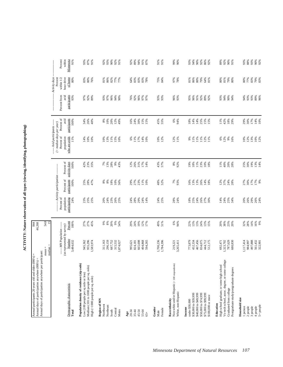ACTIVITY: Nature observation of all types (viewing, identifying, photographing) **ACTIVITY: Nature observation of all types (viewing, identifying, photographing)**

| Annual days of participation anywhere per participant:<br>Annual participants 20 years old and older (000's) =<br>Annual days of participation anywhere (000's)               |                                                                              | 844<br>46,268                                  |                                                  |                                                                  |                                           |                                                                                                                 |                                            |                                             |                                                                          |                                           |
|-------------------------------------------------------------------------------------------------------------------------------------------------------------------------------|------------------------------------------------------------------------------|------------------------------------------------|--------------------------------------------------|------------------------------------------------------------------|-------------------------------------------|-----------------------------------------------------------------------------------------------------------------|--------------------------------------------|---------------------------------------------|--------------------------------------------------------------------------|-------------------------------------------|
|                                                                                                                                                                               | $median =$<br>$mean =$                                                       | 54.8<br>$\overline{15}$                        |                                                  |                                                                  |                                           |                                                                                                                 |                                            |                                             |                                                                          |                                           |
| Demographic characteristic<br>Total                                                                                                                                           | (as represented by survey)<br>---- MN Population ----<br>Number<br>3,484,632 | Percent<br>100%                                | population<br>participating<br>Percent of<br>24% | --- Activity participation<br>participants<br>Percent of<br>100% | Percent of<br>activity days<br>100%       | ----- Avid participants ----<br>$($ > median days per year)<br>Percent of<br>who are avids<br>population<br>11% | Percent of<br>participants<br>avid<br>100% | avid<br>participants<br>93%<br>Percent from | Activity days<br>hour drive<br>of home<br>within $1/2$<br>Percent<br>80% | Percent<br>within<br>Minnesota<br>91%     |
| Population density of residence (zip code)<br>Medium (101 to 1000 people per sq. mile)<br>Low (100 people per sq mile or less)<br>High (>1000 people per sq. mile)            | 955,296<br>945,362<br>1,583,974                                              | 27%<br>27%<br>45%                              | 25%<br>25%<br>23%                                | 25%<br>28%<br>47%                                                | $42%$<br>$23%$<br>$35%$                   | $14%$<br>$10%$<br>$10%$                                                                                         | 26%<br>34%<br>40%                          | 92%<br>97%<br>89%                           | $80\%$<br>83%<br>76%                                                     | 87%<br>91%<br>93%                         |
| Region of MN<br>Northwest<br>Northeast<br>Central<br>Metro<br>South                                                                                                           | 687,752<br>315,532<br>311,163<br>296,159<br>1,874,027                        | 20%<br>9%<br>54%<br>9%<br>8%                   | 23%<br>24%<br>26%<br>25%<br>20%                  | 8%<br>18%<br>10%<br>56%<br>8%                                    | 13%<br>28%<br>9%<br>7%<br>43%             | $13%$<br>$15%$<br>$15%$<br>10%                                                                                  | 8%<br>10%<br>20%<br>12%<br>49%             | 93%<br>97%<br>96%<br>94%<br>90%             | 81%<br>86%<br>$\frac{82\%}{77\%}$<br>77%                                 | 90%<br>92%<br>91%<br>92%<br>93%           |
| 45-54<br>20-34<br>$35 - 44$<br>55-64<br>$_{\rm Age}$<br>$65+$                                                                                                                 | 665,698<br>404,868<br>824,181<br>594,265<br>995,621                          | 24%<br>19%<br>12%<br>17%<br>29%                | 24%<br>28%<br>29%<br>24%<br>14%                  | 27%<br>23%<br>29%<br>11%<br>10%                                  | 12%<br>26%<br>31%<br>17%<br>14%           | $6%$<br>11%<br>17%<br>14%<br>10%                                                                                | 16%<br>24%<br>30%<br>$15%$<br>$15%$        | 76%<br>92%<br>96%<br>97%<br>97%             | 64%<br>83%<br>83%<br>83%<br>78%                                          | 89%<br>91%<br>87%<br>92%<br>94%           |
| Gender<br>Female<br>Male                                                                                                                                                      | 1,700,236<br>1,784,396                                                       | 49%<br>51%                                     | 24%<br>25%                                       | 48%<br>52%                                                       | 43%<br>57%                                | 10%<br>12%                                                                                                      | 45%<br>55%                                 | 93%<br>93%                                  | 75%<br>84%                                                               | 91%<br>91%                                |
| Non-white and/or Hispanic (< 100 respondents)<br>White, non-Hispanic<br>Race/ethnicity                                                                                        | 3,265,411<br>219,221                                                         | $6\%$<br>94%                                   | 28%<br>24%                                       | 7%<br>93%                                                        | $8\%$<br>92%                              | 12%<br>11%                                                                                                      | $6\%$<br>94%                               | 96%<br>93%                                  | 97%<br>78%                                                               | 99%<br>90%                                |
| \$40,000 to \$49,999<br>\$50,000 to \$74,999<br>\$75,000 to \$99,999<br>\$30,000 to \$39,999<br>\$100,000 or more<br>under \$30,000<br>Income                                 | 452,334<br>467,456<br>834,075<br>773,879<br>444,712<br>512,175               | 13%<br>$13%$<br>$24%$<br>$15%$<br>$15%$<br>22% | 26%<br>18%<br>25%<br>24%<br>27%<br>30%           | 13%<br>13%<br>26%<br>16%<br>14%<br>18%                           | 19%<br>$18\%$<br>11%<br>23%<br>10%<br>18% | 66<br>11%<br>11%<br>11%<br>$12%$<br>11%                                                                         | 25%<br>18%<br>14%<br>14%<br>$15%$<br>$15%$ | 96%<br>92%<br>95%<br>91%<br>89%<br>92%      | 81%<br>86%<br>80%<br>79%<br>64%<br>81%                                   | 94%<br>92%<br>93%<br>$90\%$<br>86%<br>92% |
| Vo-tech school, assoc. degree, or some college<br>High school graduate, or some high school<br>Postgraduate study/postgraduate degrees<br>Graduated from college<br>Education | 692,471<br>1,323,702<br>787,629<br>680,830                                   | 20%<br>38%<br>23%<br>20%                       | 14%<br>24%<br>25%<br>34%                         | 12%<br>$37%$<br>24%<br>28%                                       | 11%<br>40%<br><b>20%</b><br>28%           | 6%<br>12%<br>9%<br>16%                                                                                          | $42%$<br>$18%$<br>$29%$<br>11%             | 93%<br>94%<br>90%<br>94%                    | $81\%$<br>80%<br>$79%$<br>80%                                            | 89%<br>%<br>90%<br>91%                    |
| Household size<br>5+ people<br>1 person<br>$2$ people $% \left( \left( \mathcal{A}\right) \right)$<br>3 people<br>4 people                                                    | 497,888<br>1,117,414<br>984,997<br>561,432<br>322,901                        | $14\%$<br>9%<br>32%<br>28%<br>16%              | 20%<br>26%<br>29%<br>26%<br>24%                  | $17\%$<br>27%<br>30%<br>17%<br>9%                                | 19%<br>14%<br>25%<br>30%<br>13%           | $10%$<br>$12%$<br>$13%$<br>10%<br>12%                                                                           | 17%<br>14%<br>10%<br>29%<br>30%            | 93%<br>94%<br>93%<br>89%<br>96%             | 77%<br>83%<br>79%<br>83%<br>$80\%$                                       | 93%<br>$88\%$<br>93%<br>90%<br>92%        |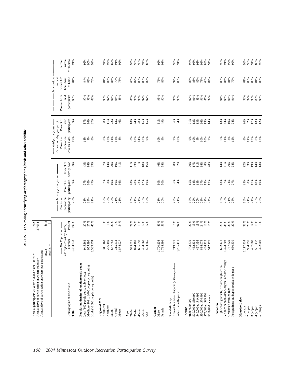ACTIVITY: Viewing, identifying or photographing birds and other wildlife **ACTIVITY: Viewing, identifying or photographing birds and other wildlife**

| Percent of<br>avid<br>participants<br>13%<br>12%<br>28%<br>15%<br>15%<br>51%<br>49%<br>$6\%$<br>44%<br>17%<br>100%<br>37%<br>26%<br>37%<br>$\begin{array}{c} 8\% \\ 11\% \end{array}$<br>22%<br>13%<br>46%<br>$18%$<br>24%<br>94%<br>21%<br>13%<br>13%<br>26%<br>13%<br>19%<br>26%<br>32%<br>13%<br>14%<br>24%<br>--- Avid participants ------<br>$($ > median days per year)<br>Percent of<br>who are avids<br>population<br>12%<br>$\frac{8\%}{12\%}$<br>10%<br>$13%$<br>9%<br>11%<br>14%<br>13%<br>9%<br>9%<br>$10\%$<br>11%<br>$8\%$<br>11%<br>8%<br>$8%$<br>$12%$<br>14%<br>8%<br>$6%$<br>$10%$<br>10%<br>9%<br>10%<br>$\frac{9\%}{10\%}$<br>$9\%$<br><b>10%</b><br>6%<br>$8%$<br>12%<br>activity days<br>Percent of<br>24%<br>33%<br>29%<br>31%<br>46%<br>$8%$<br>92%<br>$88888$<br>$7248$<br>$\frac{8}{4}$ $\frac{8}{0}$ $\frac{8}{0}$ $\frac{8}{0}$<br>22%<br>33%<br>19%<br>$14\%$<br>100%<br>43%<br>$7\%$ 14 $\%$<br>10%<br>41%<br>$11\%$<br>$23\%$<br>$18\%$<br>16%<br>54%<br>$\frac{8\%}{20\%}$<br>14%<br>------- Activity participation --------<br>Percent of<br>participants<br>17%<br><b>18%</b><br>10%<br>19%<br>23%<br>6%<br>13%<br>37%<br>27%<br>100%<br>27%<br>26%<br>$7\%$ $8\%$<br>10%<br>56%<br>$\frac{28%}{28%}$<br>12%<br>50%<br>50%<br>94%<br>15%<br>14%<br>13%<br>27%<br>25%<br>30%<br>47%<br>10%<br>13%<br>17%<br>Percent of<br>population<br>participating<br>16%<br>21%<br>24%<br>23%<br>23%<br>20%<br>19%<br>21%<br>17%<br>20%<br>20%<br>21%<br>21%<br>20%<br>24%<br>24%<br>21%<br>20%<br>22%<br>21%<br>15%<br>22%<br>20%<br>23%<br>22%<br>24%<br>13%<br>20%<br><b>21%</b><br>28%<br>21%<br>20%<br>12%<br>Percent<br>27%<br>27%<br>$\begin{array}{c} 9\% \\ 8\% \end{array}$<br>20%<br>19%<br>6%<br>38%<br>14%<br>16%<br>9%<br>45%<br>9%<br>29%<br>24%<br>12%<br>17%<br>49%<br>51%<br>94%<br>22%<br>13%<br>13%<br>24%<br>13%<br>20%<br>23%<br>20%<br>32%<br>28%<br>100%<br>54%<br>15%<br>----- MN Population ------<br>(as represented by survey)<br>Number<br>3,484,632<br>467,456<br>497,888<br>955,296<br>296,159<br>687,752<br>315,532<br>665,698<br>404,868<br>1,700,236<br>1,784,396<br>452,334<br>834,075<br>1,323,702<br>787,629<br>680,830<br>1,117,414<br>984,997<br>561,432<br>322,901<br>945,362<br>1,583,974<br>311,163<br>594,265<br>773,879<br>444,712<br>512,175<br>692,471<br>1,874,027<br>824,181<br>3,265,411<br>995,621<br>219,221<br>$mean =$<br>median<br>Vo-tech school, assoc. degree, or some college<br>Non-white and/or Hispanic (<100 respondents)<br>e)<br>High school graduate, or some high school<br>Medium (101 to 1000 people per sq. mile)<br>Population density of residence (zip coo<br>Postgraduate study/postgraduate degrees<br>Low (100 people per sq mile or less)<br>High (>1000 people per sq. mile)<br>Demographic characteristic<br>Graduated from college<br>White, non-Hispanic<br>\$30,000 to \$39,999<br>\$40,000 to \$49,999<br>\$50,000 to \$74,999<br>\$75,000 to \$99,999<br>\$100,000 or more<br>Household size<br>Region of MN<br>Race/ethnicity<br>under \$30,000<br>Education<br>Northwest<br>Northeast<br>1 person<br>2 people<br>3 people<br>4 people<br>Income<br>Gender<br>Female<br>Central<br>Metro<br>South<br>20-34<br>$35 - 44$<br>45-54<br>55-64<br>Total<br>Male<br>Age<br>$65+$ | Annual days of participation anywhere per participant: |      |  |     |  |                      |                          |  |
|-------------------------------------------------------------------------------------------------------------------------------------------------------------------------------------------------------------------------------------------------------------------------------------------------------------------------------------------------------------------------------------------------------------------------------------------------------------------------------------------------------------------------------------------------------------------------------------------------------------------------------------------------------------------------------------------------------------------------------------------------------------------------------------------------------------------------------------------------------------------------------------------------------------------------------------------------------------------------------------------------------------------------------------------------------------------------------------------------------------------------------------------------------------------------------------------------------------------------------------------------------------------------------------------------------------------------------------------------------------------------------------------------------------------------------------------------------------------------------------------------------------------------------------------------------------------------------------------------------------------------------------------------------------------------------------------------------------------------------------------------------------------------------------------------------------------------------------------------------------------------------------------------------------------------------------------------------------------------------------------------------------------------------------------------------------------------------------------------------------------------------------------------------------------------------------------------------------------------------------------------------------------------------------------------------------------------------------------------------------------------------------------------------------------------------------------------------------------------------------------------------------------------------------------------------------------------------------------------------------------------------------------------------------------------------------------------------------------------------------------------------------------------------------------------------------------------------------------------------------------------------------------------------------------------------------------------------------------------------------------------------------------------------------------------------------------------------------------------------------------------------------------------------------------------------------------------------------------------------------------------------------------------------------|--------------------------------------------------------|------|--|-----|--|----------------------|--------------------------|--|
|                                                                                                                                                                                                                                                                                                                                                                                                                                                                                                                                                                                                                                                                                                                                                                                                                                                                                                                                                                                                                                                                                                                                                                                                                                                                                                                                                                                                                                                                                                                                                                                                                                                                                                                                                                                                                                                                                                                                                                                                                                                                                                                                                                                                                                                                                                                                                                                                                                                                                                                                                                                                                                                                                                                                                                                                                                                                                                                                                                                                                                                                                                                                                                                                                                                                                     |                                                        | 38.8 |  |     |  |                      |                          |  |
|                                                                                                                                                                                                                                                                                                                                                                                                                                                                                                                                                                                                                                                                                                                                                                                                                                                                                                                                                                                                                                                                                                                                                                                                                                                                                                                                                                                                                                                                                                                                                                                                                                                                                                                                                                                                                                                                                                                                                                                                                                                                                                                                                                                                                                                                                                                                                                                                                                                                                                                                                                                                                                                                                                                                                                                                                                                                                                                                                                                                                                                                                                                                                                                                                                                                                     |                                                        |      |  |     |  |                      | Activity days<br>Percent |  |
|                                                                                                                                                                                                                                                                                                                                                                                                                                                                                                                                                                                                                                                                                                                                                                                                                                                                                                                                                                                                                                                                                                                                                                                                                                                                                                                                                                                                                                                                                                                                                                                                                                                                                                                                                                                                                                                                                                                                                                                                                                                                                                                                                                                                                                                                                                                                                                                                                                                                                                                                                                                                                                                                                                                                                                                                                                                                                                                                                                                                                                                                                                                                                                                                                                                                                     |                                                        |      |  |     |  | Percent from         | within 1/2               |  |
|                                                                                                                                                                                                                                                                                                                                                                                                                                                                                                                                                                                                                                                                                                                                                                                                                                                                                                                                                                                                                                                                                                                                                                                                                                                                                                                                                                                                                                                                                                                                                                                                                                                                                                                                                                                                                                                                                                                                                                                                                                                                                                                                                                                                                                                                                                                                                                                                                                                                                                                                                                                                                                                                                                                                                                                                                                                                                                                                                                                                                                                                                                                                                                                                                                                                                     |                                                        |      |  |     |  | participants<br>avid | of home<br>hour drive    |  |
|                                                                                                                                                                                                                                                                                                                                                                                                                                                                                                                                                                                                                                                                                                                                                                                                                                                                                                                                                                                                                                                                                                                                                                                                                                                                                                                                                                                                                                                                                                                                                                                                                                                                                                                                                                                                                                                                                                                                                                                                                                                                                                                                                                                                                                                                                                                                                                                                                                                                                                                                                                                                                                                                                                                                                                                                                                                                                                                                                                                                                                                                                                                                                                                                                                                                                     |                                                        |      |  |     |  | 93%                  | 81%                      |  |
|                                                                                                                                                                                                                                                                                                                                                                                                                                                                                                                                                                                                                                                                                                                                                                                                                                                                                                                                                                                                                                                                                                                                                                                                                                                                                                                                                                                                                                                                                                                                                                                                                                                                                                                                                                                                                                                                                                                                                                                                                                                                                                                                                                                                                                                                                                                                                                                                                                                                                                                                                                                                                                                                                                                                                                                                                                                                                                                                                                                                                                                                                                                                                                                                                                                                                     |                                                        |      |  |     |  |                      |                          |  |
|                                                                                                                                                                                                                                                                                                                                                                                                                                                                                                                                                                                                                                                                                                                                                                                                                                                                                                                                                                                                                                                                                                                                                                                                                                                                                                                                                                                                                                                                                                                                                                                                                                                                                                                                                                                                                                                                                                                                                                                                                                                                                                                                                                                                                                                                                                                                                                                                                                                                                                                                                                                                                                                                                                                                                                                                                                                                                                                                                                                                                                                                                                                                                                                                                                                                                     |                                                        |      |  |     |  | 97%<br>93%           | 84%<br>83%               |  |
|                                                                                                                                                                                                                                                                                                                                                                                                                                                                                                                                                                                                                                                                                                                                                                                                                                                                                                                                                                                                                                                                                                                                                                                                                                                                                                                                                                                                                                                                                                                                                                                                                                                                                                                                                                                                                                                                                                                                                                                                                                                                                                                                                                                                                                                                                                                                                                                                                                                                                                                                                                                                                                                                                                                                                                                                                                                                                                                                                                                                                                                                                                                                                                                                                                                                                     |                                                        |      |  |     |  | 88%                  | 78%                      |  |
|                                                                                                                                                                                                                                                                                                                                                                                                                                                                                                                                                                                                                                                                                                                                                                                                                                                                                                                                                                                                                                                                                                                                                                                                                                                                                                                                                                                                                                                                                                                                                                                                                                                                                                                                                                                                                                                                                                                                                                                                                                                                                                                                                                                                                                                                                                                                                                                                                                                                                                                                                                                                                                                                                                                                                                                                                                                                                                                                                                                                                                                                                                                                                                                                                                                                                     |                                                        |      |  |     |  |                      |                          |  |
|                                                                                                                                                                                                                                                                                                                                                                                                                                                                                                                                                                                                                                                                                                                                                                                                                                                                                                                                                                                                                                                                                                                                                                                                                                                                                                                                                                                                                                                                                                                                                                                                                                                                                                                                                                                                                                                                                                                                                                                                                                                                                                                                                                                                                                                                                                                                                                                                                                                                                                                                                                                                                                                                                                                                                                                                                                                                                                                                                                                                                                                                                                                                                                                                                                                                                     |                                                        |      |  |     |  | 93%<br>97%           | 81%                      |  |
|                                                                                                                                                                                                                                                                                                                                                                                                                                                                                                                                                                                                                                                                                                                                                                                                                                                                                                                                                                                                                                                                                                                                                                                                                                                                                                                                                                                                                                                                                                                                                                                                                                                                                                                                                                                                                                                                                                                                                                                                                                                                                                                                                                                                                                                                                                                                                                                                                                                                                                                                                                                                                                                                                                                                                                                                                                                                                                                                                                                                                                                                                                                                                                                                                                                                                     |                                                        |      |  |     |  |                      | 88%                      |  |
|                                                                                                                                                                                                                                                                                                                                                                                                                                                                                                                                                                                                                                                                                                                                                                                                                                                                                                                                                                                                                                                                                                                                                                                                                                                                                                                                                                                                                                                                                                                                                                                                                                                                                                                                                                                                                                                                                                                                                                                                                                                                                                                                                                                                                                                                                                                                                                                                                                                                                                                                                                                                                                                                                                                                                                                                                                                                                                                                                                                                                                                                                                                                                                                                                                                                                     |                                                        |      |  |     |  | 96%                  | 84%                      |  |
|                                                                                                                                                                                                                                                                                                                                                                                                                                                                                                                                                                                                                                                                                                                                                                                                                                                                                                                                                                                                                                                                                                                                                                                                                                                                                                                                                                                                                                                                                                                                                                                                                                                                                                                                                                                                                                                                                                                                                                                                                                                                                                                                                                                                                                                                                                                                                                                                                                                                                                                                                                                                                                                                                                                                                                                                                                                                                                                                                                                                                                                                                                                                                                                                                                                                                     |                                                        |      |  |     |  | 95%<br>88%           | 79%<br>78%               |  |
|                                                                                                                                                                                                                                                                                                                                                                                                                                                                                                                                                                                                                                                                                                                                                                                                                                                                                                                                                                                                                                                                                                                                                                                                                                                                                                                                                                                                                                                                                                                                                                                                                                                                                                                                                                                                                                                                                                                                                                                                                                                                                                                                                                                                                                                                                                                                                                                                                                                                                                                                                                                                                                                                                                                                                                                                                                                                                                                                                                                                                                                                                                                                                                                                                                                                                     |                                                        |      |  |     |  |                      |                          |  |
|                                                                                                                                                                                                                                                                                                                                                                                                                                                                                                                                                                                                                                                                                                                                                                                                                                                                                                                                                                                                                                                                                                                                                                                                                                                                                                                                                                                                                                                                                                                                                                                                                                                                                                                                                                                                                                                                                                                                                                                                                                                                                                                                                                                                                                                                                                                                                                                                                                                                                                                                                                                                                                                                                                                                                                                                                                                                                                                                                                                                                                                                                                                                                                                                                                                                                     |                                                        |      |  |     |  |                      |                          |  |
|                                                                                                                                                                                                                                                                                                                                                                                                                                                                                                                                                                                                                                                                                                                                                                                                                                                                                                                                                                                                                                                                                                                                                                                                                                                                                                                                                                                                                                                                                                                                                                                                                                                                                                                                                                                                                                                                                                                                                                                                                                                                                                                                                                                                                                                                                                                                                                                                                                                                                                                                                                                                                                                                                                                                                                                                                                                                                                                                                                                                                                                                                                                                                                                                                                                                                     |                                                        |      |  |     |  | 80%<br>90%           | 68%<br>$82\%$            |  |
|                                                                                                                                                                                                                                                                                                                                                                                                                                                                                                                                                                                                                                                                                                                                                                                                                                                                                                                                                                                                                                                                                                                                                                                                                                                                                                                                                                                                                                                                                                                                                                                                                                                                                                                                                                                                                                                                                                                                                                                                                                                                                                                                                                                                                                                                                                                                                                                                                                                                                                                                                                                                                                                                                                                                                                                                                                                                                                                                                                                                                                                                                                                                                                                                                                                                                     |                                                        |      |  |     |  | 96%                  | 85%                      |  |
|                                                                                                                                                                                                                                                                                                                                                                                                                                                                                                                                                                                                                                                                                                                                                                                                                                                                                                                                                                                                                                                                                                                                                                                                                                                                                                                                                                                                                                                                                                                                                                                                                                                                                                                                                                                                                                                                                                                                                                                                                                                                                                                                                                                                                                                                                                                                                                                                                                                                                                                                                                                                                                                                                                                                                                                                                                                                                                                                                                                                                                                                                                                                                                                                                                                                                     |                                                        |      |  |     |  |                      | 83%                      |  |
|                                                                                                                                                                                                                                                                                                                                                                                                                                                                                                                                                                                                                                                                                                                                                                                                                                                                                                                                                                                                                                                                                                                                                                                                                                                                                                                                                                                                                                                                                                                                                                                                                                                                                                                                                                                                                                                                                                                                                                                                                                                                                                                                                                                                                                                                                                                                                                                                                                                                                                                                                                                                                                                                                                                                                                                                                                                                                                                                                                                                                                                                                                                                                                                                                                                                                     |                                                        |      |  |     |  | 97%<br>97%           | 82%                      |  |
|                                                                                                                                                                                                                                                                                                                                                                                                                                                                                                                                                                                                                                                                                                                                                                                                                                                                                                                                                                                                                                                                                                                                                                                                                                                                                                                                                                                                                                                                                                                                                                                                                                                                                                                                                                                                                                                                                                                                                                                                                                                                                                                                                                                                                                                                                                                                                                                                                                                                                                                                                                                                                                                                                                                                                                                                                                                                                                                                                                                                                                                                                                                                                                                                                                                                                     |                                                        |      |  |     |  |                      |                          |  |
|                                                                                                                                                                                                                                                                                                                                                                                                                                                                                                                                                                                                                                                                                                                                                                                                                                                                                                                                                                                                                                                                                                                                                                                                                                                                                                                                                                                                                                                                                                                                                                                                                                                                                                                                                                                                                                                                                                                                                                                                                                                                                                                                                                                                                                                                                                                                                                                                                                                                                                                                                                                                                                                                                                                                                                                                                                                                                                                                                                                                                                                                                                                                                                                                                                                                                     |                                                        |      |  |     |  | 93%                  |                          |  |
|                                                                                                                                                                                                                                                                                                                                                                                                                                                                                                                                                                                                                                                                                                                                                                                                                                                                                                                                                                                                                                                                                                                                                                                                                                                                                                                                                                                                                                                                                                                                                                                                                                                                                                                                                                                                                                                                                                                                                                                                                                                                                                                                                                                                                                                                                                                                                                                                                                                                                                                                                                                                                                                                                                                                                                                                                                                                                                                                                                                                                                                                                                                                                                                                                                                                                     |                                                        |      |  |     |  | 92%                  | 76%<br>86%               |  |
|                                                                                                                                                                                                                                                                                                                                                                                                                                                                                                                                                                                                                                                                                                                                                                                                                                                                                                                                                                                                                                                                                                                                                                                                                                                                                                                                                                                                                                                                                                                                                                                                                                                                                                                                                                                                                                                                                                                                                                                                                                                                                                                                                                                                                                                                                                                                                                                                                                                                                                                                                                                                                                                                                                                                                                                                                                                                                                                                                                                                                                                                                                                                                                                                                                                                                     |                                                        |      |  |     |  |                      |                          |  |
|                                                                                                                                                                                                                                                                                                                                                                                                                                                                                                                                                                                                                                                                                                                                                                                                                                                                                                                                                                                                                                                                                                                                                                                                                                                                                                                                                                                                                                                                                                                                                                                                                                                                                                                                                                                                                                                                                                                                                                                                                                                                                                                                                                                                                                                                                                                                                                                                                                                                                                                                                                                                                                                                                                                                                                                                                                                                                                                                                                                                                                                                                                                                                                                                                                                                                     |                                                        |      |  |     |  | 96%<br>93%           | 97%                      |  |
|                                                                                                                                                                                                                                                                                                                                                                                                                                                                                                                                                                                                                                                                                                                                                                                                                                                                                                                                                                                                                                                                                                                                                                                                                                                                                                                                                                                                                                                                                                                                                                                                                                                                                                                                                                                                                                                                                                                                                                                                                                                                                                                                                                                                                                                                                                                                                                                                                                                                                                                                                                                                                                                                                                                                                                                                                                                                                                                                                                                                                                                                                                                                                                                                                                                                                     |                                                        |      |  |     |  |                      | 80%                      |  |
|                                                                                                                                                                                                                                                                                                                                                                                                                                                                                                                                                                                                                                                                                                                                                                                                                                                                                                                                                                                                                                                                                                                                                                                                                                                                                                                                                                                                                                                                                                                                                                                                                                                                                                                                                                                                                                                                                                                                                                                                                                                                                                                                                                                                                                                                                                                                                                                                                                                                                                                                                                                                                                                                                                                                                                                                                                                                                                                                                                                                                                                                                                                                                                                                                                                                                     |                                                        |      |  |     |  |                      |                          |  |
|                                                                                                                                                                                                                                                                                                                                                                                                                                                                                                                                                                                                                                                                                                                                                                                                                                                                                                                                                                                                                                                                                                                                                                                                                                                                                                                                                                                                                                                                                                                                                                                                                                                                                                                                                                                                                                                                                                                                                                                                                                                                                                                                                                                                                                                                                                                                                                                                                                                                                                                                                                                                                                                                                                                                                                                                                                                                                                                                                                                                                                                                                                                                                                                                                                                                                     |                                                        |      |  |     |  | 97%<br>96%           | 83%                      |  |
|                                                                                                                                                                                                                                                                                                                                                                                                                                                                                                                                                                                                                                                                                                                                                                                                                                                                                                                                                                                                                                                                                                                                                                                                                                                                                                                                                                                                                                                                                                                                                                                                                                                                                                                                                                                                                                                                                                                                                                                                                                                                                                                                                                                                                                                                                                                                                                                                                                                                                                                                                                                                                                                                                                                                                                                                                                                                                                                                                                                                                                                                                                                                                                                                                                                                                     |                                                        |      |  |     |  |                      | 88%                      |  |
|                                                                                                                                                                                                                                                                                                                                                                                                                                                                                                                                                                                                                                                                                                                                                                                                                                                                                                                                                                                                                                                                                                                                                                                                                                                                                                                                                                                                                                                                                                                                                                                                                                                                                                                                                                                                                                                                                                                                                                                                                                                                                                                                                                                                                                                                                                                                                                                                                                                                                                                                                                                                                                                                                                                                                                                                                                                                                                                                                                                                                                                                                                                                                                                                                                                                                     |                                                        |      |  |     |  | 89%<br>91%           | $82\%$<br>78%            |  |
|                                                                                                                                                                                                                                                                                                                                                                                                                                                                                                                                                                                                                                                                                                                                                                                                                                                                                                                                                                                                                                                                                                                                                                                                                                                                                                                                                                                                                                                                                                                                                                                                                                                                                                                                                                                                                                                                                                                                                                                                                                                                                                                                                                                                                                                                                                                                                                                                                                                                                                                                                                                                                                                                                                                                                                                                                                                                                                                                                                                                                                                                                                                                                                                                                                                                                     |                                                        |      |  |     |  |                      | 64%                      |  |
|                                                                                                                                                                                                                                                                                                                                                                                                                                                                                                                                                                                                                                                                                                                                                                                                                                                                                                                                                                                                                                                                                                                                                                                                                                                                                                                                                                                                                                                                                                                                                                                                                                                                                                                                                                                                                                                                                                                                                                                                                                                                                                                                                                                                                                                                                                                                                                                                                                                                                                                                                                                                                                                                                                                                                                                                                                                                                                                                                                                                                                                                                                                                                                                                                                                                                     |                                                        |      |  |     |  | 85%<br>92%           | 84%                      |  |
|                                                                                                                                                                                                                                                                                                                                                                                                                                                                                                                                                                                                                                                                                                                                                                                                                                                                                                                                                                                                                                                                                                                                                                                                                                                                                                                                                                                                                                                                                                                                                                                                                                                                                                                                                                                                                                                                                                                                                                                                                                                                                                                                                                                                                                                                                                                                                                                                                                                                                                                                                                                                                                                                                                                                                                                                                                                                                                                                                                                                                                                                                                                                                                                                                                                                                     |                                                        |      |  |     |  |                      |                          |  |
|                                                                                                                                                                                                                                                                                                                                                                                                                                                                                                                                                                                                                                                                                                                                                                                                                                                                                                                                                                                                                                                                                                                                                                                                                                                                                                                                                                                                                                                                                                                                                                                                                                                                                                                                                                                                                                                                                                                                                                                                                                                                                                                                                                                                                                                                                                                                                                                                                                                                                                                                                                                                                                                                                                                                                                                                                                                                                                                                                                                                                                                                                                                                                                                                                                                                                     |                                                        |      |  |     |  | 94%                  | 80%                      |  |
|                                                                                                                                                                                                                                                                                                                                                                                                                                                                                                                                                                                                                                                                                                                                                                                                                                                                                                                                                                                                                                                                                                                                                                                                                                                                                                                                                                                                                                                                                                                                                                                                                                                                                                                                                                                                                                                                                                                                                                                                                                                                                                                                                                                                                                                                                                                                                                                                                                                                                                                                                                                                                                                                                                                                                                                                                                                                                                                                                                                                                                                                                                                                                                                                                                                                                     |                                                        |      |  |     |  | 95%                  | $\%84$                   |  |
|                                                                                                                                                                                                                                                                                                                                                                                                                                                                                                                                                                                                                                                                                                                                                                                                                                                                                                                                                                                                                                                                                                                                                                                                                                                                                                                                                                                                                                                                                                                                                                                                                                                                                                                                                                                                                                                                                                                                                                                                                                                                                                                                                                                                                                                                                                                                                                                                                                                                                                                                                                                                                                                                                                                                                                                                                                                                                                                                                                                                                                                                                                                                                                                                                                                                                     |                                                        |      |  |     |  | 91%<br>91%           | 81%<br>79%               |  |
|                                                                                                                                                                                                                                                                                                                                                                                                                                                                                                                                                                                                                                                                                                                                                                                                                                                                                                                                                                                                                                                                                                                                                                                                                                                                                                                                                                                                                                                                                                                                                                                                                                                                                                                                                                                                                                                                                                                                                                                                                                                                                                                                                                                                                                                                                                                                                                                                                                                                                                                                                                                                                                                                                                                                                                                                                                                                                                                                                                                                                                                                                                                                                                                                                                                                                     |                                                        |      |  |     |  |                      |                          |  |
|                                                                                                                                                                                                                                                                                                                                                                                                                                                                                                                                                                                                                                                                                                                                                                                                                                                                                                                                                                                                                                                                                                                                                                                                                                                                                                                                                                                                                                                                                                                                                                                                                                                                                                                                                                                                                                                                                                                                                                                                                                                                                                                                                                                                                                                                                                                                                                                                                                                                                                                                                                                                                                                                                                                                                                                                                                                                                                                                                                                                                                                                                                                                                                                                                                                                                     |                                                        |      |  |     |  | 92%                  | 81%                      |  |
|                                                                                                                                                                                                                                                                                                                                                                                                                                                                                                                                                                                                                                                                                                                                                                                                                                                                                                                                                                                                                                                                                                                                                                                                                                                                                                                                                                                                                                                                                                                                                                                                                                                                                                                                                                                                                                                                                                                                                                                                                                                                                                                                                                                                                                                                                                                                                                                                                                                                                                                                                                                                                                                                                                                                                                                                                                                                                                                                                                                                                                                                                                                                                                                                                                                                                     |                                                        |      |  |     |  | 94%                  | $80\%$                   |  |
|                                                                                                                                                                                                                                                                                                                                                                                                                                                                                                                                                                                                                                                                                                                                                                                                                                                                                                                                                                                                                                                                                                                                                                                                                                                                                                                                                                                                                                                                                                                                                                                                                                                                                                                                                                                                                                                                                                                                                                                                                                                                                                                                                                                                                                                                                                                                                                                                                                                                                                                                                                                                                                                                                                                                                                                                                                                                                                                                                                                                                                                                                                                                                                                                                                                                                     |                                                        |      |  |     |  | 93%                  | 85%                      |  |
|                                                                                                                                                                                                                                                                                                                                                                                                                                                                                                                                                                                                                                                                                                                                                                                                                                                                                                                                                                                                                                                                                                                                                                                                                                                                                                                                                                                                                                                                                                                                                                                                                                                                                                                                                                                                                                                                                                                                                                                                                                                                                                                                                                                                                                                                                                                                                                                                                                                                                                                                                                                                                                                                                                                                                                                                                                                                                                                                                                                                                                                                                                                                                                                                                                                                                     |                                                        |      |  |     |  |                      | 81%                      |  |
|                                                                                                                                                                                                                                                                                                                                                                                                                                                                                                                                                                                                                                                                                                                                                                                                                                                                                                                                                                                                                                                                                                                                                                                                                                                                                                                                                                                                                                                                                                                                                                                                                                                                                                                                                                                                                                                                                                                                                                                                                                                                                                                                                                                                                                                                                                                                                                                                                                                                                                                                                                                                                                                                                                                                                                                                                                                                                                                                                                                                                                                                                                                                                                                                                                                                                     | $5+$ people                                            |      |  | 13% |  | 88%<br>95%           | 83%                      |  |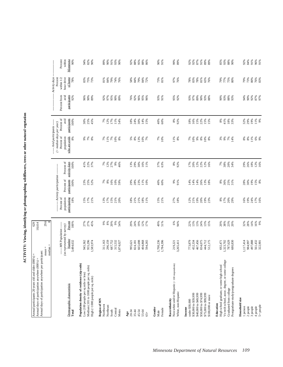ACTIVITY: Viewing, identifying or photographing wildflowers, trees or other natural vegetation **ACTIVITY: Viewing, identifying or photographing wildflowers, trees or other natural vegetation**

| Annual days of participation anywhere per participant:<br>Annual participants 20 years old and older (000's) =<br>Annual days of participation anywhere (000's) = |                                                   | 629<br>18,614     |                                             |                                    |                                     |                                                                             |                              |                             |                                        |                               |
|-------------------------------------------------------------------------------------------------------------------------------------------------------------------|---------------------------------------------------|-------------------|---------------------------------------------|------------------------------------|-------------------------------------|-----------------------------------------------------------------------------|------------------------------|-----------------------------|----------------------------------------|-------------------------------|
|                                                                                                                                                                   | median<br>$mean =$                                | 29.6<br>8         |                                             |                                    |                                     |                                                                             |                              |                             |                                        |                               |
|                                                                                                                                                                   | ----- MN Population -----                         |                   | Percent of                                  | ------- Activity participation     |                                     | ----- Avid participants ------<br>$($ > median days per year)<br>Percent of | Percent of                   | Percent from                | Activity days<br>within 1/2<br>Percent | Percent                       |
| Demographic characteristic<br>Total                                                                                                                               | (as represented by survey)<br>Number<br>3,484,632 | Percent<br>100%   | population<br>participating<br>18%          | participants<br>Percent of<br>100% | Percent of<br>activity days<br>100% | who are avids<br>population<br>8%                                           | participants<br>avid<br>100% | avid<br>participants<br>92% | hour drive<br>of home<br>78%           | Minnesota<br>$90\%$<br>within |
| Population density of residence (zip code)<br>Low (100 people per sq mile or less)                                                                                | 945,362                                           |                   | 15%                                         |                                    | 41%                                 |                                                                             | 30%                          | 96%                         | 83%                                    |                               |
| Medium (101 to 1000 people per sq. mile)<br>High (>1000 people per sq. mile)                                                                                      | 955,296<br>1,583,974                              | 27%<br>27%<br>45% | 17%<br>21%                                  | 23%<br>25%<br>52%                  | 22%<br>37%                          | <b>S &amp; S</b>                                                            | 25%<br>45%                   | 90%<br>89%                  | 75%<br>73%                             | 94%<br>82%<br>90%             |
| Region of MN<br>Northwest                                                                                                                                         | 311,163                                           | $\frac{9}{6}$     | 13%                                         | 7%                                 |                                     | 7%                                                                          | 7%                           | 92%                         | 81%                                    | 89%                           |
| Northeast                                                                                                                                                         | 296,159                                           | $8\%$             | 17%                                         | $8\%$                              |                                     | 11%                                                                         | 12%                          | 97%                         | 84%                                    | 90%                           |
| Central<br>South                                                                                                                                                  | 687,752<br>315,532                                | 20%<br>$9\%$      | 15%<br>21%                                  | $\frac{6%}{10%}$                   | $788888$<br>$12798$                 | 7%<br>10%                                                                   | 17%<br>11%                   | 95%<br>90%                  | 79%<br>74%                             | 91%<br>93%                    |
| Metro                                                                                                                                                             | 1,874,027                                         | 54%               | 20%                                         |                                    |                                     | 8%                                                                          | 54%                          | 89%                         | 76%                                    | 90%                           |
| 20-34<br>Age                                                                                                                                                      | 995,621                                           | 29%               | 18%                                         | 29%                                | 13%<br>29%                          |                                                                             | $18%$<br>24%                 | 76%                         | 58%                                    | 92%                           |
| $35 - 44$                                                                                                                                                         | 824,181                                           | 24%               | 21%                                         | 28%                                |                                     |                                                                             |                              | 92%                         | 84%                                    | 88%                           |
| $45 - 54$                                                                                                                                                         | 665,698                                           | 19%               | 21%                                         | 23%                                | 30%                                 |                                                                             | 30%                          | 96%                         | 79%                                    | 95%                           |
| 55-64<br>$65+$                                                                                                                                                    | 404,868<br>594,265                                | 12%<br>17%        | $\begin{array}{l} 18\% \\ 11\% \end{array}$ | 11%<br>10%                         | 16%<br>11%                          | 8880088                                                                     | 14%<br>15%                   | 95%<br>96%                  | 84%<br>72%                             | $^{88\%}_{86\%}$              |
|                                                                                                                                                                   |                                                   |                   |                                             |                                    |                                     |                                                                             |                              |                             |                                        |                               |
| Gender<br>Female<br>Male                                                                                                                                          | 1,700,236<br>1,784,396                            | 49%<br>51%        | 15%<br>21%                                  | 40%<br>60%                         | 37%<br>63%                          | 7%<br>10%                                                                   | 40%<br>60%                   | 93%<br>91%                  | $73%$<br>81%                           | 90%<br>91%                    |
| Non-white and/or Hispanic (<100 respondents)<br>Race/ethnicity                                                                                                    | 219,221                                           |                   |                                             |                                    |                                     |                                                                             |                              |                             | 97%                                    |                               |
| White, non-Hispanic                                                                                                                                               | 3,265,411                                         | 6%<br>94%         | $27%$<br>$18%$                              | 9%<br>91%                          | 8%<br>92%                           | $11\%$ $8\%$                                                                | 8%<br>92%                    | 95%<br>92%                  | 76%                                    | 99%<br>89%                    |
| under \$30,000<br>Income                                                                                                                                          | 773,879                                           | 22%<br>13%        | 12%                                         | $14%$<br>14%                       |                                     |                                                                             | 18%                          | 93%                         | 78%                                    | 92%                           |
| \$30,000 to \$39,999                                                                                                                                              | 452,334                                           |                   | 21%                                         |                                    |                                     |                                                                             | 16%                          | 97%                         | 83%                                    | 92%                           |
| \$40,000 to \$49,999<br>\$50,000 to \$74,999                                                                                                                      | 467,456<br>834,075                                | $13%$<br>24%      | 19%<br>20%                                  |                                    |                                     |                                                                             | 15%<br>22%                   | 89%<br>90%                  | 78%<br>81%                             | $87\%$<br>91%                 |
| \$75,000 to \$99,999                                                                                                                                              | 444,712                                           |                   |                                             | 14%<br>26%<br>13%                  | 178888888                           | 888888                                                                      |                              |                             |                                        | $^{89\%}_{89\%}$              |
| \$100,000 or more                                                                                                                                                 | 512,175                                           | $13%$<br>$15%$    | 19%<br>23%                                  |                                    |                                     |                                                                             | $15%$<br>15%                 | 93%<br>88%                  | 65%<br>76%                             |                               |
| High school graduate, or some high school<br>Education                                                                                                            | 692,471                                           | 20%               | $8\%$                                       | $8\%$                              | $7\%$ 38%                           |                                                                             | $8\%$                        | 90%                         | 79%                                    | 85%                           |
| Vo-tech school, assoc. degree, or some college                                                                                                                    | 1,323,702                                         | 38%               | 17%                                         |                                    |                                     | 288                                                                         |                              | 93%                         | 77%                                    | 93%                           |
| Postgraduate study/postgraduate degrees<br>Graduated from college                                                                                                 | 787,629<br>680,830                                | 23%<br>20%        | 20%<br>29%                                  | $36%$<br>25%<br>31%                | 20%<br>34%                          | 14%                                                                         |                              | 88%<br>93%                  | 75%<br>80%                             | 88%<br>90%                    |
| Household size                                                                                                                                                    |                                                   |                   |                                             |                                    |                                     |                                                                             |                              |                             |                                        |                               |
| 1 person<br>2 people                                                                                                                                              | 1,117,414<br>984,997                              | 32%<br>28%        | 16%<br>19%                                  | 28%<br>30%                         | 26%<br>29%                          | $\begin{array}{c} 8\% \\ 8\% \end{array}$                                   | 32%<br>29%                   | $90\%$<br>94%               | 73%<br>79%                             | 92%                           |
| 3 people                                                                                                                                                          | 497,888                                           | $14\%$            | 24%                                         | 19%                                | $18\%$                              | 11%                                                                         | 19%                          | 92%                         | $80\%$                                 | 84%<br>91%                    |
| $5+$ people<br>4 people                                                                                                                                           | 561,432<br>322,901                                | 16%<br>9%         | 17%<br>16%                                  | $15\%$ $8\%$                       | 12%<br>16%                          | 6%<br>9%                                                                    | 11%<br>9%                    | 87%<br>97%                  | 76%<br>83%                             | 96%<br>91%                    |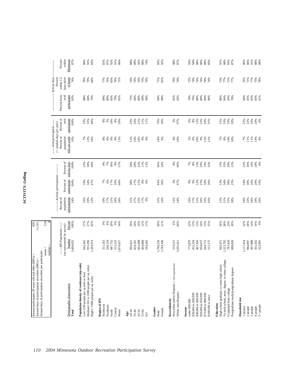| Activity days<br>hour drive<br>within $1/2$<br>of home<br>Percent<br>79%<br>$76%$ $77%$ $88%$ $77%$<br>74%<br>79%<br>83%<br>76%<br>71%<br>76%<br>73%<br>70%<br>$71\%$<br>81%<br>74%<br>72%<br>74%<br>74%<br>74%<br>78%<br>73%<br>$77%$<br>71%<br>77%<br>78%<br>68%<br>77%<br>76%<br>74%<br>76%<br>74%<br>Percent from<br>avid<br>participants<br>80%<br>90%<br>85%<br>83%<br>84%<br>85%<br>83%<br>83%<br>61%<br>88%<br>84%<br>89%<br>89%<br>85%<br>79%<br>75%<br>84%<br>84%<br>80%<br>78%<br>76%<br>86%<br>$80\%$<br>86%<br>84%<br>83%<br>83%<br>79%<br>81%<br>96%<br>84%<br>86%<br>78%<br>Percent of<br>participants<br>avid<br>19%<br>35%<br>$\substack{8\% \\ 5\%}$<br>19%<br>8%<br>59%<br>33%<br>21%<br>70%<br>30%<br>3%<br>97%<br>$8\%$<br>13%<br>22%<br>20%<br>15%<br>33%<br>22%<br>22%<br>24%<br>100%<br>46%<br>24%<br>11%<br>11%<br>6%<br>31%<br>33%<br>20%<br>6%<br>--- Avid participants ----<br>$($ > median days per year)<br>Percent of<br>who are avids<br>population<br>10%<br>7%<br>12%<br>$8\%$ 6%<br>9%<br>10%<br>9%<br>6%<br>14%<br>6%<br>$4%$<br>10%<br>$6\%$<br>10%<br>9%<br>15%<br>21%<br>$7\%$ $8\%$<br>88888<br>10%<br>1%<br>11%<br>10%<br>3%<br>14%<br>10%<br>Percent of<br>activity days<br>100%<br>$18\%$<br>$9\%$<br>22%<br>66%<br>34%<br>4%<br>96%<br>22%<br>36%<br>16%<br>20%<br>6%<br>22%<br>38%<br>9%<br>7%<br>28%<br>26%<br>11%<br>13%<br>7%<br>$8\%$<br>13%<br>20%<br>19%<br>32%<br>$15%$<br>35%<br>29%<br>21%<br>40%<br>57%<br>------ Activity participation --<br>Percent of<br>participants<br>100%<br>$38%$<br>$27%$<br>$21%$<br>$7488$<br>$1688$<br>$108$<br>34%<br>47%<br>17%<br>10%<br>60%<br>$8%$ 6%<br>64%<br>36%<br>3%<br>97%<br>9%<br>12%<br>25%<br>18%<br>26%<br>13%<br>34%<br>30%<br>23%<br>19%<br>7%<br>6%<br>$9\%$<br>Percent of<br>population<br>participating<br>26%<br>24%<br>29%<br>21%<br>25%<br>12%<br>17%<br>21%<br>26%<br>18%<br>25%<br>29%<br>26%<br>16%<br>25%<br>19%<br>17%<br>26%<br>31%<br>27%<br>17%<br>9%<br>31%<br>16%<br>24%<br>10%<br>35%<br>15%<br>21%<br>31%<br>26%<br>43%<br>28%<br>Percent<br>27%<br>27%<br>20%<br>9%<br>54%<br>19%<br>49%<br>6%<br>94%<br>13%<br>13%<br>24%<br>$38%$<br>23%<br>20%<br>14%<br>16%<br>9%<br>45%<br>9%88<br>29%<br>24%<br>12%<br>51%<br>22%<br>$13%$<br>$15%$<br>20%<br>32%<br>28%<br>100%<br>17%<br>--- MN Population ------<br>(as represented by survey)<br>Number<br>1,117,414<br>497,888<br>3,484,632<br>955,296<br>296,159<br>687,752<br>665,698<br>1,700,236<br>1,784,396<br>452,334<br>467,456<br>834,075<br>787,629<br>984,997<br>561,432<br>322,901<br>945,362<br>1,583,974<br>311,163<br>315,532<br>404,868<br>773,879<br>444,712<br>512,175<br>692,471<br>1,323,702<br>680,830<br>594,265<br>3,265,411<br>1,874,027<br>995,621<br>824,181<br>219,221<br>median<br>Vo-tech school, assoc. degree, or some college<br>Non-white and/or Hispanic (<100 respondents)<br>Population density of residence (zip code)<br>Medium (101 to 1000 people per sq. mile)<br>High school graduate, or some high school<br>Postgraduate study/postgraduate degrees<br>Low (100 people per sq mile or less)<br>High (>1000 people per sq. mile)<br>Demographic characteristic<br>Graduated from college<br>White, non-Hispanic<br>\$40,000 to \$49,999<br>\$50,000 to \$74,999<br>\$75,000 to \$99,999<br>\$30,000 to \$39,999<br>\$100,000 or more<br>Household size<br>Region of MN<br>Race/ethnicity<br>under \$30,000<br>Education<br>Northwest<br>$5+$ people<br>Northeast<br>3 people<br>1 person<br>2 people<br>4 people<br>Income<br>Gender<br>Female<br>Central<br>Metro<br>South<br>45-54<br>Total<br>20-34<br>35-44<br>55-64<br>Male<br>Age<br>$65+$ | Annual days of participation anywhere per participant: | $mean =$ |             |  |  |  |  |
|-----------------------------------------------------------------------------------------------------------------------------------------------------------------------------------------------------------------------------------------------------------------------------------------------------------------------------------------------------------------------------------------------------------------------------------------------------------------------------------------------------------------------------------------------------------------------------------------------------------------------------------------------------------------------------------------------------------------------------------------------------------------------------------------------------------------------------------------------------------------------------------------------------------------------------------------------------------------------------------------------------------------------------------------------------------------------------------------------------------------------------------------------------------------------------------------------------------------------------------------------------------------------------------------------------------------------------------------------------------------------------------------------------------------------------------------------------------------------------------------------------------------------------------------------------------------------------------------------------------------------------------------------------------------------------------------------------------------------------------------------------------------------------------------------------------------------------------------------------------------------------------------------------------------------------------------------------------------------------------------------------------------------------------------------------------------------------------------------------------------------------------------------------------------------------------------------------------------------------------------------------------------------------------------------------------------------------------------------------------------------------------------------------------------------------------------------------------------------------------------------------------------------------------------------------------------------------------------------------------------------------------------------------------------------------------------------------------------------------------------------------------------------------------------------------------------------------------------------------------------------------------------------------------------------------------------------------------------------------------------------------------------------------------------------------------------------------------------------------------------------------------------------------------------------------------------------------------------------------------------------------------------------------------------------------------------------------------------------------------------------------------------------------------------------------------------------------------------------------------------------------------------------------------------------------------------------------------------------------------------------------------------------------------------|--------------------------------------------------------|----------|-------------|--|--|--|--|
|                                                                                                                                                                                                                                                                                                                                                                                                                                                                                                                                                                                                                                                                                                                                                                                                                                                                                                                                                                                                                                                                                                                                                                                                                                                                                                                                                                                                                                                                                                                                                                                                                                                                                                                                                                                                                                                                                                                                                                                                                                                                                                                                                                                                                                                                                                                                                                                                                                                                                                                                                                                                                                                                                                                                                                                                                                                                                                                                                                                                                                                                                                                                                                                                                                                                                                                                                                                                                                                                                                                                                                                                                                                                 |                                                        |          | $13.6$<br>8 |  |  |  |  |
|                                                                                                                                                                                                                                                                                                                                                                                                                                                                                                                                                                                                                                                                                                                                                                                                                                                                                                                                                                                                                                                                                                                                                                                                                                                                                                                                                                                                                                                                                                                                                                                                                                                                                                                                                                                                                                                                                                                                                                                                                                                                                                                                                                                                                                                                                                                                                                                                                                                                                                                                                                                                                                                                                                                                                                                                                                                                                                                                                                                                                                                                                                                                                                                                                                                                                                                                                                                                                                                                                                                                                                                                                                                                 |                                                        |          |             |  |  |  |  |
|                                                                                                                                                                                                                                                                                                                                                                                                                                                                                                                                                                                                                                                                                                                                                                                                                                                                                                                                                                                                                                                                                                                                                                                                                                                                                                                                                                                                                                                                                                                                                                                                                                                                                                                                                                                                                                                                                                                                                                                                                                                                                                                                                                                                                                                                                                                                                                                                                                                                                                                                                                                                                                                                                                                                                                                                                                                                                                                                                                                                                                                                                                                                                                                                                                                                                                                                                                                                                                                                                                                                                                                                                                                                 |                                                        |          |             |  |  |  |  |
|                                                                                                                                                                                                                                                                                                                                                                                                                                                                                                                                                                                                                                                                                                                                                                                                                                                                                                                                                                                                                                                                                                                                                                                                                                                                                                                                                                                                                                                                                                                                                                                                                                                                                                                                                                                                                                                                                                                                                                                                                                                                                                                                                                                                                                                                                                                                                                                                                                                                                                                                                                                                                                                                                                                                                                                                                                                                                                                                                                                                                                                                                                                                                                                                                                                                                                                                                                                                                                                                                                                                                                                                                                                                 |                                                        |          |             |  |  |  |  |
|                                                                                                                                                                                                                                                                                                                                                                                                                                                                                                                                                                                                                                                                                                                                                                                                                                                                                                                                                                                                                                                                                                                                                                                                                                                                                                                                                                                                                                                                                                                                                                                                                                                                                                                                                                                                                                                                                                                                                                                                                                                                                                                                                                                                                                                                                                                                                                                                                                                                                                                                                                                                                                                                                                                                                                                                                                                                                                                                                                                                                                                                                                                                                                                                                                                                                                                                                                                                                                                                                                                                                                                                                                                                 |                                                        |          |             |  |  |  |  |
|                                                                                                                                                                                                                                                                                                                                                                                                                                                                                                                                                                                                                                                                                                                                                                                                                                                                                                                                                                                                                                                                                                                                                                                                                                                                                                                                                                                                                                                                                                                                                                                                                                                                                                                                                                                                                                                                                                                                                                                                                                                                                                                                                                                                                                                                                                                                                                                                                                                                                                                                                                                                                                                                                                                                                                                                                                                                                                                                                                                                                                                                                                                                                                                                                                                                                                                                                                                                                                                                                                                                                                                                                                                                 |                                                        |          |             |  |  |  |  |
|                                                                                                                                                                                                                                                                                                                                                                                                                                                                                                                                                                                                                                                                                                                                                                                                                                                                                                                                                                                                                                                                                                                                                                                                                                                                                                                                                                                                                                                                                                                                                                                                                                                                                                                                                                                                                                                                                                                                                                                                                                                                                                                                                                                                                                                                                                                                                                                                                                                                                                                                                                                                                                                                                                                                                                                                                                                                                                                                                                                                                                                                                                                                                                                                                                                                                                                                                                                                                                                                                                                                                                                                                                                                 |                                                        |          |             |  |  |  |  |
|                                                                                                                                                                                                                                                                                                                                                                                                                                                                                                                                                                                                                                                                                                                                                                                                                                                                                                                                                                                                                                                                                                                                                                                                                                                                                                                                                                                                                                                                                                                                                                                                                                                                                                                                                                                                                                                                                                                                                                                                                                                                                                                                                                                                                                                                                                                                                                                                                                                                                                                                                                                                                                                                                                                                                                                                                                                                                                                                                                                                                                                                                                                                                                                                                                                                                                                                                                                                                                                                                                                                                                                                                                                                 |                                                        |          |             |  |  |  |  |
|                                                                                                                                                                                                                                                                                                                                                                                                                                                                                                                                                                                                                                                                                                                                                                                                                                                                                                                                                                                                                                                                                                                                                                                                                                                                                                                                                                                                                                                                                                                                                                                                                                                                                                                                                                                                                                                                                                                                                                                                                                                                                                                                                                                                                                                                                                                                                                                                                                                                                                                                                                                                                                                                                                                                                                                                                                                                                                                                                                                                                                                                                                                                                                                                                                                                                                                                                                                                                                                                                                                                                                                                                                                                 |                                                        |          |             |  |  |  |  |
|                                                                                                                                                                                                                                                                                                                                                                                                                                                                                                                                                                                                                                                                                                                                                                                                                                                                                                                                                                                                                                                                                                                                                                                                                                                                                                                                                                                                                                                                                                                                                                                                                                                                                                                                                                                                                                                                                                                                                                                                                                                                                                                                                                                                                                                                                                                                                                                                                                                                                                                                                                                                                                                                                                                                                                                                                                                                                                                                                                                                                                                                                                                                                                                                                                                                                                                                                                                                                                                                                                                                                                                                                                                                 |                                                        |          |             |  |  |  |  |
|                                                                                                                                                                                                                                                                                                                                                                                                                                                                                                                                                                                                                                                                                                                                                                                                                                                                                                                                                                                                                                                                                                                                                                                                                                                                                                                                                                                                                                                                                                                                                                                                                                                                                                                                                                                                                                                                                                                                                                                                                                                                                                                                                                                                                                                                                                                                                                                                                                                                                                                                                                                                                                                                                                                                                                                                                                                                                                                                                                                                                                                                                                                                                                                                                                                                                                                                                                                                                                                                                                                                                                                                                                                                 |                                                        |          |             |  |  |  |  |
|                                                                                                                                                                                                                                                                                                                                                                                                                                                                                                                                                                                                                                                                                                                                                                                                                                                                                                                                                                                                                                                                                                                                                                                                                                                                                                                                                                                                                                                                                                                                                                                                                                                                                                                                                                                                                                                                                                                                                                                                                                                                                                                                                                                                                                                                                                                                                                                                                                                                                                                                                                                                                                                                                                                                                                                                                                                                                                                                                                                                                                                                                                                                                                                                                                                                                                                                                                                                                                                                                                                                                                                                                                                                 |                                                        |          |             |  |  |  |  |
|                                                                                                                                                                                                                                                                                                                                                                                                                                                                                                                                                                                                                                                                                                                                                                                                                                                                                                                                                                                                                                                                                                                                                                                                                                                                                                                                                                                                                                                                                                                                                                                                                                                                                                                                                                                                                                                                                                                                                                                                                                                                                                                                                                                                                                                                                                                                                                                                                                                                                                                                                                                                                                                                                                                                                                                                                                                                                                                                                                                                                                                                                                                                                                                                                                                                                                                                                                                                                                                                                                                                                                                                                                                                 |                                                        |          |             |  |  |  |  |
|                                                                                                                                                                                                                                                                                                                                                                                                                                                                                                                                                                                                                                                                                                                                                                                                                                                                                                                                                                                                                                                                                                                                                                                                                                                                                                                                                                                                                                                                                                                                                                                                                                                                                                                                                                                                                                                                                                                                                                                                                                                                                                                                                                                                                                                                                                                                                                                                                                                                                                                                                                                                                                                                                                                                                                                                                                                                                                                                                                                                                                                                                                                                                                                                                                                                                                                                                                                                                                                                                                                                                                                                                                                                 |                                                        |          |             |  |  |  |  |
|                                                                                                                                                                                                                                                                                                                                                                                                                                                                                                                                                                                                                                                                                                                                                                                                                                                                                                                                                                                                                                                                                                                                                                                                                                                                                                                                                                                                                                                                                                                                                                                                                                                                                                                                                                                                                                                                                                                                                                                                                                                                                                                                                                                                                                                                                                                                                                                                                                                                                                                                                                                                                                                                                                                                                                                                                                                                                                                                                                                                                                                                                                                                                                                                                                                                                                                                                                                                                                                                                                                                                                                                                                                                 |                                                        |          |             |  |  |  |  |
|                                                                                                                                                                                                                                                                                                                                                                                                                                                                                                                                                                                                                                                                                                                                                                                                                                                                                                                                                                                                                                                                                                                                                                                                                                                                                                                                                                                                                                                                                                                                                                                                                                                                                                                                                                                                                                                                                                                                                                                                                                                                                                                                                                                                                                                                                                                                                                                                                                                                                                                                                                                                                                                                                                                                                                                                                                                                                                                                                                                                                                                                                                                                                                                                                                                                                                                                                                                                                                                                                                                                                                                                                                                                 |                                                        |          |             |  |  |  |  |
|                                                                                                                                                                                                                                                                                                                                                                                                                                                                                                                                                                                                                                                                                                                                                                                                                                                                                                                                                                                                                                                                                                                                                                                                                                                                                                                                                                                                                                                                                                                                                                                                                                                                                                                                                                                                                                                                                                                                                                                                                                                                                                                                                                                                                                                                                                                                                                                                                                                                                                                                                                                                                                                                                                                                                                                                                                                                                                                                                                                                                                                                                                                                                                                                                                                                                                                                                                                                                                                                                                                                                                                                                                                                 |                                                        |          |             |  |  |  |  |
|                                                                                                                                                                                                                                                                                                                                                                                                                                                                                                                                                                                                                                                                                                                                                                                                                                                                                                                                                                                                                                                                                                                                                                                                                                                                                                                                                                                                                                                                                                                                                                                                                                                                                                                                                                                                                                                                                                                                                                                                                                                                                                                                                                                                                                                                                                                                                                                                                                                                                                                                                                                                                                                                                                                                                                                                                                                                                                                                                                                                                                                                                                                                                                                                                                                                                                                                                                                                                                                                                                                                                                                                                                                                 |                                                        |          |             |  |  |  |  |
|                                                                                                                                                                                                                                                                                                                                                                                                                                                                                                                                                                                                                                                                                                                                                                                                                                                                                                                                                                                                                                                                                                                                                                                                                                                                                                                                                                                                                                                                                                                                                                                                                                                                                                                                                                                                                                                                                                                                                                                                                                                                                                                                                                                                                                                                                                                                                                                                                                                                                                                                                                                                                                                                                                                                                                                                                                                                                                                                                                                                                                                                                                                                                                                                                                                                                                                                                                                                                                                                                                                                                                                                                                                                 |                                                        |          |             |  |  |  |  |
|                                                                                                                                                                                                                                                                                                                                                                                                                                                                                                                                                                                                                                                                                                                                                                                                                                                                                                                                                                                                                                                                                                                                                                                                                                                                                                                                                                                                                                                                                                                                                                                                                                                                                                                                                                                                                                                                                                                                                                                                                                                                                                                                                                                                                                                                                                                                                                                                                                                                                                                                                                                                                                                                                                                                                                                                                                                                                                                                                                                                                                                                                                                                                                                                                                                                                                                                                                                                                                                                                                                                                                                                                                                                 |                                                        |          |             |  |  |  |  |
|                                                                                                                                                                                                                                                                                                                                                                                                                                                                                                                                                                                                                                                                                                                                                                                                                                                                                                                                                                                                                                                                                                                                                                                                                                                                                                                                                                                                                                                                                                                                                                                                                                                                                                                                                                                                                                                                                                                                                                                                                                                                                                                                                                                                                                                                                                                                                                                                                                                                                                                                                                                                                                                                                                                                                                                                                                                                                                                                                                                                                                                                                                                                                                                                                                                                                                                                                                                                                                                                                                                                                                                                                                                                 |                                                        |          |             |  |  |  |  |
|                                                                                                                                                                                                                                                                                                                                                                                                                                                                                                                                                                                                                                                                                                                                                                                                                                                                                                                                                                                                                                                                                                                                                                                                                                                                                                                                                                                                                                                                                                                                                                                                                                                                                                                                                                                                                                                                                                                                                                                                                                                                                                                                                                                                                                                                                                                                                                                                                                                                                                                                                                                                                                                                                                                                                                                                                                                                                                                                                                                                                                                                                                                                                                                                                                                                                                                                                                                                                                                                                                                                                                                                                                                                 |                                                        |          |             |  |  |  |  |
|                                                                                                                                                                                                                                                                                                                                                                                                                                                                                                                                                                                                                                                                                                                                                                                                                                                                                                                                                                                                                                                                                                                                                                                                                                                                                                                                                                                                                                                                                                                                                                                                                                                                                                                                                                                                                                                                                                                                                                                                                                                                                                                                                                                                                                                                                                                                                                                                                                                                                                                                                                                                                                                                                                                                                                                                                                                                                                                                                                                                                                                                                                                                                                                                                                                                                                                                                                                                                                                                                                                                                                                                                                                                 |                                                        |          |             |  |  |  |  |
|                                                                                                                                                                                                                                                                                                                                                                                                                                                                                                                                                                                                                                                                                                                                                                                                                                                                                                                                                                                                                                                                                                                                                                                                                                                                                                                                                                                                                                                                                                                                                                                                                                                                                                                                                                                                                                                                                                                                                                                                                                                                                                                                                                                                                                                                                                                                                                                                                                                                                                                                                                                                                                                                                                                                                                                                                                                                                                                                                                                                                                                                                                                                                                                                                                                                                                                                                                                                                                                                                                                                                                                                                                                                 |                                                        |          |             |  |  |  |  |
|                                                                                                                                                                                                                                                                                                                                                                                                                                                                                                                                                                                                                                                                                                                                                                                                                                                                                                                                                                                                                                                                                                                                                                                                                                                                                                                                                                                                                                                                                                                                                                                                                                                                                                                                                                                                                                                                                                                                                                                                                                                                                                                                                                                                                                                                                                                                                                                                                                                                                                                                                                                                                                                                                                                                                                                                                                                                                                                                                                                                                                                                                                                                                                                                                                                                                                                                                                                                                                                                                                                                                                                                                                                                 |                                                        |          |             |  |  |  |  |
|                                                                                                                                                                                                                                                                                                                                                                                                                                                                                                                                                                                                                                                                                                                                                                                                                                                                                                                                                                                                                                                                                                                                                                                                                                                                                                                                                                                                                                                                                                                                                                                                                                                                                                                                                                                                                                                                                                                                                                                                                                                                                                                                                                                                                                                                                                                                                                                                                                                                                                                                                                                                                                                                                                                                                                                                                                                                                                                                                                                                                                                                                                                                                                                                                                                                                                                                                                                                                                                                                                                                                                                                                                                                 |                                                        |          |             |  |  |  |  |
|                                                                                                                                                                                                                                                                                                                                                                                                                                                                                                                                                                                                                                                                                                                                                                                                                                                                                                                                                                                                                                                                                                                                                                                                                                                                                                                                                                                                                                                                                                                                                                                                                                                                                                                                                                                                                                                                                                                                                                                                                                                                                                                                                                                                                                                                                                                                                                                                                                                                                                                                                                                                                                                                                                                                                                                                                                                                                                                                                                                                                                                                                                                                                                                                                                                                                                                                                                                                                                                                                                                                                                                                                                                                 |                                                        |          |             |  |  |  |  |
|                                                                                                                                                                                                                                                                                                                                                                                                                                                                                                                                                                                                                                                                                                                                                                                                                                                                                                                                                                                                                                                                                                                                                                                                                                                                                                                                                                                                                                                                                                                                                                                                                                                                                                                                                                                                                                                                                                                                                                                                                                                                                                                                                                                                                                                                                                                                                                                                                                                                                                                                                                                                                                                                                                                                                                                                                                                                                                                                                                                                                                                                                                                                                                                                                                                                                                                                                                                                                                                                                                                                                                                                                                                                 |                                                        |          |             |  |  |  |  |
|                                                                                                                                                                                                                                                                                                                                                                                                                                                                                                                                                                                                                                                                                                                                                                                                                                                                                                                                                                                                                                                                                                                                                                                                                                                                                                                                                                                                                                                                                                                                                                                                                                                                                                                                                                                                                                                                                                                                                                                                                                                                                                                                                                                                                                                                                                                                                                                                                                                                                                                                                                                                                                                                                                                                                                                                                                                                                                                                                                                                                                                                                                                                                                                                                                                                                                                                                                                                                                                                                                                                                                                                                                                                 |                                                        |          |             |  |  |  |  |
|                                                                                                                                                                                                                                                                                                                                                                                                                                                                                                                                                                                                                                                                                                                                                                                                                                                                                                                                                                                                                                                                                                                                                                                                                                                                                                                                                                                                                                                                                                                                                                                                                                                                                                                                                                                                                                                                                                                                                                                                                                                                                                                                                                                                                                                                                                                                                                                                                                                                                                                                                                                                                                                                                                                                                                                                                                                                                                                                                                                                                                                                                                                                                                                                                                                                                                                                                                                                                                                                                                                                                                                                                                                                 |                                                        |          |             |  |  |  |  |
|                                                                                                                                                                                                                                                                                                                                                                                                                                                                                                                                                                                                                                                                                                                                                                                                                                                                                                                                                                                                                                                                                                                                                                                                                                                                                                                                                                                                                                                                                                                                                                                                                                                                                                                                                                                                                                                                                                                                                                                                                                                                                                                                                                                                                                                                                                                                                                                                                                                                                                                                                                                                                                                                                                                                                                                                                                                                                                                                                                                                                                                                                                                                                                                                                                                                                                                                                                                                                                                                                                                                                                                                                                                                 |                                                        |          |             |  |  |  |  |
|                                                                                                                                                                                                                                                                                                                                                                                                                                                                                                                                                                                                                                                                                                                                                                                                                                                                                                                                                                                                                                                                                                                                                                                                                                                                                                                                                                                                                                                                                                                                                                                                                                                                                                                                                                                                                                                                                                                                                                                                                                                                                                                                                                                                                                                                                                                                                                                                                                                                                                                                                                                                                                                                                                                                                                                                                                                                                                                                                                                                                                                                                                                                                                                                                                                                                                                                                                                                                                                                                                                                                                                                                                                                 |                                                        |          |             |  |  |  |  |
|                                                                                                                                                                                                                                                                                                                                                                                                                                                                                                                                                                                                                                                                                                                                                                                                                                                                                                                                                                                                                                                                                                                                                                                                                                                                                                                                                                                                                                                                                                                                                                                                                                                                                                                                                                                                                                                                                                                                                                                                                                                                                                                                                                                                                                                                                                                                                                                                                                                                                                                                                                                                                                                                                                                                                                                                                                                                                                                                                                                                                                                                                                                                                                                                                                                                                                                                                                                                                                                                                                                                                                                                                                                                 |                                                        |          |             |  |  |  |  |
|                                                                                                                                                                                                                                                                                                                                                                                                                                                                                                                                                                                                                                                                                                                                                                                                                                                                                                                                                                                                                                                                                                                                                                                                                                                                                                                                                                                                                                                                                                                                                                                                                                                                                                                                                                                                                                                                                                                                                                                                                                                                                                                                                                                                                                                                                                                                                                                                                                                                                                                                                                                                                                                                                                                                                                                                                                                                                                                                                                                                                                                                                                                                                                                                                                                                                                                                                                                                                                                                                                                                                                                                                                                                 |                                                        |          |             |  |  |  |  |
|                                                                                                                                                                                                                                                                                                                                                                                                                                                                                                                                                                                                                                                                                                                                                                                                                                                                                                                                                                                                                                                                                                                                                                                                                                                                                                                                                                                                                                                                                                                                                                                                                                                                                                                                                                                                                                                                                                                                                                                                                                                                                                                                                                                                                                                                                                                                                                                                                                                                                                                                                                                                                                                                                                                                                                                                                                                                                                                                                                                                                                                                                                                                                                                                                                                                                                                                                                                                                                                                                                                                                                                                                                                                 |                                                        |          |             |  |  |  |  |
|                                                                                                                                                                                                                                                                                                                                                                                                                                                                                                                                                                                                                                                                                                                                                                                                                                                                                                                                                                                                                                                                                                                                                                                                                                                                                                                                                                                                                                                                                                                                                                                                                                                                                                                                                                                                                                                                                                                                                                                                                                                                                                                                                                                                                                                                                                                                                                                                                                                                                                                                                                                                                                                                                                                                                                                                                                                                                                                                                                                                                                                                                                                                                                                                                                                                                                                                                                                                                                                                                                                                                                                                                                                                 |                                                        |          |             |  |  |  |  |
|                                                                                                                                                                                                                                                                                                                                                                                                                                                                                                                                                                                                                                                                                                                                                                                                                                                                                                                                                                                                                                                                                                                                                                                                                                                                                                                                                                                                                                                                                                                                                                                                                                                                                                                                                                                                                                                                                                                                                                                                                                                                                                                                                                                                                                                                                                                                                                                                                                                                                                                                                                                                                                                                                                                                                                                                                                                                                                                                                                                                                                                                                                                                                                                                                                                                                                                                                                                                                                                                                                                                                                                                                                                                 |                                                        |          |             |  |  |  |  |
|                                                                                                                                                                                                                                                                                                                                                                                                                                                                                                                                                                                                                                                                                                                                                                                                                                                                                                                                                                                                                                                                                                                                                                                                                                                                                                                                                                                                                                                                                                                                                                                                                                                                                                                                                                                                                                                                                                                                                                                                                                                                                                                                                                                                                                                                                                                                                                                                                                                                                                                                                                                                                                                                                                                                                                                                                                                                                                                                                                                                                                                                                                                                                                                                                                                                                                                                                                                                                                                                                                                                                                                                                                                                 |                                                        |          |             |  |  |  |  |
|                                                                                                                                                                                                                                                                                                                                                                                                                                                                                                                                                                                                                                                                                                                                                                                                                                                                                                                                                                                                                                                                                                                                                                                                                                                                                                                                                                                                                                                                                                                                                                                                                                                                                                                                                                                                                                                                                                                                                                                                                                                                                                                                                                                                                                                                                                                                                                                                                                                                                                                                                                                                                                                                                                                                                                                                                                                                                                                                                                                                                                                                                                                                                                                                                                                                                                                                                                                                                                                                                                                                                                                                                                                                 |                                                        |          |             |  |  |  |  |
|                                                                                                                                                                                                                                                                                                                                                                                                                                                                                                                                                                                                                                                                                                                                                                                                                                                                                                                                                                                                                                                                                                                                                                                                                                                                                                                                                                                                                                                                                                                                                                                                                                                                                                                                                                                                                                                                                                                                                                                                                                                                                                                                                                                                                                                                                                                                                                                                                                                                                                                                                                                                                                                                                                                                                                                                                                                                                                                                                                                                                                                                                                                                                                                                                                                                                                                                                                                                                                                                                                                                                                                                                                                                 |                                                        |          |             |  |  |  |  |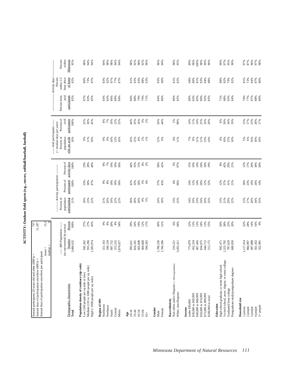ACTIVITY: Outdoor field sports (e.g., soccer, softball/baseball, football) **ACTIVITY: Outdoor field sports (e.g., soccer, softball/baseball, football)**

| Annual days of participation anywhere per participant:<br>Annual participants 20 years old and older $(000's)$ =<br>Annual days of participation anywhere (000's) = |                                                          | 737<br>11,187   |                                                 |                                                  |                         |                                                         |                                                    |                      |                                                      |                     |
|---------------------------------------------------------------------------------------------------------------------------------------------------------------------|----------------------------------------------------------|-----------------|-------------------------------------------------|--------------------------------------------------|-------------------------|---------------------------------------------------------|----------------------------------------------------|----------------------|------------------------------------------------------|---------------------|
|                                                                                                                                                                     | $mean =$<br>median                                       | 15.2<br>਼       |                                                 |                                                  |                         |                                                         |                                                    |                      |                                                      |                     |
|                                                                                                                                                                     | ----- MN Population ------<br>(as represented by survey) |                 | Percent of<br>population                        | -------- Activity participation --<br>Percent of | Percent of              | $($ > median days per year)<br>Percent of<br>population | Percent of<br>avid<br>--- Avid participants ------ | Percent from<br>avid | Activity days<br>Percent<br>hour drive<br>within 1/2 | Percent<br>within   |
| Demographic characteristic<br>Total                                                                                                                                 | Number<br>3,484,632                                      | Percent<br>100% | participating<br>21%                            | participants<br>100%                             | activity days<br>100%   | who are avids<br>10%                                    | participants<br>100%                               | participants<br>85%  | of home<br>82%                                       | Minnesota<br>95%    |
| Population density of residence (zip code)<br>Medium (101 to 1000 people per sq. mile)<br>Low (100 people per sq mile or less)                                      | 955,296<br>945,362                                       | 27%<br>27%      | $18\%$<br>23%<br>22%                            | 23%<br>30%<br>47%                                | 28%<br>23%              | 9%<br>11%                                               | 25%<br>30%<br>45%                                  | 83%<br>87%           | 73%<br>87%<br>80%                                    | 94%<br>98%          |
| High (>1000 people per sq. mile)<br>Region of MIN                                                                                                                   | 1,583,974                                                | 45%             |                                                 |                                                  | 49%                     | 10%                                                     |                                                    | 85%                  |                                                      | 94%                 |
| Northwest                                                                                                                                                           | 311,163                                                  | 8%<br>$9\%$     | 21%                                             | $9\%$<br>$8\%$                                   | 8%                      | 666<br>9%                                               | 8%                                                 | 83%                  | 83%                                                  | 94%                 |
| Northeast<br>South                                                                                                                                                  | 296,159<br>687,752                                       | 20%             | $19\%$<br>20%                                   | $18\%$                                           | 7%<br>19%               |                                                         | 7%<br>19%                                          | 83%<br>86%           | 82%<br>67%                                           | 98%<br>98%          |
| Central<br>Metro                                                                                                                                                    | 315,532<br>1,874,027                                     | $9\%$<br>54%    | 22%<br>22%                                      | 10%<br>56%                                       | 10%<br>56%              | 10%<br>13%<br>10%                                       | 12%<br>55%                                         | 89%<br>84%           | 77%<br>87%                                           | 94%<br>94%          |
| $\frac{\text{Age}}{20-34}$                                                                                                                                          | 995,621                                                  | 29%             | 30%                                             | 41%                                              | 44%                     |                                                         | 44%                                                | 86%                  | 81%                                                  | 98%                 |
| $35 - 44$                                                                                                                                                           | 824,181                                                  | 24%             | <b>28%</b><br>20%                               | 32%                                              | 35%                     | 16%<br>15%                                              | 35%                                                | 88%                  | 83%                                                  | 92%                 |
| 45-54                                                                                                                                                               | 665,698                                                  | 19%             |                                                 | 18%                                              | 15%                     | $8\%$                                                   | 16%                                                | 79%                  | 83%                                                  | 98%                 |
| $55 - 64$<br>$65+$                                                                                                                                                  | 404,868<br>594,265                                       | 12%<br>17%      | 9%<br>5%                                        | $5\%$<br>4%                                      | 4%<br>2%                | $2%$<br>1%                                              | 3%<br>2%                                           | 79%<br>71%           | 88%<br>63%                                           | 92%<br>90%          |
| Gender                                                                                                                                                              |                                                          |                 |                                                 |                                                  |                         |                                                         |                                                    |                      |                                                      |                     |
| Female<br>Male                                                                                                                                                      | 1,700,236<br>1,784,396                                   | 49%<br>51%      | 24%<br>18%                                      | 57%<br>43%                                       | 58%<br>42%              | 12%<br>9%                                               | 56%<br>44%                                         | 84%<br>86%           | 83%<br>80%                                           | 96%<br>94%          |
| Non-white and/or Hispanic (< 100 respondents)<br>Race/ethnicity                                                                                                     | 219,221                                                  | 6%              | $13%$<br>$22%$                                  | $4\%$                                            | 3%<br>97%               | $4\%$<br>11%                                            | 2%<br>98%                                          | 80%<br>85%           | 81%<br>82%                                           | 98%                 |
| White, non-Hispanic                                                                                                                                                 | 3,265,411                                                | 94%             |                                                 | 96%                                              |                         |                                                         |                                                    |                      |                                                      | 95%                 |
| under \$30,000<br>Income                                                                                                                                            | 773,879                                                  | 22%             | 14%                                             | 14%                                              | 15%                     | 7%                                                      | 14%                                                | 89%                  | 68%                                                  | 89%                 |
| \$30,000 to \$39,999                                                                                                                                                | 452,334                                                  | 13%             | 19%                                             | 12%                                              | 10%                     | 9%                                                      | 11%                                                | 83%                  | 80%                                                  | 96%                 |
| \$40,000 to \$49,999<br>\$50,000 to \$74,999                                                                                                                        | 467,456<br>834,075                                       | 13%<br>24%      | 23%<br>24%                                      | 14%<br>26%                                       | 24%<br>14%              | 11%<br>11%                                              | 14%<br>25%                                         | 85%<br>80%           | 81%<br>83%                                           | 98%<br>100%         |
| \$75,000 to \$99,999                                                                                                                                                | 444,712                                                  | 13%<br>15%      | 20%<br>32%                                      | 12%<br>22%                                       | 18%<br>19%              | 13%<br>14%                                              | 16%                                                | 92%                  | $84%$<br>$88%$                                       | 99%                 |
| \$100,000 or more                                                                                                                                                   | 512,175                                                  |                 |                                                 |                                                  |                         |                                                         | 20%                                                | 85%                  |                                                      | 90%                 |
| High school graduate, or some high school<br>Education                                                                                                              | 692,471                                                  | 20%             | 13%                                             | 12%                                              | $8\%$                   | 4%                                                      | $8\%$                                              | 71%                  | 88%                                                  | 99%                 |
| Vo-tech school, assoc. degree, or some college<br>Graduated from college                                                                                            | 787,629<br>1,323,702                                     | 38%<br>23%      | $\frac{8}{2}$<br>$\frac{8}{2}$<br>$\frac{8}{2}$ | 37%                                              | $42%$<br>$29%$<br>$21%$ | $10\%$                                                  | 39%                                                | 88%                  | 82%                                                  | 97%<br>95%          |
| Postgraduate study/postgraduate degrees                                                                                                                             | 680,830                                                  | 20%             |                                                 | $31\%$<br>21%                                    |                         | 15%<br>10%                                              | 34%<br>19%                                         | $85%$<br>$84%$       | 79%<br>82%                                           | 90%                 |
| Household size                                                                                                                                                      |                                                          |                 |                                                 |                                                  |                         |                                                         |                                                    |                      |                                                      |                     |
| 2 people<br>1 person                                                                                                                                                | 1,117,414<br>984,997                                     | 32%<br>28%      | 12%<br>17%                                      | $18%$<br>23%                                     | 12%<br>17%              | $5%$<br>$6%$                                            | 15%<br>17%                                         | 78%<br>77%           | 72%<br>81%                                           | 87%<br>97%          |
| 3 people                                                                                                                                                            | 497,888                                                  | 14%             | 28%                                             | 19%                                              | 20%                     |                                                         |                                                    | 87%                  | 84%                                                  | 96%                 |
| 5+ people<br>4 people                                                                                                                                               | 561,432<br>322,901                                       | 16%<br>9%       | 34%<br>33%                                      | 26%<br>14%                                       | 30%<br>20%              | $\frac{16%}{18%}$                                       | 23%<br>28%<br>17%                                  | $^{966}_{888}$       | 87%<br>80%                                           | $\frac{97\%}{98\%}$ |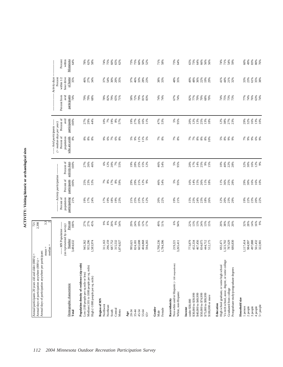| ٦ |
|---|
| Ï |
| l |
|   |
|   |
| נ |
|   |
|   |
|   |

| Percent of<br>avid<br>participants<br>100%<br>27%<br>29%<br>44%<br>19%<br>$8%$<br>57%<br>19%<br>27%<br>26%<br>16%<br>11%<br>47%<br>53%<br>5%<br>95%<br>12%<br>13%<br>25%<br>12%<br>38%<br>$10%$<br>7%<br>20%<br>13%<br>18%<br>27%<br>23%<br>$($ > median days per year)<br>-- Avid participants ---<br>Percent of<br>who are avids<br>population<br>$8\%$<br>8888<br>$\begin{array}{l} 8888800 \\ 7888880 \\ 100 \end{array}$<br>* * * *<br>88888<br>$7%$ $8%$<br>5%<br>9%<br>$11%$<br>$11%$<br>$5%$<br>$7%$<br>8%<br>$7\%$ 8%<br>9%<br>6%<br>activity days<br>Percent of<br>25%<br>25%<br>$16%$<br>$12%$<br>$9%$<br>100%<br>27%<br>26%<br>46%<br>$6%$<br>$2%$<br>$7%$<br>$5%$<br>$5%$<br>19%<br>28%<br>15%<br>12%<br>46%<br>54%<br>5%<br>95%<br>20%<br>17%<br>14%<br>$9\%$<br>10%<br>40%<br><b>22%</b><br>28%<br>32%<br>30%<br>15%<br>--- Activity participation --<br>Percent of<br>participants<br>100%<br>29%<br>30%<br>$16\%$<br>16%<br>10%<br>25%<br>23%<br>53%<br>$888$ $-288$<br>8%<br>59%<br>29%<br>29%<br>21%<br>12%<br>9%<br>46%<br>54%<br>5%<br>95%<br>16%<br>14%<br>15%<br>26%<br>11%<br>25%<br>28%<br>11%<br>18%<br>36%<br>Percent of<br>population<br>participating<br>21%<br>18%<br>2<br>222222<br>19%<br>21%<br>15%<br>23%<br>24%<br>23%<br>18%<br>26%<br>23%<br>29%<br><b>9% % % %</b><br>2 3 % % % 2<br>2 3 % 2 %<br>19%<br>17%<br>24%<br>17%<br>19%<br>19%<br>23%<br>20%<br>22%<br>12%<br>20%<br>Percent<br>27%<br>27%<br>$9%$<br>$8%$<br>20%<br>$9\%$<br>29%<br>24%<br>19%<br>12%<br>49%<br>51%<br>6%<br>94%<br>22%<br>13%<br>13%<br>24%<br>20%<br>38%<br>23%<br>32%<br>28%<br>14%<br>16%<br>9%<br>100%<br>45%<br>54%<br>17%<br>$13%$<br>$15%$<br>20%<br>----- MN Population -----<br>(as represented by survey)<br>Number<br>3,484,632<br>497,888<br>1,700,236<br>955,296<br>296,159<br>687,752<br>315,532<br>665,698<br>1,784,396<br>467,456<br>834,075<br>787,629<br>680,830<br>1,117,414<br>984,997<br>561,432<br>322,901<br>945,362<br>1,583,974<br>404,868<br>594,265<br>773,879<br>452,334<br>444,712<br>512,175<br>1,323,702<br>311,163<br>219,221<br>3,265,411<br>692,471<br>1,874,027<br>995,621<br>824,181<br>Vo-tech school, assoc. degree, or some college<br>Non-white and/or Hispanic (<100 respondents)<br>Population density of residence (zip code)<br>High school graduate, or some high school<br>Medium (101 to 1000 people per sq. mile)<br>Postgraduate study/postgraduate degrees<br>Low (100 people per sq mile or less)<br>High (>1000 people per sq. mile)<br>Demographic characteristic<br>Graduated from college<br>White, non-Hispanic<br>\$30,000 to \$39,999<br>\$40,000 to \$49,999<br>\$50,000 to \$74,999<br>\$75,000 to \$99,999<br>\$100,000 or more<br>Household size<br>Region of MN<br>Race/ethnicity<br>under \$30,000<br>Education<br>Northwest<br>Northeast<br>2 people<br>3 people<br>4 people<br>1 person<br>Income<br>Gender<br>Female<br>Central<br>Metro<br>South<br>Total<br>45-54<br>20-34<br>$35 - 44$<br>55-64<br>Male<br>Age<br>$65 +$ | Annual days of participation anywhere per participant: | $mean =$<br>median | $3.\overline{3}$ |  |  |                      |                          |           |
|------------------------------------------------------------------------------------------------------------------------------------------------------------------------------------------------------------------------------------------------------------------------------------------------------------------------------------------------------------------------------------------------------------------------------------------------------------------------------------------------------------------------------------------------------------------------------------------------------------------------------------------------------------------------------------------------------------------------------------------------------------------------------------------------------------------------------------------------------------------------------------------------------------------------------------------------------------------------------------------------------------------------------------------------------------------------------------------------------------------------------------------------------------------------------------------------------------------------------------------------------------------------------------------------------------------------------------------------------------------------------------------------------------------------------------------------------------------------------------------------------------------------------------------------------------------------------------------------------------------------------------------------------------------------------------------------------------------------------------------------------------------------------------------------------------------------------------------------------------------------------------------------------------------------------------------------------------------------------------------------------------------------------------------------------------------------------------------------------------------------------------------------------------------------------------------------------------------------------------------------------------------------------------------------------------------------------------------------------------------------------------------------------------------------------------------------------------------------------------------------------------------------------------------------------------------------------------------------------------------------------------------------------------------------------------------------------------------------------------------------------------------------------------------------------------------------------------------------------------------------------------------------------------------------------------------------------------------------------------------------------------------|--------------------------------------------------------|--------------------|------------------|--|--|----------------------|--------------------------|-----------|
|                                                                                                                                                                                                                                                                                                                                                                                                                                                                                                                                                                                                                                                                                                                                                                                                                                                                                                                                                                                                                                                                                                                                                                                                                                                                                                                                                                                                                                                                                                                                                                                                                                                                                                                                                                                                                                                                                                                                                                                                                                                                                                                                                                                                                                                                                                                                                                                                                                                                                                                                                                                                                                                                                                                                                                                                                                                                                                                                                                                                                  |                                                        |                    |                  |  |  |                      | Activity days<br>Percent |           |
|                                                                                                                                                                                                                                                                                                                                                                                                                                                                                                                                                                                                                                                                                                                                                                                                                                                                                                                                                                                                                                                                                                                                                                                                                                                                                                                                                                                                                                                                                                                                                                                                                                                                                                                                                                                                                                                                                                                                                                                                                                                                                                                                                                                                                                                                                                                                                                                                                                                                                                                                                                                                                                                                                                                                                                                                                                                                                                                                                                                                                  |                                                        |                    |                  |  |  | avid<br>Percent from | hour drive<br>within 1/2 | Minnesota |
|                                                                                                                                                                                                                                                                                                                                                                                                                                                                                                                                                                                                                                                                                                                                                                                                                                                                                                                                                                                                                                                                                                                                                                                                                                                                                                                                                                                                                                                                                                                                                                                                                                                                                                                                                                                                                                                                                                                                                                                                                                                                                                                                                                                                                                                                                                                                                                                                                                                                                                                                                                                                                                                                                                                                                                                                                                                                                                                                                                                                                  |                                                        |                    |                  |  |  | participants<br>74%  | of home<br>35%           |           |
|                                                                                                                                                                                                                                                                                                                                                                                                                                                                                                                                                                                                                                                                                                                                                                                                                                                                                                                                                                                                                                                                                                                                                                                                                                                                                                                                                                                                                                                                                                                                                                                                                                                                                                                                                                                                                                                                                                                                                                                                                                                                                                                                                                                                                                                                                                                                                                                                                                                                                                                                                                                                                                                                                                                                                                                                                                                                                                                                                                                                                  |                                                        |                    |                  |  |  |                      | 46%                      |           |
|                                                                                                                                                                                                                                                                                                                                                                                                                                                                                                                                                                                                                                                                                                                                                                                                                                                                                                                                                                                                                                                                                                                                                                                                                                                                                                                                                                                                                                                                                                                                                                                                                                                                                                                                                                                                                                                                                                                                                                                                                                                                                                                                                                                                                                                                                                                                                                                                                                                                                                                                                                                                                                                                                                                                                                                                                                                                                                                                                                                                                  |                                                        |                    |                  |  |  | 79%<br>79%           | 27%                      |           |
|                                                                                                                                                                                                                                                                                                                                                                                                                                                                                                                                                                                                                                                                                                                                                                                                                                                                                                                                                                                                                                                                                                                                                                                                                                                                                                                                                                                                                                                                                                                                                                                                                                                                                                                                                                                                                                                                                                                                                                                                                                                                                                                                                                                                                                                                                                                                                                                                                                                                                                                                                                                                                                                                                                                                                                                                                                                                                                                                                                                                                  |                                                        |                    |                  |  |  | 68%                  | 34%                      |           |
|                                                                                                                                                                                                                                                                                                                                                                                                                                                                                                                                                                                                                                                                                                                                                                                                                                                                                                                                                                                                                                                                                                                                                                                                                                                                                                                                                                                                                                                                                                                                                                                                                                                                                                                                                                                                                                                                                                                                                                                                                                                                                                                                                                                                                                                                                                                                                                                                                                                                                                                                                                                                                                                                                                                                                                                                                                                                                                                                                                                                                  |                                                        |                    |                  |  |  |                      |                          |           |
|                                                                                                                                                                                                                                                                                                                                                                                                                                                                                                                                                                                                                                                                                                                                                                                                                                                                                                                                                                                                                                                                                                                                                                                                                                                                                                                                                                                                                                                                                                                                                                                                                                                                                                                                                                                                                                                                                                                                                                                                                                                                                                                                                                                                                                                                                                                                                                                                                                                                                                                                                                                                                                                                                                                                                                                                                                                                                                                                                                                                                  |                                                        |                    |                  |  |  | <b>78%</b><br>82%    | 37%<br>54%               |           |
|                                                                                                                                                                                                                                                                                                                                                                                                                                                                                                                                                                                                                                                                                                                                                                                                                                                                                                                                                                                                                                                                                                                                                                                                                                                                                                                                                                                                                                                                                                                                                                                                                                                                                                                                                                                                                                                                                                                                                                                                                                                                                                                                                                                                                                                                                                                                                                                                                                                                                                                                                                                                                                                                                                                                                                                                                                                                                                                                                                                                                  |                                                        |                    |                  |  |  | 79%                  | $30\%$<br>$20\%$         |           |
|                                                                                                                                                                                                                                                                                                                                                                                                                                                                                                                                                                                                                                                                                                                                                                                                                                                                                                                                                                                                                                                                                                                                                                                                                                                                                                                                                                                                                                                                                                                                                                                                                                                                                                                                                                                                                                                                                                                                                                                                                                                                                                                                                                                                                                                                                                                                                                                                                                                                                                                                                                                                                                                                                                                                                                                                                                                                                                                                                                                                                  |                                                        |                    |                  |  |  | 65%<br>71%           | 35%                      |           |
|                                                                                                                                                                                                                                                                                                                                                                                                                                                                                                                                                                                                                                                                                                                                                                                                                                                                                                                                                                                                                                                                                                                                                                                                                                                                                                                                                                                                                                                                                                                                                                                                                                                                                                                                                                                                                                                                                                                                                                                                                                                                                                                                                                                                                                                                                                                                                                                                                                                                                                                                                                                                                                                                                                                                                                                                                                                                                                                                                                                                                  |                                                        |                    |                  |  |  |                      |                          |           |
|                                                                                                                                                                                                                                                                                                                                                                                                                                                                                                                                                                                                                                                                                                                                                                                                                                                                                                                                                                                                                                                                                                                                                                                                                                                                                                                                                                                                                                                                                                                                                                                                                                                                                                                                                                                                                                                                                                                                                                                                                                                                                                                                                                                                                                                                                                                                                                                                                                                                                                                                                                                                                                                                                                                                                                                                                                                                                                                                                                                                                  |                                                        |                    |                  |  |  | 58%                  | 37%<br>46%               |           |
|                                                                                                                                                                                                                                                                                                                                                                                                                                                                                                                                                                                                                                                                                                                                                                                                                                                                                                                                                                                                                                                                                                                                                                                                                                                                                                                                                                                                                                                                                                                                                                                                                                                                                                                                                                                                                                                                                                                                                                                                                                                                                                                                                                                                                                                                                                                                                                                                                                                                                                                                                                                                                                                                                                                                                                                                                                                                                                                                                                                                                  |                                                        |                    |                  |  |  | 72%<br>79%<br>81%    |                          |           |
|                                                                                                                                                                                                                                                                                                                                                                                                                                                                                                                                                                                                                                                                                                                                                                                                                                                                                                                                                                                                                                                                                                                                                                                                                                                                                                                                                                                                                                                                                                                                                                                                                                                                                                                                                                                                                                                                                                                                                                                                                                                                                                                                                                                                                                                                                                                                                                                                                                                                                                                                                                                                                                                                                                                                                                                                                                                                                                                                                                                                                  |                                                        |                    |                  |  |  |                      |                          |           |
|                                                                                                                                                                                                                                                                                                                                                                                                                                                                                                                                                                                                                                                                                                                                                                                                                                                                                                                                                                                                                                                                                                                                                                                                                                                                                                                                                                                                                                                                                                                                                                                                                                                                                                                                                                                                                                                                                                                                                                                                                                                                                                                                                                                                                                                                                                                                                                                                                                                                                                                                                                                                                                                                                                                                                                                                                                                                                                                                                                                                                  |                                                        |                    |                  |  |  | 83%                  | $33%$<br>$28%$<br>$23%$  |           |
|                                                                                                                                                                                                                                                                                                                                                                                                                                                                                                                                                                                                                                                                                                                                                                                                                                                                                                                                                                                                                                                                                                                                                                                                                                                                                                                                                                                                                                                                                                                                                                                                                                                                                                                                                                                                                                                                                                                                                                                                                                                                                                                                                                                                                                                                                                                                                                                                                                                                                                                                                                                                                                                                                                                                                                                                                                                                                                                                                                                                                  |                                                        |                    |                  |  |  |                      |                          |           |
|                                                                                                                                                                                                                                                                                                                                                                                                                                                                                                                                                                                                                                                                                                                                                                                                                                                                                                                                                                                                                                                                                                                                                                                                                                                                                                                                                                                                                                                                                                                                                                                                                                                                                                                                                                                                                                                                                                                                                                                                                                                                                                                                                                                                                                                                                                                                                                                                                                                                                                                                                                                                                                                                                                                                                                                                                                                                                                                                                                                                                  |                                                        |                    |                  |  |  | 74%<br>74%           | 38%<br>33%               |           |
|                                                                                                                                                                                                                                                                                                                                                                                                                                                                                                                                                                                                                                                                                                                                                                                                                                                                                                                                                                                                                                                                                                                                                                                                                                                                                                                                                                                                                                                                                                                                                                                                                                                                                                                                                                                                                                                                                                                                                                                                                                                                                                                                                                                                                                                                                                                                                                                                                                                                                                                                                                                                                                                                                                                                                                                                                                                                                                                                                                                                                  |                                                        |                    |                  |  |  |                      |                          |           |
|                                                                                                                                                                                                                                                                                                                                                                                                                                                                                                                                                                                                                                                                                                                                                                                                                                                                                                                                                                                                                                                                                                                                                                                                                                                                                                                                                                                                                                                                                                                                                                                                                                                                                                                                                                                                                                                                                                                                                                                                                                                                                                                                                                                                                                                                                                                                                                                                                                                                                                                                                                                                                                                                                                                                                                                                                                                                                                                                                                                                                  |                                                        |                    |                  |  |  | 67%<br>74%           | 48%<br>35%               |           |
|                                                                                                                                                                                                                                                                                                                                                                                                                                                                                                                                                                                                                                                                                                                                                                                                                                                                                                                                                                                                                                                                                                                                                                                                                                                                                                                                                                                                                                                                                                                                                                                                                                                                                                                                                                                                                                                                                                                                                                                                                                                                                                                                                                                                                                                                                                                                                                                                                                                                                                                                                                                                                                                                                                                                                                                                                                                                                                                                                                                                                  |                                                        |                    |                  |  |  |                      |                          |           |
|                                                                                                                                                                                                                                                                                                                                                                                                                                                                                                                                                                                                                                                                                                                                                                                                                                                                                                                                                                                                                                                                                                                                                                                                                                                                                                                                                                                                                                                                                                                                                                                                                                                                                                                                                                                                                                                                                                                                                                                                                                                                                                                                                                                                                                                                                                                                                                                                                                                                                                                                                                                                                                                                                                                                                                                                                                                                                                                                                                                                                  |                                                        |                    |                  |  |  | 82%                  | 49%                      |           |
|                                                                                                                                                                                                                                                                                                                                                                                                                                                                                                                                                                                                                                                                                                                                                                                                                                                                                                                                                                                                                                                                                                                                                                                                                                                                                                                                                                                                                                                                                                                                                                                                                                                                                                                                                                                                                                                                                                                                                                                                                                                                                                                                                                                                                                                                                                                                                                                                                                                                                                                                                                                                                                                                                                                                                                                                                                                                                                                                                                                                                  |                                                        |                    |                  |  |  | 77%                  | 48%                      |           |
|                                                                                                                                                                                                                                                                                                                                                                                                                                                                                                                                                                                                                                                                                                                                                                                                                                                                                                                                                                                                                                                                                                                                                                                                                                                                                                                                                                                                                                                                                                                                                                                                                                                                                                                                                                                                                                                                                                                                                                                                                                                                                                                                                                                                                                                                                                                                                                                                                                                                                                                                                                                                                                                                                                                                                                                                                                                                                                                                                                                                                  |                                                        |                    |                  |  |  | 70%<br>70%           | 36%<br>22%               |           |
|                                                                                                                                                                                                                                                                                                                                                                                                                                                                                                                                                                                                                                                                                                                                                                                                                                                                                                                                                                                                                                                                                                                                                                                                                                                                                                                                                                                                                                                                                                                                                                                                                                                                                                                                                                                                                                                                                                                                                                                                                                                                                                                                                                                                                                                                                                                                                                                                                                                                                                                                                                                                                                                                                                                                                                                                                                                                                                                                                                                                                  |                                                        |                    |                  |  |  | 68%                  | 19%                      |           |
|                                                                                                                                                                                                                                                                                                                                                                                                                                                                                                                                                                                                                                                                                                                                                                                                                                                                                                                                                                                                                                                                                                                                                                                                                                                                                                                                                                                                                                                                                                                                                                                                                                                                                                                                                                                                                                                                                                                                                                                                                                                                                                                                                                                                                                                                                                                                                                                                                                                                                                                                                                                                                                                                                                                                                                                                                                                                                                                                                                                                                  |                                                        |                    |                  |  |  | 70%                  | 29%                      |           |
|                                                                                                                                                                                                                                                                                                                                                                                                                                                                                                                                                                                                                                                                                                                                                                                                                                                                                                                                                                                                                                                                                                                                                                                                                                                                                                                                                                                                                                                                                                                                                                                                                                                                                                                                                                                                                                                                                                                                                                                                                                                                                                                                                                                                                                                                                                                                                                                                                                                                                                                                                                                                                                                                                                                                                                                                                                                                                                                                                                                                                  |                                                        |                    |                  |  |  |                      |                          |           |
|                                                                                                                                                                                                                                                                                                                                                                                                                                                                                                                                                                                                                                                                                                                                                                                                                                                                                                                                                                                                                                                                                                                                                                                                                                                                                                                                                                                                                                                                                                                                                                                                                                                                                                                                                                                                                                                                                                                                                                                                                                                                                                                                                                                                                                                                                                                                                                                                                                                                                                                                                                                                                                                                                                                                                                                                                                                                                                                                                                                                                  |                                                        |                    |                  |  |  | 74%<br>75%           | 44%<br>41%               |           |
|                                                                                                                                                                                                                                                                                                                                                                                                                                                                                                                                                                                                                                                                                                                                                                                                                                                                                                                                                                                                                                                                                                                                                                                                                                                                                                                                                                                                                                                                                                                                                                                                                                                                                                                                                                                                                                                                                                                                                                                                                                                                                                                                                                                                                                                                                                                                                                                                                                                                                                                                                                                                                                                                                                                                                                                                                                                                                                                                                                                                                  |                                                        |                    |                  |  |  |                      |                          |           |
|                                                                                                                                                                                                                                                                                                                                                                                                                                                                                                                                                                                                                                                                                                                                                                                                                                                                                                                                                                                                                                                                                                                                                                                                                                                                                                                                                                                                                                                                                                                                                                                                                                                                                                                                                                                                                                                                                                                                                                                                                                                                                                                                                                                                                                                                                                                                                                                                                                                                                                                                                                                                                                                                                                                                                                                                                                                                                                                                                                                                                  |                                                        |                    |                  |  |  | 73%<br>73%           | 21%<br>32%               |           |
|                                                                                                                                                                                                                                                                                                                                                                                                                                                                                                                                                                                                                                                                                                                                                                                                                                                                                                                                                                                                                                                                                                                                                                                                                                                                                                                                                                                                                                                                                                                                                                                                                                                                                                                                                                                                                                                                                                                                                                                                                                                                                                                                                                                                                                                                                                                                                                                                                                                                                                                                                                                                                                                                                                                                                                                                                                                                                                                                                                                                                  |                                                        |                    |                  |  |  |                      |                          |           |
|                                                                                                                                                                                                                                                                                                                                                                                                                                                                                                                                                                                                                                                                                                                                                                                                                                                                                                                                                                                                                                                                                                                                                                                                                                                                                                                                                                                                                                                                                                                                                                                                                                                                                                                                                                                                                                                                                                                                                                                                                                                                                                                                                                                                                                                                                                                                                                                                                                                                                                                                                                                                                                                                                                                                                                                                                                                                                                                                                                                                                  |                                                        |                    |                  |  |  | 77%<br>74%           | 33%<br>23%               |           |
|                                                                                                                                                                                                                                                                                                                                                                                                                                                                                                                                                                                                                                                                                                                                                                                                                                                                                                                                                                                                                                                                                                                                                                                                                                                                                                                                                                                                                                                                                                                                                                                                                                                                                                                                                                                                                                                                                                                                                                                                                                                                                                                                                                                                                                                                                                                                                                                                                                                                                                                                                                                                                                                                                                                                                                                                                                                                                                                                                                                                                  |                                                        |                    |                  |  |  | 76%                  | $61\%$                   |           |
|                                                                                                                                                                                                                                                                                                                                                                                                                                                                                                                                                                                                                                                                                                                                                                                                                                                                                                                                                                                                                                                                                                                                                                                                                                                                                                                                                                                                                                                                                                                                                                                                                                                                                                                                                                                                                                                                                                                                                                                                                                                                                                                                                                                                                                                                                                                                                                                                                                                                                                                                                                                                                                                                                                                                                                                                                                                                                                                                                                                                                  |                                                        |                    |                  |  |  |                      |                          |           |
|                                                                                                                                                                                                                                                                                                                                                                                                                                                                                                                                                                                                                                                                                                                                                                                                                                                                                                                                                                                                                                                                                                                                                                                                                                                                                                                                                                                                                                                                                                                                                                                                                                                                                                                                                                                                                                                                                                                                                                                                                                                                                                                                                                                                                                                                                                                                                                                                                                                                                                                                                                                                                                                                                                                                                                                                                                                                                                                                                                                                                  | $5+$ people                                            |                    |                  |  |  | 63%<br>74%           | 35%<br>38%               |           |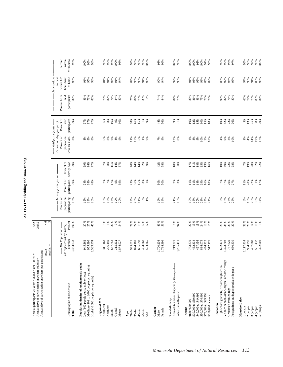| D<br>֚֚֚֬<br>i |  |
|----------------|--|
|                |  |
|                |  |
|                |  |
|                |  |
|                |  |

| Annual days of participation anywhere per participant:<br>Annual participants 20 years old and older $(000's)$ =<br>Annual days of participation anywhere (000's) =             |                                                                              | 642<br>2,985                           |                                                  |                                                                                  |                                            |                                                                                                                  |                                            |                                             |                                                                        |                                              |
|---------------------------------------------------------------------------------------------------------------------------------------------------------------------------------|------------------------------------------------------------------------------|----------------------------------------|--------------------------------------------------|----------------------------------------------------------------------------------|--------------------------------------------|------------------------------------------------------------------------------------------------------------------|--------------------------------------------|---------------------------------------------|------------------------------------------------------------------------|----------------------------------------------|
|                                                                                                                                                                                 | $median =$<br>$mean =$                                                       | 4.6                                    |                                                  |                                                                                  |                                            |                                                                                                                  |                                            |                                             |                                                                        |                                              |
| Demographic characteristic<br>Total                                                                                                                                             | --- MN Population -----<br>(as represented by survey)<br>Number<br>3,484,632 | Percent<br>100%                        | Percent of<br>population<br>participating<br>18% | -------- Activity participation ----------<br>Percent of<br>participants<br>100% | Percent of<br>activity days<br>100%        | ----- Avid participants ------<br>$($ > median days per year)<br>Percent of<br>who are avids<br>population<br>8% | Percent of<br>participants<br>avid<br>100% | participants<br>Percent from<br>avid<br>80% | Activity days<br>Percent<br>within 1/2<br>hour drive<br>of home<br>93% | Percent<br>within<br>Minnesota<br>98%        |
| Population density of residence (zip code)<br>Medium (101 to 1000 people per sq. mile)<br>Low (100 people per sq mile or less)<br>$\rm High$ $(> \rm 1000$ people per sq. mile) | 955,296<br>945,362<br>.583,974                                               | 27%<br>27%<br>45%                      | 19%<br>16%<br>20%                                | 24%<br>28%<br>48%                                                                | 24%<br>47%<br>29%                          | <b>8 8 8</b>                                                                                                     | 27%<br>27%<br>47%                          | 86%<br>73%<br>80%                           | 95%<br>91%<br>93%                                                      | 98%<br>100%<br>98%                           |
| Region of MN<br>Northwest<br>Northeast<br>Central<br>Metro<br>South                                                                                                             | 296,159<br>687,752<br>311,163<br>315,532<br>,874,027                         | 20%<br>$8\%$<br>9%<br>66<br>54%        | 16%<br>16%<br>19%<br>20%<br>15%                  | 7%<br>7%<br>17%<br>9%<br>59%                                                     | $788888$<br>$78848$<br>$148$               | $8\%$<br>6%<br>8%<br>9%<br>ఠి                                                                                    | 16%<br>$6\%$<br>$8\%$<br>9%<br>60%         | 78%<br>82%<br>76%<br>84%<br>80%             | 81%<br>91%<br>96%<br>91%<br>94%                                        | 97%<br>99%<br>99%<br>100%<br>98%             |
| Age<br>20-34<br>$35 - 44$<br>45-54<br>55-64<br>$65+$                                                                                                                            | 404,868<br>665,698<br>594,265<br>824,181<br>995,621                          | 29%<br>24%<br>19%<br>12%<br>17%        | 28%<br>14%<br>$5%$<br>1%<br>29%                  | $15%$<br>$3%$<br>$1%$<br>45%<br>36%                                              | 40%<br>44%<br>14%<br>$2%$<br>$0%$          | $6\%$<br>11%<br>15%<br>$1%$<br>0%                                                                                | 46%<br>15%<br>$1\%$ 0%<br>38%              | 76%<br>87%<br>75%<br>33%<br>0%              | 89%<br>95%<br>95%<br>91%<br>98%                                        | 98%<br>98%<br>90%<br>99%<br>100%             |
| Gender<br>Female<br>Male                                                                                                                                                        | 1,700,236<br>1,784,396                                                       | 49%<br>51%                             | 19%<br>18%                                       | 50%<br>50%                                                                       | 42%<br>58%                                 | 7%<br>9%                                                                                                         | 44%<br>56%                                 | 74%<br>84%                                  | 90%<br>94%                                                             | 98%<br>99%                                   |
| Non-white and/or Hispanic (<100 respondents)<br>White, non-Hispanic<br>Race/ethnicity                                                                                           | 219,221<br>3,265,411                                                         | 6%<br>94%                              | 21%<br>18%                                       | $7\%$<br>93%                                                                     | 10%<br>90%                                 | $12%$<br>8%                                                                                                      | $9\%$<br>91%                               | 87%<br>79%                                  | 92%<br>93%                                                             | 100%<br>98%                                  |
| \$40,000 to \$49,999<br>\$50,000 to \$74,999<br>\$30,000 to \$39,999<br>\$75,000 to \$99,999<br>\$100,000 or more<br>under \$30,000<br>Income                                   | 467,456<br>773,879<br>834,075<br>444,712<br>452,334<br>512,175               | 22%<br>13%<br>13%<br>24%<br>13%<br>15% | 16%<br>20%<br>23%<br>24%<br>24%<br>10%           | 14%<br>11%<br>11%<br>29%<br>$\frac{16%}{18%}$                                    | 11%<br>$18%$<br>$25%$<br>13%<br>17%<br>16% | 10%<br>4%<br>$8\%$<br>$9\%$<br>$9%_{10%}$                                                                        | 15%<br>30%<br>10%<br>12%<br>$15%$<br>$18%$ | 83%<br>86%<br>86%<br>75%<br>73%<br>78%      | 98%<br>91%<br>99%<br>93%<br>85%<br>89%                                 | $100\%$<br>100%<br>100%<br>98%<br>97%<br>95% |
| Vo-tech school, assoc. degree, or some college<br>High school graduate, or some high school<br>Postgraduate study/postgraduate degrees<br>Graduated from college<br>Education   | 1,323,702<br>787,629<br>680,830<br>692,471                                   | 20%<br>38%<br>23%<br>20%               | 7%<br>$18%$<br>23%<br>25%                        | 7%<br>37%<br>29%<br>27%                                                          | 10%<br>40%<br><b>22%</b><br>28%            | 4%<br>$9\%$<br>$\frac{8\%}{10\%}$                                                                                | 42%<br>10%<br>22%<br>26%                   | 90%<br>82%<br>71%<br>80%                    | 85%<br>8<br>8<br>8<br>8<br>8<br>8                                      | 99%<br>99%<br>98%<br>97%                     |
| Household size<br>$5+$ people<br>3 people<br>1 person<br>2 people<br>4 people                                                                                                   | 497,888<br>561,432<br>1.117,414<br>984,997<br>322,901                        | 9%<br>32%<br>28%<br>14%<br>16%         | 13%<br>$6\%$<br>28%<br>35%<br>34%                | 11%<br>20%<br>22%<br>31%<br>17%                                                  | $7%$<br>$19%$<br>$20%$<br>32%<br>22%       | $1\%$ 4%<br>14%<br>19%<br>17%                                                                                    | $5%$<br>13%<br>25%<br>38%<br>20%           | 77%<br>79%<br>83%<br>86%<br>60%             | 93%<br>97%<br>91%<br>89%<br>98%                                        | 99%<br>95%<br>97%<br>100%<br>99%             |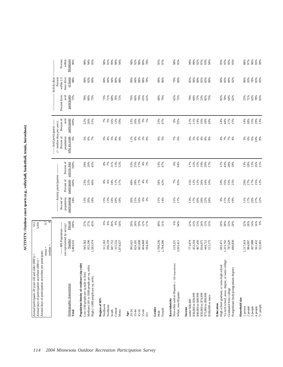ACTIVITY: Outdoor court sports (e.g., volleyball, basketball, tennis, horseshoes) **ACTIVITY: Outdoor court sports (e.g., volleyball, basketball, tennis, horseshoes)**

|                                                                                       | median                                                       | 9.7 <sub>8</sub>                          |                                    |                                       |                                                     |                                           |                                              |                             |                                          |  |
|---------------------------------------------------------------------------------------|--------------------------------------------------------------|-------------------------------------------|------------------------------------|---------------------------------------|-----------------------------------------------------|-------------------------------------------|----------------------------------------------|-----------------------------|------------------------------------------|--|
|                                                                                       | ----- MN Population ------                                   |                                           | Percent of                         | ------ Activity participation ------- |                                                     | $($ > median days per year)<br>Percent of | Percent of<br>----- Avid participants ------ | Percent from                | - Activity days<br>within 1/2<br>Percent |  |
| Demographic characteristic<br>Total                                                   | (as represented by survey)<br>Number<br>3,484,632            | Percent<br>100%                           | population<br>participating<br>18% | Percent of<br>participants<br>100%    | activity days<br>Percent of<br>100%                 | who are avids<br>population<br>6%         | participants<br>avid<br>100%                 | participants<br>avid<br>72% | of home<br>hour drive<br>88%             |  |
| Population density of residence (zip code)<br>Low (100 people per sq mile or less)    | 945,362<br>955,296                                           | 27%<br>27%                                | 15%<br>20%                         | 23%<br>31%                            | 29%<br>26%                                          |                                           |                                              | $78%$<br>60%                | 90%<br>83%                               |  |
| Medium (101 to 1000 people per sq. mile)<br>High (>1000 people per sq. mile)          | 1,583,974                                                    | 45%                                       | 18%                                | 46%                                   | 45%                                                 | ಕ್ಷೆ ಕ್ಷೆ<br>೧                            | 22%<br>26%<br>51%                            | 75%                         | 89%                                      |  |
| Region of MN<br>Northwest                                                             | 311,163                                                      |                                           |                                    |                                       |                                                     |                                           |                                              |                             | 89%                                      |  |
| Northeast                                                                             | 296,159                                                      | $\begin{array}{c} 9\% \\ 8\% \end{array}$ | 15%<br>13%                         | $8\%$ 6%                              | 8%7%                                                | $5%$<br>4%                                | $7%$<br>5%                                   | 73%<br>71%                  | 84%                                      |  |
| South                                                                                 | 687,752                                                      | 20%                                       | 16%                                | $18\%$                                |                                                     |                                           | 16%                                          | 68%                         | 94%                                      |  |
| Central<br>Metro                                                                      | 315,532<br>1,874,027                                         | $9\%$<br>54%                              | 20%<br>19%                         | 11%<br>57%                            | 21%<br>13%<br>52%                                   | $5%$ $8%$ $6%$                            | 12%<br>59%                                   | 78%<br>72%                  | 80%<br>88%                               |  |
| 20-34<br>Age                                                                          | 995,621                                                      | 29%                                       | 30%                                |                                       |                                                     |                                           |                                              |                             | 90%                                      |  |
| $35 - 44$                                                                             | 824,181                                                      | 24%                                       | 21%                                | $48%$<br>28%<br>17%                   | 53%<br>25%<br>17%                                   |                                           | 53%<br>26%                                   | 76%<br>66%                  | 84%                                      |  |
| 45-54                                                                                 | 665,698                                                      | 19%                                       | 16%                                |                                       |                                                     | $\frac{8}{1}$ & $8$ $8$ $8$ $8$ $8$       | 16%                                          | 70%                         | 88%                                      |  |
| 55-64                                                                                 | 404,868                                                      | 12%                                       | $6\%$                              | $4%^{2}$                              | $4%$                                                |                                           | 3%                                           | 65%                         | 88%                                      |  |
| $65 +$                                                                                | 594,265                                                      | 17%                                       | 3%                                 |                                       | 2%                                                  |                                           | 1%                                           | 61%                         | 78%                                      |  |
| Gender<br>Male                                                                        | 1,700,236<br>1,784,396                                       | 49%<br>51%                                | 21%<br>14%                         | 58%<br>42%                            | 53%<br>47%                                          | 6%<br>5%                                  | 53%<br>47%                                   | 68%<br>76%                  | 90%<br>86%                               |  |
| Female                                                                                |                                                              |                                           |                                    |                                       |                                                     |                                           |                                              |                             |                                          |  |
| Non-white and/or Hispanic (<100 respondents)<br>White, non-Hispanic<br>Race/ethnicity | 3,265,411<br>219,221                                         | 6%<br>94%                                 | 21%<br>17%                         | 7%<br>93%                             | 6%<br>94%                                           | 7%<br>6%                                  | $8\%$<br>92%                                 | 62%<br>72%                  | 79%<br>89%                               |  |
| under \$30,000<br>Income                                                              | 773,879                                                      |                                           |                                    |                                       |                                                     |                                           | 21%                                          | 79%                         | 85%                                      |  |
| \$30,000 to \$39,999                                                                  | 452,334                                                      | 22%<br>13%                                | 13%<br>17%                         | 15%<br>12%                            | 17%<br>12%                                          | 6% 5%                                     | 11%                                          | 69%                         | 96%                                      |  |
| \$40,000 to \$49,999                                                                  | 467,456                                                      | 13%                                       | 20%                                | 15%                                   | 15%                                                 |                                           | 14%                                          |                             | 89%                                      |  |
| \$50,000 to \$74,999<br>\$75,000 to \$99,999                                          | 834,075<br>444,712                                           | 24%<br>13%                                | 20%                                | 26%                                   | 19%                                                 | 64888                                     | 16%<br>$18\%$                                | 72%<br>53%<br>75%           | 85%                                      |  |
| \$100,000 or more                                                                     | 512,175                                                      | 15%                                       | 22%<br>20%                         | 16%<br>16%                            | 20%<br>17%                                          |                                           | 20%                                          |                             | $85%$<br>$89%$                           |  |
| High school graduate, or some high school<br>Education                                | 692,471                                                      |                                           | 9%                                 |                                       |                                                     |                                           | 14%                                          | 82%                         | 90%                                      |  |
| Vo-tech school, assoc. degree, or some college                                        | 1,323,702                                                    | 20%<br>38%                                | 17%                                | 10%<br>35%<br>33%                     | $\begin{array}{l} 188 \\ 438 \\ 189 \\ \end{array}$ | \$ \$ \$ \$                               | 44%                                          | 78%                         | 85%                                      |  |
| Graduated from college                                                                | 787,629                                                      | 23%                                       | 25%<br>19%                         |                                       |                                                     |                                           | 27%<br>15%                                   | 64%<br>62%                  | 89%<br>92%                               |  |
| Postgraduate study/postgraduate degrees                                               | 680,830                                                      | 20%                                       |                                    |                                       |                                                     |                                           |                                              |                             |                                          |  |
| Household size                                                                        |                                                              |                                           |                                    |                                       |                                                     |                                           |                                              |                             |                                          |  |
| 2 people<br>1 person                                                                  | 117,414<br>984,997                                           | $32%$<br>$28%$                            | 11%<br>17%                         | 20%<br>27%                            | $13%$<br>$28%$                                      | $3%$<br>6%                                | $14%$<br>28%<br>15%                          | 53%<br>71%                  | 86%<br>93%                               |  |
| 3 people                                                                              |                                                              | 14%                                       | 20%                                | 17%                                   | 13%                                                 | $6\%$                                     |                                              | 62%                         | 78%                                      |  |
| 4 people                                                                              |                                                              |                                           |                                    |                                       |                                                     |                                           |                                              |                             |                                          |  |
| $5+$ people                                                                           | $\begin{array}{c} 497,888 \\ 561,432 \\ 322,901 \end{array}$ | 16%<br>9%                                 | 27%<br>22%                         | 25%<br>12%                            | 26%<br>21%                                          | $\frac{10\%}{8\%}$                        | 29%<br>13%                                   | $78%$<br>83%                | 83%<br>95%                               |  |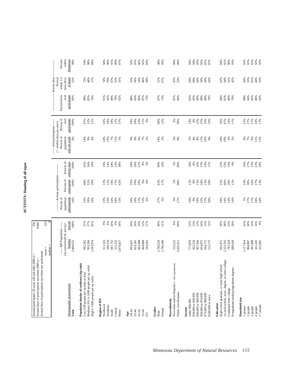| í                      |
|------------------------|
| ֧֧֧֦֧֦֧֦֧֚֬֓֕֓֕֓֓<br>¢ |
| ċ                      |
| $\overline{a}$         |
|                        |
|                        |
| 2                      |

| Annual days of participation anywhere per participant:<br>Annual participants 20 years old and older (000's) =<br>Annual days of participation anywhere (000's) =  |                                                        | 8,060             |                          |                                                |                                                                 |                                                                                         |                                            |                      |                                                        |                     |
|--------------------------------------------------------------------------------------------------------------------------------------------------------------------|--------------------------------------------------------|-------------------|--------------------------|------------------------------------------------|-----------------------------------------------------------------|-----------------------------------------------------------------------------------------|--------------------------------------------|----------------------|--------------------------------------------------------|---------------------|
|                                                                                                                                                                    | $median =$<br>$mean =$                                 | 14.5              |                          |                                                |                                                                 |                                                                                         |                                            |                      |                                                        |                     |
|                                                                                                                                                                    | ---- MN Population -----<br>(as represented by survey) |                   | Percent of<br>population | ------ Activity participation --<br>Percent of | Percent of                                                      | --- Avid participants ------<br>$($ > median days per year)<br>Percent of<br>population | Percent of<br>avid                         | Percent from<br>avid | Activity days<br>Percent<br>hour drive<br>within $1/2$ | Percent<br>within   |
| Demographic characteristic<br>Total                                                                                                                                | Number<br>3,484,632                                    | Percent<br>100%   | participating<br>16%     | participants<br>100%                           | activity days<br>100%                                           | who are avids<br>8%                                                                     | participants<br>100%                       | participants<br>85%  | of home<br>52%                                         | Minnesota<br>$90\%$ |
| Population density of residence (zip code)<br>Medium (101 to 1000 people per sq. mile)<br>Low (100 people per sq mile or less)<br>High (>1000 people per sq. mile) | 955,296<br>945,362<br>1,583,974                        | 27%<br>27%<br>45% | 23%<br>18%<br>10%        | 32%<br>28%<br>40%                              | 36%<br>45%<br>19%                                               | $9\%$<br>14%<br>4%                                                                      | 47%<br>32%<br>21%                          | 89%<br>85%<br>76%    | 46%<br>17%<br>72%                                      | 90%<br>93%<br>84%   |
| Region of MN<br>Northwest                                                                                                                                          | 311,163                                                | 666               | 23%                      | 13%                                            | 14%                                                             | 14%                                                                                     | 16%                                        | 91%                  | 74%                                                    | 94%                 |
| Northeast                                                                                                                                                          | 296,159                                                | $8\%$             | 23%                      | 12%                                            | 14%                                                             | 15%                                                                                     | 16%                                        | 92%                  | 70%                                                    | 96%                 |
| Central<br>South                                                                                                                                                   | 687,752<br>315,532                                     | 20%<br>$9\%$      | 14%<br>26%               | 18%<br>15%                                     | 20%<br>13%                                                      | $7\%$                                                                                   | 18%<br>12%                                 | 88%<br>78%           | 67%<br>53%                                             | 91%<br>89%          |
| Metro                                                                                                                                                              | 1,874,027                                              | 54%               | 13%                      | 42%                                            | 38%                                                             | $1\%$<br>5%                                                                             | 37%                                        | 82%                  | 31%                                                    | 87%                 |
| $\frac{\text{Age}}{20-34}$                                                                                                                                         | 995,621                                                | 29%               | 20%                      | 35%<br>29%                                     | 39%                                                             | $\%$                                                                                    | 34%                                        | 88%                  | 52%                                                    | 92%                 |
| $35 - 44$                                                                                                                                                          | 824,181                                                | 24%               | 19%                      |                                                | 26%<br>21%                                                      | 9%                                                                                      | 28%                                        | 83%                  | 56%                                                    | 91%                 |
| 45-54                                                                                                                                                              | 665,698                                                | 19%               | 17%<br>13%               | 20%                                            |                                                                 | $9\%$                                                                                   | 23%                                        | 86%                  | 54%                                                    | 86%<br>92%          |
| 55-64<br>$65+$                                                                                                                                                     | 404,868<br>594,265                                     | 12%<br>17%        | 6%                       | $9\%$<br>6%                                    | 9%<br>5%                                                        | $7%$<br>$2%$                                                                            | $\begin{array}{c} 11\% \\ 4\% \end{array}$ | 87%<br>75%           | 48%<br>39%                                             | 85%                 |
| Gender<br>Female<br>Male                                                                                                                                           | 1,700,236<br>1,784,396                                 | 49%<br>51%        | 27%<br>5%                | 83%<br>17%                                     | $90\%$<br>10%                                                   | 14%<br>2%                                                                               | 88%<br>12%                                 | 87%<br>75%           | 51%<br>67%                                             | 90%<br>95%          |
| Non-white and/or Hispanic (<100 respondents)<br>Race/ethnicity                                                                                                     | 219,221                                                | 6%                |                          |                                                |                                                                 |                                                                                         |                                            | 87%                  |                                                        | 99%                 |
| White, non-Hispanic                                                                                                                                                | 3,265,411                                              | 94%               | 5%<br>17%                | 2%<br>98%                                      | 1%<br>99%                                                       | $3%$<br>$8%$                                                                            | 2%<br>98%                                  | 86%                  | 47%<br>53%                                             | 90%                 |
| under \$30,000<br>Income                                                                                                                                           | 773,879                                                | 22%               | 10%                      | 13%                                            | 10%                                                             | 5%                                                                                      | 14%                                        | 82%                  | 50%                                                    | 94%                 |
| \$30,000 to \$39,999                                                                                                                                               | 452,334                                                | 13%               | 9%                       | $8\%$                                          | $6\%$                                                           | $4%$                                                                                    | 6%                                         | 85%                  | 69%                                                    | 94%                 |
| \$40,000 to \$49,999<br>\$50,000 to \$74,999                                                                                                                       | 467,456<br>834,075                                     | 13%<br>24%        | 16%<br>23%               | 13%<br>34%                                     |                                                                 | 12%<br>$8\%$                                                                            | 12%<br>35%                                 | 89%<br>88%           | 64%<br>59%                                             | 95%<br>92%          |
| \$75,000 to \$99,999                                                                                                                                               | 444,712                                                | 13%               | 17%<br>20%               | 13%<br>18%                                     | $\begin{array}{l} 16\% \\ 57\% \\ 14\% \\ 17\% \end{array}$     | $10\%$                                                                                  | 16%                                        | 89%                  | 50%                                                    | 81%                 |
| \$100,000 or more<br>Education                                                                                                                                     | 512,175                                                | 15%               |                          |                                                |                                                                 | 9%                                                                                      | 16%                                        | 79%                  | 26%                                                    | 87%                 |
| High school graduate, or some high school                                                                                                                          | 692,471                                                | 20%               | 18%                      | 22%                                            | 22%                                                             | 10%                                                                                     | 26%                                        | 88%                  | 62%                                                    | 94%                 |
| Vo-tech school, assoc. degree, or some college<br>Graduated from college                                                                                           | 787,629<br>1,323,702                                   | 38%<br>23%        | 19%<br>14%               | 46%                                            | 53%<br>16%                                                      | $10\%$                                                                                  | 47%<br>16%                                 | 87%<br>80%           | 54%<br>41%                                             | 91%<br>$80\%$       |
| Postgraduate study/postgraduate degrees                                                                                                                            | 680,830                                                | 20%               | 10%                      | 20%<br>13%                                     | 9%                                                              | 5%<br>5%                                                                                | 11%                                        | 79%                  | 42%                                                    | 93%                 |
| Household size                                                                                                                                                     | 1.117,414                                              |                   |                          |                                                |                                                                 |                                                                                         |                                            | 89%                  | 50%                                                    | 93%                 |
| 2 people<br>1 person                                                                                                                                               | 984,997                                                | 32%<br>28%        | 7%<br>17%                | 14%<br>30%                                     |                                                                 | $\frac{4\%}{7\%}$                                                                       | $15%$<br>$27%$                             |                      | 53%                                                    | 91%                 |
| 3 people                                                                                                                                                           | 497,888                                                | 14%               |                          | 16%                                            |                                                                 | $9\%$                                                                                   | 17%                                        | 84%<br>85%           | 61%                                                    | 81%                 |
| 5+ people<br>4 people                                                                                                                                              | 561,432<br>322,901                                     | 16%<br>9%         | $17%$<br>$26%$<br>$24%$  | 27%<br>14%                                     | $\frac{88}{27}$ $\frac{88}{27}$ $\frac{88}{20}$ $\frac{88}{20}$ | 11%<br>15%                                                                              | 24%<br>17%                                 | 80%<br>92%           | 46%<br>55%                                             | 92%<br>92%          |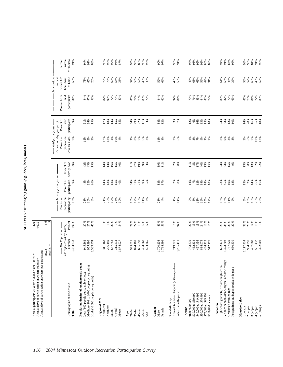| participants<br>Percent from<br>avid<br>81%<br>$84%$<br>$87%$<br>86%<br>77%<br>83%<br>72%<br>84%<br>62%<br>94%<br>81%<br>72%<br>69%<br>58%<br>87%<br>90%<br>77%<br>79%<br>70%<br>76%<br>89%<br>84%<br>82%<br>80%<br>87%<br>80%<br>74%<br>Percent of<br>avid<br>participants<br>22%<br>11%<br>88%<br>12%<br>3%<br>97%<br>16%<br>$53%$<br>12%<br>10%<br>$\frac{14\%}{28\%}$<br>$\frac{16%}{25%}$<br>100%<br>51%<br>34%<br>15%<br>17%<br>18%<br>14%<br>15%<br>34%<br>29%<br>12%<br>6%<br>33%<br>$15%$<br>$18%$<br>24%<br>35%<br>4%<br>$($ > median days per year)<br>-- Avid participants ---<br>Percent of<br>who are avids<br>population<br>* * * * *<br>9%<br>8888828<br>6%<br>$2\%$<br>8%<br>2%<br>$4\%$<br>$10\%$<br>$11\%$ 1%<br>3%<br>6%<br>$4\%$<br>3%<br>$7\%$<br>$7%$<br>$7%$<br>$8\%$<br>$9\%$<br>$3%$<br>$3%$<br>12%<br>13%<br>4%<br>Percent of<br>activity days<br>15%<br>100%<br>42%<br>$43%$<br>15%<br>16%<br>$15%$<br>40%<br>$41%$<br>$27%$<br>$19%$<br>$9\%$<br>89%<br>11%<br>2%<br>98%<br>5%<br>17%<br>40%<br>13%<br>24%<br>53%<br>13%<br>30%<br>$13%$<br>22%<br>22%<br>14%<br>14%<br>4%<br>11%<br>15%<br>9%<br>--- Activity participation-<br>Percent of<br>participants<br>100%<br>21%<br>34%<br>23%<br><b>13%</b><br>32%<br>14%<br>26%<br>16%<br>43%<br>32%<br>26%<br>14%<br>13%<br>$18\%$<br>15%<br>40%<br>34%<br>31%<br>9%<br>5%<br>83%<br>17%<br>2%<br>98%<br>14%<br>7%<br>12%<br>14%<br>18%<br>45%<br>19%<br>13%<br>Percent of<br>population<br>participating<br>5%<br>$15%$<br>$13%$<br>$23%$<br>$23%$<br>13%<br>21%<br>16%<br>$8\%$<br>12%<br>16%<br>17%<br>15%<br>11%<br>23%<br>4%<br>9%<br>$8\%$<br>13%<br>19%<br>11%<br>9%<br>21%<br>20%<br>23%<br>4%<br>4%<br>14%<br>15%<br>17%<br>16%<br>16%<br>10%<br>27%<br>27%<br>$9%8%$<br>$20%3%$<br>19%<br>49%<br>13%<br>13%<br>24%<br>23%<br>14%<br>16%<br>9%<br>Percent<br>45%<br>$9\%$<br>29%<br>24%<br>12%<br>51%<br>6%<br>94%<br>22%<br>20%<br>38%<br>32%<br>28%<br>100%<br>54%<br>17%<br>13%<br>15%<br>20%<br>---- MN Population -----<br>(as represented by survey)<br>Number<br>3,484,632<br>955,296<br>1,700,236<br>1,784,396<br>467,456<br>787,629<br>1,117,414<br>497,888<br>945,362<br>1,583,974<br>296,159<br>687,752<br>315,532<br>665,698<br>773,879<br>834,075<br>444,712<br>512,175<br>680,830<br>561,432<br>322,901<br>311,163<br>404,868<br>452,334<br>1,323,702<br>984,997<br>594,265<br>219,221<br>3,265,411<br>692,471<br>1,874,027<br>995,621<br>824,181<br>median<br>Vo-tech school, assoc. degree, or some college<br>Non-white and/or Hispanic (<100 respondents)<br>Population density of residence (zip code)<br>High school graduate, or some high school<br>Medium (101 to 1000 people per sq. mile)<br>Postgraduate study/postgraduate degrees<br>Low (100 people per sq mile or less)<br>High (>1000 people per sq. mile)<br>Demographic characteristic<br>Graduated from college<br>White, non-Hispanic<br>\$40,000 to \$49,999<br>\$50,000 to \$74,999<br>\$30,000 to \$39,999<br>\$75,000 to \$99,999<br>\$100,000 or more<br>Household size<br>Region of MN<br>Race/ethnicity<br>under \$30,000<br>Education<br>Northwest<br>$5+$ people<br>Northeast<br>$2$ people $% \left( \left( \mathcal{A}\right) \right)$<br>3 people<br>1 person<br>4 people<br>Income<br>Gender<br>Female<br>Central<br>Metro<br>South<br>Total<br>45-54<br>$35 - 44$<br>55-64<br>20-34<br>Male<br>Age<br>$65+$ | Annual days of participation anywhere per participant: | $mean =$ | 8.6 |  |  |  |                       |
|-------------------------------------------------------------------------------------------------------------------------------------------------------------------------------------------------------------------------------------------------------------------------------------------------------------------------------------------------------------------------------------------------------------------------------------------------------------------------------------------------------------------------------------------------------------------------------------------------------------------------------------------------------------------------------------------------------------------------------------------------------------------------------------------------------------------------------------------------------------------------------------------------------------------------------------------------------------------------------------------------------------------------------------------------------------------------------------------------------------------------------------------------------------------------------------------------------------------------------------------------------------------------------------------------------------------------------------------------------------------------------------------------------------------------------------------------------------------------------------------------------------------------------------------------------------------------------------------------------------------------------------------------------------------------------------------------------------------------------------------------------------------------------------------------------------------------------------------------------------------------------------------------------------------------------------------------------------------------------------------------------------------------------------------------------------------------------------------------------------------------------------------------------------------------------------------------------------------------------------------------------------------------------------------------------------------------------------------------------------------------------------------------------------------------------------------------------------------------------------------------------------------------------------------------------------------------------------------------------------------------------------------------------------------------------------------------------------------------------------------------------------------------------------------------------------------------------------------------------------------------------------------------------------------------------------------------------------------------------------------------------------------------------------------------------------------------------------------------------------------------------------------------------------------------------------------------------------------------------------------------------------------------------------------------------------------------------------------------------------------------------------------------|--------------------------------------------------------|----------|-----|--|--|--|-----------------------|
|                                                                                                                                                                                                                                                                                                                                                                                                                                                                                                                                                                                                                                                                                                                                                                                                                                                                                                                                                                                                                                                                                                                                                                                                                                                                                                                                                                                                                                                                                                                                                                                                                                                                                                                                                                                                                                                                                                                                                                                                                                                                                                                                                                                                                                                                                                                                                                                                                                                                                                                                                                                                                                                                                                                                                                                                                                                                                                                                                                                                                                                                                                                                                                                                                                                                                                                                                                                                 |                                                        |          |     |  |  |  | Activity days         |
|                                                                                                                                                                                                                                                                                                                                                                                                                                                                                                                                                                                                                                                                                                                                                                                                                                                                                                                                                                                                                                                                                                                                                                                                                                                                                                                                                                                                                                                                                                                                                                                                                                                                                                                                                                                                                                                                                                                                                                                                                                                                                                                                                                                                                                                                                                                                                                                                                                                                                                                                                                                                                                                                                                                                                                                                                                                                                                                                                                                                                                                                                                                                                                                                                                                                                                                                                                                                 |                                                        |          |     |  |  |  | within $1/2$          |
|                                                                                                                                                                                                                                                                                                                                                                                                                                                                                                                                                                                                                                                                                                                                                                                                                                                                                                                                                                                                                                                                                                                                                                                                                                                                                                                                                                                                                                                                                                                                                                                                                                                                                                                                                                                                                                                                                                                                                                                                                                                                                                                                                                                                                                                                                                                                                                                                                                                                                                                                                                                                                                                                                                                                                                                                                                                                                                                                                                                                                                                                                                                                                                                                                                                                                                                                                                                                 |                                                        |          |     |  |  |  | hour drive<br>of home |
|                                                                                                                                                                                                                                                                                                                                                                                                                                                                                                                                                                                                                                                                                                                                                                                                                                                                                                                                                                                                                                                                                                                                                                                                                                                                                                                                                                                                                                                                                                                                                                                                                                                                                                                                                                                                                                                                                                                                                                                                                                                                                                                                                                                                                                                                                                                                                                                                                                                                                                                                                                                                                                                                                                                                                                                                                                                                                                                                                                                                                                                                                                                                                                                                                                                                                                                                                                                                 |                                                        |          |     |  |  |  |                       |
|                                                                                                                                                                                                                                                                                                                                                                                                                                                                                                                                                                                                                                                                                                                                                                                                                                                                                                                                                                                                                                                                                                                                                                                                                                                                                                                                                                                                                                                                                                                                                                                                                                                                                                                                                                                                                                                                                                                                                                                                                                                                                                                                                                                                                                                                                                                                                                                                                                                                                                                                                                                                                                                                                                                                                                                                                                                                                                                                                                                                                                                                                                                                                                                                                                                                                                                                                                                                 |                                                        |          |     |  |  |  |                       |
|                                                                                                                                                                                                                                                                                                                                                                                                                                                                                                                                                                                                                                                                                                                                                                                                                                                                                                                                                                                                                                                                                                                                                                                                                                                                                                                                                                                                                                                                                                                                                                                                                                                                                                                                                                                                                                                                                                                                                                                                                                                                                                                                                                                                                                                                                                                                                                                                                                                                                                                                                                                                                                                                                                                                                                                                                                                                                                                                                                                                                                                                                                                                                                                                                                                                                                                                                                                                 |                                                        |          |     |  |  |  |                       |
|                                                                                                                                                                                                                                                                                                                                                                                                                                                                                                                                                                                                                                                                                                                                                                                                                                                                                                                                                                                                                                                                                                                                                                                                                                                                                                                                                                                                                                                                                                                                                                                                                                                                                                                                                                                                                                                                                                                                                                                                                                                                                                                                                                                                                                                                                                                                                                                                                                                                                                                                                                                                                                                                                                                                                                                                                                                                                                                                                                                                                                                                                                                                                                                                                                                                                                                                                                                                 |                                                        |          |     |  |  |  |                       |
|                                                                                                                                                                                                                                                                                                                                                                                                                                                                                                                                                                                                                                                                                                                                                                                                                                                                                                                                                                                                                                                                                                                                                                                                                                                                                                                                                                                                                                                                                                                                                                                                                                                                                                                                                                                                                                                                                                                                                                                                                                                                                                                                                                                                                                                                                                                                                                                                                                                                                                                                                                                                                                                                                                                                                                                                                                                                                                                                                                                                                                                                                                                                                                                                                                                                                                                                                                                                 |                                                        |          |     |  |  |  |                       |
|                                                                                                                                                                                                                                                                                                                                                                                                                                                                                                                                                                                                                                                                                                                                                                                                                                                                                                                                                                                                                                                                                                                                                                                                                                                                                                                                                                                                                                                                                                                                                                                                                                                                                                                                                                                                                                                                                                                                                                                                                                                                                                                                                                                                                                                                                                                                                                                                                                                                                                                                                                                                                                                                                                                                                                                                                                                                                                                                                                                                                                                                                                                                                                                                                                                                                                                                                                                                 |                                                        |          |     |  |  |  |                       |
|                                                                                                                                                                                                                                                                                                                                                                                                                                                                                                                                                                                                                                                                                                                                                                                                                                                                                                                                                                                                                                                                                                                                                                                                                                                                                                                                                                                                                                                                                                                                                                                                                                                                                                                                                                                                                                                                                                                                                                                                                                                                                                                                                                                                                                                                                                                                                                                                                                                                                                                                                                                                                                                                                                                                                                                                                                                                                                                                                                                                                                                                                                                                                                                                                                                                                                                                                                                                 |                                                        |          |     |  |  |  |                       |
|                                                                                                                                                                                                                                                                                                                                                                                                                                                                                                                                                                                                                                                                                                                                                                                                                                                                                                                                                                                                                                                                                                                                                                                                                                                                                                                                                                                                                                                                                                                                                                                                                                                                                                                                                                                                                                                                                                                                                                                                                                                                                                                                                                                                                                                                                                                                                                                                                                                                                                                                                                                                                                                                                                                                                                                                                                                                                                                                                                                                                                                                                                                                                                                                                                                                                                                                                                                                 |                                                        |          |     |  |  |  |                       |
|                                                                                                                                                                                                                                                                                                                                                                                                                                                                                                                                                                                                                                                                                                                                                                                                                                                                                                                                                                                                                                                                                                                                                                                                                                                                                                                                                                                                                                                                                                                                                                                                                                                                                                                                                                                                                                                                                                                                                                                                                                                                                                                                                                                                                                                                                                                                                                                                                                                                                                                                                                                                                                                                                                                                                                                                                                                                                                                                                                                                                                                                                                                                                                                                                                                                                                                                                                                                 |                                                        |          |     |  |  |  |                       |
|                                                                                                                                                                                                                                                                                                                                                                                                                                                                                                                                                                                                                                                                                                                                                                                                                                                                                                                                                                                                                                                                                                                                                                                                                                                                                                                                                                                                                                                                                                                                                                                                                                                                                                                                                                                                                                                                                                                                                                                                                                                                                                                                                                                                                                                                                                                                                                                                                                                                                                                                                                                                                                                                                                                                                                                                                                                                                                                                                                                                                                                                                                                                                                                                                                                                                                                                                                                                 |                                                        |          |     |  |  |  |                       |
|                                                                                                                                                                                                                                                                                                                                                                                                                                                                                                                                                                                                                                                                                                                                                                                                                                                                                                                                                                                                                                                                                                                                                                                                                                                                                                                                                                                                                                                                                                                                                                                                                                                                                                                                                                                                                                                                                                                                                                                                                                                                                                                                                                                                                                                                                                                                                                                                                                                                                                                                                                                                                                                                                                                                                                                                                                                                                                                                                                                                                                                                                                                                                                                                                                                                                                                                                                                                 |                                                        |          |     |  |  |  |                       |
|                                                                                                                                                                                                                                                                                                                                                                                                                                                                                                                                                                                                                                                                                                                                                                                                                                                                                                                                                                                                                                                                                                                                                                                                                                                                                                                                                                                                                                                                                                                                                                                                                                                                                                                                                                                                                                                                                                                                                                                                                                                                                                                                                                                                                                                                                                                                                                                                                                                                                                                                                                                                                                                                                                                                                                                                                                                                                                                                                                                                                                                                                                                                                                                                                                                                                                                                                                                                 |                                                        |          |     |  |  |  |                       |
|                                                                                                                                                                                                                                                                                                                                                                                                                                                                                                                                                                                                                                                                                                                                                                                                                                                                                                                                                                                                                                                                                                                                                                                                                                                                                                                                                                                                                                                                                                                                                                                                                                                                                                                                                                                                                                                                                                                                                                                                                                                                                                                                                                                                                                                                                                                                                                                                                                                                                                                                                                                                                                                                                                                                                                                                                                                                                                                                                                                                                                                                                                                                                                                                                                                                                                                                                                                                 |                                                        |          |     |  |  |  |                       |
|                                                                                                                                                                                                                                                                                                                                                                                                                                                                                                                                                                                                                                                                                                                                                                                                                                                                                                                                                                                                                                                                                                                                                                                                                                                                                                                                                                                                                                                                                                                                                                                                                                                                                                                                                                                                                                                                                                                                                                                                                                                                                                                                                                                                                                                                                                                                                                                                                                                                                                                                                                                                                                                                                                                                                                                                                                                                                                                                                                                                                                                                                                                                                                                                                                                                                                                                                                                                 |                                                        |          |     |  |  |  |                       |
|                                                                                                                                                                                                                                                                                                                                                                                                                                                                                                                                                                                                                                                                                                                                                                                                                                                                                                                                                                                                                                                                                                                                                                                                                                                                                                                                                                                                                                                                                                                                                                                                                                                                                                                                                                                                                                                                                                                                                                                                                                                                                                                                                                                                                                                                                                                                                                                                                                                                                                                                                                                                                                                                                                                                                                                                                                                                                                                                                                                                                                                                                                                                                                                                                                                                                                                                                                                                 |                                                        |          |     |  |  |  |                       |
|                                                                                                                                                                                                                                                                                                                                                                                                                                                                                                                                                                                                                                                                                                                                                                                                                                                                                                                                                                                                                                                                                                                                                                                                                                                                                                                                                                                                                                                                                                                                                                                                                                                                                                                                                                                                                                                                                                                                                                                                                                                                                                                                                                                                                                                                                                                                                                                                                                                                                                                                                                                                                                                                                                                                                                                                                                                                                                                                                                                                                                                                                                                                                                                                                                                                                                                                                                                                 |                                                        |          |     |  |  |  |                       |
|                                                                                                                                                                                                                                                                                                                                                                                                                                                                                                                                                                                                                                                                                                                                                                                                                                                                                                                                                                                                                                                                                                                                                                                                                                                                                                                                                                                                                                                                                                                                                                                                                                                                                                                                                                                                                                                                                                                                                                                                                                                                                                                                                                                                                                                                                                                                                                                                                                                                                                                                                                                                                                                                                                                                                                                                                                                                                                                                                                                                                                                                                                                                                                                                                                                                                                                                                                                                 |                                                        |          |     |  |  |  |                       |
|                                                                                                                                                                                                                                                                                                                                                                                                                                                                                                                                                                                                                                                                                                                                                                                                                                                                                                                                                                                                                                                                                                                                                                                                                                                                                                                                                                                                                                                                                                                                                                                                                                                                                                                                                                                                                                                                                                                                                                                                                                                                                                                                                                                                                                                                                                                                                                                                                                                                                                                                                                                                                                                                                                                                                                                                                                                                                                                                                                                                                                                                                                                                                                                                                                                                                                                                                                                                 |                                                        |          |     |  |  |  |                       |
|                                                                                                                                                                                                                                                                                                                                                                                                                                                                                                                                                                                                                                                                                                                                                                                                                                                                                                                                                                                                                                                                                                                                                                                                                                                                                                                                                                                                                                                                                                                                                                                                                                                                                                                                                                                                                                                                                                                                                                                                                                                                                                                                                                                                                                                                                                                                                                                                                                                                                                                                                                                                                                                                                                                                                                                                                                                                                                                                                                                                                                                                                                                                                                                                                                                                                                                                                                                                 |                                                        |          |     |  |  |  |                       |
|                                                                                                                                                                                                                                                                                                                                                                                                                                                                                                                                                                                                                                                                                                                                                                                                                                                                                                                                                                                                                                                                                                                                                                                                                                                                                                                                                                                                                                                                                                                                                                                                                                                                                                                                                                                                                                                                                                                                                                                                                                                                                                                                                                                                                                                                                                                                                                                                                                                                                                                                                                                                                                                                                                                                                                                                                                                                                                                                                                                                                                                                                                                                                                                                                                                                                                                                                                                                 |                                                        |          |     |  |  |  |                       |
|                                                                                                                                                                                                                                                                                                                                                                                                                                                                                                                                                                                                                                                                                                                                                                                                                                                                                                                                                                                                                                                                                                                                                                                                                                                                                                                                                                                                                                                                                                                                                                                                                                                                                                                                                                                                                                                                                                                                                                                                                                                                                                                                                                                                                                                                                                                                                                                                                                                                                                                                                                                                                                                                                                                                                                                                                                                                                                                                                                                                                                                                                                                                                                                                                                                                                                                                                                                                 |                                                        |          |     |  |  |  |                       |
|                                                                                                                                                                                                                                                                                                                                                                                                                                                                                                                                                                                                                                                                                                                                                                                                                                                                                                                                                                                                                                                                                                                                                                                                                                                                                                                                                                                                                                                                                                                                                                                                                                                                                                                                                                                                                                                                                                                                                                                                                                                                                                                                                                                                                                                                                                                                                                                                                                                                                                                                                                                                                                                                                                                                                                                                                                                                                                                                                                                                                                                                                                                                                                                                                                                                                                                                                                                                 |                                                        |          |     |  |  |  |                       |
|                                                                                                                                                                                                                                                                                                                                                                                                                                                                                                                                                                                                                                                                                                                                                                                                                                                                                                                                                                                                                                                                                                                                                                                                                                                                                                                                                                                                                                                                                                                                                                                                                                                                                                                                                                                                                                                                                                                                                                                                                                                                                                                                                                                                                                                                                                                                                                                                                                                                                                                                                                                                                                                                                                                                                                                                                                                                                                                                                                                                                                                                                                                                                                                                                                                                                                                                                                                                 |                                                        |          |     |  |  |  |                       |
|                                                                                                                                                                                                                                                                                                                                                                                                                                                                                                                                                                                                                                                                                                                                                                                                                                                                                                                                                                                                                                                                                                                                                                                                                                                                                                                                                                                                                                                                                                                                                                                                                                                                                                                                                                                                                                                                                                                                                                                                                                                                                                                                                                                                                                                                                                                                                                                                                                                                                                                                                                                                                                                                                                                                                                                                                                                                                                                                                                                                                                                                                                                                                                                                                                                                                                                                                                                                 |                                                        |          |     |  |  |  |                       |
|                                                                                                                                                                                                                                                                                                                                                                                                                                                                                                                                                                                                                                                                                                                                                                                                                                                                                                                                                                                                                                                                                                                                                                                                                                                                                                                                                                                                                                                                                                                                                                                                                                                                                                                                                                                                                                                                                                                                                                                                                                                                                                                                                                                                                                                                                                                                                                                                                                                                                                                                                                                                                                                                                                                                                                                                                                                                                                                                                                                                                                                                                                                                                                                                                                                                                                                                                                                                 |                                                        |          |     |  |  |  |                       |
|                                                                                                                                                                                                                                                                                                                                                                                                                                                                                                                                                                                                                                                                                                                                                                                                                                                                                                                                                                                                                                                                                                                                                                                                                                                                                                                                                                                                                                                                                                                                                                                                                                                                                                                                                                                                                                                                                                                                                                                                                                                                                                                                                                                                                                                                                                                                                                                                                                                                                                                                                                                                                                                                                                                                                                                                                                                                                                                                                                                                                                                                                                                                                                                                                                                                                                                                                                                                 |                                                        |          |     |  |  |  |                       |
|                                                                                                                                                                                                                                                                                                                                                                                                                                                                                                                                                                                                                                                                                                                                                                                                                                                                                                                                                                                                                                                                                                                                                                                                                                                                                                                                                                                                                                                                                                                                                                                                                                                                                                                                                                                                                                                                                                                                                                                                                                                                                                                                                                                                                                                                                                                                                                                                                                                                                                                                                                                                                                                                                                                                                                                                                                                                                                                                                                                                                                                                                                                                                                                                                                                                                                                                                                                                 |                                                        |          |     |  |  |  |                       |
|                                                                                                                                                                                                                                                                                                                                                                                                                                                                                                                                                                                                                                                                                                                                                                                                                                                                                                                                                                                                                                                                                                                                                                                                                                                                                                                                                                                                                                                                                                                                                                                                                                                                                                                                                                                                                                                                                                                                                                                                                                                                                                                                                                                                                                                                                                                                                                                                                                                                                                                                                                                                                                                                                                                                                                                                                                                                                                                                                                                                                                                                                                                                                                                                                                                                                                                                                                                                 |                                                        |          |     |  |  |  |                       |
|                                                                                                                                                                                                                                                                                                                                                                                                                                                                                                                                                                                                                                                                                                                                                                                                                                                                                                                                                                                                                                                                                                                                                                                                                                                                                                                                                                                                                                                                                                                                                                                                                                                                                                                                                                                                                                                                                                                                                                                                                                                                                                                                                                                                                                                                                                                                                                                                                                                                                                                                                                                                                                                                                                                                                                                                                                                                                                                                                                                                                                                                                                                                                                                                                                                                                                                                                                                                 |                                                        |          |     |  |  |  |                       |
|                                                                                                                                                                                                                                                                                                                                                                                                                                                                                                                                                                                                                                                                                                                                                                                                                                                                                                                                                                                                                                                                                                                                                                                                                                                                                                                                                                                                                                                                                                                                                                                                                                                                                                                                                                                                                                                                                                                                                                                                                                                                                                                                                                                                                                                                                                                                                                                                                                                                                                                                                                                                                                                                                                                                                                                                                                                                                                                                                                                                                                                                                                                                                                                                                                                                                                                                                                                                 |                                                        |          |     |  |  |  |                       |
|                                                                                                                                                                                                                                                                                                                                                                                                                                                                                                                                                                                                                                                                                                                                                                                                                                                                                                                                                                                                                                                                                                                                                                                                                                                                                                                                                                                                                                                                                                                                                                                                                                                                                                                                                                                                                                                                                                                                                                                                                                                                                                                                                                                                                                                                                                                                                                                                                                                                                                                                                                                                                                                                                                                                                                                                                                                                                                                                                                                                                                                                                                                                                                                                                                                                                                                                                                                                 |                                                        |          |     |  |  |  |                       |
|                                                                                                                                                                                                                                                                                                                                                                                                                                                                                                                                                                                                                                                                                                                                                                                                                                                                                                                                                                                                                                                                                                                                                                                                                                                                                                                                                                                                                                                                                                                                                                                                                                                                                                                                                                                                                                                                                                                                                                                                                                                                                                                                                                                                                                                                                                                                                                                                                                                                                                                                                                                                                                                                                                                                                                                                                                                                                                                                                                                                                                                                                                                                                                                                                                                                                                                                                                                                 |                                                        |          |     |  |  |  |                       |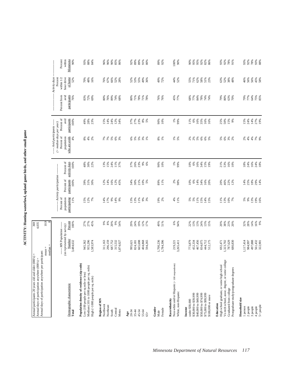ACTIVITY: Hunting waterfowl, upland game birds, and other small game **ACTIVITY: Hunting waterfowl, upland game birds, and other small game**

| Annual days of participation anywhere per participant:<br>Annual participants 20 years old and older (000's) =<br>Annual days of participation anywhere (000's) = |                                                                  | 369<br>4,035            |                                           |                                      |                              |                                                              |                                    |                                      |                                       |                                |
|-------------------------------------------------------------------------------------------------------------------------------------------------------------------|------------------------------------------------------------------|-------------------------|-------------------------------------------|--------------------------------------|------------------------------|--------------------------------------------------------------|------------------------------------|--------------------------------------|---------------------------------------|--------------------------------|
|                                                                                                                                                                   | $median =$<br>$mean =$                                           | 10.9                    |                                           |                                      |                              |                                                              |                                    |                                      |                                       |                                |
|                                                                                                                                                                   |                                                                  |                         |                                           | ------ Activity participation ------ |                              | ----- Avid participants -----<br>$($ > median days per year) |                                    |                                      | Activity days<br>Percent              |                                |
| Demographic characteristic                                                                                                                                        | ---- MN Population -----<br>(as represented by survey)<br>Number | Percent                 | Percent of<br>population<br>participating | participants<br>Percent of           | Percent of<br>activity days  | Percent of<br>who are avids<br>population                    | Percent of<br>avid<br>participants | avid<br>participants<br>Percent from | hour drive<br>of home<br>within $1/2$ | Percent<br>Minnesota<br>within |
| Total                                                                                                                                                             | 3,484,632                                                        | 100%                    | 11%                                       | 100%                                 | 100%                         | 4%                                                           | 100%                               | 76%                                  | 52%                                   | $90\%$                         |
| Population density of residence (zip code)<br>Low (100 people per sq mile or less)                                                                                | 945,362                                                          |                         |                                           |                                      |                              |                                                              | 49%                                |                                      |                                       |                                |
| Medium (101 to 1000 people per sq. mile)<br>High (>1000 people per sq. mile)                                                                                      | 955,296<br>1,583,974                                             | 27%<br>27%<br>45%       | $15%$<br>$12%$<br>7%                      | 39%<br>31%<br>30%                    | $48%$<br>$30%$<br>$22%$      | <b>8 8 8</b>                                                 | 28%<br>23%                         | 83%<br>72%<br>69%                    | $^{70\%}_{48\%}$<br>16%               | $38%$<br>$38%$<br>$34%$        |
| Region of MN                                                                                                                                                      |                                                                  |                         |                                           |                                      |                              |                                                              |                                    |                                      |                                       |                                |
| Northwest                                                                                                                                                         | 311,163                                                          | $\frac{9\%}{8\%}$       | 14%                                       | 12%                                  | 13%                          |                                                              | 15%                                | 80%                                  | 76%                                   | 96%                            |
| Northeast<br>South                                                                                                                                                | 296,159<br>687,752                                               | 20%                     | 9%<br>17%                                 | 16%<br>14%                           | 24%<br>15%                   |                                                              | 24%<br>14%                         | 76%<br>89%                           | 67%<br>66%                            | 96%<br>$90\%$                  |
| Central                                                                                                                                                           | 315,532                                                          | $9\%$                   | 14%                                       |                                      |                              | 88888                                                        | 12%                                | 74%                                  | 52%                                   | $85\%$                         |
| Metro                                                                                                                                                             | 1,874,027                                                        | 54%                     | 9%                                        | 12%<br>45%                           | $11%$<br>37%                 |                                                              | 34%                                | 68%                                  | 28%                                   | 86%                            |
| 20-34<br>Age                                                                                                                                                      | 995,621                                                          | 29%                     |                                           | 34%                                  | 37%                          |                                                              |                                    | 80%                                  | 52%                                   | 92%                            |
| $35 - 44$                                                                                                                                                         | 824,181                                                          | 24%                     | 13%<br>13%                                | 30%                                  | 26%                          |                                                              | 37%<br>27%                         | 71%                                  | 53%                                   | 89%                            |
| 45-54                                                                                                                                                             | 665,698                                                          | 19%                     | 11%                                       |                                      | 23%                          | 888882                                                       | 23%                                | 78%                                  | 55%                                   | 89%                            |
| 55-64                                                                                                                                                             | 404,868                                                          |                         | 9%<br>3%                                  | $21%$<br>$10%$<br>$5%$               | 9%                           |                                                              | $8\%$                              |                                      | 49%                                   | 91%                            |
| $65+$                                                                                                                                                             | 594,265                                                          | $12%$<br>17%            |                                           |                                      | 6%                           |                                                              | 5%                                 | <b>71%</b><br>78%                    | 36%                                   | 80%                            |
| Gender<br>Male                                                                                                                                                    | 1,700,236                                                        | 49%<br>51%              | 19%<br>2%                                 | 89%<br>11%                           | 90%                          | $\begin{array}{c} 8\% \\ 1\% \end{array}$                    | 90%<br>10%                         | 76%<br>76%                           | 49%<br>72%                            | 89%<br>92%                     |
| Female                                                                                                                                                            | 1,784,396                                                        |                         |                                           |                                      | 10%                          |                                                              |                                    |                                      |                                       |                                |
| Non-white and/or Hispanic (<100 respondents)<br>Race/ethnicity                                                                                                    | 219,221                                                          | $6\%$                   | $4\%$                                     |                                      | $1\%$                        |                                                              | $1\%$                              |                                      | 44%                                   | 100%                           |
| White, non-Hispanic                                                                                                                                               | 3,265,411                                                        | 94%                     | 11%                                       | 2%<br>98%                            | 99%                          | $1%$<br>5%                                                   | 99%                                | 45%<br>77%                           | 52%                                   | $90\%$                         |
| under \$30,000<br>Income                                                                                                                                          | 773,879                                                          | 22%                     | 5%                                        | 10%                                  | 10%                          |                                                              | 11%                                | 68%                                  | 55%                                   | 90%                            |
| \$30,000 to \$39,999                                                                                                                                              | 452,334                                                          | 13%                     | $5\%$                                     | 6%                                   | $6\%$                        |                                                              | 6%                                 | 77%                                  | 71%                                   | 95%                            |
| \$40,000 to \$49,999                                                                                                                                              | 467,456                                                          | 13%                     | 11%                                       | 14%                                  | 16%                          |                                                              | 16%                                | 84%                                  | $62\%$                                | 95%                            |
| \$50,000 to \$74,999<br>\$75,000 to \$99,999                                                                                                                      | 834,075<br>444,712                                               | 24%                     | 15%                                       | 34%<br>16%                           | 34%                          | 888888                                                       | 35%<br>16%                         | 78%                                  | 58%                                   | 92%                            |
| \$100,000 or more                                                                                                                                                 | 512,175                                                          | $13%$<br>$15%$          | 14%<br>15%                                | 20%                                  | 15%<br>19%                   |                                                              | 16%                                | 74%<br>74%                           | $51%$<br>$23%$                        | 82%<br>86%                     |
| High school graduate, or some high school<br>Education                                                                                                            | 692,471                                                          | 20%                     | 11%                                       | 20%                                  | 21%                          |                                                              |                                    | 79%                                  | 63%                                   | 93%                            |
| Vo-tech school, assoc. degree, or some college                                                                                                                    | 1,323,702                                                        |                         |                                           | 46%                                  | 53%                          |                                                              | 25%<br>50%                         | 80%                                  | 52%                                   |                                |
| Graduated from college                                                                                                                                            | 787,629                                                          | $38%$<br>$23%$<br>$20%$ | 13%<br>10%<br>7%                          | 22%<br>12%                           | 16%<br>10%                   | 5 8 8 8 8                                                    | $15%$<br>9%                        | 63%<br>70%                           | 38%                                   | 92%<br>78%<br>91%              |
| Postgraduate study/postgraduate degrees                                                                                                                           | 680,830                                                          |                         |                                           |                                      |                              |                                                              |                                    |                                      | 48%                                   |                                |
| Household size                                                                                                                                                    |                                                                  |                         |                                           |                                      |                              |                                                              |                                    |                                      |                                       |                                |
| 1 person<br>2 people                                                                                                                                              | 1,117,414<br>984,997                                             | $32%$<br>$28%$<br>$14%$ | $5%$<br>9%                                |                                      | $888888$<br>$75888$<br>$188$ | $2\%$<br>4%                                                  | $15%$<br>24%                       | 79%<br>77%                           | 56%<br>46%                            | 93%                            |
| 3 people                                                                                                                                                          | 497,888                                                          |                         |                                           |                                      |                              |                                                              | 14%                                | 64%                                  | 56%                                   |                                |
| 4 people                                                                                                                                                          |                                                                  |                         | 13%<br>19%<br>16%                         |                                      |                              | $4%$<br>$7%$<br>$9%$                                         |                                    |                                      |                                       |                                |
| 5+ people                                                                                                                                                         | 561,432<br>322,901                                               | 16%<br>9%               |                                           |                                      |                              |                                                              | 27%<br>19%                         | 75%<br>85%                           | 45%<br>58%                            |                                |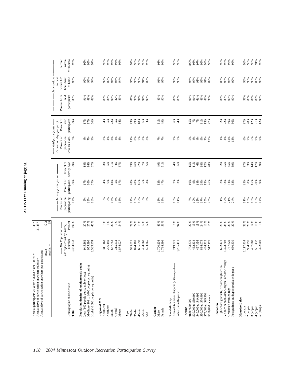| 3<br>į<br>è<br>ś                   |
|------------------------------------|
| D<br>ׅ֚֡֡֡֡֡֝<br>l<br>f            |
| ŗ<br>ï<br>$\overline{\phantom{a}}$ |

| --- MN Population -----<br>(as represented by survey)<br>Number<br>955,296<br>1,700,236<br>467,456<br>3,484,632<br>945,362<br>296,159<br>665,698<br>1,784,396<br>773,879<br>1,323,702<br>787,629<br>680,830<br>.583,974<br>311,163<br>687,752<br>315,532<br>404,868<br>452,334<br>834,075<br>444,712<br>512,175<br>594,265<br>3,265,411<br>692,471<br>,874,027<br>824,181<br>219,221<br>995,621<br>$median =$<br>$mean =$<br>Vo-tech school, assoc. degree, or some college<br>Population density of residence (zip code)<br>Non-white and/or Hispanic (<100 respondents)<br>High school graduate, or some high school<br>Medium (101 to 1000 people per sq. mile)<br>Postgraduate study/postgraduate degrees<br>Low (100 people per sq mile or less)<br>High (>1000 people per sq. mile)<br>Demographic characteristic<br>Graduated from college<br>White, non-Hispanic<br>\$40,000 to \$49,999<br>\$50,000 to \$74,999<br>\$75,000 to \$99,999<br>\$30,000 to \$39,999<br>\$100,000 or more<br>Household size<br>Race/ethnicity<br>Region of MN<br>under \$30,000<br>Education<br>Northwest<br>Northeast<br>Gender<br>Income<br>Female<br>Central<br>Metro<br>South<br>45-54<br>Total<br>20-34<br>$35 - 44$<br>55-64<br>Male<br>Age<br>$65+$ | 43.2<br>19<br>27%<br>27%<br>* * * * * *<br>\$ * \$ * \$ *<br>Percent<br>45%<br>100% | --------- Activity participation ---------<br>Percent of<br>population<br>participating<br>14%<br>9%<br>13%<br>13%<br>12%<br>18%<br>6%<br>9%<br>$8%$<br>$8%$<br>24%<br>16%<br>6%<br>3% | Percent of<br>participants<br>16%<br>100%<br>17%<br>26%<br>57%<br>$4%$ 6%<br>18%<br>5%<br>67%<br>48%<br>28%<br>5%<br>3% | Percent of<br>activity days<br>$\begin{array}{c} 21\% \\ 4\% \end{array}$<br>22%<br>100%<br>$18\%$<br>24%<br>$3%$<br>$5%$<br>39%<br>26%<br>7%<br>57%<br>67% | $($ > median days per year)<br>Percent of<br>who are avids<br>population<br>7%<br>4%7%<br>9%<br>$3%$<br>$4%$<br>$8%$ $4%$ $8%$<br>$11\%$ $8\%$ | Percent of<br>avid<br>participants<br>100%<br>17%<br>27%<br>5%<br>56%<br>4%<br>--- Avid participants ----- | participants<br>Percent from<br>avid<br>89%<br>89%<br>91%<br>89% | Activity days<br>within 1/2<br>Percent |  |
|------------------------------------------------------------------------------------------------------------------------------------------------------------------------------------------------------------------------------------------------------------------------------------------------------------------------------------------------------------------------------------------------------------------------------------------------------------------------------------------------------------------------------------------------------------------------------------------------------------------------------------------------------------------------------------------------------------------------------------------------------------------------------------------------------------------------------------------------------------------------------------------------------------------------------------------------------------------------------------------------------------------------------------------------------------------------------------------------------------------------------------------------------------------------------------------------------------------------------------------------|-------------------------------------------------------------------------------------|----------------------------------------------------------------------------------------------------------------------------------------------------------------------------------------|-------------------------------------------------------------------------------------------------------------------------|-------------------------------------------------------------------------------------------------------------------------------------------------------------|------------------------------------------------------------------------------------------------------------------------------------------------|------------------------------------------------------------------------------------------------------------|------------------------------------------------------------------|----------------------------------------|--|
|                                                                                                                                                                                                                                                                                                                                                                                                                                                                                                                                                                                                                                                                                                                                                                                                                                                                                                                                                                                                                                                                                                                                                                                                                                                |                                                                                     |                                                                                                                                                                                        |                                                                                                                         |                                                                                                                                                             |                                                                                                                                                |                                                                                                            |                                                                  |                                        |  |
|                                                                                                                                                                                                                                                                                                                                                                                                                                                                                                                                                                                                                                                                                                                                                                                                                                                                                                                                                                                                                                                                                                                                                                                                                                                |                                                                                     |                                                                                                                                                                                        |                                                                                                                         |                                                                                                                                                             |                                                                                                                                                |                                                                                                            |                                                                  |                                        |  |
|                                                                                                                                                                                                                                                                                                                                                                                                                                                                                                                                                                                                                                                                                                                                                                                                                                                                                                                                                                                                                                                                                                                                                                                                                                                |                                                                                     |                                                                                                                                                                                        |                                                                                                                         |                                                                                                                                                             |                                                                                                                                                |                                                                                                            |                                                                  |                                        |  |
|                                                                                                                                                                                                                                                                                                                                                                                                                                                                                                                                                                                                                                                                                                                                                                                                                                                                                                                                                                                                                                                                                                                                                                                                                                                |                                                                                     |                                                                                                                                                                                        |                                                                                                                         |                                                                                                                                                             |                                                                                                                                                |                                                                                                            |                                                                  | hour drive<br>of home                  |  |
|                                                                                                                                                                                                                                                                                                                                                                                                                                                                                                                                                                                                                                                                                                                                                                                                                                                                                                                                                                                                                                                                                                                                                                                                                                                |                                                                                     |                                                                                                                                                                                        |                                                                                                                         |                                                                                                                                                             |                                                                                                                                                |                                                                                                            |                                                                  | 93%                                    |  |
|                                                                                                                                                                                                                                                                                                                                                                                                                                                                                                                                                                                                                                                                                                                                                                                                                                                                                                                                                                                                                                                                                                                                                                                                                                                |                                                                                     |                                                                                                                                                                                        |                                                                                                                         |                                                                                                                                                             |                                                                                                                                                |                                                                                                            |                                                                  | 92%                                    |  |
|                                                                                                                                                                                                                                                                                                                                                                                                                                                                                                                                                                                                                                                                                                                                                                                                                                                                                                                                                                                                                                                                                                                                                                                                                                                |                                                                                     |                                                                                                                                                                                        |                                                                                                                         |                                                                                                                                                             |                                                                                                                                                |                                                                                                            |                                                                  | 92%                                    |  |
|                                                                                                                                                                                                                                                                                                                                                                                                                                                                                                                                                                                                                                                                                                                                                                                                                                                                                                                                                                                                                                                                                                                                                                                                                                                |                                                                                     |                                                                                                                                                                                        |                                                                                                                         |                                                                                                                                                             |                                                                                                                                                |                                                                                                            |                                                                  | 94%                                    |  |
|                                                                                                                                                                                                                                                                                                                                                                                                                                                                                                                                                                                                                                                                                                                                                                                                                                                                                                                                                                                                                                                                                                                                                                                                                                                |                                                                                     |                                                                                                                                                                                        |                                                                                                                         |                                                                                                                                                             |                                                                                                                                                |                                                                                                            |                                                                  |                                        |  |
|                                                                                                                                                                                                                                                                                                                                                                                                                                                                                                                                                                                                                                                                                                                                                                                                                                                                                                                                                                                                                                                                                                                                                                                                                                                |                                                                                     |                                                                                                                                                                                        |                                                                                                                         |                                                                                                                                                             |                                                                                                                                                |                                                                                                            | 88%                                                              | 92%<br>89%                             |  |
|                                                                                                                                                                                                                                                                                                                                                                                                                                                                                                                                                                                                                                                                                                                                                                                                                                                                                                                                                                                                                                                                                                                                                                                                                                                |                                                                                     |                                                                                                                                                                                        |                                                                                                                         |                                                                                                                                                             |                                                                                                                                                |                                                                                                            | 85%                                                              |                                        |  |
|                                                                                                                                                                                                                                                                                                                                                                                                                                                                                                                                                                                                                                                                                                                                                                                                                                                                                                                                                                                                                                                                                                                                                                                                                                                |                                                                                     |                                                                                                                                                                                        |                                                                                                                         |                                                                                                                                                             |                                                                                                                                                | 22%                                                                                                        | 93%                                                              | 94%<br>93%                             |  |
|                                                                                                                                                                                                                                                                                                                                                                                                                                                                                                                                                                                                                                                                                                                                                                                                                                                                                                                                                                                                                                                                                                                                                                                                                                                |                                                                                     |                                                                                                                                                                                        |                                                                                                                         |                                                                                                                                                             |                                                                                                                                                | 5%<br>64%                                                                                                  | 82%                                                              |                                        |  |
|                                                                                                                                                                                                                                                                                                                                                                                                                                                                                                                                                                                                                                                                                                                                                                                                                                                                                                                                                                                                                                                                                                                                                                                                                                                |                                                                                     |                                                                                                                                                                                        |                                                                                                                         |                                                                                                                                                             |                                                                                                                                                |                                                                                                            | 89%                                                              | 94%                                    |  |
|                                                                                                                                                                                                                                                                                                                                                                                                                                                                                                                                                                                                                                                                                                                                                                                                                                                                                                                                                                                                                                                                                                                                                                                                                                                |                                                                                     |                                                                                                                                                                                        |                                                                                                                         |                                                                                                                                                             |                                                                                                                                                |                                                                                                            |                                                                  |                                        |  |
|                                                                                                                                                                                                                                                                                                                                                                                                                                                                                                                                                                                                                                                                                                                                                                                                                                                                                                                                                                                                                                                                                                                                                                                                                                                | 29%                                                                                 |                                                                                                                                                                                        |                                                                                                                         |                                                                                                                                                             |                                                                                                                                                | 43%                                                                                                        | 87%                                                              | 95%                                    |  |
|                                                                                                                                                                                                                                                                                                                                                                                                                                                                                                                                                                                                                                                                                                                                                                                                                                                                                                                                                                                                                                                                                                                                                                                                                                                | 24%                                                                                 |                                                                                                                                                                                        |                                                                                                                         |                                                                                                                                                             |                                                                                                                                                | 29%                                                                                                        | 90%                                                              | 95%                                    |  |
|                                                                                                                                                                                                                                                                                                                                                                                                                                                                                                                                                                                                                                                                                                                                                                                                                                                                                                                                                                                                                                                                                                                                                                                                                                                | 19%<br>12%                                                                          |                                                                                                                                                                                        |                                                                                                                         |                                                                                                                                                             | <b>2%</b><br>2%                                                                                                                                | $18\%$<br>$6\%$                                                                                            | 91%<br>91%                                                       | 93%<br>91%                             |  |
|                                                                                                                                                                                                                                                                                                                                                                                                                                                                                                                                                                                                                                                                                                                                                                                                                                                                                                                                                                                                                                                                                                                                                                                                                                                | 17%                                                                                 |                                                                                                                                                                                        |                                                                                                                         | 6%                                                                                                                                                          |                                                                                                                                                | 4%                                                                                                         | 95%                                                              |                                        |  |
|                                                                                                                                                                                                                                                                                                                                                                                                                                                                                                                                                                                                                                                                                                                                                                                                                                                                                                                                                                                                                                                                                                                                                                                                                                                |                                                                                     |                                                                                                                                                                                        |                                                                                                                         |                                                                                                                                                             |                                                                                                                                                |                                                                                                            |                                                                  | 80%                                    |  |
|                                                                                                                                                                                                                                                                                                                                                                                                                                                                                                                                                                                                                                                                                                                                                                                                                                                                                                                                                                                                                                                                                                                                                                                                                                                |                                                                                     |                                                                                                                                                                                        |                                                                                                                         |                                                                                                                                                             |                                                                                                                                                |                                                                                                            |                                                                  |                                        |  |
|                                                                                                                                                                                                                                                                                                                                                                                                                                                                                                                                                                                                                                                                                                                                                                                                                                                                                                                                                                                                                                                                                                                                                                                                                                                | 49%<br>51%                                                                          | 15%<br>13%                                                                                                                                                                             | 53%<br>47%                                                                                                              | 49%                                                                                                                                                         | 7%<br>7%                                                                                                                                       | 51%<br>49%                                                                                                 | 89%<br>90%                                                       | 91%                                    |  |
|                                                                                                                                                                                                                                                                                                                                                                                                                                                                                                                                                                                                                                                                                                                                                                                                                                                                                                                                                                                                                                                                                                                                                                                                                                                |                                                                                     |                                                                                                                                                                                        |                                                                                                                         | 51%                                                                                                                                                         |                                                                                                                                                |                                                                                                            |                                                                  | 95%                                    |  |
|                                                                                                                                                                                                                                                                                                                                                                                                                                                                                                                                                                                                                                                                                                                                                                                                                                                                                                                                                                                                                                                                                                                                                                                                                                                |                                                                                     |                                                                                                                                                                                        |                                                                                                                         |                                                                                                                                                             |                                                                                                                                                |                                                                                                            |                                                                  |                                        |  |
|                                                                                                                                                                                                                                                                                                                                                                                                                                                                                                                                                                                                                                                                                                                                                                                                                                                                                                                                                                                                                                                                                                                                                                                                                                                | 6%                                                                                  | 16%<br>14%                                                                                                                                                                             | 7%                                                                                                                      | 4%                                                                                                                                                          | 7%<br>7%                                                                                                                                       | 6%                                                                                                         | 80%<br>89%                                                       | 99%<br>93%                             |  |
|                                                                                                                                                                                                                                                                                                                                                                                                                                                                                                                                                                                                                                                                                                                                                                                                                                                                                                                                                                                                                                                                                                                                                                                                                                                | 94%                                                                                 |                                                                                                                                                                                        | 93%                                                                                                                     | 96%                                                                                                                                                         |                                                                                                                                                | 94%                                                                                                        |                                                                  |                                        |  |
|                                                                                                                                                                                                                                                                                                                                                                                                                                                                                                                                                                                                                                                                                                                                                                                                                                                                                                                                                                                                                                                                                                                                                                                                                                                |                                                                                     |                                                                                                                                                                                        |                                                                                                                         |                                                                                                                                                             |                                                                                                                                                |                                                                                                            |                                                                  |                                        |  |
|                                                                                                                                                                                                                                                                                                                                                                                                                                                                                                                                                                                                                                                                                                                                                                                                                                                                                                                                                                                                                                                                                                                                                                                                                                                | 22%<br>13%                                                                          | $7%$<br>10%                                                                                                                                                                            | 10%                                                                                                                     | 15%                                                                                                                                                         |                                                                                                                                                | 15%                                                                                                        | 96%                                                              | 94%<br>97%                             |  |
|                                                                                                                                                                                                                                                                                                                                                                                                                                                                                                                                                                                                                                                                                                                                                                                                                                                                                                                                                                                                                                                                                                                                                                                                                                                |                                                                                     |                                                                                                                                                                                        | 9%                                                                                                                      | 11%                                                                                                                                                         |                                                                                                                                                | 7%                                                                                                         | 91%                                                              |                                        |  |
|                                                                                                                                                                                                                                                                                                                                                                                                                                                                                                                                                                                                                                                                                                                                                                                                                                                                                                                                                                                                                                                                                                                                                                                                                                                | 13%                                                                                 | 15%<br>17%                                                                                                                                                                             | 14%                                                                                                                     | $6\%$                                                                                                                                                       |                                                                                                                                                | $7\%$                                                                                                      | 61%                                                              | 93%                                    |  |
|                                                                                                                                                                                                                                                                                                                                                                                                                                                                                                                                                                                                                                                                                                                                                                                                                                                                                                                                                                                                                                                                                                                                                                                                                                                | 24%                                                                                 |                                                                                                                                                                                        | 29%                                                                                                                     | 28%                                                                                                                                                         |                                                                                                                                                | 31%                                                                                                        | 89%<br>88%                                                       | 95%<br>91%                             |  |
|                                                                                                                                                                                                                                                                                                                                                                                                                                                                                                                                                                                                                                                                                                                                                                                                                                                                                                                                                                                                                                                                                                                                                                                                                                                | 13%<br>15%                                                                          | $15%$<br>$25%$                                                                                                                                                                         | 13%<br>26%                                                                                                              | $12%$<br>$28%$                                                                                                                                              | 8888888                                                                                                                                        | 13%<br>27%                                                                                                 | 90%                                                              | 89%                                    |  |
|                                                                                                                                                                                                                                                                                                                                                                                                                                                                                                                                                                                                                                                                                                                                                                                                                                                                                                                                                                                                                                                                                                                                                                                                                                                |                                                                                     |                                                                                                                                                                                        |                                                                                                                         |                                                                                                                                                             |                                                                                                                                                |                                                                                                            |                                                                  |                                        |  |
|                                                                                                                                                                                                                                                                                                                                                                                                                                                                                                                                                                                                                                                                                                                                                                                                                                                                                                                                                                                                                                                                                                                                                                                                                                                | 20%                                                                                 | 1%                                                                                                                                                                                     | 2%                                                                                                                      |                                                                                                                                                             | $1\%$                                                                                                                                          | 2%                                                                                                         | 88%                                                              | 85%                                    |  |
|                                                                                                                                                                                                                                                                                                                                                                                                                                                                                                                                                                                                                                                                                                                                                                                                                                                                                                                                                                                                                                                                                                                                                                                                                                                |                                                                                     |                                                                                                                                                                                        | 32%                                                                                                                     | * * * *<br>2 * * * *                                                                                                                                        | $4\%$                                                                                                                                          | 22%                                                                                                        |                                                                  |                                        |  |
|                                                                                                                                                                                                                                                                                                                                                                                                                                                                                                                                                                                                                                                                                                                                                                                                                                                                                                                                                                                                                                                                                                                                                                                                                                                | 38%<br>23%<br>20%                                                                   | $12%$<br>21%                                                                                                                                                                           |                                                                                                                         |                                                                                                                                                             | 12%<br>13%                                                                                                                                     | 40%                                                                                                        | 83%<br>93%                                                       | 93%<br>95%                             |  |
|                                                                                                                                                                                                                                                                                                                                                                                                                                                                                                                                                                                                                                                                                                                                                                                                                                                                                                                                                                                                                                                                                                                                                                                                                                                |                                                                                     | 24%                                                                                                                                                                                    | 34%<br>33%                                                                                                              |                                                                                                                                                             |                                                                                                                                                | 36%                                                                                                        | 90%                                                              | 92%                                    |  |
|                                                                                                                                                                                                                                                                                                                                                                                                                                                                                                                                                                                                                                                                                                                                                                                                                                                                                                                                                                                                                                                                                                                                                                                                                                                |                                                                                     |                                                                                                                                                                                        |                                                                                                                         |                                                                                                                                                             |                                                                                                                                                |                                                                                                            |                                                                  |                                        |  |
| 1,117,414<br>1 person                                                                                                                                                                                                                                                                                                                                                                                                                                                                                                                                                                                                                                                                                                                                                                                                                                                                                                                                                                                                                                                                                                                                                                                                                          | 32%<br>28%                                                                          | 11%                                                                                                                                                                                    | 25%                                                                                                                     | 27%<br>33%                                                                                                                                                  |                                                                                                                                                | 27%<br>28%                                                                                                 | 91%                                                              | 96%                                    |  |
| 984,997<br>$2$ people $% \left( \left( \mathcal{A}\right) \right)$                                                                                                                                                                                                                                                                                                                                                                                                                                                                                                                                                                                                                                                                                                                                                                                                                                                                                                                                                                                                                                                                                                                                                                             |                                                                                     | 15%                                                                                                                                                                                    | 30%                                                                                                                     |                                                                                                                                                             | $6%$<br>$7%$                                                                                                                                   |                                                                                                            | 89%                                                              | 93%                                    |  |
| 497,888<br>3 people                                                                                                                                                                                                                                                                                                                                                                                                                                                                                                                                                                                                                                                                                                                                                                                                                                                                                                                                                                                                                                                                                                                                                                                                                            | 14%                                                                                 | 15%                                                                                                                                                                                    | $15%$<br>20%<br>9%                                                                                                      | $14\%$                                                                                                                                                      | 888                                                                                                                                            | 12%<br>21%<br>12%                                                                                          | 86%<br>88%<br>95%                                                | 93%<br>89%<br>95%                      |  |
| 561,432<br>4 people                                                                                                                                                                                                                                                                                                                                                                                                                                                                                                                                                                                                                                                                                                                                                                                                                                                                                                                                                                                                                                                                                                                                                                                                                            | 16%                                                                                 | 18%<br>14%                                                                                                                                                                             |                                                                                                                         | 17%<br>9%                                                                                                                                                   |                                                                                                                                                |                                                                                                            |                                                                  |                                        |  |
| 322,901<br>5+ people                                                                                                                                                                                                                                                                                                                                                                                                                                                                                                                                                                                                                                                                                                                                                                                                                                                                                                                                                                                                                                                                                                                                                                                                                           | 9%                                                                                  |                                                                                                                                                                                        |                                                                                                                         |                                                                                                                                                             |                                                                                                                                                |                                                                                                            |                                                                  |                                        |  |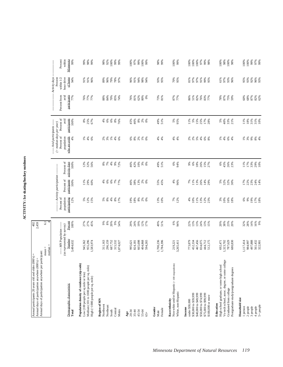| Annual days of participation anywhere per participant:<br>Annual participants 20 years old and older (000's) =<br>Annual days of participation anywhere (000's) =             |                                                                              | 402<br>2,459                                                  |                                                  |                                                                     |                                                 |                                                                                                                                                                                                                                                                                                                                                                                                                                    |                                            |                                             |                                                                            |                                           |
|-------------------------------------------------------------------------------------------------------------------------------------------------------------------------------|------------------------------------------------------------------------------|---------------------------------------------------------------|--------------------------------------------------|---------------------------------------------------------------------|-------------------------------------------------|------------------------------------------------------------------------------------------------------------------------------------------------------------------------------------------------------------------------------------------------------------------------------------------------------------------------------------------------------------------------------------------------------------------------------------|--------------------------------------------|---------------------------------------------|----------------------------------------------------------------------------|-------------------------------------------|
|                                                                                                                                                                               | $mean =$<br>median                                                           | $\overline{61}$                                               |                                                  |                                                                     |                                                 |                                                                                                                                                                                                                                                                                                                                                                                                                                    |                                            |                                             |                                                                            |                                           |
| Demographic characteristic<br>Total                                                                                                                                           | (as represented by survey)<br>---- MN Population ----<br>Number<br>3,484,632 | Percent<br>100%                                               | population<br>participating<br>Percent of<br>12% | ------ Activity participation<br>participants<br>Percent of<br>100% | Percent of<br>activity days<br>100%             | ----- Avid participants -----<br>$($ > median days per year)<br>Percent of<br>who are avids<br>population<br>4%                                                                                                                                                                                                                                                                                                                    | Percent of<br>participants<br>avid<br>100% | avid<br>participants<br>Percent from<br>77% | - Activity days<br>hour drive<br>of home<br>Percent<br>within $1/2$<br>94% | within<br>Minnesota<br>Percent<br>99%     |
| Population density of residence (zip code)<br>Medium (101 to 1000 people per sq. mile)<br>Low (100 people per sq mile or less)<br>High (>1000 people per sq. mile)            | 955,296<br>1,583,974<br>945,362                                              | 27%<br>45%<br>27%                                             | 12%<br>15%<br>5%                                 | 29%<br>60%<br>11%                                                   | 12%<br>32%<br>56%                               | $\begin{array}{c} \frac{1}{5} \\ \frac{1}{5} \\ \frac{1}{5} \\ \frac{1}{5} \\ \frac{1}{5} \\ \frac{1}{5} \\ \frac{1}{5} \\ \frac{1}{5} \\ \frac{1}{5} \\ \frac{1}{5} \\ \frac{1}{5} \\ \frac{1}{5} \\ \frac{1}{5} \\ \frac{1}{5} \\ \frac{1}{5} \\ \frac{1}{5} \\ \frac{1}{5} \\ \frac{1}{5} \\ \frac{1}{5} \\ \frac{1}{5} \\ \frac{1}{5} \\ \frac{1}{5} \\ \frac{1}{5} \\ \frac{1}{5} \\ \frac{1}{5} \\ \frac{1}{5} \\ \frac{1}{$ | 8%<br>25%<br>67%                           | 77%<br>77%<br>76%                           | 91%<br>91%<br>96%                                                          | 98%<br>99%<br>99%                         |
| Region of MN<br>Northwest<br>Northeast<br>Central<br>Metro<br>South                                                                                                           | 296,159<br>687,752<br>315,532<br>311,163<br>1,874,027                        | 20%<br>$\begin{array}{c} 9\% \\ 8\% \end{array}$<br>9%<br>54% | $4%$<br>$8\%$<br>$5%$<br>$8%$<br>17%             | $6\%$<br>6%<br>7%<br>77%<br>4%                                      | $4%$<br>$8\%$<br>7%<br>9%<br>72%                | 2%<br>3%<br>$2%$ $4%$                                                                                                                                                                                                                                                                                                                                                                                                              | $6\%$<br>$6\%$<br>8%76%<br>4%              | 84%<br>70%<br>85%<br>88%<br>74%             | 79%<br>89%<br>96%<br>78%<br>97%                                            | 92%<br>98%<br>100%<br>99%<br>99%          |
| 20-34<br>$35 - 44$<br>45-54<br>55-64<br>Age<br>$65+$                                                                                                                          | 665,698<br>404,868<br>594,265<br>824,181<br>995,621                          | 24%<br>19%<br>12%<br>29%<br>17%                               | 18%<br>$8\%$<br>$2%$<br>0%<br>19%                | 38%<br>13%<br>$2%$<br>0%<br>46%                                     | 10%<br>42%<br>$3%$<br>$0%$<br>46%               | 888828                                                                                                                                                                                                                                                                                                                                                                                                                             | 46%<br>$8\%$<br>$2%$<br>0%<br>45%          | 76%<br>81%<br>62%<br>$80\%$<br>0%           | 94%<br>98%<br>96%<br>91%<br>94%                                            | 99%<br>97%<br>%001<br>%001<br>100%        |
| Gender<br>Female<br>Male                                                                                                                                                      | 1,700,236<br>1,784,396                                                       | 49%<br>51%                                                    | 13%<br>10%                                       | 55%<br>45%                                                          | 49%<br>51%                                      | 4%<br>4%                                                                                                                                                                                                                                                                                                                                                                                                                           | 49%<br>51%                                 | 73%<br>81%                                  | 93%<br>95%                                                                 | 98%<br>99%                                |
| Non-white and/or Hispanic (<100 respondents)<br>White, non-Hispanic<br>Race/ethnicity                                                                                         | 3,265,411<br>219,221                                                         | $6\%$<br>94%                                                  | $7\%$<br>12%                                     | 4%<br>96%                                                           | 6%<br>94%                                       | $4\%$<br>4%                                                                                                                                                                                                                                                                                                                                                                                                                        | 5%<br>95%                                  | 87%<br>77%                                  | 70%<br>95%                                                                 | 100%<br>99%                               |
| \$40,000 to \$49,999<br>\$50,000 to \$74,999<br>\$75,000 to \$99,999<br>\$30,000 to \$39,999<br>\$100,000 or more<br>under \$30,000<br>Income                                 | 773,879<br>452,334<br>467,456<br>834,075<br>444,712<br>512,175               | 22%<br>13%<br>13%<br>24%<br>$13%$<br>$15%$                    | 4%<br>10%<br>11%<br>13%<br>12%<br>23%            | 7%<br>11%<br>13%<br>26%<br>14%<br>29%                               | 666<br>$6\%$<br>$18\%$<br>26%<br>$15%$<br>$27%$ | 888388                                                                                                                                                                                                                                                                                                                                                                                                                             | 11%<br>$5\%$<br>15%<br>25%<br>17%<br>28%   | 86%<br>51%<br>82%<br>76%<br>83%<br>77%      | 81%<br>97%<br>97%<br>91%<br>99%<br>95%                                     | 100%<br>97%<br>99%<br>100%<br>100%<br>98% |
| Vo-tech school, assoc. degree, or some college<br>High school graduate, or some high school<br>Postgraduate study/postgraduate degrees<br>Graduated from college<br>Education | 692,471<br>1,323,702<br>787,629<br>680,830                                   | 20%<br>38%<br>23%<br>20%                                      | 3%<br>10%<br>16%<br>18%                          | 5%<br>32%<br>32%<br>30%                                             | 6%<br>45%<br>26%<br>23%                         | <b>A</b> \$ \$ \$                                                                                                                                                                                                                                                                                                                                                                                                                  | 5%<br>40%<br>33%<br>21%                    | 78%<br>87%<br>75%<br>59%                    | 61%<br>97%<br>93%<br>96%                                                   | 100%<br>98%<br>$100\%$<br>98%             |
| Household size<br>5+ people<br>4 people<br>2 people<br>3 people<br>1 person                                                                                                   | 1,117,414<br>497,888<br>561,432<br>984,997<br>322,901                        | 32%<br>28%<br>14%<br>16%<br>9%                                | 6%<br>9%<br>19%<br>$17%$<br>$18%$                | 17%<br>22%<br>23%<br>24%<br>14%                                     | 11%<br>17%<br>33%<br>29%<br>10%                 | 2 2 3 3 4                                                                                                                                                                                                                                                                                                                                                                                                                          | $\frac{11\%}{18\%}$<br>31%<br>31%<br>10%   | 68%<br>87%<br>82%<br>62%<br>60%             | 92%<br>95%<br>93%<br>96%<br>93%                                            | 100%<br>100%<br>99%<br>97%<br>99%         |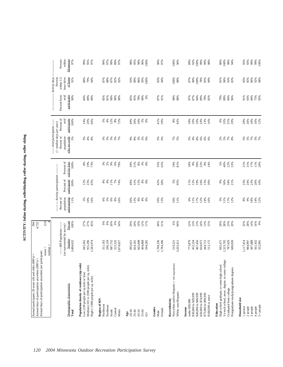ACTIVITY: Inline skating, rollerblading, roller skating, roller skiing **ACTIVITY: Inline skating, rollerblading, roller skating, roller skiing**

| Minnesota<br>-- Activity days<br>Percent<br>within $1/2$<br>hour drive<br>of home<br>87%<br>96%<br>95%<br>85%<br>86%<br>92%<br>98%<br>91%<br>%88<br>79%<br>87%<br>88%<br>82%<br>92%<br>93%<br>89%<br>86%<br>83%<br>94%<br>100%<br>87%<br>90%<br>100%<br>78%<br>85%<br>99%<br>81%<br>93%<br>94%<br>95%<br>88%<br>83%<br>100%<br>participants<br>Percent from<br>avid<br>98%<br>$84\%$<br>75%<br>95%<br>90%<br>84%<br>89%<br>90%<br>78%<br>87%<br>91%<br>97%<br>87%<br>94%<br>89%<br>78%<br>82%<br>79%<br>89%<br>84%<br>91%<br>93%<br>90%<br>85%<br>81%<br>90%<br>90%<br>85%<br>95%<br>90%<br>0%<br>88%<br>96%<br>Percent of<br>avid<br>participants<br>16%<br>12%<br>12%<br>$8\%$<br>10%<br>$8\%$<br>$18\%$<br>33%<br>$18\%$<br>100%<br>14%<br>20%<br>$5%$<br>4%<br>49%<br>36%<br>$5%$<br>$0%$<br>41%<br>59%<br>18%<br>10%<br>24%<br>13%<br>16%<br>$6\%$<br>31%<br>28%<br>26%<br>66%<br>72%<br>92%<br>29%<br>----- Avid participants ------<br>$($ > median days per year)<br>Percent of<br>who are avids<br>population<br>* * * * * *<br>8 8 8 8 8<br>$7%$<br>5%<br>88888<br>28 8 8 8<br>5 8 8 8<br>88888<br>5%<br>5%<br>6%<br>$5%$<br>4%<br>Percent of<br>activity days<br>$8\%$<br>17%<br>8%<br>19%<br>73%<br>9%<br>6%<br>79%<br>$39%$<br>$51%$<br>35%<br>65%<br>19%<br>30%<br>22%<br>5%<br>40%<br>22%<br>33%<br>$21\%$<br>31%<br>$11\%$<br>20%<br>100%<br>$3%^{8}$<br>3%<br>0%<br>81%<br>$18%$<br>9%<br>$\begin{array}{c} 8\% \\ 14\% \end{array}$<br>--- Activity participation-<br>Percent of<br>participants<br>10%<br>11%<br>15%<br>$4\%$<br>5%<br>95%<br>19%<br>24%<br>$36%$<br>$34%$<br>$21%$<br>24%<br>23%<br>20%<br>100%<br>12%<br>23%<br>$4%$<br>4%<br>7%<br>74%<br>49%<br>31%<br>$\infty$<br>42%<br>58%<br>11%<br>12%<br>15%<br>20%<br>$9\%$<br>23%<br>65%<br>Percent of<br>population<br>participating<br>11%<br>$6\%$<br>$9\%$<br>$4\%$<br>11%<br>17%<br>12%<br>8%<br>9%<br>$18\%$<br>14%<br>12%<br>$5%$<br>10%<br>16%<br>6%<br>5%<br>$8%$<br>$6%$<br>20%<br>15%<br>0%<br>10%<br>13%<br>10%<br>11%<br>6%<br>11%<br>17%<br>12%<br>16%<br>5%<br>Percent<br>20%<br>19%<br>$13%$<br>24%<br>38%<br>14%<br>16%<br>9%<br>100%<br>27%<br>27%<br>45%<br>$\frac{9\%}{8\%}$<br>9%<br>54%<br>12%<br>17%<br>49%<br>51%<br>6%<br>94%<br>22%<br>13%<br>$13%$<br>$15%$<br>20%<br>23%<br>20%<br>32%<br>28%<br>29%<br>24%<br>----- MN Population -----<br>(as represented by survey)<br>Number<br>3,484,632<br>1,700,236<br>467,456<br>497,888<br>945,362<br>955,296<br>296,159<br>687,752<br>315,532<br>665,698<br>773,879<br>452,334<br>1,323,702<br>1,117,414<br>984,997<br>561,432<br>322,901<br>1,583,974<br>404,868<br>1,784,396<br>834,075<br>444,712<br>512,175<br>787,629<br>680,830<br>311,163<br>1,874,027<br>824,181<br>594,265<br>692,471<br>995,621<br>3,265,411<br>219,221<br>Vo-tech school, assoc. degree, or some college<br>Population density of residence (zip code)<br>Non-white and/or Hispanic (<100 respondents)<br>High school graduate, or some high school<br>Medium (101 to 1000 people per sq. mile)<br>Postgraduate study/postgraduate degrees<br>Low (100 people per sq mile or less)<br>High (>1000 people per sq. mile)<br>Demographic characteristic<br>Graduated from college<br>White, non-Hispanic<br>\$30,000 to \$39,999<br>\$40,000 to \$49,999<br>\$50,000 to \$74,999<br>\$75,000 to \$99,999<br>\$100,000 or more<br>Household size<br>Region of MN<br>Race/ethnicity<br>under \$30,000<br>Education<br>Northwest<br>$5+$ people<br>Northeast<br>1 person<br>2 people<br>3 people<br>4 people<br>Income<br>Gender<br>Female<br>Central<br>Metro<br>South<br>20-34<br>$35 - 44$<br>45-54<br>Total<br>55-64<br>Male<br>Age<br>$65+$ | Annual days of participation anywhere per participant: | $mean =$<br>median | 12.0 |  |  |  |  |
|----------------------------------------------------------------------------------------------------------------------------------------------------------------------------------------------------------------------------------------------------------------------------------------------------------------------------------------------------------------------------------------------------------------------------------------------------------------------------------------------------------------------------------------------------------------------------------------------------------------------------------------------------------------------------------------------------------------------------------------------------------------------------------------------------------------------------------------------------------------------------------------------------------------------------------------------------------------------------------------------------------------------------------------------------------------------------------------------------------------------------------------------------------------------------------------------------------------------------------------------------------------------------------------------------------------------------------------------------------------------------------------------------------------------------------------------------------------------------------------------------------------------------------------------------------------------------------------------------------------------------------------------------------------------------------------------------------------------------------------------------------------------------------------------------------------------------------------------------------------------------------------------------------------------------------------------------------------------------------------------------------------------------------------------------------------------------------------------------------------------------------------------------------------------------------------------------------------------------------------------------------------------------------------------------------------------------------------------------------------------------------------------------------------------------------------------------------------------------------------------------------------------------------------------------------------------------------------------------------------------------------------------------------------------------------------------------------------------------------------------------------------------------------------------------------------------------------------------------------------------------------------------------------------------------------------------------------------------------------------------------------------------------------------------------------------------------------------------------------------------------------------------------------------------------------------------------------------------------------------------------------------------------------------------------------------------------------------------------------------------------------------------------------------------------------------------------------------------------------------------------------------------------------------------------------------------------------------------------------------------------------------------------------------------------|--------------------------------------------------------|--------------------|------|--|--|--|--|
|                                                                                                                                                                                                                                                                                                                                                                                                                                                                                                                                                                                                                                                                                                                                                                                                                                                                                                                                                                                                                                                                                                                                                                                                                                                                                                                                                                                                                                                                                                                                                                                                                                                                                                                                                                                                                                                                                                                                                                                                                                                                                                                                                                                                                                                                                                                                                                                                                                                                                                                                                                                                                                                                                                                                                                                                                                                                                                                                                                                                                                                                                                                                                                                                                                                                                                                                                                                                                                                                                                                                                                                                                                                                            |                                                        |                    |      |  |  |  |  |
|                                                                                                                                                                                                                                                                                                                                                                                                                                                                                                                                                                                                                                                                                                                                                                                                                                                                                                                                                                                                                                                                                                                                                                                                                                                                                                                                                                                                                                                                                                                                                                                                                                                                                                                                                                                                                                                                                                                                                                                                                                                                                                                                                                                                                                                                                                                                                                                                                                                                                                                                                                                                                                                                                                                                                                                                                                                                                                                                                                                                                                                                                                                                                                                                                                                                                                                                                                                                                                                                                                                                                                                                                                                                            |                                                        |                    |      |  |  |  |  |
|                                                                                                                                                                                                                                                                                                                                                                                                                                                                                                                                                                                                                                                                                                                                                                                                                                                                                                                                                                                                                                                                                                                                                                                                                                                                                                                                                                                                                                                                                                                                                                                                                                                                                                                                                                                                                                                                                                                                                                                                                                                                                                                                                                                                                                                                                                                                                                                                                                                                                                                                                                                                                                                                                                                                                                                                                                                                                                                                                                                                                                                                                                                                                                                                                                                                                                                                                                                                                                                                                                                                                                                                                                                                            |                                                        |                    |      |  |  |  |  |
|                                                                                                                                                                                                                                                                                                                                                                                                                                                                                                                                                                                                                                                                                                                                                                                                                                                                                                                                                                                                                                                                                                                                                                                                                                                                                                                                                                                                                                                                                                                                                                                                                                                                                                                                                                                                                                                                                                                                                                                                                                                                                                                                                                                                                                                                                                                                                                                                                                                                                                                                                                                                                                                                                                                                                                                                                                                                                                                                                                                                                                                                                                                                                                                                                                                                                                                                                                                                                                                                                                                                                                                                                                                                            |                                                        |                    |      |  |  |  |  |
|                                                                                                                                                                                                                                                                                                                                                                                                                                                                                                                                                                                                                                                                                                                                                                                                                                                                                                                                                                                                                                                                                                                                                                                                                                                                                                                                                                                                                                                                                                                                                                                                                                                                                                                                                                                                                                                                                                                                                                                                                                                                                                                                                                                                                                                                                                                                                                                                                                                                                                                                                                                                                                                                                                                                                                                                                                                                                                                                                                                                                                                                                                                                                                                                                                                                                                                                                                                                                                                                                                                                                                                                                                                                            |                                                        |                    |      |  |  |  |  |
|                                                                                                                                                                                                                                                                                                                                                                                                                                                                                                                                                                                                                                                                                                                                                                                                                                                                                                                                                                                                                                                                                                                                                                                                                                                                                                                                                                                                                                                                                                                                                                                                                                                                                                                                                                                                                                                                                                                                                                                                                                                                                                                                                                                                                                                                                                                                                                                                                                                                                                                                                                                                                                                                                                                                                                                                                                                                                                                                                                                                                                                                                                                                                                                                                                                                                                                                                                                                                                                                                                                                                                                                                                                                            |                                                        |                    |      |  |  |  |  |
|                                                                                                                                                                                                                                                                                                                                                                                                                                                                                                                                                                                                                                                                                                                                                                                                                                                                                                                                                                                                                                                                                                                                                                                                                                                                                                                                                                                                                                                                                                                                                                                                                                                                                                                                                                                                                                                                                                                                                                                                                                                                                                                                                                                                                                                                                                                                                                                                                                                                                                                                                                                                                                                                                                                                                                                                                                                                                                                                                                                                                                                                                                                                                                                                                                                                                                                                                                                                                                                                                                                                                                                                                                                                            |                                                        |                    |      |  |  |  |  |
|                                                                                                                                                                                                                                                                                                                                                                                                                                                                                                                                                                                                                                                                                                                                                                                                                                                                                                                                                                                                                                                                                                                                                                                                                                                                                                                                                                                                                                                                                                                                                                                                                                                                                                                                                                                                                                                                                                                                                                                                                                                                                                                                                                                                                                                                                                                                                                                                                                                                                                                                                                                                                                                                                                                                                                                                                                                                                                                                                                                                                                                                                                                                                                                                                                                                                                                                                                                                                                                                                                                                                                                                                                                                            |                                                        |                    |      |  |  |  |  |
|                                                                                                                                                                                                                                                                                                                                                                                                                                                                                                                                                                                                                                                                                                                                                                                                                                                                                                                                                                                                                                                                                                                                                                                                                                                                                                                                                                                                                                                                                                                                                                                                                                                                                                                                                                                                                                                                                                                                                                                                                                                                                                                                                                                                                                                                                                                                                                                                                                                                                                                                                                                                                                                                                                                                                                                                                                                                                                                                                                                                                                                                                                                                                                                                                                                                                                                                                                                                                                                                                                                                                                                                                                                                            |                                                        |                    |      |  |  |  |  |
|                                                                                                                                                                                                                                                                                                                                                                                                                                                                                                                                                                                                                                                                                                                                                                                                                                                                                                                                                                                                                                                                                                                                                                                                                                                                                                                                                                                                                                                                                                                                                                                                                                                                                                                                                                                                                                                                                                                                                                                                                                                                                                                                                                                                                                                                                                                                                                                                                                                                                                                                                                                                                                                                                                                                                                                                                                                                                                                                                                                                                                                                                                                                                                                                                                                                                                                                                                                                                                                                                                                                                                                                                                                                            |                                                        |                    |      |  |  |  |  |
|                                                                                                                                                                                                                                                                                                                                                                                                                                                                                                                                                                                                                                                                                                                                                                                                                                                                                                                                                                                                                                                                                                                                                                                                                                                                                                                                                                                                                                                                                                                                                                                                                                                                                                                                                                                                                                                                                                                                                                                                                                                                                                                                                                                                                                                                                                                                                                                                                                                                                                                                                                                                                                                                                                                                                                                                                                                                                                                                                                                                                                                                                                                                                                                                                                                                                                                                                                                                                                                                                                                                                                                                                                                                            |                                                        |                    |      |  |  |  |  |
|                                                                                                                                                                                                                                                                                                                                                                                                                                                                                                                                                                                                                                                                                                                                                                                                                                                                                                                                                                                                                                                                                                                                                                                                                                                                                                                                                                                                                                                                                                                                                                                                                                                                                                                                                                                                                                                                                                                                                                                                                                                                                                                                                                                                                                                                                                                                                                                                                                                                                                                                                                                                                                                                                                                                                                                                                                                                                                                                                                                                                                                                                                                                                                                                                                                                                                                                                                                                                                                                                                                                                                                                                                                                            |                                                        |                    |      |  |  |  |  |
|                                                                                                                                                                                                                                                                                                                                                                                                                                                                                                                                                                                                                                                                                                                                                                                                                                                                                                                                                                                                                                                                                                                                                                                                                                                                                                                                                                                                                                                                                                                                                                                                                                                                                                                                                                                                                                                                                                                                                                                                                                                                                                                                                                                                                                                                                                                                                                                                                                                                                                                                                                                                                                                                                                                                                                                                                                                                                                                                                                                                                                                                                                                                                                                                                                                                                                                                                                                                                                                                                                                                                                                                                                                                            |                                                        |                    |      |  |  |  |  |
|                                                                                                                                                                                                                                                                                                                                                                                                                                                                                                                                                                                                                                                                                                                                                                                                                                                                                                                                                                                                                                                                                                                                                                                                                                                                                                                                                                                                                                                                                                                                                                                                                                                                                                                                                                                                                                                                                                                                                                                                                                                                                                                                                                                                                                                                                                                                                                                                                                                                                                                                                                                                                                                                                                                                                                                                                                                                                                                                                                                                                                                                                                                                                                                                                                                                                                                                                                                                                                                                                                                                                                                                                                                                            |                                                        |                    |      |  |  |  |  |
|                                                                                                                                                                                                                                                                                                                                                                                                                                                                                                                                                                                                                                                                                                                                                                                                                                                                                                                                                                                                                                                                                                                                                                                                                                                                                                                                                                                                                                                                                                                                                                                                                                                                                                                                                                                                                                                                                                                                                                                                                                                                                                                                                                                                                                                                                                                                                                                                                                                                                                                                                                                                                                                                                                                                                                                                                                                                                                                                                                                                                                                                                                                                                                                                                                                                                                                                                                                                                                                                                                                                                                                                                                                                            |                                                        |                    |      |  |  |  |  |
|                                                                                                                                                                                                                                                                                                                                                                                                                                                                                                                                                                                                                                                                                                                                                                                                                                                                                                                                                                                                                                                                                                                                                                                                                                                                                                                                                                                                                                                                                                                                                                                                                                                                                                                                                                                                                                                                                                                                                                                                                                                                                                                                                                                                                                                                                                                                                                                                                                                                                                                                                                                                                                                                                                                                                                                                                                                                                                                                                                                                                                                                                                                                                                                                                                                                                                                                                                                                                                                                                                                                                                                                                                                                            |                                                        |                    |      |  |  |  |  |
|                                                                                                                                                                                                                                                                                                                                                                                                                                                                                                                                                                                                                                                                                                                                                                                                                                                                                                                                                                                                                                                                                                                                                                                                                                                                                                                                                                                                                                                                                                                                                                                                                                                                                                                                                                                                                                                                                                                                                                                                                                                                                                                                                                                                                                                                                                                                                                                                                                                                                                                                                                                                                                                                                                                                                                                                                                                                                                                                                                                                                                                                                                                                                                                                                                                                                                                                                                                                                                                                                                                                                                                                                                                                            |                                                        |                    |      |  |  |  |  |
|                                                                                                                                                                                                                                                                                                                                                                                                                                                                                                                                                                                                                                                                                                                                                                                                                                                                                                                                                                                                                                                                                                                                                                                                                                                                                                                                                                                                                                                                                                                                                                                                                                                                                                                                                                                                                                                                                                                                                                                                                                                                                                                                                                                                                                                                                                                                                                                                                                                                                                                                                                                                                                                                                                                                                                                                                                                                                                                                                                                                                                                                                                                                                                                                                                                                                                                                                                                                                                                                                                                                                                                                                                                                            |                                                        |                    |      |  |  |  |  |
|                                                                                                                                                                                                                                                                                                                                                                                                                                                                                                                                                                                                                                                                                                                                                                                                                                                                                                                                                                                                                                                                                                                                                                                                                                                                                                                                                                                                                                                                                                                                                                                                                                                                                                                                                                                                                                                                                                                                                                                                                                                                                                                                                                                                                                                                                                                                                                                                                                                                                                                                                                                                                                                                                                                                                                                                                                                                                                                                                                                                                                                                                                                                                                                                                                                                                                                                                                                                                                                                                                                                                                                                                                                                            |                                                        |                    |      |  |  |  |  |
|                                                                                                                                                                                                                                                                                                                                                                                                                                                                                                                                                                                                                                                                                                                                                                                                                                                                                                                                                                                                                                                                                                                                                                                                                                                                                                                                                                                                                                                                                                                                                                                                                                                                                                                                                                                                                                                                                                                                                                                                                                                                                                                                                                                                                                                                                                                                                                                                                                                                                                                                                                                                                                                                                                                                                                                                                                                                                                                                                                                                                                                                                                                                                                                                                                                                                                                                                                                                                                                                                                                                                                                                                                                                            |                                                        |                    |      |  |  |  |  |
|                                                                                                                                                                                                                                                                                                                                                                                                                                                                                                                                                                                                                                                                                                                                                                                                                                                                                                                                                                                                                                                                                                                                                                                                                                                                                                                                                                                                                                                                                                                                                                                                                                                                                                                                                                                                                                                                                                                                                                                                                                                                                                                                                                                                                                                                                                                                                                                                                                                                                                                                                                                                                                                                                                                                                                                                                                                                                                                                                                                                                                                                                                                                                                                                                                                                                                                                                                                                                                                                                                                                                                                                                                                                            |                                                        |                    |      |  |  |  |  |
|                                                                                                                                                                                                                                                                                                                                                                                                                                                                                                                                                                                                                                                                                                                                                                                                                                                                                                                                                                                                                                                                                                                                                                                                                                                                                                                                                                                                                                                                                                                                                                                                                                                                                                                                                                                                                                                                                                                                                                                                                                                                                                                                                                                                                                                                                                                                                                                                                                                                                                                                                                                                                                                                                                                                                                                                                                                                                                                                                                                                                                                                                                                                                                                                                                                                                                                                                                                                                                                                                                                                                                                                                                                                            |                                                        |                    |      |  |  |  |  |
|                                                                                                                                                                                                                                                                                                                                                                                                                                                                                                                                                                                                                                                                                                                                                                                                                                                                                                                                                                                                                                                                                                                                                                                                                                                                                                                                                                                                                                                                                                                                                                                                                                                                                                                                                                                                                                                                                                                                                                                                                                                                                                                                                                                                                                                                                                                                                                                                                                                                                                                                                                                                                                                                                                                                                                                                                                                                                                                                                                                                                                                                                                                                                                                                                                                                                                                                                                                                                                                                                                                                                                                                                                                                            |                                                        |                    |      |  |  |  |  |
|                                                                                                                                                                                                                                                                                                                                                                                                                                                                                                                                                                                                                                                                                                                                                                                                                                                                                                                                                                                                                                                                                                                                                                                                                                                                                                                                                                                                                                                                                                                                                                                                                                                                                                                                                                                                                                                                                                                                                                                                                                                                                                                                                                                                                                                                                                                                                                                                                                                                                                                                                                                                                                                                                                                                                                                                                                                                                                                                                                                                                                                                                                                                                                                                                                                                                                                                                                                                                                                                                                                                                                                                                                                                            |                                                        |                    |      |  |  |  |  |
|                                                                                                                                                                                                                                                                                                                                                                                                                                                                                                                                                                                                                                                                                                                                                                                                                                                                                                                                                                                                                                                                                                                                                                                                                                                                                                                                                                                                                                                                                                                                                                                                                                                                                                                                                                                                                                                                                                                                                                                                                                                                                                                                                                                                                                                                                                                                                                                                                                                                                                                                                                                                                                                                                                                                                                                                                                                                                                                                                                                                                                                                                                                                                                                                                                                                                                                                                                                                                                                                                                                                                                                                                                                                            |                                                        |                    |      |  |  |  |  |
|                                                                                                                                                                                                                                                                                                                                                                                                                                                                                                                                                                                                                                                                                                                                                                                                                                                                                                                                                                                                                                                                                                                                                                                                                                                                                                                                                                                                                                                                                                                                                                                                                                                                                                                                                                                                                                                                                                                                                                                                                                                                                                                                                                                                                                                                                                                                                                                                                                                                                                                                                                                                                                                                                                                                                                                                                                                                                                                                                                                                                                                                                                                                                                                                                                                                                                                                                                                                                                                                                                                                                                                                                                                                            |                                                        |                    |      |  |  |  |  |
|                                                                                                                                                                                                                                                                                                                                                                                                                                                                                                                                                                                                                                                                                                                                                                                                                                                                                                                                                                                                                                                                                                                                                                                                                                                                                                                                                                                                                                                                                                                                                                                                                                                                                                                                                                                                                                                                                                                                                                                                                                                                                                                                                                                                                                                                                                                                                                                                                                                                                                                                                                                                                                                                                                                                                                                                                                                                                                                                                                                                                                                                                                                                                                                                                                                                                                                                                                                                                                                                                                                                                                                                                                                                            |                                                        |                    |      |  |  |  |  |
|                                                                                                                                                                                                                                                                                                                                                                                                                                                                                                                                                                                                                                                                                                                                                                                                                                                                                                                                                                                                                                                                                                                                                                                                                                                                                                                                                                                                                                                                                                                                                                                                                                                                                                                                                                                                                                                                                                                                                                                                                                                                                                                                                                                                                                                                                                                                                                                                                                                                                                                                                                                                                                                                                                                                                                                                                                                                                                                                                                                                                                                                                                                                                                                                                                                                                                                                                                                                                                                                                                                                                                                                                                                                            |                                                        |                    |      |  |  |  |  |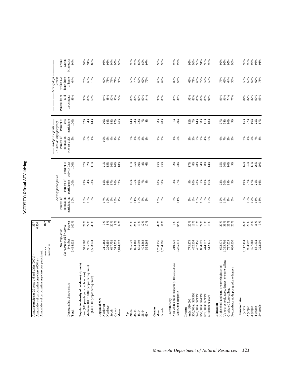| i |
|---|
|   |
|   |
|   |
|   |
|   |
|   |
|   |
| j |
|   |
| г |
|   |
| i |
|   |
| č |
|   |
|   |
| ┋ |
|   |
|   |
|   |
| j |
|   |
|   |
|   |
| í |
|   |
| j |
|   |
|   |
| Ę |
|   |

| Annual days of participation anywhere per participant:<br>Annual participants 20 years old and older (000's) =<br>Annual days of participation anywhere (000's): |                                                   | 357<br>6,520      |                                       |                                    |                                     |                                           |                                          |                             |                                          |                            |
|------------------------------------------------------------------------------------------------------------------------------------------------------------------|---------------------------------------------------|-------------------|---------------------------------------|------------------------------------|-------------------------------------|-------------------------------------------|------------------------------------------|-----------------------------|------------------------------------------|----------------------------|
|                                                                                                                                                                  | $median =$<br>$mean =$                            | 18.2              |                                       |                                    |                                     |                                           |                                          |                             |                                          |                            |
|                                                                                                                                                                  | ----- MN Population -----                         |                   | Percent of                            | ---- Activity participation        |                                     | $($ > median days per year)<br>Percent of | Percent of<br>--- Avid participants ---- | Percent from                | Activity days<br>Percent<br>within $1/2$ | Percent                    |
| Demographic characteristic<br>Total                                                                                                                              | (as represented by survey)<br>Number<br>3,484,632 | 100%<br>Percent   | population<br>participating<br>$10\%$ | participants<br>Percent of<br>100% | Percent of<br>activity days<br>100% | who are avids<br>population<br>5%         | participants<br>avid<br>100%             | avid<br>participants<br>88% | hour drive<br>of home<br>64%             | within<br>Minnesota<br>94% |
| Population density of residence (zip code)<br>Low (100 people per sq mile or less)                                                                               | 945,362                                           |                   | 16%                                   | 43%                                | 57%                                 | $9\%$                                     | 52%                                      | 93%                         | 76%                                      | 97%                        |
| Medium (101 to 1000 people per sq. mile)<br>High (>1000 people per sq. mile)                                                                                     | 955,296<br>1,583,974                              | 27%<br>27%<br>45% | $13%$<br>5%                           | 34%<br>23%                         | 32%<br>11%                          | 6%<br>1%                                  | 34%<br>14%                               | 88%<br>68%                  | $60\%$<br>18%                            | 91%<br>89%                 |
| Region of MN<br>Northwest                                                                                                                                        | 311,163                                           | 9%                | 17%                                   | 15%                                | 21%                                 | 10%                                       | 20%                                      | 94%                         | 69%                                      | 98%                        |
| Northeast                                                                                                                                                        | 296,159                                           | 8%                | 19%                                   | 16%                                | 15%                                 | 9%                                        | 18%                                      | 88%                         | 73%                                      | 95%                        |
| Central<br>South                                                                                                                                                 | 687,752<br>315,532                                | 20%<br>9%<br>54%  | 9%                                    | 17%<br>16%<br>37%                  | 26%<br>20%<br>18%                   | $4\%$<br>$9\%$                            | $18%$<br>17%                             | 92%<br>90%                  | 73%<br>71%<br>30%                        | 94%<br>95%                 |
| Metro                                                                                                                                                            | 1,874,027                                         |                   | $18%$<br>7%                           |                                    |                                     | 2%                                        | 26%                                      | 74%                         |                                          | 90%                        |
| 20-34<br>$_{\text{Age}}$                                                                                                                                         | 995,621                                           | 29%               | 6%                                    |                                    |                                     |                                           | 44%                                      | 88%                         | 59%                                      | 98%                        |
| $35 - 44$                                                                                                                                                        | 824,181                                           | 24%               | 11%                                   | 46%<br>25%                         | $41%$<br>$25%$                      |                                           | 23%<br>22%                               | 86%                         | 75%                                      | 93%                        |
| 45-54                                                                                                                                                            | 665,698                                           | 19%               | 10%                                   | 19%                                | 20%                                 |                                           |                                          | 90%                         | 62%                                      | $^{89\%}_{89\%}$           |
| 55-64<br>$65+$                                                                                                                                                   | 404,868<br>594,265                                | 12%<br>17%        | $6%^{8}$                              | $7%$<br>4%                         | $8\%$<br>6%                         | 8 8 8 8 8                                 | 7%<br>4%                                 | 90%<br>94%                  | $62\%$<br>72%                            | 97%                        |
| Gender<br>Male                                                                                                                                                   | 1,700,236                                         | 49%               | 15%                                   | 70%                                | 75%                                 | 7%<br>2%                                  | 80%                                      | 90%                         | 63%                                      | 93%                        |
| Female                                                                                                                                                           | 1,784,396                                         | 51%               | 6%                                    | 30%                                | 25%                                 |                                           | 20%                                      | 83%                         | 69%                                      | 98%                        |
| Non-white and/or Hispanic (< 100 respondents)<br>White, non-Hispanic<br>Race/ethnicity                                                                           | 3,265,411<br>219,221                              | 94%<br>6%         | $5%$<br>11%                           | 3%<br>97%                          | 2%<br>98%                           | $1%$<br>5%                                | $1\%$<br>99%                             | 85%<br>88%                  | 89%<br>64%                               | 94%<br>98%                 |
| under \$30,000<br>Income                                                                                                                                         | 773,879                                           | 22%               | 5%                                    | 9%                                 | 17%                                 |                                           | 12%                                      | 95%                         | 62%                                      | 95%                        |
| \$30,000 to \$39,999                                                                                                                                             | 452,334                                           | 13%               | $8\%$                                 | 10%                                | 8%                                  |                                           | 7%                                       | 83%                         | 71%                                      | 98%                        |
| \$40,000 to \$49,999<br>\$50,000 to \$74,999                                                                                                                     | 467,456<br>834,075                                | 13%               | $\frac{16%}{16%}$                     | 20%<br>35%                         | 34%<br>20%                          |                                           | 14%<br>38%                               | 85%<br>89%                  | 72%<br>65%                               | 91%<br>96%                 |
| \$75,000 to \$99,999<br>\$100,000 or more                                                                                                                        | 444,712<br>512,175                                | 24%<br>13%<br>15% | $8%$<br>$2%$                          | 10%<br>16%                         | $8%$<br>14%                         | * * * * * * *                             | 11%<br>18%                               | 85%<br>91%                  | 52%<br>50%                               | 96%<br>98%                 |
| High school graduate, or some high school<br>Education                                                                                                           | 692,471                                           | 20%               | 12%                                   | 22%                                | 25%                                 |                                           | 27%                                      | 91%                         | 75%                                      | 92%                        |
| Vo-tech school, assoc. degree, or some college                                                                                                                   | 1,323,702                                         |                   | 14%                                   | 50%                                | $60\%$                              |                                           |                                          | 91%                         | 62%                                      | 95%                        |
| Graduated from college                                                                                                                                           | 787,629                                           | 38%<br>23%<br>20% | 9%<br>5%                              | 19%<br>$9\%$                       | $10%$<br>5%                         | ಹೆ ಕೆ ಕೆ ಕೆ                               | 54%<br>10%<br>9%                         | 74%<br>77%                  | 64%<br>36%                               | 95%<br>96%                 |
| Postgraduate study/postgraduate degrees                                                                                                                          | 680,830                                           |                   |                                       |                                    |                                     |                                           |                                          |                             |                                          |                            |
| Household size<br>1 person                                                                                                                                       | 1,117,414                                         |                   |                                       | 19%                                |                                     |                                           |                                          | 84%                         | 53%                                      | 92%                        |
| 2 people                                                                                                                                                         | 984,997                                           | 32%<br>28%        | $6%$<br>$10%$<br>$12%$                | 27%                                | $14%$<br>24%                        | $2%$<br>4%                                | 15%<br>27%                               | 87%                         | 62%                                      | 95%                        |
| 3 people                                                                                                                                                         | 497,888                                           | $14\%$            |                                       | $17\%$                             | $17\%$                              |                                           |                                          | 87%                         | 67%                                      | 96%                        |
| 5+ people<br>4 people                                                                                                                                            | 561,432<br>322,901                                | 9%<br>16%         | 13%<br>18%                            | 21%<br>16%                         | 26%<br>20%                          | 5% 8%                                     | 16%<br>25%<br>17%                        | 90%<br>93%                  | 62%<br>78%                               | 91%<br>98%                 |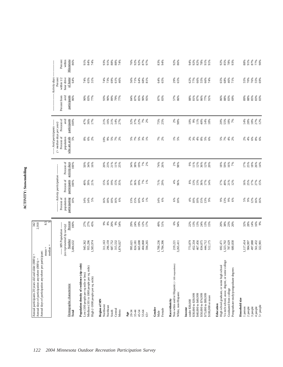| τ      |
|--------|
| í<br>i |
|        |
|        |

| Minnesota<br>Activity days<br>Percent<br>hour drive<br>of home<br>within 1/2<br>29%<br>76%<br>64%<br>74%<br>65%<br>74%<br>73%<br>69%<br>61%<br>56%<br>71%<br>64%<br>68%<br>64%<br>65%<br>65%<br>62%<br>77%<br>66%<br>55%<br>65%<br>68%<br>46%<br>55%<br>70%<br>55%<br>69%<br>31%<br>46%<br>81%<br>66%<br>74%<br>71%<br>participants<br>Percent from<br>avid<br>85%<br>57%<br>89%<br>88%<br>85%<br>83%<br>83%<br>86%<br>83%<br>77%<br>90%<br>89%<br>79%<br>84%<br>$87\%$<br>$90\%$<br>$87%$<br>$83%$<br>86%<br>$\substack{88 \\ 81\%}$<br>$87\%$<br>86%<br>77%<br>86%<br>$88%$<br>$83%$<br>90%<br>93%<br>77%<br>95%<br>91%<br>69%<br>Percent of<br>avid<br>participants<br>$18%$<br>$27%$<br>$12%$<br>21%<br>14%<br>27%<br>22%<br>55%<br>18%<br>7%<br>100%<br>47%<br>36%<br>21%<br>16%<br>32%<br>37%<br>$7%^{8}$<br>75%<br>25%<br>2%<br>98%<br>10%<br>$11\%$<br>40%<br>$14\%$ 18%<br>20%<br>$14%$<br>$28%$<br>17%<br>9%<br>--- Avid participants -----<br>$($ > median days per year)<br>Percent of<br>who are avids<br>population<br>88888<br>$\begin{array}{c} 6\% \\ 6\% \\ 6 \end{array}$<br>5%<br>$8\%$ 6%<br>2%<br>10%<br>9%<br>5%<br>7%<br>2%<br>7%<br>2%<br>$1%$<br>5%<br>$2%$<br>3%<br>$4\%$<br>$8%$ 5%<br>5%<br>7%<br>4%<br>2%<br>$2%$<br>4%<br>Percent of<br>activity days<br>$20%$<br>$20%$<br>$21%$<br>$25%$<br>34%<br>38%<br>19%<br>$17%$ $8%$ $8%$ $14%$<br>100%<br>50%<br>34%<br><b>7%</b><br>2%<br>74%<br>26%<br>2%<br>98%<br>$0.88$<br>$-1.28$<br>$-3.68$<br>12%<br>20%<br>$\begin{array}{c} 18\% \\ 59\% \\ 16\% \\ \hline \end{array}$<br>16%<br>------ Activity participation --<br>Percent of<br>participants<br>$\begin{array}{l} 16\% \\ 25\% \\ 17\% \\ 27\% \\ 15\% \end{array}$<br>100%<br>19%<br>15%<br>35%<br>19%<br>17%<br>40%<br>39%<br>21%<br>15%<br>16%<br>37%<br>36%<br>7%<br>1%<br>71%<br>29%<br>4%<br>96%<br>$8\%$<br>13%<br>13%<br>36%<br>17%<br>14%<br>$49%$<br>$21%$<br>$12%$<br>Percent of<br>population<br>participating<br>12%<br>16%<br>16%<br>10%<br>14%<br>14%<br>$\frac{10\%}{16\%}$<br>10%<br>6%<br>10%<br>$10\%$<br>15%<br>13%<br>9%<br>9%<br>13%<br>$9\%$<br>5%<br>9%<br>5%<br>$\frac{16\%}{18\%}$<br>6%<br>13%<br>15%<br>$6\%$<br>1%<br>14%<br>6%<br>$4\%$<br>10%<br>6%<br>$\overline{\phantom{.0}8.5}$<br>S,<br>27%<br>27%<br>20%<br>9%<br>54%<br>19%<br>6%<br>14%<br>16%<br>9%<br>Percent<br>$9%$<br>$8%$<br>12%<br>49%<br>51%<br>94%<br>22%<br>13%<br>13%<br>24%<br>20%<br>38%<br>23%<br>32%<br>28%<br>45%<br>29%<br>24%<br>17%<br>13%<br>15%<br>20%<br>100%<br>--- MN Population ------<br>(as represented by survey)<br>Number<br>497,888<br>3,484,632<br>955,296<br>1,700,236<br>467,456<br>1,117,414<br>1,583,974<br>296,159<br>687,752<br>315,532<br>665,698<br>1,784,396<br>3,265,411<br>773,879<br>452,334<br>834,075<br>512,175<br>787,629<br>680,830<br>984,997<br>561,432<br>945,362<br>404,868<br>594,265<br>44,712<br>692,471<br>1,323,702<br>322,901<br>311,163<br>1,874,027<br>995,621<br>824,181<br>219,221<br>$mean =$<br>median<br>Vo-tech school, assoc. degree, or some college<br>Population density of residence (zip code)<br>Non-white and/or Hispanic (<100 respondents)<br>High school graduate, or some high school<br>Medium (101 to 1000 people per sq. mile)<br>Postgraduate study/postgraduate degrees<br>Low (100 people per sq mile or less)<br>High (>1000 people per sq. mile)<br>Demographic characteristic<br>Graduated from college<br>White, non-Hispanic<br>\$40,000 to \$49,999<br>\$50,000 to \$74,999<br>\$30,000 to \$39,999<br>\$75,000 to \$99,999<br>\$100,000 or more<br>Household size<br>Race/ethnicity<br>Region of MIN<br>under \$30,000<br>Education<br>Northwest<br>5+ people<br>Northeast<br>3 people<br>1 person<br>2 people<br>4 people<br>Gender<br>Income<br>Female<br>Central<br>Metro<br>South<br>$20 - 34$<br>$35 - 44$<br>$45 - 54$<br>55-64<br>Total<br>Male<br>Age<br>$65+$ |  |  |  |
|-------------------------------------------------------------------------------------------------------------------------------------------------------------------------------------------------------------------------------------------------------------------------------------------------------------------------------------------------------------------------------------------------------------------------------------------------------------------------------------------------------------------------------------------------------------------------------------------------------------------------------------------------------------------------------------------------------------------------------------------------------------------------------------------------------------------------------------------------------------------------------------------------------------------------------------------------------------------------------------------------------------------------------------------------------------------------------------------------------------------------------------------------------------------------------------------------------------------------------------------------------------------------------------------------------------------------------------------------------------------------------------------------------------------------------------------------------------------------------------------------------------------------------------------------------------------------------------------------------------------------------------------------------------------------------------------------------------------------------------------------------------------------------------------------------------------------------------------------------------------------------------------------------------------------------------------------------------------------------------------------------------------------------------------------------------------------------------------------------------------------------------------------------------------------------------------------------------------------------------------------------------------------------------------------------------------------------------------------------------------------------------------------------------------------------------------------------------------------------------------------------------------------------------------------------------------------------------------------------------------------------------------------------------------------------------------------------------------------------------------------------------------------------------------------------------------------------------------------------------------------------------------------------------------------------------------------------------------------------------------------------------------------------------------------------------------------------------------------------------------------------------------------------------------------------------------------------------------------------------------------------------------------------------------------------------------------------------------------------------------------------------------------------------------------------------------------------------------------------------------------------------------------------------------------------------------------------------------------------------------------------------------------------------------------------------------------------------------------------------------------------------------------------------------------------------------------------------------------------------------------------------------------|--|--|--|
|                                                                                                                                                                                                                                                                                                                                                                                                                                                                                                                                                                                                                                                                                                                                                                                                                                                                                                                                                                                                                                                                                                                                                                                                                                                                                                                                                                                                                                                                                                                                                                                                                                                                                                                                                                                                                                                                                                                                                                                                                                                                                                                                                                                                                                                                                                                                                                                                                                                                                                                                                                                                                                                                                                                                                                                                                                                                                                                                                                                                                                                                                                                                                                                                                                                                                                                                                                                                                                                                                                                                                                                                                                                                                                                                                                                                                                                                                                 |  |  |  |
|                                                                                                                                                                                                                                                                                                                                                                                                                                                                                                                                                                                                                                                                                                                                                                                                                                                                                                                                                                                                                                                                                                                                                                                                                                                                                                                                                                                                                                                                                                                                                                                                                                                                                                                                                                                                                                                                                                                                                                                                                                                                                                                                                                                                                                                                                                                                                                                                                                                                                                                                                                                                                                                                                                                                                                                                                                                                                                                                                                                                                                                                                                                                                                                                                                                                                                                                                                                                                                                                                                                                                                                                                                                                                                                                                                                                                                                                                                 |  |  |  |
|                                                                                                                                                                                                                                                                                                                                                                                                                                                                                                                                                                                                                                                                                                                                                                                                                                                                                                                                                                                                                                                                                                                                                                                                                                                                                                                                                                                                                                                                                                                                                                                                                                                                                                                                                                                                                                                                                                                                                                                                                                                                                                                                                                                                                                                                                                                                                                                                                                                                                                                                                                                                                                                                                                                                                                                                                                                                                                                                                                                                                                                                                                                                                                                                                                                                                                                                                                                                                                                                                                                                                                                                                                                                                                                                                                                                                                                                                                 |  |  |  |
|                                                                                                                                                                                                                                                                                                                                                                                                                                                                                                                                                                                                                                                                                                                                                                                                                                                                                                                                                                                                                                                                                                                                                                                                                                                                                                                                                                                                                                                                                                                                                                                                                                                                                                                                                                                                                                                                                                                                                                                                                                                                                                                                                                                                                                                                                                                                                                                                                                                                                                                                                                                                                                                                                                                                                                                                                                                                                                                                                                                                                                                                                                                                                                                                                                                                                                                                                                                                                                                                                                                                                                                                                                                                                                                                                                                                                                                                                                 |  |  |  |
|                                                                                                                                                                                                                                                                                                                                                                                                                                                                                                                                                                                                                                                                                                                                                                                                                                                                                                                                                                                                                                                                                                                                                                                                                                                                                                                                                                                                                                                                                                                                                                                                                                                                                                                                                                                                                                                                                                                                                                                                                                                                                                                                                                                                                                                                                                                                                                                                                                                                                                                                                                                                                                                                                                                                                                                                                                                                                                                                                                                                                                                                                                                                                                                                                                                                                                                                                                                                                                                                                                                                                                                                                                                                                                                                                                                                                                                                                                 |  |  |  |
|                                                                                                                                                                                                                                                                                                                                                                                                                                                                                                                                                                                                                                                                                                                                                                                                                                                                                                                                                                                                                                                                                                                                                                                                                                                                                                                                                                                                                                                                                                                                                                                                                                                                                                                                                                                                                                                                                                                                                                                                                                                                                                                                                                                                                                                                                                                                                                                                                                                                                                                                                                                                                                                                                                                                                                                                                                                                                                                                                                                                                                                                                                                                                                                                                                                                                                                                                                                                                                                                                                                                                                                                                                                                                                                                                                                                                                                                                                 |  |  |  |
|                                                                                                                                                                                                                                                                                                                                                                                                                                                                                                                                                                                                                                                                                                                                                                                                                                                                                                                                                                                                                                                                                                                                                                                                                                                                                                                                                                                                                                                                                                                                                                                                                                                                                                                                                                                                                                                                                                                                                                                                                                                                                                                                                                                                                                                                                                                                                                                                                                                                                                                                                                                                                                                                                                                                                                                                                                                                                                                                                                                                                                                                                                                                                                                                                                                                                                                                                                                                                                                                                                                                                                                                                                                                                                                                                                                                                                                                                                 |  |  |  |
|                                                                                                                                                                                                                                                                                                                                                                                                                                                                                                                                                                                                                                                                                                                                                                                                                                                                                                                                                                                                                                                                                                                                                                                                                                                                                                                                                                                                                                                                                                                                                                                                                                                                                                                                                                                                                                                                                                                                                                                                                                                                                                                                                                                                                                                                                                                                                                                                                                                                                                                                                                                                                                                                                                                                                                                                                                                                                                                                                                                                                                                                                                                                                                                                                                                                                                                                                                                                                                                                                                                                                                                                                                                                                                                                                                                                                                                                                                 |  |  |  |
|                                                                                                                                                                                                                                                                                                                                                                                                                                                                                                                                                                                                                                                                                                                                                                                                                                                                                                                                                                                                                                                                                                                                                                                                                                                                                                                                                                                                                                                                                                                                                                                                                                                                                                                                                                                                                                                                                                                                                                                                                                                                                                                                                                                                                                                                                                                                                                                                                                                                                                                                                                                                                                                                                                                                                                                                                                                                                                                                                                                                                                                                                                                                                                                                                                                                                                                                                                                                                                                                                                                                                                                                                                                                                                                                                                                                                                                                                                 |  |  |  |
|                                                                                                                                                                                                                                                                                                                                                                                                                                                                                                                                                                                                                                                                                                                                                                                                                                                                                                                                                                                                                                                                                                                                                                                                                                                                                                                                                                                                                                                                                                                                                                                                                                                                                                                                                                                                                                                                                                                                                                                                                                                                                                                                                                                                                                                                                                                                                                                                                                                                                                                                                                                                                                                                                                                                                                                                                                                                                                                                                                                                                                                                                                                                                                                                                                                                                                                                                                                                                                                                                                                                                                                                                                                                                                                                                                                                                                                                                                 |  |  |  |
|                                                                                                                                                                                                                                                                                                                                                                                                                                                                                                                                                                                                                                                                                                                                                                                                                                                                                                                                                                                                                                                                                                                                                                                                                                                                                                                                                                                                                                                                                                                                                                                                                                                                                                                                                                                                                                                                                                                                                                                                                                                                                                                                                                                                                                                                                                                                                                                                                                                                                                                                                                                                                                                                                                                                                                                                                                                                                                                                                                                                                                                                                                                                                                                                                                                                                                                                                                                                                                                                                                                                                                                                                                                                                                                                                                                                                                                                                                 |  |  |  |
|                                                                                                                                                                                                                                                                                                                                                                                                                                                                                                                                                                                                                                                                                                                                                                                                                                                                                                                                                                                                                                                                                                                                                                                                                                                                                                                                                                                                                                                                                                                                                                                                                                                                                                                                                                                                                                                                                                                                                                                                                                                                                                                                                                                                                                                                                                                                                                                                                                                                                                                                                                                                                                                                                                                                                                                                                                                                                                                                                                                                                                                                                                                                                                                                                                                                                                                                                                                                                                                                                                                                                                                                                                                                                                                                                                                                                                                                                                 |  |  |  |
|                                                                                                                                                                                                                                                                                                                                                                                                                                                                                                                                                                                                                                                                                                                                                                                                                                                                                                                                                                                                                                                                                                                                                                                                                                                                                                                                                                                                                                                                                                                                                                                                                                                                                                                                                                                                                                                                                                                                                                                                                                                                                                                                                                                                                                                                                                                                                                                                                                                                                                                                                                                                                                                                                                                                                                                                                                                                                                                                                                                                                                                                                                                                                                                                                                                                                                                                                                                                                                                                                                                                                                                                                                                                                                                                                                                                                                                                                                 |  |  |  |
|                                                                                                                                                                                                                                                                                                                                                                                                                                                                                                                                                                                                                                                                                                                                                                                                                                                                                                                                                                                                                                                                                                                                                                                                                                                                                                                                                                                                                                                                                                                                                                                                                                                                                                                                                                                                                                                                                                                                                                                                                                                                                                                                                                                                                                                                                                                                                                                                                                                                                                                                                                                                                                                                                                                                                                                                                                                                                                                                                                                                                                                                                                                                                                                                                                                                                                                                                                                                                                                                                                                                                                                                                                                                                                                                                                                                                                                                                                 |  |  |  |
|                                                                                                                                                                                                                                                                                                                                                                                                                                                                                                                                                                                                                                                                                                                                                                                                                                                                                                                                                                                                                                                                                                                                                                                                                                                                                                                                                                                                                                                                                                                                                                                                                                                                                                                                                                                                                                                                                                                                                                                                                                                                                                                                                                                                                                                                                                                                                                                                                                                                                                                                                                                                                                                                                                                                                                                                                                                                                                                                                                                                                                                                                                                                                                                                                                                                                                                                                                                                                                                                                                                                                                                                                                                                                                                                                                                                                                                                                                 |  |  |  |
|                                                                                                                                                                                                                                                                                                                                                                                                                                                                                                                                                                                                                                                                                                                                                                                                                                                                                                                                                                                                                                                                                                                                                                                                                                                                                                                                                                                                                                                                                                                                                                                                                                                                                                                                                                                                                                                                                                                                                                                                                                                                                                                                                                                                                                                                                                                                                                                                                                                                                                                                                                                                                                                                                                                                                                                                                                                                                                                                                                                                                                                                                                                                                                                                                                                                                                                                                                                                                                                                                                                                                                                                                                                                                                                                                                                                                                                                                                 |  |  |  |
|                                                                                                                                                                                                                                                                                                                                                                                                                                                                                                                                                                                                                                                                                                                                                                                                                                                                                                                                                                                                                                                                                                                                                                                                                                                                                                                                                                                                                                                                                                                                                                                                                                                                                                                                                                                                                                                                                                                                                                                                                                                                                                                                                                                                                                                                                                                                                                                                                                                                                                                                                                                                                                                                                                                                                                                                                                                                                                                                                                                                                                                                                                                                                                                                                                                                                                                                                                                                                                                                                                                                                                                                                                                                                                                                                                                                                                                                                                 |  |  |  |
|                                                                                                                                                                                                                                                                                                                                                                                                                                                                                                                                                                                                                                                                                                                                                                                                                                                                                                                                                                                                                                                                                                                                                                                                                                                                                                                                                                                                                                                                                                                                                                                                                                                                                                                                                                                                                                                                                                                                                                                                                                                                                                                                                                                                                                                                                                                                                                                                                                                                                                                                                                                                                                                                                                                                                                                                                                                                                                                                                                                                                                                                                                                                                                                                                                                                                                                                                                                                                                                                                                                                                                                                                                                                                                                                                                                                                                                                                                 |  |  |  |
|                                                                                                                                                                                                                                                                                                                                                                                                                                                                                                                                                                                                                                                                                                                                                                                                                                                                                                                                                                                                                                                                                                                                                                                                                                                                                                                                                                                                                                                                                                                                                                                                                                                                                                                                                                                                                                                                                                                                                                                                                                                                                                                                                                                                                                                                                                                                                                                                                                                                                                                                                                                                                                                                                                                                                                                                                                                                                                                                                                                                                                                                                                                                                                                                                                                                                                                                                                                                                                                                                                                                                                                                                                                                                                                                                                                                                                                                                                 |  |  |  |
|                                                                                                                                                                                                                                                                                                                                                                                                                                                                                                                                                                                                                                                                                                                                                                                                                                                                                                                                                                                                                                                                                                                                                                                                                                                                                                                                                                                                                                                                                                                                                                                                                                                                                                                                                                                                                                                                                                                                                                                                                                                                                                                                                                                                                                                                                                                                                                                                                                                                                                                                                                                                                                                                                                                                                                                                                                                                                                                                                                                                                                                                                                                                                                                                                                                                                                                                                                                                                                                                                                                                                                                                                                                                                                                                                                                                                                                                                                 |  |  |  |
|                                                                                                                                                                                                                                                                                                                                                                                                                                                                                                                                                                                                                                                                                                                                                                                                                                                                                                                                                                                                                                                                                                                                                                                                                                                                                                                                                                                                                                                                                                                                                                                                                                                                                                                                                                                                                                                                                                                                                                                                                                                                                                                                                                                                                                                                                                                                                                                                                                                                                                                                                                                                                                                                                                                                                                                                                                                                                                                                                                                                                                                                                                                                                                                                                                                                                                                                                                                                                                                                                                                                                                                                                                                                                                                                                                                                                                                                                                 |  |  |  |
|                                                                                                                                                                                                                                                                                                                                                                                                                                                                                                                                                                                                                                                                                                                                                                                                                                                                                                                                                                                                                                                                                                                                                                                                                                                                                                                                                                                                                                                                                                                                                                                                                                                                                                                                                                                                                                                                                                                                                                                                                                                                                                                                                                                                                                                                                                                                                                                                                                                                                                                                                                                                                                                                                                                                                                                                                                                                                                                                                                                                                                                                                                                                                                                                                                                                                                                                                                                                                                                                                                                                                                                                                                                                                                                                                                                                                                                                                                 |  |  |  |
|                                                                                                                                                                                                                                                                                                                                                                                                                                                                                                                                                                                                                                                                                                                                                                                                                                                                                                                                                                                                                                                                                                                                                                                                                                                                                                                                                                                                                                                                                                                                                                                                                                                                                                                                                                                                                                                                                                                                                                                                                                                                                                                                                                                                                                                                                                                                                                                                                                                                                                                                                                                                                                                                                                                                                                                                                                                                                                                                                                                                                                                                                                                                                                                                                                                                                                                                                                                                                                                                                                                                                                                                                                                                                                                                                                                                                                                                                                 |  |  |  |
|                                                                                                                                                                                                                                                                                                                                                                                                                                                                                                                                                                                                                                                                                                                                                                                                                                                                                                                                                                                                                                                                                                                                                                                                                                                                                                                                                                                                                                                                                                                                                                                                                                                                                                                                                                                                                                                                                                                                                                                                                                                                                                                                                                                                                                                                                                                                                                                                                                                                                                                                                                                                                                                                                                                                                                                                                                                                                                                                                                                                                                                                                                                                                                                                                                                                                                                                                                                                                                                                                                                                                                                                                                                                                                                                                                                                                                                                                                 |  |  |  |
|                                                                                                                                                                                                                                                                                                                                                                                                                                                                                                                                                                                                                                                                                                                                                                                                                                                                                                                                                                                                                                                                                                                                                                                                                                                                                                                                                                                                                                                                                                                                                                                                                                                                                                                                                                                                                                                                                                                                                                                                                                                                                                                                                                                                                                                                                                                                                                                                                                                                                                                                                                                                                                                                                                                                                                                                                                                                                                                                                                                                                                                                                                                                                                                                                                                                                                                                                                                                                                                                                                                                                                                                                                                                                                                                                                                                                                                                                                 |  |  |  |
|                                                                                                                                                                                                                                                                                                                                                                                                                                                                                                                                                                                                                                                                                                                                                                                                                                                                                                                                                                                                                                                                                                                                                                                                                                                                                                                                                                                                                                                                                                                                                                                                                                                                                                                                                                                                                                                                                                                                                                                                                                                                                                                                                                                                                                                                                                                                                                                                                                                                                                                                                                                                                                                                                                                                                                                                                                                                                                                                                                                                                                                                                                                                                                                                                                                                                                                                                                                                                                                                                                                                                                                                                                                                                                                                                                                                                                                                                                 |  |  |  |
|                                                                                                                                                                                                                                                                                                                                                                                                                                                                                                                                                                                                                                                                                                                                                                                                                                                                                                                                                                                                                                                                                                                                                                                                                                                                                                                                                                                                                                                                                                                                                                                                                                                                                                                                                                                                                                                                                                                                                                                                                                                                                                                                                                                                                                                                                                                                                                                                                                                                                                                                                                                                                                                                                                                                                                                                                                                                                                                                                                                                                                                                                                                                                                                                                                                                                                                                                                                                                                                                                                                                                                                                                                                                                                                                                                                                                                                                                                 |  |  |  |
|                                                                                                                                                                                                                                                                                                                                                                                                                                                                                                                                                                                                                                                                                                                                                                                                                                                                                                                                                                                                                                                                                                                                                                                                                                                                                                                                                                                                                                                                                                                                                                                                                                                                                                                                                                                                                                                                                                                                                                                                                                                                                                                                                                                                                                                                                                                                                                                                                                                                                                                                                                                                                                                                                                                                                                                                                                                                                                                                                                                                                                                                                                                                                                                                                                                                                                                                                                                                                                                                                                                                                                                                                                                                                                                                                                                                                                                                                                 |  |  |  |
|                                                                                                                                                                                                                                                                                                                                                                                                                                                                                                                                                                                                                                                                                                                                                                                                                                                                                                                                                                                                                                                                                                                                                                                                                                                                                                                                                                                                                                                                                                                                                                                                                                                                                                                                                                                                                                                                                                                                                                                                                                                                                                                                                                                                                                                                                                                                                                                                                                                                                                                                                                                                                                                                                                                                                                                                                                                                                                                                                                                                                                                                                                                                                                                                                                                                                                                                                                                                                                                                                                                                                                                                                                                                                                                                                                                                                                                                                                 |  |  |  |
|                                                                                                                                                                                                                                                                                                                                                                                                                                                                                                                                                                                                                                                                                                                                                                                                                                                                                                                                                                                                                                                                                                                                                                                                                                                                                                                                                                                                                                                                                                                                                                                                                                                                                                                                                                                                                                                                                                                                                                                                                                                                                                                                                                                                                                                                                                                                                                                                                                                                                                                                                                                                                                                                                                                                                                                                                                                                                                                                                                                                                                                                                                                                                                                                                                                                                                                                                                                                                                                                                                                                                                                                                                                                                                                                                                                                                                                                                                 |  |  |  |
|                                                                                                                                                                                                                                                                                                                                                                                                                                                                                                                                                                                                                                                                                                                                                                                                                                                                                                                                                                                                                                                                                                                                                                                                                                                                                                                                                                                                                                                                                                                                                                                                                                                                                                                                                                                                                                                                                                                                                                                                                                                                                                                                                                                                                                                                                                                                                                                                                                                                                                                                                                                                                                                                                                                                                                                                                                                                                                                                                                                                                                                                                                                                                                                                                                                                                                                                                                                                                                                                                                                                                                                                                                                                                                                                                                                                                                                                                                 |  |  |  |
|                                                                                                                                                                                                                                                                                                                                                                                                                                                                                                                                                                                                                                                                                                                                                                                                                                                                                                                                                                                                                                                                                                                                                                                                                                                                                                                                                                                                                                                                                                                                                                                                                                                                                                                                                                                                                                                                                                                                                                                                                                                                                                                                                                                                                                                                                                                                                                                                                                                                                                                                                                                                                                                                                                                                                                                                                                                                                                                                                                                                                                                                                                                                                                                                                                                                                                                                                                                                                                                                                                                                                                                                                                                                                                                                                                                                                                                                                                 |  |  |  |
|                                                                                                                                                                                                                                                                                                                                                                                                                                                                                                                                                                                                                                                                                                                                                                                                                                                                                                                                                                                                                                                                                                                                                                                                                                                                                                                                                                                                                                                                                                                                                                                                                                                                                                                                                                                                                                                                                                                                                                                                                                                                                                                                                                                                                                                                                                                                                                                                                                                                                                                                                                                                                                                                                                                                                                                                                                                                                                                                                                                                                                                                                                                                                                                                                                                                                                                                                                                                                                                                                                                                                                                                                                                                                                                                                                                                                                                                                                 |  |  |  |
|                                                                                                                                                                                                                                                                                                                                                                                                                                                                                                                                                                                                                                                                                                                                                                                                                                                                                                                                                                                                                                                                                                                                                                                                                                                                                                                                                                                                                                                                                                                                                                                                                                                                                                                                                                                                                                                                                                                                                                                                                                                                                                                                                                                                                                                                                                                                                                                                                                                                                                                                                                                                                                                                                                                                                                                                                                                                                                                                                                                                                                                                                                                                                                                                                                                                                                                                                                                                                                                                                                                                                                                                                                                                                                                                                                                                                                                                                                 |  |  |  |
|                                                                                                                                                                                                                                                                                                                                                                                                                                                                                                                                                                                                                                                                                                                                                                                                                                                                                                                                                                                                                                                                                                                                                                                                                                                                                                                                                                                                                                                                                                                                                                                                                                                                                                                                                                                                                                                                                                                                                                                                                                                                                                                                                                                                                                                                                                                                                                                                                                                                                                                                                                                                                                                                                                                                                                                                                                                                                                                                                                                                                                                                                                                                                                                                                                                                                                                                                                                                                                                                                                                                                                                                                                                                                                                                                                                                                                                                                                 |  |  |  |
|                                                                                                                                                                                                                                                                                                                                                                                                                                                                                                                                                                                                                                                                                                                                                                                                                                                                                                                                                                                                                                                                                                                                                                                                                                                                                                                                                                                                                                                                                                                                                                                                                                                                                                                                                                                                                                                                                                                                                                                                                                                                                                                                                                                                                                                                                                                                                                                                                                                                                                                                                                                                                                                                                                                                                                                                                                                                                                                                                                                                                                                                                                                                                                                                                                                                                                                                                                                                                                                                                                                                                                                                                                                                                                                                                                                                                                                                                                 |  |  |  |
|                                                                                                                                                                                                                                                                                                                                                                                                                                                                                                                                                                                                                                                                                                                                                                                                                                                                                                                                                                                                                                                                                                                                                                                                                                                                                                                                                                                                                                                                                                                                                                                                                                                                                                                                                                                                                                                                                                                                                                                                                                                                                                                                                                                                                                                                                                                                                                                                                                                                                                                                                                                                                                                                                                                                                                                                                                                                                                                                                                                                                                                                                                                                                                                                                                                                                                                                                                                                                                                                                                                                                                                                                                                                                                                                                                                                                                                                                                 |  |  |  |
|                                                                                                                                                                                                                                                                                                                                                                                                                                                                                                                                                                                                                                                                                                                                                                                                                                                                                                                                                                                                                                                                                                                                                                                                                                                                                                                                                                                                                                                                                                                                                                                                                                                                                                                                                                                                                                                                                                                                                                                                                                                                                                                                                                                                                                                                                                                                                                                                                                                                                                                                                                                                                                                                                                                                                                                                                                                                                                                                                                                                                                                                                                                                                                                                                                                                                                                                                                                                                                                                                                                                                                                                                                                                                                                                                                                                                                                                                                 |  |  |  |
|                                                                                                                                                                                                                                                                                                                                                                                                                                                                                                                                                                                                                                                                                                                                                                                                                                                                                                                                                                                                                                                                                                                                                                                                                                                                                                                                                                                                                                                                                                                                                                                                                                                                                                                                                                                                                                                                                                                                                                                                                                                                                                                                                                                                                                                                                                                                                                                                                                                                                                                                                                                                                                                                                                                                                                                                                                                                                                                                                                                                                                                                                                                                                                                                                                                                                                                                                                                                                                                                                                                                                                                                                                                                                                                                                                                                                                                                                                 |  |  |  |
|                                                                                                                                                                                                                                                                                                                                                                                                                                                                                                                                                                                                                                                                                                                                                                                                                                                                                                                                                                                                                                                                                                                                                                                                                                                                                                                                                                                                                                                                                                                                                                                                                                                                                                                                                                                                                                                                                                                                                                                                                                                                                                                                                                                                                                                                                                                                                                                                                                                                                                                                                                                                                                                                                                                                                                                                                                                                                                                                                                                                                                                                                                                                                                                                                                                                                                                                                                                                                                                                                                                                                                                                                                                                                                                                                                                                                                                                                                 |  |  |  |
|                                                                                                                                                                                                                                                                                                                                                                                                                                                                                                                                                                                                                                                                                                                                                                                                                                                                                                                                                                                                                                                                                                                                                                                                                                                                                                                                                                                                                                                                                                                                                                                                                                                                                                                                                                                                                                                                                                                                                                                                                                                                                                                                                                                                                                                                                                                                                                                                                                                                                                                                                                                                                                                                                                                                                                                                                                                                                                                                                                                                                                                                                                                                                                                                                                                                                                                                                                                                                                                                                                                                                                                                                                                                                                                                                                                                                                                                                                 |  |  |  |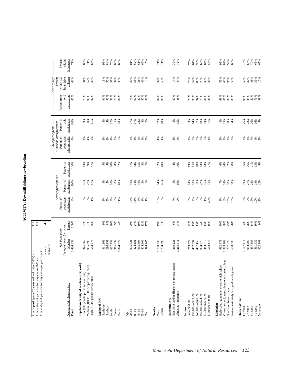| ì |
|---|
|   |
|   |
|   |
|   |
|   |
|   |
| í |
|   |
|   |
|   |
|   |
|   |
|   |

| Annual days of participation anywhere per participant:<br>Annual participants 20 years old and older (000's) =<br>Annual days of participation anywhere (000's) =             |                                                                                 | 313<br>1,514                           |                                                                  |                                                                  |                                                 |                                                                                                                  |                                                |                                             |                                                                            |                                        |
|-------------------------------------------------------------------------------------------------------------------------------------------------------------------------------|---------------------------------------------------------------------------------|----------------------------------------|------------------------------------------------------------------|------------------------------------------------------------------|-------------------------------------------------|------------------------------------------------------------------------------------------------------------------|------------------------------------------------|---------------------------------------------|----------------------------------------------------------------------------|----------------------------------------|
|                                                                                                                                                                               | $mean =$<br>median                                                              | 4.8                                    |                                                                  |                                                                  |                                                 |                                                                                                                  |                                                |                                             |                                                                            |                                        |
| Demographic characteristic<br>Total                                                                                                                                           | ----- MN Population ------<br>(as represented by survey)<br>Number<br>3,484,632 | Percent<br>100%                        | Percent of<br>population<br>participating<br>9%                  | --- Activity participation<br>participants<br>Percent of<br>100% | Percent of<br>activity days<br>100%             | ----- Avid participants ------<br>$($ > median days per year)<br>Percent of<br>population<br>who are avids<br>4% | Percent of<br>participants<br>avid<br>100%     | participants<br>Percent from<br>avid<br>85% | - Activity days<br>of home<br>within $1/2$<br>hour drive<br>Percent<br>43% | Minnesota<br>Percent<br>71%<br>within  |
| Population density of residence (zip code)<br>Medium (101 to 1000 people per sq. mile)<br>Low (100 people per sq mile or less)<br>High (>1000 people per sq. mile)            | 955,296<br>1,583,974<br>945,362                                                 | 27%<br>27%<br>45%                      | 5%<br>9%<br>11%                                                  | 27%<br>57%<br>16%                                                | 39%<br>47%<br>13%                               | $1\%$<br>$4%$<br>5%                                                                                              | 9%<br>30%<br>61%                               | 79%<br>90%<br>82%                           | 57%<br>34%<br>33%                                                          | 88%<br>71%<br>66%                      |
| Region of MN<br>Northwest<br>Northeast<br>Central<br>South<br>Metro                                                                                                           | 296,159<br>687,752<br>315,532<br>311,163<br>1,874,027                           | 88888<br>54%                           | $3%$<br>$5%$<br>9%<br>$\begin{array}{c} 8\% \\ 11\% \end{array}$ | 388<br>$8%$<br>63%                                               | 8 8 8 8 8 8<br>5 8 9 8 8 7                      | $2%$<br>5%<br>2%<br>2%<br>4%                                                                                     | 17%<br>$5%$<br>70%<br>$3%$<br>4%               | $78%$<br>82%<br>91%<br>$82\%$<br>91%        | $18\%$<br>50%<br>57%<br>37%<br>38%                                         | 84%<br>83%<br>92%<br>76%<br>63%        |
| 45-54<br>20-34<br>$35 - 44$<br>55-64<br>Age<br>$65+$                                                                                                                          | 665,698<br>404,868<br>594,265<br>995,621<br>824,181                             | 24%<br>19%<br>12%<br>29%<br>17%        | 14%<br>13%<br>$8%$ $2%$<br>$1%$                                  | 34%<br>$\frac{16%}{3%}$<br>46%                                   | 15%<br>37%<br>42%<br>$3%^{8}$                   | 888888                                                                                                           | 22%<br>37%<br>$3%^{8}$<br>37%                  | 78%<br>90%<br>%<br>87%<br>93%               | 37%<br>31%<br>53%<br>46%<br>14%                                            | 61%<br>81%<br>69%<br>65%<br>15%        |
| Gender<br>Female<br>Male                                                                                                                                                      | 1,700,236<br>1,784,396                                                          | 49%<br>51%                             | $\frac{98}{8\%}$                                                 | 54%<br>46%                                                       | 52%<br>48%                                      | 4%<br>4%                                                                                                         | 52%<br>48%                                     | $84\%$<br>86%                               | 37%<br>50%                                                                 | 71%<br>71%                             |
| Non-white and/or Hispanic $(< 100$ respondents)<br>White, non-Hispanic<br>Race/ethnicity                                                                                      | 3,265,411<br>219,221                                                            | 6%<br>94%                              | 7%<br>9%                                                         | 5%<br>95%                                                        | 4%<br>96%                                       | $3%$<br>4%                                                                                                       | $5\%$<br>95%                                   | 87%<br>85%                                  | 17%<br>44%                                                                 | 39%<br>72%                             |
| \$40,000 to \$49,999<br>\$50,000 to \$74,999<br>\$30,000 to \$39,999<br>\$75,000 to \$99,999<br>\$100,000 or more<br>under \$30,000<br>Income                                 | 467,456<br>834,075<br>444,712<br>773,879<br>452,334<br>512,175                  | 13%<br>22%<br>13%<br>24%<br>13%<br>15% | 5%<br>$9\%$<br>11%<br>20%<br>6%<br>$7\%$                         | $8\%$<br>14%<br>10%<br>22%<br>$15%$<br>31%                       | 15%<br>$18\%$<br>$13%$<br>$13%$<br>$27%$<br>13% | 5%<br>2%<br>$3%$<br>$5%$<br>$1%$<br>2%                                                                           | $7\%$<br>9%<br>14%<br>18%<br>14%<br>37%        | 73%<br>93%<br>94%<br>75%<br>$81%$<br>$86%$  | 20%<br>$80\%$<br>52%<br>29%<br>33%<br>38%                                  | 75%<br>64%<br>93%<br>67%<br>84%<br>56% |
| Vo-tech school, assoc. degree, or some college<br>High school graduate, or some high school<br>Postgraduate study/postgraduate degrees<br>Graduated from college<br>Education | 1,323,702<br>787,629<br>680,830<br>692,471                                      | 23%<br>20%<br>20%<br>38%               | 3%<br>$6\%$<br>15%<br>15%                                        | 7%<br>24%<br>37%<br>33%                                          | 6%<br>24%<br>32%<br>38%                         | 7%<br>7%<br>1%<br>3%                                                                                             | 3%<br>38%<br>34%<br>25%                        | $84%$<br>$88%$<br>68%<br>$87\%$             | 55%<br>40%<br>35%<br>50%                                                   | 92%<br>87%<br>59%<br>68%               |
| Household size<br>$5+$ people<br>1 person<br>2 people<br>3 people<br>4 people                                                                                                 | 497,888<br>1,117,414<br>984,997<br>561,432<br>322,901                           | 14%<br>16%<br>9%<br>32%<br>28%         | 15%<br>10%<br>12%<br>5%<br>9%                                    | 19%<br>27%<br>23%<br>19%<br>12%                                  | 21%<br>$13%$<br>4%<br>36%<br>26%                | 7%<br>4%<br>2%<br>$3%$<br>4%                                                                                     | 8<br>8<br>8<br>8<br>8<br>8<br>8<br>8<br>8<br>8 | <b>888888</b><br>58288                      | 56%<br>32%<br>41%<br>39%<br>16%                                            | 78%<br>67%<br>70%<br>65%<br>65%        |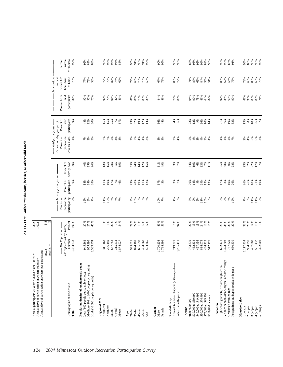| ۱                |
|------------------|
|                  |
| l<br>l           |
| l<br>l           |
| l<br>l<br>í<br>۱ |
| I<br>٠<br>I<br>l |
| i                |

| Minnesota<br>-- Activity days<br>Percent<br>within $1/2$<br>hour drive<br>of home<br>88%<br>72%<br>$2888$<br>$888$<br>63%<br>75%<br>73%<br>77%<br>78%<br>$87%$<br>74%<br>79%<br>69%<br>75%<br>$78%$<br>58%<br>67%<br>79%<br>$\frac{96}{87}\frac{2}{86}$<br><b>88885</b><br>83855<br>86%<br>67%<br>54%<br>75%<br>58%<br>77%<br>70%<br>62%<br>participants<br>Percent from<br>avid<br>$81\%$<br>90%<br>88%<br>90%<br>90%<br>79%<br>96%<br>82%<br>87%<br>86%<br>78%<br>$84%$<br>$88%$<br>79%<br>94%<br>90%<br>78%<br>83%<br>64%<br>82%<br>92%<br>85%<br>63%<br>$88%$<br>74%<br>86%<br>75%<br>92%<br>81%<br>89%<br>89%<br>86%<br>90%<br>Percent of<br>participants<br>avid<br>25%<br>19%<br>36%<br>3<br>30%<br>18%<br>7%<br>$100\%$<br>48%<br>22%<br>$15%$<br>$15%$<br>7%<br>37%<br>32%<br>12%<br>56%<br>44%<br>4%<br>28%<br>12%<br>9%<br>26%<br>10%<br>14%<br>21%<br>$10%$<br>33%<br>30%<br>23%<br>14%<br>96%<br>----- Avid participants ------<br>$($ > median days per year)<br>Percent of<br>who are avids<br>population<br>88888<br>4%<br><b>2</b> 2 3 3<br>88888<br>* * * * *<br>5%<br>3%<br>$3%$<br>4%<br><b>8 8 8 8 8 8 8</b><br>4%<br>$4%$<br>$2%$<br>$7%$<br>Percent of<br>activity days<br>28%<br>14%<br>$51\%$<br>3%<br>$6\%$<br><b>23%</b><br>23%<br>22%<br>I7%<br>7%<br>100%<br>40%<br>35%<br>$13%$<br>$15%$<br>$5%$<br>39%<br>$35%$<br>$24%$<br>12%<br>15%<br>49%<br>34%<br>19%<br>23%<br>7%<br>25%<br>38%<br>$9\%$<br>28%<br>26%<br>97%<br>11%<br>-- Activity participation-<br>Percent of<br>participants<br>26%<br>26%<br>18%<br>10%<br>100%<br>17%<br>19%<br>57%<br>43%<br>$9\%$<br>17%<br>38%<br>19%<br>26%<br>38%<br>24%<br>38%<br>11%<br>19%<br>$7%$<br>46%<br>29%<br>28%<br>11%<br>12%<br>3%<br>97%<br>20%<br>14%<br>29%<br>15%<br>13%<br>Percent of<br>population<br>participating<br>9%<br>$7\%$<br>$9\%$<br>$6\%$<br>$7888888$<br>$-2588$<br>$12%$<br>8%<br>7%<br>11%<br>19%<br>7%<br>7%<br>9%<br>10%<br>8%7%<br>10%<br>7%<br>$4%$<br>9%<br>8%9%<br>$11%$<br>$10%$<br>$8%$<br>78880<br>Percent<br>27%<br>27%<br>%<br>8%<br>20%<br>$9%$<br>54%<br>29%<br>24%<br>19%<br>12%<br>49%<br>51%<br>$6\%$<br>94%<br>22%<br>13%<br>13%<br>24%<br>13%<br>15%<br>20%<br>38%<br>23%<br>20%<br>$32%$<br>$28%$<br>$14%$<br>16%<br>9%<br>100%<br>45%<br>17%<br>--- MN Population ----<br>(as represented by survey)<br>Number<br>3,484,632<br>467,456<br>497,888<br>561,432<br>322,901<br>945,362<br>955,296<br>296,159<br>687,752<br>665,698<br>1,700,236<br>1,784,396<br>1,323,702<br>787,629<br>1,117,414<br>984,997<br>1,583,974<br>315,532<br>404,868<br>773,879<br>452,334<br>834,075<br>444,712<br>512,175<br>692,471<br>680,830<br>311,163<br>,874,027<br>824,181<br>594,265<br>995,621<br>219,221<br>3,265,411<br>Vo-tech school, assoc. degree, or some college<br>Population density of residence (zip code)<br>Non-white and/or Hispanic (<100 respondents)<br>High school graduate, or some high school<br>Medium (101 to 1000 people per sq. mile)<br>Postgraduate study/postgraduate degrees<br>Low (100 people per sq mile or less)<br>High (>1000 people per sq. mile)<br>Demographic characteristic<br>Graduated from college<br>White, non-Hispanic<br>\$30,000 to \$39,999<br>\$40,000 to \$49,999<br>\$50,000 to \$74,999<br>\$75,000 to \$99,999<br>\$100,000 or more<br>Household size<br>Race/ethnicity<br>Region of MN<br>under \$30,000<br>Education<br>Northwest<br>$5+$ people<br>Northeast<br>2 people<br>3 people<br>4 people<br>1 person<br>Income<br>Gender<br>Female<br>Central<br>South<br>Metro<br>Total<br>20-34<br>45-54<br>55-64<br>$35 - 44$<br>Male<br>$_{\rm Age}$<br>$65+$ | Annual days of participation anywhere per participant: | $mean =$<br>median: | 5.4 |  |  |  |  |
|----------------------------------------------------------------------------------------------------------------------------------------------------------------------------------------------------------------------------------------------------------------------------------------------------------------------------------------------------------------------------------------------------------------------------------------------------------------------------------------------------------------------------------------------------------------------------------------------------------------------------------------------------------------------------------------------------------------------------------------------------------------------------------------------------------------------------------------------------------------------------------------------------------------------------------------------------------------------------------------------------------------------------------------------------------------------------------------------------------------------------------------------------------------------------------------------------------------------------------------------------------------------------------------------------------------------------------------------------------------------------------------------------------------------------------------------------------------------------------------------------------------------------------------------------------------------------------------------------------------------------------------------------------------------------------------------------------------------------------------------------------------------------------------------------------------------------------------------------------------------------------------------------------------------------------------------------------------------------------------------------------------------------------------------------------------------------------------------------------------------------------------------------------------------------------------------------------------------------------------------------------------------------------------------------------------------------------------------------------------------------------------------------------------------------------------------------------------------------------------------------------------------------------------------------------------------------------------------------------------------------------------------------------------------------------------------------------------------------------------------------------------------------------------------------------------------------------------------------------------------------------------------------------------------------------------------------------------------------------------------------------------------------------------------------------------------------------------------------------------------------------------------------------------------------------------------------------------------------------------------------------------------------------------------------------------------------------------------------------------------------------------------------------------------------------------------------------------------------------------------------------------------------------------------------------------------------------------------------------------------------|--------------------------------------------------------|---------------------|-----|--|--|--|--|
|                                                                                                                                                                                                                                                                                                                                                                                                                                                                                                                                                                                                                                                                                                                                                                                                                                                                                                                                                                                                                                                                                                                                                                                                                                                                                                                                                                                                                                                                                                                                                                                                                                                                                                                                                                                                                                                                                                                                                                                                                                                                                                                                                                                                                                                                                                                                                                                                                                                                                                                                                                                                                                                                                                                                                                                                                                                                                                                                                                                                                                                                                                                                                                                                                                                                                                                                                                                                                                                                                                                                                                                                                            |                                                        |                     |     |  |  |  |  |
|                                                                                                                                                                                                                                                                                                                                                                                                                                                                                                                                                                                                                                                                                                                                                                                                                                                                                                                                                                                                                                                                                                                                                                                                                                                                                                                                                                                                                                                                                                                                                                                                                                                                                                                                                                                                                                                                                                                                                                                                                                                                                                                                                                                                                                                                                                                                                                                                                                                                                                                                                                                                                                                                                                                                                                                                                                                                                                                                                                                                                                                                                                                                                                                                                                                                                                                                                                                                                                                                                                                                                                                                                            |                                                        |                     |     |  |  |  |  |
|                                                                                                                                                                                                                                                                                                                                                                                                                                                                                                                                                                                                                                                                                                                                                                                                                                                                                                                                                                                                                                                                                                                                                                                                                                                                                                                                                                                                                                                                                                                                                                                                                                                                                                                                                                                                                                                                                                                                                                                                                                                                                                                                                                                                                                                                                                                                                                                                                                                                                                                                                                                                                                                                                                                                                                                                                                                                                                                                                                                                                                                                                                                                                                                                                                                                                                                                                                                                                                                                                                                                                                                                                            |                                                        |                     |     |  |  |  |  |
|                                                                                                                                                                                                                                                                                                                                                                                                                                                                                                                                                                                                                                                                                                                                                                                                                                                                                                                                                                                                                                                                                                                                                                                                                                                                                                                                                                                                                                                                                                                                                                                                                                                                                                                                                                                                                                                                                                                                                                                                                                                                                                                                                                                                                                                                                                                                                                                                                                                                                                                                                                                                                                                                                                                                                                                                                                                                                                                                                                                                                                                                                                                                                                                                                                                                                                                                                                                                                                                                                                                                                                                                                            |                                                        |                     |     |  |  |  |  |
|                                                                                                                                                                                                                                                                                                                                                                                                                                                                                                                                                                                                                                                                                                                                                                                                                                                                                                                                                                                                                                                                                                                                                                                                                                                                                                                                                                                                                                                                                                                                                                                                                                                                                                                                                                                                                                                                                                                                                                                                                                                                                                                                                                                                                                                                                                                                                                                                                                                                                                                                                                                                                                                                                                                                                                                                                                                                                                                                                                                                                                                                                                                                                                                                                                                                                                                                                                                                                                                                                                                                                                                                                            |                                                        |                     |     |  |  |  |  |
|                                                                                                                                                                                                                                                                                                                                                                                                                                                                                                                                                                                                                                                                                                                                                                                                                                                                                                                                                                                                                                                                                                                                                                                                                                                                                                                                                                                                                                                                                                                                                                                                                                                                                                                                                                                                                                                                                                                                                                                                                                                                                                                                                                                                                                                                                                                                                                                                                                                                                                                                                                                                                                                                                                                                                                                                                                                                                                                                                                                                                                                                                                                                                                                                                                                                                                                                                                                                                                                                                                                                                                                                                            |                                                        |                     |     |  |  |  |  |
|                                                                                                                                                                                                                                                                                                                                                                                                                                                                                                                                                                                                                                                                                                                                                                                                                                                                                                                                                                                                                                                                                                                                                                                                                                                                                                                                                                                                                                                                                                                                                                                                                                                                                                                                                                                                                                                                                                                                                                                                                                                                                                                                                                                                                                                                                                                                                                                                                                                                                                                                                                                                                                                                                                                                                                                                                                                                                                                                                                                                                                                                                                                                                                                                                                                                                                                                                                                                                                                                                                                                                                                                                            |                                                        |                     |     |  |  |  |  |
|                                                                                                                                                                                                                                                                                                                                                                                                                                                                                                                                                                                                                                                                                                                                                                                                                                                                                                                                                                                                                                                                                                                                                                                                                                                                                                                                                                                                                                                                                                                                                                                                                                                                                                                                                                                                                                                                                                                                                                                                                                                                                                                                                                                                                                                                                                                                                                                                                                                                                                                                                                                                                                                                                                                                                                                                                                                                                                                                                                                                                                                                                                                                                                                                                                                                                                                                                                                                                                                                                                                                                                                                                            |                                                        |                     |     |  |  |  |  |
|                                                                                                                                                                                                                                                                                                                                                                                                                                                                                                                                                                                                                                                                                                                                                                                                                                                                                                                                                                                                                                                                                                                                                                                                                                                                                                                                                                                                                                                                                                                                                                                                                                                                                                                                                                                                                                                                                                                                                                                                                                                                                                                                                                                                                                                                                                                                                                                                                                                                                                                                                                                                                                                                                                                                                                                                                                                                                                                                                                                                                                                                                                                                                                                                                                                                                                                                                                                                                                                                                                                                                                                                                            |                                                        |                     |     |  |  |  |  |
|                                                                                                                                                                                                                                                                                                                                                                                                                                                                                                                                                                                                                                                                                                                                                                                                                                                                                                                                                                                                                                                                                                                                                                                                                                                                                                                                                                                                                                                                                                                                                                                                                                                                                                                                                                                                                                                                                                                                                                                                                                                                                                                                                                                                                                                                                                                                                                                                                                                                                                                                                                                                                                                                                                                                                                                                                                                                                                                                                                                                                                                                                                                                                                                                                                                                                                                                                                                                                                                                                                                                                                                                                            |                                                        |                     |     |  |  |  |  |
|                                                                                                                                                                                                                                                                                                                                                                                                                                                                                                                                                                                                                                                                                                                                                                                                                                                                                                                                                                                                                                                                                                                                                                                                                                                                                                                                                                                                                                                                                                                                                                                                                                                                                                                                                                                                                                                                                                                                                                                                                                                                                                                                                                                                                                                                                                                                                                                                                                                                                                                                                                                                                                                                                                                                                                                                                                                                                                                                                                                                                                                                                                                                                                                                                                                                                                                                                                                                                                                                                                                                                                                                                            |                                                        |                     |     |  |  |  |  |
|                                                                                                                                                                                                                                                                                                                                                                                                                                                                                                                                                                                                                                                                                                                                                                                                                                                                                                                                                                                                                                                                                                                                                                                                                                                                                                                                                                                                                                                                                                                                                                                                                                                                                                                                                                                                                                                                                                                                                                                                                                                                                                                                                                                                                                                                                                                                                                                                                                                                                                                                                                                                                                                                                                                                                                                                                                                                                                                                                                                                                                                                                                                                                                                                                                                                                                                                                                                                                                                                                                                                                                                                                            |                                                        |                     |     |  |  |  |  |
|                                                                                                                                                                                                                                                                                                                                                                                                                                                                                                                                                                                                                                                                                                                                                                                                                                                                                                                                                                                                                                                                                                                                                                                                                                                                                                                                                                                                                                                                                                                                                                                                                                                                                                                                                                                                                                                                                                                                                                                                                                                                                                                                                                                                                                                                                                                                                                                                                                                                                                                                                                                                                                                                                                                                                                                                                                                                                                                                                                                                                                                                                                                                                                                                                                                                                                                                                                                                                                                                                                                                                                                                                            |                                                        |                     |     |  |  |  |  |
|                                                                                                                                                                                                                                                                                                                                                                                                                                                                                                                                                                                                                                                                                                                                                                                                                                                                                                                                                                                                                                                                                                                                                                                                                                                                                                                                                                                                                                                                                                                                                                                                                                                                                                                                                                                                                                                                                                                                                                                                                                                                                                                                                                                                                                                                                                                                                                                                                                                                                                                                                                                                                                                                                                                                                                                                                                                                                                                                                                                                                                                                                                                                                                                                                                                                                                                                                                                                                                                                                                                                                                                                                            |                                                        |                     |     |  |  |  |  |
|                                                                                                                                                                                                                                                                                                                                                                                                                                                                                                                                                                                                                                                                                                                                                                                                                                                                                                                                                                                                                                                                                                                                                                                                                                                                                                                                                                                                                                                                                                                                                                                                                                                                                                                                                                                                                                                                                                                                                                                                                                                                                                                                                                                                                                                                                                                                                                                                                                                                                                                                                                                                                                                                                                                                                                                                                                                                                                                                                                                                                                                                                                                                                                                                                                                                                                                                                                                                                                                                                                                                                                                                                            |                                                        |                     |     |  |  |  |  |
|                                                                                                                                                                                                                                                                                                                                                                                                                                                                                                                                                                                                                                                                                                                                                                                                                                                                                                                                                                                                                                                                                                                                                                                                                                                                                                                                                                                                                                                                                                                                                                                                                                                                                                                                                                                                                                                                                                                                                                                                                                                                                                                                                                                                                                                                                                                                                                                                                                                                                                                                                                                                                                                                                                                                                                                                                                                                                                                                                                                                                                                                                                                                                                                                                                                                                                                                                                                                                                                                                                                                                                                                                            |                                                        |                     |     |  |  |  |  |
|                                                                                                                                                                                                                                                                                                                                                                                                                                                                                                                                                                                                                                                                                                                                                                                                                                                                                                                                                                                                                                                                                                                                                                                                                                                                                                                                                                                                                                                                                                                                                                                                                                                                                                                                                                                                                                                                                                                                                                                                                                                                                                                                                                                                                                                                                                                                                                                                                                                                                                                                                                                                                                                                                                                                                                                                                                                                                                                                                                                                                                                                                                                                                                                                                                                                                                                                                                                                                                                                                                                                                                                                                            |                                                        |                     |     |  |  |  |  |
|                                                                                                                                                                                                                                                                                                                                                                                                                                                                                                                                                                                                                                                                                                                                                                                                                                                                                                                                                                                                                                                                                                                                                                                                                                                                                                                                                                                                                                                                                                                                                                                                                                                                                                                                                                                                                                                                                                                                                                                                                                                                                                                                                                                                                                                                                                                                                                                                                                                                                                                                                                                                                                                                                                                                                                                                                                                                                                                                                                                                                                                                                                                                                                                                                                                                                                                                                                                                                                                                                                                                                                                                                            |                                                        |                     |     |  |  |  |  |
|                                                                                                                                                                                                                                                                                                                                                                                                                                                                                                                                                                                                                                                                                                                                                                                                                                                                                                                                                                                                                                                                                                                                                                                                                                                                                                                                                                                                                                                                                                                                                                                                                                                                                                                                                                                                                                                                                                                                                                                                                                                                                                                                                                                                                                                                                                                                                                                                                                                                                                                                                                                                                                                                                                                                                                                                                                                                                                                                                                                                                                                                                                                                                                                                                                                                                                                                                                                                                                                                                                                                                                                                                            |                                                        |                     |     |  |  |  |  |
|                                                                                                                                                                                                                                                                                                                                                                                                                                                                                                                                                                                                                                                                                                                                                                                                                                                                                                                                                                                                                                                                                                                                                                                                                                                                                                                                                                                                                                                                                                                                                                                                                                                                                                                                                                                                                                                                                                                                                                                                                                                                                                                                                                                                                                                                                                                                                                                                                                                                                                                                                                                                                                                                                                                                                                                                                                                                                                                                                                                                                                                                                                                                                                                                                                                                                                                                                                                                                                                                                                                                                                                                                            |                                                        |                     |     |  |  |  |  |
|                                                                                                                                                                                                                                                                                                                                                                                                                                                                                                                                                                                                                                                                                                                                                                                                                                                                                                                                                                                                                                                                                                                                                                                                                                                                                                                                                                                                                                                                                                                                                                                                                                                                                                                                                                                                                                                                                                                                                                                                                                                                                                                                                                                                                                                                                                                                                                                                                                                                                                                                                                                                                                                                                                                                                                                                                                                                                                                                                                                                                                                                                                                                                                                                                                                                                                                                                                                                                                                                                                                                                                                                                            |                                                        |                     |     |  |  |  |  |
|                                                                                                                                                                                                                                                                                                                                                                                                                                                                                                                                                                                                                                                                                                                                                                                                                                                                                                                                                                                                                                                                                                                                                                                                                                                                                                                                                                                                                                                                                                                                                                                                                                                                                                                                                                                                                                                                                                                                                                                                                                                                                                                                                                                                                                                                                                                                                                                                                                                                                                                                                                                                                                                                                                                                                                                                                                                                                                                                                                                                                                                                                                                                                                                                                                                                                                                                                                                                                                                                                                                                                                                                                            |                                                        |                     |     |  |  |  |  |
|                                                                                                                                                                                                                                                                                                                                                                                                                                                                                                                                                                                                                                                                                                                                                                                                                                                                                                                                                                                                                                                                                                                                                                                                                                                                                                                                                                                                                                                                                                                                                                                                                                                                                                                                                                                                                                                                                                                                                                                                                                                                                                                                                                                                                                                                                                                                                                                                                                                                                                                                                                                                                                                                                                                                                                                                                                                                                                                                                                                                                                                                                                                                                                                                                                                                                                                                                                                                                                                                                                                                                                                                                            |                                                        |                     |     |  |  |  |  |
|                                                                                                                                                                                                                                                                                                                                                                                                                                                                                                                                                                                                                                                                                                                                                                                                                                                                                                                                                                                                                                                                                                                                                                                                                                                                                                                                                                                                                                                                                                                                                                                                                                                                                                                                                                                                                                                                                                                                                                                                                                                                                                                                                                                                                                                                                                                                                                                                                                                                                                                                                                                                                                                                                                                                                                                                                                                                                                                                                                                                                                                                                                                                                                                                                                                                                                                                                                                                                                                                                                                                                                                                                            |                                                        |                     |     |  |  |  |  |
|                                                                                                                                                                                                                                                                                                                                                                                                                                                                                                                                                                                                                                                                                                                                                                                                                                                                                                                                                                                                                                                                                                                                                                                                                                                                                                                                                                                                                                                                                                                                                                                                                                                                                                                                                                                                                                                                                                                                                                                                                                                                                                                                                                                                                                                                                                                                                                                                                                                                                                                                                                                                                                                                                                                                                                                                                                                                                                                                                                                                                                                                                                                                                                                                                                                                                                                                                                                                                                                                                                                                                                                                                            |                                                        |                     |     |  |  |  |  |
|                                                                                                                                                                                                                                                                                                                                                                                                                                                                                                                                                                                                                                                                                                                                                                                                                                                                                                                                                                                                                                                                                                                                                                                                                                                                                                                                                                                                                                                                                                                                                                                                                                                                                                                                                                                                                                                                                                                                                                                                                                                                                                                                                                                                                                                                                                                                                                                                                                                                                                                                                                                                                                                                                                                                                                                                                                                                                                                                                                                                                                                                                                                                                                                                                                                                                                                                                                                                                                                                                                                                                                                                                            |                                                        |                     |     |  |  |  |  |
|                                                                                                                                                                                                                                                                                                                                                                                                                                                                                                                                                                                                                                                                                                                                                                                                                                                                                                                                                                                                                                                                                                                                                                                                                                                                                                                                                                                                                                                                                                                                                                                                                                                                                                                                                                                                                                                                                                                                                                                                                                                                                                                                                                                                                                                                                                                                                                                                                                                                                                                                                                                                                                                                                                                                                                                                                                                                                                                                                                                                                                                                                                                                                                                                                                                                                                                                                                                                                                                                                                                                                                                                                            |                                                        |                     |     |  |  |  |  |
|                                                                                                                                                                                                                                                                                                                                                                                                                                                                                                                                                                                                                                                                                                                                                                                                                                                                                                                                                                                                                                                                                                                                                                                                                                                                                                                                                                                                                                                                                                                                                                                                                                                                                                                                                                                                                                                                                                                                                                                                                                                                                                                                                                                                                                                                                                                                                                                                                                                                                                                                                                                                                                                                                                                                                                                                                                                                                                                                                                                                                                                                                                                                                                                                                                                                                                                                                                                                                                                                                                                                                                                                                            |                                                        |                     |     |  |  |  |  |
|                                                                                                                                                                                                                                                                                                                                                                                                                                                                                                                                                                                                                                                                                                                                                                                                                                                                                                                                                                                                                                                                                                                                                                                                                                                                                                                                                                                                                                                                                                                                                                                                                                                                                                                                                                                                                                                                                                                                                                                                                                                                                                                                                                                                                                                                                                                                                                                                                                                                                                                                                                                                                                                                                                                                                                                                                                                                                                                                                                                                                                                                                                                                                                                                                                                                                                                                                                                                                                                                                                                                                                                                                            |                                                        |                     |     |  |  |  |  |
|                                                                                                                                                                                                                                                                                                                                                                                                                                                                                                                                                                                                                                                                                                                                                                                                                                                                                                                                                                                                                                                                                                                                                                                                                                                                                                                                                                                                                                                                                                                                                                                                                                                                                                                                                                                                                                                                                                                                                                                                                                                                                                                                                                                                                                                                                                                                                                                                                                                                                                                                                                                                                                                                                                                                                                                                                                                                                                                                                                                                                                                                                                                                                                                                                                                                                                                                                                                                                                                                                                                                                                                                                            |                                                        |                     |     |  |  |  |  |
|                                                                                                                                                                                                                                                                                                                                                                                                                                                                                                                                                                                                                                                                                                                                                                                                                                                                                                                                                                                                                                                                                                                                                                                                                                                                                                                                                                                                                                                                                                                                                                                                                                                                                                                                                                                                                                                                                                                                                                                                                                                                                                                                                                                                                                                                                                                                                                                                                                                                                                                                                                                                                                                                                                                                                                                                                                                                                                                                                                                                                                                                                                                                                                                                                                                                                                                                                                                                                                                                                                                                                                                                                            |                                                        |                     |     |  |  |  |  |
|                                                                                                                                                                                                                                                                                                                                                                                                                                                                                                                                                                                                                                                                                                                                                                                                                                                                                                                                                                                                                                                                                                                                                                                                                                                                                                                                                                                                                                                                                                                                                                                                                                                                                                                                                                                                                                                                                                                                                                                                                                                                                                                                                                                                                                                                                                                                                                                                                                                                                                                                                                                                                                                                                                                                                                                                                                                                                                                                                                                                                                                                                                                                                                                                                                                                                                                                                                                                                                                                                                                                                                                                                            |                                                        |                     |     |  |  |  |  |
|                                                                                                                                                                                                                                                                                                                                                                                                                                                                                                                                                                                                                                                                                                                                                                                                                                                                                                                                                                                                                                                                                                                                                                                                                                                                                                                                                                                                                                                                                                                                                                                                                                                                                                                                                                                                                                                                                                                                                                                                                                                                                                                                                                                                                                                                                                                                                                                                                                                                                                                                                                                                                                                                                                                                                                                                                                                                                                                                                                                                                                                                                                                                                                                                                                                                                                                                                                                                                                                                                                                                                                                                                            |                                                        |                     |     |  |  |  |  |
|                                                                                                                                                                                                                                                                                                                                                                                                                                                                                                                                                                                                                                                                                                                                                                                                                                                                                                                                                                                                                                                                                                                                                                                                                                                                                                                                                                                                                                                                                                                                                                                                                                                                                                                                                                                                                                                                                                                                                                                                                                                                                                                                                                                                                                                                                                                                                                                                                                                                                                                                                                                                                                                                                                                                                                                                                                                                                                                                                                                                                                                                                                                                                                                                                                                                                                                                                                                                                                                                                                                                                                                                                            |                                                        |                     |     |  |  |  |  |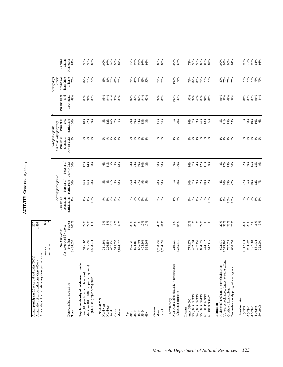| ì |
|---|
|   |

| Annual days of participation anywhere per participant:<br>Annual participants 20 years old and older (000's) =<br>Annual days of participation anywhere (000's) = |                                                        | 1,486<br>227                  |                             |                                                     |                        |                                                                                            |                      |                                             |                                                          |                   |
|-------------------------------------------------------------------------------------------------------------------------------------------------------------------|--------------------------------------------------------|-------------------------------|-----------------------------|-----------------------------------------------------|------------------------|--------------------------------------------------------------------------------------------|----------------------|---------------------------------------------|----------------------------------------------------------|-------------------|
|                                                                                                                                                                   | $mean =$<br>median                                     | 6.5                           |                             |                                                     |                        |                                                                                            |                      |                                             |                                                          |                   |
|                                                                                                                                                                   | ---- MN Population -----<br>(as represented by survey) |                               | Percent of<br>population    | ------- Activity participation ------<br>Percent of | Percent of             | ----- Avid participants ------<br>$(>median\ days\ per\ year)$<br>Percent of<br>population | Percent of<br>avid   | avid<br>Percent from<br>$\sim$              | - Activity days<br>Percent<br>hour drive<br>within $1/2$ | Percent<br>within |
| Demographic characteristic<br>Total                                                                                                                               | Number<br>3,484,632                                    | Percent<br>100%               | participating<br>7%         | participants<br>100%                                | activity days<br>100%  | who are avids<br>3%                                                                        | participants<br>100% | participants<br>89%                         | of home<br>76%                                           | Minnesota<br>87%  |
| Population density of residence (zip code)<br>Low (100 people per sq mile or less)                                                                                |                                                        | 27%                           |                             | 16%                                                 | 17%                    |                                                                                            | 18%                  | 89%                                         |                                                          |                   |
| Medium (101 to 1000 people per sq. mile)<br>High (>1000 people per sq. mile)                                                                                      | 945,362<br>955,296<br>1,583,974                        | 27%<br>45%                    | $4\%$ $\%$<br>10%           | $\frac{16%}{68%}$                                   | 14%<br>68%             | 2%<br>2%                                                                                   | <b>22%</b><br>60%    | 91%<br>88%                                  | 82%<br>73%<br>76%                                        | 98%<br>93%<br>83% |
| Region of MN<br>Northwest                                                                                                                                         | 311,163                                                |                               | 4%                          |                                                     |                        |                                                                                            |                      | 93%                                         | 85%                                                      | 100%              |
| Northeast                                                                                                                                                         | 296,159                                                |                               | $6%$ 4%                     | $5\%$ 8%                                            |                        |                                                                                            | $5%$<br>12%          | 94%                                         | 81%                                                      | 97%               |
| Central<br>South                                                                                                                                                  | 687,752<br>315,532                                     | ಹೆ ಹೆ ಕ್ಲಿ ಕೆ<br>ಹೆ ಕ್ಲಿ ಕ್ಲಿ |                             | $1\%$                                               |                        | 88888                                                                                      | 10%<br>7%            | 84%<br>90%                                  | 76%<br>67%                                               | 94%<br>98%        |
| Metro                                                                                                                                                             | 1,874,027                                              | 54%                           | $4%$<br>9%                  | 5%<br>70%                                           | $6888880$<br>$188880$  |                                                                                            | 65%                  | 88%                                         | 75%                                                      | 82%               |
| 20-34<br>Age                                                                                                                                                      | 995,621                                                | 29%                           |                             | 26%                                                 | 33%                    |                                                                                            | 20%                  | 92%                                         | 71%                                                      | 72%               |
| $35 - 44$                                                                                                                                                         | 824,181                                                | 24%                           | 6%<br>9%                    | 33%                                                 |                        | $2%$<br>$4%$                                                                               | 30%                  | 82%                                         | 84%                                                      | 93%               |
| 45-54                                                                                                                                                             | 665,698                                                | 19%                           | $9\%$                       | 27%                                                 | 24%<br>30%             |                                                                                            | 34%                  | 92%                                         | 74%                                                      | 94%               |
| 55-64<br>$65+$                                                                                                                                                    | 404,868<br>594,265                                     | 12%<br>17%                    | $5%$<br>2%                  | 9%<br>5%                                            | $10\%$<br>2%           | $5%$ $8%$ $1%$                                                                             | $13%$<br>3%          | 94%<br>60%                                  | 89%<br>52%                                               | 98%<br>$97\%$     |
|                                                                                                                                                                   |                                                        |                               |                             |                                                     |                        |                                                                                            |                      |                                             |                                                          |                   |
| Gender<br>Female<br>Male                                                                                                                                          | 1,700,236<br>1,784,396                                 | 49%<br>51%                    | $5%$<br>8%                  | 40%<br>60%                                          | 50%<br>50%             | $3%$<br>$3%$                                                                               | 45%<br>55%           | 92%<br>85%                                  | 77%<br>75%                                               | 85%<br>88%        |
|                                                                                                                                                                   |                                                        |                               |                             |                                                     |                        |                                                                                            |                      |                                             |                                                          |                   |
| Non-white and/or Hispanic (< 100 respondents)<br>Race/ethnicity                                                                                                   | 219,221                                                | 6%                            |                             |                                                     | $0\%$                  | $1\%$ $3\%$                                                                                | 1%                   | 100%                                        | 100%                                                     | 100%              |
| White, non-Hispanic                                                                                                                                               | 3,265,411                                              | 94%                           | $1%$<br>7%                  | 1%<br>99%                                           | 100%                   |                                                                                            | 99%                  | 89%                                         | 76%                                                      | $87\%$            |
| under \$30,000<br>Income                                                                                                                                          | 773,879                                                | 22%                           |                             | 10%                                                 | 16%                    |                                                                                            | 16%                  | 96%                                         | 71%                                                      | 71%               |
| \$30,000 to \$39,999                                                                                                                                              | 452,334                                                | 13%                           |                             | 7%                                                  | 7%                     |                                                                                            | 7%                   | 94%                                         | 84%<br>86%                                               | 98%               |
| \$50,000 to \$74,999<br>\$40,000 to \$49,999                                                                                                                      | 467,456<br>834,075                                     | 13%<br>24%                    | $28888$<br>$758$            | $9\%$                                               | $4%$                   | <b>2222222</b>                                                                             | 3%<br>26%            | 65%                                         | 77%                                                      | 98%<br>86%        |
| \$75,000 to \$99,999                                                                                                                                              | 444,712                                                | $13%$<br>$15%$                | $5%$<br>$5%$                | 32%<br>10%<br>32%                                   | $42%$<br>11%<br>20%    |                                                                                            | 13%<br>36%           | 89%<br>94%                                  | 79%                                                      | 100%              |
| \$100,000 or more                                                                                                                                                 | 512,175                                                |                               |                             |                                                     |                        |                                                                                            |                      | 84%                                         | 70%                                                      | $84\%$            |
| High school graduate, or some high school<br>Education                                                                                                            | 692,471                                                | 20%                           |                             | 4%                                                  | 8%                     |                                                                                            |                      | 96%                                         | 89%                                                      | 100%              |
| Vo-tech school, assoc. degree, or some college                                                                                                                    | 1,323,702                                              | 38%                           | 1888008                     | 16%<br>33%<br>47%                                   | 17%                    | 5 8 8 8                                                                                    | 5%<br>21%<br>55%     | 91%                                         | 75%                                                      | 93%               |
| Graduated from college                                                                                                                                            | 787,629                                                | 23%                           |                             |                                                     | $15%$<br>60%           |                                                                                            |                      | 69%<br>92%                                  | $77%$<br>$75%$                                           | 96%               |
| Postgraduate study/postgraduate degrees                                                                                                                           | 680,830                                                | 20%                           |                             |                                                     |                        |                                                                                            |                      |                                             |                                                          | 81%               |
| Household size<br>1 person                                                                                                                                        | 1,117,414                                              |                               |                             |                                                     |                        |                                                                                            |                      |                                             | 78%                                                      | 96%               |
| 2 people                                                                                                                                                          | 984,997                                                | 32%<br>28%                    | $\frac{2}{9}$ $\frac{2}{9}$ | 27%<br>35%                                          | 22%<br>30%             | $2\%$<br>4%                                                                                | 21%<br>38%           | $\begin{array}{l} 84\% \\ 88\% \end{array}$ | 78%                                                      | 79%               |
| 3 people                                                                                                                                                          |                                                        | 14%                           | $9\%$                       | 19%                                                 |                        |                                                                                            | 19%                  | 88%                                         | 75%                                                      | 93%               |
| 5+ people<br>4 people                                                                                                                                             | 497,888<br>561,432<br>322,901                          | 16%<br>9%                     | $5%$<br>$5%$                | 12%<br>7%                                           | $15%$<br>$25%$<br>$9%$ | $4%$ $8%$ $2%$                                                                             | 6%<br>16%            | 96%<br>84%                                  | 73%<br>79%                                               | 81%<br>93%        |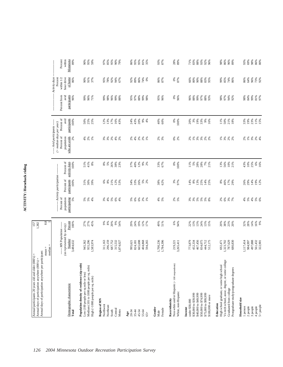| ľ |
|---|
|   |
|   |
|   |
|   |
|   |
|   |
|   |
|   |
|   |
|   |
|   |
|   |
|   |
|   |
|   |
|   |
|   |
|   |
|   |
|   |

| Percent of<br>avid<br>participants<br>17%<br>0%<br>19%<br>33%<br>19%<br>23%<br>50%<br>25%<br>12%<br>13%<br>16%<br>43%<br>24%<br>43%<br>20%<br>$9\%$<br>40%<br>60%<br>20%<br>3%<br>33%<br>9%<br>11%<br>50%<br>$\frac{21\%}{18\%}$<br>100%<br>25%<br>4%<br>100%<br>16%<br>----- Avid participants ------<br>$($ > median days per year)<br>Percent of<br>who are avids<br>population<br>2%<br>*****<br>5 % & &<br>$4%$ $8%$<br>$1%$<br>88882<br>2%<br>3%<br>$0\%$<br>$2\%$<br>888888<br>Percent of<br>activity days<br>25%<br>100%<br>$51\%$<br>41%<br>$8\%$<br>8% 5%<br>26%<br>12%<br>9%<br>2%<br>33%<br>67%<br>0%<br>11%<br>28%<br>13%<br>56%<br>43%<br>10%<br>38%<br>23%<br>37%<br>40%<br>100%<br>5%<br>28%<br>$7\%$<br>21%<br>$10\%$<br>21%<br>--- Activity participation --<br>Percent of<br>participants<br>21%<br>12%<br>53%<br>14%<br>100%<br>$6\%$ 8%<br>26%<br>$5%$<br>$2%$<br>38%<br>62%<br>3%<br>97%<br>8%<br>13%<br>25%<br>14%<br>46%<br>17%<br>29%<br>26%<br>29%<br>31%<br>30%<br>39%<br>34%<br>33%<br>14%<br>8%<br>Percent of<br>population<br>participating<br>$5%$ $6%$ $4%$<br>$6%$ $2%$<br>$1%$<br>$2%$<br>5%<br>* * * * * * *<br>m m n n n n x<br>5%<br>$5%$<br>5%<br>$3%$<br>4%<br>$5%$<br>$6%$<br>$4%$<br>5%<br>$2%$<br>$6%$<br>$7%$<br>$7%$<br>$^{4%}$<br>8.8<br>Percent<br>* * * * *<br>\$ * \$ * * *<br>19%<br>51%<br>13%<br>38%<br>23%<br>20%<br>$32%$<br>$28%$<br>$14%$<br>27%<br>27%<br>45%<br>29%<br>24%<br>12%<br>17%<br>49%<br>6%<br>94%<br>22%<br>13%<br>24%<br>13%<br>15%<br>20%<br>100%<br>(as represented by survey)<br>--- MN Population ---<br>Number<br>3,484,632<br>665,698<br>1,700,236<br>467,456<br>1,117,414<br>984,997<br>497,888<br>945,362<br>955,296<br>296,159<br>687,752<br>404,868<br>594,265<br>1,784,396<br>773,879<br>834,075<br>444,712<br>692,471<br>1,323,702<br>787,629<br>1,583,974<br>311,163<br>315,532<br>452,334<br>512,175<br>680,830<br>1,874,027<br>995,621<br>824,181<br>219,221<br>3,265,411<br>$mean =$<br>median<br>Vo-tech school, assoc. degree, or some college<br>Population density of residence (zip code)<br>Non-white and/or Hispanic (<100 respondents)<br>High school graduate, or some high school<br>Medium (101 to 1000 people per sq. mile)<br>Postgraduate study/postgraduate degrees<br>Low (100 people per sq mile or less)<br>High (>1000 people per sq. mile)<br>Demographic characteristic<br>Graduated from college<br>White, non-Hispanic<br>\$30,000 to \$39,999<br>\$40,000 to \$49,999<br>\$75,000 to \$99,999<br>\$50,000 to \$74,999<br>\$100,000 or more<br>Household size<br>Region of MN<br>Race/ethnicity<br>under \$30,000<br>Education<br>Northwest<br>Northeast<br>3 people<br>4 people<br>1 person<br>2 people<br>Gender<br>Income<br>Central<br>Female<br>South<br>Metro<br>45-54<br>Total<br>Age<br>20-34<br>$35 - 44$<br>55-64<br>Male<br>$65+$ | participants<br>Percent from<br>avid<br>96%<br>88%<br>$0\%$<br>88%<br>99%<br>98%<br>97%<br>94%<br>98%<br>84%<br>99%<br>81%<br>97%<br>96%<br>99%<br>96%<br>71%<br>99%<br>98%<br>99%<br>88%<br>95%<br>97%<br>99%<br>98%<br>95%<br>96%<br>96%<br>96%<br>97%<br>88%<br>93%<br>92%<br>11%<br>15%<br>88888<br>$6%$<br>16%<br>19%<br>12%<br>888888<br>16%<br>9%<br>561,432<br>322,901<br>5+ people | Annual days of participation anywhere per | participant: |  |  |  |                          |  |
|----------------------------------------------------------------------------------------------------------------------------------------------------------------------------------------------------------------------------------------------------------------------------------------------------------------------------------------------------------------------------------------------------------------------------------------------------------------------------------------------------------------------------------------------------------------------------------------------------------------------------------------------------------------------------------------------------------------------------------------------------------------------------------------------------------------------------------------------------------------------------------------------------------------------------------------------------------------------------------------------------------------------------------------------------------------------------------------------------------------------------------------------------------------------------------------------------------------------------------------------------------------------------------------------------------------------------------------------------------------------------------------------------------------------------------------------------------------------------------------------------------------------------------------------------------------------------------------------------------------------------------------------------------------------------------------------------------------------------------------------------------------------------------------------------------------------------------------------------------------------------------------------------------------------------------------------------------------------------------------------------------------------------------------------------------------------------------------------------------------------------------------------------------------------------------------------------------------------------------------------------------------------------------------------------------------------------------------------------------------------------------------------------------------------------------------------------------------------------------------------------------------------------------------------------------------------------------------------------------------------------------------------------------------------------------------------------------------------------------------------------------------------------------------------------------------------------------------------------------|---------------------------------------------------------------------------------------------------------------------------------------------------------------------------------------------------------------------------------------------------------------------------------------------------------------------------------------------------------------------------------------------|-------------------------------------------|--------------|--|--|--|--------------------------|--|
|                                                                                                                                                                                                                                                                                                                                                                                                                                                                                                                                                                                                                                                                                                                                                                                                                                                                                                                                                                                                                                                                                                                                                                                                                                                                                                                                                                                                                                                                                                                                                                                                                                                                                                                                                                                                                                                                                                                                                                                                                                                                                                                                                                                                                                                                                                                                                                                                                                                                                                                                                                                                                                                                                                                                                                                                                                                          |                                                                                                                                                                                                                                                                                                                                                                                             |                                           |              |  |  |  |                          |  |
|                                                                                                                                                                                                                                                                                                                                                                                                                                                                                                                                                                                                                                                                                                                                                                                                                                                                                                                                                                                                                                                                                                                                                                                                                                                                                                                                                                                                                                                                                                                                                                                                                                                                                                                                                                                                                                                                                                                                                                                                                                                                                                                                                                                                                                                                                                                                                                                                                                                                                                                                                                                                                                                                                                                                                                                                                                                          |                                                                                                                                                                                                                                                                                                                                                                                             |                                           |              |  |  |  | Activity days<br>Percent |  |
|                                                                                                                                                                                                                                                                                                                                                                                                                                                                                                                                                                                                                                                                                                                                                                                                                                                                                                                                                                                                                                                                                                                                                                                                                                                                                                                                                                                                                                                                                                                                                                                                                                                                                                                                                                                                                                                                                                                                                                                                                                                                                                                                                                                                                                                                                                                                                                                                                                                                                                                                                                                                                                                                                                                                                                                                                                                          |                                                                                                                                                                                                                                                                                                                                                                                             |                                           |              |  |  |  | within 1/2<br>hour drive |  |
|                                                                                                                                                                                                                                                                                                                                                                                                                                                                                                                                                                                                                                                                                                                                                                                                                                                                                                                                                                                                                                                                                                                                                                                                                                                                                                                                                                                                                                                                                                                                                                                                                                                                                                                                                                                                                                                                                                                                                                                                                                                                                                                                                                                                                                                                                                                                                                                                                                                                                                                                                                                                                                                                                                                                                                                                                                                          |                                                                                                                                                                                                                                                                                                                                                                                             |                                           |              |  |  |  | of home<br>86%           |  |
|                                                                                                                                                                                                                                                                                                                                                                                                                                                                                                                                                                                                                                                                                                                                                                                                                                                                                                                                                                                                                                                                                                                                                                                                                                                                                                                                                                                                                                                                                                                                                                                                                                                                                                                                                                                                                                                                                                                                                                                                                                                                                                                                                                                                                                                                                                                                                                                                                                                                                                                                                                                                                                                                                                                                                                                                                                                          |                                                                                                                                                                                                                                                                                                                                                                                             |                                           |              |  |  |  |                          |  |
|                                                                                                                                                                                                                                                                                                                                                                                                                                                                                                                                                                                                                                                                                                                                                                                                                                                                                                                                                                                                                                                                                                                                                                                                                                                                                                                                                                                                                                                                                                                                                                                                                                                                                                                                                                                                                                                                                                                                                                                                                                                                                                                                                                                                                                                                                                                                                                                                                                                                                                                                                                                                                                                                                                                                                                                                                                                          |                                                                                                                                                                                                                                                                                                                                                                                             |                                           |              |  |  |  | 90%<br>91%               |  |
|                                                                                                                                                                                                                                                                                                                                                                                                                                                                                                                                                                                                                                                                                                                                                                                                                                                                                                                                                                                                                                                                                                                                                                                                                                                                                                                                                                                                                                                                                                                                                                                                                                                                                                                                                                                                                                                                                                                                                                                                                                                                                                                                                                                                                                                                                                                                                                                                                                                                                                                                                                                                                                                                                                                                                                                                                                                          |                                                                                                                                                                                                                                                                                                                                                                                             |                                           |              |  |  |  | 37%                      |  |
|                                                                                                                                                                                                                                                                                                                                                                                                                                                                                                                                                                                                                                                                                                                                                                                                                                                                                                                                                                                                                                                                                                                                                                                                                                                                                                                                                                                                                                                                                                                                                                                                                                                                                                                                                                                                                                                                                                                                                                                                                                                                                                                                                                                                                                                                                                                                                                                                                                                                                                                                                                                                                                                                                                                                                                                                                                                          |                                                                                                                                                                                                                                                                                                                                                                                             |                                           |              |  |  |  |                          |  |
|                                                                                                                                                                                                                                                                                                                                                                                                                                                                                                                                                                                                                                                                                                                                                                                                                                                                                                                                                                                                                                                                                                                                                                                                                                                                                                                                                                                                                                                                                                                                                                                                                                                                                                                                                                                                                                                                                                                                                                                                                                                                                                                                                                                                                                                                                                                                                                                                                                                                                                                                                                                                                                                                                                                                                                                                                                                          |                                                                                                                                                                                                                                                                                                                                                                                             |                                           |              |  |  |  | 95%                      |  |
|                                                                                                                                                                                                                                                                                                                                                                                                                                                                                                                                                                                                                                                                                                                                                                                                                                                                                                                                                                                                                                                                                                                                                                                                                                                                                                                                                                                                                                                                                                                                                                                                                                                                                                                                                                                                                                                                                                                                                                                                                                                                                                                                                                                                                                                                                                                                                                                                                                                                                                                                                                                                                                                                                                                                                                                                                                                          |                                                                                                                                                                                                                                                                                                                                                                                             |                                           |              |  |  |  | 78%                      |  |
|                                                                                                                                                                                                                                                                                                                                                                                                                                                                                                                                                                                                                                                                                                                                                                                                                                                                                                                                                                                                                                                                                                                                                                                                                                                                                                                                                                                                                                                                                                                                                                                                                                                                                                                                                                                                                                                                                                                                                                                                                                                                                                                                                                                                                                                                                                                                                                                                                                                                                                                                                                                                                                                                                                                                                                                                                                                          |                                                                                                                                                                                                                                                                                                                                                                                             |                                           |              |  |  |  | 92%                      |  |
|                                                                                                                                                                                                                                                                                                                                                                                                                                                                                                                                                                                                                                                                                                                                                                                                                                                                                                                                                                                                                                                                                                                                                                                                                                                                                                                                                                                                                                                                                                                                                                                                                                                                                                                                                                                                                                                                                                                                                                                                                                                                                                                                                                                                                                                                                                                                                                                                                                                                                                                                                                                                                                                                                                                                                                                                                                                          |                                                                                                                                                                                                                                                                                                                                                                                             |                                           |              |  |  |  | 94%<br>67%               |  |
|                                                                                                                                                                                                                                                                                                                                                                                                                                                                                                                                                                                                                                                                                                                                                                                                                                                                                                                                                                                                                                                                                                                                                                                                                                                                                                                                                                                                                                                                                                                                                                                                                                                                                                                                                                                                                                                                                                                                                                                                                                                                                                                                                                                                                                                                                                                                                                                                                                                                                                                                                                                                                                                                                                                                                                                                                                                          |                                                                                                                                                                                                                                                                                                                                                                                             |                                           |              |  |  |  |                          |  |
|                                                                                                                                                                                                                                                                                                                                                                                                                                                                                                                                                                                                                                                                                                                                                                                                                                                                                                                                                                                                                                                                                                                                                                                                                                                                                                                                                                                                                                                                                                                                                                                                                                                                                                                                                                                                                                                                                                                                                                                                                                                                                                                                                                                                                                                                                                                                                                                                                                                                                                                                                                                                                                                                                                                                                                                                                                                          |                                                                                                                                                                                                                                                                                                                                                                                             |                                           |              |  |  |  | 92%                      |  |
|                                                                                                                                                                                                                                                                                                                                                                                                                                                                                                                                                                                                                                                                                                                                                                                                                                                                                                                                                                                                                                                                                                                                                                                                                                                                                                                                                                                                                                                                                                                                                                                                                                                                                                                                                                                                                                                                                                                                                                                                                                                                                                                                                                                                                                                                                                                                                                                                                                                                                                                                                                                                                                                                                                                                                                                                                                                          |                                                                                                                                                                                                                                                                                                                                                                                             |                                           |              |  |  |  | 89%                      |  |
|                                                                                                                                                                                                                                                                                                                                                                                                                                                                                                                                                                                                                                                                                                                                                                                                                                                                                                                                                                                                                                                                                                                                                                                                                                                                                                                                                                                                                                                                                                                                                                                                                                                                                                                                                                                                                                                                                                                                                                                                                                                                                                                                                                                                                                                                                                                                                                                                                                                                                                                                                                                                                                                                                                                                                                                                                                                          |                                                                                                                                                                                                                                                                                                                                                                                             |                                           |              |  |  |  | 86%                      |  |
|                                                                                                                                                                                                                                                                                                                                                                                                                                                                                                                                                                                                                                                                                                                                                                                                                                                                                                                                                                                                                                                                                                                                                                                                                                                                                                                                                                                                                                                                                                                                                                                                                                                                                                                                                                                                                                                                                                                                                                                                                                                                                                                                                                                                                                                                                                                                                                                                                                                                                                                                                                                                                                                                                                                                                                                                                                                          |                                                                                                                                                                                                                                                                                                                                                                                             |                                           |              |  |  |  | 74%                      |  |
|                                                                                                                                                                                                                                                                                                                                                                                                                                                                                                                                                                                                                                                                                                                                                                                                                                                                                                                                                                                                                                                                                                                                                                                                                                                                                                                                                                                                                                                                                                                                                                                                                                                                                                                                                                                                                                                                                                                                                                                                                                                                                                                                                                                                                                                                                                                                                                                                                                                                                                                                                                                                                                                                                                                                                                                                                                                          |                                                                                                                                                                                                                                                                                                                                                                                             |                                           |              |  |  |  | 0%                       |  |
|                                                                                                                                                                                                                                                                                                                                                                                                                                                                                                                                                                                                                                                                                                                                                                                                                                                                                                                                                                                                                                                                                                                                                                                                                                                                                                                                                                                                                                                                                                                                                                                                                                                                                                                                                                                                                                                                                                                                                                                                                                                                                                                                                                                                                                                                                                                                                                                                                                                                                                                                                                                                                                                                                                                                                                                                                                                          |                                                                                                                                                                                                                                                                                                                                                                                             |                                           |              |  |  |  |                          |  |
|                                                                                                                                                                                                                                                                                                                                                                                                                                                                                                                                                                                                                                                                                                                                                                                                                                                                                                                                                                                                                                                                                                                                                                                                                                                                                                                                                                                                                                                                                                                                                                                                                                                                                                                                                                                                                                                                                                                                                                                                                                                                                                                                                                                                                                                                                                                                                                                                                                                                                                                                                                                                                                                                                                                                                                                                                                                          |                                                                                                                                                                                                                                                                                                                                                                                             |                                           |              |  |  |  |                          |  |
|                                                                                                                                                                                                                                                                                                                                                                                                                                                                                                                                                                                                                                                                                                                                                                                                                                                                                                                                                                                                                                                                                                                                                                                                                                                                                                                                                                                                                                                                                                                                                                                                                                                                                                                                                                                                                                                                                                                                                                                                                                                                                                                                                                                                                                                                                                                                                                                                                                                                                                                                                                                                                                                                                                                                                                                                                                                          |                                                                                                                                                                                                                                                                                                                                                                                             |                                           |              |  |  |  | 86%<br>87%               |  |
|                                                                                                                                                                                                                                                                                                                                                                                                                                                                                                                                                                                                                                                                                                                                                                                                                                                                                                                                                                                                                                                                                                                                                                                                                                                                                                                                                                                                                                                                                                                                                                                                                                                                                                                                                                                                                                                                                                                                                                                                                                                                                                                                                                                                                                                                                                                                                                                                                                                                                                                                                                                                                                                                                                                                                                                                                                                          |                                                                                                                                                                                                                                                                                                                                                                                             |                                           |              |  |  |  |                          |  |
|                                                                                                                                                                                                                                                                                                                                                                                                                                                                                                                                                                                                                                                                                                                                                                                                                                                                                                                                                                                                                                                                                                                                                                                                                                                                                                                                                                                                                                                                                                                                                                                                                                                                                                                                                                                                                                                                                                                                                                                                                                                                                                                                                                                                                                                                                                                                                                                                                                                                                                                                                                                                                                                                                                                                                                                                                                                          |                                                                                                                                                                                                                                                                                                                                                                                             |                                           |              |  |  |  | $0\%$                    |  |
|                                                                                                                                                                                                                                                                                                                                                                                                                                                                                                                                                                                                                                                                                                                                                                                                                                                                                                                                                                                                                                                                                                                                                                                                                                                                                                                                                                                                                                                                                                                                                                                                                                                                                                                                                                                                                                                                                                                                                                                                                                                                                                                                                                                                                                                                                                                                                                                                                                                                                                                                                                                                                                                                                                                                                                                                                                                          |                                                                                                                                                                                                                                                                                                                                                                                             |                                           |              |  |  |  | 87%                      |  |
|                                                                                                                                                                                                                                                                                                                                                                                                                                                                                                                                                                                                                                                                                                                                                                                                                                                                                                                                                                                                                                                                                                                                                                                                                                                                                                                                                                                                                                                                                                                                                                                                                                                                                                                                                                                                                                                                                                                                                                                                                                                                                                                                                                                                                                                                                                                                                                                                                                                                                                                                                                                                                                                                                                                                                                                                                                                          |                                                                                                                                                                                                                                                                                                                                                                                             |                                           |              |  |  |  |                          |  |
|                                                                                                                                                                                                                                                                                                                                                                                                                                                                                                                                                                                                                                                                                                                                                                                                                                                                                                                                                                                                                                                                                                                                                                                                                                                                                                                                                                                                                                                                                                                                                                                                                                                                                                                                                                                                                                                                                                                                                                                                                                                                                                                                                                                                                                                                                                                                                                                                                                                                                                                                                                                                                                                                                                                                                                                                                                                          |                                                                                                                                                                                                                                                                                                                                                                                             |                                           |              |  |  |  | 66%                      |  |
|                                                                                                                                                                                                                                                                                                                                                                                                                                                                                                                                                                                                                                                                                                                                                                                                                                                                                                                                                                                                                                                                                                                                                                                                                                                                                                                                                                                                                                                                                                                                                                                                                                                                                                                                                                                                                                                                                                                                                                                                                                                                                                                                                                                                                                                                                                                                                                                                                                                                                                                                                                                                                                                                                                                                                                                                                                                          |                                                                                                                                                                                                                                                                                                                                                                                             |                                           |              |  |  |  | $80\%$                   |  |
|                                                                                                                                                                                                                                                                                                                                                                                                                                                                                                                                                                                                                                                                                                                                                                                                                                                                                                                                                                                                                                                                                                                                                                                                                                                                                                                                                                                                                                                                                                                                                                                                                                                                                                                                                                                                                                                                                                                                                                                                                                                                                                                                                                                                                                                                                                                                                                                                                                                                                                                                                                                                                                                                                                                                                                                                                                                          |                                                                                                                                                                                                                                                                                                                                                                                             |                                           |              |  |  |  | 90%<br>88%               |  |
|                                                                                                                                                                                                                                                                                                                                                                                                                                                                                                                                                                                                                                                                                                                                                                                                                                                                                                                                                                                                                                                                                                                                                                                                                                                                                                                                                                                                                                                                                                                                                                                                                                                                                                                                                                                                                                                                                                                                                                                                                                                                                                                                                                                                                                                                                                                                                                                                                                                                                                                                                                                                                                                                                                                                                                                                                                                          |                                                                                                                                                                                                                                                                                                                                                                                             |                                           |              |  |  |  |                          |  |
|                                                                                                                                                                                                                                                                                                                                                                                                                                                                                                                                                                                                                                                                                                                                                                                                                                                                                                                                                                                                                                                                                                                                                                                                                                                                                                                                                                                                                                                                                                                                                                                                                                                                                                                                                                                                                                                                                                                                                                                                                                                                                                                                                                                                                                                                                                                                                                                                                                                                                                                                                                                                                                                                                                                                                                                                                                                          |                                                                                                                                                                                                                                                                                                                                                                                             |                                           |              |  |  |  | 83%<br>95%               |  |
|                                                                                                                                                                                                                                                                                                                                                                                                                                                                                                                                                                                                                                                                                                                                                                                                                                                                                                                                                                                                                                                                                                                                                                                                                                                                                                                                                                                                                                                                                                                                                                                                                                                                                                                                                                                                                                                                                                                                                                                                                                                                                                                                                                                                                                                                                                                                                                                                                                                                                                                                                                                                                                                                                                                                                                                                                                                          |                                                                                                                                                                                                                                                                                                                                                                                             |                                           |              |  |  |  |                          |  |
|                                                                                                                                                                                                                                                                                                                                                                                                                                                                                                                                                                                                                                                                                                                                                                                                                                                                                                                                                                                                                                                                                                                                                                                                                                                                                                                                                                                                                                                                                                                                                                                                                                                                                                                                                                                                                                                                                                                                                                                                                                                                                                                                                                                                                                                                                                                                                                                                                                                                                                                                                                                                                                                                                                                                                                                                                                                          |                                                                                                                                                                                                                                                                                                                                                                                             |                                           |              |  |  |  | 99%                      |  |
|                                                                                                                                                                                                                                                                                                                                                                                                                                                                                                                                                                                                                                                                                                                                                                                                                                                                                                                                                                                                                                                                                                                                                                                                                                                                                                                                                                                                                                                                                                                                                                                                                                                                                                                                                                                                                                                                                                                                                                                                                                                                                                                                                                                                                                                                                                                                                                                                                                                                                                                                                                                                                                                                                                                                                                                                                                                          |                                                                                                                                                                                                                                                                                                                                                                                             |                                           |              |  |  |  | 85%                      |  |
|                                                                                                                                                                                                                                                                                                                                                                                                                                                                                                                                                                                                                                                                                                                                                                                                                                                                                                                                                                                                                                                                                                                                                                                                                                                                                                                                                                                                                                                                                                                                                                                                                                                                                                                                                                                                                                                                                                                                                                                                                                                                                                                                                                                                                                                                                                                                                                                                                                                                                                                                                                                                                                                                                                                                                                                                                                                          |                                                                                                                                                                                                                                                                                                                                                                                             |                                           |              |  |  |  | 74%                      |  |
|                                                                                                                                                                                                                                                                                                                                                                                                                                                                                                                                                                                                                                                                                                                                                                                                                                                                                                                                                                                                                                                                                                                                                                                                                                                                                                                                                                                                                                                                                                                                                                                                                                                                                                                                                                                                                                                                                                                                                                                                                                                                                                                                                                                                                                                                                                                                                                                                                                                                                                                                                                                                                                                                                                                                                                                                                                                          |                                                                                                                                                                                                                                                                                                                                                                                             |                                           |              |  |  |  | 86%                      |  |
|                                                                                                                                                                                                                                                                                                                                                                                                                                                                                                                                                                                                                                                                                                                                                                                                                                                                                                                                                                                                                                                                                                                                                                                                                                                                                                                                                                                                                                                                                                                                                                                                                                                                                                                                                                                                                                                                                                                                                                                                                                                                                                                                                                                                                                                                                                                                                                                                                                                                                                                                                                                                                                                                                                                                                                                                                                                          |                                                                                                                                                                                                                                                                                                                                                                                             |                                           |              |  |  |  |                          |  |
|                                                                                                                                                                                                                                                                                                                                                                                                                                                                                                                                                                                                                                                                                                                                                                                                                                                                                                                                                                                                                                                                                                                                                                                                                                                                                                                                                                                                                                                                                                                                                                                                                                                                                                                                                                                                                                                                                                                                                                                                                                                                                                                                                                                                                                                                                                                                                                                                                                                                                                                                                                                                                                                                                                                                                                                                                                                          |                                                                                                                                                                                                                                                                                                                                                                                             |                                           |              |  |  |  | $86%$<br>$64%$<br>$96%$  |  |
|                                                                                                                                                                                                                                                                                                                                                                                                                                                                                                                                                                                                                                                                                                                                                                                                                                                                                                                                                                                                                                                                                                                                                                                                                                                                                                                                                                                                                                                                                                                                                                                                                                                                                                                                                                                                                                                                                                                                                                                                                                                                                                                                                                                                                                                                                                                                                                                                                                                                                                                                                                                                                                                                                                                                                                                                                                                          |                                                                                                                                                                                                                                                                                                                                                                                             |                                           |              |  |  |  |                          |  |
|                                                                                                                                                                                                                                                                                                                                                                                                                                                                                                                                                                                                                                                                                                                                                                                                                                                                                                                                                                                                                                                                                                                                                                                                                                                                                                                                                                                                                                                                                                                                                                                                                                                                                                                                                                                                                                                                                                                                                                                                                                                                                                                                                                                                                                                                                                                                                                                                                                                                                                                                                                                                                                                                                                                                                                                                                                                          |                                                                                                                                                                                                                                                                                                                                                                                             |                                           |              |  |  |  |                          |  |
|                                                                                                                                                                                                                                                                                                                                                                                                                                                                                                                                                                                                                                                                                                                                                                                                                                                                                                                                                                                                                                                                                                                                                                                                                                                                                                                                                                                                                                                                                                                                                                                                                                                                                                                                                                                                                                                                                                                                                                                                                                                                                                                                                                                                                                                                                                                                                                                                                                                                                                                                                                                                                                                                                                                                                                                                                                                          |                                                                                                                                                                                                                                                                                                                                                                                             |                                           |              |  |  |  | 73%<br>92%               |  |